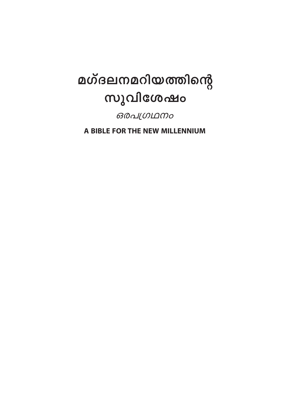# മഗ്ദലനമറിയത്തിന്റെ സുവിശേഷം

ഒരപഗ്രഥനം

A BIBLE FOR THE NEW MILLENNIUM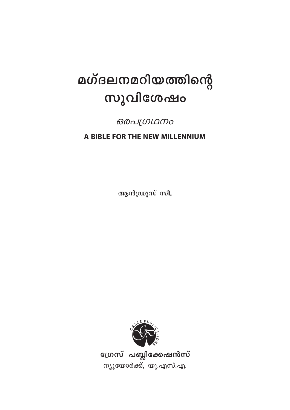# മഗ്ദലനമറിയത്തിന്റെ സുവിശേഷം

*ഒരപഗ്രഥനം* 

A BIBLE FOR THE NEW MILLENNIUM

ആൻഡ്രൂസ് സി.



ഗ്രേസ് പബ്ലിക്കേഷൻസ് ന്യൂയോർക്ക്, യു.എസ്.എ.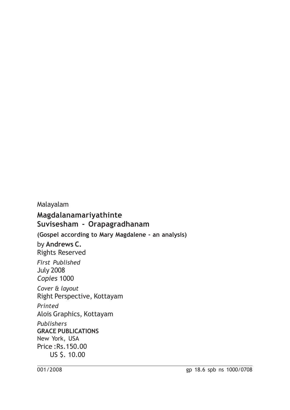Malayalam **Magdalanamariyathinte Suvisesham - Orapagradhanam (Gospel according to Mary Magdalene - an analysis)** by **Andrews C.** Rights Reserved *First Published* July 2008 *Copies* 1000 *Cover & layout* Right Perspective, Kottayam *Printed* Alois Graphics, Kottayam *Publishers* **GRACE PUBLICATIONS** New York, USA Price :Rs.150.00 US \$. 10.00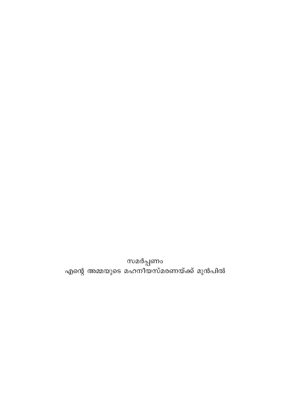സമർപ്പണം<br>എന്റെ അമ്മയുടെ മഹനീയസ്മരണയ്ക്ക് മുൻപിൽ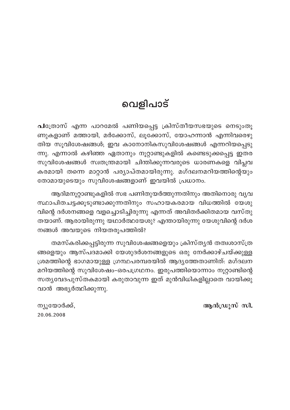# വെളിപാട്

പത്രോസ് എന്ന പാറമേൽ പണിയപ്പെട്ട ക്രിസ്തീയസഭയുടെ നെടുംതൂ ണുകളാണ് മത്തായി, മർക്കോസ്, ലൂക്കോസ്, യോഹന്നാൻ എന്നിവരെഴു തിയ സൂവിശേഷങ്ങൾ; ഇവ കാനോനികസുവിശേഷങ്ങൾ എന്നറിയപ്പെടു ന്നു. എന്നാൽ കഴിഞ്ഞ ഏതാനും നൂറ്റാണ്ടുകളിൽ കണ്ടെടുക്കപ്പെട്ട ഇതര സുവിശേഷങ്ങൾ സ്വതന്ത്രമായി ചിന്തിക്കുന്നവരുടെ ധാരണകളെ വിപ്ലവ കരമായി തന്നെ മാറ്റാൻ പര്യാപ്തമായിരുന്നു. മഗ്ദലനമറിയത്തിന്റെയും തോമായുടെയും സുവിശേഷങ്ങളാണ് ഇവയിൽ പ്രധാനം.

ആദിമനൂറ്റാണ്ടുകളിൽ സഭ പണിതുയർത്തുന്നതിനും അതിനൊരു വൃവ സ്ഥാപിതചട്ടക്കൂടുണ്ടാക്കുന്നതിനും സഹായകരമായ വിധത്തിൽ യേശു വിന്റെ ദർശനങ്ങളെ വളച്ചൊടിച്ചിരുന്നു എന്നത് അവിതർക്കിതമായ വസ്തു തയാണ്. ആരായിരുന്നു യഥാർത്ഥയേശു? എന്തായിരുന്നു യേശുവിന്റെ ദർശ നങ്ങൾ അവയുടെ നിയതരൂപത്തിൽ?

തമസ്കരിക്കപ്പട്ടിരുന്ന സുവിശേഷങ്ങളെയും ക്രിസ്തൃൻ തത്വശാസ്ത്ര ങ്ങളെയും ആസ്പദമാക്കി യേശുദർശനങ്ങളുടെ ഒരു നേർക്കാഴ്ചയ്ക്കുള്ള ശ്രമത്തിന്റെ ഭാഗമായുള്ള ഗ്രന്ഥപരമ്പരയിൽ ആദ്യത്തേതാണിത്: മഗ്ദലന മറിയത്തിന്റെ സുവിശേഷം-ഒരപഗ്രഥനം. ഇരുപത്തിയൊന്നാം നൂറ്റാണ്ടിന്റെ സതൃവേദപുസ്തകമായി കരുതാവുന്ന ഇത് മുൻവിധികളില്ലാതെ വായിക്കു വാൻ അഭ്യർത്ഥിക്കുന്നു.

ആൻഡ്രൂസ് സി.

ന്യൂയോർക്ക്, 20.06.2008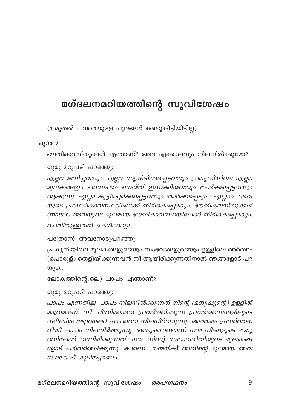## മഗ്ദലനമറിയത്തിന്റെ സുവിശേഷം

(1 മുതൽ 6 വരെയുള്ള പുറങ്ങൾ കണ്ടുകിട്ടിയിട്ടില്ല)

#### പുറം 7

ഭൗതികവസ്തുക്കൾ എന്താണ്? അവ എക്കാലവും നിലനിൽക്കുമോ?

ഗുരു മറുപടി പറഞ്ഞു:

എല്ലാ ജനിച്ചവയും എല്ലാ സൃഷ്ടിക്കപ്പെട്ടവയും പ്രകൃതിയിലെ എല്ലാ മൂലകങ്ങളും പരസ്പരം നെയ്ത് ഇണക്കിയവയും ചേർക്കപ്പെട്ടവയും ആകുന്നു. എല്ലാ കൂട്ടിച്ചേർക്കപ്പെട്ടവയും അഴിക്കപ്പെടും. എല്ലാം അവ യുടെ പ്രാഥമികാവസ്ഥയിലേക്ക് തിരികെപ്പോകും. ഭൗതികവസ്തുക്കൾ (matter) അവയുടെ മൂലമായ ഭൗതികാവസ്ഥയിലേക്ക് തിരികെപ്പോകും.

ചെവിയുള്ളവൻ കേൾക്കട്ടെ!

പത്രോസ് അവനോടുപറഞ്ഞു:

പ്രകൃതിയിലെ മൂലകങ്ങളുടെയും സംഭവങ്ങളുടെയും ഉള്ളിലെ അർത്ഥം (പൊരുള്) തെളിയിക്കുന്നവൻ നീ ആയിരിക്കുന്നതിനാൽ ഞങ്ങളോട് പറ യുക.

```
ലോകത്തിന്റെ(ലെ) പാപം എന്താണ്?
```
ഗുരു മറുപടി പറഞ്ഞു:

പാപം എന്നതില്ല. പാപം നിലനിൽക്കുന്നത് നിന്റെ (മനുഷ്യന്റെ) ഉള്ളിൽ മാത്രമാണ്. നീ ചിന്തിക്കാതെ പ്രവർത്തിക്കുന്ന പ്രവർത്തനങ്ങളിലൂടെ (reflexive responses) പാപത്തെ നിലനിർത്തുന്നു. അത്തരം പ്രവർത്തന രീതി പാപം നിലനിർത്തുന്നു. അതുകൊണ്ടാണ് നന്മ നിങ്ങളുടെ മദ്ധ്യ ത്തിലേക്ക് വന്നിരിക്കുന്നത്. നന്മ നിന്റെ സ്വഭാവരീതിയുടെ മൂലകങ്ങ ളോട് പരിവർത്തിക്കുന്നു. കാരണം നന്മയ്ക്ക് അതിന്റെ മൂലമായ അവ സ്ഥയോട് കൂടിച്ചേരണം.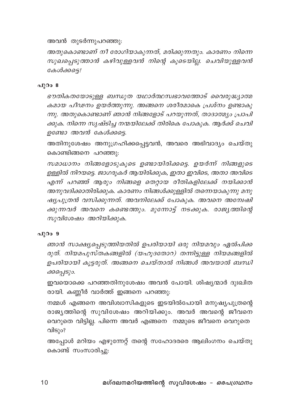അവൻ തുടർന്നുപറഞ്ഞു:

അതുകൊണ്ടാണ് നീ രോഗിയാകുന്നത്, മരിക്കുന്നതും. കാരണം നിന്നെ സുഖപ്പെടുത്താൻ കഴിവുള്ളവൻ നിന്റെ കൂടെയില്ല. ചെവിയുള്ളവൻ കേൾക്കടെ!

#### പുറം 8

ഭൗതികതയോടുള്ള ബന്ധുത യഥാർത്ഥസ്വഭാവത്തോട് വൈരുദ്ധ്യാത്മ കമായ പീഢനം ഉയർത്തുന്നു. അങ്ങനെ ശരീരമാകെ പ്രശ്നം ഉണ്ടാകു ന്നു. അതുകൊണ്ടാണ് ഞാൻ നിങ്ങളോട് പറയുന്നത്, താദാത്മ്യം പ്രാപി ക്കുക. നിന്നെ സൃഷ്ടിച്ച നന്മയിലേക്ക് തിരികെ പോകുക. ആർക്ക് ചെവി ഉണ്ടോ അവൻ കേൾക്കടെ.

അതിനുശേഷം അനുഗ്രഹിക്കപ്പെട്ടവൻ, അവരെ അഭിവാദ്യം ചെയ്തു കൊണ്ടിങ്ങനെ പറഞ്ഞു:

സമാധാനം നിങ്ങളോടുകൂടെ ഉണ്ടായിരിക്കട്ടെ. ഉയർന്ന് നിങ്ങളുടെ ഉള്ളിൽ നിറയട്ടെ. ജാഗരൂകർ ആയിരിക്കുക, ഇതാ ഇവിടെ, അതാ അവിടെ എന്ന് പറഞ്ഞ് ആരും നിങ്ങളെ തെറ്റായ രീതികളിലേക്ക് നയിക്കാൻ അനുവദിക്കാതിരിക്കുക. കാരണം നിങ്ങൾക്കുള്ളിൽ തന്നെയാകുന്നു മനു ഷ്യപുത്രൻ വസിക്കുന്നത്. അവനിലേക്ക് പോകുക. അവനെ അമ്പേഷി ക്കുന്നവർ അവനെ കണ്ടെത്തും. മുന്നോട്ട് നടക്കുക. രാജ്യത്തിന്റെ സുവിശേഷം അറിയിക്കുക.

#### പുറം 9

ഞാൻ സാക്ഷ്യപ്പെടുത്തിയതിൽ ഉപരിയായി ഒരു നിയമവും ഏൽപിക്ക രുത്. നിയമപുസ്തകങ്ങളിൽ (യഹൂദതോറ) തന്നിട്ടുള്ള നിയമങ്ങളിൽ ഉപരിയായി കൂട്ടരുത്. അങ്ങനെ ചെയ്താൽ നിങ്ങൾ അവയാൽ ബന്ധി ക്കപ്പെടും.

ഇവയൊക്കെ പറഞ്ഞതിനുശേഷം അവൻ പോയി. ശിഷ്യന്മാർ ദുഃഖിത രായി. കണ്ണീർ വാർത്ത് ഇങ്ങനെ പറഞ്ഞു:

നമ്മൾ എങ്ങനെ അവിശ്വാസികളുടെ ഇടയിൽപോയി മനുഷ്യപുത്രന്റെ രാജ്യത്തിന്റെ സുവിശേഷം അറിയിക്കും. അവർ അവന്റെ ജീവനെ വെറുതെ വിട്ടില്ല. പിന്നെ അവർ എങ്ങനെ നമ്മുടെ ജീവനെ വെറുതെ വിടും?

അപ്പോൾ മറിയം എഴുന്നേറ്റ് തന്റെ സഹോദരരെ ആലിംഗനം ചെയ്തു കൊണ്ട് സംസാരിച്ചു: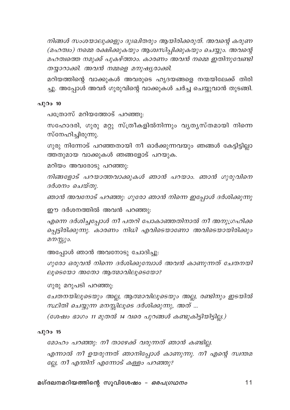നിങ്ങൾ സംശയാലുക്കളും ദുഃഖിതരും ആയിരിക്കരുത്. അവന്റെ കരുണ (മഹത്വം) നമ്മെ രക്ഷിക്കുകയും ആശ്വസിപ്പിക്കുകയും ചെയ്യും. അവന്റെ മഹത്വത്തെ നമുക്ക് പുകഴ്ത്താം. കാരണം അവൻ നമ്മെ ഇതിനുവേണ്ടി തയ്യാറാക്കി. അവൻ നമ്മളെ മനുഷ്യരാക്കി.

മറിയത്തിന്റെ വാക്കുകൾ അവരുടെ ഹൃദയങ്ങളെ നന്മയിലേക്ക് തിരി ച്ചു. അപ്പോൾ അവർ ഗുരുവിന്റെ വാക്കുകൾ ചർച്ച ചെയ്യുവാൻ തുടങ്ങി.

#### പുറം  $10$

പത്രോസ് മറിയത്തോട് പറഞ്ഞു:

സഹോദരി, ഗുരു മറ്റു സ്ത്രീകളിൽനിന്നും വൃതൃസ്തമായി നിന്നെ സ്നേഹിച്ചിരുന്നു.

ഗുരു നിന്നോട് പറഞ്ഞതായി നീ ഓർക്കുന്നവയും ഞങ്ങൾ കേട്ടിട്ടില്ലാ ത്തതുമായ വാക്കുകൾ ഞങ്ങളോട് പറയുക.

മറിയം അവരോടു പറഞ്ഞു:

നിങ്ങളോട് പറയാത്തവാക്കുകൾ ഞാൻ പറയാം. ഞാൻ ഗുരുവിനെ ദർശനം ചെയ്തു.

ഞാൻ അവനോട് പറഞ്ഞു: ഗുരോ ഞാൻ നിന്നെ ഇപ്പോൾ ദർശിക്കുന്നു

ഈ ദർശനത്തിൽ അവൻ പറഞ്ഞു:

എന്നെ ദർശിച്ചപ്പോൾ നീ പതറി പോകാഞ്ഞതിനാൽ നീ അനുഗ്രഹിക്ക പ്പെട്ടിരിക്കുന്നു. കാരണം നിധി എവിടെയാണോ അവിടെയായിരിക്കും മനസ്സും.

അപ്പോൾ ഞാൻ അവനോടു ചോദിച്ചു:

ഗുരോ ഒരുവൻ നിന്നെ ദർശിക്കുമ്പോൾ അവൻ കാണുന്നത് ചേതനയി ലൂടെയോ അതോ ആത്മാവിലൂടെയോ?

ഗുരു മറുപടി പറഞ്ഞു:

ചേതനയിലൂടെയും അല്ല, ആത്മാവിലൂടെയും അല്ല, രണ്ടിനും ഇടയിൽ സ്ഥിതി ചെയ്യുന്ന മനസ്സിലൂടെ ദർശിക്കുന്നു, അത് ...

(ശേഷം ഭാഗം 11 മുതൽ 14 വരെ പുറങ്ങൾ കണ്ടുകിട്ടിയിട്ടില്ല.)

## പുറം 15

മോഹം പറഞ്ഞു: നീ താഴേക്ക് വരുന്നത് ഞാൻ കണ്ടില്ല. എന്നാൽ നീ ഉയരുന്നത് ഞാനിപ്പോൾ കാണുന്നു. നീ എന്റെ സ്ഥതമ ല്ലേ, നീ എന്തിന് എന്നോട് കള്ളം പറഞ്ഞു?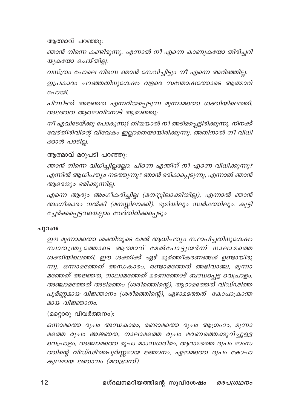ആത്മാവ് പറഞ്ഞു:

ഞാൻ നിന്നെ കണ്ടിരുന്നു. എന്നാൽ നീ എന്നെ കാണുകയോ തിരിച്ചറി യുകയോ ചെയ്തില്ല.

വസ്ത്രം പോലെ നിന്നെ ഞാൻ സേവിച്ചിട്ടും നീ എന്നെ അറിഞ്ഞില്ല.

ഇപ്രകാരം പറഞ്ഞതിനുശേഷം വളരെ സന്തോഷത്തോടെ ആത്മാവ് പോയി.

പിന്നീടത് അജ്ഞത എന്നറിയപ്പെടുന്ന മൂന്നാമത്തെ ശക്തിയിലെത്തി. അജ്ഞത ആത്മാവിനോട് ആരാഞ്ഞു:

നീ എവിടേയ്ക്കു പോകുന്നു? തിന്മയാൽ നീ അടിമപ്പെട്ടിരിക്കുന്നു. നിനക്ക് വേർതിരിവിന്റെ വിവേകം ഇല്ലാതെയായിരിക്കുന്നു. അതിനാൽ നീ വിധി ക്കാൻ പാടില.

ആത്മാവ് മറുപടി പറഞ്ഞു:

ഞാൻ നിന്നെ വിധിച്ചില്ലല്ലോ. പിന്നെ എന്തിന് നീ എന്നെ വിധിക്കുന്നു? എന്നിൽ ആധിപത്യം നടത്തുന്നു? ഞാൻ ഭരിക്കപ്പെടുന്നൂ, എന്നാൽ ഞാൻ ആരെയും ഭരിക്കുന്നില്ല.

എന്നെ ആരും അംഗീകരിച്ചില്ല (മനസ്സിലാക്കിയില്ല), എന്നാൽ ഞാൻ അംഗീകാരം നൽകി (മനസ്സിലാക്കി). ഭൂമിയിലും സ്വർഗത്തിലും. കൂട്ടി ച്ചേർക്കപ്പെട്ടവയെല്ലാം വേർതിരിക്കപ്പെടും

## പുറം16

ഈ മൂന്നാമത്തെ ശക്തിയുടെ മേൽ ആധിപത്യം സ്ഥാപിച്ചതിനുശേഷം സ്ഥാതന്ത്ര്യ തോടെ ആ തമാവ് മേൽപോട്ടുയർന്ന് നാലാമത്തെ ശക്തിയിലെത്തി. ഈ ശക്തിക്ക് ഏഴ് മൂർത്തീകരണങ്ങൾ ഉണ്ടായിരു ന്നു. ഒന്നാമത്തേത് അന്ധകാരം, രണ്ടാമത്തേത് അഭിവാഞ്ച, മൂന്നാ മത്തേത് അജ്ഞത, നാലാമത്തേത് മരണത്തോട് ബന്ധപ്പെട്ട വെപ്രാളം, അഞ്ചാമത്തേത് അടിമത്തം (ശരീരത്തിന്റെ), ആറാമത്തേത് വിഡ്ഢിത്ത പൂർണ്ണമായ വിജ്ഞാനം (ശരീരത്തിന്റെ), ഏഴാമത്തേത് കോപാക്രാന്ത മായ വിജ്ഞാനം.

(മറ്റൊരു വിവർത്തനം):

ഒന്നാമത്തെ രൂപം അന്ധകാരം, രണ്ടാമത്തെ രൂപം ആഗ്രഹം, മൂന്നാ മത്തെ രൂപം അജ്ഞത, നാലാമത്തെ രൂപം മരണത്തെക്കുറിച്ചുള്ള വെപ്രാളം, അഞ്ചാമത്തെ രൂപം മാംസശരീരം, ആറാമത്തെ രൂപം മാംസ ത്തിന്റെ വിഡ്ഢിത്തപൂർണ്ണമായ ജ്ഞാനം, ഏഴാമത്തെ രൂപം കോപാ കുലമായ ജ്ഞാനം (മതഭ്രാന്ത്).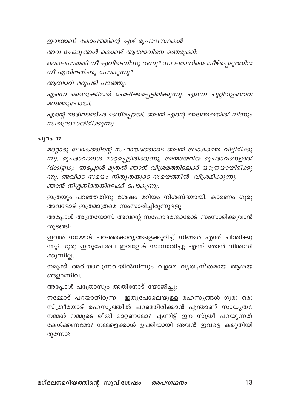ഇവയാണ് കോപത്തിന്റെ ഏഴ് രൂപാവസ്ഥകൾ

അവ ചോദ്യങ്ങൾ കൊണ്ട് ആത്മാവിനെ ഞെരുക്കി:

കൊലപാതകി നീ എവിടെനിന്നു വന്നു? സ്ഥലരാശിയെ കീഴ്പ്പെടുത്തിയ നീ എവിടേയ്ക്കു പോകുന്നു?

ആത്മാവ് മറുപടി പറഞ്ഞു:

എന്നെ ഞെരുക്കിയത് ഛേദിക്കപ്പെട്ടിരിക്കുന്നു. എന്നെ ചുറ്റിവളഞ്ഞവ മറഞ്ഞുപോയി.

എന്റെ അഭിവാഞ്ഛ മങ്ങിപ്പോയി. ഞാൻ എന്റെ അജ്ഞതയിൽ നിന്നും സ്വതന്ത്രമായിരിക്കുന്നു.

## പ് $0$ o 17

മറ്റൊരു ലോകത്തിന്റെ സഹായത്തോടെ ഞാൻ ലോകത്തെ വിട്ടിരിക്കു ന്നു. രൂപഭാവങ്ങൾ മാറ്റപ്പെട്ടിരിക്കുന്നു, മേന്മയേറിയ രൂപഭാവങ്ങളാൽ (designs). അപ്പോൾ മുതൽ ഞാൻ വിശ്രമത്തിലേക്ക് യാത്രയായിരിക്കു ന്നു. അവിടെ സമയം നിതൃതയുടെ സമയത്തിൽ വിശ്രമിക്കുന്നു. ഞാൻ നിശ്ശബ്ദതയിലേക്ക് പോകുന്നു.

ഇത്രയും പറഞ്ഞതിനു ശേഷം മറിയം നിശബ്ദയായി, കാരണം ഗുരു അവളോട് ഇത്രമാത്രമെ സംസാരിച്ചിരുന്നുള്ളു.

അപ്പോൾ അന്ത്രയോസ് അവന്റെ സഹോദരന്മാരോട് സംസാരിക്കുവാൻ തുടങ്ങി:

ഇവൾ നമ്മോട് പറഞ്ഞകാര്യങ്ങളെക്കുറിച്ച് നിങ്ങൾ എന്ത് ചിന്തിക്കു ന്നു? ഗുരു ഇതുപോലെ ഇവളോട് സംസാരിച്ചു എന്ന് ഞാൻ വിശ്വസി ക്കുന്നില്ല.

നമുക്ക് അറിയാവുന്നവയിൽനിന്നും വളരെ വൃതൃസ്തമായ ആശയ ങ്ങളാണിവ.

അപ്പോൾ പത്രോസും അതിനോട് യോജിച്ചു:

നമ്മോട് പറയാതിരുന്ന ഇതുപോലെയുള്ള രഹസ്യങ്ങൾ ഗുരു ഒരു സ്ത്രീയോട് രഹസ്യത്തിൽ പറഞ്ഞിരിക്കാൻ എന്താണ് സാധ്യത?. നമ്മൾ നമ്മുടെ രീതി മാറ്റണമോ? എന്നിട്ട് ഈ സ്ത്രീ പറയുന്നത് കേൾക്കണമോ? നമ്മളെക്കാൾ ഉപരിയായി അവൻ ഇവളെ കരുതിയി രുന്നോ?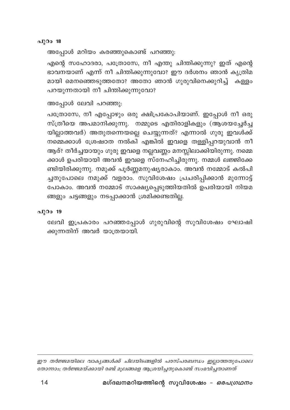#### പുറം 18

അപ്പോൾ മറിയം കരഞ്ഞുകൊണ്ട് പറഞ്ഞു:

എന്റെ സഹോദരാ, പത്രോസേ, നീ എന്തു ചിന്തിക്കുന്നു? ഇത് എന്റെ ഭാവനയാണ് എന്ന് നീ ചിന്തിക്കുന്നുവോ? ഈ ദർശനം ഞാൻ കൃത്രിമ മായി മെനഞ്ഞെടുത്തതോ? അതോ ഞാൻ ഗുരുവിനെക്കുറിച്ച് കള്ളം പറയുന്നതായി നീ ചിന്തിക്കുന്നുവോ?

അപ്പോൾ ലേവി പറഞ്ഞു:

പത്രോസേ, നീ എപ്പോഴും ഒരു ക്ഷിപ്രകോപിയാണ്. ഇപ്പോൾ നീ ഒരു സ്ത്രീയെ അപമാനിക്കുന്നു. നമ്മുടെ എതിരാളികളും (ആശയച്ചേർച്ച യില്ലാത്തവർ) അതുതന്നെയല്ലെ ചെയ്യുന്നത്? എന്നാൽ ഗുരു ഇവൾക്ക് നമ്മെക്കാൾ ശ്രേഷഠത നൽകി എങ്കിൽ ഇവളെ തള്ളിപ്പറയുവാൻ നീ ആര്? തീർച്ചയായും ഗുരു ഇവളെ നല്ലവണ്ണം മനസ്സിലാക്കിയിരുന്നു. നമ്മെ ക്കാൾ ഉപരിയായി അവൻ ഇവളെ സ്നേഹിച്ചിരുന്നു. നമ്മൾ ലജ്ജിക്കേ ണ്ടിയിരിക്കുന്നു. നമുക്ക് പൂർണ്ണമനുഷ്യരാകാം. അവൻ നമ്മോട് കൽപി ച്ചതുപോലെ നമുക്ക് വളരാം. സുവിശേഷം പ്രചരിപ്പിക്കാൻ മുന്നോട്ട് പോകാം. അവൻ നമ്മോട് സാക്ഷ്യപ്പെടുത്തിയതിൽ ഉപരിയായി നിയമ ങ്ങളും ചട്ടങ്ങളും നടപ്പാക്കാൻ ശ്രമിക്കണ്ടതില്ല.

#### പുറം 19

ലേവി ഇപ്രകാരം പറഞ്ഞപ്പോൾ ഗുരുവിന്റെ സുവിശേഷം ഘോഷി ക്കുന്നതിന് അവർ യാത്രയായി.

ഈ തർജ്ജമയിലെ വാകൃങ്ങൾക്ക് ചിലയിടങ്ങളിൽ പരസ്പരബന്ധം ഇല്ലാത്തതുപോലെ തോന്നാം; തർജ്ജമയ്ക്കായി രണ്ട് മൂലങ്ങളെ ആശ്രയിച്ചതുകൊണ്ട് സംഭവിച്ചതാണത്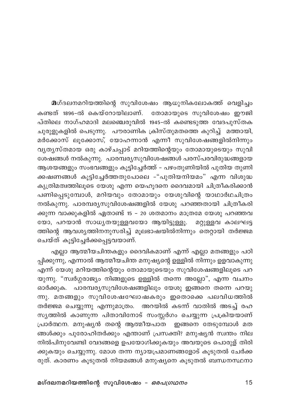മന്ദലനമറിയത്തിന്റെ സുവിശേഷം ആധുനികലോകത്ത് വെളിച്ചം കണ്ടത് 1896-ൽ കെയ്റോയിലാണ്. തോമായുടെ സുവിശേഷം ഈജി പ്തിലെ നാഗ്ഹമാദി മലഞ്ചെരുവിൽ 1945-ൽ കണ്ടെടുത്ത വേദപുസ്തക ചുരുളുകളിൽ പെടുന്നു. പൗരാണിക ക്രിസ്തുമതത്തെ കുറിച്ച് മത്തായി, മർക്കോസ് ലൂക്കോസ്, യോഹന്നാൻ എന്നീ സുവിശേഷങ്ങളിൽനിന്നും വ്യത്യസ്തമായ ഒരു കാഴ്ചപ്പാട് മറിയത്തിന്റെയും തോമായുടെയും സുവി ശേഷങ്ങൾ നൽകുന്നു. പാരമ്പര്യസുവിശേഷങ്ങൾ പരസ്പരവിരുദ്ധങ്ങളായ ആശയങ്ങളും സംഭവങ്ങളും കൂട്ടിച്ചേർത്ത് – പഴംതുണിയിൽ പുതിയ തുണി ക്കഷണങ്ങൾ കൂട്ടിച്ചേർത്തതുപോലെ -"പുതിയനിയമം" എന്ന വിശുദ്ധ കൃത്രിമത്വത്തിലൂടെ യേശു എന്ന യെഹൂദനെ ദൈവമായി ചിത്രീകരിക്കാൻ പണിപ്പെടുമ്പോൾ, മറിയവും തോമായും യേശുവിന്റെ യാഥാർഥചിത്രം നൽകുന്നു. പാരമ്പര്യസുവിശേഷങ്ങളിൽ യേശു പറഞ്ഞതായി ചിത്രീകരി ക്കുന്ന വാക്കുകളിൽ ഏതാണ്ട് 15 – 20 ശതമാനം മാത്രമേ യേശു പറഞ്ഞവ യോ, പറയാൻ സാധ്യതയുള്ളവയോ ആയിട്ടുള്ളൂ. മറ്റുള്ളവ കാലഘട്ട ത്തിന്റെ ആവശ്യത്തിനനുസരിച്ച് മൂലഭാഷയിൽനിന്നും തെറ്റായി തർജ്ജമ ചെയ്ത് കൂട്ടിച്ചേർക്കപ്പെട്ടവയാണ്.

എല്ലാ ആത്മീയചിന്തകളും ദൈവികമാണ് എന്ന് എല്ലാ മതങ്ങളും പഠി പ്പിക്കുന്നു, എന്നാൽ ആത്മീയചിന്ത മനുഷ്യന്റെ ഉള്ളിൽ നിന്നും ഉളവാകുന്നു എന്ന് യേശു മറിയത്തിന്റെയും തോമായുടെയും സുവിശേഷങ്ങളിലൂടെ പറ യുന്നു. "സ്വർഗ്ഗരാജ്യം നിങ്ങളുടെ ഉള്ളിൽ തന്നെ അല്ലോ", എന്ന വചനം ഓർക്കുക. പാരമ്പര്യസുവിശേഷങ്ങളിലും യേശു ഇങ്ങനെ തന്നെ പറയു ന്നു. മതങ്ങളും സുവിശേഷഘോഷകരും ഇതൊക്കെ പലവിധത്തിൽ തർജ്ജമ ചെയ്യുന്നു എന്നുമാത്രം. അറയിൽ കടന്ന് വാതിൽ അടച്ച് രഹ സൃത്തിൽ കാണുന്ന പിതാവിനോട് സംസ്സർഗം ചെയ്യുന്ന പ്രക്രിയയാണ് പ്രാർത്ഥന. മനുഷ്യൻ തന്റെ ആത്മീയപാത ഇങ്ങനെ തേടുമ്പോൾ മത ങ്ങൾക്കും പുരോഹിതർക്കും എന്താണ് പ്രസക്തി? മനുഷ്യൻ സ്വന്തം നില നിൽപിനുവേണ്ടി വേദങ്ങളെ ഉപയോഗിക്കുകയും അവയുടെ പൊരുള് തിരി ക്കുകയും ചെയ്യുന്നു. മോശ തന്ന ന്യായപ്രമാണങ്ങളോട് കൂടുതൽ ചേർക്ക രുത്. കാരണം കൂടുതൽ നിയമങ്ങൾ മനുഷ്യനെ കൂടുതൽ ബന്ധനസ്ഥനാ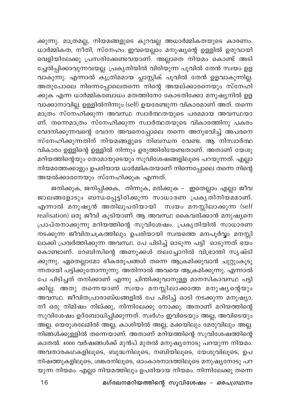ക്കുന്നു. മാത്രമല്ല, നിയമങ്ങളുടെ കുറവല്ല അധാർമ്മികതയുടെ കാരണം. ധാർമ്മികത, നീതി, സ്നേഹം ഇവയെല്ലാം മനുഷ്യന്റെ ഉള്ളിൽ ഉരുവായി വെളിയിലേക്കു പ്രസരിക്കേണ്ടവയാണ്. അല്ലാതെ നിയമം കൊണ്ട് അടി ച്ചേൽപ്പിക്കാവുന്നവയല്ല. പ്രകൃതിയിൽ വിരിയുന്ന പൂവിൽ തേൻ സ്വയം ഉള വാകുന്നു. എന്നാൽ കൃത്രിമമായ പ്ലാസ്റ്റിക് പൂവിൽ തേൻ ഉളവാകുന്നില്ല. അതുപോലെ നിന്നെപ്പോലെതന്നെ നിന്റെ അയല്ക്കാരനെയും സ്നേഹി ക്കുക എന്ന ധാർമ്മികബോധം മതത്തിനോ കോടതിക്കോ മനുഷ്യനിൽ ഉള വാക്കാനാവില്ല. ഉള്ളിൽനിന്നും (self) ഉയരേണ്ടുന്ന വികാരമാണ് അത്. തന്നെ മാത്രം സ്നേഹിക്കുന്ന അവസ്ഥ സ്വാർത്ഥതയുടെ പരമമായ അവസ്ഥയാ ണ്. തന്നെമാത്രം സ്നേഹിക്കുന്ന സ്വാർത്ഥതയുടെ വികാരത്തിനു പകരം വേദനിക്കുന്നവന്റെ വേദന അവനെപ്പോലെ തന്നെ അനുഭവിച്ച് അപരനെ സ്നേഹിക്കുന്നതിന് നിയമങ്ങളുടെ നിബന്ധന വേണ്ട. ആ നിസ്വാർത്ഥ വികാരം ഉള്ളിന്റെ ഉള്ളിൽ നിന്നും ഉരുത്തിരിയേണ്ടതാണ്. അതാണ് യേശു മറിയത്തിന്റെയും തോമായുടെയും സുവിശേഷങ്ങളിലൂടെ പറയുന്നത്. എല്ലാ നിയമത്തേക്കാളും ഉപരിയായ ധാർമ്മികതയാണ് നിന്നെപ്പോലെ തന്നെ നിന്റെ അയൽക്കാരനേയും സ്നേഹിക്കുക എന്നത്.

ജനിക്കുക, ജനിപ്പിക്കക, തിന്നുക, മരിക്കുക – ഇതെല്ലാം എല്ലാ ജീവ ജാലങ്ങളോടും ബന്ധപ്പെട്ടിരിക്കുന്ന സാധാരണ പ്രകൃതിനിയമമാണ്. എന്നാൽ മനുഷ്യൻ അതിലുപരിയായി സ്വയം മനസ്സിലാക്കുന്ന (self realisation) ഒരു ജീവി കൂടിയാണ്. ആ അവസ്ഥ കൈവരിക്കാൻ മനുഷ്യനെ പ്രാപ്തനാക്കുന്നു മറിയത്തിന്റെ സുവിശേഷം. പ്രകൃതിയിൽ സാധാരണ നടക്കുന്ന ജീവിതചക്രത്തിലും ഉപരിയായി സ്വയത്തെ മനപൂർവ്വം മനസ്സി ലാക്കി പ്രവർത്തിക്കുന്ന അവസ്ഥ. പേ പിടിച്ച് ഓടുന്ന പട്ടി ഓടുന്നത് ഭയം കൊണ്ടാണ്. റേബിസിന്റെ അണുക്കൾ തലച്ചോറിൽ വിഭ്രാന്തി സൃഷ്ടി ക്കുന്നു. ഏതെല്ലാമോ ഭീകരരൂപങ്ങൾ തന്നെ ആക്രമിക്കുവാൻ ചുറ്റുംകൂടു ന്നതായി പട്ടിക്കുതോന്നുന്നു. അതിനാൽ അവയെ ആക്രമിക്കുന്നു. എന്നാൽ പേ പിടിച്ചത് തനിക്കാണ് എന്നു ചിന്തിക്കുവാനുള്ള മാനസികാവസ്ഥ പട്ടി ക്കില്ല. അതു തന്നെയാണ് സ്വയം മനസ്സിലാക്കാത്ത മനുഷ്യന്റെയും അവസ്ഥ. ജീവിതപ്രാരാബ്ധങ്ങളിൽ പേ പിടിച്ച് ഓടി നടക്കുന്ന മനുഷ്യാ, നീ ഒരു നിമിഷം നില്ക്കു, നിന്നിലേക്കു നോക്കു. അതാണ് മറിയത്തിന്റെ സുവിശേഷം ഉദ്ബോധിപ്പിക്കുന്നത്. സ്വർഗം ഇവിടെയും അല്ല, അവിടെയും അല്ല. യെരുശലേമിൽ അല്ല, കാശിയിൽ അല്ല, മക്കയിലും മേരുവിലും അല്ല. നിങ്ങൾക്കുള്ളിൽ തന്നെയാണ്. അതാണ് മറിയത്തിന്റെ സുവിശേഷത്തിന്റെ കാതൽ. 4000 വർഷങ്ങൾക്ക് മുൻപ് മുതൽ മനുഷ്യനോടു പറയുന്ന നിയമം. അവതാരകഥകളിലൂടെ, ബുദ്ധനിലൂടെ, നബിയിലൂടെ, യേശുവിലൂടെ, ഉപ നിഷത്തുകളിലൂടെ, ശങ്കരനിലൂടെ, ഓംകാരനാദത്തിലൂടെ മനുഷ്യനോടു പറ യുന്ന നിയമം. എല്ലാ നിയമത്തിലും ഉപരിയായ നിയമം. നിന്നിലേക്കു തന്നെ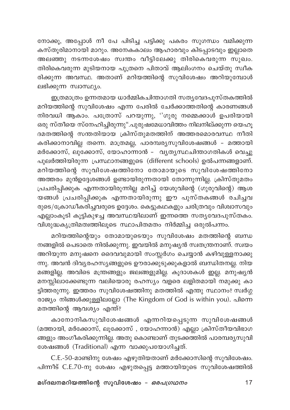നോക്കൂ, അപ്പോൾ നീ പേ പിടിച്ച പട്ടിക്കു പകരം സുഗന്ധം വമിക്കുന്ന കസ്തൂരിമാനായി മാറും. അനേകകാലം ആഹാരവും കിടപ്പാടവും ഇല്ലാതെ .<br>അലഞ്ഞു നടന്നശേഷം സ്വന്തം വീട്ടിലേക്കു തിരികെവരുന്ന സുഖം. തിരികെവരുന്ന മുടിയനായ പുത്രനെ പിതാവ് ആലിംഗനം ചെയ്തു സ്വീക രിക്കുന്ന അവസ്ഥ. അതാണ് മറിയത്തിന്റെ സുവിശേഷം അറിയുമ്പോൾ ലഭിക്കുന്ന സ്വാസ്ഥ്യം.

ഇത്രമാത്രം ഉന്നതമായ ധാർമ്മികചിന്താഗതി സത്യവേദപുസ്തകത്തിൽ മറിയത്തിന്റെ സുവിശേഷം എന്ന പേരിൽ ചേർക്കാത്തതിന്റെ കാരണങ്ങൾ നിരവധി ആകാം. പത്രോസ് പറയുന്നു, ''ഗുരു നമ്മെക്കാൾ ഉപരിയായി ഒരു സ്തീയെ സ്നേഹിച്ചിരുന്നു".പുരുഷമേധാവിത്തം നിലനില്ക്കുന്ന യെഹൂ ദമതത്തിന്റെ സന്തതിയായ ക്രിസ്തുമതത്തിന് അത്തരമൊരവസ്ഥ നീതി കരിക്കാനാവില്ല തന്നെ. മാത്രമല്ല, പാരമ്പര്യസുവിശേഷങ്ങൾ - മത്തായി മർക്കോസ്, ലു്ക്കോസ്, യോഹാന്നാൻ - വൃതൃസ്ഥചിന്താഗതികൾ വെച്ചു പുലർത്തിയിരുന്ന പ്രസ്ഥാനങ്ങളുടെ (different schools) ഉൽപന്നങ്ങളാണ്. മറിയത്തിന്റെ സുവിശേഷത്തിനോ തോമായുടെ സുവിശേഷത്തിനോ അത്തരം മുൻഉദ്ദേശങ്ങൾ ഉണ്ടായിരുന്നതായി തോന്നുന്നില്ല. ക്രിസ്തുമതം പ്രചരിപ്പിക്കുക എന്നതായിരുന്നില്ല മറിച്ച് യേശുവിന്റെ (ഗുരുവിന്റെ) ആശ യങ്ങൾ പ്രചരിപ്പിക്കുക എന്നതായിരുന്നു ഈ പുസ്തകങ്ങൾ രചിച്ചവ രുടെ/ക്രോഡീകരിച്ചവരുടെ ഉദ്ദേശം. കെട്ടുകഥകളും ചരിത്രവും വിശ്വാസവും എല്ലാംകൂടി കൂട്ടികുഴച്ച അവസ്ഥയിലാണ് ഇന്നത്തെ സത്യവേദപുസ്തകം. വിശുദ്ധകൃത്രിമത്വത്തിലൂടെ സ്ഥാപിതമതം നിർമ്മിച്ച ഒരുൽപന്നം.

മറിയത്തിന്റെയും തോമായുടെയും സുവിശേഷം മതത്തിന്റെ ബന്ധ നങ്ങളിൽ പെടാതെ നിൽക്കുന്നു. ഇവയിൽ മനുഷ്യൻ സ്വതന്ത്രനാണ്. സ്വയം അറിയുന്ന മനുഷനെ ദൈവവുമായി സംസ്സർഗം ചെയ്യാൻ കഴിവുള്ളനാക്കു ന്നു. അവൻ ദിവ്യരഹസ്യങ്ങളുടെ ഊരാക്കുടുക്കുകളാൽ ബന്ധിതനല്ല. നിയ മങ്ങളില്ല. അവിടെ മന്ത്രങ്ങളും ജലങ്ങളുമില്ല. കൂദാശകൾ ഇല്ല. മനുഷ്യൻ മനസ്സിലാക്കേണ്ടുന്ന വലിയൊരു രഹസ്യം വളരെ ലളിതമായി നമുക്കു കാ ട്ടിത്തരുന്നു. ഇത്തരം സുവിശേഷത്തിനു മതത്തിൽ എന്തു സ്ഥാനം? സ്വർഗ്ഗ രാജ്യം നിങ്ങൾക്കുള്ളിലല്ലോ (The Kingdom of God is within you). പിന്നെ മതത്തിന്റെ ആവശ്യം എന്ത്?

കാനോനികസുവിശേഷങ്ങൾ എന്നറിയപ്പെടുന്ന സുവിശേഷങ്ങൾ (മത്തായി, മർക്കോസ്, ലൂക്കോസ് , യോഹന്നാൻ) എല്ലാ ക്രിസ്തീയവിഭാഗ ങ്ങളും അംഗീകരിക്കുന്നില്ല. അതു കൊണ്ടാണ് തുടക്കത്തിൽ പാരമ്പര്യസുവി ശേഷങ്ങൾ (Traditional) എന്ന വാക്കുപയോഗിച്ചത്.

C.E.-50-മാണ്ടിനു ശേഷം എഴുതിയതാണ് മർക്കോസിന്റെ സുവിശേഷം. പിന്നീട് C.E.70-നു ശേഷം എഴുതപ്പെട്ട മത്തായിയുടെ സുവിശേഷത്തിൽ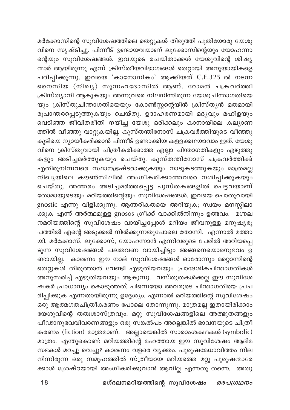മർക്കോസിന്റെ സുവിശേഷത്തിലെ തെറ്റുകൾ തിരുത്തി പുതിയോരു യേശു വിനെ സൃഷ്ടിച്ചു. പിന്നീട് ഉണ്ടായവയാണ് ലൂക്കോസിന്റെയും യോഹന്നാ ന്റെയും സുവിശേഷങ്ങൾ. ഇവയുടെ രചയിതാക്കൾ യേശുവിന്റെ ശിഷ്യ ന്മാർ ആയിരുന്നു എന്ന് ക്രിസ്തീയവിഭാഗങ്ങൾ തെറ്റായി അനുയായികളെ പഠിപ്പിക്കുന്നു. ഇവയെ 'കാനോനികം' ആക്കിയത് C.E.325 ൽ നടന്ന നൈസിയ (നിഖൃ) സുന്നഹദോസിൽ ആണ്. റോമൻ ചക്രവർത്തി ക്രിസ്ത്യാനി ആകുകയും അന്നുവരെ നിലനിന്നിരുന്ന യേശുചിന്താഗതിയെ യും ക്രിസ്തുചിന്താഗതിയെയും കോൺസ്റ്റന്റെയിൻ ക്രിസ്ത്യൻ മതമായി രൂപാന്തരപ്പെടുത്തുകയും ചെയ്തു. ഉദാഹരണമായി മദൃവും മഹിളയും വെടിഞ്ഞ ജീവിതരീതി നയിച്ച യേശു ഒരിക്കലും കാനായിലെ കല്യാണ ത്തിൽ വീഞ്ഞു വാറ്റുകയില്ല. കുസ്തന്തിനോസ് ചക്രവർത്തിയുടെ വീഞ്ഞു കുടിയെ ന്യായീകരിക്കാൻ പിന്നീട് ഉണ്ടാക്കിയ കള്ളക്കഥയാവാം ഇത്. യേശു വിനെ ക്രിസ്തുവായി ചിത്രീകരിക്കാത്ത എല്ലാ ചിന്താഗതികളും എഴുത്തു കളും അടിച്ചമർത്തുകയും ചെയ്തു. കുസ്തന്തിനോസ് ചക്രവർത്തിക്ക് എതിരുനിന്നവരെ സ്ഥാനഭ്രഷ്ടരാക്കുകയും നാടുകടത്തുകയും മാത്രമല്ല .<br>നിഖൃയിലെ കൗൺസിലിൽ അംഗീകരിക്കാത്തവരെ നശിപ്പിക്കുകയും ചെയ്തു. അത്തരം അടിച്ചമർത്തപ്പെട്ട പുസ്തകങ്ങളിൽ പെട്ടവയാണ് തോമായുടെയും മറിയത്തിന്റെയും സുവിശേഷങ്ങൾ. ഇവയെ പൊതുവായി gnostic എന്നു വിളിക്കുന്നു. ആന്തരികതയെ അറിയുക; സ്വയം മനസ്സിലാ ക്കുക എന്ന് അർത്ഥമുള്ള gnosos ഗ്രീക്ക് വാക്കിൽനിന്നും ഉത്ഭവം. മഗ്നല നമറിയത്തിന്റെ സുവിശേഷം വായിച്ചപ്പോൾ മറിയം ജീവനുള്ള മനുഷ്യരൂ പത്തിൽ എന്റെ അടുക്കൽ നിൽക്കുന്നതുപോലെ തോന്നി. എന്നാൽ മത്താ യി, മർക്കോസ്, ലൂക്കോസ്, യോഹന്നാൻ എന്നിവരുടെ പേരിൽ അറിയപ്പെ ടുന്ന സുവിശേഷങ്ങൾ പലതവണ വായിച്ചിട്ടും അങ്ങനെയൊരനുഭവം ഉ ണ്ടായില്ല. കാരണം ഈ നാല് സുവിശേഷങ്ങൾ ഓരോന്നും മറ്റൊന്നിന്റെ തെറ്റുകൾ തിരുത്താൻ വേണ്ടി എഴുതിയവയും പ്രാദേശികചിന്താഗതികൾ അനുസരിച്ച് എഴുതിയവയും ആകുന്നു. വസ്തുതകൾക്കല്ല ഈ സുവിശേ ഷകർ പ്രാധാന്യം കൊടുത്തത്. പിന്നെയോ അവരുടെ ചിന്താഗതിയെ പ്രച രിപ്പിക്കുക എന്നതായിരുന്നു ഉദ്ദേശ്യം. എന്നാൽ മറിയത്തിന്റെ സുവിശേഷം ഒരു ആത്മഗതചിത്രീകരണം പോലെ തോന്നുന്നു. മാത്രമല്ല ഇതായിരിക്കാം യേശുവിന്റെ തത്വശാസ്ത്രവും. മറ്റു സുവിശേഷങ്ങളിലെ അത്ഭുതങ്ങളും പീഢാനുഭവവിവരണങ്ങളും ഒരു സങ്കൽപം അല്ലെങ്കിൽ ഭാവനയുടെ ചിത്രീ കരണം (fiction) മാത്രമാണ്. അല്ലായെങ്കിൽ സാരാംശകഥകൾ (symbolic) മാത്രം. എന്തുകൊണ്ട് മറിയത്തിന്റെ മഹത്തായ ഈ സുവിശേഷം ആദിമ സഭകൾ മറച്ചു വെച്ചു? കാരണം വളരെ വ്യക്തം. പുരുഷമേധാവിത്തം നില നിന്നിരുന്ന ഒരു സമൂഹത്തിൽ സ്ത്രീയായ മറിയത്തെ മറ്റു പുരുഷന്മാരേ ക്കാൾ ശ്രേഷ്ഠയായി അംഗീകരിക്കുവാൻ ആവില്ല എന്നതു തന്നെ. അതു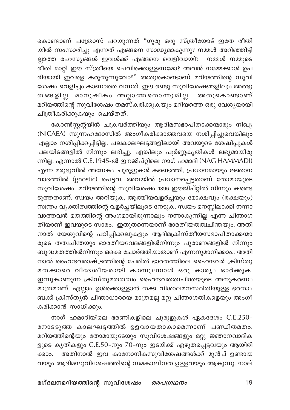കൊണ്ടാണ് പത്രോസ് പറയുന്നത് "ഗുരു ഒരു സ്ത്രീയോട് ഇതേ രീതി യിൽ സംസാരിച്ചു എന്നത് എങ്ങനെ സാദ്ധ്യമാകുന്നു? നമ്മൾ അറിഞ്ഞിട്ടി ല്ലാത്ത രഹസ്യങ്ങൾ ഇവൾക്ക് എങ്ങനെ വെളിവായി? നമ്മൾ നമ്മുടെ ം<br>രീതി മാറ്റി ഈ സ്ത്രീയെ ചെവിക്കൊള്ളണമോ? അവൻ നമ്മേക്കാൾ ഉപ രിയായി ഇവളെ കരുതുന്നുവോ?" അതുകൊണ്ടാണ് മറിയത്തിന്റെ സുവി ശേഷം വെളിച്ചം കാണാതെ വന്നത്. ഈ രണ്ടു സുവിശേഷങ്ങളിലും അത്ഭു തങ്ങളില്ല. മാനുഷികം അല്ലാത്തതൊന്നുമില്ല അതുകൊണ്ടാണ് മറിയത്തിന്റെ സുവിശേഷം തമസ്കരിക്കുകയും മറിയത്തെ ഒരു വേശൃയായി ചിത്രീകരിക്കുകയും ചെയ്തത്.

കോൺസ്റ്റന്റയിൻ ചക്രവർത്തിയും ആദിമസഭാപിതാക്കന്മാരും നിഖ്യ (NICAEA) സുന്നഹദോസിൽ അംഗീകരിക്കാത്തവയെ നശിപ്പിച്ചുവെങ്കിലും എല്ലാം നശിപ്പിക്കപ്പിട്ടില്ല. പലകാലഘട്ടങ്ങളിലായി അവയുടെ ശേഷിപ്പുകൾ പലയിടങ്ങളിൽ നിന്നും ലഭിച്ചു. എങ്കിലും പൂർണ്ണകൃതികൾ ലഭ്യമായിരു ന്നില്ല. എന്നാൽ C.E.1945-ൽ ഈജിപ്റ്റിലെ നാഗ് ഹമാദി (NAG HAMMADI) എന്ന മരുഭൂവിൽ അനേകം ചുരുളുകൾ കണ്ടെത്തി, പ്രധാനമായും ജ്ഞാന വാദത്തിൽ (gnostic) പെട്ടവ. അവയിൽ പ്രധാനപ്പെട്ടതാണ് തോമായുടെ സുവിശേഷം. മറിയത്തിന്റെ സുവിശേഷം 1896 ഈജിപ്റ്റിൽ നിന്നും കണ്ടെ ടുത്തതാണ്. സ്വയം അറിയുക, ആത്മീയവളർച്ചയും മോക്ഷവും (രക്ഷയും) സ്ഥതം വ്യക്തിത്വത്തിന്റെ വളർച്ചയിലൂടെ നേടുക, സ്വയം മനസ്സിലാക്കി നന്നാ വാത്തവൻ മതത്തിന്റെ അംഗമായിരുന്നാലും നന്നാകുന്നില്ല എന്ന ചിന്താഗ തിയാണ് ഇവയുടെ സാരം. ഇതുതന്നെയാണ് ഭാരതീയതത്ഥിന്തയും. അതി നാൽ യേശുവിന്റെ പഠിപ്പിക്കലുകളും ആദിമക്രിസ്തീയസഭാപിതാക്കന്മാ രുടെ തത്വചിന്തയും ഭാരതീയവേദങ്ങളിൽനിന്നും പുരാണങ്ങളിൽ നിന്നും ബുദ്ധമതത്തിൽനിന്നും ഒക്കെ ചോർത്തിയാതാണ് എന്നനുമാനിക്കാം.. അതി നാൽ ഹൈന്ദവരാഷ്ട്രത്തിന്റെ പേരിൽ ഭാരതത്തിലെ ഹൈന്ദവർ ക്രിസ്തു മതക്കാരെ വിദേശീയരായി കാണുമ്പോൾ ഒരു കാര്യം ഓർക്കുക. ഇന്നുകാണുന്ന ക്രിസ്തുമതതത്വം ഹൈന്ദവതത്വചിന്തയുടെ അനുകരണം മാത്രമാണ്. എല്ലാം ഉൾക്കൊള്ളാൻ തക്ക വിശാലമനസ്ഥിതിയുള്ള ഭരതാം ബക്ക് ക്രിസ്തൃൻ ചിന്താധാരയെ മാത്രമല്ല മറ്റു ചിന്താഗതികളെയും അംഗീ കരിക്കാൻ സാധിക്കും.

നാഗ് ഹമാദിയിലെ ഭരണികളിലെ ചുരുളുകൾ ഏകദേശം C.E.250-നോടടുത്ത കാലഘട്ടത്തിൽ ഉളവായതാകാമെന്നാണ് പണ്ഡിതമതം. മറിയത്തിന്റെയും തോമായുടേയും സുവിശേഷങ്ങളും മറ്റു ജ്ഞാനവാദിക ളുടെ കൃതികളും C.E.50-നും 70-നും ഇടയ്ക്ക് എഴുതപ്പെട്ടവയും ആയിരി ക്കാം. അതിനാൽ ഇവ കാനോനികസുവിശേഷങ്ങൾക്ക് മുൻപ് ഉണ്ടായ വയും ആദിമസുവിശേഷത്തിന്റെ സമകാലീനത ഉള്ളവയും ആകുന്നു. നാല്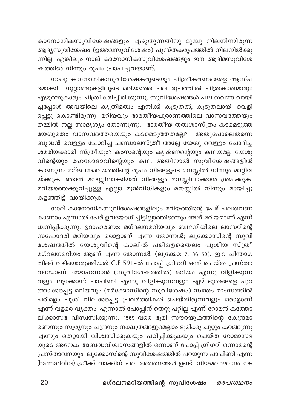കാനോനികസുവിശേഷങ്ങളും എഴുതുന്നതിനു മുമ്പു നിലനിന്നിരുന്ന .<br>ആദ്യസുവിശേഷം (ഉത്ഭവസുവിശേഷം) പുസ്തകരൂപത്തിൽ നിലനിൽക്കു .<br>ന്നില്ല. എങ്കിലും നാല് കാനോനികസുവിശേഷങ്ങളും ഈ ആദിമസുവിശേ ഷത്തിൽ നിന്നും രൂപം പ്രാപിച്ചവയാണ്.

നാലു കാനോനികസുവിശേഷകരുടെയും ചിത്രീകരണങ്ങളെ ആസ്പ ദമാക്കി നൂറ്റാണ്ടുകളിലൂടെ മറിയത്തെ പല രൂപത്തിൽ ചിത്രകാരന്മാരും എഴുത്തുകാരും ചിത്രീകരിച്ചിരിക്കുന്നു. സുവിശേഷങ്ങൾ പല തവണ വായി ച്ചപ്പോൾ അവയിലെ കൃത്രിമത്വം എനിക്ക് കൂടുതൽ, കൂടുതലായി വെളി പ്പെട്ടു കൊണ്ടിരുന്നു. മറിയവും ഭാരതീയപുരാണത്തിലെ വാസവദത്തയും യേശുമതം വാസവദത്തയെയും കടമെടുത്തതല്ലേ? അതുപോലെതന്നെ ബുദ്ധൻ വെള്ളം ചോദിച്ച ചണ്ഡാലസ്ത്രീ അല്ലേ യേശു വെള്ളം ചോദിച്ച ശമരിയക്കാരി സ്ത്രീയും? കംസന്റെയും കൃഷ്ണന്റെയും കഥയല്ലേ യേശു വിന്റെയും ഹേരോദാവിന്റെയും കഥ. അതിനാൽ സുവിശേഷങ്ങളിൽ കാണുന്ന മഗ്ദലനമറിയത്തിന്റെ രൂപം നിങ്ങളുടെ മനസ്സിൽ നിന്നും മാറ്റിവ യ്ക്കുക. ഞാൻ മനസ്സിലാക്കിയത് നിങ്ങളും മനസ്സിലാക്കാൻ ശ്രമിക്കുക. മറിയത്തെക്കുറിച്ചുള്ള എല്ലാ മുൻവിധികളും മനസ്സിൽ നിന്നും മായിച്ചു കളഞ്ഞിട്ട് വായിക്കുക.

നാല് കാനോനികസുവിശേഷങ്ങളിലും മറിയത്തിന്റെ പേര് പലതവണ കാണാം എന്നാൽ പേര് ഉവയോഗിച്ചിട്ടില്ലാത്തിടത്തും അത് മറിയമാണ് എന്ന് ധ്വനിപ്പിക്കുന്നു. ഉദാഹരണം: മഗ്ദലനമറിയവും ബഥനിയിലെ ലാസറിന്റെ സഹോദരി മറിയവും ഒരാളാണ് എന്ന തോന്നൽ; ലൂക്കോസിന്റെ സുവി ശേഷത്തിൽ യേശുവിന്റെ കാലിൽ പരിമളതൈലം പൂശിയ സ്ത്രീ മഗ്ദലനമറിയം ആണ് എന്ന തോന്നൽ. (ലൂക്കോ: 7: 36–50). ഈ ചിന്താഗ തിക്ക് വഴിയൊരുക്കിയത് C.E 591-ൽ പോപ്പ് ഗ്രിഗറി ഒന്ന് ചെയ്ത പ്രസ്താ വനയാണ്. യോഹന്നാൻ (സുവിശേഷത്തിൽ) മറിയം എന്നു വിളിക്കുന്ന വളും ലൂക്കോസ് പാപിണി എന്നു വിളിക്കുന്നവളും ഏഴ് ഭൂതങ്ങളെ പുറ ത്താക്കപ്പെട്ട മറിയവും (മർക്കോസിന്റെ സുവിശേഷം) സ്വന്തം മാംസത്തിൽ പരിമളം പൂശി വിലക്കപ്പെട്ട പ്രവർത്തികൾ ചെയ്തിരുന്നവളും ഒരാളാണ് എന്ന് വളരെ വ്യക്തം. എന്നാൽ പോപ്പിന് തെറ്റു പറ്റില്ല എന്ന് റോമൻ കത്തോ ലിക്കാസഭ വിസ്വസിക്കുന്നു. 1569-വരെ ഭൂമി സൗരയൂഥത്തിന്റെ കേന്ദ്രമാ ണെന്നും സൂര്യനും ചന്ദ്രനും നക്ഷത്രങ്ങളുമെല്ലാം ഭൂമിക്കു ചുറ്റും കറങ്ങുന്നു എന്നും തെറ്റായി വിശ്വസിക്കുകയും പഠിപ്പിക്കുകയും ചെയ്ത റോമാസഭ യുടെ അനേക അബദ്ധവിശ്വാസങ്ങളിൽ ഒന്നാണ് പോപ്പ് ഗ്രിഗറി ഒന്നാമന്റെ പ്രസ്താവനയും. ലൂക്കോസിന്റെ സുവിശേഷത്തിൽ പറയുന്ന പാപിണി എന്ന (barmartolos) ഗ്രീക്ക് വാക്കിന് പല അർത്ഥങ്ങൾ ഉണ്ട്. നിയമലംഘനം നട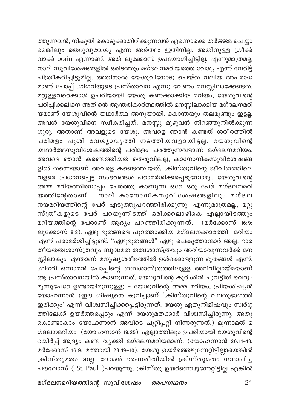ത്തുന്നവൻ, നികുതി കൊടുക്കാതിരിക്കുന്നവൻ എന്നൊക്കെ തർജ്ജമ ചെയ്യാ മെങ്കിലും തെരുവുവേശ്യ എന്ന അർത്ഥം ഇതിനില്ല. അതിനുള്ള ഗ്രീക്ക് വാക്ക് porin എന്നാണ്. അത് ലൂക്കോസ് ഉപയോഗിച്ചിട്ടില്ല. എന്നുമാത്രമല്ല നാല് സുവിശേഷങ്ങളിൽ ഒരിടത്തും മഗ്ദലനമറിയത്തെ വേശ്യ എന്ന് നേരിട്ട് ചിത്രീകരിച്ചിട്ടുമില്ല. അതിനാൽ യേശുവിനോടു ചെയ്ത വലിയ അപരാധ മാണ് പോപ്പ് ഗ്രിഗ്റിയുടെ പ്രസ്താവന എന്നു വേണം മനസ്സിലാക്കേണ്ടത്. മറ്റുള്ളവരെക്കാൾ ഉപരിയായി യേശു കണക്കാക്കിയ മറിയം, യേശുവിന്റെ പഠിപ്പിക്കലിനെ അതിന്റെ ആന്തരികാർത്ഥത്തിൽ മനസ്സിലാക്കിയ മഗ്ദലനമറി യമാണ് യേശുവിന്റെ യഥാർത്ഥ അനുയായി. കൊന്തയും തലമുണ്ടും ഇട്ടല്ല അവൾ യേശുവിനെ സ്വീകരിച്ചത്. മനസ്സു മുഴുവൻ നിറഞ്ഞുനിൽക്കുന്ന ഗുരു. അതാണ് അവളുടെ യേശു. അവളെ ഞാൻ കണ്ടത് ശരീരത്തിൽ പരിമളം പൂശി വേശ്യാവൃത്തി നടത്തിയവളായിട്ടല്ല. യേശുവിന്റെ യഥാർത്ഥസുവിശേഷത്തിന്റെ പരിമളം പരത്തുന്നവളാണ് മഗ്ദലനമറിയം. അവളെ ഞാൻ കണ്ടെത്തിയത് തെരുവിലല്ല, കാനോനികസുവിശേഷങ്ങ ളിൽ തന്നെയാണ് അവളെ കണ്ടെത്തിയത്. ക്രിസ്തുവിന്റെ ജീവിതത്തിലെ \_<br>വളരെ പ്രധാനപ്പെട്ട സംഭവങ്ങൾ പരാമർശിക്കപ്പെടുമ്പോഴും യേശുവിന്റെ അമ്മ മറിയത്തിനൊപ്പം ചേർത്തു കാണുന്ന ഒരേ ഒരു പേര് മഗ്ദലനമറി യത്തിന്റേതാണ്. നാല് കാനോനികസുവിശേഷങ്ങളിലും മഗ്ദല നയമറിയത്തിന്റെ പേര് എടുത്തുപറഞ്ഞിരിക്കുന്നു. എന്നുമാത്രമല്ല, മറ്റു .<br>സ്ത്രീകളുടെ പേര് പറയുന്നിടത്ത് ഒരിക്കലൊഴികെ എല്ലായിടത്തും മറിയത്തിന്റെ പേരാണ് ആദ്യം പറഞ്ഞിരിക്കുന്നത്. (മർക്കോസ് 16:9; .<br>ലൂക്കോസ് 8:2). ഏഴു ഭൂതങ്ങളെ പുറത്താക്കിയ മഗ്ദലനക്കാരത്തി മറിയം എന്ന് പരാമർശിച്ചിട്ടുണ്ട്. "ഏഴുഭൂതങ്ങൾ" ഏഴു ചെകുത്താന്മാർ അല്ല. ഭാര തീയതത്വശാസ്ത്രവും ബുദ്ധമത തത്വശാസ്ത്രവും അറിയാവുന്നവർക്ക് മന .<br>സ്സിലാകും എന്താണ് മനുഷ്യശരീരത്തിൽ ഉൾക്കൊള്ളുന്ന ഭൂതങ്ങൾ എന്ന്. ....<br>ഗ്രിഗറി ഒന്നാമൻ പോപ്പിന്റെ തത്വശാസ്ത്രത്തിലുള്ള അറിവില്ലായ്മയാണ് ആ പ്രസ്താവനയിൽ കാണുന്നത്. യേശുവിന്റെ കുരിശിൻ ചുവ്ട്ടിൽ വെറും മൂന്നുപേരേ ഉണ്ടായിരുന്നുള്ളു – യേശുവിന്റെ രഞ്ച മറിയം, പ്രിയശിഷ്യൻ യോഹന്നാൻ (ഈ ശിഷ്യനെ കുറിച്ചാണ് 'ക്രിസ്തുവിന്റെ വലതുഭാഗത്ത് ഇരിക്കും' എന്ന് വിശ്വസിച്ചിക്കപ്പെട്ടിരുന്നത്. യേശു ഏതുനിമിഷവും സ്വർഗ്ഗ ത്തിലേക്ക് ഉയർത്തപ്പെടും എന്ന് യേശുമതക്കാർ വിശ്വസിച്ചിരുന്നു. അതു കൊണ്ടാകാം യോഹന്നാൻ അവിടെ ചുറ്റിപ്പറ്റി നിന്നരുന്നത്.) മൂന്നാമത് മ ഗ്ദലനമറിയം (യോഹന്നാൻ 19:25). എല്ലാത്തിലും ഉപരിയായി യേശുവിന്റെ ഉയിർപ്പ് ആദ്യം കണ്ട വൃക്തി മഗ്ദലനമറിയമാണ്. (യോഹന്നാൻ 20:11-18; മർക്കോസ് 16:9; മത്തായി 28:19–10). യേശു ഉയർത്തെഴുന്നേറ്റിട്ടില്ലായെങ്കിൽ ക്രിസ്തുമതം ഇല്ല. റോമൻ ഭരണരീതിയിൽ ക്രിസ്തുമതം സ്ഥാപിച്ച പൗലോസ് ( St. Paul )പറയുന്നു, ക്രിസ്തു ഉയർത്തെഴുന്നേറ്റിട്ടില്ല എങ്കിൽ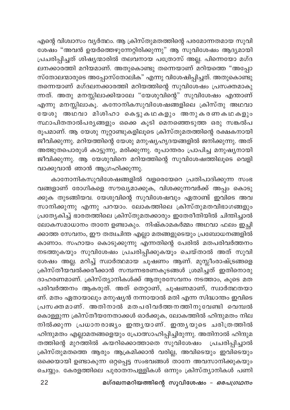എന്റെ വിശ്വാസം വൃർത്ഥം. ആ ക്രിസ്തുമതത്തിന്റെ പരമോന്നതമായ സുവി ശേഷം "അവൻ ഉയർത്തെഴുന്നേറ്റിരിക്കുന്നു" ആ സുവിശേഷം ആദ്യമായി പ്രചരിപ്പിച്ചത് ശിഷ്യന്മാരിൽ തലവനായ പത്രോസ് അല്ല. പിന്നെയോ മഗ്ദ ലനക്കാരത്തി മറിയമാണ്. അതുകൊണ്ടു തന്നെയാണ് മറിയത്തെ "അപ്പോ സ്തോലന്മാരുടെ അപ്പോസ്തോലിക" എന്നു വിശേഷിപ്പിച്ചത്. അതുകൊണ്ടു തന്നെയാണ് മഗ്ദലനക്കാരത്തി മറിയത്തിന്റെ സുവിശേഷം പ്രസക്തമാകു ന്നത്. അതു മനസ്സിലാക്കിയാലേ "യേശുവിന്റെ" സുവിശേഷം എന്താണ് .<br>എന്നു മനസ്സിലാകൂ. കനോനികസുവിശേഷങ്ങളിലെ ക്രിസ്തു അഥവാ യേശു അഥവാ മിശിഹാ കെട്ടുകഥകളും അനുകരണകഥകളും സ്ഥാപിതതാൽപര്യങ്ങളും ഒക്കെ കൂടി മെനഞ്ഞെടുത്ത ഒരു സങ്കൽപ രൂപമാണ്. ആ യേശു നൂറ്റാണ്ടുകളിലൂടെ ക്രിസ്തുമതത്തിന്റെ രക്ഷകനായി .<br>ജീവിക്കുന്നു. മറിയത്തിന്റെ യേശു മനുഷ്യഹൃദയങ്ങളിൽ ജനിക്കുന്നു. അത് അത്ഭുതപൊരുൾ കാട്ടുന്നു, മരിക്കുന്നു. രൂപാന്തരം പ്രാപിച്ച മനുഷ്യനായി ജീവിക്കുന്നു. ആ യേശുവിനെ മറിയത്തിന്റെ സുവിശേഷത്തിലൂടെ വെളി വാക്കുവാൻ ഞാൻ ആഗ്രഹിക്കുന്നു.

കാനോനികസുവിശേഷങ്ങളിൽ വളരെയേറെ പ്രതിപാദിക്കുന്ന സംഭ വങ്ങളാണ് രോഗികളെ സൗഖ്യമാക്കുക, വിശക്കുന്നവർക്ക് അപ്പം കൊടു ക്കുക തുടങ്ങിയവ. യേശുവിന്റെ സുവിശേഷവും ഏതാണ്ട് ഇവിടെ അവ സാനിക്കുന്നു എന്നു പറയാം. ലോകത്തിലെ ക്രിസ്തുമതവിഭാഗങ്ങളും പ്രത്യേകിച്ച് ഭാരതത്തിലെ ക്രിസ്തുമതക്കാരും ഇതേരീതിയിൽ ചിന്തിച്ചാൽ ലോകസമാധാനം താനേ ഉണ്ടാകും. നിഷ്കാമകർമ്മം അഥവാ ഫലം ഇച്ചി ക്കാത്ത സേവനം, ഈ തത്വചിന്ത എല്ലാ മതങ്ങളുടെയും പ്രബോധനങ്ങളിൽ കാണാം. സഹായം കൊടുക്കുന്നു എന്നതിന്റെ പേരിൽ മതപരിവർത്തനം നടത്തുകയും സുവിശേഷം പ്രചരിപ്പിക്കുകയൂം ചെയ്താൽ അത് സുവി ശേഷം അല്ല. മറിച്ച് സ്വാർത്ഥമായ ചൂഷണം ആണ്. മുസ്ലീംരാഷ്ട്രങ്ങളെ ക്രിസ്തീയവൽക്കരീക്കാൻ സമ്പന്നഭരണകൂടങ്ങൾ ശ്രമിച്ചത് ഇതിനൊരു ദാഹരണമാണ്. ക്രിസ്ത്യാനികൾക്ക് ആതുരസേവനം നടത്താം, കൂടെ മത പരിവർത്തനം ആകരുത്. അത് തെറ്റാണ്, ചൂഷണമാണ്, സ്വാർത്ഥതയാ ണ്. മതം ഏതായാലും മനുഷ്യൻ നന്നായാൽ മതി എന്ന സിദ്ധാന്തം ഇവിടെ പ്രസക്തമാണ്. അതിനാൽ മതപരിവർത്തനത്തിനുവേണ്ടി വെമ്പൽ കൊള്ളുന്ന ക്രിസ്തീയനേതാക്കൾ ഓർക്കുക, ലോകത്തിൽ ഹിന്ദുമതം നില നിൽക്കുന്ന പ്രധാനരാജ്യം ഇന്ത്യയാണ്. ഇന്ത്യയുടെ ചരിത്രത്തിൽ ഹിന്ദുമതം എല്ലാമതങ്ങളെയും പ്രോത്സാഹിപ്പിച്ചിരുന്നു. അതിനാൽ ഹിന്ദുമ തത്തിന്റെ മുറത്തിൽ കയറിക്കൊത്താതെ സുവിശേഷം പ്രചരിപ്പിച്ചാൽ .<br>ക്രിസ്തുമതത്തെ ആരും ആക്രമിക്കാൻ വരില്ല, അവിടെയും ഇവിടെയും ഒക്കെയായി ഉണ്ടാകുന്ന ഒറ്റപ്പെട്ട സംഭവങ്ങൾ താനേ അവസാനിക്കുകയും ചെയ്യും. കേരളത്തിലെ പുരാതനപള്ളികൾ ഒന്നും ക്രിസ്ത്യാനികൾ പണി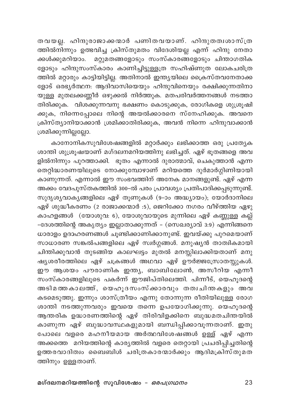തവയല്ല. ഹിന്ദുരാജാക്കന്മാർ പണിതവയാണ്. ഹിന്ദുതത്വശാസ്ത്ര ത്തിൽനിന്നും ഉത്ഭവിച്ച ക്രിസ്തുമതം വിദേശിയല്ല എന്ന് ഹിന്ദു നേതാ .<br>ക്കൾക്കുമറിയാം. മറ്റുമതങ്ങളോടും സംസ്കാരങ്ങളോടും ചിന്താഗതിക ളോടും ഹിന്ദുസംസ്കാരം കാണിച്ചിട്ടുള്ളത്ര സഹിഷ്ണുത ലോകചരിത്ര ത്തിൽ മറ്റാരും കാട്ടിയിട്ടില്ല. അതിനാൽ ഇന്ത്യയിലെ ക്രൈസ്തവനേതാക്ക ളോട് ഒര്ഭ്യർത്ഥന: ആദിവാസിയെയും ഹിന്ദുവിനെയും രക്ഷിക്കുന്നതിനാ യുള്ള മുതലക്കണ്ണീർ ഒഴുക്കൽ നിർത്തുക. മതപരിവർത്തനങ്ങൾ നടത്താ തിരിക്കുക. വിശക്കുന്നവനു ഭക്ഷണം കൊടുക്കുക, രോഗികളെ ശുശ്രൂഷി .<br>കുക, നിന്നെപ്പോലെ നിന്റെ അയൽക്കാരനെ സ്നേഹിക്കുക. അവനെ ക്രിസ്ത്യാനിയാക്കാൻ ശ്രമിക്കാതിരിക്കുക, അവൻ നിന്നെ ഹിന്ദുവാക്കാൻ ശ്രമിക്കുന്നില്ലല്ലോ.

കാനോനികസുവിശേഷങ്ങളിൽ മറ്റാർക്കും ലഭിക്കാത്ത ഒരു പ്രത്യേക ശാന്തി ശുശ്രൂഷയാണ് മഗ്ദലനമറിയത്തിനു ലഭിച്ചത്. ഏഴ് ഭൂതങ്ങളെ അവ ളിൽനിന്നും പുറത്താക്കി. ഭൂതം എന്നാൽ ദുരാത്മാവ്, ചെകുത്താൻ എന്ന തെറ്റിദ്ധാരണയിലൂടെ നോക്കുമ്പോഴാണ് മറിയത്തെ ദുർമാർഗ്ഗിണിയായി കാണുന്നത്. എന്നാൽ ഈ സംഭവത്തിന് അനേക മാനങ്ങളുണ്ട്. ഏഴ് എന്ന .<br>അക്കം വേദപുസ്തകത്തിൽ 300-ൽ പരം പ്രാവശ്യം പ്രതിപാദിക്കപ്പടുന്നുണ്ട്. സുദൃശ്യവാകൃങ്ങളിലെ ഏഴ് തൂണുകൾ (9-ാം അദ്ധ്യായം), യോർദാനിലെ ഏഴ് ശുദ്ധീകരണം (2 രാജാക്കന്മാർ :5), ജെറിക്കോ നഗരം വീഴ്ത്തിയ ഏഴു കാഹളങ്ങൾ (യോശുവ: 6), യോശുവായുടെ മുന്നിലെ ഏഴ് കണ്ണുള്ള കല്ല് -ദേശത്തിന്റെ അകൃത്യം ഇല്ലാതാക്കുന്നത് - (സെഖര്യാവ് 3:9) എന്നിങ്ങനെ ധാരാളം ഉദാഹരണങ്ങൾ ചൂണ്ടിക്കാണിക്കാനുണ്ട്. ഇവയ്ക്കു പുറമെയാണ് സാധാരണ സങ്കൽപങ്ങളിലെ ഏഴ് സ്വർഗ്ഗങ്ങൾ. മനുഷ്യൻ താത്വികമായി ചിന്തിക്കുവാൻ തുടങ്ങിയ കാലഘട്ടം മുതൽ മനസ്സിലാക്കിയതാണ് മനു ഷൃശരീരത്തിലെ ഏഴ് ചക്രങ്ങൾ അഥവാ ഏഴ് ഊര്ജ്ജസ്രോതസ്സുകൾ. ഈ ആശയം പൗരാണിക ഇന്ത്യ, ബാബിലോൺ, അസീറിയ എന്നീ സംസ്കാരങ്ങളിലൂടെ പകർന്ന് ഈജിപ്തിലെത്തി. പിന്നീട്, യെഹൂദന്റെ അടിമത്തകാലത്ത്, യെഹൂദസംസ്ക്കാരവും തത്വചിന്തകളും അവ കടമെടുത്തു. ഇന്നും ശാസ്ത്രീയം എന്നു തോന്നുന്ന രീതിയിലുള്ള രോഗ ശാന്തി നടത്തുന്നവരും ഇവയെ തന്നെ ഉപയോഗിക്കുന്നു. യെഹൂദന്റെ ആന്തരിക ഉദ്ധാരണത്തിന്റെ ഏഴ് തിരിവിളക്കിനെ ബുദ്ധമതചിന്തയിൽ കാണുന്ന ഏഴ് ബുദ്ധാവസ്ഥകളുമായി ബന്ധിപ്പിക്കാവൂന്നതാണ്. ഇതു പോലെ വളരെ മഹനീയമായ അർത്ഥവിശേഷങ്ങൾ ഉള്ള് ഏഴ് എന്ന അക്കത്തെ മറിയത്തിന്റെ കാര്യത്തിൽ വളരെ തെറ്റായി പ്രചരിപ്പിച്ചതിന്റെ ഉത്തരവാദിത്വം ബൈബിൾ ചരിത്രകാരന്മാർക്കും ആദിമക്രിസ്തുമത ത്തിനും ഉള്ളതാണ്.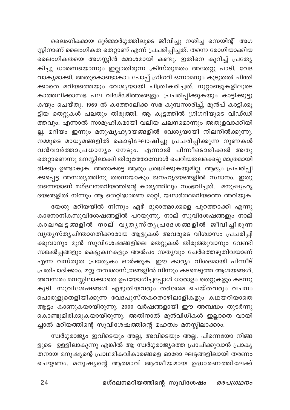ലൈംഗികമായ ദുർമ്മാർഗ്ഗത്തിലൂടെ ജീവിച്ചു നശിച്ച സെയിന്റ് അഗ സ്റ്റിനാണ് ലൈംഗികത തെറ്റാണ് എന്ന് പ്രചരിപ്പിച്ചത്. തന്നെ രോഗിയാക്കിയ ലൈംഗികതയെ അഗസ്റ്റിൻ മോശമായി കണ്ടു. ഇതിനെ കുറിച്ച് പ്രത്യേ കിച്ചു ധാരണയൊന്നും ഇല്ലാതിരുന്ന ക്രിസ്തുമതം അതേറ്റു പാടി, വേദ വാക്യമാക്കി. അതുകൊണ്ടാകാം പോപ്പ് ഗ്രിഗറി ഒന്നാമനും കൂടുതൽ ചിന്തി ക്കാതെ മറിയത്തെയും വേശ്യയായി ചിത്രീകരിച്ചത്. നൂറ്റാണ്ടുകളിലൂടെ കാത്തലിക്കാസഭ പല വിഢ്ഢിത്തങ്ങളും പ്രചരിപ്പിക്കുകയും കാട്ടിക്കൂട്ടു കയും ചെയ്തു. 1969-ൽ കത്തോലിക്ക സഭ കുമ്പസാരിച്ച്, മുൻപ് കാട്ടിക്കൂ ട്ടിയ തെറ്റുകൾ പലതും തിരുത്തി. ആ കൂട്ടത്തിൽ ഗ്രിഗറിയുടെ വിഡ്ഢി ത്തവും. എന്നാൽ സാമൂഹികമായി വലിയ ചലനമൊന്നും അതുളവാക്കിയി ല്ല. മറിയം ഇന്നും മനുഷ്യഹൃദയങ്ങളിൽ വേശ്യയായി നിലനിൽക്കുന്നു. ...<br>നമ്മുടെ മാധ്യമങ്ങളിൽ കൊട്ടിഘോഷിച്ചു പ്രചരിപ്പിക്കുന്ന നുണകൾ വൻവാർത്താപ്രധാന്യം നേടും. എന്നാൽ പിന്നീടൊരിക്കൽ അതു തെറ്റാണെന്നു മനസ്സിലാക്കി തിരുത്തോമ്പോൾ ചെറിയതലക്കെട്ടു മാത്രമായി രിക്കും ഉണ്ടാകുക. അതാകട്ടെ ആരും ശ്രദ്ധിക്കുകയുമില്ല. ആദ്യം പ്രചരിപ്പി ക്കപ്പെട്ട അസത്യത്തിനു തന്നെയാകും ജനഹൃദയങ്ങളിൽ സ്ഥാനം. ഇതു തന്നെയാണ് മഗ്ദലനമറിയത്തിന്റെ കാര്യത്തിലും സംഭവിച്ചത്. മനുഷ്യഹൃ ദയങ്ങളിൽ നിന്നും ആ തെറ്റിദ്ധാരണ മാറ്റി, യഥാർത്ഥമറിയത്തെ അറിയുക.

യേശു മറിയയിൽ നിന്നും ഏഴ് ദുരാത്മാക്കളെ പുറത്താക്കി എന്നു കാനോനികസുവിശേഷങ്ങളിൽ പറയുന്നു. നാല് സുവിശേഷങ്ങളും നാല് കാലഘട്ടങ്ങളിൽ നാല് വൃതൃസ്തൃപ്രദേശങ്ങളിൽ ജീവിച്ചിരുന്ന വൃത്യസ്തൃചിന്താഗതിക്കാരായ ആളുകൾ അവരുടെ വിശ്വാസം പ്രചരിപ്പി ക്കുവാനും മുൻ സുവിശേഷങ്ങളിലെ തെറ്റുകൾ തിരുത്തുവാനും വേണ്ടി സങ്കൽപ്പങ്ങളും കെട്ടുകഥകളും അൽപം സത്യവും ചേർത്തെഴുതിവയാണ് എന്ന വസ്തുത പ്രത്യേകം ഓർക്കുക. ഈ കാര്യം വിശദമായി പിന്നീട് പ്രതിപാദിക്കാം. മറ്റു തത്വശാസ്ത്രങ്ങളിൽ നിന്നും കടമെടുത്ത ആശയങ്ങൾ, അവസരം മനസ്സിലാക്കാതെ ഉപയോഗിച്ചപ്പോൾ ധാരാളം തെറ്റുകളും കടന്നു കൂടി. സുവിശേഷങ്ങൾ എഴുതിയവരും തർജ്ജമ ചെയ്തവരും വചനം പൊരുളുതെളിയിക്കുന്ന വേദപുസ്തകതൊഴിലാളികളും കഥയറിയാതെ ആട്ടം കാണുകയായിരുന്നു. 2000 വർഷങ്ങളായി ഈ അബദ്ധം തുടർന്നു കൊണ്ടുമിരിക്കുകയായിരുന്നു. അതിനാൽ മുൻവിധികൾ ഇല്ലാതെ വായി ച്ചാൽ മറിയത്തിന്റെ സുവിശേഷത്തിന്റെ മഹത്വം മനസ്സിലാക്കാം.

സ്വർഗ്ഗരാജ്യം ഇവിടെയും അല്ല, അവിടെയും അല്ല. പിന്നെയോ നിങ്ങ ളുടെ ഉള്ളിലാകുന്നു എങ്കിൽ ആ സ്വർഗ്ഗരാജ്യത്തെ പ്രാപിക്കുവാൻ പ്രാകൃ തനായ മനുഷ്യന്റെ പ്രാഥമികവികാരങ്ങളെ ഓരോ ഘട്ടങ്ങളിലായി തരണം ചെയ്യണം. മനുഷ്യന്റെ ആത്മാവ് ആത്മീയമായ ഉദ്ധാരണത്തിലേക്ക്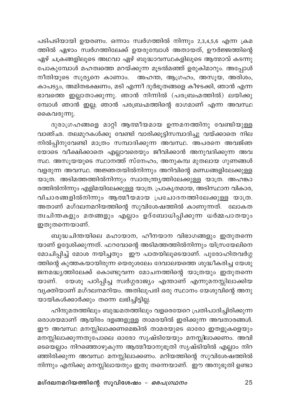പടിപടിയായി ഉയരണം. ഒന്നാം സ്വർഗത്തിൽ നിന്നും 2,3,4,5,6 എന്ന ക്രമ ത്തിൽ ഏഴാം സ്വർഗത്തിലേക്ക് ഉയരുമ്പോൾ അതായത്, ഊർജ്ജത്തിന്റെ .<br>ഏഴ് ചക്രങ്ങളിലൂടെ അഥവാ ഏഴ് ബുദ്ധാവസ്ഥകളിലൂടെ ആത്മാവ് കടന്നു പോകുമ്പോൾ മഹത്വത്തെ മറയ്ക്കുന്ന മൂടൽമഞ്ഞ് ഉരുകിമാറും. അപ്പോൾ നീതിയുടെ സൂര്യനെ കാണാം. അഹന്ത, ആഗ്രഹം, അസൂയ, അരിശം, കാപട്യം, അമിതഭക്ഷണം, മടി എന്നീ ദുർഭൂതങ്ങളെ കീഴടക്കി, ഞാൻ എന്ന ഭാവത്തെ ഇല്ലാതാക്കുന്നു. ഞാൻ നിന്നിൽ (പരബ്രഹ്മത്തിൽ) ലയിക്കു മ്പോൾ ഞാൻ ഇല്ല; ഞാൻ പരബ്രഹ്മത്തിന്റെ ഭാഗമാണ് എന്ന അവസ്ഥ കൈവരുന്നു.

ദുരാഗ്രഹങ്ങളെ മാറ്റി ആത്മീയമായ ഉന്നമനത്തിനു വേണ്ടിയുള്ള വാഞ്ഛ. തലമുറകൾക്കു വേണ്ടി വാരിക്കൂട്ടിസമ്പാദിച്ചു വയ്ക്കാതെ നില നിൽപ്പിനുവേണ്ടി മാത്രം സമ്പാദിക്കുന്ന അവസ്ഥ. അപരനെ അവജ്ഞ യോടെ വീക്ഷിക്കാതെ എല്ലാവരെയും ജീവിക്കാൻ അനുവദിക്കുന്ന അവ സ്ഥ. അസൂയയുടെ സ്ഥാനത്ത് സ്നേഹം, അനുകമ്പ മുതലായ ഗുണങ്ങൾ വളരുന്ന അവസ്ഥ. അജ്ഞതയിൽനിന്നും അറിവിന്റെ മണ്ഡങ്ങളിലേക്കുള്ള യാത്ര. അടിമത്തത്തിൽനിന്നും സ്വാതന്ത്ര്യത്തിലേക്കുള്ള യാത്ര. അഹങ്കാ രത്തിൽനിന്നും എളിമയിലേക്കുള്ള യാത്ര. പ്രാകൃതമായ, അടിസ്ഥാന വികാര, വിചാരങ്ങളിൽനിന്നും ആത്മീയമായ പ്രചോദനത്തിലേക്കുള്ള യാത്ര. അതാണ് മഗ്ദലനമറിയത്തിന്റെ സുവിശേഷത്തിൽ കാണുന്നത്. ലോകത ത്വചിന്തകളും മതങ്ങളും എല്ലാം ഉദ്ബോധിപ്പിക്കുന്ന ധർമ്മപാതയും ഇതുതന്നെയാണ്.

ബുദ്ധചിന്തയിലെ മഹായാന, ഹീനയാന വിഭാഗങ്ങളും ഇതുതന്നെ യാണ് ഉദ്ദേശിക്കുന്നത്. ഫറവോന്റെ അടിമത്തത്തിൽനിന്നും യിസ്രയേലിനെ മോചിപ്പിച്ച് മോശ നയിച്ചതും ഈ പാതയിലൂടെയാണ്. പുരോഹിതവർഗ്ഗ ത്തിന്റെ കുത്തകയായിരുന്ന യെരുശലേം ദേവാലയത്തെ ശുദ്ധീകരിച്ച യേശു ജനമദ്ധ്യത്തിലേക്ക് കൊണ്ടുവന്ന മോചനത്തിന്റെ യാത്രയും ഇതുതന്നെ യേശു പഠിപ്പിച്ച സ്വർഗ്ഗരാജ്യം എന്താണ് എന്നുമനസ്സിലാക്കിയ യാണ്. വൃക്തിയാണ് മഗ്ദലനമറിയം. അതിലുപരി ഒരു സ്ഥാനം യേശുവിന്റെ അനു യായികൾക്കാർക്കും തന്നെ ലഭിച്ചിട്ടില്ല.

ഹിന്ദുമതത്തിലും ബുദ്ധമതത്തിലും വളരെയേറെ പ്രതിപാദിച്ചിരിക്കുന്ന ഒരാശയമാണ് ആയിരം ദളങ്ങളുള്ള താമരയിൽ ഇരിക്കുന്ന അവതാരങ്ങൾ. ഈ അവസ്ഥ മനസ്സിലാക്കണമെങ്കിൽ താമരയുടെ ഓരോ ഇതളുകളെയും മനസ്സിലാക്കുന്നതുപോലെ ഓരോ സൃഷ്ടിയേയും മനസ്സിലാക്കണം. അവി ടെയെല്ലാം നിറഞ്ഞൊഴുകുന്ന ആത്മീയാനുഭൂതി സൃഷ്ടിയിൽ എല്ലാം നിറ ഞ്ഞിരിക്കുന്ന അവസ്ഥ മനസ്സിലാക്കണം. മറിയത്തിന്റെ സുവിശേഷത്തിൽ നിന്നും എനിക്കു മനസ്സിലായതും ഇതു തന്നെയാണ്. ഈ അനുഭൂതി ഉണ്ടാ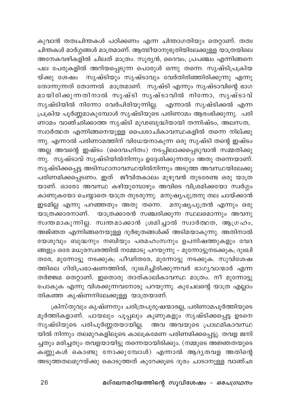കുവാൻ തത്വചിന്തകൾ പഠിക്കണം എന്ന ചിന്താഗതിയും തെറ്റാണ്. തത്വ .<br>ചിന്തകൾ മാർഗ്ഗങ്ങൾ മാത്രമാണ്. ആത്മീയാനുഭൂതിയിലേക്കുള്ള യാത്രയിലെ .<br>അനേകവഴികളിൽ ചിലത് മാത്രം. സൂര്യൻ, ദൈവം, പ്രപഞ്ചം എന്നിങ്ങനെ പല പേരുകളിൽ അറിയപ്പെടുന്ന പൊരുൾ ഒന്നു തന്നെ. സൃഷ്ടിപ്രക്രിയ യ്ക്കു ശേഷം സൃഷ്ടിയും സൃഷ്ടാവും വേർതിരിഞ്ഞിരിക്കുന്നു എന്നു തോന്നുന്നത് തോന്നൽ മാത്രമാണ്. സൃഷ്ടി എന്നും സൃഷ്ടാവിന്റെ ഭാഗ മായിരിക്കുന്നതിനാൽ സൃഷ്ടി സൃഷ്ടാവിൽ നിന്നോ, സൃഷ്ടാവ് സൃഷ്ടിയിൽ നിന്നോ വേർപിരിയുന്നില്ല. എന്നാൽ സൃഷ്ടിക്കൽ എന്ന പ്രക്രിയ പൂർണ്ണമാകുമ്പോൾ സൃഷ്ടിയുടെ പരിണാമം ആരംഭിക്കുന്നു. പരി ണാമം വാഞ്ഛിക്കാത്ത സൃഷ്ടി മൂഢബുദ്ധിയായി തന്നിഷ്ടം, അലസത, സ്വാർത്ഥത എന്നിങ്ങനെയുള്ള പൈശാചികാവസ്ഥകളിൽ തന്നെ നില്ക്കു ന്നു. എന്നാൽ പരിണാമത്തിന് വിധേയനാകുന്ന ഒരു സൃഷ്ടി തന്റെ ഇഷ്ടം അല്ല അവന്റെ ഇഷ്ടം (ദൈവഹിതം) നടപ്പിലാക്കപ്പെടുവാൻ സമ്മതിക്കു ന്നു. സൃഷ്ടാവ് സൃഷ്ടിയിൽനിന്നും ഉദ്ദേശിക്കുന്നതും അതു തന്നെയാണ്. .<br>സൃഷ്ടിക്കപ്പെട്ട അടിസ്ഥാനാവസ്ഥയിൽനിന്നും അടുത്ത അവസ്ഥയിലേക്കു പരിണമിക്കപ്പെടണം. ഇത് ജീവിതകാലം മുഴുവൻ തുടരേണ്ട ഒരു യാത്ര യാണ്. ഓരോ അവസ്ഥ കഴിയുമ്പോഴും അവിടെ വിശ്രമിക്കയോ സ്വർഗ്ഗം കാണുകയോ ചെയ്യാതെ യാത്ര തുടരുന്നു. മനുഷ്യപുത്രനു തല ചായ്ക്കാൻ ഇടമില്ല എന്നു പറഞ്ഞതും അതു തന്നെ. മനുഷ്യപുത്രൻ എന്നും ഒരു യാത്രക്കാരനാണ്. യാത്രക്കാരൻ സഞ്ചരിക്കുന്ന സ്ഥലമൊന്നും അവനു സ്വന്തമാകുന്നില്ല. സ്വന്തമാക്കാൻ ശ്രമിച്ചാൽ സ്വാർത്ഥത, ആഗ്രഹം, .<br>അജ്ഞത എന്നിങ്ങനെയുള്ള ദുർഭൂതങ്ങൾക്ക് അടിമയാകുന്നു. അതിനാൽ യേശുവും ബുദ്ധനും നബിയും പരമഹംസനും ഉപനിഷത്തുകളും വേദ ങ്ങളും ഒരേ മധുരസ്വരത്തിൽ നമ്മോടു പറയുന്നു – മുന്നോട്ടുനടക്കുക; ദുഃഖി തരേ, മുന്നോട്ടു നടക്കുക; പീഢിതരേ, മുന്നോട്ടു നടക്കുക. സുവിശേഷ ത്തിലെ ഗിരിപ്രഭാഷണത്തിൽ, ദുഃഖിച്ചിരിക്കുന്നവർ ഭാഗ്യവാന്മാർ എന്ന .<br>തർജ്ജമ തെറ്റാണ്. ഇതൊരു താത്കാലികാവസ്ഥ മാത്രം. നീ മുന്നോട്ടു പോകുക എന്നു വിശക്കുന്നവനോടു പറയുന്നു. കുചേലന്റെ യാത്ര എല്ലാം തികഞ്ഞ കൃഷ്ണനിലേക്കുള്ള യാത്രയാണ്.

ക്രിസ്തുവും കൃഷ്ണനും ചരിത്രപുരുഷന്മാരല്ല, പരിണാമപൂർത്തിയുടെ മൂർത്തികളാണ്. പായലും പൂപ്പലും കൂണുകളും സൃഷ്ടിക്കപ്പെട്ട ഉടനെ സൃഷ്ടിയുടെ പരിപൂർണ്ണതയായില്ല. അവ അവയുടെ പ്രാഥമികാവസ്ഥ യിൽ നിന്നും തലമുറകളിലൂടെ കാലക്രമേണ പരിണമിക്കപ്പെട്ടു. തവള ജനി ച്ചതും മരിച്ചതും തവളയായിട്ടു തന്നെയായിരിക്കും. (നമ്മുടെ അജ്ഞതയുടെ കണ്ണുകൾ കൊണ്ടു നോക്കുമ്പോൾ) എന്നാൽ ആദൃതവള അതിന്റെ അടുത്തതലമുറയ്ക്കു കൊടുത്തത് കുറേക്കൂടെ ദൂരം ചാടാനുള്ള വാഞ്ഛ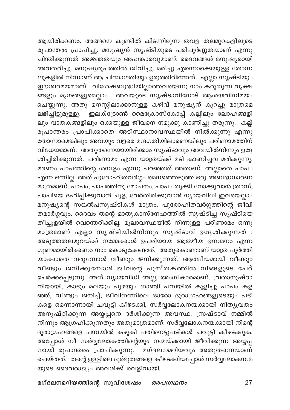ആയിരിക്കണം. അങ്ങനെ കുണ്ടിൽ കിടന്നിരുന്ന തവള തലമുറകളിലൂടെ രൂപാന്തരം പ്രാപിച്ചു. മനുഷ്യൻ സൃഷ്ടിയുടെ പരിപൂർണ്ണതയാണ് എന്നു ചിന്തിക്കുന്നത് അജ്ഞതയും അഹങ്കാരവുമാണ്. ദൈവങ്ങൾ മനുഷ്യരായി അവതരിച്ചു, മനുഷ്യരൂപത്തിൽ ജീവിച്ചു, മരിച്ചു എന്നൊക്കെയുള്ള തോന്ന ലുകളിൽ നിന്നാണ് ആ ചിന്താഗതിയും ഉരുത്തിരിഞ്ഞത്. എല്ലാ സൃഷ്ടിയും ഈശ്വരമയമാണ്. വിശേഷബുദ്ധിയില്ലാത്തവയെന്നു നാം കരുതുന്ന വൃക്ഷ ങ്ങളും മൃഗങ്ങളുമെല്ലാം അവയൂടെ സൃഷ്ടാവിനോട് ആശയവിനിമയം ചെയ്യുന്നു. അതു മനസ്സിലാക്കാനുള്ള കഴിവ് മനുഷൃന് കുറച്ചു മാത്രമെ ലും വാതകങ്ങളിലും ഒക്കയുള്ള ജീവനെ നമുക്കു കാണിച്ചു തരുന്നു. കല്ല് രൂപാന്തരം പ്രാപിക്കാതെ അടിസ്ഥാനാവസ്ഥയിൽ നിൽക്കുന്നു എന്നു തോന്നാമെങ്കിലും അവയും വളരെ മന്ദഗതിയിലാണെങ്കിലും പരിണാമത്തിന് വിധേയമാണ്. അതുതന്നെയായിരിക്കാം സൃഷ്ടാവും അവയിൽനിന്നും ഉദ്ദേ ശിച്ചിരിക്കുന്നത്. പരിണാമം എന്ന യാത്രയ്ക്ക് മടി കാണിച്ചവ മരിക്കുന്നു. മരണം പാപത്തിന്റെ ശമ്പളം എന്നു പറഞ്ഞത് അതാണ്. അല്ലാതെ പാപം എന്ന ഒന്നില്ല. അത് പുരോഹിതവർഗ്ഗം മെനഞ്ഞെടുത്ത ഒരു അബദ്ധധാരണ മാത്രമാണ്. പാപം, പാപത്തിനു മോചനം, പാപം തൂക്കി നോക്കുവാൻ ത്രാസ്, പാപിയെ ദഹിപ്പിക്കുവാൻ ചൂള, വേർതിരിക്കുവാൻ ന്യായവിധി ഇവയെല്ലാം മനുഷ്യന്റെ സങ്കൽപസൃഷ്ടികൾ മാത്രം. പുരോഹിതവർഗ്ഗത്തിന്റെ ജീവി തമാർഗ്ഗവും. ദൈവം തന്റെ മാതൃകാസ്നേഹത്തിൽ സൃഷ്ടിച്ച സൃഷ്ടിയെ തീച്ചൂളയിൽ വെന്തെരിക്കില്ല. മൂലാവസ്ഥയിൽ നിന്നുള്ള പരിണാമം ഒന്നു മാത്രമാണ് എല്ലാ സൃഷ്ടിയിൽനിന്നും സൃഷ്ടാവ് ഉദ്ദേശിക്കുന്നത് . അടുത്തതലമുറയ്ക്ക് നമ്മേക്കാൾ ഉപരിയായ ആത്മീയ ഉന്നമനം എന്ന ഗുണമായിരിക്കണം നാം കൊടുക്കേണ്ടത്. അതുകൊണ്ടാണ് യാത്ര പൂർത്തി യാക്കാതെ വരുമ്പോൾ വീണ്ടും ജനിക്കുന്നത്. ആത്മീയമായി വീണ്ടും വീണ്ടും ജനിക്കുമ്പോൾ ജീവന്റെ പുസ്തകത്തിൽ നിങ്ങളുടെ പേര് ചേർക്കപ്പെടുന്നു. അത് ന്യായവിധി അല്ല, അംഗീകാരമാണ്. വ്രതാനുഷ്ഠാ നിയായി, കാടും മലയും പുഴയും താണ്ടി പമ്പയിൽ കുളിച്ചു പാപം കള ഞ്ഞ്, വീണ്ടും ജനിച്ച്, ജീവിതത്തിലെ ഓരോ ദുരാഗ്രഹങ്ങളുടെയും പടി കളെ ഒന്നൊന്നായി ചവുട്ടി കീഴടക്കി, സർവ്വലോകനന്മക്കായി നിതൃവ്രതം അനുഷ്ഠിക്കുന്ന അയ്യപ്പനെ ദർശിക്കുന്ന അവസ്ഥ. സ്രഷ്ടാവ് നമ്മിൽ നിന്നും ആഗ്രഹിക്കുന്നതും അതുമാത്രമാണ്. സർവ്വലോകനന്മക്കായി നിന്റെ ദുരാഗ്രഹങ്ങളെ പമ്പയിൽ കഴുകി പതിനെട്ടുപടികൾ ചവുട്ടി കീഴടക്കുക. അപ്പോൾ നീ സർവ്വലോകത്തിന്റെയും നന്മയ്ക്കായി ജീവിക്കുന്ന അയ്യപ്പ നായി രൂപാന്തരം പ്രാപിക്കുന്നു. മഗ്ദലനമറിയവും അതുതന്നെയാണ് ചെയ്തത്. തന്റെ ഉള്ളിലെ ദുർഭൂതങ്ങളെ കീഴടക്കിയപ്പോൾ സർവ്വലോകനന്മ യുടെ ദൈവരാജ്യം അവൾക്ക് വെളിവായി.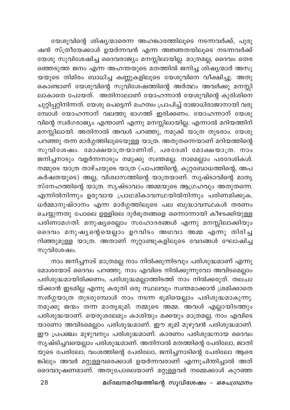യേശുവിന്റെ ശിഷ്യന്മാരെന്ന അഹങ്കാരത്തിലൂടെ നടന്നവർക്ക്, പുരു ഷൻ സ്ത്രീയേക്കാൾ ഉയർന്നവൻ എന്ന അജ്ഞതയിലൂടെ നടന്നവർക്ക് യേശു സുവിശേഷിച്ച ദൈവരാജ്യം മനസ്സിലായില്ല. മാത്രമല്ല, ദൈവം തെര ഞ്ഞെടുത്ത ജനം എന്ന അഹന്തയുടെ മതത്തിൽ ജനിച്ച ശിഷ്യന്മാർ അസൂ യയുടെ തിമിരം ബാധിച്ച കണ്ണുകളിലൂടെ യേശുവിനെ വീക്ഷിച്ചു. അതു കൊണ്ടാണ് യേശുവിന്റെ സുവിശേഷത്തിന്റെ അർത്ഥം അവർക്കു മനസ്സി ലാകാതെ പോയത്. അതിനാലാണ് യോഹന്നാൻ യേശുവിന്റെ കുരിശിനെ ചുറ്റിപ്പറ്റിനിന്നത്. യേശു പെട്ടെന്ന് മഹത്വം പ്രാപിച്ച് രാജാധിരാജാനായി വരു മ്പോൾ യോഹന്നാന് വലത്തു ഭാഗത്ത് ഇരിക്കണം. യോഹന്നാന് യേശു വിന്റെ സ്ഥർഗരാജ്യം എന്താണ് എന്നു മനസ്സിലായില്ല. എന്നാൽ മറിയത്തിന് മനസ്സിലായി. അതിനാൽ അവൾ പറഞ്ഞു, നമുക്ക് യാത്ര തുടരാം. യേശു പറഞ്ഞു തന്ന മാർഗ്ഗത്തിലൂടെയുള്ള യാത്ര. അതുതന്നെയാണ് മറിയത്തിന്റെ സുവിശേഷം. മോക്ഷയാത്രയാണിത്, പരദേശി മോക്ഷയാത്ര. നാം ജനിച്ചനാടും വളർന്നനാടും നമുക്കു സ്വന്തമല്ല. നാമെല്ലാം പരദേശികൾ. നമ്മുടെ യാത്ര താഴ്ചയുടെ യാത്ര (പാപത്തിന്റെ, കുറ്റബോധത്തിന്റെ, അപ കർഷതയുടെ) അല്ല, വിശ്വാസത്തിന്റെ യാത്രയാണ്. സൃഷ്ടാവിന്റെ മാതൃ സ്നേഹത്തിന്റെ യാത്ര. സൃഷ്ടാവാം അമ്മയുടെ ആഗ്രഹവും അതുതന്നെ. എന്നിൽനിന്നും ഉരുവായ പ്രാഥമികാവസ്ഥയിൽനിന്നും പരിണമിക്കുക. ധർമ്മാനുഷ്ഠാനം എന്ന മാർഗ്ഗത്തിലൂടെ പല ബുദ്ധാവസ്ഥകൾ തരണം ചെയ്യുന്നതു പോലെ ഉള്ളിലെ ദുർഭൂതങ്ങളെ ഒന്നൊന്നായി കീഴടക്കിയുള്ള പരിണാമഗതി. മനുഷ്യരെല്ലാം സഹോദരങ്ങൾ എന്നു മനസ്സിലാക്കിയും ദൈവം മനുഷ്യന്റെയെല്ലാം ഉറവിടം അഥവാ അമ്മ എന്നു തിരിച്ച റിഞ്ഞുമുള്ള യാത്ര. അതാണ് നൂറ്റാണ്ടുകളിലൂടെ വേദങ്ങൾ ഘോഷിച്ച സുവിശേഷം.

നാം ജനിച്ചനാട് മാത്രമല്ല നാം നിൽക്കുന്നിടവും പരിശുദ്ധമാണ് എന്നു മോശയോട് ദൈവം പറഞ്ഞു. നാം എവിടെ നിൽക്കുന്നുവോ അവിടമെല്ലാം പരിശുദ്ധമായിരിക്കണം, പരിശുദ്ധമല്ലാത്തിടത്ത് നാം നിൽക്കരുത്. തലചാ യ്ക്കാൻ ഇടമില്ല എന്നു കരുതി ഒരു സ്ഥലവും സ്വന്തമാക്കാൻ ശ്രമിക്കാതെ സ്ഥർഗ്ഗയാത്ര തുടരുമ്പോൾ നാം നടന്ന ഭൂമിയെല്ലാം പരിശുദ്ധമാകുന്നു. നമുക്കു ജന്മം തന്ന മാതൃഭൂമി. നമ്മുടെ അമ്മ. അവൾ എല്ലായിടത്തും പരിശുദ്ധയാണ്. യെരുശലേമും കാശിയും മക്കയും മാത്രമല്ല, നാം എവിടെ യാണോ അവിടമെല്ലാം പരിശുദ്ധമാണ്. ഈ ഭൂമി മുഴുവൻ പരിശുദ്ധമാണ്. ഈ പ്രപഞ്ചം മുഴുവനും പരിശുദ്ധമാണ്. കാരണം പരിശുദ്ധനായ ദൈവം സൃഷ്ടിച്ചവയെല്ലാം പരിശുദ്ധമാണ്. അതിനാൽ മതത്തിന്റെ പേരിലോ, ജാതി യുടെ പേരിലോ, വംശത്തിന്റെ പേരിലോ, ജനിച്ചനാടിന്റെ പേരിലോ ആരെ ങ്കിലും അവർ മറ്റുള്ളവരെക്കാൾ ഉയർന്നവരാണ് എന്നുചിന്തിച്ചാൽ അത് ദൈവദൂഷണമാണ്. അതുപോലെയാണ് മറ്റുള്ളവർ നമ്മെക്കാൾ കുറഞ്ഞ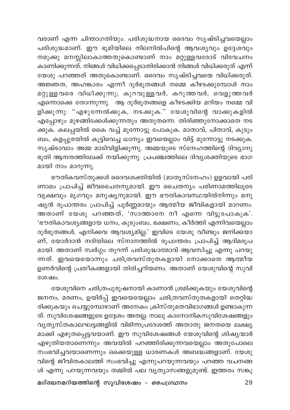വരാണ് എന്ന ചിന്താഗതിയും. പരിശുദ്ധനായ ദൈവം സൃഷ്ടിച്ചവയെല്ലാം പരിശുദ്ധമാണ്. ഈ ഭൂമിയിലെ നിലനിൽപിന്റെ ആവശ്യവും ഉദ്ദേശവും നമുക്കു മനസ്സിലാകാത്തതുകൊണ്ടാണ് നാം മറ്റുള്ളവരോട് വിവേചനം കാണിക്കുന്നത്. നിങ്ങൾ വിധിക്കപ്പെടാതിരിക്കാൻ നിങ്ങൾ വിധിക്കരുത് എന്ന് യേശു പറഞ്ഞത് അതുകൊണ്ടാണ്. ദൈവം സൃഷ്ടിച്ചവയെ വിധിക്കരുത്. അജ്ഞത, അഹങ്കാരം എന്നീ ദുർഭൂതങ്ങൾ നമ്മെ കീഴടക്കുമ്പോൾ നാം മറ്റുള്ളവരെ വിധിക്കുന്നു; കുറവുള്ളവർ, കറുത്തവർ, വെളുത്തവർ എന്നൊക്കെ തോന്നുന്നു. ആ ദുർഭൂതങ്ങളെ കീഴടക്കിയ മറിയം നമ്മെ വി ളിക്കുന്നു: "എഴുന്നേൽക്കുക, നടക്കുക." യേശുവിന്റെ വാക്കുകളിൽ എപ്പോഴും മുഴങ്ങിക്കേൾക്കുന്നതും അതുതന്നെ. തിരിഞ്ഞുനോക്കാതെ നട ക്കുക. കലപ്പയിൽ കൈ വച്ച് മുന്നോട്ടു പോകുക. മാതാവ്, പിതാവ്, കുടും ബം, കളപ്പുരയിൽ കൂട്ടിവെച്ച ധാന്യം ഇവയെല്ലാം വിട്ട് മുന്നോട്ടു നടക്കുക. സൃഷ്ടാവാം അമ്മ മാടിവിളിക്കുന്നു. അമ്മയുടെ സ്നേഹത്തിന്റെ ദിവ്യാനു ഭൂതി ആനന്ദത്തിലേക്ക് നയിക്കുന്നു. പ്രപഞ്ചത്തിലെ ദിവ്യശക്തിയുടെ ഭാഗ മായി നാം മാറുന്നു.

ഭൗതികവസ്തുക്കൾ ദൈവശക്തിയിൽ (മാതൃസ്നേഹം) ഉളവായി പരി ണാമം പ്രാപിച്ച് ജീവചൈതന്യമായി. ഈ ചൈതന്യം പരിണാമത്തിലൂടെ വൃക്ഷവും മൃഗവും മനുഷ്യനുമായി. ഈ ഭൗതികാവസ്ഥയിൽനിന്നും മനു ഷ്യൻ രൂപാന്തരം പ്രാപിച്ച് പൂർണ്ണമായും ആത്മീയ ജീവികളായി മാറണം. .<br>അതാണ് യേശു പറഞ്ഞത്, 'സാത്താനേ നീ എന്നെ വിട്ടുപോകുക'. 'ഭൗതികാവശ്യങ്ങളായ ധനം, കുടുംബം, ഭക്ഷണം, കീർത്തി എന്നിവയെല്ലാം ദുർഭൂതങ്ങൾ, എനിക്കവ ആവശ്യമില്ല.' ഇവിടെ യേശു വീണ്ടും ജനിക്കയാ .<br>ണ്, യോർദാൻ നദിയിലെ സ്നാനത്തിൽ രൂപാന്തരം പ്രാപിച്ച് ആദിമരൂപ മായി. അതാണ് സ്വർഗ്ഗം തുറന്ന് പരിശുദ്ധാത്മാവ് ആവസിച്ചു എന്നു പറയു ന്നത്. ഇവയെയൊന്നും ചരിത്രവസ്തുതകളായി നോക്കാതെ ആത്മീയ ഉണർവിന്റെ പ്രതീകങ്ങളായി തിരിച്ചറിയണം. അതാണ് യേശുവിന്റെ സുവി ശേഷം.

യേശുവിനെ ചരിത്രപുരുഷനായി കാണാൻ ശ്രമിക്കുകയും യേശുവിന്റെ ജനനം, മരണം, ഉയിർപ്പ് ഇവയെയെല്ലാം ചരിത്രവസ്തുതകളായി തെറ്റിദ്ധ രിക്കുകയും ചെയ്യുമ്പോഴാണ് അനേകം ക്രിസ്തുമതവിഭാഗങ്ങൾ ഉണ്ടാകുന്ന ത്. സുവിശേഷങ്ങളുടെ ഉദ്ദേശം അതല്ല. നാലു കാനോനികസുവിശേഷങ്ങളും വൃത്യസ്തകാലഘട്ടങ്ങളിൽ വിഭിന്നപ്രദേശത്ത് അതാതു ജനതയെ ലക്ഷ്യ മാക്കി എഴുതപ്പെട്ടവയാണ്. ഈ സുവിശേഷങ്ങൾ യേശുവിന്റെ ശിഷ്യന്മാർ എഴുതിയതാണെന്നും അവയിൽ പറഞ്ഞിരിക്കുന്നവയെല്ലാം അതുപോലെ സംഭവിച്ചവയാണെന്നും ഒക്കെയുള്ള ധാരണകൾ അബദ്ധങ്ങളാണ്. യേശു വിന്റെ ജീവിതകാലത്ത് സംഭവിച്ചു എന്നുപറയുന്നവയും പറഞ്ഞ വചനങ്ങ ൾ എന്നു പറയുന്നവയും തമ്മിൽ പല വൃത്യാസങ്ങളുമുണ്ട്. ഇത്തരം സങ്കു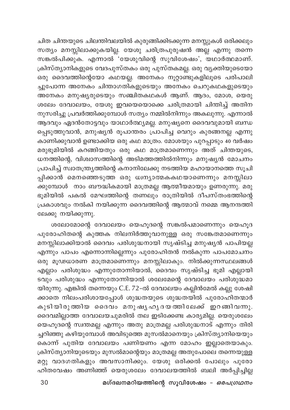ചിത ചിന്തയുടെ ചിലന്തിവലയിൽ കുരുങ്ങിക്കിടക്കുന്ന മനസ്സുകൾ ഒരിക്കലും സത്യം മനസ്സിലാക്കുകയില്ല. യേശു ചരിത്രപുരുഷൻ അല്ല എന്നു തന്നെ സങ്കൽപിക്കുക. എന്നാൽ 'യേശുവിന്റെ സുവിശേഷം', യഥാർത്ഥമാണ്. ക്രിസ്ത്യാനികളുടെ വേദപുസ്തകം ഒരു പുസ്തകമല്ല. ഒരു വ്യക്തിയുടെയോ ഒരു ദൈവത്തിന്റെയോ കഥയല്ല. അനേകം നൂറ്റാണ്ടുകളിലൂടെ പരിപാലി ച്ചുപോന്ന അനേകം ചിന്താഗതികളുടെയും അനേകം ചെറുകഥകളുടെയും അനേകം മനുഷ്യരുടെയും സഞ്ചിതകഥകൾ ആണ്. ആദം, മോശ, യെരു ശലേം ദേവാലയം, യേശു ഇവയെയൊക്കെ ചരിത്രമായി ചിന്തിച്ച് അതിന നുസരിച്ചു പ്രവർത്തിക്കുമ്പോൾ സത്യം നമ്മിൽനിന്നും അകലുന്നു. എന്നാൽ ആദവും ഏദൻതോട്ടവും യാഥാർത്ഥ്യമല്ല. മനുഷ്യനെ ദൈവവുമായി ബന്ധ പ്പെടുത്തുവാൻ, മനുഷ്യൻ രൂപാന്തരം പ്രാപിച്ച വെറും കുരങ്ങനല്ല എന്നു കാണിക്കുവാൻ ഉണ്ടാക്കിയ ഒരു കഥ മാത്രം. മോശയും പുറപ്പാടും 40 വർഷം മരുഭൂമിയിൽ കറങ്ങിയതും ഒരു കഥ മാത്രമാണെന്നും അത് ചിന്തയുടെ, ധനത്തിന്റെ, വിശ്വാസത്തിന്റെ അടിമത്തത്തിൽനിന്നും മനുഷ്യൻ മോചനം പ്രാപിച്ച് സ്വാതന്ത്ര്യത്തിന്റെ കനാനിലേക്കു നടത്തിയ മഹായാനത്തെ സൂചി പ്പിക്കാൻ മെനഞ്ഞെടുത്ത ഒരു ധ്വന്യാത്മകകഥയാണെന്നും മനസ്സിലാ ക്കുമ്പോൾ നാം ബൗദ്ധികമായി മാത്രമല്ല ആത്മീയമായും ഉണരുന്നു. മരു ഭൂമിയിൽ പകൽ മേഘത്തിന്റെ തണലും രാത്രിയിൽ ദീപസ്തംഭത്തിന്റെ പ്രകാശവും നൽകി നയിക്കുന്ന ദൈവത്തിന്റെ ആത്മാവ് നമ്മെ ആനന്ദത്തി ലേക്കു നയിക്കുന്നു.

ശലോമോന്റെ ദേവാലയം യെഹൂദന്റെ സങ്കൽപമാണെന്നും യെഹൂദ പുരോഹിതന്റെ കുത്തക നിലനിർത്തുവാനുള്ള ഒരു സങ്കേതമാണെന്നും മനസ്സിലാക്കിയാൽ ദൈവം പരിശുദ്ധനായി സൃഷ്ടിച്ച മനുഷ്യൻ പാപിയല്ല എന്നും പാപം എന്നൊന്നില്ലെന്നും പുരോഹിതൻ നൽകുന്ന പാപമോചനം ഒരു മൂഢധാരണ മാത്രമാണെന്നും മനസ്സിലാകും. നിൽക്കുന്നസ്ഥലങ്ങൾ എല്ലാം പരിശുദ്ധം എന്നുതോന്നിയാൽ, ദൈവം സൃഷ്ടിച്ച ഭൂമി എല്ലായി ടവും പരിശുദ്ധം എന്നുതോന്നിയാൽ ശലേമേന്റെ ദേവാലയം പരിശുദ്ധമാ യിരുന്നു. എങ്കിൽ തന്നെയും C.E. 72-ൽ ദേവാലയം കല്ലിൻമേൽ കല്ലു ശേഷി ക്കാതെ നിലംപരിശായപ്പോൾ ശുദ്ധതയുടെ ശുദ്ധതയിൽ പുരോഹിതന്മാർ കുടിയിരുത്തിയ ദൈവം മനുഷൃഹൃദയത്തിലേക്ക് ഇറങ്ങിവന്നു. ദൈവമില്ലാത്ത ദേവാലയചുമരിൽ തല ഇടിക്കേണ്ട കാര്യമില്ല. യെരുശലേം യെഹൂദന്റെ സ്വന്തമല്ല എന്നും അതു മാത്രമല്ല പരിശുദ്ധനാട് എന്നും തിരി ച്ചറിഞ്ഞു കഴിയുമ്പോൾ അവിടുത്തെ മുസൽമാനെയും ക്രിസ്ത്യാനിയെയും കൊന്ന് പുതിയ ദേവാലയം പണിയണം എന്ന മോഹം ഇല്ലാതെയാകും. ക്രിസ്ത്യാനിയുടെയും മുസൽമാന്റെയും മാത്രമല്ല അതുപോലെ തന്നെയുള്ള മറ്റു വാദഗതികളും അവസാനിക്കും. യേശു ഒരിക്കൽ പോലും പുരോ ഹിതവേഷം അണിഞ്ഞ് യെരുശലേം ദേവാലയത്തിൽ ബലി അർപ്പിച്ചില്ല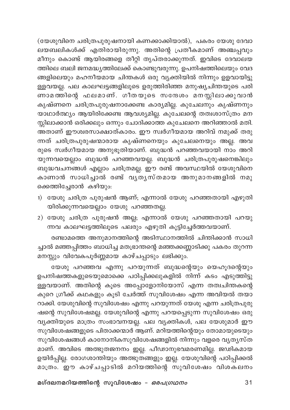(യേശുവിനെ ചരിത്രപുരുഷനായി കണക്കാക്കിയാൽ), പകരം യേശു ദേവാ ലയബലികൾക്ക് എതിരായിരുന്നു. അതിന്റെ പ്രതീകമാണ് അഞ്ചപ്പവും മീനും കൊണ്ട് ആയിരങ്ങളെ തീറ്റി തൃപ്തരാക്കുന്നത്. ഇവിടെ ദേവാലയ ത്തിലെ ബലി ജനമദ്ധ്യത്തിലേക്ക് കൊണ്ടുവരുന്നു. ഉപനിഷത്തിലെയും വേദ ങ്ങളിലെയും മഹനീയമായ ചിന്തകൾ ഒരു വ്യക്തിയിൽ നിന്നും ഉളവായിട്ടു ള്ളവയല്ല. പല കാലഘട്ടങ്ങളിലൂടെ ഉരുത്തിരിഞ്ഞ മനുഷ്യചിന്തയുടെ പരി ണാമത്തിന്റെ ഫലമാണ്. ഗീതയുടെ സന്ദേശം മനസ്സിലാക്കുവാൻ കൃഷ്ണനെ ചരിത്രപുരുഷനാക്കേണ്ട കാര്യമില്ല. കുചേലനും കൃഷ്ണനും യാഥാർത്ഥ്യം ആയിരിക്കേണ്ട ആവശ്യമില്ല. കുചേലന്റെ തത്വശാസ്ത്രം മന സ്സിലാക്കാൻ ഒരിക്കലും ഒന്നും ചോദിക്കാത്ത കുചേലനെ അറിഞ്ഞാൽ മതി. ...<br>അതാണ് ഈശ്വരസാക്ഷാത്കാരം. ഈ സ്വർഗീയമായ അറിവ് നമുക്ക് തരു ന്നത് ചരിത്രപുരുഷന്മാരായ കൃഷ്ണനെയും കുചേലനെയും അല്ല. അവ രുടെ സ്ഥർഗീയമായ അനുഭൂതിയാണ്. ബുദ്ധൻ പറഞ്ഞവയായി നാം അറി യുന്നവയെല്ലാം ബുദ്ധൻ പറഞ്ഞവയല്ല. ബുദ്ധൻ ചരിത്രപുരുഷനെങ്കിലും ബുദ്ധവചനങ്ങൾ എല്ലാം ചരിത്രമല്ല. ഈ രണ്ട് അവസ്ഥയിൽ യേശുവിനെ കാണാൻ സാധിച്ചാൽ രണ്ട് വൃതൃസ്തമായ അനുമാനങ്ങളിൽ നമു ക്കെത്തിച്ചേരാൻ കഴിയും:

- 1) യേശു ചരിത്ര പുരുഷൻ ആണ്; എന്നാൽ യേശു പറഞ്ഞതായി എഴുതി യിരിക്കുന്നവയെല്ലാം യേശു പറഞ്ഞതല്ല.
- 2) യേശു ചരിത്ര പുരുഷൻ അല്ല; എന്നാൽ യേശു പറഞ്ഞതായി പറയു ന്നവ കാലഘട്ടത്തിലൂടെ പലരും എഴുതി കൂട്ടിച്ചേർത്തവയാണ്.

രണ്ടാമത്തെ അനുമാനത്തിന്റെ അടിസ്ഥാനത്തിൽ ചിന്തിക്കാൻ സാധി ച്ചാൽ മഞ്ഞപ്പിത്തം ബാധിച്ച മതഭ്രാന്തന്റെ മഞ്ഞക്കണ്ണാടിക്കു പകരം തുറന്ന മനസ്സും വിവേകപൂർണ്ണമായ കാഴ്ചപ്പാടും ലഭിക്കും.

യേശു പറഞ്ഞവ എന്നു പറയുന്നത് ബുദ്ധന്റെയും യെഹൂദന്റെയും ഉപനിഷത്തകളുടെയുമൊക്കെ പഠിപ്പിക്കലുകളിൽ നിന്ന് കടം എടുത്തിട്ടു ള്ളവയാണ്. അതിന്റെ കൂടെ അപ്പോളോനിയോസ് എന്ന തത്വചിന്തകന്റെ കുറെ ഗ്രീക്ക് കഥകളും കൂടി ചേർത്ത് സുവിശേഷം എന്ന അവിയൽ തയാ റാക്കി. യേശുവിന്റെ സുവിശേഷം എന്നു പറയുന്നത് യേശു എന്ന ചരിത്രപുരു ഷന്റെ സുവിശേഷമല്ല. യേശുവിന്റെ എന്നു പറയപ്പെടുന്ന സുവിശേഷം ഒരു വ്യക്തിയുടെ മാത്രം സംഭാവനയല്ല. പല വ്യക്തികൾ, പല യേശുമാർ ഈ സുവിശേഷങ്ങളുടെ പിതാക്കന്മാർ ആണ്. മറിയത്തിന്റെയും തോമായുടെയും സുവിശേഷങ്ങൾ കാനോനികസുവിശേഷങ്ങളിൽ നിന്നും വളരെ വൃത്യസ്ത മാണ്. അവിടെ അത്ഭുതജനനം ഇല്ല. പീഢാനുഭവമരണമില്ല. ജഢികമായ ഉയിർപ്പില്ല. രോഗശാന്തിയും അത്ഭുതങ്ങളും ഇല്ല. യേശുവിന്റെ പഠിപ്പിക്കൽ മാത്രം. ഈ കാഴ്ചപ്പാടിൽ മറിയത്തിന്റെ സുവിശേഷം വിശകലനം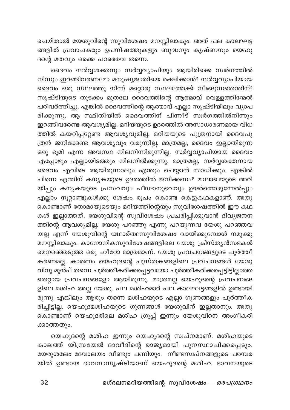ചെയ്താൽ യേശുവിന്റെ സുവിശേഷം മനസ്സിലാകും. അത് പല കാലഘട്ട .<br>ങ്ങളിൽ പ്രവാചകരും ഉപനിഷത്തുകളും ബുദ്ധനും കൃഷ്ണനും യെഹൂ ദന്റെ മതവും ഒക്കെ പറഞ്ഞവ തന്നെ.

ദൈവം സർവ്വശക്തനും സർവ്വവ്യാപിയും ആയിരിക്കെ സ്വർഗത്തിൽ നിന്നും ഇറങ്ങിവരണമോ മനുഷ്യജാതിയെ രക്ഷിക്കാൻ? സർവ്വവ്യാപിയായ ദൈവം ഒരു സ്ഥലത്തു നിന്ന് മറ്റൊരു സ്ഥലത്തേക്ക് നീങ്ങുന്നതെന്തിന്? സൃഷ്ടിയുടെ തുടക്കം മുതലേ ദൈവത്തിന്റെ ആത്മാവ് വെള്ളത്തിന്മേൽ പരിവർത്തിച്ചു. എങ്കിൽ ദൈവത്തിന്റെ ആത്മാവ് എല്ലാ സൃഷ്ടിയിലും വ്യാപ രിക്കുന്നു. ആ സ്ഥിതിയിൽ ദൈവത്തിന് പിന്നീട് സ്വർഗത്തിൽനിന്നും ഇറങ്ങിവരേണ്ട ആവശ്യമില്ല. മറിയയുടെ ഉദരത്തിൽ അസാധാരണമായ വിധ ത്തിൽ കയറിപ്പറ്റേണ്ട ആവശ്യവുമില്ല. മറിയയുടെ പുത്രനായി ദൈവപു ത്രൻ ജനിക്കേണ്ട ആവശ്യവും വരുന്നില്ല. മാത്രമല്ല, ദൈവം ഇല്ലാതിരുന്ന ഒരു ഭൂമി എന്ന അവസ്ഥ നിലനിന്നിരു്ന്നില്ല. സർവ്വവ്യാപിയായ ദൈവം എപ്പോഴും എല്ലായിടത്തും നിലനിൽക്കുന്നു. മാത്രമല്ല, സർവ്വശക്തനായ ദൈവം എവിടെ ആയിരുന്നാലും എന്തും ചെയ്യാൻ സാധിക്കും. എങ്കിൽ പിന്നെ എന്തിന് കന്യകയുടെ ഉദരത്തിൽ ജനിക്കണം? മാലാഖയുടെ അറി യിപ്പും കന്യകയുടെ പ്രസവവും പീഢാനുഭവവും ഉയർത്തെഴുന്നേൽപ്പും എല്ലാം നൂറ്റാണ്ടുകൾക്കു ശേഷം രൂപം കൊണ്ട കെട്ടുകഥകളാണ്. അതു കൊണ്ടാണ് തോമായുടെയും മറിയത്തിന്റെയും സുവിശേഷത്തിൽ ഈ കഥ കൾ ഇല്ലാത്തത്. യേശുവിന്റെ സുവിശേഷം പ്രചരിപ്പിക്കുവാൻ ദിവ്യജനന ത്തിന്റെ ആവശ്യമില്ല. യേശു പറഞ്ഞു എന്നു പറയുന്നവ യേശു പറഞ്ഞവ യല്ല എന്ന് യേശുവിന്റെ യഥാര്ത്ഥസുവിശേഷം വായിക്കുമ്പോൾ നമുക്കു മനസ്സിലാകും. കാനോനികസുവിശേഷങ്ങളിലെ യേശു ക്രിസ്ത്യൻസഭകൾ മെനഞ്ഞെടുത്ത ഒരു ഹീറോ മാത്രമാണ്. യേശു പ്രവചനങ്ങളുടെ പൂർത്തീ കരണമല്ല. കാരണം യെഹൂദന്റെ പുസ്തകങ്ങളിലെ പ്രവചനങ്ങൾ യേശു വിനു മുൻപ് തന്നെ പൂർത്തീകരിക്കപ്പെട്ടവയോ പൂർത്തീകരിക്കപ്പെട്ടിട്ടില്ലാത്ത തെറ്റായ പ്രവചനങ്ങളോ ആയിരുന്നു. മാത്രമല്ല യെഹൂദന്റെ പ്രവചനങ്ങ .<br>ളിലെ മശിഹ അല്ല യേശു. പല മശിഹമാർ പല കാലഘട്ടങ്ങളിൽ ഉണ്ടായി രുന്നു എങ്കിലും ആരും തന്നെ മശിഹയുടെ എല്ലാ ഗുണങ്ങളും പൂർത്തീക രിച്ചിട്ടില്ല. യെഹൂദമശിഹയുടെ ഗുണങ്ങൾ യേശുവിന് ഇല്ലതാനും. അതു .<br>കൊണ്ടാണ് യെഹൂദരിലെ മശിഹ ഗ്രൂപ്പ് ഇന്നും യേശുവിനെ അംഗീകരി ക്കാത്തതും.

യെഹൂദന്റെ മശിഹ ഇന്നും യെഹൂദന്റെ സ്വപ്നമാണ്. മശിഹയുടെ കാലത്ത് യിസ്രയേൽ ദാവീദിന്റെ രാജ്യമായി പുനസ്ഥാപിക്കപ്പെടും. യേരുശലേം ദേവാലയം വീണ്ടും പണിയും. നീണ്ടസ്വപ്നങ്ങളുടെ പരമ്പര യിൽ ഉണ്ടായ ഭാവനാസൃഷ്ടിയാണ് യെഹൂദന്റെ മശിഹ. ഭാവനയുടെ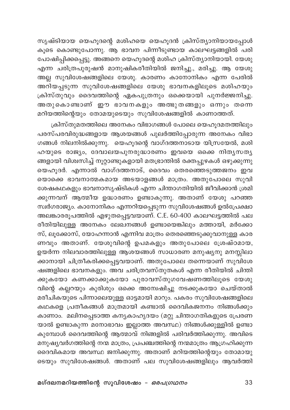സൃഷ്ടിയായ യെഹൂദന്റെ മശിഹയെ യെഹൂദൻ ക്രിസ്ത്യാനിയായപ്പോൾ കൂടെ കൊണ്ടുപോന്നു. ആ ഭാവന പിന്നീടുണ്ടായ കാലഘട്ടങ്ങളിൽ പരി പോഷിപ്പിക്കപ്പെട്ടു. അങ്ങനെ യെഹൂദന്റെ മശിഹ ക്രിസ്ത്യാനിയായി. യേശു .<br>എന്ന ചരിത്രപുരുഷൻ മാനുഷികരീതിയിൽ ജനിച്ചു., മരിച്ചു. ആ യേശു അല്ല സുവിശേഷങ്ങളിലെ യേശു. കാരണം കാനോനികം എന്ന പേരിൽ അറിയപ്പടുന്ന സുവിശേഷങ്ങളിലെ യേശു ഭാവനകളിലൂടെ മശിഹയും ക്രിസ്തുവും ദൈവത്തിന്റെ ഏകപുത്രനും ഒക്കെയായി പുനർജ്ജനിച്ചു. .<br>അതുകൊണ്ടാണ് ഈ ഭാവനകളും അത്ഭുതങ്ങളും ഒന്നും തന്നെ മറിയത്തിന്റെയും തോമയുടെയും സുവിശേഷങ്ങളിൽ കാണാത്തത്.

ക്രിസ്തുമതത്തിലെ അനേകം വിഭാഗങ്ങൾ പോലെ യെഹുദമതത്തിലും പരസ്പരവിരുദ്ധങ്ങളായ ആശയങ്ങൾ പുലർത്തിപ്പോരുന്ന അനേകം വിഭാ ഗങ്ങൾ നിലനിൽക്കുന്നു. യെഹൂദന്റെ വാഗ്ദത്തനാടായ യിസ്രയേൽ, മശി ഹയുടെ രാജ്യം, ദേവാലയപുനരുദ്ധാരണം ഇവയെ ഒക്കെ നിത്യസത്യ ങ്ങളായി വിശ്വസിച്ച് നൂറ്റാണ്ടുകളായി മതഭ്രാന്തിൽ രക്തപ്പുഴകൾ ഒഴുക്കുന്നു യെഹൂദർ. എന്നാൽ വാഗ്ദത്തനാട്, ദൈവം തെരഞ്ഞെടുത്തജനം ഇവ യൊക്കെ ഭാവനാത്മകമായ അടയാളങ്ങൾ മാത്രം. അതുപോലെ സുവി ശേഷകഥകളും ഭാവനാസൃഷ്ടികൾ എന്ന ചിന്താഗതിയിൽ ജീവിക്കാൻ ശ്രമി .<br>ക്കുന്നവന് ആത്മീയ ഉദ്ധാരണം ഉണ്ടാകുന്നു. അതാണ് യേശു പറഞ്ഞ സ്വർഗരാജ്യം. കാനോനികം എന്നറിയപ്പെടുന്ന സുവിശേഷങ്ങൾ ഉൽപ്രേക്ഷാ അലങ്കാരരൂപത്തിൽ എഴുതപ്പെട്ടവയാണ്. C.E. 60-400 കാലഘട്ടത്തിൽ പല രീതിയിലുള്ള അനേകം ലേഖനങ്ങൾ ഉണ്ടായെങ്കിലും മത്തായി, മർക്കോ സ്, ലൂക്കോസ്, യോഹന്നാൻ എന്നിവ മാത്രം തെരഞ്ഞെടുക്കുവാനുള്ള കാര ണവും അതാണ്. യേശുവിന്റെ ഉപമകളും അതുപോലെ ശ്രേഷ്ഠമായ, ഉയർന്ന നിലവാരത്തിലുള്ള ആശയങ്ങൾ സാധാരണ മനുഷ്യനു മനസ്സിലാ ക്കാനായി ചിത്രീകരിക്കപ്പെട്ടവയാണ്. അതുപോലെ തന്നെയാണ് സുവിശേ ഷങ്ങളിലെ ഭാവനകളും. അവ ചരിത്രവസ്തുതകൾ എന്ന രീതിയിൽ ചിന്തി ക്കുകയോ കണക്കാക്കുകയോ പുരാവസ്തുഗവേഷണത്തിലൂടെ യേശു വിന്റെ കല്ലറയും കുരിശും ഒക്കെ അന്വേഷിച്ചു നടക്കുകയോ ചെയ്താൽ മരീചികയുടെ പിന്നാലെയുള്ള ഓട്ടമായി മാറും. പകരം സുവിശേഷങ്ങളിലെ കഥകളെ പ്രതീകങ്ങൾ മാത്രമായി കണ്ടാൽ ദൈവികജനനം നിങ്ങൾക്കും കാണാം. മലിനപ്പെടാത്ത കന്യകാഹൃദയം (മറ്റു ചിന്താഗതികളുടെ പ്രേരണ യാൽ ഉണ്ടാകുന്ന മനോഭാവം ഇല്ലാത്ത അവസ്ഥ) നിങ്ങൾക്കുള്ളിൽ ഉണ്ടാ കുമ്പോൾ ദൈവത്തിന്റെ ആത്മാവ് നിങ്ങളിൽ പരിവർത്തിക്കുന്നു. അവിടെ മനുഷ്യവർഗത്തിന്റെ നന്മ മാത്രം, പ്രപഞ്ചത്തിന്റെ നന്മമാത്രം ആഗ്രഹിക്കുന്ന ദൈവികമായ അവസ്ഥ ജനിക്കുന്നു. അതാണ് മറിയത്തിന്റെയും തോമായു ടെയും സുവിശേഷങ്ങൾ. അതാണ് പല സുവിശേഷങ്ങളിലും ആവർത്തി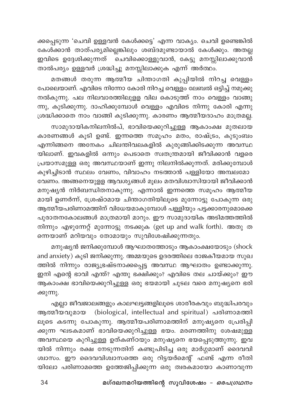ക്കപ്പെടുന്ന 'ചെവി ഉള്ളവൻ കേൾക്കട്ടെ' എന്ന വാക്യം. ചെവി ഉണ്ടെങ്കിൽ കേൾക്കാൻ താത്പര്യമില്ലെങ്കിലും ശബ്ദമുണ്ടായാൽ കേൾക്കും. അതല്ല ഇവിടെ ഉദ്ദേശിക്കുന്നത് ര്ചവിക്കൊള്ളുവാൻ, കേട്ടു മനസ്സിലാക്കുവാൻ താൽപര്യം ഉള്ളവർ ശ്രദ്ധിച്ചു മനസ്സിലാക്കുക എന്ന് അർത്ഥം.

മതങ്ങൾ തരുന്ന ആത്മീയ ചിന്താഗതി കുപ്പിയിൽ നിറച്ച വെള്ളം പോലെയാണ്. എവിടെ നിന്നോ കോരി നിറച്ച വെള്ളം ലേബൽ ഒട്ടിച്ച് നമുക്കു നൽകുന്നു. പല നിലവാരത്തിലുളള വില കൊടുത്ത് നാം വെള്ളം വാങ്ങു ന്നു, കുടിക്കുന്നു. ദാഹിക്കുമ്പോൾ വെള്ളം എവിടെ നിന്നു കോരി എന്നു ശ്രദ്ധിക്കാതെ നാം വാങ്ങി കുടിക്കുന്നു. കാരണം ആത്മീയദാഹം മാത്രമല്ല.

സാമുദായികനിലനിൽപ്, ഭാവിയെക്കുറിച്ചുള്ള ആകാംക്ഷ മുതലായ കാരണങ്ങൾ കൂടി ഉണ്ട്. ഇന്നത്തെ സമൂഹം മതം, രാഷ്ട്രം, കുടുംബം എന്നിങ്ങനെ അനേകം ചിലന്തിവലകളിൽ കുരുങ്ങിക്കിടക്കുന്ന അവസ്ഥ യിലാണ്. ഇവകളിൽ ഒന്നും പെടാതെ സ്വതന്ത്രമായി ജീവിക്കാൻ വളരെ പ്രയാസമുള്ള ഒരു അവസ്ഥയാണ് ഇന്നു നിലനിൽക്കുന്നത്. മരിക്കുമ്പോൾ കുഴിച്ചിടാൻ സ്ഥലം വേണം, വിവാഹം നടത്താൻ പള്ളിയോ അമ്പലമോ വേണം. അങ്ങനെയുളള ആവശ്യങ്ങൾ മൂലം മതവിശ്വാസിയായി ജീവിക്കാൻ മനുഷ്യൻ നിർബന്ധിതനാകുന്നു. എന്നാൽ ഇന്നത്തെ സമൂഹം ആത്മീയ മായി ഉണർന്ന്, ശ്രേഷ്ഠമായ ചിന്താഗതിയിലൂടെ മുന്നോട്ടു പോകുന്ന ഒരു ആത്മീയപരിണാമത്തിന് വിധേയമാകുമ്പോൾ പള്ളിയും പട്ടക്കാരനുമൊക്കെ പുരാതനകോലങ്ങൾ മാത്രമായി മാറും. ഈ സാമുദായിക അടിമത്തത്തിൽ നിന്നും എഴുന്നേറ്റ് മുന്നോട്ടു നടക്കുക (get up and walk forth). അതു ത ന്നെയാണ് മറിയവും തോമായും സുവിശേഷിക്കുന്നതും.

മനുഷ്യൻ ജനിക്കുമ്പോൾ ആഘാതത്തോടും ആകാംക്ഷയോടും (shock and anxiety) കൂടി ജനിക്കുന്നു. അമ്മയുടെ ഉദരത്തിലെ രാജകീയമായ സുഖ ത്തിൽ നിന്നും രാജ്യഭ്രഷ്ടനാക്കപ്പെട്ട അവസ്ഥ ആഘാതം ഉണ്ടാക്കുന്നു. ഇനി എന്റെ ഭാവി എന്ത്? എന്തു ഭക്ഷിക്കും? എവിടെ തല ചായ്ക്കും? ഈ ആകാംക്ഷ ഭാവിയെക്കുറിച്ചുള്ള ഒരു ഭയമായി ചുടല വരെ മനുഷ്യനെ ഭരി ക്കുന്നു.

എല്ലാ ജീവജാലങ്ങളും കാലഘട്ടങ്ങളിലൂടെ ശാരീരകവും ബുദ്ധിപരവും ആത്മീയവുമായ (biological, intellectual and spiritual) പരിണാമത്തി ലൂടെ കടന്നു പോകുന്നു. ആത്മീയപരിണാമത്തിന് മനുഷ്യനെ പ്രേരിപ്പി ക്കുന്ന ഘടകമാണ് ഭാവിയെക്കുറിച്ചുള്ള ഭയം. മരണത്തിനു ശേഷമുള്ള അവസ്ഥയെ കുറിച്ചുള്ള ഉത്കണ്ഠയും മനുഷ്യനെ ഭയപ്പെടുത്തുന്നു. ഇവ യിൽ നിന്നും രക്ഷ നേടുന്നതിന് കണ്ടുപിടിച്ച ഒരു മാർഗ്ഗമാണ് ദൈവവി ശ്വാസം. ഈ ദൈവവിശ്വാസത്തെ ഒരു റിട്ടയർമെന്റ് ഫണ്ട് എന്ന രീതി യിലോ പരിണാമത്തെ ഉത്തേജിപ്പിക്കുന്ന ഒരു ത്വരകമായോ കാണാവുന്ന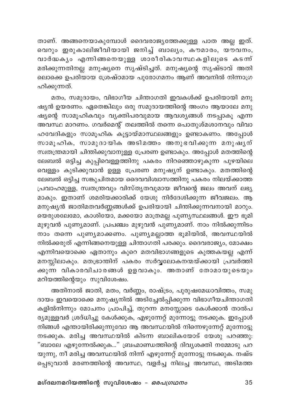താണ്. അങ്ങനെയാകുമ്പോൾ ദൈവരാജ്യത്തേക്കുള്ള പാത അല്ല ഇത്. .<br>വെറും ഇരുകാലിജീവിയായി ജനിച്ച് ബാല്യം, കൗമാരം, യൗവനം, വാർദ്ധകൃം എന്നിങ്ങനെയുള്ള ശാരീരികാവസ്ഥകളിലൂടെ കടന്ന് മരിക്കുന്നതിനല്ല മനുഷ്യനെ സൃഷ്ടിച്ചത്. മനുഷ്യന്റെ സൃഷ്ടാവ് അതി ലൊക്കെ ഉപരിയായ ശ്രേഷ്ഠമായ പുരോഗമനം ആണ് അവനിൽ നിന്നാഗ്ര ഹിക്കുന്നത്.

മതം, സമുദായം, വിഭാഗീയ ചിന്താഗതി ഇവകൾക്ക് ഉപരിയായി മനു ഷ്യൻ ഉയരണം. ഏതെങ്കിലും ഒരു സമുദായത്തിന്റെ അംഗം ആയാലേ മനു ഷ്യന്റെ സാമൂഹികവും വ്യക്തിപരവുമായ ആവശ്യങ്ങൾ നടപ്പാകൂ എന്ന അവസ്ഥ മാറണം. ഗവർമെന്റ് തലത്തിൽ തന്നെ പൊതുശ്മശാനവും വിവാ .<br>ഹവേദികളും സാമൂഹിക കൂട്ടായ്മാസ്ഥലങ്ങളും ഉണ്ടാകണം. അപ്പോൾ സാമൂഹിക, സാമുദായിക അടിമത്തം അനുഭവിക്കുന്ന മനുഷൃന് സ്വതന്ത്രമായി ചിന്തിക്കുവാനുള്ള പ്രേരണ ഉണ്ടാകും. അപ്പോൾ മതത്തിന്റെ ലേബൽ ഒട്ടിച്ച കുപ്പിവെള്ളത്തിനു പകരം നിറഞ്ഞൊഴുകുന്ന പുഴയിലെ വെള്ളം കുടിക്കുവാൻ ഉള്ള പ്രേരണ മനുഷ്യന് ഉണ്ടാകും. മതത്തിന്റെ .<br>ലേബൽ ഒട്ടിച്ച സങ്കുചിതമായ ദൈവവിശ്വാസത്തിനു പകരം നിലയ്ക്കാത്ത പ്രവാഹമുള്ള, സ്വതന്ത്രവും വിസ്തൃതവുമായ ജീവന്റെ ജലം അവന് ലഭ്യ .<br>മാകും. ഇതാണ് ശമരിയക്കാരിക്ക് യേശു നിർദേശിക്കുന്ന ജീവജലം. ആ മനുഷ്യൻ ജാതിമതവർണ്ണങ്ങൾക്ക് ഉപരിയായി ചിന്തിക്കുന്നവനായി മാറും. യെരുശലേമോ, കാശിയോ, മക്കയോ മാത്രമല്ല പുണ്യസ്ഥലങ്ങൾ. ഈ ഭൂമി മുഴുവൻ പുണ്യമാണ്. പ്രപഞ്ചം മുഴുവൻ പുണ്യമാണ്. നാം നിൽക്കുന്നിടം നാം തന്നെ പുണ്യമാക്കണം. പുണ്യമല്ലാത്ത ഭൂമിയിൽ, അവസ്ഥയിൽ നിൽക്കരുത് എന്നിങ്ങനെയുള്ള ചിന്താഗതി പരക്കും. ദൈവരാജ്യം, മോക്ഷം എന്നിവയൊക്കെ ഏതാനും കുറെ മതവിഭാഗങ്ങളുടെ കുത്തകയല്ല എന്ന് മനസ്സിലാകും. മതഭ്രാന്തിന് പകരം സർവ്വലോകനന്മയ്ക്കായി പ്രവർത്തി ക്കുന്ന വികാരവിചാരങ്ങൾ ഉളവാകും. അതാണ് തോമായുടെയും മറിയത്തിന്റെയും സുവിശേഷം.

അതിനാൽ ജാതി, മതം, വർണ്ണം, രാഷ്ട്രം, പുരുഷമേധാവിത്തം, സമു ദായം ഇവയൊക്കെ മനുഷ്യനിൽ അടിച്ചേൽപ്പിക്കുന്ന വിഭാഗീയചിന്താഗതി കളിൽനിന്നും മോചനം പ്രാപിച്ച്, തുറന്ന മനസ്സോടെ കേൾക്കാൻ താൽപ ര്യമുള്ളവർ ശ്രദ്ധിച്ചു കേൾക്കുക, എഴുന്നേറ്റ് മുന്നോട്ടു നടക്കുക. ഇപ്പോൾ നിങ്ങൾ എന്തായിരിക്കുന്നുവോ ആ അവസ്ഥയിൽ നിന്നെഴുന്നേറ്റ് മുന്നോട്ടു നടക്കുക. മരിച്ച അവസ്ഥയിൽ കിടന്ന ബാലികയോട് യേശു പറഞ്ഞു: "ബാലേ എഴുന്നേൽക്കുക…" ബ്രഹ്മാണ്ഡത്തിന്റെ ദിവ്യശക്തി നമ്മോടു പറ യുന്നു, നീ മരിച്ച അവസ്ഥയിൽ നിന്ന് എഴുന്നേറ്റ് മുന്നോട്ടു നടക്കുക. നഷ്ട പ്പെടുവാൻ മരണത്തിന്റെ അവസ്ഥ, വളർച്ച നിലച്ച അവസ്ഥ, അടിമത്ത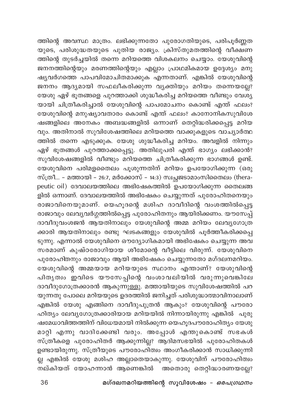ത്തിന്റെ അവസ്ഥ മാത്രം. ലഭിക്കുന്നതോ പുരോഗതിയുടെ, പരിപൂർണ്ണത യുടെ, പരിശുദ്ധതയുടെ പുതിയ രാജ്യം. ക്രിസ്തുമതത്തിന്റെ വീക്ഷണ .<br>ത്തിന്റെ തുടർച്ചയിൽ തന്നെ മറിയത്തെ വിശകലനം ചെയ്യാം. യേശുവിന്റെ ജനനത്തിന്റെയും മരണത്തിന്റെയും എല്ലാം പ്രാഥമികമായ ഉദ്ദേശ്യം മനു ഷ്യവർഗത്തെ പാപവിമോചിതമാക്കുക എന്നതാണ്. എങ്കിൽ യേശുവിന്റെ ജനനം ആദ്യമായി സഫലീകരിക്കുന്ന വ്യക്തിയും മറിയം തന്നെയല്ലേ? യേശു ഏഴ് ഭൂതങ്ങളെ പുറത്താക്കി ശുദ്ധീകരിച്ച മറിയത്തെ വീണ്ടും വേശ്യ യായി ചിത്രീകരിച്ചാൽ യേശുവിന്റെ പാപമോചനം കൊണ്ട് എന്ത് ഫലം? യേശുവിന്റെ മനുഷ്യാവതാരം കൊണ്ട് എന്ത് ഫലം? കാനോനികസുവിശേ ഷങ്ങളിലെ അനേകം അബദ്ധങ്ങളിൽ ഒന്നാണ് തെറ്റിദ്ധരിക്കപ്പെട്ട മറിയ വും. അതിനാൽ സുവിശേഷത്തിലെ മറിയത്തെ വാക്കുകളുടെ വാച്യാർത്ഥ ത്തിൽ തന്നെ എടുക്കുക. യേശു ശുദ്ധീകരിച്ച മറിയം. അവളിൽ നിന്നും ഏഴ് ഭൂതങ്ങൾ പുറത്താക്കപ്പെട്ടു. അതിലുപരി എന്ത് ഭാഗ്യം ലഭിക്കാൻ? സുവിശേഷങ്ങളിൽ വീണ്ടും മറിയത്തെ ചിത്രീകരിക്കുന്ന ഭാഗങ്ങൾ ഉണ്ട്. യേശുവിനെ പരിമളതൈലം പൂശുന്നതിന് മറിയം ഉപയോഗിക്കുന്ന (ഒരു സ്ത്രീ... - മത്തായി - 26:7, മർക്കോസ് - 14:3) സ്വച്ഛജടാമാംസിതൈലം (therapeutic oil) ദേവാലയത്തിലെ അഭിഷേകത്തിൽ ഉപയോഗിക്കുന്ന തൈലങ്ങ ളിൽ ഒന്നാണ്. ദേവാലയത്തിൽ അഭിഷേകം ചെയ്യുന്നത് പുരോഹിതനെയും രാജാവിനെയുമാണ്. യെഹൂദന്റെ മശിഹ ദാവീദിന്റെ വംശത്തിൽപ്പെട്ട രാജാവും ലേവ്യവർഗ്ഗത്തിൽപ്പെട്ട പുരോഹിതനും ആയിരിക്കണം. യൗസേപ്പ് ദാവീദുവംശജൻ ആയതിനാലും യേശുവിന്റെ അമ്മ മറിയം ലേവ്യഗോത്ര ക്കാരി ആയതിനാലും രണ്ടു ഘടകങ്ങളും യേശുവിൽ പൂർത്തീകരിക്കപ്പ<mark>െ</mark> ടുന്നു. എന്നാൽ യേശുവിനെ ഔദ്യോഗികമായി അഭിഷേകം ചെയ്യുന്ന അവ സരമാണ് കുഷ്ഠരോഗിയായ ശീമോന്റെ വീട്ടിലെ വിരുന്ന്. യേശുവിനെ പുരോഹിതനും രാജാവും ആയി അഭിഷേകം ചെയ്യുന്നതോ മഗ്ദലനമറിയം. യേശുവിന്റെ അമ്മയായ മറിയയുടെ സ്ഥാനം എന്താണ്? യേശുവിന്റെ .<br>പിതൃത്വം ഇവിടെ യൗസേപ്പിന്റെ വംശാവലിയിൽ വരുന്നുവെങ്കിലേ ദാവീദുഗോത്രക്കാരൻ ആകുന്നുള്ളു. മത്തായിയുടെ സുവിശേഷത്തിൽ പറ യുന്നതു പോലെ മറിയയുടെ ഉദരത്തിൽ ജനിച്ചത് പരിശുദ്ധാത്മാവിനാലാണ് എങ്കിൽ യേശു എങ്ങിനെ ദാവീദുപുത്രൻ ആകും? യേശുവിന്റെ പൗരോ ഹിത്യം ലേവ്യഗോത്രക്കാരിയായ മറിയയിൽ നിന്നായിരുന്നു എങ്കിൽ പുരു ഷമേധാവിത്തത്തിന് വിധേയമായി നിൽക്കുന്ന യെഹൂദപൗരോഹിത്യം യേശു മാറ്റി എന്നു വാദിക്കേണ്ടി വരും. അപ്പോൾ എന്തുകൊണ്ട് സഭകൾ സ്ത്രീകളെ പുരോഹിതർ ആക്കുന്നില്ലഃ ആദിമസഭയിൽ പുരോഹിതകൾ ഉണ്ടായിരുന്നു. സ്ത്രീയുടെ പൗരോഹിത്വം അംഗീകരിക്കാൻ സാധിക്കുന്നി ല്ല എങ്കിൽ യേശു മശിഹ അല്ലാതെയാകുന്നു. യേശുവിന് പൗരോഹിത്വം ...<br>നല്കിയത് യോഹന്നാൻ ആണെങ്കിൽ അതൊരു തെറ്റിദ്ധാരണയല്ലേ?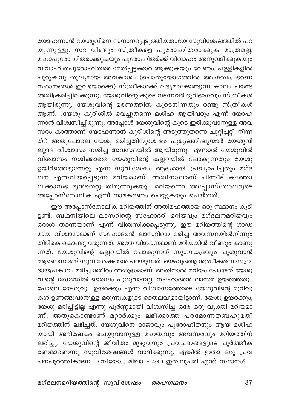യോഹന്നാൻ യേശുവിനെ സ്നാനപ്പെടുത്തിയതായേ സുവിശേഷത്തിൽ പറ യുന്നുള്ളു. സഭ വിണ്ടും സ്ത്രീകളെ പുരോഹിതരാക്കുക മാത്രമല്ല, ...<br>മഹാപുരോഹിതരാക്കുകയും പുരോഹിതർക്ക് വിവാഹം അനുവദിക്കുകയും വിവാഹിതപുരോഹിതരെ മേൽപ്പട്ടക്കാർ ആക്കുകയും വേണം. പള്ളികളിൽ പുരുഷനു തുല്യമായ അവകാശം (പൊതുയോഗത്തിൽ അംഗത്വം, ഭരണ സ്ഥാനങ്ങൾ ഇവയൊക്കെ) സ്ത്രീകൾക്ക് ലഭ്യമാക്കേണ്ടുന്ന കാലം പണ്ടേ അതിക്രമിച്ചിരിക്കുന്നു. യേശുവിന്റെ കൂടെ നടന്നവർ ഭൂരിഭാഗവും സ്ത്രീകൾ ആയിരുന്നു. യേശുവിന്റെ മരണത്തിൽ കൂടെനിന്നതും രണ്ടു സ്ത്രീകൾ ആണ്. (യേശു കുരിശിൽ വെച്ചുതന്നെ മശിഹ ആയിവരും എന്ന് യോഹ ന്നാൻ വിശ്വസിച്ചിരുന്നു. അപ്പോൾ യേശുവിന്റെ കൂടെ ഇരിക്കുവാനുള്ള അവ സരം കാത്താണ് യോഹന്നാൻ കുരിശിന്റെ അടുത്തുതന്നെ ചുറ്റിപ്പറ്റി നിന്ന ത്.) അതുപോലെ യേശു മരിച്ചതിനുശേഷം പുരുഷശിഷ്യന്മാർ യേശുവി ലുള്ള വിശ്വാസം നശിച്ച അവസ്ഥയിൽ ആയിരുന്നു. എന്നാൽ യേശുവിൽ വിശ്വാസം നശിക്കാതെ യേശുവിന്റെ കല്ലറയിൽ പോകുന്നതും യേശു ഉയിർത്തെഴുന്നേറ്റു എന്ന സുവിശേഷം ആദ്യമായി പ്രഖ്യാപിച്ചതും മഗ്ദ ലന എന്നറിയപ്പെടുന്ന മറിയമാണ്. അതിനാലാണ് പിന്നീട് കത്തോ ലിക്കാസഭ മുൻതെറ്റു തിരുത്തുകയും മറിയത്തെ അപ്പോസ്തോലരുടെ അപ്പോസ്തോലിക എന്ന് നാമകരണം ചെയ്യുകയും ചെയ്തത്.

ഈ അപ്പോസ്തോലിക മറിയത്തിന് അതിമഹത്തായ ഒരു സ്ഥാനം കുടി ഉണ്ട്. ബഥനിയിലെ ലാസറിന്റെ സഹോദരി മറിയവും മഗ്ദലനമറിയവും ഒരാൾ തന്നെയാണ് എന്ന് വിശിസിക്കപ്പെടുന്നു. ഈ മറിയത്തിന്റെ ഗാഢ മായ വിശ്വാസമാണ് സഹോദരൻ ലാസറിനെ മരിച്ച അവസ്ഥയിൽനിന്നും തിരികെ കൊണ്ടു വരുന്നത്. അതേ വിശ്വാസമാണ് മറിയയിൽ വീണ്ടും കാണു ന്നത്. യേശുവിന്റെ കല്ലറയിൽ പോകുന്നത് സുഗന്ധദ്രവ്യം പൂശുവാൻ ആണെന്നാണ് സുവിശേഷങ്ങൾ പറയുന്നത്. യെഹൂദന്റെ ശുദ്ധീകരണ സമ്പ്ര ദായപ്രകാരം മരിച്ച ശരീരം അശുദ്ധമാണ്. അതിനാൽ മറിയം പോയത് യേശു

വിന്റെ ജഡത്തിൽ തൈലം പൂശുവാനല്ല, സഹോദരൻ ലാസർ ഉയർത്തതു പോലെ യേശുവും ഉയർക്കും എന്ന വിശ്വാസത്തോടെ യേശുവിന്റെ മുറിവു കൾ ഉണങ്ങുവാനുള്ള മരുന്നുകളുടെ തൈലവുമായിട്ടാണ്. യേശു ഉയർക്കും, യേശു മരിച്ചിട്ടില്ല എന്നു പൂർണ്ണമായി വിശ്വസിച്ച ഒരേ ഒരു വ്യക്തി മറിയമാ ണ്. അതുകൊണ്ടാണ് മറ്റാർക്കും ലഭിക്കാത്ത പരമോന്നതബഹുമതി മറിയത്തിന് ലഭിച്ചത്. യേശുവിനെ രാജാവും പുരോഹിതനും ആയ മശിഹ യായി അഭിഷേകം ചെയ്യുവാനുള്ള മഹത്വവും അവസരവും മറിയത്തിന് ലഭിച്ചു. യേശുവിന്റെ ജീവിതം മുഴുവനും പ്രവചനങ്ങളുടെ പൂർത്തീക രണമാണെന്നു സുവിശേഷങ്ങൾ വാദിക്കുന്നു. എങ്കിൽ ഇതാ ഒരു പ്രവ ചനപൂർത്തീകരണം. (നീയോ... മിഖാ – 4:8.) ഇതിലുപരി എന്ത് സ്ഥാനം?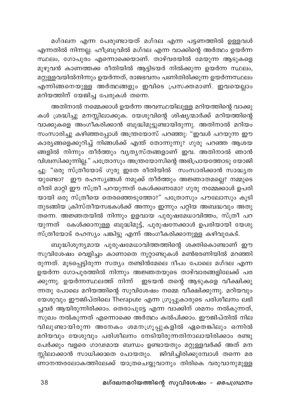മഗ്ദലന എന്ന പേരുണ്ടായത് മഗ്ദല എന്ന പട്ടണത്തിൽ ഉള്ളവൾ എന്നതിൽ നിന്നല്ല. ഹീബ്രൂവിൽ മഗ്ദല എന്ന വാക്കിന്റെ അർത്ഥം ഉയർന്ന സ്ഥലം, ഗോപുരം എന്നൊക്കെയാണ്. താഴ്വരയിൽ മേയുന്ന ആടുകളെ മുഴുവൻ കാണത്തക്ക രീതിയിൽ ആട്ടിടയർ നിൽക്കുന്ന ഉയർന്ന സ്ഥലം, മറ്റുള്ളവയിൽനിന്നും ഉയർന്നത്, രാജഭവനം പണിതിരിക്കുന്ന ഉയർന്നസ്ഥലം എന്നിങ്ങനെയുള്ള അർത്ഥങ്ങളും ഇവിടെ പ്രസക്തമാണ്. ഇവയെല്ലാം മറിയത്തിന് യേജിച്ച പേരുകൾ തന്നെ.

അതിനാൽ നമ്മെക്കാൾ ഉയർന്ന അവസ്ഥയിലുള്ള മറിയത്തിന്റെ വാക്കു കൾ ശ്രദ്ധിച്ചു മനസ്സിലാക്കുക. യേശുവിന്റെ ശിഷ്യന്മാർക്ക് മറിയത്തിന്റെ വാക്കുകളെ അംഗീകരിക്കാൻ ബുദ്ധിമുട്ടുണ്ടായിരുന്നു. അതിനാൽ മറിയം സംസാരിച്ചു കഴിഞ്ഞപ്പോൾ അന്ത്രയോസ് പറഞ്ഞു: "ഇവൾ പറയുന്ന ഈ കാര്യങ്ങളെക്കുറിച്ച് നിങ്ങൾക്ക് എന്ത് തോന്നുന്നു? ഗുരു പറഞ്ഞ ആശയ .<br>ങ്ങളിൽ നിന്നും തീർത്തും വൃത്യസ്തങ്ങളാണ് ഇവ. അതിനാൽ ഞാൻ വിശ്വസിക്കുന്നില്ല." പത്രോസും അന്ത്രയോസിന്റെ അഭിപ്രായത്തോടു യോജി ച്ചു: "ഒരു സ്ത്രീയോട് ഗുരു ഇതേ രീതിയിൽ ്സംസാരിക്കാൻ സാദ്ധൃത യുണ്ടോ? ഈ രഹസ്യങ്ങൾ നമുക്ക് തീർത്തും അജ്ഞാതമല്ലെ? നമ്മുടെ രീതി മാറ്റി ഈ സ്ത്രീ പറയുന്നത് കേൾക്കണമോ? ഗുരു നമ്മേക്കാൾ ഉപരി .<br>യായി ഒരു സ്ത്രീയെ തെരഞ്ഞെടുത്തോ?" പത്രോസും പൗലോസും കൂടി തുടങ്ങിയ ക്രിസ്തീയസഭകൾക്ക് അന്നും ഇന്നും പറ്റിയ അബദ്ധവും അതു തന്നെ. അജ്ഞതയിൽ നിന്നും ഉളവായ പുരുഷമേധാവിത്തം, സ്ത്രീ പറ യുന്നത് കേൾക്കാനുള്ള ബുദ്ധിമുട്ട്, പുരുഷനേക്കാൾ ഉപരിയായി യേശു സ്ത്രീയോട് രഹസ്യം പങ്കിട്ടു എന്ന് അംഗീകരിക്കാനുള്ള കഴിവുകേട്.

ബുദ്ധിശൂന്യമായ പുരുഷമേധാവിത്തത്തിന്റെ ശക്തികൊണ്ടാണ് ഈ സുവിശേഷം വെളിച്ചം കാണാതെ നൂറ്റാണ്ടുകൾ മൺഭരണിയിൽ മറഞ്ഞി രുന്നത്. മൂടപ്പെട്ടിരുന്ന സത്യം തണ്ടിൻമേലെ ദീപം പോലെ മഗ്ദല എന്ന ഉയർന്ന ഗോപുരത്തിൽ നിന്നും അജ്ഞതയുടെ താഴ്വാരങ്ങളിലേക്ക് പര ക്കുന്നു. ഉയർന്നസ്ഥലത്ത് നിന്ന് ഇടയൻ തന്റെ ആടുകളെ വീക്ഷിക്കു ന്നതു പോലെ മറിയത്തിന്റെ സുവിശേഷം നമ്മെ വീക്ഷിക്കുന്നു. മറിയവും യേശുവും ഈജിപ്തിലെ Therapute എന്ന ഗ്രൂപ്പുകാരുടെ പരിശീലനം ലഭി ച്ചവർ ആയിരുന്നിരിക്കാം. തെരാപുട്ടേ എന്ന വാക്കിന് ശമനം നൽകുന്നത്, .<br>സുഖം നൽകുന്നത് എന്നൊക്കെ അർത്ഥം കൽപിക്കാം. ഈജിപ്തിൽ നില വിലുണ്ടായിരുന്ന അനേകം ശമനഗ്രൂപ്പുകളിൽ ഏതെങ്കിലും ഒന്നിൽ മറിയവും യേശുവും പരിശീലനം നേടിയിരുന്നതിനാലായിരിക്കാം രണ്ടു പേർക്കും വളരെ ഗാഢമായ ബന്ധം ഉണ്ടായതും മറ്റുള്ളവർക്ക് അത് മന സ്സിലാക്കാൻ സാധിക്കാതെ പോയതും. ജിവിച്ചിരിക്കുമ്പോൾ തന്നെ മര …<br>ണാനന്തരലോകത്തിലേക്ക് യാത്രചെയ്യുവാനും തിരികെ വരുവാനുമുള്ള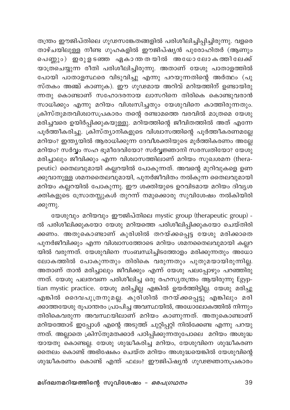തന്ത്രം ഈജിപ്തിലെ ഗൂഢസങ്കേതങ്ങളിൽ പരിശീലിച്ചിപ്പിച്ചിരുന്നു. വളരെ താഴ്ചയിലുള്ള നീണ്ട ഗുഹകളിൽ ഈജിപ്ഷ്യൻ പുരോഹിതർ (ആണും .<br>പെണ്ണും) ഇരുളടഞ്ഞ ഏകാന്തതയിൽ അധോലോകത്തിലേക്ക് യാത്രചെയ്യുന്ന രീതി പരിശീലിച്ചിരുന്നു. അതാണ് യേശു പാതാളത്തിൽ പോയി പാതാളസ്ഥരെ വിടുവിച്ചു എന്നു പറയുന്നതിന്റെ അർത്ഥം (പു സ്തകം അഞ്ച് കാണുക). ഈ ഗൂഢമായ അറിവ് മറിയത്തിന് ഉണ്ടായിരു ന്നതു കൊണ്ടാണ് സഹോദരനായ ലാസറിനെ തിരികെ കൊണ്ടുവരാൻ സാധിക്കും എന്നു മറിയം വിശ്വസിച്ചതും യേശുവിനെ കാത്തിരുന്നതും. ക്രിസ്തുമതവിശ്വാസപ്രകാരം തന്റെ രണ്ടാമത്തെ വരവിൽ മാത്രമെ യേശു മരിച്ചവരെ ഉയിർപ്പിക്കുകയുള്ളു. മറിയത്തിന്റെ ജീവിതത്തിൽ അത് എന്നേ പൂർത്തീകരിച്ചു. ക്രിസ്ത്യാനികളുടെ വിശ്വാസത്തിന്റെ പൂർത്തീകരണമല്ലേ മറിയം? ഇന്ത്യയിൽ ആരാധിക്കുന്ന ദേവീശക്തിയുടെ മൂർത്തികരണം അല്ലേ മറിയം? സർവ്വം സഹ ഭൂമീദേവിയോ? സർവ്വജ്ഞാനി സരസ്ഥതിയോ? യേശു മരിച്ചാലും ജീവിക്കും എന്ന വിശ്വാസത്തിലാണ് മറിയം സുഖശമന (therapeutic) തൈലവുമായി കല്ലറയിൽ പോകുന്നത്. അവന്റെ മുറിവുകളെ ഉണ .<br>ക്കുവാനുള്ള ശമനതൈലവുമായി, പുനർജീവിതം നൽകുന്ന തൈലവുമായി മറിയം കല്ലറയിൽ പോകുന്നു. ഈ ശക്തിയുടെ ഉറവിടമായ മറിയം ദിവ്യശ ക്തികളുടെ സ്രോതസ്സുകൾ തുറന്ന് നമുക്കൊരു സുവിശേഷം നൽകിയിരി ക്കുന്നു.

യേശുവും മറിയവും ഈജിപ്തിലെ mystic group (therapeutic group) -ൽ പരിശീലിക്കുകയോ യേശു മറിയത്തെ പരിശീലിപ്പിക്കുകയോ ചെയ്തിരി ക്കണം. അതുകൊണ്ടാണ് കുരിശിൽ തറയ്ക്കപ്പെട്ട യേശു മരിക്കാതെ പുനർജീവിക്കും എന്ന വിശ്വാസത്തോടെ മറിയം ശമനതൈലവുമായി കല്ലറ യിൽ വരുന്നത്. യേശുവിനെ സംബന്ധിച്ചിടത്തോളം മരിക്കുന്നതും അധോ ലോകത്തിൽ പോകുന്നതും തിരികെ വരുന്നതും പുതുമയായിരുന്നില്ല. അതാണ് താൻ മരിച്ചാലും ജീവിക്കും എന്ന് യേശു പലപ്പോഴും പറഞ്ഞിരു ന്നത്. യേശു പലതവണ പരിശീലിച്ച ഒരു രഹസ്യതന്ത്രം ആയിരുന്നു Egyptian mystic practice. യേശു മരിച്ചില്ല എങ്കിൽ ഉയർത്തിട്ടില്ല. യേശു മരിച്ചു .<br>എങ്കിൽ ദൈവപുത്രനുമല്ല. കുരിശിൽ തറയ്ക്കപ്പെട്ടു എങ്കിലും മരി ക്കാത്തയേശു രൂപാന്തരം പ്രാപിച്ച അവസ്ഥയിൽ, അധോലോകത്തിൽ നിന്നും തിരികെവരുന്ന അവസ്ഥയിലാണ് മറിയം കാണുന്നത്. അതുകൊണ്ടാണ് മറിയത്തോട് ഇപ്പോൾ എന്റെ അടുത്ത് ചുറ്റിപ്പറ്റി നിൽക്കേണ്ട എന്നു പറയു ന്നത്. അല്ലാതെ ക്രിസ്തുമതക്കാർ പഠിപ്പിക്കുന്നതുപോലെ മറിയം അശുദ്ധ യായതു കൊണ്ടല്ല. യേശു ശുദ്ധീകരിച്ച മറിയം, യേശുവിനെ ശുദ്ധീകരണ തൈലം കൊണ്ട് അഭിഷേകം ചെയ്ത മറിയം അശുദ്ധയെങ്കിൽ യേശുവിന്റെ ശുദ്ധീകരണം കൊണ്ട് എന്ത് ഫലം? ഈജിപ്ഷ്യൻ ഗൂഢജ്ഞാനപ്രകാരം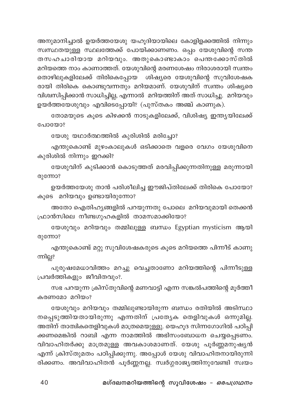അനുമാനിച്ചാൽ ഉയർത്തയേശു യഹൂദിയായിലെ കോളിളക്കത്തിൽ നിന്നും സ്വസ്ഥതയുള്ള സ്ഥലത്തേക്ക് പോയിക്കാണണം. ഒപ്പം യേശുവിന്റെ സന്ത തസഹചാരിയായ മറിയവും. അതുകൊണ്ടാകാം പെന്തക്കോസ്തിൽ മറിയത്തെ നാം കാണാത്തത്. യേശുവിന്റെ മരണശേഷം നിരാശരായി സ്ഥതം തൊഴിലുകളിലേക്ക് തിരികെപ്പോയ ശിഷ്യരെ യേശുവിന്റെ സുവിശേഷക രായി തിരികെ കൊണ്ടുവന്നതും മറിയമാണ്. യേശുവിന് സ്ഥതം ശിഷ്യരെ വിശ്വസിപ്പിക്കാൻ സാധിച്ചില്ല, എന്നാൽ മറിയത്തിന് അത് സാധിച്ചു. മറിയവും ഉയർത്തയേശുവും എവിടെപ്പോയി? (പുസ്തകം അഞ്ച് കാണുക).

തോമയുടെ കൂടെ കിഴക്കൻ നാടുകളിലേക്ക്, വിശിഷ്യ ഇന്ത്യയിലേക്ക് പോയോ?

യേശു യഥാർത്ഥത്തിൽ കുരിശിൽ മരിച്ചോ?

എന്തുകൊണ്ട് മുഴംകാലുകൾ ഒടിക്കാതെ വളരെ വേഗം യേശുവിനെ കുരിശിൽ നിന്നും ഇറക്കി?

യേശുവിന് കുടിക്കാൻ കൊടുത്തത് മരവിപ്പിക്കുന്നതിനുള്ള മരുന്നായി രുന്നോ?

ഉയർത്തയേശു താൻ പരിശീലിച്ച ഈജിപ്തിലേക്ക് തിരികെ പോയോ? കുടെ മറിയവും ഉണ്ടായിരുന്നോ?

അതോ ഐതിഹ്യങ്ങളിൽ പറയുന്നതു പോലെ മറിയവുമായി തെക്കൻ ഫ്രാൻസിലെ നീണ്ടഗുഹകളിൽ താമസമാക്കിയോ?

യേശുവും മറിയവും തമ്മിലുള്ള ബന്ധം Egyptian mysticism ആയി രുന്നോ?

എന്തുകൊണ്ട് മറ്റു സുവിശേഷകരുടെ കൂടെ മറിയത്തെ പിന്നീട് കാണു ന്നില്ല?

പുരുഷമേധാവിത്തം മറച്ചു വെച്ചതാണോ മറിയത്തിന്റെ പിന്നീടുള്ള പ്രവർത്തികളും ജീവിതവും?.

സഭ പറയുന്ന ക്രിസ്തുവിന്റെ മണവാട്ടി എന്ന സങ്കൽപത്തിന്റെ മൂർത്തീ കരണമോ മറിയം?

യേശുവും മറിയവും തമ്മിലുണ്ടായിരുന്ന ബന്ധം രതിയിൽ അടിസ്ഥാ നപ്പെടുത്തിയതായിരുന്നു എന്നതിന് പ്രത്യേക തെളിവുകൾ ഒന്നുമില്ല. അതിന് താത്വികതെളിവുകൾ മാത്രമെയുള്ളു. യെഹൂദ സിന്നഗോഗിൽ പഠിപ്പി ക്കണമെങ്കിൽ റാബി എന്ന നാമത്തിൽ അഭിസംബോധന ചെയ്യപ്പെടണം. വിവാഹിതർക്കു മാത്രമുള്ള അവകാശമാണത്. യേശു പൂർണ്ണമനുഷ്യൻ എന്ന് ക്രിസ്തുമതം പഠിപ്പിക്കുന്നു. അപ്പോൾ യേശു വിവാഹിതനായിരുന്നി രിക്കണം. അവിവാഹിതൻ പൂർണ്ണനല്ല. സ്വർഗ്ഗരാജ്യത്തിനുവേണ്ടി സ്വയം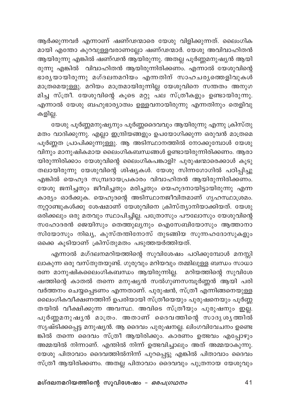ആർക്കുന്നവർ എന്നാണ് ഷണ്ഢന്മാരെ യേശു വിളിക്കുന്നത്. ലൈംഗിക മായി എന്തോ കുറവുള്ളവരാണല്ലോ ഷണ്ഢന്മാർ. യേശു അവിവാഹിതൻ .<br>ആയിരുന്നു എങ്കിൽ ഷണ്ഢൻ ആ്യിരുന്നു. അതല്ല പൂർണ്ണമനുഷ്യൻ ആയി രുന്നു എങ്കിൽ വിവാഹിതൻ ആയിരുന്നിരിക്കണം. എന്നാൽ യേശുവിന്റെ ഭാരൃയായിരുന്നു മഗ്ദലനമറിയം എന്നതിന് സാഹചരൃത്തെളിവുകൾ മാത്രമെയുള്ളു. മറിയം മാത്രമായിരുന്നില്ല യേശുവിനെ സന്തതം അനുഗ .<br>മിച്ച സ്ത്രീ. യേശുവിന്റെ കൂടെ മറ്റു പല സ്ത്രീകളും ഉണ്ടായിരുന്നു. എന്നാൽ യേശു ബഹുഭാര്യാത്വം ഉള്ളവനായിരുന്നു എന്നതിനും തെളിവു കളില്ല.

യേശു പൂർണ്ണമനുഷ്യനും പൂർണ്ണദൈവവും ആയിരുന്നു എന്നു ക്രിസ്തു മതം വാദിക്കുന്നു. എല്ലാ ഇന്ദ്രിയങ്ങളും ഉപയോഗിക്കുന്ന ഒരുവൻ മാത്രമെ പൂർണ്ണത പ്രാപിക്കുന്നുള്ളു. ആ അടിസ്ഥാനത്തിൽ നോക്കുമ്പോൾ യേശു വിനും മാനുഷികമായ ലൈംഗികബന്ധങ്ങൾ ഉണ്ടായിരുന്നിരിക്കണം. ആരാ യിരുന്നിരിക്കാം യേശുവിന്റെ ലൈംഗികപങ്കാളി? പുരുഷന്മാരെക്കാൾ കൂടു തലായിരുന്നു യേശുവിന്റെ<sup>്</sup>ശിഷ്യകൾ. യേശു സിന്നഗോഗിൽ പഠിപ്പിച്ചു എങ്കിൽ യെഹുദ സമ്പ്രദായപ്രകാരം വിവാഹിതൻ ആയിരുന്നിരിക്കണം. യേശു ജനിച്ചതും ജീവിച്ചതും മരിച്ചതും യെഹൂദനായിട്ടായിരുന്നു എന്ന .<br>കാര്യം ഓർക്കുക. യെഹൂദന്റെ അടിസ്ഥാനജീവിതമാണ് ഗൃഹസ്ഥാശ്രമം. നൂറ്റാണ്ടുകൾക്കു ശേഷമാണ് യേശുവിനെ ക്രിസ്ത്യാനിയാക്കിയത്. യേശു ം.<br>ഒരിക്കലും ഒരു മതവും സ്ഥാപിച്ചില്ല. പത്രോസും പൗലോസും യേശുവിന്റെ സഹോദരൻ ജെയിസും തെത്തുല്യനും ഐസേബിയോസും ആത്താനാ സിയോസും നിഖ്യ, കുസ്തന്തിനോസ് തുടങ്ങിയ സുന്നഹദോസുകളും ഒക്കെ കൂടിയാണ് ക്രിസ്തുമതം പടുത്തയർത്തിയത്.

എന്നാൽ മഗ്ദലനമറിയത്തിന്റെ സുവിശേഷം പഠിക്കുമ്പോൾ മനസ്സി ലാകുന്ന ഒരു വസ്തുതയുണ്ട്. ഗുരുവും മറിയവും തമ്മിലുള്ള ബന്ധം സാധാ രണ മാനുഷികലൈംഗികബന്ധം ആയിരുന്നില്ല. മറിയത്തിന്റെ സുവിശേ ഷത്തിന്റെ കാതൽ തന്നെ മനുഷ്യൻ സൽഗുണസമ്പൂർണ്ണൻ ആയി പരി വർത്തനം ചെയ്യപ്പെടണം എന്നതാണ്. പുരുഷൻ, സ്ത്രീ എന്നിങ്ങനെയുള്ള ലൈംഗികവീക്ഷണത്തിന് ഉപരിയായി സ്ത്രീയെയും പുരുഷനെയും പൂർണ്ണ തയിൽ വീക്ഷിക്കുന്ന അവസ്ഥ. അവിടെ സ്ത്രീയും പുരുഷനും ഇല്ല. .<br>പൂർണ്ണമനുഷൃൻ മാത്രം. അതാണ് ദൈവത്തിന്റെ സാദൃശൃത്തിൽ സൃഷ്ടിക്കപ്പെട്ട മനുഷ്യൻ. ആ ദൈവം പുരുഷനല്ല. ലിംഗവിവേചനം ഉണ്ടെ ങ്കിൽ തന്നെ ദൈവം സ്ത്രീ ആയിരിക്കും. കാരണം ഉത്ഭവം എപ്പോഴും അമ്മയിൽ നിന്നാണ്. എന്തിൽ നിന്ന് ഉത്ഭവിച്ചാലും അത് അമ്മയാകുന്നു. യേശു പിതാവാം ദൈവത്തിൽനിന്ന് പുറപ്പെട്ടു എങ്കിൽ പിതാവാം ദൈവം സ്ത്രീ ആയിരിക്കണം. അതല്ല പിതാവാം ദൈവവും പുത്രനായ യേശുവും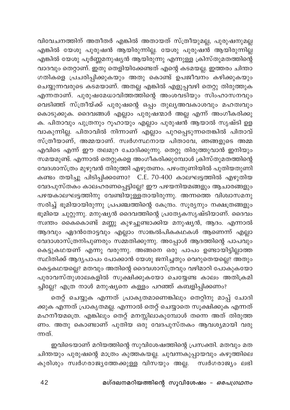വിവേചനത്തിന് അതീതർ എങ്കിൽ അതായത് സ്ത്രീയുമല്ല, പുരുഷനുമല്ല എങ്കിൽ യേശു പുരുഷൻ ആയിരുന്നില്ല. യേശു പുരുഷൻ ആയിരുന്നില്ല എങ്കിൽ യേശു പൂർണ്ണമനുഷ്യൻ ആയിരുന്നു എന്നുള്ള ക്രിസ്തുമതത്തിന്റെ വാദവും തെറ്റാണ്. ഇതു തെളിയിക്കേണ്ടത് എന്റെ കടമയല്ല. ഇത്തരം ചിന്താ ഗതികളെ പ്രചരിപ്പിക്കുകയും അതു കൊണ്ട് ഉപജീവനം കഴിക്കുകയും ചെയ്യുന്നവരുടെ കടമയാണ്. അതല്ല എങ്കിൽ എളുപ്പവഴി തെറ്റു തിരുത്തുക എന്നതാണ്. പുരുഷമേധാവിത്തത്തിന്റെ അംശവടിയും സിംഹാസനവും കൊടുക്കുക. ദൈവങ്ങൾ എല്ലാം പുരുഷന്മാർ അല്ല എന്ന് അംഗീകരിക്കു ക. പിതാവും പുത്രനും റൂഹായും എല്ലാം പുരുഷൻ ആയാൽ സൃഷ്ടി ഉള വാകുന്നില്ല. പിതാവിൽ നിന്നാണ് എല്ലാം പുറപ്പെടുന്നതെങ്കിൽ പിതാവ് .<br>സ്ത്രീയാണ്, അമ്മയാണ്. സ്വർഗസ്ഥനായ പിതാവേ, ഞങ്ങളുടെ അമ്മ എവിടെ എന്ന് ഈ തലമുറ ചോദിക്കുന്നു. തെറ്റു തിരുത്തുവാൻ ഇനിയും സമയമുണ്ട്. എന്നാൽ തെറ്റുകളെ അംഗീകരിക്കുമ്പോൾ ക്രിസ്തുമതത്തിന്റെ വേദശാസ്ത്രം മുഴുവൻ തിരുത്തി എഴുതണം. പഴംതുണിയിൽ പുതിയതുണി .<br>കണ്ടം തയിച്ചു പിടിപ്പിക്കണോ? C.E. 70-400 കാലഘട്ടത്തിൽ എഴുതിയ വേദപുസ്തകം കാലഹരണപ്പെട്ടില്ലേ? ഈ പഴയനിയമങ്ങളും ആചാരങ്ങളും പഴയകാലഘട്ടത്തിനു വേണ്ടിയുള്ളതായിരുന്നു. അന്നത്തെ വിശ്വാസമനു സരിച്ച് ഭൂമിയായിരുന്നു പ്രപഞ്ചത്തിന്റെ കേന്ദ്രം. സൂര്യനും നക്ഷത്രങ്ങളും ഭൂമിയെ ചുറ്റുന്നു. മനുഷ്യൻ ദൈവത്തിന്റെ പ്രത്യേകസൃഷ്ടിയാണ്. ദൈവം സ്വന്തം കൈകൊണ്ട് മണ്ണു കുഴച്ചുണ്ടാക്കിയ മനുഷ്യൻ, ആദം. എന്നാൽ ആദവും ഏദൻതോട്ടവും എല്ലാം സാങ്കൽപികകഥകൾ ആണെന്ന് എല്ലാ വേദാശാസ്ത്രനിപുണരും സമ്മതിക്കുന്നു. അപ്പോൾ ആദത്തിന്റെ പാപവും കെട്ടുകഥയണ് എന്നു വരുന്നു. അങ്ങനെ ഒരു പാപം ഉണ്ടായിട്ടില്ലാത്ത സ്ഥിതിക്ക് ആദ്യപാപം പോക്കാൻ യേശു ജനിച്ചതും വെറുതെയല്ലെ? അതും കെട്ടകഥയല്ലെ? മതവും അതിന്റെ ദൈവശാസ്ത്രവും വഴിമാറി പോകുകയോ പുരാവസ്തുശാലകളിൽ സൂക്ഷിക്കുകയോ ചെയ്യേണ്ട കാലം അതിക്രമി ച്ചില്ലേ? എത്ര നാൾ മനുഷ്യനെ കള്ളം പറഞ്ഞ് കബളിപ്പിക്കണം?

തെറ്റ് ചെയ്യുക എന്നത് പ്രാകൃതമാണെങ്കിലും തെറ്റിനു മാപ്പ് ചോദി ക്കുക എന്നത് പ്രാകൃതമല്ല. എന്നാൽ തെറ്റ് ചെയ്യാതെ സൂക്ഷിക്കുക എന്നത് മഹനീയമത്രെ. എങ്കിലും തെറ്റ് മനസ്സിലാകുമ്പോൾ തന്നെ അത് തിരുത്ത ണം. അതു കൊണ്ടാണ് പുതിയ ഒരു വേദപുസ്തകം ആവശ്യമായി വരു ന്നത്.

ഇവിടെയാണ് മറിയത്തിന്റെ സുവിശേഷത്തിന്റെ പ്രസക്തി. മതവും മത ചിന്തയും പുരുഷന്റെ മാത്രം കുത്തകയല്ല. ചുവന്നകുപ്പായവും കഴുത്തിലെ കുരിശും സ്വർഗരാജ്യത്തേക്കുള്ള വിസയും അല്ല. സ്വർഗരാജ്യം ലഭി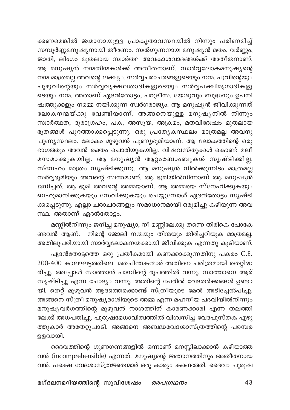ക്കണമെങ്കിൽ ജന്മാനായുള്ള പ്രാകൃതാവസ്ഥയിൽ നിന്നും പരിണമിച്ച് സമ്പൂർണ്ണമനുഷ്യനായി തീരണം. സൽഗുണനായ മനുഷ്യൻ മതം, വർണ്ണം, ജാതി, ലിംഗം മുതലായ സ്വാർത്ഥ അവകാശവാദങ്ങൾക്ക് അതീതനാണ്. ആ മനുഷ്യൻ നന്മതിന്മകൾക്ക് അതീതനാണ്. സാർവ്വലോകമനുഷ്യന്റെ നന്മ മാത്രമല്ല അവന്റെ ലക്ഷ്യം. സർവ്വചരാചരങ്ങളുടെയും നന്മ. പൂവിന്റെയും പുഴുവിന്റെയും സർവ്വവൃക്ഷലതാദികളുടെയും സർവ്വപക്ഷിമൃഗാദികളു ടെയും നന്മ. അതാണ് ഏദൻതോട്ടം, പറുദീസ. യേശുവും ബുദ്ധനും ഉപനി ഷത്തുക്കളും നമ്മെ നയിക്കുന്ന സ്വർഗരാജ്യം. ആ മനുഷ്യൻ ജീവിക്കുന്നത് .<br>ലോകനന്മയ്ക്കു വേണ്ടിയാണ്. അങ്ങനെയുള്ള മനുഷ്യനിൽ നിന്നും സ്വാർത്ഥത, ദുരാഗ്രഹം, പക, അസൂയ, അക്രമം, മതവിദ്വേഷം മുതലായ ഭൂതങ്ങൾ പുറത്താക്കപ്പെടുന്നു. ഒരു പ്രത്യേകസ്ഥലം മാത്രമല്ല അവനു പുണ്യസ്ഥലം. ലോകം മുഴുവൻ പുണ്യഭൂമിയാണ്. ആ ലോകത്തിന്റെ ഒരു ഭാഗത്തും അവൻ രക്തം ചൊരിയുകയില്ല. വിഷവസ്തുക്കൾ കൊണ്ട് മലീ മസമാക്കുകയില്ല. ആ മനുഷൃൻ ആറ്റംബോംബുകൾ സൃഷ്ടിക്കില്ല. സ്നേഹം മാത്രം സൃഷ്ടിക്കുന്നു. ആ മനുഷ്യൻ നിൽക്കുന്നിടം മാത്രമല്ല സർവ്വഭൂമിയും അവന്റെ സ്വന്തമാണ്. ആ ഭൂമിയിൽനിന്നാണ് ആ മനുഷ്യൻ ജനിച്ചത്. ആ ഭൂമി അവന്റെ അമ്മയാണ്. ആ അമ്മയെ സ്നേഹിക്കുകയും ബഹുമാനിക്കുകയും സേവിക്കുകയും ചെയ്യുമ്പോൾ് ഏദൻതോട്ടം സൃഷ്ടി ക്കപ്പെടുന്നു. എല്ലാ ചരാചരങ്ങളും സമാധാനമായി ഒരുമിച്ചു കഴിയുന്ന അവ സ്ഥ. അതാണ് ഏദൻതോട്ടം.

മണ്ണിൽനിന്നും ജനിച്ച മനുഷ്യാ, നീ മണ്ണിലേക്കു തന്നെ തിരികെ പോകേ ണ്ടവൻ ആണ്. നിന്റെ ജോലി നന്മയും തിന്മയും തിരിച്ചറിയുക മാത്രമല്ല. അതിലുപരിയായി സാർവ്വലോകനന്മക്കായി ജീവിക്കുക എന്നതു കൂടിയാണ്.

ഏദൻതോട്ടത്തെ ഒരു പ്രതീകമായി കണക്കാക്കുന്നതിനു പകരം C.E. 200-400 കാലഘട്ടത്തിലെ മതചിന്തകന്മാർ അതിനെ ചരിത്രമായി തെറ്റിദ്ധ രിച്ചു. അപ്പോൾ സാത്താൻ പാമ്പിന്റെ രൂപത്തിൽ വന്നു. സാത്താനെ ആര് സൃഷ്ടിച്ചു എന്ന ചോദ്യം വന്നു. അതിന്റെ പേരിൽ വേദതർക്കങ്ങൾ ഉണ്ടാ യി. തെറ്റ് മുഴുവൻ ആദത്തെക്കൊണ്ട് സ്ത്രീയുടെ മേൽ അടിച്ചേൽപിച്ചു. അങ്ങനെ സ്ത്രീ മനുഷ്യരാശിയുടെ അമ്മ എന്ന മഹനീയ പദവിയിൽനിന്നും മനുഷ്യവർഗത്തിന്റെ മുഴുവൻ നാശത്തിന് കാരണക്കാരി എന്ന തലത്തി ലേക്ക് അധപതിച്ചു. പുരുഷമേധാവിത്വത്തിൽ വിശ്വസിച്ച വേദപുസ്തക എഴു ത്തുകാർ അതേറ്റുപാടി. അങ്ങനെ അബദ്ധവേദശാസ്ത്രത്തിന്റെ പരമ്പര ഉളവായി.

ദൈവത്തിന്റെ ഗുണഗണങ്ങളിൽ ഒന്നാണ് മനസ്സിലാക്കാൻ കഴിയാത്ത വൻ (incomprehensible) എന്നത്. മനുഷ്യന്റെ ജ്ഞാനത്തിനും അതീതനായ വൻ. പക്ഷെ വേദശാസ്ത്രജ്ഞന്മാർ ഒരു കാര്യം കണ്ടെത്തി. ദൈവം പുരുഷ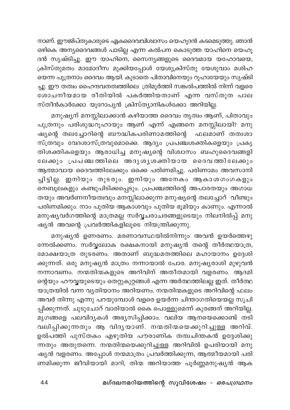നാണ്. ഈജിപ്തുകാരുടെ ഏകദൈവവിശ്വാസം യെഹൂദൻ കടമെടുത്തു. ഞാൻ ഒഴികെ അന്യദൈവങ്ങൾ പാടില്ല എന്ന കൽപന കൊടുത്ത യാഹിനെ യെഹൂ ദൻ സൃഷ്ടിച്ചു. ഈ യാഹിനെ, സൈന്യങ്ങളുടെ ദൈവമായ യഹോവയെ, ക്രിസ്തുമതം മാമോദീസ മുക്കിയപ്പോൾ യേശുക്രിസ്തു യേശുവാം മശിഹ യെന്ന പുത്രനാം ദൈവം ആയി. കൂടാതെ പിതാവിനെയും റൂഹായേയും സൃഷ്ടി ച്ചു. ഈ തത്വം ഹൈന്ദവതത്വത്തിലെ ത്രിമൂർത്തി സങ്കൽപത്തിൽ നിന്ന് വളരെ ശോചനീയമായ രീതിയിൽ പകർത്തിയതാണ് എന്ന വസ്തുത പാല സ്തീൻകാർക്കോ യൂറോപ്യൻ ക്രിസ്ത്യാനികൾക്കോ അറിയില്ല.

മനുഷ്യന് മനസ്സിലാക്കാൻ കഴിയാത്ത ദൈവം തൃത്വം ആണ്, പിതാവും പുത്രനും പരിശുദ്ധറൂഹായും ആണ് എന്ന് എങ്ങനെ മനസ്സിലായി? മനു ഷ്യന്റെ തലച്ചോറിന്റെ ബൗദ്ധികപരിണാമത്തിന്റെ ഫലമാണ് തത്വശാ സ്ത്രവും വേദശാസ്ത്രവുമൊക്കെ. ആദ്യം പ്രപഞ്ചശക്തികളെയും പ്രകൃ തിശക്തികളെയും ആരാധിച്ച മനുഷ്യന്റെ വിശ്വാസം ബഹുദൈവങ്ങളി ലേക്കും പ്രപഞ്ചത്തിലെ അദൃശൃശക്തിയായ ദൈവത്തിലേക്കും ആത്മാവായ ദൈവത്തിലേക്കും ഒക്കെ പരിണമിച്ചു. പരിണാമം അവസാനി ച്ചിട്ടില്ല. ഇനിയും തുടരും. ഇനിയും അനേകം ആകാശഗംഗകളും നെബൂലകളും കണ്ടുപിടിക്കപ്പെടും. പ്രപഞ്ചത്തിന്റെ അപാരതയും അഗാധ തയും അവർണനീയത്വവും മനസ്സിലാക്കുന്ന മനുഷ്യന്റെ തലച്ചോറ് വീണ്ടും പരിണമിക്കും. നാം പുതിയ ആകാശവും പുതിയ ഭൂമിയും കാണും. എന്നാൽ മനുഷ്യവർഗത്തിന്റെ മാത്രമല്ല സർവ്വചരാചരങ്ങളുടെയും നിലനിൽപ്പ് മനു ഷ്യൻ അവന്റെ പ്രവർത്തികളിലൂടെ നിയന്ത്രിക്കുന്നു.

മനുഷ്യൻ ഉണരണം. മരണാവസ്ഥയിൽനിന്നും അവൻ ഉയർത്തെഴു .<br>നേൽക്കണം. സർവ്വലോക രക്ഷകനായി മനുഷ്യൻ തന്റെ തീർത്ഥയാത്ര, മോക്ഷയാത്ര തുടരണം. അതാണ് ബുദ്ധമതത്തിലെ മഹായാനം ഉദ്ദേശി ക്കുന്നത്. ഒരു മനുഷ്യൻ മാത്രം നന്നായാൽ പോര. മനുഷ്യരാശി മുഴുവൻ നന്നാവണം. നന്മതിന്മകളുടെ അറിവിന് അതീതമായി വളരണം. ആദമി ന്റെയും ഹൗവ്വയുടെയും തെറ്റുകുറ്റങ്ങൾ എന്ന അർത്ഥത്തിലല്ല ഇത്. തീർത്ഥ യാത്രയിൽ വന്ന വ്യതിയാനം അറിയണം. നന്മതിന്മകളുടെ അറിവിന്റെ ഫലം അവർ തിന്നു എന്നു പറയുമ്പോൾ വളരെ ഉയർന്ന ചിന്താഗതിയെയല്ല സൂചി പ്പിക്കുന്നത്. ചുടുചോറ് വാരിയാൽ കൈ പൊള്ളുമെന്ന് കുരങ്ങന് അറിയില്ല. \_\_<br>മൃഗങ്ങളെ പലവിദൃകൾ അഭ്യസിപ്പിക്കാം. വലിയ ആനയെക്കൊണ്ട് തടി വലിപ്പിക്കുന്നതും ആ വിദൃയാണ്. നന്മതിന്മയെക്കുറിച്ചുള്ള അറിവ്. ഉൽപത്തി പുസ്തകം എഴുതിയ പൗരാണിക തത്വചിന്തകൻ ഉദ്ദേശിക്കു ന്നതും അതുതന്നെ. നന്മതിന്മയെക്കുറിച്ചുള്ള അറിവിൽ ഉപരിയായി മനു ഷ്യൻ വളരണം. അപ്പോൾ നന്മമാത്രം പ്രവർത്തിക്കുന്ന, ആത്മീയമായി പരി ണമിക്കുന്ന ജീവിയായി മാറി, തിന്മ അറിയാത്ത പൂർണ്ണമനുഷ്യൻ ആക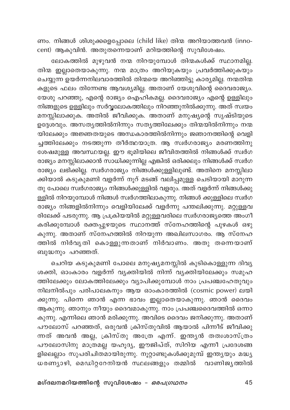ണം. നിങ്ങൾ ശിശുക്കളെപ്പോലെ (child like) തിന്മ അറിയാത്തവൻ (innocent) ആകുവിൻ. അതുതന്നെയാണ് മറിയത്തിന്റെ സുവിശേഷം.

ലോകത്തിൽ മുഴുവൻ നന്മ നിറയുമ്പോൾ തിന്മകൾക്ക് സ്ഥാനമില്ല. തിന്മ ഇല്ലാതെയാകുന്നു. നന്മ മാത്രം അറിയുകയും പ്രവർത്തിക്കുകയും ചെയ്യുന്ന ഉയർന്നനിലവാരത്തിൽ തിന്മയെ അറിഞ്ഞിട്ടു കാര്യമില്ല. നന്മതിന്മ കളുടെ ഫലം തിന്നേണ്ട ആവശ്യമില്ല. അതാണ് യേശുവിന്റെ ദൈവരാജ്യം. യേശു പറഞ്ഞു, എന്റെ രാജ്യം ഐഹികമല്ല. ദൈവരാജ്യം എന്റെ ഉള്ളിലും നിങ്ങളുടെ ഉള്ളിലും സർവ്വലോകത്തിലും നിറഞ്ഞുനിൽക്കുന്നു. അത് സ്വയം മനസ്സിലാക്കുക. അതിൽ ജീവിക്കുക. അതാണ് മനുഷ്യന്റെ സൃഷ്ടിയുടെ ഉദ്ദേശവും. അസതൃത്തിൽനിന്നും സതൃത്തിലേക്കും തിന്മയിൽനിന്നും നന്മ യിലേക്കും അജ്ഞതയുടെ അന്ധകാരത്തിൽനിന്നും ജഞാനത്തിന്റെ വെളി ച്ചത്തിലേക്കും നടത്തുന്ന തീർത്ഥയാത്ര. ആ സ്വർഗരാജ്യം മരണത്തിനു ശേഷമുള്ള അവസ്ഥയല്ല. ഈ ഭൂമിയിലെ ജീവിതത്തിൽ നിങ്ങൾക്ക് സ്വർഗ രാജ്യം മനസ്സിലാക്കാൻ സാധിക്കുന്നില്ല എങ്കിൽ ഒരിക്കലും നിങ്ങൾക്ക് സ്വർഗ രാജ്യം ലഭിക്കില്ല. സ്വർഗരാജ്യം നിങ്ങൾക്കുള്ളിലുണ്ട്. അതിനെ മനസ്സിലാ .<br>ക്കിയാൽ കടുകുമണി വളർന്ന് നൂറ് മടങ്ങ് വലിപ്പമുള്ള ചെടിയായി മാറുന്ന തു പോലെ സ്വർഗരാജ്യം നിങ്ങൾക്കുള്ളിൽ വളരും. അത് വളർന്ന് നിങ്ങൾക്കു ള്ളിൽ നിറയുമ്പോൾ നിങ്ങൾ സ്വർഗത്തിലാകുന്നു. നിങ്ങൾ ക്കുള്ളിലെ സ്വർഗ രാജ്യം നിങ്ങളിൽനിന്നും വെളിയിലേക്ക് വളർന്നു പന്തലിക്കുന്നു. മറ്റുള്ളവ രിലേക്ക് പടരുന്നു. ആ പ്രക്രിയയിൽ മറ്റുള്ളവരിലെ സ്ഥർഗരാജ്യത്തെ അംഗീ കരിക്കുമ്പോൾ രക്തപ്പുഴയുടെ സ്ഥാനത്ത് സ്നേഹത്തിന്റെ പുഴകൾ ഒഴു കുന്നു. അതാണ് സ്നേഹത്തിൽ നിറയുന്ന അഖിലസാഗരം. ആ സ്നേഹ ത്തിൽ നിർവൃതി കൊള്ളുന്നതാണ് നിർവാണം. അതു തന്നെയാണ് ബുദ്ധനും പറഞ്ഞത്.

ചെറിയ കടുകുമണി പോലെ മനുഷ്യമനസ്സിൽ കുടികൊള്ളുന്ന ദിവ്യ ശക്തി, ഓംകാരം വളർന്ന് വ്യക്തിയിൽ നിന്ന് വ്യക്തിയിലേക്കും സമൂഹ ത്തിലേക്കും ലോകത്തിലേക്കും വ്യാപിക്കുമ്പോൾ നാം പ്രപഞ്ചഹേതുവും നിലനിൽപും പരിപാലകനും ആയ ഓംകാരത്തിൽ (cosmic power) ലയി ക്കുന്നു. പിന്നെ ഞാൻ എന്ന ഭാവം ഇല്ലാതെയാകുന്നു. ഞാൻ ദൈവം ആകുന്നു. ഞാനും നീയും ദൈവമാകുന്നു. നാം പ്രപഞ്ചദൈവത്തിൽ ഒന്നാ കുന്നു. എന്നിലെ ഞാൻ മരിക്കുന്നു. അവിടെ ദൈവം ജനിക്കുന്നു. അതാണ് പൗലോസ് പറഞ്ഞത്, ഒരുവൻ ക്രിസ്തുവിൽ ആയാൽ പിന്നീട് ജീവിക്കു ന്നത് അവൻ അല്ല, ക്രിസ്തു അത്രേ എന്ന്. ഇന്ത്യൻ തത്വശാസ്ത്രം പൗലോസിനു മാത്രമല്ല യഹൂദ്യ, ഈജിപ്ത്, സിറിയ എന്നീ പ്രദേശങ്ങ ളിലെല്ലാം സുപരിചിതമായിരുന്നു. നൂറ്റാണ്ടുകൾക്കുമുമ്പ് ഇന്ത്യയും മദ്ധ്യ ധരണ്യാഴി, മെഡിറ്ററേനിയൻ സ്ഥലങ്ങളും തമ്മിൽ വാണിജ്യത്തിൽ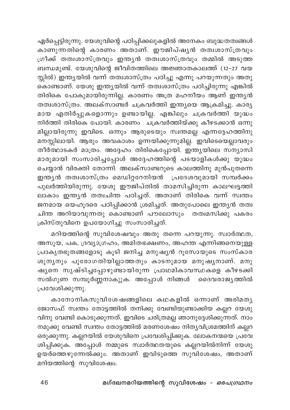ഏർപ്പെട്ടിരുന്നു. യേശുവിന്റെ പഠിപ്പിക്കലുകളിൽ അനേകം ബുദ്ധതത്വങ്ങൾ കാണുന്നതിന്റെ കാരണം അതാണ്. ഈജിപ്ഷൃൻ തത്വശാസ്ത്രവും .<br>ഗ്രീക്ക് തത്വശാസ്ത്രവും ഇന്ത്യൻ തത്വശാസ്ത്രവും തമ്മിൽ അടുത്ത ബന്ധമുണ്ട്. യേശുവിന്റെ ജീവിതത്തിലെ അജ്ഞാതകാലത്ത് (12-27 വയ സ്സിൽ) ഇന്ത്യയിൽ വന്ന് തത്വശാസ്ത്രം പഠിച്ചു എന്നു പറയുന്നതും അതു ം.<br>കൊണ്ടാണ്. യേശു ഇന്ത്യയിൽ വന്ന് തത്വശാസ്ത്രം പഠിച്ചിരുന്നു എങ്കിൽ തിരികെ പോകുമായിരുന്നില്ല. കാരണം അത്ര മഹനീയം ആണ് ഇന്ത്യൻ തത്വശാസ്ത്രം. അലക്സാണ്ടർ ചക്രവർത്തി ഇന്ത്യയെ ആക്രമിച്ചു. കാര്യ മായ എതിർപ്പുകളൊന്നും ഉണ്ടായില്ല. എങ്കിലും ചക്രവർത്തി യുദ്ധം നിർത്തി തിരികെ പോയി. കാരണം ചക്രവർത്തിയ്ക്കു കീഴടക്കാൻ ഒന്നു മില്ലായിരുന്നു ഇവിടെ. ഒന്നും ആരുടെയും സ്വന്തമല്ല എന്നദ്ദേഹത്തിനു മനസ്സിലായി. ആരും അവകാശം ഉന്നയിക്കുന്നുമില്ല. ഇവിടെയെല്ലാവരും തീർത്ഥാടകർ മാത്രം. അദ്ദേഹം തിരികെപ്പോയി. ഇന്ത്യയിലെ സന്യാസി മാരുമായി സംസാരിച്ചപ്പോൾ അദ്ദേഹത്തിന്റെ പടയാളികൾക്കു യുദ്ധം ചെയ്യാൻ വിരക്തി തോന്നി. അലക്സാണ്ടറുടെ കാലത്തിനു മുൻപുതന്നെ ഇന്ത്യൻ തത്വശാസ്ത്രം മെഡിറ്ററേനിയൻ പ്രദേശവുമായി സമ്പർക്കം പുലർത്തിയിരുന്നു. യേശു ഈജിപ്തിൽ താമസിച്ചിരുന്ന കാലഘട്ടത്തി ലാകാം ഇന്തൃൻ തത്വചിന്ത പഠിച്ചത്. അതാണ് തിരികെ വന്ന് സ്വന്തം ജനമായ യെഹൂദരെ പഠിപ്പിക്കാൻ ശ്രമിച്ചത്. അതുപോലെ ഇന്ത്യൻ തത്വ ചിന്ത അറിയാവുന്നതു കൊണ്ടാണ് പൗലോസും തത്വമസിക്കു പകരം ക്രിസ്തുവിനെ ഉപയോഗിച്ചു സംസാരിച്ചത്.

മറിയത്തിന്റെ സുവിശേഷവും അതു തന്നെ പറയുന്നു. സ്വാർത്ഥത, അസൂയ, പക, ദ്രവ്യാഗ്രഹം, അമിതഭക്ഷണം, അഹന്ത എന്നിങ്ങനെയുള്ള പ്രാകൃതഭൂതങ്ങളോടു കൂടി ജനിച്ച മനുഷ്യൻ റൂസോയുടെ സംസ്കാര ശൂന്യനും പുരോഗതിയില്ലാത്തതും കാടനുമായ മനുഷ്യനാണ്. മനു .<br>ഷ്യനെ സൃഷ്ടിച്ചപ്പോഴുണ്ടായിരുന്ന പ്രാഥമികാവസ്ഥകളെ കീഴടക്കി സൽഗുണ സമ്പൂർണ്ണനാകുുക. അപ്പോൾ നിങ്ങൾ ദൈവരാജ്യത്തിൽ പ്രവേശിക്കുന്നു.

കാനോനികസുവിശേഷങ്ങളിലെ കഥകളിൽ ഒന്നാണ് അരിമതൃ ജോസഫ് സ്ഥതം തോട്ടത്തിൽ തനിക്കു വേണ്ടിയുണ്ടാക്കിയ കല്ലറ യേശു വിനു വേണ്ടി കൊടുക്കുന്നത്. ഇവിടെ ചരിത്രമല്ല ഞാനുദ്ദേശിക്കുന്നത്. നാം നമുക്കു വേണ്ടി സ്ഥതം തോട്ടത്തിൽ മരണശേഷം നിത്യവിശ്രമത്തിന് കല്ലറ ഒരുക്കുന്നു. കല്ലറയിൽ യേശുവിനെ പ്രവേശിപ്പിക്കുക. ലോകനന്മയെ പ്രവേ ശിപ്പിക്കുക. അപ്പോൾ നമ്മുടെ സ്വാർത്ഥതയുടെ കല്ലറയിൽനിന്ന് യേശു ഉയർത്തെഴുന്നേൽക്കും. അതാണ് ഇവിടുത്തെ സുവിശേഷം, അതാണ് മറിയത്തിന്റെ സുവിശേഷം.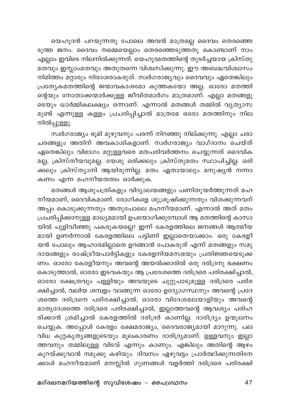യെഹൂദൻ പറയുന്നതു പോലെ അവൻ മാത്രമല്ല ദൈവം തെരഞ്ഞെ ടുത്ത ജനം. ദൈവം നമ്മെയെല്ലാം തെരഞ്ഞെടുത്തതു കൊണ്ടാണ് നാം എല്ലാം ഇവിടെ നിലനിൽക്കുന്നത്. യെഹൂദമതത്തിന്റെ തുടർച്ചയായ ക്രിസ്തു മതവും ഇസ്ലാംമതവും അതുതന്നെ വിശ്വസിക്കുന്നു. ഈ അബദ്ധവിശ്വാസം നിമിത്തം മറ്റാരും നിരാശരാകരുത്. സ്വർഗരാജ്യവും ദൈവവും ഏതെങ്കിലും പ്രത്യേകമതത്തിന്റെ ജന്മാവകാശമോ കുത്തകയോ അല്ല. ഓരോ മതത്തി ന്റെയും നോതാക്കന്മാർക്കുള്ള ജീവിതമാർഗം മാത്രമാണ്. എല്ലാ മതങ്ങളു ടെയും ധാർമ്മികലക്ഷ്യം ഒന്നാണ്. എന്നാൽ മതങ്ങൾ തമ്മിൽ വൃത്യാസ മുണ്ട് എന്നുള്ള കള്ളം പ്രചരിപ്പിച്ചാൽ മാത്രമേ ഒരോ മതത്തിനും നില നിൽപ്പുള്ളു.

സ്വർഗരാജ്യം ഭൂമി മുഴുവനും പരന്ന് നിറഞ്ഞു നില്ക്കുന്നു. എല്ലാ ചരാ ചരങ്ങളും അതിന് അവകാശികളാണ്. സ്വർഗരാജ്യം വാഗ്ദാനം ചെയ്ത് ഏതെങ്കിലും വിഭാഗം മറ്റുള്ളവരെ മതപരിവർത്തനം ചെയ്യുന്നത് ദൈവിക മല്ല, ക്രിസ്തീയവുമല്ല. യേശു ഒരിക്കലും ക്രിസ്തുമതം സ്ഥാപിച്ചില്ല. ഒരി ക്കലും ക്രിസ്ത്യാനി ആയിരുന്നില്ല. മതം ഏതായാലും മനുഷ്യൻ നന്നാ .<br>കണം എന്ന മഹനീയതത്വം ഓർക്കുക.

മതങ്ങൾ ആശുപത്രികളും വിദ്യാലയങ്ങളും പണിതുയർത്തുന്നത് മഹ നീയമാണ്, ദൈവികമാണ്. രോഗികളെ ശുശ്രൂഷിക്കുന്നതും വിശക്കുന്നവന് അപ്പം കൊടുക്കുന്നതും അതുപോലെ മഹനീയമാണ്. എന്നാൽ അത് മതം പ്രചരിപ്പിക്കാനുള്ള മാധ്യമമായി ഉപയോഗിക്കുമ്പോൾ ആ മതത്തിന്റെ കാസാ യിൽ പുളിവീഞ്ഞു പകരുകയല്ലെഃ ഇന്ന് കേരളത്തിലെ ജനങ്ങൾ ആത്മീയ മായി ഉണർന്നാൽ കേരളത്തിലെ പട്ടിണി ഇല്ലാതെയാക്കാം. ഒരു കേരളീ യൻ പോലും ആഹാരമില്ലാതെ ഉറങ്ങാൻ പോകരുത് എന്ന് മതങ്ങളും സമു ദായങ്ങളും രാഷ്ട്രീയപാർട്ടികളും കേരളനിയമസഭയും പ്രതിജ്ഞയെടുക്ക ണം. ഓരോ കേരളീയനും അവന്റെ അയൽക്കാരിൽ ഒരു ദരിദ്രനു ഭക്ഷണം കൊടുത്താൽ, ഓരോ ഇടവകയും ആ പ്രദേശത്തെ ദരിദ്രരെ പരിരക്ഷിച്ചാൽ, ഓരോ ക്ഷേത്രവും പള്ളിയും അവയുടെ ചുറ്റുപാടുമുള്ള ദരിദ്രരെ പരിര ക്ഷിച്ചാൽ, വലിയ ശമ്പളം വാങ്ങുന്ന ഓരോ ഉദ്യോഗസ്ഥനും അവന്റെ പ്രദേ ശത്തെ ദരിദ്രനെ പരിരക്ഷിച്ചാൽ, ഓരോ വിദേശമലയാളിയും അവന്റെ മാതൃദേശത്തെ ദരിദ്രരെ പരിരക്ഷിച്ചാൽ, ഇല്ലാത്തവന്റെ ആവശ്യം പരിഹ രിക്കാൻ ശ്രമിച്ചാൽ കേരളത്തിൽ ദരിദ്രർ കാണില്ല. ദാരിദ്ര്യം ഉന്മൂലനം ചെയ്യുക. അപ്പോൾ കേരളം ക്ഷേമരാജ്യം, ദൈവരാജ്യമായി മാറുന്നു. പല വിധ കുറ്റകൃത്യങ്ങളുടെയും മൂലകാരണം ദാരിദ്ര്യമാണ്. ഉള്ളവനും ഇല്ലാ ത്തവനും തമ്മിലുള്ള വിടവ് എന്നും കാണും. എങ്കിലും അതിന്റെ ആഴം കുറയ്ക്കുവാൻ നമുക്കു കഴിയും. ദിവസം ഏഴുവട്ടം പ്രാർത്ഥിക്കുന്നതിനേ ക്കാൾ മഹനീയമാണ് മനസ്സിൽ ഗുണങ്ങൾ വളർത്തി ദരിദ്രരെ പരിരക്ഷി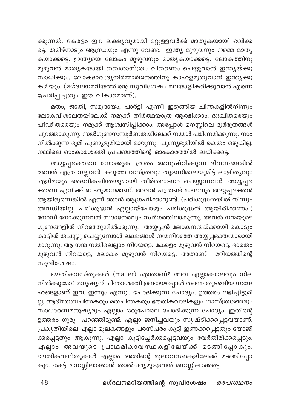ക്കുന്നത്. കേരളം ഈ ലക്ഷ്യവുമായി മറ്റുള്ളവർക്ക് മാതൃകയായി ഭവിക്ക ട്ടെ. തമിഴ്നാടും ആന്ധ്രയും എന്നു വേണ്ട, ഇന്ത്യ മുഴുവനും നമ്മെ മാതൃ കയാക്കട്ടെ. ഇന്ത്യയെ ലോകം മുഴുവനും മാതൃകയാക്കട്ടെ. ലോകത്തിനു മുഴുവൻ മാതൃകയായി തത്വശാസ്ത്രം വിതരണം ചെയ്യുവാൻ ഇന്ത്യയ്ക്കു സാധിക്കും. ലോകദാരിദ്ര്യനിർമ്മാർജനത്തിനു കാഹളമൂതുവാൻ ഇന്ത്യക്കു കഴിയും. (മഗ്ദലനമറിയത്തിന്റെ സുവിശേഷം മലയാളീകരിക്കുവാൻ എന്നെ പ്രേരിപ്പിച്ചതും ഈ വികാരമാണ്).

മതം, ജാതി, സമുദായം, പാർട്ടി എന്നീ ഇടുങ്ങിയ ചിന്തകളിൽനിന്നും ലോകവിശാലതയിലേക്ക് നമുക്ക് തീർത്ഥയാത്ര ആരഭിക്കാം. ദുഃഖിതരെയും പീഢിതരെയും നമുക്ക് ആശ്വസിപ്പിക്കാം. അപ്പോൾ മനസ്സിലെ ദുർഭൂതങ്ങൾ പുറത്താകുന്നു. സൽഗുണസമ്പൂര്ണതയിലേക്ക് നമ്മൾ പരിണമിക്കുന്നു. നാം നിൽക്കുന്ന ഭൂമി പുണ്യഭൂമിയായി മാറുന്നു. പുണ്യഭൂമിയിൽ രകതം ഒഴുകില്ല. .<br>നമ്മിലെ ഓംകാരശക്തി പ്രപഞ്ചത്തിന്റെ ഓംകാരത്തിൽ ലയിക്കട്ടെ.

അയ്യപ്പഭക്തനെ നോക്കുക. വ്രതം അനുഷ്ഠിക്കുന്ന ദിവസങ്ങളിൽ അവൻ എത്ര നല്ലവൻ. കറുത്ത വസ്ത്രവും തുളസിമാലയുമിട്ട് ലാളിതൃവും എളിമയും ദൈവികചിന്തയുമായി തീർത്ഥാടനം ചെയ്യുന്നവൻ. അയ്യപ്പഭ ക്തനെ എനിക്ക് ബഹുമാനമാണ്. അവൻ പന്ത്രണ്ട് മാസവും അയ്യപ്പഭക്തൻ ആയിരുന്നെങ്കിൽ എന്ന് ഞാൻ ആഗ്രഹിക്കാറുണ്ട്. (പരിശുദ്ധതയിൽ നിന്നും അവധിയില്ല. പരിശുദ്ധൻ എല്ലായ്പോഴും പരിശുദ്ധൻ ആയിരിക്കണം.) നോമ്പ് നോക്കുന്നവൻ സദാനേരവും സ്ഥർഗത്തിലാകുന്നു. അവൻ നന്മയുടെ ഗുണങ്ങളിൽ നിറഞ്ഞുനിൽക്കുന്നു. അയ്യപ്പൻ ലോകനന്മയ്ക്കായി കൊടും കാട്ടിൽ തപസ്സു ചെയ്യുമ്പോൾ ലക്ഷങ്ങൾ നന്മനിറഞ്ഞ അയ്യപ്പഭക്തന്മാരായി മാറുന്നു. ആ നന്മ നമ്മിലെല്ലാം നിറയട്ടെ. കേരളം മുഴുവൻ നിറയട്ടെ, ഭാരതം മുഴുവൻ നിറയട്ടെ, ലോകം മുഴുവൻ നിറയട്ടെ. അതാണ് മറിയത്തിന്റെ സുവിശേഷം.

ഭൗതികവസ്തുക്കൾ (matter) എന്താണ്? അവ എല്ലാക്കാലവും നില നിൽക്കുമോ? മനുഷ്യന് ചിന്താശക്തി ഉണ്ടായപ്പോൾ തന്നെ തുടങ്ങിയ സന്ദേ ഹങ്ങളാണ് ഇവ. ഇന്നും എന്നും ചോദിക്കുന്ന ചോദ്യം. ഉത്തരം ലഭിച്ചിട്ടുമി ല്ല. ആദിമതത്വചിന്തകരും മതചിന്തകരും ഭൗതികവാദികളും ശാസ്ത്രജ്ഞരും സാധാരണമനുഷ്യരും എല്ലാം ഒരുപോലെ ചോദിക്കുന്ന ചോദ്യം. ഇതിന്റെ ഉത്തരം ഗുരു പറഞ്ഞിട്ടുണ്ട്. എല്ലാ ജനിച്ചവയും സൃഷ്ടിക്കപ്പെട്ടവയാണ്. പ്രകൃതിയിലെ എല്ലാ മൂലകങ്ങളും പരസ്പരം കൂട്ടി ഇണക്കപ്പെട്ടതും യോജി ക്കപ്പെട്ടതും ആകുന്നു. എല്ലാ കൂട്ടിച്ചേർക്കപ്പെട്ടവയും വേർതിരിക്കപ്പെടും. എല്ലാം അവയുടെ പ്രാഥമികാവസ്ഥകളിലേയ്ക്ക് മടങ്ങിപ്പോകും. ഭൗതികവസ്തുക്കൾ എല്ലാം അതിന്റെ മൂലാവസ്ഥകളിലേക്ക് മടങ്ങിപ്പോ കും. കേട്ട് മനസ്സിലാക്കാൻ താൽപര്യമുള്ളവൻ മനസ്സിലാക്കട്ടെ.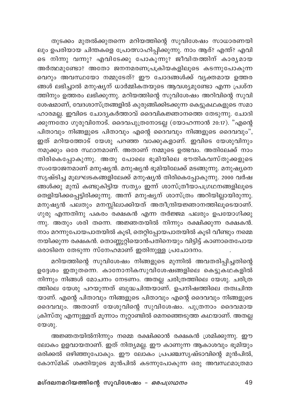തുടക്കം മുതൽക്കുതന്നെ മറിയത്തിന്റെ സുവിശേഷം സാധാരണയി ലും ഉപരിയായ ചിന്തകളെ പ്രോത്സാഹിപ്പിക്കുന്നു. നാം ആര്? എന്ത്? എവി ടെ നിന്നു വന്നുഃ എവിടേക്കു പോകുന്നുഃ ജീവിതത്തിന് കാരൃമായ അർത്ഥമുണ്ടോ? അതോ ജനനമരണപ്രക്രിയകളിലൂടെ കടന്നുപോകുന്ന വെറും അവസ്ഥയോ നമ്മുടേത്? ഈ ചോദങ്ങൾക്ക് വ്യക്തമായ ഉത്തര ങ്ങൾ ലഭിച്ചാൽ മനുഷ്യന് ധാർമ്മികതയുടെ ആവശ്യമുണ്ടോ എന്ന പ്രശ്ന ത്തിനും ഉത്തരം ലഭിക്കുന്നു. മറിയത്തിന്റെ സുവിശേഷം അറിവിന്റെ സുവി ശേഷമാണ്, വേദശാസ്ത്രങ്ങളിൽ കുരുങ്ങിക്കിടക്കുന്ന കെട്ടുകഥകളുടെ സമാ ഹാരമല്ല. ഇവിടെ ചോദ്യകർത്താവ് ദൈവികജ്ഞാനത്തെ തേടുന്നു. ചോദി ക്കുന്നതോ ഗുരുവിനോട്. ദൈവപുത്രനോടല്ല (യോഹന്നാൻ 20:17). "എന്റെ പിതാവും നിങ്ങളുടെ പിതാവും എന്റെ ദൈവവും നിങ്ങളുടെ ദൈവവും", ഇത് മറിയത്തോട് യേശു പറഞ്ഞ വാക്കുകളാണ്. ഇവിടെ യേശുവിനും നമുക്കും ഒരേ സ്ഥാനമാണ്. അതാണ് നമ്മുടെ ഉത്ഭവം. അതിലേക്ക് നാം തിരികെപ്പോകുന്നു. അതു പോലെ ഭൂമിയിലെ ഭൗതികവസ്തുക്കളുടെ സംയോജനമാണ് മനുഷ്യൻ. മനുഷ്യൻ ഭൂമിയിലേക്ക് മടങ്ങുന്നു. മനുഷ്യനെ സൃഷ്ടിച്ച മൂലഘടകങ്ങളിലേക്ക് മനുഷ്യൻ തിരികെപ്പോകുന്നു. 2000 വർഷ ങ്ങൾക്കു മുമ്പ് കണ്ടുകിട്ടിയ സത്യം ഇന്ന് ശാസ്ത്രീയാപഗ്രഥനങ്ങളിലൂടെ തെളിയിക്കപ്പെട്ടിരിക്കുന്നു. അന്ന് മനുഷ്യന് ശാസ്ത്രം അറിയില്ലായിരുന്നു. മനുഷ്യൻ പലതും മനസ്സിലാക്കിയത് അതീന്ദ്രിയജ്ഞാനത്തിലൂടെയാണ്. ഗുരു എന്നതിനു പകരം രക്ഷകൻ എന്ന തർജ്ജമ പലരും ഉപയോഗിക്കു .<br>ന്നു. അതും ശരി തന്നെ. അജ്ഞതയിൽ നിന്നും രക്ഷിക്കുന്ന രക്ഷകൻ. നാം മറന്നുപോയപാതയിൽ കൂടി, തെറ്റിപ്പോയപാതയിൽ കൂടി വീണ്ടും നമ്മെ നയിക്കുന്ന രക്ഷകൻ. തൊണ്ണൂറ്റിയൊൻപതിനെയും വിട്ടിട്ട് കാണാതെപോയ ഒരാടിനെ തേടുന്ന സ്നേഹമാണ് ഇതിനുള്ള പ്രചോദനം.

മറിയത്തിന്റെ സുവിശേഷം നിങ്ങളുടെ മുന്നിൽ അവതരിപ്പിച്ചതിന്റെ .<br>ഉദ്ദേശം ഇതുതന്നെ. കാനോനികസുവിശേഷങ്ങളിലെ കെട്ടുകഥകളിൽ നിന്നും നിങ്ങൾ മോചനം നേടണം. അതല്ല ചരിത്രത്തിലെ യേശു. ചരിത്ര ത്തിലെ യേശു പറയുന്നത് ബുദ്ധചിന്തയാണ്. ഉപനിഷത്തിലെ തത്വചിന്ത യാണ്. എന്റെ പിതാവും നിങ്ങളുടെ പിതാവും എന്റെ ദൈവവും നിങ്ങളുടെ ദൈവവും. അതാണ് യേശുവിന്റെ സുവിശേഷം. പുത്രനാം ദൈവമായ .<br>ക്രിസ്തു എന്നുള്ളത് മൂന്നാം നൂറ്റാണ്ടിൽ മെനഞ്ഞെടുത്ത കഥയാണ്. അതല്ല യേശു.

അജ്ഞതയിൽനിന്നും നമ്മെ രക്ഷിക്കാൻ രക്ഷകൻ ശ്രമിക്കുന്നു. ഈ ലോകം ഉളവായതാണ്. ഇത് നിത്യമല്ല. ഈ കാണുന്ന ആകാശവും ഭൂമിയും ഒരിക്കൽ ഒഴിഞ്ഞുപോകും. ഈ ലോകം പ്രപഞ്ചസൃഷ്ടാവിന്റെ മുൻപിൽ, കോസ്മിക് ശക്തിയുടെ മുൻപിൽ കടന്നുപോകുന്ന ഒരു അവസ്ഥമാത്രമാ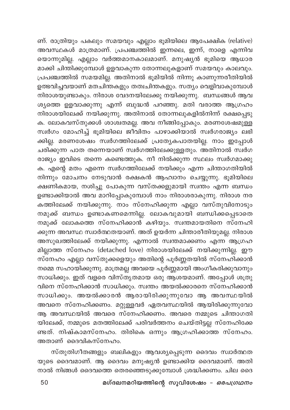ണ്. രാത്രിയും പകലും സമയവും എല്ലാം ഭൂമിയിലെ ആപേക്ഷിക (relative) .<br>അവസ്ഥകൾ മാത്രമാണ്. പ്രപഞ്ചത്തിൽ ഇന്നലെ, ഇന്ന്, നാളെ എന്നിവ യൊന്നുമില്ല. എല്ലാം വർത്തമാനകാലമാണ്. മനുഷ്യൻ ഭൂമിയെ ആധാര മാക്കി ചിന്തിക്കുമ്പോൾ ഉളവാകുന്ന തോന്നലുകളാണ് സമയവും കാലവും. പ്രപഞ്ചത്തിൽ സമയമില്ല. അതിനാൽ ഭൂമിയിൽ നിന്നു കാണുന്നരീതിയിൽ ഉത്ഭവിച്ചവയാണ് മതചിന്തകളും തത്വചിന്തകളും. സത്യം വെളിവാകുമ്പോൾ നിരാശയുണ്ടാകും. നിരാശ വേദനയിലേക്കു നയിക്കുന്നു. ബന്ധങ്ങൾ ആവ ശ്യത്തെ ഉളവാക്കുന്നു എന്ന് ബുദ്ധൻ പറഞ്ഞു. മതി വരാത്ത ആഗ്രഹം നിരാശയിലേക്ക് നയിക്കുന്നു. അതിനാൽ തോന്നലുകളിൽനിന്ന് രക്ഷപ്പെടു ക. ലോകവസ്തുക്കൾ ശാശ്വതമല്ല. അവ നീങ്ങിപ്പോകും. മരണശേഷമുള്ള സ്ഥർഗം മോഹിച്ച് ഭൂമിയിലെ ജീവിതം പാഴാക്കിയാൽ സ്ഥർഗരാജ്യം ലഭി ക്കില്ല. മരണശേഷം സ്വർഗത്തിലേക്ക് പ്രത്യേകപാതയില്ല. നാം ഇപ്പോൾ ചരിക്കുന്ന പാത തന്നെയാണ് സ്വർഗത്തിലേക്കുള്ളതും. അതിനാൽ സ്വർഗ രാജ്യം ഇവിടെ തന്നെ കണ്ടെത്തുക. നീ നിൽക്കുന്ന സ്ഥലം സ്വർഗമാക്കു ക. എന്റെ മതം എന്നെ സ്വർഗത്തിലേക്ക് നയിക്കും എന്ന ചിന്താഗതിയിൽ നിന്നും മോചനം നേടുവാൻ രക്ഷകൻ ആഹ്വാനം ചെയ്യുന്നു. ഭൂമിയിലെ ക്ഷണികമായ, നശിച്ചു പോകുന്ന വസ്തക്കളുമായി സ്വന്തം എന്ന ബന്ധം ഉണ്ടാക്കിയാൽ അവ മാറിപ്പോകുമ്പോൾ നാം നിരാശരാകുന്നു. നിരാശ നര കത്തിലേക്ക് നയിക്കുന്നു. നാം സ്നേഹിക്കുന്ന എല്ലാ വസ്തുവിനോടും നമുക്ക് ബന്ധം ഉണ്ടാകണമെന്നില്ല. ലോകവുമായി ബന്ധിക്കപ്പെടാതെ നമുക്ക് ലോകത്തെ സ്നേഹിക്കാൻ കഴിയും. സ്വന്തമായതിനെ സ്നേഹി ക്കുന്ന അവസ്ഥ സ്വാർത്ഥതയാണ്. അത് ഉയർന്ന ചിന്താരീതിയുമല്ല. നിരാശ അസുഖത്തിലേക്ക് നയിക്കുന്നു. എന്നാൽ സ്വന്തമാക്കണം എന്ന ആഗ്രഹ മില്ലാത്ത സ്നേഹം (detached love) നിരാശയിലേക്ക് നയിക്കുന്നില്ല. ഈ സ്നേഹം എല്ലാ വസ്തുക്കളെയും അതിന്റെ പൂർണ്ണതയിൽ സ്നേഹിക്കാൻ നമ്മെ സഹായിക്കുന്നു. മാത്രമല്ല അവയെ പൂർണ്ണമായി അംഗീകരിക്കുവാനും സാധിക്കും. ഇത് വളരെ വിസ്തൃതമായ ഒരു ആശയമാണ്. അപ്പോൾ ശത്രു വിനെ സ്നേഹിക്കാൻ സാധിക്കും. സ്വന്തം അയൽക്കാരനെ സ്നേഹിക്കാൻ സാധിക്കും. അയൽക്കാരൻ ആരായിരിക്കുന്നുവോ ആ അവസ്ഥയിൽ അവനെ സ്നേഹിക്കണം. മറ്റുള്ളവർ ഏതവസ്ഥയിൽ ആയിരിക്കുന്നുവോ ആ അവസ്ഥയിൽ അവരെ സ്നേഹിക്കണം. അവരെ നമ്മുടെ ചിന്താഗതി യിലേക്ക്, നമ്മുടെ മതത്തിലേക്ക് പരിവർത്തനം ചെയ്തിട്ടല്ല സ്നേഹിക്കേ ണ്ടത്. നിഷ്കാമസ്നേഹം. തിരികെ ഒന്നും ആഗ്രഹിക്കാത്ത സ്നേഹം. അതാണ് ദൈവികസ്നേഹം.

സ്തുതിഗീതങ്ങളും ബലികളും ആവശ്യപ്പെടുന്ന ദൈവം സ്വാർത്ഥത യുടെ ദൈവമാണ്. ആ ദൈവം മനുഷ്യൻ ഉണ്ടാക്കിയ ദൈവമാണ്. അതി നാൽ നിങ്ങൾ ദൈവത്തെ തെരഞ്ഞെടുക്കുമ്പോൾ ശ്രദ്ധിക്കണം. ചില ദൈ

മഗ്ദലനമറിയത്തിന്റെ സുവിശേഷം - *ഒരപഗ്രഥനം*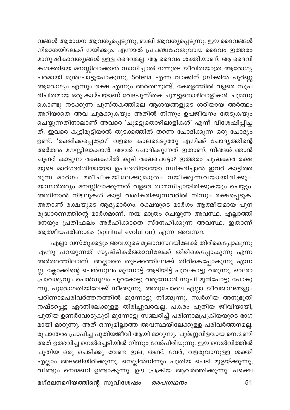വങ്ങൾ ആരാധന ആവശ്യപ്പെടുന്നു, ബലി ആവശ്യപ്പെടുന്നു. ഈ ദൈവങ്ങൾ നിരാശയിലേക്ക് നയിക്കും. എന്നാൽ പ്രപഞ്ചഹേതുവായ ദൈവം ഇത്തരം മാനുഷികാവശ്യങ്ങൾ ഉള്ള ദൈവമല്ല. ആ ദൈവം ശക്തിയാണ്. ആ ദൈവി കശക്തിയെ മനസ്സിലാക്കാൻ സാധിച്ചാൽ നമ്മുടെ ജീവിതയാത്ര ആരോഗ്യ പരമായി മുൻപോട്ടുപോകുന്നു. Soteria എന്ന വാക്കിന് ഗ്രീക്കിൽ പൂർണ്ണ ആരോഗ്യം എന്നും രക്ഷ എന്നും അർത്ഥമുണ്ട്. കേരളത്തിൽ വളരെ സുപ രിചിതമായ ഒരു കാഴ്ചയാണ് വേദപുസ്തക ചുമട്ടുതൊഴിലാളികൾ. ചുമന്നു കൊണ്ടു നടക്കുന്ന പുസ്തകത്തിലെ ആശയങ്ങളുടെ ശരിയായ അർത്ഥം അറിയാതെ അവ ചുമക്കുകയും അതിൽ നിന്നും ഉപജീവനം തേടുകയും ചെയ്യുന്നതിനാലാണ് അവരെ 'ചുമട്ടുതൊഴിലാളികൾ' എന്ന് വിശേഷിപ്പിച്ച ത്. ഇവരെ കൂട്ടിമുട്ടിയാൽ തുടക്കത്തിൽ തന്നെ ചോദിക്കുന്ന ഒരു ചോദ്യം ഉണ്ട്. 'രക്ഷിക്കപ്പെട്ടോ?' വളരെ കാലമെടുത്തു എനിക്ക് ചോദൃത്തിന്റെ അർത്ഥം മനസ്സിലാക്കാൻ. അവർ ചോദിക്കുന്നത് ഇതാണ്, നിങ്ങൾ ഞാൻ ചൂണ്ടി കാട്ടുന്ന രക്ഷകനിൽ കൂടി രക്ഷപെട്ടോ? ഇത്തരം ചൂഷകരെ രക്ഷ യുടെ മാർഗദർശിയായോ ഉപദേശിയായോ സ്വീകരിച്ചാൽ ഇവർ കാട്ടിത്ത രുന്ന മാർഗം മരീചികയിലേക്കുമാത്രം നയിക്കുന്നവയായിരിക്കും. യാഥാർത്ഥ്യം മനസ്സിലാക്കുന്നത് വളരെ താമസിച്ചായിരിക്കുകയും ചെയ്യും. അതിനാൽ നിഴലുകൾ കാട്ടി വശീകരിക്കുന്നവരിൽ നിന്നും രക്ഷപ്പെടുക. അതാണ് രക്ഷയുടെ ആദ്യമാർഗം. രക്ഷയുടെ മാർഗം ആത്മീയമായ പുന രുദ്ധാരണത്തിന്റെ മാർഗമാണ്. നന്മ മാത്രം ചെയ്യുന്ന അവസ്ഥ. എല്ലാത്തി നേയും പ്രതിഫലം അർഹിക്കാതെ സ്നേഹിക്കുന്ന അവസ്ഥ. ഇതാണ് ആത്മീയപരിണാമം (spiritual evolution) എന്ന അവസ്ഥ.

എല്ലാ വസ്തുക്കളും അവയുടെ മൂലാവസ്ഥയിലേക്ക് തിരികെപ്പോകുന്നു .<br>എന്നു പറയുന്നത് സൃഷ്ടികർത്താവിലേക്ക് തിരികെപ്പോകുന്നു എന്ന അർത്ഥത്തിലാണ്. അല്ലാതെ തുടക്കത്തിലേക്ക് തിരികെപ്പോകുന്നു എന്ന ല്ല. ക്ലോക്കിന്റെ പെൻഡുലം മുന്നോട്ട് ആടിയിട്ട് പുറകോട്ടു വരുന്നു. ഓരോ പ്രാവശ്യവും പെൻഡുലം പുറകോട്ടു വരുമ്പോൾ സൂചി മുൻപോട്ടു പോകു ന്നു, പുരോഗതിയിലേക്ക് നീങ്ങുന്നു. അതുപോലെ എല്ലാ ജീവജാലങ്ങളും പരിണാമപരിവർത്തനത്തിൽ മുന്നോട്ടു നീങ്ങുന്നു. സ്വർഗീയ അനുഭൂതി നഷ്ടപ്പെട്ട ഏദനിലേക്കുള്ള തിരിച്ചുവരവല്ല, പകരം പുതിയ ജീവിയായി, പുതിയ ഉണർവോടുകുടി മുന്നോട്ടു സഞ്ചരിച്ച് പരിണാമപ്രക്രിയയുടെ ഭാഗ മായി മാറുന്നു. അത് ഒന്നുമില്ലാത്ത അവസ്ഥയിലേക്കുള്ള പരിവർത്തനമല്ല. രൂപാന്തരം പ്രാപിച്ച പുതിയജീവി ആയി മാറുന്നു. പൂർണ്ണവിളവായ നെന്മണി അത് ഉത്ഭവിച്ച നെൽച്ചെടിയിൽ നിന്നും വേർപിരിയുന്നു. ഈ നെൽവിത്തിൽ പുതിയ ഒരു ചെടിക്കു വേണ്ട ഇല, തണ്ട്, വേര്, വളരുവാനുള്ള ശക്തി എല്ലാം അടങ്ങിയിരിക്കുന്നു. നെല്ലിൽനിന്നും പുതിയ ചെടി മുളയ്ക്കുന്നു, വീണ്ടും നെന്മണി ഉണ്ടാകുന്നു. ഊ പ്രക്രിയ ആവർത്തിക്കുന്നു. പക്ഷെ

മഗ്ദലനമറിയത്തിന്റെ സുവിശേഷം *– ഒരപഗ്രഥനം*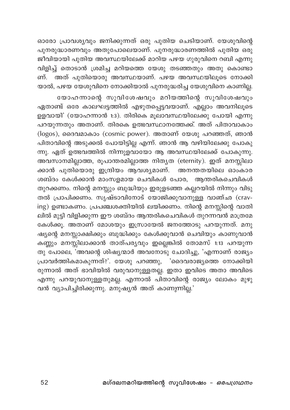ഓരോ പ്രാവശ്യവും ജനിക്കുന്നത് ഒരു പുതിയ ചെടിയാണ്. യേശുവിന്റെ പുനരുദ്ധാരണവും അതുപോലെയാണ്. പുനരുദ്ധാരണത്തിൽ പുതിയ ഒരു .<br>ജീവിയായി പുതിയ അവസ്ഥയിലേക്ക് മാറിയ പഴയ ഗുരുവിനെ റബി എന്നു വിളിച്ച് തൊടാൻ ശ്രമിച്ച മറിയത്തെ യേശു തടഞ്ഞതും അതു കൊണ്ടാ ണ്. അത് പുതിയൊരു അവസ്ഥയാണ്. പഴയ അവസ്ഥയിലൂടെ നോക്കി .<br>യാൽ, പഴയ യേശുവിനെ നോക്കിയാൽ പുനരുദ്ധരിച്ച യേശുവിനെ കാണില്ല.

യോഹന്നാന്റെ സുവിശേഷവും മറിയത്തിന്റെ സുവിശേഷവും ഏതാണ്ട് ഒരേ കാലഘട്ടത്തിൽ എഴുതപ്പെട്ടവയാണ്. എല്ലാം അവനിലൂടെ .<br>ഉളവായി' (യോഹന്നാൻ 1:3). തിരികെ മുലാവസ്ഥയിലേക്കു പോയി എന്നു പറയുന്നതും അതാണ്. തിരകെ ഉത്ഭവസ്ഥാനത്തേക്ക്. അത് പിതാവാകാം (logos), ദൈവമാകാം (cosmic power). അതാണ് യേശു പറഞ്ഞത്, ഞാൻ പിതാവിന്റെ അടുക്കൽ പോയിട്ടില്ല എന്ന്. ഞാൻ ആ വഴിയിലേക്കു പോകു ന്നു. ഏത് ഉത്ഭവത്തിൽ നിന്നുളവായോ ആ അവസ്ഥയിലേക്ക് പോകുന്നു. അവസാനമില്ലാത്ത, രൂപാന്തരമില്ലാത്ത നിതൃത (eternity). ഇത് മനസ്സിലാ ക്കാൻ പുതിയൊരു ഇന്ദ്രിയം ആവശ്യമാണ്. അനന്തതയിലെ ഓംകാര ശബ്ദം കേൾക്കാൻ മാംസളമായ ചെവികൾ പോര, ആന്തരികചെവികൾ തുറക്കണം. നിന്റെ മനസ്സും ബുദ്ധിയും ഇരുളടഞ്ഞ കല്ലറയിൽ നിന്നും വിടു തൽ പ്രാപിക്കണം. സൃഷ്ടാവിനോട് യോജിക്കുവാനുള്ള വാഞ്ഛ (craving) ഉണ്ടാകണം. പ്രപഞ്ചശക്തിയിൽ ലയിക്കണം. നിന്റെ മനസ്സിന്റെ വാതി ലിൽ മുട്ടി വിളിക്കുന്ന ഈ ശബ്ദം ആന്തരികചെവികൾ തുറന്നവൻ മാത്രമേ കേൾക്കൂ. അതാണ് മോശയും ഇസ്രായേൽ ജനത്തോടു പറയുന്നത്. മനു ഷ്യന്റെ മനസ്സാക്ഷിക്കും ബുദ്ധിക്കും കേൾക്കുവാൻ ചെവിയും കാണുവാൻ കണ്ണും മനസ്സിലാക്കാൻ താത്പര്യവും ഇല്ലെങ്കിൽ തോമസ് 1:13 പറയുന്ന തു പോലെ, 'അവന്റെ ശിഷ്യന്മാർ അവനോടു ചോദിച്ചു, 'എന്നാണ് രാജ്യം രുന്നാൽ അത് ഭാവിയിൽ വരുവാനുള്ളതല്ല. ഇതാ ഇവിടെ അതാ അവിടെ എന്നു പറയുവാനുള്ളതുമല്ല. എന്നാൽ പിതാവിന്റെ രാജ്യം ലോകം മുഴു വൻ വ്യാപിച്ചിരിക്കുന്നു. മനുഷ്യൻ അത് കാണുന്നില്ല.'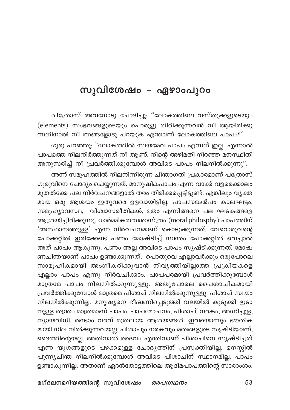## സുവിശേഷം – ഏഴാംപുറം

പത്രോസ് അവനോടു ചോദിച്ചു: "ലോകത്തിലെ വസ്തുക്കളുടെയും (elements) സംഭവങ്ങളുടെയും പൊരുളു തിരിക്കുന്നവൻ നീ ആയിരിക്കു ന്നതിനാൽ നീ ഞങ്ങളോടു പറയുക എന്താണ് ലോകത്തിലെ പാപം?"

ഗുരു പറഞ്ഞു: "ലോകത്തിൽ സ്വയമേവ പാപം എന്നത് ഇല്ല. എന്നാൽ പാപത്തെ നിലനിർത്തുന്നത് നീ ആണ്. നിന്റെ അഴിമതി നിറഞ്ഞ മനസ്ഥിതി അനുസരിച്ച് നീ പ്രവർത്തിക്കുമ്പോൾ അവിടെ പാപം നിലനിൽക്കുന്നു".

അന്ന് സമൂഹത്തിൽ നിലനിന്നിരുന്ന ചിന്താഗതി പ്രകാരമാണ് പത്രോസ് ഗുരുവിനെ ചോദ്യം ചെയ്യുന്നത്. മാനുഷികപാപം എന്ന വാക്ക് വളരെക്കാലം മുതൽക്കേ പല നിർവചനങ്ങളാൽ തരം തിരിക്കപ്പെട്ടിട്ടുണ്ട്. എങ്കിലും വൃക്ത മായ ഒരു ആശയം ഇതുവരെ ഉളവായിട്ടില്ല. പാപസങ്കൽപം കാലഘട്ടം, സമൂഹ്യാവസ്ഥ, വിശ്വാസരീതികൾ, മതം എന്നിങ്ങനെ പല ഘടകങ്ങളെ ആശ്രയിച്ചിരിക്കുന്നു. ധാർമ്മികതത്വശാസ്ത്രം (moral philosphy) പാപത്തിന് 'അസ്ഥാനത്തുള്ള' എന്ന നിർവചനമാണ് കൊടുക്കുന്നത്. വേറൊരുവന്റെ പോക്കറ്റിൽ ഇരിക്കേണ്ട പണം മോഷ്ടിച്ച് സ്വന്തം പോക്കറ്റിൽ വെച്ചാൽ അത് പാപം ആകുന്നു. പണം അല്ല അവിടെ പാപം സൃഷ്ടിക്കുന്നത്. മോഷ ണചിന്തയാണ് പാപം ഉണ്ടാക്കുന്നത്. പൊതുവെ എല്ലാവർക്കും ഒരുപോലെ സാമൂഹികമായി അംഗീകരിക്കുവാൻ നിവൃത്തിയില്ലാത്ത പ്രക്രിയകളെ എല്ലാം പാപം എന്നു നിർവചിക്കാം. പാപപരമായി പ്രവർത്തിക്കുമ്പോൾ മാത്രമേ പാപം നിലനിൽക്കുന്നുള്ളു. അതുപോലെ പൈശാചികമായി പ്രവർത്തിക്കുമ്പോൾ മാത്രമെ പിശാച് നിലനിൽക്കുന്നുള്ളു. പിശാച് സ്വയം നിലനിൽക്കുന്നില്ല. മനുഷ്യനെ ഭീഷണിപ്പെടുത്തി വലയിൽ കുടുക്കി ഇടാ നുള്ള തന്ത്രം മാത്രമാണ് പാപം, പാപമോചനം, പിശാച്, നരകം, അഗ്നിച്ചൂള, ന്യായവിധി, രണ്ടാം വരവ് മുതലായ ആശയങ്ങൾ. ഇവയൊന്നും ഭൗതിക മായി നില നിൽക്കുന്നവയല്ല. പിശാചും നരകവും മതങ്ങളുടെ സൃഷ്ടിയാണ്, ദൈത്തിന്റെയല്ല. അതിനാൽ ദൈവം എന്തിനാണ് പിശാചിനെ സൃഷ്ടിച്ചത് എന്ന യുഗങ്ങളുടെ പഴക്കമുള്ള ചോദൃത്തിന് പ്രസക്തിയില്ല. മനസ്സിൽ പുണ്യചിന്ത നിലനിൽക്കുമ്പോൾ അവിടെ പിശാചിന് സ്ഥാനമില്ല. പാപം ഉണ്ടാകുന്നില്ല. അതാണ് ഏദൻതോട്ടത്തിലെ ആദിമപാപത്തിന്റെ സാരാംശം.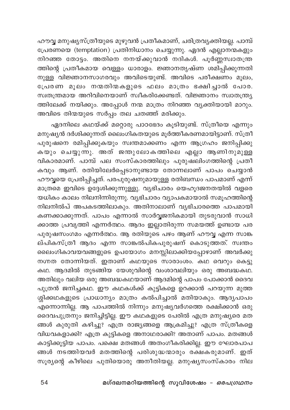ഹൗവ്വ മനുഷ്യസ്ത്രീയുടെ മുഴുവൻ പ്രതീകമാണ്, ചരിത്രവ്യക്തിയല്ല. പാമ്പ് പ്രേരണയെ (temptation) പ്രതിനിധാനം ചെയ്യുന്നു. ഏദൻ എല്ലാനന്മകളും .<br>നിറഞ്ഞ തോട്ടം. അതിനെ നനയ്ക്കുവാൻ നദികൾ. പൂർണ്ണസ്വാതന്ത്ര ത്തിന്റെ പ്രതീകമായ വെള്ളം ധാരാളം. ജ്ഞാനതൃഷ്ണ ശമിപ്പിക്കുന്നതി നുള്ള<sup>്</sup>വിജ്ഞാനസാഗരവും അവിടെയുണ്ട്. അവിടെ പരീക്ഷണം മൂലം, പ്രേരണ മൂലം നന്മതിന്മകളുടെ ഫലം മാത്രം ഭക്ഷിച്ചാൽ പോര. സ്വതന്ത്രമായ അറിവിനെയാണ് സ്വീകരിക്കേണ്ടത്. വിജ്ഞാനം സ്വാതന്ത്ര്യ ത്തിലേക്ക് നയിക്കും. അപ്പോൾ നന്മ മാത്രം നിറഞ്ഞ വ്യക്തിയായി മാറും. അവിടെ തിന്മയുടെ സർപ്പം തല ചതഞ്ഞ് മരിക്കും.

ഏദനിലെ കഥയ്ക്ക് മറ്റൊരു പാഠഭേദം കൂടിയുണ്ട്. സ്ത്രീയെ എന്നും മനുഷ്യൻ ദർശിക്കുന്നത് ലൈംഗികതയുടെ മൂർത്തീകരണമായിട്ടാണ്. സ്ത്രീ പുരുഷനെ രമിപ്പിക്കുകയും സ്വന്തമാക്കണം എന്ന ആഗ്രഹം ജനിപ്പിക്കു കയും ചെയ്യുന്നു. അത് ജന്തുലോകത്തിലെ എല്ലാ ആണിനുമുള്ള വികാരമാണ്. പാമ്പ് പല സംസ്കാരത്തിലും പുരുഷലിംഗത്തിന്റെ പ്രതീ കവും ആണ്. രതിയിലേർപ്പെടാനുണ്ടായ തോന്നലാണ് പാപം ചെയ്യാൻ ഹൗവൃയെ പ്രേരിപ്പിച്ചത്. പരപുരുഷനുമായുള്ള രതിബന്ധം പാപമാണ് എന്ന് മാത്രമെ ഇവിടെ ഉദ്ദേശിക്കുന്നുള്ളു. വ്യഭിചാരം യെഹൂദജനതയിൽ വളരെ യധികം കാലം നിലനിന്നിരുന്നു. വ്യഭിചാരം വ്യാപകമായാൽ സമൂഹത്തിന്റെ നിലനിൽപ് അപകടത്തിലാകും. അതിനാലാണ് വൃഭിചാരത്തെ പാപമായി കണക്കാക്കുന്നത്. പാപം എന്നാൽ സാർവ്വജനികമായി തുടരുവാൻ സാധി ക്കാത്ത പ്രവൃത്തി എന്നർത്ഥം. ആദം ഇല്ലാതിരുന്ന സമയത്ത് ഉണ്ടായ പര പുരുഷസംഗമം എന്നർത്ഥം. ആ രതിയുടെ പഴം ആണ് ഹൗവ്വ എന്ന സാങ്ക ല്പികസ്ത്രീ ആദം എന്ന സാങ്കൽപികപുരുഷന് കൊടുത്തത്. സ്വന്തം ലൈംഗികാവയവങ്ങളുടെ ഉപയോഗം മനസ്സിലാക്കിയപ്പോഴാണ് അവർക്കു നഗ്നത തോന്നിയത്. ഇതാണ് കഥയുടെ സാരാംശം. കഥ വെറും കെട്ടു കഥ. ആദമിൽ തുടങ്ങിയ യേശുവിന്റെ വംശാവലിയും ഒരു അബദ്ധകഥ. അതിലും വലിയ ഒരു അബദ്ധകഥയാണ് ആദമിന്റെ പാപം പോക്കാൻ ദൈവ പുത്രൻ ജനിച്ചകഥ. ഈ കഥകൾക്ക് കുട്ടികളെ ഉറക്കാൻ പറയുന്ന മുത്ത ശ്ശിക്കഥകളുടെ പ്രാധാന്യം മാത്രം കൽപിച്ചാൽ മതിയാകും. ആദ്യപാപം .<br>എന്നൊന്നില്ല. ആ പാപത്തിൽ നിന്നും മനുഷ്യവർഗത്തെ രക്ഷിക്കാൻ ഒരു ദൈവപുത്രനും ജനിച്ചിട്ടില്ല. ഈ കഥകളുടെ പേരിൽ എത്ര മനുഷ്യരെ മത ങ്ങൾ കുരുതി കഴിച്ചു? എത്ര രാജ്യങ്ങളെ ആക്രമിച്ചു? എത്ര സ്ത്രീകളെ വിധവകളാക്കി? എത്ര കുട്ടികളെ അനാഥരാക്കി? അതാണ് പാപം. മതങ്ങൾ കാട്ടിക്കൂട്ടിയ പാപം. പക്ഷെ മതങ്ങൾ അതംഗീകരിക്കില്ല. ഈ ഘോരപാപ ങ്ങൾ നടത്തിയവർ മതത്തിന്റെ പരിശുദ്ധന്മാരും രക്ഷകരുമാണ്. ഇത് സൂര്യന്റെ കീഴിലെ പുതിയൊരു അനീതിയല്ല. മനുഷ്യസംസ്കാരം നില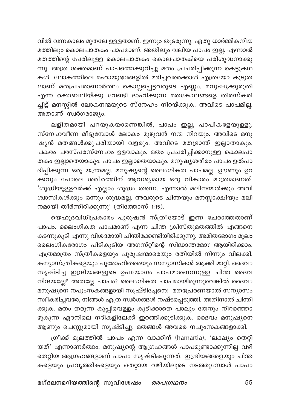വിൽ വന്നകാലം മുതലേ ഉള്ളതാണ്. ഇന്നും തുടരുന്നു. ഏതു ധാർമ്മികനിയ .<br>മത്തിലും കൊലപാതകം പാപമാണ്. അതിലും വലിയ പാപം ഇല്ല. എന്നാൽ മതത്തിന്റെ പേരിലുള്ള കൊലപാതകം കൊലപാതകിയെ പരിശുദ്ധനാക്കു ന്നു. അത്ര ശക്തമാണ് പാപത്തെക്കുറിച്ചു മതം പ്രചരിപ്പിക്കുന്ന കെട്ടുകഥ കൾ. ലോകത്തിലെ മഹായുദ്ധങ്ങളിൽ മരിച്ചവരെക്കാൾ എത്രയോ കൂടുത ലാണ് മതപ്രചരാണാർത്ഥം കൊല്ലപ്പെട്ടവരുടെ എണ്ണം. മനുഷ്യക്കുരുതി എന്ന രക്തബലിയ്ക്കു വേണ്ടി ദാഹിക്കുന്ന മതകോലങ്ങളെ തിരസ്കരി ച്ചിട്ട് മനസ്സിൽ ലോകനന്മയുടെ സ്നേഹം നിറയ്ക്കുക. അവിടെ പാപമില്ല. അതാണ് സ്വർഗരാജ്യം.

ലളിതമായി പറയുകയാണെങ്കിൽ, പാപം ഇല്ല, പാപികളേയുള്ളു. സ്നേഹവീണ മീട്ടുമ്പോൾ ലോകം മുഴുവൻ നന്മ നിറയും. അവിടെ മനു ഷ്യൻ മതങ്ങൾക്കുപരിയായി വളരും. അവിടെ മതഭ്രാന്ത് ഇല്ലാതാകും. പകരം പരസ്പരസ്നേഹം ഉളവാകും. മതം പ്രചരിപ്പിക്കാനുള്ള<sup>്</sup>കൊലപാ തകം ഇല്ലാതെയാകും. പാപം ഇല്ലാതെയാകും. മനുഷ്യശരീരം പാപം ഉൽപാ ദിപ്പിക്കുന്ന ഒരു യന്ത്രമല്ല. മനുഷ്യന്റെ ലൈംഗികത പാപമല്ല. ഊണും ഉറ ക്കവും പോലെ ശരീരത്തിന് ആവശ്യമായ ഒരു വികാരം മാത്രമാണത്. 'ശുദ്ധിയുള്ളവർക്ക് എല്ലാം ശുദ്ധം തന്നെ. എന്നാൽ മലിനന്മാർക്കും അവി ശ്വാസികൾക്കും ഒന്നും ശുദ്ധമല്ല. അവരുടെ ചിന്തയും മനസ്സാക്ഷിയും മലി നമായി തീർന്നിരിക്കുന്നു' (തിത്തോസ് 1:15).

യെഹൂദവിധിപ്രകാരം പുരുഷൻ സ്ത്രീയോട് ഇണ ചേരാത്തതാണ് പാപം. ലൈംഗികത പാപമാണ് എന്ന ചിന്ത ക്രിസ്തുമതത്തിൽ എങ്ങനെ കടന്നുകൂടി എന്നു വിശദമായി ചിന്തിക്കേണ്ടിയിരിക്കുന്നു. അമിതഭോഗം മൂലം ലൈംഗികരോഗം പിടികൂടിയ അഗസ്റ്റീന്റെ സിദ്ധാന്തമോ? ആയിരിക്കാം. എത്രമാത്രം സ്ത്രീകളെയും പുരുഷന്മാരെയും രതിയിൽ നിന്നും വിലക്കി. കന്യാസ്ത്രീകളെയും പുരോഹിതരെയും സന്യാസികൾ ആക്കി മാറ്റി. ദൈവം സൃഷ്ടിച്ച ഇന്ദ്രിയങ്ങളുടെ ഉപയോഗം പാപമാണെന്നുള്ള ചിന്ത ദൈവ നിന്ദയല്ലേ? അതല്ലേ പാപം? ലൈംഗികത പാപമായിരുന്നുവെങ്കിൽ ദൈവം മനുഷ്യനെ നപുംസകങ്ങളായി സൃഷ്ടിച്ചേനെ! മതപ്രേരണയാൽ സന്യാസം സ്ഥീകരിച്ചവരേ, നിങ്ങൾ എത്ര സ്ഥർഗങ്ങൾ നഷ്ടപ്പെടുത്തി. അതിനാൽ ചിന്തി ക്കുക. മതം തരുന്ന കുപ്പിവെള്ളം കുടിക്കാതെ പാലും തേനും നിറഞ്ഞൊ ഴുകുന്ന ഏദനിലെ നദികളിലേക്ക് ഇറങ്ങിക്കുടിക്കുക. ദൈവം മനുഷ്യനെ ആണും പെണ്ണുമായി സൃഷ്ടിച്ചു. മതങ്ങൾ അവരെ നപുംസകങ്ങളാക്കി.

ഗ്രീക്ക് മൂലത്തിൽ പാപം എന്ന വാക്കിന് (hamartia), 'ലക്ഷ്യം തെറ്റി യത്' എന്നാണർത്ഥം. മനുഷ്യന്റെ ആഗ്രഹങ്ങൾ പാപമുണ്ടാക്കുന്നില്ല വഴി തെറ്റിയ ആഗ്രഹങ്ങളാണ് പാപം സൃഷ്ടിക്കുന്നത്. ഇന്ദ്രിയങ്ങളെയും ചിന്ത കളെയും പ്രവൃത്തികളെയും തെറ്റായ വഴിയിലൂടെ നടത്തുമ്പോൾ പാപം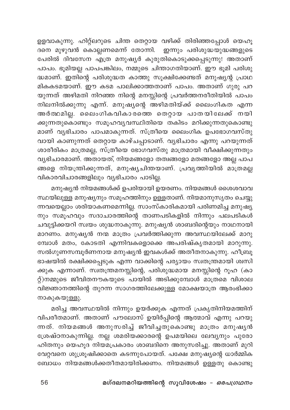ഉളവാകുന്നു. ഹിറ്റ്ലറുടെ ചിന്ത തെറ്റായ വഴിക്ക് തിരിഞ്ഞപ്പോൾ യെഹൂ ദനെ മുഴുവൻ കൊല്ലണമെന്ന് തോന്നി. ഇന്നും പരിശുദ്ധയുദ്ധങ്ങളുടെ പേരിൽ ദിവസേന എത്ര മനുഷ്യർ കുരുതികൊടുക്കപ്പെടുന്നു! അതാണ് പാപം. ഭൂമിയല്ല പാപപങ്കിലം, നമ്മുടെ ചിന്താഗതിയാണ്. ഈ ഭൂമി പരിശു ദ്ധമാണ്. ഇതിന്റെ പരിശുദ്ധത കാത്തു സൂക്ഷിക്കേണ്ടത് മനുഷ്യന്റ പ്രാഥ മികകടമയാണ്. ഈ കടമ പാലിക്കാത്തതാണ് പാപം. അതാണ് ഗുരു പറ യുന്നത് അഴിമതി നിറഞ്ഞ നിന്റെ മനസ്സിന്റെ പ്രവർത്തനരീതിയിൽ പാപം നിലനിൽക്കുന്നു എന്ന്. മനുഷൃന്റെ അഴിമതിയ്ക്ക് ലൈംഗികത എന്ന അർത്ഥമില്ല. ലൈംഗികവികാരത്തെ തെറ്റായ പാതയിലേക്ക് നയി ക്കുന്നതുകൊണ്ടും സമൂഹവ്യവസ്ഥിതിയെ തകിടം മറിക്കുന്നതുകൊണ്ടു മാണ് വൃഭിചാരം പാപമാകുന്നത്. സ്ത്രീയെ ലൈംഗിക ഉപഭോഗവസ്തു വായി കാണുന്നത് തെറ്റായ കാഴ്ചപ്പാടാണ്. വ്യഭിചാരം എന്നു പറയുന്നത് ശാരീരികം മാത്രമല്ല, സ്ത്രീയെ ഭോഗവസ്തു മാത്രമായി വീക്ഷിക്കുന്നതും വ്യഭിചാരമാണ്. അതായത്, നിയമങ്ങളോ തത്വങ്ങളോ മതങ്ങളോ അല്ല പാപ ങ്ങളെ നിയന്ത്രിക്കുന്നത്, മനുഷ്യചിന്തയാണ്. പ്രവൃത്തിയിൽ മാത്രമല്ല വികാരവിചാരങ്ങളിലും വ്യഭിചാരം പാടില്ല.

മനുഷ്യൻ നിയമങ്ങൾക്ക് ഉപരിയായി ഉയരണം. നിയമങ്ങൾ ശൈശവാവ സ്ഥയിലുള്ള മനുഷ്യനും സമൂഹത്തിനും ഉള്ളതാണ്. നിയമാനുസൃതം ചെയ്യു ന്നവയെല്ലാം ശരിയാകണമെന്നില്ല. സാംസ്കാരികമായി പരിണമിച്ച മനുഷ്യ നും സമൂഹവും സദാചാരത്തിന്റെ താണപടികളിൽ നിന്നും പലപടികൾ ചവുട്ടിക്കയറി സ്വയം ശുദ്ധനാകുന്നു. മനുഷ്യൻ ശാബദിന്റെയും നാഥനായി മാറണം. മനുഷ്യൻ നന്മ മാത്രം പ്രവർത്തിക്കുന്ന അവസ്ഥയിലേക്ക് മാറു മ്പോൾ മതം, കോടതി എന്നിവകളൊക്കെ അപരിഷ്കൃതമായി മാറുന്നു. .<br>സൽഗുണസമ്പൂർണനായ മനുഷ്യൻ ഇവകൾക്ക് അതീതനാകുന്നു. ഹീബ്രൂ ഭാഷയിൽ രക്ഷിക്കപ്പെടുക എന്ന വാക്കിന്റെ പര്യായം സ്വതന്ത്രമായി ശ്വസി ക്കുക എന്നാണ്. സ്വതന്ത്രമനസ്സിന്റെ, പരിശുദ്ധമായ മനസ്സിന്റെ റൂഹ (കാ റ്റ്)നമ്മുടെ ജീവിതനൗകയുടെ പായിൽ അടിക്കുമ്പോൾ മാത്രമെ വിശാല വിജ്ഞാനത്തിന്റെ തുറന്ന സാഗരത്തിലേക്കുള്ള മോക്ഷയാത്ര ആരംഭിക്കാ നാകുകയുള്ളു.

മരിച്ച അവസ്ഥയിൽ നിന്നും ഉയർക്കുക എന്നത് പ്രകൃതിനിയമത്തിന് വിപരീതമാണ്. അതാണ് പൗലോസ് ഉയിർപ്പിന്റെ ആത്മാവ് എന്നു പറയു ന്നത്. നിയമങ്ങൾ അനുസരിച്ച് ജീവിച്ചതുകൊണ്ടു മാത്രം മനുഷൃൻ ശ്രേഷ്ഠനാകുന്നില്ല. നല്ല ശമരിയക്കാരന്റെ ഉപമയിലെ ലേവ്യനും പുരോ ഹിതനും യെഹൂദ നിയമപ്രകാരം ശാബദിനെ അനുസരിച്ചു. അതാണ് മുറി വേറ്റവനെ ശുശ്രൂഷിക്കാതെ കടന്നുപോയത്. പക്ഷേ മനുഷ്യന്റെ ധാർമ്മിക ബോധം നിയമങ്ങൾക്കതീതമായിരിക്കണം. നിയമങ്ങൾ ഉള്ളതു കൊണ്ടു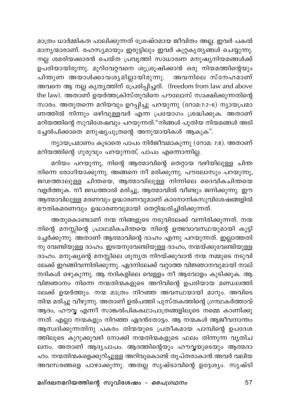മാത്രം ധാർമ്മികത പാലിക്കുന്നത് ശ്രേഷ്ഠമായ ജീവിതം അല്ല. ഇവർ പകൽ മാനൃന്മാരാണ്. രഹസ്യമായും ഇരുട്ടിലും ഇവർ കുറ്റകൃതൃങ്ങൾ ചെയ്യുന്നു. .<br>നല്ല ശമരിയക്കാരൻ ചെയ്ത പ്രവൃത്തി സാധാരണ മനുഷൃനിയമങ്ങൾക്ക് ഉപരിയായിരുന്നു. മുറിവേറ്റവനെ ശുശ്രൂഷിക്കാൻ ഒരു നിയമത്തിന്റെയും പിന്തുണ അയാൾക്കാവശ്യമില്ലായിരുന്നു. അവനിലെ സ്നേഹമാണ് അവനെ ആ നല്ല കൃത്യത്തിന് പ്രേരിപ്പിച്ചത്. (freedom from law and above the law). അതാണ് ഉയർത്തക്രിസ്തുവിനെ പൗലോസ് സാക്ഷിക്കുന്നതിന്റെ സാരം. അതുതന്നെ മറിയവും ഉറപ്പിച്ചു പറയുന്നു (റോമ:7:2-6) ന്യായപ്രമാ ണത്തിൽ നിന്നും ഒഴിവുള്ളവർ എന്ന പ്രയോഗം ശ്രദ്ധിക്കുക. അതാണ് മറിയത്തിന്റെ സുവിശേഷവും പറയുന്നത്."നിങ്ങൾ പുതിയ നിയമങ്ങൾ അടി .<br>ച്ചേൽപിക്കാതെ മനുഷ്യപുത്രന്റെ അനുയായികൾ ആകുക".

ന്യായപ്രമാണം കൂടാതെ പാപം നിർജീവമാകുന്നു (റോമ: 7:8). അതാണ് മറിയത്തിന്റെ ഗുരുവും പറയുന്നത്, പാപം എന്നൊന്നില്ല.

മറിയം പറയുന്നു, നിന്റെ ആത്മാവിന്റെ തെറ്റായ വഴിയിലുള്ള ചിന്ത .<br>നിന്നെ രോഗിയാക്കുന്നു. അങ്ങനെ നീ മരിക്കുന്നു. പൗലോസും പറയുന്നു, ജഢത്താലുള്ള ചിന്തയെ, ആത്മാവിലുള്ള നിന്നിലെ ദൈവികചിന്തയെ വളർത്തുക. നീ ജഡത്താൽ മരിച്ചു, ആത്മാവിൽ വീണ്ടും ജനിക്കുന്നു. ഈ ആത്മാവിലുള്ള മരണവും ഉദ്ധാരണവുമാണ് കാനോനികസുവിശേഷങ്ങളിൽ ഭൗതികമരണവും ഉദ്ധാരണവുമായി തെറ്റിദ്ധരിച്ചിരിക്കുന്നത്.

അതുകൊണ്ടാണ് നന്മ നിങ്ങളുടെ നടുവിലേക്ക് വന്നിരിക്കുന്നത്. നന്മ നിന്റെ മനസ്സിന്റെ പ്രാഥമികചിന്തയെ നിന്റെ ഉത്ഭവാവസ്ഥയുമായി കൂട്ടി ച്ചേർക്കുന്നു. അതാണ് ആത്മാവിന്റെ ദാഹം എന്നു പറയുന്നത്. ഇല്ലാത്തതി നു വേണ്ടിയുള്ള ദാഹം. ഇടയനുവേണ്ടിയുള്ള ദാഹം, നന്മയ്ക്കുവേണ്ടിയുള്ള ദാഹം. മനുഷ്യന്റെ മനസ്സിലെ ശൂന്യത നിറയ്ക്കുവാൻ നന്മ നമ്മുടെ നടുവി ലേക്ക് ഇറങ്ങിവന്നിരിക്കുന്നു. ഏദനിലേക്ക് വറ്റാത്ത വിജ്ഞാനവുമായി നാല് നദികൾ ഒഴുകുന്നു. ആ നദികളിലെ വെള്ളം നീ ആവോളം കുടിക്കുക. ആ വിജ്ഞാനം നിന്നെ നന്മതിന്മകളുടെ അറിവിന്റെ ഉപരിയായ മണ്ഡലത്തി ലേക്ക് ഉയർത്തും. നന്മ മാത്രം നിറഞ്ഞ അവസ്ഥയായി മാറും. അവിടെ തിന്മ മരിച്ചു വീഴുന്നു. അതാണ് ഉൽപത്തി പുസ്തകത്തിന്റെ ഗ്രന്ഥകർത്താവ് .<br>ആദം, ഹൗവ്വ എന്നീ സാങ്കൽപികകഥാപാത്രങ്ങളിലൂടെ നമ്മെ കാണിക്കു .<br>ന്നത്. എല്ലാ നന്മകളും നിറഞ്ഞ ഏദൻതോട്ടം. ആ നന്മകൾ ആജീവനാന്തം ആസ്വദിക്കുന്നതിനു പകരം തിന്മയുടെ പ്രതീകമായ പാമ്പിന്റെ ഉപദേശ ത്തിലൂടെ കുറുക്കുവഴി നോക്കി നന്മതിന്മകളുടെ ഫലം തിന്നുന്ന വ്യതിച ലനം. അതാണ് ആദ്യപാപം. ആദത്തിന്റെയും ഹൗവ്വയുടെയും ആത്മദാ ഹം. നന്മതിന്മകളെക്കുറിച്ചുള്ള അറിവുകൊണ്ട് തൃപ്തരാകാൻ അവർ വലിയ അവസരങ്ങളെ പാഴാക്കുന്നു. അതല്ല സൃഷ്ടാവിന്റെ ഉദ്ദേശ്യം. സൃഷ്ടി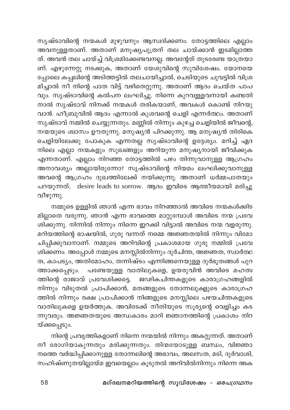സൃഷ്ടാവിന്റെ നന്മകൾ മുഴുവനും ആസ്വദിക്കണം. തോട്ടത്തിലെ എല്ലാം അവനുള്ളതാണ്. അതാണ് മനുഷ്യപുത്രന് തല ചായ്ക്കാൻ ഇടമില്ലാത്ത ത്. അവൻ തല ചായ്ച്ച് വിശ്രമിക്കേണ്ടവനല്ല. അവന്റേത് തുടരേണ്ട യാത്രയാ ണ്. എഴുന്നേറ്റു നടക്കുക, അതാണ് യേശുവിന്റെ സുവിശേഷം. യോനയെ പ്പോലെ കപ്പലിന്റെ അടിത്തട്ടിൽ തലചായിച്ചാൽ, ചെടിയുടെ ചുവട്ടിൽ വിശ്ര മിച്ചാൽ നീ നിന്റെ പാത വിട്ട് വഴിതെറ്റുന്നു. അതാണ് ആദം ചെയ്ത പാപ .<br>വും. സൃഷ്ടാവിന്റെ കൽപന ലംഘിച്ചു. നിന്നെ കുറവുള്ളവനായി കണ്ടതി നാൽ സൃഷ്ടാവ് നിനക്ക് നന്മകൾ തരികയാണ്, അവകൾ കൊണ്ട് നിറയു വാൻ. ഹീബ്രുവിൽ ആദം എന്നാൽ കുശവന്റെ ചെളി എന്നർത്ഥം. അതാണ് സൃഷ്ടാവ് നമ്മിൽ ചെയ്യുന്നതും. മണ്ണിൽ നിന്നും കുഴച്ച ചെളിയിൽ ജീവന്റെ, നന്മയുടെ ശ്വാസം ഊതുന്നു. മനുഷ്യൻ പിറക്കുന്നു. ആ മനുഷ്യൻ തിരികെ ചെളിയിലേക്കു പോകുക എന്നതല്ല സൃഷ്ടാവിന്റെ ഉദ്ദേശ്യം. മറിച്ച് ഏദ നിലെ എല്ലാ നന്മകളും സുഖങ്ങളും അറിയുന്ന മനുഷ്യനായി ജീവിക്കുക എന്നതാണ്. എല്ലാം നിറഞ്ഞ തോട്ടത്തിൽ പഴം തിന്നുവാനുള്ള ആഗ്രഹം അനാവശ്യം അല്ലായിരുന്നോ? സൃഷ്ടാവിന്റെ നിയമം ലംഘിക്കുവാനുള്ള അവന്റെ ആഗ്രഹം ദുഖത്തിലേക്ക് നയിക്കുന്നു. അതാണ് ധർമ്മപാതയും പറയുന്നത്, desire leads to sorrow. ആദം ഇവിടെ ആത്മീയമായി മരിച്ചു വീഴുന്നു.

നമ്മുടെ ഉള്ളിൽ ഞാൻ എന്ന ഭാവം നിറഞ്ഞാൽ അവിടെ നന്മകൾക്കിട മില്ലാതെ വരുന്നു. ഞാൻ എന്ന ഭാവത്തെ മാറ്റുമ്പോൾ അവിടെ നന്മ പ്രവേ ശിക്കുന്നു. നിന്നിൽ നിന്നും നിന്നെ ഇറക്കി വിട്ടാൽ അവിടെ നന്മ വളരുന്നു. മറിയത്തിന്റെ ഭാഷയിൽ, ഗുരു വന്നത് നമ്മെ അജ്ഞതയിൽ നിന്നും വിമോ ചിപ്പിക്കുവാനാണ്. നമ്മുടെ അറിവിന്റെ പ്രകാശമായ ഗുരു നമ്മിൽ പ്രവേ ശിക്കണം. അപ്പോൾ നമ്മുടെ മനസ്സിൽനിന്നും ദുർചിന്ത, അജ്ഞത, സ്ഥർത്ഥ ത, കാപട്യം, അതിമോഹം, തന്നിഷ്ടം എന്നിങ്ങനെയുള്ള ദുർഭൂതങ്ങൾ പുറ പണ്ടേയുള്ള വാതിലുകളെ, ഉയരുവിൻ അവിടെ മഹത്വ ത്താക്കപ്പെടും. ത്തിന്റെ രാജാവ് പ്രവേശിക്കട്ടെ. ജഢികചിന്തകളുടെ കാരാഗ്രഹങ്ങളിൽ നിന്നും വിടുതൽ പ്രാപിക്കാൻ, മതങ്ങളുടെ തോന്നലുക്ളുടെ കാരാഗ്രഹ ത്തിൽ നിന്നും രക്ഷ പ്രാപിക്കാൻ നിങ്ങളുടെ മനസ്സിലെ പഴയചിന്തകളുടെ വാതിലുകളെ ഉയർത്തുക. അവിടേക്ക് നീതിയുടെ സൂര്യന്റെ വെളിച്ചം കട ന്നുവരും. അജ്ഞതയുടെ അന്ധകാരം മാറി ജ്ഞാനത്തിന്റെ പ്രകാശം നിറ യ്ക്കപ്പെടും.

നിന്റെ പ്രവൃത്തികളാണ് നിന്നെ നന്മയിൽ നിന്നും അകറ്റുന്നത്. അതാണ് നീ രോഗിയാകുന്നതും മരിക്കുന്നതും. തിന്മയോടുള്ള ബന്ധം, വിജ്ഞാ നത്തെ വർദ്ധിപ്പിക്കാനുള്ള തോന്നലിന്റെ അഭാവം, അലസത, മടി, ദുർവാശി, സഹിഷ്ണുതയില്ലായ്മ ഇവയെല്ലാം കൂടുതൽ അറിവിൽനിന്നും നിന്നെ അക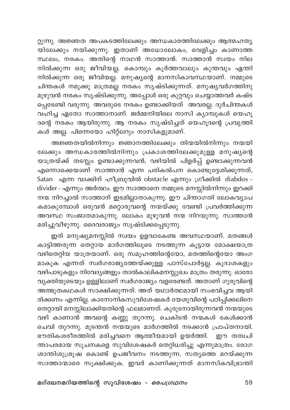റ്റുന്നു. അജ്ഞത അപകടത്തിലേക്കും അന്ധകാരത്തിലേക്കും ആത്മഹത്യ ം.<br>യിലേക്കും നയിക്കുന്നു. ഇതാണ് അധോലോകം, വെളിച്ചം കാണാത്ത സ്ഥലം, നരകം. അതിന്റെ നാഥൻ സാത്താൻ. സാത്താൻ സ്വയം നില നിൽക്കുന്ന ഒരു ജീവിയല്ല. കൊമ്പും കൂർത്തവാലും കുന്തവും ഏന്തി നിൽക്കുന്ന ഒരു ജീവിയല്ല. മനുഷ്യന്റെ മാനസികാവസ്ഥയാണ്. നമ്മുടെ ചിന്തകൾ നമുക്കു മാത്രമല്ല നരകം സൃഷ്ടിക്കുന്നത്. മനുഷ്യവർഗത്തിനു മുഴുവൻ നരകം സൃഷ്ടിക്കുന്നു. അപ്പോൾ ഒരു കുറ്റവും ചെയ്യാത്തവർ കഷ്ട പ്പെടേണ്ടി വരുന്നു. അവരുടെ നരകം ഉണ്ടാക്കിയത് അവരല്ല. ദുർചിന്തകൾ വഹിച്ച ഏതോ സാത്താനാണ്. ജർമ്മനിയിലെ നാസി ക്യാമ്പുകൾ യെഹൂ ദന്റെ നരകം ആയിരുന്നു. ആ നരകം സൃഷ്ടിച്ചത് യെഹൂദന്റെ പ്രവൃത്തി കൾ അല്ല. പിന്നെയോ ഹിറ്റ്ലറും നാസികളുമാണ്.

അജ്ഞതയിൽനിന്നും ജ്ഞാനത്തിലേക്കും തിന്മയിൽനിന്നും നന്മയി ലേക്കും അന്ധകാരത്തിൽനിന്നും പ്രകാശത്തിലേക്കുമുള്ള മനുഷ്യന്റെ യാത്രയ്ക്ക് തടസ്സം ഉണ്ടാക്കുന്നവൻ, വഴിയിൽ പിളർപ്പ് ഉണ്ടാക്കുന്നവൻ എന്നൊക്കെയാണ് സാത്താൻ എന്ന പരികൽപന കൊണ്ടുദ്ദേശിക്കുന്നത്, Satan എന്ന വാക്കിന് ഹീബ്രുവിൽ obstacle എന്നും ഗ്രീക്കിൽ diabdos divider - എന്നും അർത്ഥം. ഈ സാത്താനെ നമ്മുടെ മനസ്സിൽനിന്നും ഇറക്കി നന്മ നിറച്ചാൽ സാത്താന് ഇടമില്ലാതാകുന്നു. ഈ ചിന്താഗതി ലോകവ്യാപ കമാകുമ്പോൾ ഒരുവൻ മറ്റൊരുവന്റെ നന്മയ്ക്കു വേണ്ടി പ്രവർത്തിക്കുന്ന അവസ്ഥ സംജാതമാകുന്നു. ലോകം മുഴുവൻ നന്മ നിറയുന്നു. സാത്താൻ മരിച്ചുവീഴുന്നു. ദൈവരാജ്യം സൃഷ്ടിക്കപ്പെടുന്നു.

ഇത് മനുഷ്യമനസ്സിൽ സ്വയം ഉളവാകേണ്ട അവസ്ഥയാണ്. മതങ്ങൾ കാട്ടിത്തരുന്ന തെറ്റായ മാർഗത്തിലൂടെ നടത്തുന്ന കൂട്ടായ മോക്ഷയാത്ര വഴിതെറ്റിയ യാത്രയാണ്. ഒരു സമൂഹത്തിന്റെയോ, മതത്തിന്റെയോ അംഗ മാകുക എന്നത് സ്ഥർഗരാജ്യത്തേയ്ക്കുള്ള പാസ്പോർട്ടല്ല. കൂദാശകളും വഴിപാടുകളും നിവേദ്യങ്ങളും താൽകാലികമനസ്സുഖം മാത്രം തരുന്നു. ഓരോ വ്യക്തിയുടെയും ഉള്ളിലാണ് സ്വർഗരാജ്യം വളരേണ്ടത്. അതാണ് ഗുരുവിന്റെ .<br>അത്ഭുതകഥകൾ സാക്ഷിക്കുന്നത്. അത് യഥാർത്ഥമായി സംഭവിച്ചവ ആയി രിക്കണം എന്നില്ല. കാനോനികസുവിശേഷകർ യേശുവിന്റെ പഠിപ്പിക്കലിനെ തെറ്റായി മനസ്സിലാക്കിയതിന്റെ ഫലമാണത്. കുരുടനായിരുന്നവൻ നന്മയുടെ വഴി കാണാൻ അവന്റെ കണ്ണു തുറന്നു. ചെകിടൻ നന്മകൾ കേൾക്കാൻ ചെവി തുറന്നു. മുടന്തൻ നന്മയുടെ മാർഗത്തിൽ നടക്കാൻ പ്രാപ്തനായി. ഭൗതികശരീരത്തിൽ മരിച്ചവനെ ആത്മീയമായി ഉയർത്തി. ഈ തത്വചി ന്താപരമായ സൂചനകളെ സുവിശേഷകർ തെറ്റിധരിച്ചു എന്നുമാത്രം. രോഗ ശാന്തിശുശ്രൂഷ കൊണ്ട് ഉപജീവനം നടത്തുന്ന, സത്യത്തെ മറയ്ക്കുന്ന സാത്താന്മാരെ സൂക്ഷിക്കുക. ഇവർ കാണിക്കുന്നത് മാനസികവിഭ്രാന്തി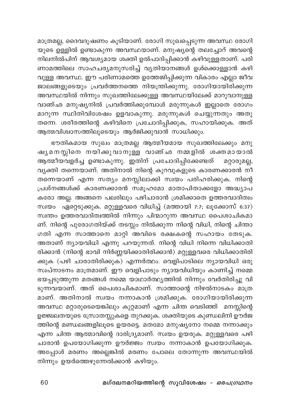മാത്രമല്ല, ദൈവദൂഷണം കൂടിയാണ്. രോഗി സുഖപ്പെടുന്ന അവസ്ഥ രോഗി യുടെ ഉള്ളിൽ ഉണ്ടാകുന്ന അവസ്ഥയാണ്. മനുഷ്യന്റെ തലച്ചോറ് അവന്റെ .<br>നിലനിൽപിന് ആവശ്യമായ ശക്തി ഉൽപാദിപ്പിക്കാൻ കഴിവുള്ളതാണ്. പരി ണാമത്തിലെ സാഹചര്യമനുസരിച്ച് വ്യതിയാനങ്ങൾ ഉൾക്കൊള്ളാൻ കഴി വുള്ള അവസ്ഥ. ഈ പരിണാമത്തെ ഉത്തേജിപ്പിക്കുന്ന വികാരം എല്ലാ ജീവ ജാലങ്ങളുടെയും പ്രവർത്തനത്തെ നിയന്ത്രിക്കുന്നു. രോഗിയായിരിക്കുന്ന അവസ്ഥയിൽ നിന്നും സുഖത്തിലേക്കുള്ള അവസ്ഥയിലേക്ക് മാറുവാനുള്ള വാഞ്ഛ മനുഷ്യനിൽ പ്രവർത്തിക്കുമ്പോൾ മരുന്നുകൾ ഇല്ലാതെ രോഗം മാറുന്ന സ്ഥിതിവിശേഷം ഉളവാകുന്നു. മരുന്നുകൾ ചെയ്യുന്നതും അതു തന്നെ. ശരീരത്തിന്റെ കഴിവിനെ പ്രചോദിപ്പിക്കുക, സഹായിക്കുക. അത് ആത്മവിശ്വാസത്തിലൂടെയും ആർജിക്കുവാൻ സാധിക്കും.

ഭൗതികമായ സുഖം മാത്രമല്ല ആത്മീയമായ സുഖത്തിലേക്കും മനു ഷ്യമനസ്സിനെ നയിക്കുവാനുള്ള വാഞ്ഛ നമ്മളിൽ ശക്തമായാൽ ആത്മീയവളർച്ച ഉണ്ടാകുന്നു. ഇതിന് പ്രചോദിപ്പിക്കേണ്ടത് മറ്റാരുമല്ല, വൃക്തി തന്നെയാണ്. അതിനാൽ നിന്റെ കുറവുകളുടെ കാരണക്കാരൻ നീ തന്നെയാണ് എന്ന സത്യം മനസ്സിലാക്കി സ്വയം പരിഹരിക്കുക. നിന്റെ പ്രശ്നങ്ങൾക്ക് കാരണക്കാരൻ സമൂഹമോ മാതാപിതാക്കളോ അദ്ധ്യാപ കരോ അല്ല. അങ്ങനെ പലരിലും പഴിചാരാൻ ശ്രമിക്കാതെ ഉത്തരവാദിത്വം സ്വയം ഏറ്റെടുക്കുക. മറ്റുള്ളവരെ വിധിച്ച് (മത്തായി 7:7; ലൂക്കോസ് 6:37) സ്ഥതം ഉത്തരവാദിത്വത്തിൽ നിന്നും പിന്മാറുന്ന അവസ്ഥ പൈശാചികമാ ണ്. നിന്റെ പുരോഗതിയ്ക്ക് തടസ്സം നിൽക്കുന്ന നിന്റെ വിധി, നിന്റെ ചിന്താ ഗതി എന്ന സാത്താനെ മാറ്റി അവിടെ രക്ഷകന്റെ സഹായം തേടുക. അതാണ് ന്യായവിധി എന്നു പറയുന്നത്. നിന്റെ വിധി നിന്നെ വിധിക്കാതി രിക്കാൻ (നിന്റെ ഭാവി നിർണ്ണയിക്കാതിരിക്കാൻ) മറ്റുള്ളവരെ വിധിക്കാതിരി ക്കുക (പഴി ചാരാതിരിക്കുക) എന്നർത്ഥം. വെളിപാടിലെ ന്യായവിധി ഒരു സ്വപ്നാടനം മാത്രമാണ്. ഈ വെളിപാടും ന്യായവിധിയും കാണിച്ച് നമ്മെ ഭയപ്പടുത്തുന്ന മതങ്ങൾ നമ്മെ യാഥാർത്ഥ്യത്തിൽ നിന്നും വേർതിരിച്ചു വി ടുന്നവയാണ്. അത് പൈശാചികമാണ്. സാത്താന്റെ നിഴൽനാടകം മാത്ര മാണ്. അതിനാൽ സ്വയം നന്നാകാൻ ശ്രമിക്കുക. രോഗിയായിരിക്കുന്ന അവസ്ഥ മറ്റാരുടെയെങ്കിലും കുറ്റമാണ് എന്ന ചിന്ത വെടിഞ്ഞ് മനസ്സിന്റെ ഉജ്ജ്ഥതയുടെ സ്രോതസ്സുകളെ തുറക്കുക. ശക്തിയുടെ കുണ്ഡലിനി ഊർജ ത്തിന്റെ മണ്ഡലങ്ങളിലൂടെ ഉയരട്ടെ. മതമോ മനുഷ്യനോ നമ്മെ നന്നാക്കും എന്ന ചിന്ത ആത്മാവിന്റെ ദാരിദ്ര്യമാണ്. സ്വയം ഉയരുക. മറ്റുള്ളവരെ പഴി ചാരാൻ ഉപയോഗിക്കുന്ന ഊർജ്ജം സ്വയം നന്നാകാൻ ഉപയോഗിക്കുക. അപ്പോൾ മരണം അല്ലെങ്കിൽ മരണം പോലെ തോന്നുന്ന അവസ്ഥയിൽ നിന്നും ഉയർത്തെഴുന്നേൽക്കാൻ കഴിയും.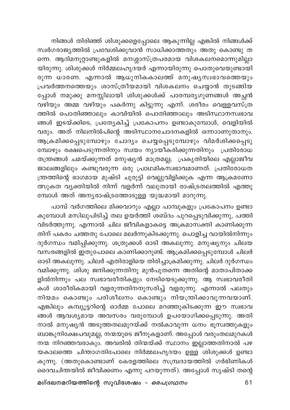നിങ്ങൾ തിരിഞ്ഞ് ശിശുക്കളെപ്പോലെ ആകുന്നില്ല എങ്കിൽ നിങ്ങൾക്ക് സ്വർഗരാജ്യത്തിൽ പ്രവേശിക്കുവാൻ സാധിക്കാത്തതും അതു കൊണ്ടു ത ണെ. ആദിമനൂറ്റാണ്ടുകളിൽ മനശ്ശാസ്ത്രപരമായ വിശകലനമൊന്നുമില്ലാ യിരുന്നു. ശിശുക്കൾ നിർമ്മലഹൃദയർ എന്നായിരുന്നു പൊതുവെയുണ്ടായി രുന്ന ധാരണ. എന്നാൽ ആധുനികകാലത്ത് മനുഷൃസ്വഭാവത്തെയും .<br>പ്രവർത്തനത്തെയും ശാസ്ത്രീയമായി വിശകലനം ചെയ്യാൻ തുടങ്ങിയ പ്പോൾ നമുക്കു മനസ്സിലായി ശിശുക്കൾക്ക് പാരമ്പര്യഗുണങ്ങൾ അച്ഛൻ വഴിയും അമ്മ വഴിയും പകർന്നു കിട്ടുന്നു എന്ന്. ശരീരം വെള്ളവസ്ത്ര .<br>ത്തിൽ പൊതിഞ്ഞാലും കാവിയിൽ പൊതിഞ്ഞാലും അടിസ്ഥാനസ്വഭാവ ങ്ങൾ ഇടയ്ക്കിടെ, പ്രത്യേകിച്ച് പ്രകോപനം ഉണ്ടാകുമ്പോൾ, വെളിയിൽ വരും. അത് നിലനിൽപിന്റെ അടിസ്ഥാനചോദനകളിൽ ഒന്നാാണുതാനും. ആക്രമിക്കപ്പെടുമ്പോഴും ചോദ്യം ചെയ്യപ്പെടുമ്പോഴും വിമർശിക്കപ്പെടു മ്പോഴും രക്ഷപെടുന്നതിനും സ്വയം ന്യായീകരിക്കുന്നതിനും പ്രതിരോധ തന്ത്രങ്ങൾ ചമയ്ക്കുന്നത് മനുഷ്യൻ മാത്രമല്ല; പ്രകൃതിയിലെ എല്ലാജീവ ജാലങ്ങളിലും കണ്ടുവരുന്ന ഒരു പ്രാഥമികസഭാവമാണത്. പ്രതിരോധത ത്രത്തിന്റെ ഭാഗമായ മുഷ്ടി ചുരുട്ടി വെല്ലുവിളിക്കുക എന്ന ആക്രമണോ .<br>ത്സുകത വ്യക്തിയിൽ നിന്ന് വളർന്ന് വലുതായി രാഷ്ട്രതലത്തിൽ എത്തു മ്പോൾ അത് അനൃരാഷ്ട്രത്തോടുള്ള യുദ്ധമായി മാറുന്നു.

പാമ്പ് വർഗത്തിലെ മിക്കവാറും എല്ലാ പാമ്പുകളും പ്രകോപനം ഉണ്ടാ കുമ്പോൾ മസിലുപിടിച്ച് തല ഉയർത്തി ശബ്ദം പുറപ്പെടുവിക്കുന്നു, പത്തി വിടർത്തുന്നു. എന്നാൽ ചില ജീവികളാകട്ടെ അക്രമാസക്തി കാണിക്കുന്ന തിന് പകരം ചത്തതു പോലെ മലർന്നുകിടക്കുന്നു. പൊളിച്ച വായിൽനിന്നും ദുർഗന്ധം വമിപ്പിക്കുന്നു. ശത്രുക്കൾ ഓടി അകലുന്നു. മനുഷ്യനും ചിലയ വസരങ്ങളിൽ ഇതുപോലെ കാണിക്കാറുണ്ട്. ആക്രമിക്കപ്പെടുമ്പോൾ ചിലർ ഓടി അകലുന്നു. ചിലർ എതിരാളിയെ തിരിച്ചാക്രമിക്കുന്നു. ചിലർ ദുർഗന്ധം വമിക്കുന്നു. ശിശു ജനിക്കുന്നതിനു മുൻപുതന്നെ അതിന്റെ മാതാപിതാക്ക ളിൽനിന്നും പല സ്വഭാവരീതികളും നേടിയെടുക്കുന്നു. ആ സ്വഭാവരീതി കൾ ശാരീരികമായി വളരുന്നതിനനുസരിച്ച് വളരുന്നു. എന്നാൽ പലതും നിയമം കൊണ്ടും പരിശീലനം കൊണ്ടും നിയന്ത്രിക്കാവുന്നവയാണ്. എങ്കിലും കമ്പ്യൂട്ടറിന്റെ ഓർമ്മ പോലെ മറഞ്ഞുകിടക്കുന്ന ഈ സ്വഭാവ ങ്ങൾ ആവശ്യമായ അവസരം വരുമ്പോൾ ഉപയോഗിക്കപ്പെടുന്നു. അതി നാൽ മനുഷ്യൻ അടുത്തതലമുറയ്ക്ക് നൽകാവുന്ന ധനം ഭൂസ്വത്തുകളും ബാങ്കുനിക്ഷേപവുമല്ല, നന്മയുടെ ജീനുകളാണ്. അപ്പോൾ വരുംതലമുറകൾ നന്മ നിറഞ്ഞവരാകും. അവരിൽ തിന്മയ്ക്ക് സ്ഥാനം ഇല്ലാത്തതിനാൽ പഴ യകാലത്തെ ചിന്താഗതിപോലെ നിർമ്മലഹൃദയം ഉള്ള ശിശുക്കൾ ഉണ്ടാ കുന്നു. (അതുകൊണ്ടാണ് കേരളത്തിലെ സമ്പ്രദായത്തിൽ ഗർഭിണികൾ ദൈവചിന്തയിൽ ജീവിക്കണം എന്നു പറയുന്നത്). അപ്പോൾ സൃഷ്ടി തന്റെ

മഗ്ദലനമറിയത്തിന്റെ സുവിശേഷം *– ഒരപഗ്രഥനം*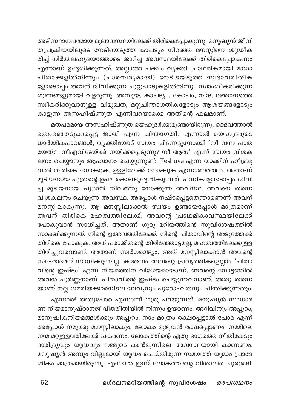അടിസ്ഥാനപരമായ മൂലാവസ്ഥയിലേക്ക് തിരികെപ്പോകുന്നു. മനുഷ്യൻ ജീവി തപ്രക്രിയയിലൂടെ നേടിയെടുത്ത കാപട്യം നിറഞ്ഞ മനസ്സിനെ ശുദ്ധീക .<br>രിച്ച് നിർമ്മലഹൃദയത്തോടെ ജനിച്ച അവസ്ഥയിലേക്ക് തിരികെപ്പോകണം എന്നാണ് ഉദ്ദേശിക്കുന്നത്. അല്ലാത്ത പക്ഷം വ്യക്തി പ്രാഥമികമായി മാതാ പിതാക്കളിൽനിന്നും (പാരമ്പര്യമായി) നേടിയെടുത്ത സ്വഭാവരീതിക ളോടൊപ്പം അവൻ ജീവീക്കുന്ന ചുറ്റുപാടുകളിൽനിന്നും സ്വാംശീകരിക്കുന്ന ഗുണങ്ങളുമായി വളരുന്നു. അസൂയ, കാപട്യം, കോപം, നിന്ദ, ജ്ഞാനത്തെ സ്ഥീകരിക്കുവാനുള്ള വിമുഖത, മറ്റുചിന്താഗതികളോടും ആശയങ്ങളോടും കാട്ടുന്ന അസഹിഷ്ണുത എന്നിവയൊക്കെ അതിന്റെ ഫലമാണ്.

മതപരമായ അസഹിഷ്ണുത യെഹൂദർക്കുമുണ്ടായിരുന്നു. ദൈവത്താൽ തെരഞ്ഞെടുക്കപ്പെട്ട ജാതി എന്ന ചിന്താഗതി. എന്നാൽ യെഹൂദരുടെ ധാർമ്മികപാഠങ്ങൾ, വൃക്തിയോട് സ്വയം പിന്നേട്ടുനോക്കി 'നീ വന്ന പാത യേത്? നീഎവിടേയ്ക്ക് നയിക്കപ്പെടുന്നു? നീ ആര?' എന്ന് സ്വയം വിശക ലനം ചെയ്യാനും ആഹ്വാനം ചെയ്യുന്നുണ്ട്. Teshuva എന്ന വാക്കിന് ഹീബ്രൂ വിൽ തിരികെ നോക്കുക, ഉള്ളിലേക്ക് നോക്കുക എന്നാണർത്ഥം. അതാണ് മുടിയനായ പുത്രന്റെ ഉപമ കൊണ്ടുദ്ദേശിക്കുന്നത്. പന്നികളോടൊപ്പം ജീവി ച്ച മുടിയനായ പുത്രൻ തിരിഞ്ഞു നോക്കുന്ന അവസ്ഥ. അവനെ തന്നെ \_\_<br>വിശകലനം ചെയ്യുന്ന അവസ്ഥ. അപ്പോൾ നഷ്ടപ്പെട്ടതെന്താണെന്ന് അവന് മനസ്സിലാകുന്നു. ആ മനസ്സിലാക്കൽ സ്വയം ഉണ്ടായപ്പോൾ മാത്രമാണ് അവന് തിരികെ മഹത്വത്തിലേക്ക്, അവന്റെ പ്രാഥമികാവസ്ഥയിലേക്ക് പോകുവാൻ സാധിച്ചത്. അതാണ് ഗുരു മറിയത്തിന്റെ സുവിശേഷത്തിൽ സാക്ഷിക്കുന്നത്. നിന്റെ ഉത്ഭവത്തിലേക്ക്, നിന്റെ പിതാവിന്റെ അടുത്തേക്ക് തിരികെ പോകുക. അത് പരാജിതന്റെ തിരിഞ്ഞോട്ടമല്ല, മഹത്വത്തിലേക്കുള്ള തിരിച്ചുവരവാണ്. അതാണ് സ്വർഗരാജ്യം. അത് മനസ്സിലാക്കാൻ അവന്റെ സഹോദരന് സാധിക്കുന്നില്ല. കാരണം അവന്റെ പ്രവൃത്തികളെല്ലാം 'പിതാ വിന്റെ ഇഷ്ടം' എന്ന നിയമത്തിന് വിധേയമായാണ്. അവന്റെ നോട്ടത്തിൽ അവൻ പൂർണ്ണനാണ്. പിതാവിന്റെ ഇഷ്ടം ചെയ്യുന്നവനാണ്. അതു തന്നെ യാണ് നല്ല ശമരിയക്കാരനിലെ ലേവ്യനും പുരോഹിതനും ചിന്തിക്കുന്നതും.

എന്നാൽ അതുപോര എന്നാണ് ഗുരു പറയുന്നത്. മനുഷ്യൻ സാധാര ണ നിയമാനുഷ്ഠാനജീവിതരീതിയിൽ നിന്നും ഉയരണം. അറിവിനും അപ്പുറം, മാനുഷികനിയമങ്ങൾക്കും അപ്പുറം. നാം മാത്രം രക്ഷപ്പെട്ടാൽ പോര എന്ന് അപ്പോൾ നമുക്കു മനസ്സിലാകും. ലോകം മുഴുവൻ രക്ഷപ്പെടണം. നമ്മിലെ നന്മ മറ്റുള്ളവരിലേക്ക് പകരണം. ലോകത്തിന്റെ ഏതു ഭാഗത്തെ നീതികേടും ദാരിദ്ര്യവും യുദ്ധവും നമ്മുടെ കൺമുന്നിലെ അവസ്ഥയായി കാണണം. മനുഷ്യൻ അമ്പും വില്ലുമായി യുദ്ധം ചെയ്തിരുന്ന സമയത്ത് യുദ്ധം പ്രാദേ ശികം മാത്രമായിരുന്നു. എന്നാൽ ഇന്ന് ലോകത്തിന്റെ വിശാലത ചുരുങ്ങി.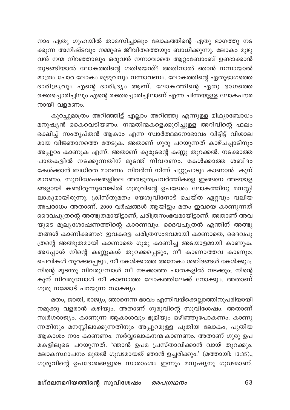നാം ഏതു ഗുഹയിൽ താമസിച്ചാലും ലോകത്തിന്റെ ഏതു ഭാഗത്തു നട ക്കുന്ന അനിഷ്ടവും നമ്മുടെ ജീവിതത്തെയും ബാധിക്കുന്നു. ലോകം മുഴു വൻ നന്മ നിറഞ്ഞാലും ഒരുവൻ നന്നാവാതെ ആറ്റംബോംബ് ഉണ്ടാക്കാൻ തുടങ്ങിയാൽ ലോകത്തിന്റെ ഗതിയെന്ത്? അതിനാൽ ഞാൻ നന്നായാൽ മാത്രം പോര ലോകം മുഴുവനും നന്നാവണം. ലോകത്തിന്റെ ഏതുഭാഗത്തെ ദാരിദ്ര്യവും എന്റെ ദാരിദ്ര്യം ആണ്. ലോകത്തിന്റെ ഏതു ഭാഗത്തെ രക്തച്ചൊരിച്ചിലും എന്റെ രക്തച്ചൊരിച്ചിലാണ് എന്ന ചിന്തയുള്ള ലോകപൗര നായി വളരണം.

കുറച്ചുമാത്രം അറിഞ്ഞിട്ട് എല്ലാം അറിഞ്ഞു എന്നുള്ള മിഥ്യാബോധം മനുഷ്യൻ കൈവെടിയണം. നന്മതിന്മകളെക്കുറിച്ചുള്ള അറിവിന്റെ ഫലം ഭക്ഷിച്ച് സംതൃപ്തൻ ആകാം എന്ന സ്വാർത്ഥമനോഭാവം വിട്ടിട്ട് വിശാല മായ വിജ്ഞാനത്തെ തേടുക. അതാണ് ഗുരു പറയുന്നത് കാഴ്ചപ്പാടിനും അപ്പുറം കാണുക എന്ന്. അതാണ് കുരുടന്റെ കണ്ണു തുറക്കൽ. നടക്കാത്ത പാതകളിൽ നടക്കുന്നതിന് മുടന്ത് നിവരണം. കേൾക്കാത്ത ശബ്ദം കേൾക്കാൻ ബധിരത മാറണം. നിവർന്ന് നിന്ന് ചുറ്റുപാടും കാണാൻ കൂന് മാറണം. സുവിശേഷങ്ങളിലെ അത്ഭുതപ്രവർത്തികളെ ഇങ്ങനെ അടയാള ങ്ങളായി കണ്ടിരുന്നുവെങ്കിൽ ഗുരുവിന്റെ ഉപദേശം ലോകത്തിനു മനസ്സി .<br>ലാകുമായിരുന്നു. ക്രിസ്തുമതം യേശുവിനോട് ചെയ്ത ഏറ്റവും വലിയ .<br>അപരാധം അതാണ്. 2000 വർഷങ്ങൾ ആയിട്ടും മതം ഇവയെ കാണുന്നത് ദൈവപുത്രന്റെ അത്ഭുതമായിട്ടാണ്, ചരിത്രസംഭവമായിട്ടാണ്. അതാണ് അവ യുടെ മൂല്യശോഷണത്തിന്റെ കാരണവും. ദൈവപുത്രൻ എന്തിന് അത്ഭു തങ്ങൾ കാണിക്കണം? ഇവകളെ ചരിത്രസംഭവമായി കാണാതെ, ദൈവപു ത്രന്റെ അത്ഭുതമായി കാണാതെ ഗുരു കാണിച്ച അടയാളമായി കാണുക. അപ്പോൾ നിന്റെ കണ്ണുകൾ തുറക്കപ്പെടും, നീ കാണാത്തവ കാണും; ചെവികൾ തുറക്കപ്പെടും, നീ കേൾക്കാത്ത അനേകം ശബ്ദങ്ങൾ കേൾക്കും;. നിന്റെ മുടന്തു നിവരുമ്പോൾ നീ നടക്കാത്ത പാതകളിൽ നടക്കും; നിന്റെ കൂന് നിവരുമ്പോൾ നീ കാണാത്ത ലോകത്തിലേക്ക് നോക്കും. അതാണ് ഗുരു നമ്മോട് പറയുന്ന സാക്ഷ്യം.

മതം, ജാതി, രാജ്യം, ഞാനെന്ന ഭാവം എന്നിവയ്ക്കെല്ലാത്തിനുപരിയായി നമുക്കു വളരാൻ കഴിയും. അതാണ് ഗുരുവിന്റെ സുവിശേഷം. അതാണ് സ്വർഗരാജ്യം. കാണുന്ന ആകാശവും ഭൂമിയും ഒഴിഞ്ഞുപോകണം. കാണു ന്നതിനും മനസ്സിലാക്കുന്നതിനും അപ്പുറമുള്ള പുതിയ ലോകം, പുതിയ ആകാശം നാം കാണണം. സർവ്വലോകനന്മ കാണണം. അതാണ് ഗുരു ഉപ മകളിലൂടെ പറയുന്നത്. 'ഞാൻ ഉപമ പ്രസ്താവിക്കാൻ വായ് തുറക്കും. ലോകസ്ഥാപനം മുതൽ ഗൂഢമായത് ഞാൻ ഉച്ചരിക്കും.' (മത്തായി: 13:35)., ഗുരുവിന്റെ ഉപദേശങ്ങളുടെ സാരാംശം ഇന്നും മനുഷ്യനു ഗൂഢമാണ്.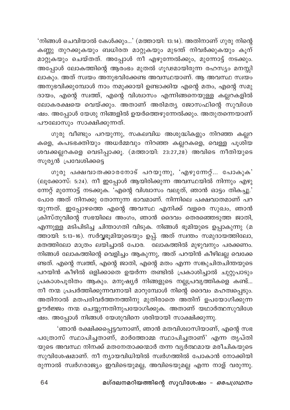'നിങ്ങൾ ചെവിയാൽ കേൾക്കും...' (മത്തായി: 13:14). അതിനാണ് ഗുരു നിന്റെ കണ്ണു തുറക്കുകയും ബധിരത മാറ്റുകയും മുടന്ത് നിവർക്കുകയും കൂന് മാറ്റുകയും ചെയ്തത്. അപ്പോൾ നീ എഴുന്നേൽക്കും, മുന്നോട്ട് നടക്കും. അപ്പോൾ ലോകത്തിന്റെ ആരംഭം മുതൽ ഗൂഢമായിരുന്ന രഹസ്യം മനസ്സി ലാകും. അത് സ്വയം അനുഭവിക്കേണ്ട അവസ്ഥയാണ്. ആ അവസ്ഥ സ്വയം അനുഭവിക്കുമ്പോൾ നാം നമുക്കായി ഉണ്ടാക്കിയ എന്റെ മതം, എന്റെ സമു ദായം, എന്റെ സ്വത്ത്, എന്റെ വിശ്വാസം എന്നിങ്ങനെയുള്ള കല്ലറകളിൽ ലോകരക്ഷയെ വെയ്ക്കും. അതാണ് അരിമത്യ ജോസഫിന്റെ സുവിശേ ഷം. അപ്പോൾ യേശു നിങ്ങളിൽ ഉയർത്തെഴുന്നേൽക്കും. അതുതന്നെയാണ് പൗലോസും സാക്ഷിക്കുന്നത്.

ഗുരു വീണ്ടും പറയുന്നു, സകലവിധ അശുദ്ധികളും നിറഞ്ഞ കല്ലറ കളെ, കപടഭക്തിയും അധർമ്മവും നിറഞ്ഞ കല്ലറകളെ, വെള്ള പൂശിയ ശവക്കല്ലറകളെ വെടിപ്പാക്കൂ. (മത്തായി: 23:27,28) അവിടെ നീതിയുടെ സുര്യൻ പ്രവേശിക്കട്ടെ

ഗുരു പക്ഷവാതക്കാരനോട് പറയുന്നു, 'എഴുന്നേറ്റ്... പോകുക' (ലൂക്കോസ്: 5:24). നീ ഇപ്പോൾ ആയിരിക്കുന്ന അവസ്ഥയിൽ നിന്നും എഴു ന്നേറ്റ് മുന്നോട്ട് നടക്കുക. 'എന്റെ വിശ്വാസം വലുത്, ഞാൻ ഓട്ടം തികച്ചു.' പോര അത് നിനക്കു തോന്നുന്ന ഭാവമാണ്. നിന്നിലെ പക്ഷവാതമാണ് പറ യുന്നത്. ഇപ്പോഴത്തെ എന്റെ അവസ്ഥ എനിക്ക് വളരെ സുഖം, ഞാൻ ക്രിസ്തുവിന്റെ സഭയിലെ അംഗം, ഞാൻ ദൈവം തെരഞ്ഞെടുത്ത ജാതി, എന്നുള്ള മടിപിടിച്ച ചിന്താഗതി വിടുക. നിങ്ങൾ ഭൂമിയുടെ ഉപ്പാകുന്നു (മ .<br>ത്തായി: 5:13-16). സർവ്വഭൂമിയുടെയും ഉപ്പ്. അത് സ്വന്തം സമുദായത്തിലോ, മതത്തിലോ മാത്രം ലയിച്ചാൽ പോര. <sup>—</sup>ലാകത്തിൽ മുഴുവനും പരക്കണം. നിങ്ങൾ ലോകത്തിന്റെ വെളിച്ചം ആകുന്നു, അത് പറയിൻ കീഴിലല്ല വെക്കേ ണ്ടത്. എന്റെ സ്വത്ത്, എന്റെ ജാതി, എന്റെ മതം എന്ന സങ്കുചിതചിന്തയുടെ പറയിൻ കീഴിൽ ഒളിക്കാതെ ഉയർന്ന തണ്ടിൽ പ്രകാശിച്ചാൽ ചുറ്റുപാടും പ്രകാശപൂരിതം ആകും. മനുഷ്യർ നിങ്ങളുടെ നല്ലപ്രവൃത്തികളെ കണ്ട്... നീ നന്മ പ്രപർത്തിക്കുന്നവനായി മാറുമ്പോൾ നിന്റെ ദൈവം മഹത്വപ്പെടും. അതിനാൽ മതപരിവർത്തനത്തിനു മുതിരാതെ അതിന് ഉപയോഗിക്കുന്ന ഊർജ്ജം നന്മ ചെയ്യുന്നതിനുപയോഗിക്കുക. അതാണ് യഥാർത്ഥസുവിശേ ഷം. അപ്പോൾ നിങ്ങൾ യേശുവിനെ ശരിയായി സാക്ഷിക്കുന്നു.

'ഞാൻ രക്ഷിക്കപ്പെട്ടവനാണ്, ഞാൻ മതവിശ്വാസിയാണ്, എന്റെ സഭ പത്രോസ് സ്ഥാപിച്ചതാണ്, മാർത്തോമ്മ സ്ഥാപിച്ചതാണ്' എന്ന തൃപ്തി യുടെ അവസ്ഥ നിനക്ക് മതനേതാക്കന്മാർ തന്ന വൃർത്ഥമായ മരീചികയുടെ സുവിശേഷമാണ്. നീ ന്യായവിധിയിൽ സ്വർഗത്തിൽ പോകാൻ നോക്കിയി രുന്നാൽ സ്ഥർഗരാജ്യം ഇവിടെയുമല്ല, അവിടെയുമല്ല എന്ന നാള് വരുന്നു.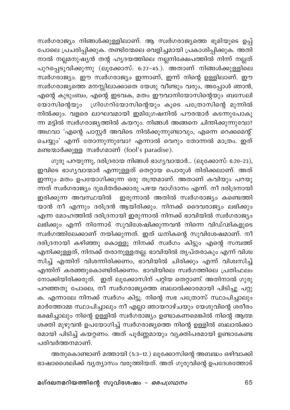സ്വർഗരാജ്യം നിങ്ങൾക്കുള്ളിലാണ്. ആ സ്വർഗരാജ്യത്തെ ഭൂമിയുടെ ഉപ്പ് പോലെ പ്രചരിപ്പിക്കുക. തണ്ടിന്മേലെ വെളിച്ചമായി പ്രകാശിപ്പിക്കുക. അതി .<br>നാൽ നല്ലമനുഷ്യൻ തന്റ ഹൃദയത്തിലെ നല്ലനിക്ഷേപത്തിൽ നിന്ന് നല്ലത് പുറപ്പെടുവിക്കുന്നു (ലൂക്കോസ്: 6:27–45.). അതാണ് നിങ്ങൾക്കുള്ളിലെ സ്വർഗരാജ്യം. ഈ സ്വർഗരാജ്യം ഇന്നാണ്, ഇന്ന് നിന്റെ ഉള്ളിലാണ്. ഈ സ്വർഗരാജ്യത്തെ മനസ്സിലാക്കാതെ യേശു വീണ്ടും വരും, അപ്പോൾ ഞാൻ, .<br>എന്റെ കുടുംബം, എന്റെ ഇടവക, മതം ഈവാനിയോസിന്റെയും ബസേലി യോസിന്റെയും ഗ്രിഗേറിയോസിന്റെയും കൂടെ പത്രോസിന്റെ മുന്നിൽ .<br>നിൽക്കും. വളരെ ലാഘവമായി ഇമിഗ്രേഷനിൽ പൗരന്മാർ കടന്നുപോകു ന്ന മട്ടിൽ സ്വർഗരാജ്യത്തിൽ കയറും. നിങ്ങൾ അങ്ങനെ ചിന്തിക്കുന്നുവോ? അഥവാ 'എന്റെ പാസ്റ്റർ അവിടെ നിൽക്കുന്നുണ്ടാവും, എന്നെ റെക്കമെന്റ് ചെയ്യും' എന്ന് തോന്നുന്നുവോ? എന്നാൽ വെറും തോന്നൽ മാത്രം. ഇത് മണ്ടന്മാർക്കുള്ള സ്വർഗമാണ് (fool's paradise).

ഗുരു പറയുന്നു, ദരിദ്രരായ നിങ്ങൾ ഭാഗ്യവാന്മാർ... (ലുക്കോസ്: 6:20-23), ഇവിടെ ഭാഗ്യവാന്മാർ എന്നുള്ളത് തെറ്റായ പൊരുൾ തിരിക്കലാണ്. അത് ഇന്നും മതം ഉപയോഗിക്കുന്ന ഒരു തന്ത്രമാണ്. അതാണ് കവിയും പറയു ന്നത് സ്ഥർഗരാജ്യം ദുഖിതർക്കൊരു പഴയ വാഗ്ദാനം എന്ന്. നീ ദരിദ്രനായി ഇരിക്കുന്ന അവസ്ഥയിൽ ഇരുന്നാൽ അതിൽ സ്വർഗരാജ്യം കണ്ടെത്തി യാൻ നീ എന്നും ദരിദ്രൻ ആയിരിക്കും. നിനക്ക് ദൈവരാജ്യം ലഭിക്കും എന്ന മോഹത്തിൽ ദരിദ്രനായി ഇരുന്നാൽ നിനക്ക് ഭാവിയിൽ സ്വർഗരാജ്യം ലഭിക്കും എന്ന് നിന്നോട് സുവിശേഷിക്കുന്നവൻ നിന്നെ വിഡ്ഢികളുടെ സ്വർഗത്തിലേക്കാണ് നയിക്കുന്നത്. ഇത് ധനികന്റെ സുവിശേഷമാണ്. നീ ദരിദ്രനായി കഴിഞ്ഞു കൊള്ളൂ നിനക്ക് സ്വർഗം കിട്ടും എന്റെ സമ്പത്ത് എനിക്കുള്ളത്, നിനക്ക് തരാനുള്ളതല്ല. ഭാവിയിൽ തൃപ്തരാകും എന്ന് വിശ്വ സിച്ച് എന്തിന് വിശന്നിരിക്കണം, ഭാവിയിൽ ചിരിക്കും എന്ന് വിശ്വസിച്ച് .<br>എന്തിന് കരഞ്ഞുകൊണ്ടിരിക്കണം. ഭാവിയിലെ സ്വർഗത്തിലെ പ്രതിഫലം നോക്കിയിരിക്കരുത്. ഇത് ലൂക്കോസിന് പറ്റിയ തെറ്റാണ്. അതിനാൽ ഗുരു പറഞ്ഞതു പോലെ, നീ സ്വർഗരാജ്യത്തെ ബലാൽക്കാരമായി പിടിച്ചു പറ്റു ക. എന്നാലേ നിനക്ക് സ്വർഗം കിട്ടു. നിന്റെ സഭ പത്രോസ് സ്ഥാപിച്ചാലും മാർത്തോമ്മ സ്ഥാപിച്ചാലും നീ എല്ലാ ഞായറാഴ്ചയും യേശുവിന്റെ ശരീരം ഭക്ഷിച്ചാലും നിന്റെ ഉള്ളിൽ സ്വർഗരാജ്യം ഉണ്ടാകണമെങ്കിൽ നിന്റെ ആത്മ ശക്തി മുഴുവൻ ഉപയോഗിച്ച് സ്ഥർഗരാജ്യത്തെ നിന്റെ ഉള്ളിൽ ബലാൽക്കാ രമായി പിടിച്ച് കയറ്റണം. അത് പൂർണ്ണമായും വ്യക്തിപരമായി ഉണ്ടാകേണ്ട പരിവർത്തനമാണ്.

അതുകൊണ്ടാണ് മത്തായി (5:3-12.) ലൂക്കോസിന്റെ അബദ്ധം ഒഴിവാക്കി ഭാഷാശൈലിക്ക് വ്യത്യാസം വരുത്തിയത്. അത് ഗുരുവിന്റെ ഉപദേശത്തോട്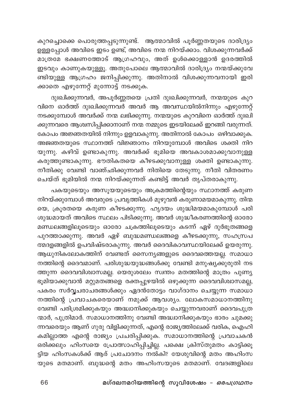കുറച്ചൊക്കെ പൊരുത്തപ്പടുന്നുണ്ട്. ആത്മാവിൽ പൂർണ്ണതയുടെ ദാരിദ്ര്യം .<br>ഉള്ളപ്പോൾ അവിടെ ഇടം ഉണ്ട്, അവിടെ നന്മ നിറയ്ക്കാം. വിശക്കുന്നവർക്ക് മാത്രമേ ഭക്ഷണത്തോട് ആഗ്രഹവും, അത് ഉൾക്കൊള്ളാൻ ഉദരത്തിൽ ഇടവും കാണുകയുള്ളൂ. അതുപോലെ ആത്മാവിൽ ദാരിദ്ര്യം നന്മയ്ക്കുവേ ണ്ടിയുള്ള ആഗ്രഹം ജനിപ്പിക്കുന്നു. അതിനാൽ വിശക്കുന്നവനായി ഇരി ക്കാതെ എഴുന്നേറ്റ് മുന്നോട്ട് നടക്കുക.

ദുഃഖിക്കുന്നവർ, അപൂർണ്ണതയെ പ്രതി ദുഃഖിക്കുന്നവർ, നന്മയുടെ കുറ വിനെ ഓർത്ത് ദുഃഖിക്കുന്നവർ അവർ ആ അവസ്ഥയിൽനിന്നും എഴുന്നേറ്റ് നടക്കുമ്പോൾ അവർക്ക് നന്മ ലഭിക്കുന്നു. നന്മയുടെ കുറവിനെ ഓർത്ത് ദുഃഖി ക്കുന്നവരെ ആശ്വസിപ്പിക്കാനാണ് നന്മ നമ്മുടെ ഇടയിലേക്ക് ഇറങ്ങി വരുന്നത്. കോപം അജ്ഞതയിൽ നിന്നും ഉളവാകുന്നു. അതിനാൽ കോപം ഒഴിവാക്കുക. അജഞതയുടെ സ്ഥാനത്ത് വിജ്ഞാനം നിറയുമ്പോൾ അവിടെ ശക്തി നിറ യുന്നു. കഴിവ് ഉണ്ടാകുന്നു. അവർക്ക് ഭൂമിയെ അവകാശമാക്കുവാനുള്ള കരുത്തുണ്ടാകുന്നു. ഭൗതികതയെ കീഴടക്കുവാനുള്ള ശക്തി ഉണ്ടാകുന്നു. നീതിക്കു വേണ്ടി വാഞ്ഛിക്കുന്നവർ നിതിയെ തേടുന്നു. നീതി വിതരണം .<br>ചെയ്ത് ഭൂമിയിൽ നന്മ നിറയ്ക്കുന്നത് കണ്ടിട്ട് അവർ തൃപ്തരാകുന്നു.

പകയുടെയും അസൂയയുടെയും അക്രമത്തിന്റെയും സ്ഥാനത്ത് കരുണ .<br>നിറയ്ക്കുമ്പോൾ അവരുടെ പ്രവൃത്തികൾ മുഴുവൻ കരുണാമയമാകുന്നു. തിന്മ യെ, ക്രൂരതയെ കരുണ കീഴടക്കുന്നു. ഹൃദയം ശുദ്ധിമയമാകുമ്പോൾ പരി ശുദ്ധമായത് അവിടെ സ്ഥലം പിടിക്കുന്നു. അവർ ശുദ്ധീകരണത്തിന്റെ ഓരോ മണ്ഡലങ്ങളിലൂടെയും ഓരോ ചക്രത്തിലൂടെയും കടന്ന് ഏഴ് ദുർഭൂതങ്ങളെ പുറത്താക്കുന്നു. അവർ ഏഴ് ബുദ്ധമണ്ഡലങ്ങളെ കീഴടക്കുന്നു, സഹസ്രപ ത്മദളങ്ങളിൽ ഉപവിഷ്ടരാകുന്നു. അവർ ദൈവികാവസ്ഥയിലേക്ക് ഉയരുന്നു. ആധുനികലോകത്തിന് വേണ്ടത് സൈന്യങ്ങളുടെ ദൈവത്തെയല്ല. സമാധാ നത്തിന്റെ ദൈവമാണ്. പരിശുദ്ധയുദ്ധങ്ങൾക്കു വേണ്ടി മനുഷ്യക്കുരുതി നട ത്തുന്ന ദൈവവിശ്വാസമല്ല. യെരുശലേം സ്വന്തം മതത്തിന്റെ മാത്രം പുണ്യ ഭൂമിയാക്കുവാൻ മറ്റുമതങ്ങളെ രക്തപ്പുഴയിൽ ഒഴുക്കുന്ന ദൈവവിശ്വാസമല്ല, പകരം സർവ്വചരാചരങ്ങൾക്കും ഏദൻതോട്ടം വാഗ്ദാനം ചെയ്യുന്ന സമാധാ നത്തിന്റെ പ്രവാചകരെയാണ് നമുക്ക് ആവശ്യം. ലോകസമാധാനത്തിനു വേണ്ടി പരിശ്രമിക്കുകയും അദ്ധ്വാനിക്കുകയും ചെയ്യുന്നവരാണ് ദൈവപുത്ര ന്മാർ, പുത്രിമാർ. സമാധാനത്തിനു വേണ്ടി അദ്ധ്വാനിക്കുകയും ഭാരം ചുമക്കു ന്നവരെയും ആണ് ഗുരു വിളിക്കുന്നത്, എന്റെ രാജ്യത്തിലേക്ക് വരിക, ഐഹി കമില്ലാത്ത എന്റെ രാജ്യം പ്രചരിപ്പിക്കുക. സമാധാനത്തിന്റെ പ്രവാചകൻ ഒരിക്കലും ഹിംസയെ പ്രോത്സാഹിപ്പിച്ചില്ല. പക്ഷെ ക്രിസ്തുമതം കാട്ടിക്കൂ ട്ടിയ ഹിംസകൾക്ക് ആര് പ്രചോദനം നൽകി? യേശുവിന്റെ മതം അഹിംസ യുടെ മതമാണ്. ബുദ്ധന്റെ മതം അഹിംസയുടെ മതമാണ്. വേദങ്ങളിലെ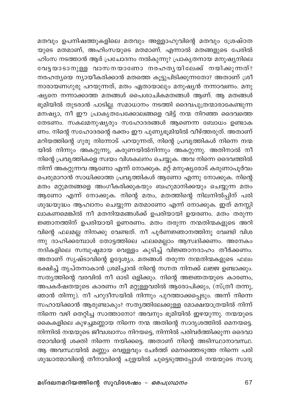മതവും ഉപനിഷത്തുകളിലെ മതവും അള്ളാഹുവിന്റെ മതവും ശ്രേഷ്ഠത യുടെ മതമാണ്, അഹിംസയുടെ മതമാണ്. എന്നാൽ മതങ്ങളുടെ പേരിൽ ഹിംസ നടത്താൻ ആര് പ്രചോദനം നൽകുന്നു? പ്രാകൃതനായ മനുഷ്യനിലെ വേട്ടയാടാനുള്ള വാസനയാണോ നരഹതൃയിലേക്ക് നയിക്കുന്നത്? നരഹത്യയെ ന്യായീകരിക്കാൻ മതത്തെ കൂട്ടുപിടിക്കുന്നതോ? അതാണ് ശ്രീ നാരായണഗുരു പറയുന്നത്, മതം ഏതായാലും മനുഷ്യൻ നന്നാവണം. മനു ഷ്യനെ നന്നാക്കാത്ത മതങ്ങൾ പൈശാചികമതങ്ങൾ ആണ്. ആ മതങ്ങൾ ഭൂമിയിൽ തുടരാൻ പാടില്ല. സമാധാനം നടത്തി ദൈവപുത്രന്മാരാകേണ്ടുന്ന മനഷ്യാ, നീ ഈ പ്രാകൃതപേക്കോലങ്ങളെ വിട്ട് നന്മ നിറഞ്ഞ ദൈവത്തെ തേടണം. സകലമനുഷ്യരും സഹോദരങ്ങൾ ആണെന്ന ബോധം ഉണ്ടാക ണം. നിന്റെ സഹോദരന്റെ രക്തം ഈ പുണ്യഭൂമിയിൽ വീഴ്ത്തരുത്. അതാണ് മറിയത്തിന്റെ ഗുരു നിന്നോട് പറയുന്നത്, നിന്റെ പ്രവൃത്തികൾ നിന്നെ നന്മ യിൽ നിന്നും അകറ്റുന്നു, കരുണയിൽനിന്നും അകറ്റുന്നു. അതിനാൽ നീ നിന്റെ പ്രവൃത്തികളെ സ്വയം വിശകലനം ചെയ്യുക. അവ നിന്നെ ദൈവത്തിൽ നിന്ന് അകറ്റുന്നവ ആണോ എന്ന് നോക്കുക. മറ്റ് മനുഷ്യരോട് കരുണാപൂർവം പെരുമാറാൻ സാധിക്കാത്ത പ്രവൃത്തികൾ ആണോ എന്നു നോക്കുക. നിന്റെ മതം മറ്റുമതങ്ങളെ അംഗീകരിക്കുകയും ബഹുമാനിക്കയും ചെയ്യുന്ന മതം ആണോ എന്ന് നോക്കുക. നിന്റെ മതം, മതത്തിന്റെ നിലനിൽപ്പിന് പരി ശുദ്ധയുദ്ധം ആഹ്വാനം ചെയ്യുന്ന മതമാണോ എന്ന് നോക്കുക. ഇത് മനസ്സി ലാകണമെങ്കിൽ നീ മതനിയമങ്ങൾക്ക് ഉപരിയായി ഉയരണം. മതം തരുന്ന ജ്ഞാനത്തിന് ഉപരിയായി ഉണരണം. മതം തരുന്ന നന്മതിന്മകളുടെ അറി വിന്റെ ഫലമല്ല നിനക്കു വേണ്ടത്. നീ പൂർണജ്ഞാനത്തിനു വേണ്ടി വിശ ന്നു ദാഹിക്ക്ബാൾ തോട്ടത്തിലെ ഫലമെല്ലാം ആസ്വദിക്കണം. അനേകം നദികളിലെ സമ്പുഷ്ടമായ വെള്ളം കുടിച്ച് വിജ്ഞാനദാഹം തീർക്കണം. അതാണ് സൃഷ്ടാവിന്റെ ഉദ്ദേശ്യം. മതങ്ങൾ തരുന്ന നന്മതിന്മകളുടെ ഫലം ഭക്ഷിച്ച് തൃപ്തനാകാൻ ശ്രമിച്ചാൽ നിന്റെ നഗ്നത നിനക്ക് ലജ്ജ ഉണ്ടാക്കും. സത്യത്തിന്റെ വരവിൽ നീ ഓടി ഒളിക്കും. നിന്റെ അജ്ഞതയുടെ കാരണം, അപകർഷതയുടെ കാരണം നീ മറ്റുള്ളവരിൽ ആരോപിക്കും, (സ്ത്രീ തന്നു, ഞാൻ തിന്നു). നീ പറുദീസയിൽ നിന്നും പുറത്താക്കപ്പെടും. അന്ന് നിന്നെ സഹായിക്കാൻ ആരുണ്ടാകും? സത്യത്തിലേക്കുള്ള മോക്ഷയാത്രയിൽ നിന്ന് നിന്നെ വഴി തെറ്റിച്ച സാത്താനോ? അവനും ഭൂമിയിൽ ഇഴയുന്നു. നന്മയുടെ കൈകളിലെ കുഴച്ചമണ്ണായ നിന്നെ നന്മ അതിന്റെ സാദൃശത്തിൽ മെനയട്ടെ. നിന്നിൽ നന്മയുടെ ജീവശ്വാസം നിറയട്ടെ, നിന്നിൽ പരിവർത്തിക്കുന്ന ദൈവാ ത്മാവിന്റെ ശക്തി നിന്നെ നയിക്കട്ടെ. അതാണ് നിന്റെ അടിസ്ഥാനാവസ്ഥ. ആ അവസ്ഥയിൽ മണ്ണും വെള്ളവും ചേർത്ത് മെനഞ്ഞെടുത്ത നിന്നെ പരി ശുദ്ധാത്മാവിന്റെ തീനാവിന്റെ ചുളയിൽ ചുട്ടെടുത്തപ്പോൾ നന്മയുടെ സാദൃ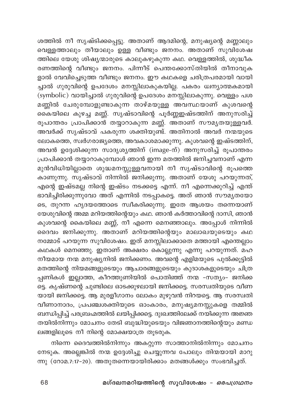ശത്തിൽ നീ സൃഷ്ടിക്കപ്പെട്ടു. അതാണ് ആദമിന്റെ, മനുഷ്യന്റെ മണ്ണാലും പെള്ളത്താലും തീയാലും ഉള്ള വീണ്ടും ജനനം. അതാണ് സുവിശേഷ ത്തിലെ യേശു ശിഷ്യന്മാരുടെ കാലുകഴുകുന്ന കഥ. വെള്ളത്തിൽ, ശുദ്ധീക രണത്തിന്റെ വീണ്ടും ജനനം. പിന്നീട് പെന്തക്കോസ്തിയിൽ തീനാവുക ളാൽ വേവിച്ചെടുത്ത വീണ്ടും ജനനം. ഈ കഥകളെ ചരിത്രപരമായി വായി ച്ചാൽ ഗുരുവിന്റെ ഉപദേശം മനസ്സിലാകുകയില്ല. പകരം ധ്വന്യാത്മകമായി (symbolic) വായിച്ചാൽ ഗുരുവിന്റെ ഉപദേശം മനസ്സിലാകുന്നു. വെള്ളം പശ മണ്ണിൽ ചേരുമ്പോളുണ്ടാകുന്ന താഴ്മയുള്ള അവസ്ഥയാണ് കുശവന്റെ രൂപാന്തരം പ്രാപിക്കാൻ തയ്യാറാകുന്ന മണ്ണ്. അതാണ് സൗമൃതയുള്ളവർ. .<br>അവർക്ക് സൃഷ്ടാവ് പകരുന്ന ശക്തിയുണ്ട്. അതിനാൽ അവർ നന്മയുടെ ലോകത്തെ, സ്വർഗരാജ്യത്തെ, അവകാശമാക്കുന്നു. കുശവന്റെ ഇഷ്ടത്തിന്, അവൻ ഉദ്ദേശിക്കുന്ന സാദൃശ്യത്തിന് (image-ന്) അനുസരിച്ച് രൂപാന്തരം പ്രാപിക്കാൻ തയ്യാറാകുമ്പോൾ ഞാൻ ഇന്ന മതത്തിൽ ജനിച്ചവനാണ് എന്ന മുൻവിധിയില്ലാതെ ശുദ്ധമനസ്സുള്ളവനായി നീ സൃഷ്ടാവിന്റെ രൂപത്തെ കാണുന്നു. സൃഷ്ടാവ് നിന്നിൽ ജനിക്കുന്നു. അതാണ് യേശു പറയുന്നത്, എന്റെ ഇഷ്ടമല്ല നിന്റെ ഇഷ്ടം നടക്കട്ടെ എന്ന്. നീ എന്നെക്കുറിച്ച് എന്ത് ഭാവിച്ചിരിക്കുന്നുവോ അത് എന്നിൽ നടപ്പാകട്ടെ. അത് ഞാൻ സൗമൃതയോ ടെ, തുറന്ന ഹൃദയത്തോടെ സ്വീകരിക്കുന്നു. ഇതേ ആശയം തന്നെയാണ് യേശുവിന്റെ അമ്മ മറിയത്തിന്റെയും കഥ. ഞാൻ കർത്താവിന്റെ ദാസി, ഞാൻ കുശവന്റെ കൈയിലെ മണ്ണ്, നീ എന്നെ മെനഞ്ഞാലും. അപ്പോൾ നിന്നിൽ ം<br>ദൈവം ജനിക്കുന്നു. അതാണ് മറിയത്തിന്റെയും മാലാഖയുടെയും കഥ നമ്മോട് പറയുന്ന സുവിശേഷം. ഇത് മനസ്സിലാക്കാതെ മത്തായി എന്തെല്ലാം കഥകൾ മെനഞ്ഞു. ഇതാണ് അക്ഷരം കൊല്ലുന്നു എന്നു പറയുന്നത്. മഹ നീയമായ നന്മ മനുഷ്യനിൽ ജനിക്കണം. അവന്റെ എളിമയുടെ പുൽക്കൂട്ടിൽ മതത്തിന്റെ നിയമങ്ങളുടെയും ആചാരങ്ങളുടെയും കുദാശകളുടെയും ചിത്ര പ്പണികൾ ഇല്ലാത്ത, കീറത്തുണിയിൽ പൊതിഞ്ഞ് നന്മ -സത്യം- ജനിക്ക ട്ടെ. കൃഷ്ണന്റെ ചുണ്ടിലെ ഓടക്കുഴലായി ജനിക്കട്ടെ. സരസ്ഥതിയുടെ വീണ യായി ജനിക്കട്ടെ. ആ മുരളീഗാനം ലോകം മുഴുവൻ നിറയട്ടെ. ആ സരസ്വതി വീണാനാദം, പ്രപഞ്ചശക്തിയുടെ ഓംകാരം, മനുഷ്യമനസ്സുകളെ തമ്മിൽ ബന്ധിപ്പിച്ച് പരബ്രഹ്മത്തിൽ ലയിപ്പിക്കട്ടെ. ദുഃഖത്തിലേക്ക് നയിക്കുന്ന അജ്ഞ തയിൽനിന്നും മോചനം തേടി ബുദ്ധിയുടെയും വിജഞാനത്തിന്റെയും മണ്ഡ ലങ്ങളിലൂടെ നീ നിന്റെ മോക്ഷയാത്ര തൂടരുക.

നിന്നെ ദൈവത്തിൽനിന്നും അകറ്റുന്ന സാത്താനിൽനിന്നും മോചനം നേടുക. അല്ലെങ്കിൽ നന്മ ഉദ്ദേശിച്ചു ചെയ്യുന്നവ പോലും തിന്മയായി മാറു ന്നു (റോമ.7:17-20). അതുതന്നെയായിരിക്കാം മതങ്ങൾക്കും സംഭവിച്ചത്.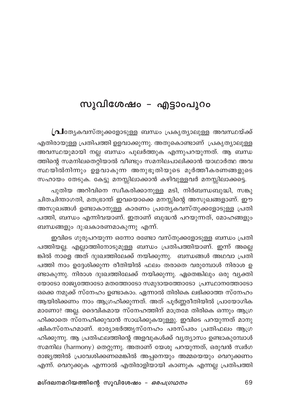## സുവിശേഷം – എട്ടാംപുറം

[al. ആകവസ്തുക്കളോടുള്ള ബന്ധം പ്രകൃത്യാലുള്ള അവസ്ഥയ്ക്ക് എതിരായുള്ള പ്രതിപത്തി ഉളവാക്കുന്നു. അതുകൊണ്ടാണ് പ്രകൃത്യാലുള്ള അവസ്ഥയുമായി നല്ല ബന്ധം പുലർത്തുക എന്നുപറയുന്നത്. ആ ബന്ധ ത്തിന്റെ സമനിലതെറ്റിയാൽ വീണ്ടും സമനിലപാലിക്കാൻ യാഥാർത്ഥ അവ സ്ഥയിൽനിന്നും ഉളവാകുന്ന അനുഭൂതിയുടെ മൂർത്തീകരണങ്ങളുടെ സഹായം തേടുക. കേട്ടു മനസ്സിലാക്കാൻ കഴിവുള്ളവർ മനസ്സിലാക്കട്ടെ.

പുതിയ അറിവിനെ സ്ഥീകരിക്കാനുള്ള മടി, നിർബന്ധബുദ്ധി, സങ്കു ചിതചിന്താഗതി, മതഭ്രാന്ത് ഇവയൊക്കെ മനസ്സിന്റെ അസുഖങ്ങളാണ്. ഈ അസുഖങ്ങൾ ഉണ്ടാകാനുള്ള കാരണം പ്രത്യേകവസ്തുക്കളോടുള്ള പ്രതി പത്തി, ബന്ധം എന്നിവയാണ്. ഇതാണ് ബുദ്ധൻ പറയുന്നത്, മോഹങ്ങളും ബന്ധങ്ങളും ദു:ഖകാരണമാകുന്നു എന്ന്.

ഇവിടെ ഗുരുപറയുന്ന ഒന്നോ രണ്ടോ വസ്തുക്കളോടുള്ള ബന്ധം പ്രതി പത്തിയല്ല. എല്ലാത്തിനോടുമുള്ള ബന്ധം പ്രതിപത്തിയാണ്. ഇന്ന് അല്ലെ ങ്കിൽ നാളെ അത് ദുഃഖത്തിലേക്ക് നയിക്കുന്നു. ബന്ധങ്ങൾ അഥവാ പ്രതി പത്തി നാം ഉദ്ദേശിക്കുന്ന രീതിയിൽ ഫലം തരാതെ വരുമ്പോൾ നിരാശ ഉ ണ്ടാകുന്നു. നിരാശ ദുഃഖത്തിലേക്ക് നയിക്കുന്നു. ഏതെങ്കിലും ഒരു വൃക്തി യോടോ രാജ്യത്തോടോ മതത്തോടോ സമുദായത്തോടോ പ്രസ്ഥാനത്തോടോ ഒക്കെ നമുക്ക് സ്നേഹം ഉണ്ടാകാം. ഏന്നാൽ തിരികെ ലഭിക്കാത്ത സ്നേഹം ആയിരിക്കണം നാം ആഗ്രഹിക്കുന്നത്. അത് പൂർണ്ണരീതിയിൽ പ്രായോഗിക മാണോ? അല്ല. ദൈവികമായ സ്നേഹത്തിന് മാത്രമേ തിരികെ ഒന്നും ആഗ്ര ഹിക്കാതെ സ്നേഹിക്കുവാൻ സാധിക്കുകയുള്ളു. ഇവിടെ പറയുന്നത് മാനു ഷികസ്നേഹമാണ്. ഭാര്യാഭർത്തുസ്നേഹം പരസ്പരം പ്രതിഫലം ആഗ്ര ഹിക്കുന്നു. ആ പ്രതിഫലത്തിന്റെ അളവുകൾക്ക് വ്യത്യാസം ഉണ്ടാകുമ്പോൾ സമനില (harmony) തെറ്റുന്നു. അതാണ് യേശു പറയുന്നത്, ഒരുവൻ സ്വർഗ രാജ്യത്തിൽ പ്രവേശിക്കണമെങ്കിൽ അപ്പനെയും അമ്മയെയും വെറുക്കണം എന്ന്. വെറുക്കുക എന്നാൽ എതിരാളിയായി കാണുക എന്നല്ല പ്രതിപത്തി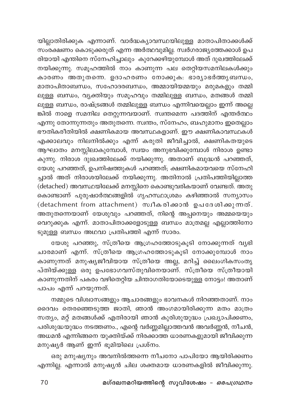യില്ലാതിരിക്കുക എന്നാണ്. വാർദ്ധക്യാവസ്ഥയിലുള്ള മാതാപിതാക്കൾക്ക് .<br>സംരക്ഷണം കൊടുക്കരുത് എന്ന അർത്ഥവുമില്ല. സ്ഥർഗരാജ്യത്തേക്കാൾ ഉപ .<br>രിയായി എന്തിനെ സ്നേഹിച്ചാലും കുറേക്കഴിയുമ്പോൾ അത് ദുഖത്തിലേക്ക് നയിക്കുന്നു. സമൂഹത്തിൽ നാം കാണുന്ന പല തെറ്റിയസമനിലകൾക്കും കാരണം അതുതന്നെ. ഉദാഹരണം നോക്കുക: ഭാര്യാഭർത്തൃബന്ധം, മാതാപിതാബന്ധം, സഹോദരബന്ധം, അമ്മായിയമ്മയും മരുമകളും തമ്മി ലുള്ള ബന്ധം, വ്യക്തിയും സമൂഹവും തമ്മിലുള്ള ബന്ധം, മതങ്ങൾ തമ്മി ലുള്ള ബന്ധം, രാഷ്ട്രങ്ങൾ തമ്മിലുള്ള ബന്ധം എന്നിവയെല്ലാം ഇന്ന് അല്ലെ .<br>ങിൽ നാളെ സമനില തെറ്റുന്നവയാണ്. സ്വന്തമെന്ന പദത്തിന് എന്തർത്ഥം എന്നു തോന്നുന്നതും അതുതന്നെ. സ്ഥതം, സ്നേഹം, ബഹുമാനം ഇതെല്ലാം ഭൗതികരീതിയിൽ ക്ഷണികമായ അവസ്ഥകളാണ്. ഈ ക്ഷണികാവസ്ഥകൾ എക്കാലവും നിലനിൽക്കും എന്ന് കരുതി ജീവിച്ചാൽ, ക്ഷണികതയുടെ ആഘാതം മനസ്സിലാകുമ്പോൾ, സ്വയം അനുഭവിക്കുമ്പോൾ നിരാശ ഉണ്ടാ കുന്നു. നിരാശ ദുഃഖത്തിലേക്ക് നയിക്കുന്നു. അതാണ് ബുദ്ധൻ പറഞ്ഞത്, യേശു പറഞ്ഞത്, ഉപനിഷത്തുകൾ പറഞ്ഞത്; ക്ഷണികമായവയെ സ്നേഹി ച്ചാൽ അത് നിരാശയിലേക്ക് നയിക്കുന്നു. അതിനാൽ പ്രതിപത്തിയില്ലാത്ത ...<br>(detached) അവസ്ഥയിലേക്ക് മനസ്സിനെ കൊണ്ടുവരികയാണ് വേണ്ടത്. അതു കൊണ്ടാണ് പുരുഷാർത്ഥങ്ങളിൽ ഗൃഹസ്ഥാശ്രമം കഴിഞ്ഞാൽ സന്യാസം (detachment from attachment) സ്വീകരിക്കാൻ ഉപദേശിക്കുന്നത്. അതുതന്നെയാണ് യേശുവും പറഞ്ഞത്, നിന്റെ അപ്പനെയും അമ്മയെയും വെറുക്കുക എന്ന്. മാതാപിതാക്കളോടുള്ള ബന്ധം മാത്രമല്ല എല്ലാത്തിനോ ടുമുള്ള ബന്ധം അഥവാ പ്രതിപത്തി എന്ന് സാരം.

യേശു പറഞ്ഞു, സ്ത്രീയെ ആഗ്രഹത്തോടുകൂടി നോക്കുന്നത് വ്യഭി ചാരമാണ് എന്ന്. സ്ത്രീയെ ആഗ്രഹത്തോടുകൂടി നോക്കുമ്പോൾ നാം കാണുന്നത് മനുഷ്യജീവിയായ സ്ത്രീയെ അല്ല, മറിച്ച് ലൈംഗികസംതൃ പ്തിയ്ക്കുള്ള ഒരു ഉപഭോഗവസ്തുവിനെയാണ്. സ്ത്രീയെ സ്ത്രീയായി കാണുന്നതിന് പകരം വഴിതെറ്റിയ ചിന്താഗതിയോടെയുള്ള നോട്ടം! അതാണ് പാപം എന്ന് പറയുന്നത്.

നമ്മുടെ വിശ്വാസങ്ങളും ആചാരങ്ങളും ഭാവനകൾ നിറഞ്ഞതാണ്. നാം ദൈവം തെരഞ്ഞെടുത്ത ജാതി, ഞാൻ അംഗമായിരിക്കുന്ന മതം മാത്രം സത്യം, മറ്റ് മതങ്ങൾക്ക് എതിരായി ഞാൻ കുരിശുയുദ്ധം പ്രഖ്യാപിക്കണം, പരിശുദ്ധയുദ്ധം നടത്തണം., എന്റെ വർണ്ണമില്ലാത്തവൻ അവർണ്ണൻ, നീചൻ, അധമൻ എന്നിങ്ങനെ യുക്തിയ്ക്ക് നിരക്കാത്ത ധാരണകളുമായി ജീവിക്കുന്ന മനുഷ്യർ ആണ് ഇന്ന് ഭൂമിയിലെ പ്രശ്നം.

ഒരു മനുഷ്യനും അവനിൽത്തന്നെ നീചനോ പാപിയോ ആയിരിക്കണം എന്നില്ല. എന്നാൽ മനുഷ്യൻ ചില ശക്തമായ ധാരണകളിൽ ജീവിക്കുന്നു.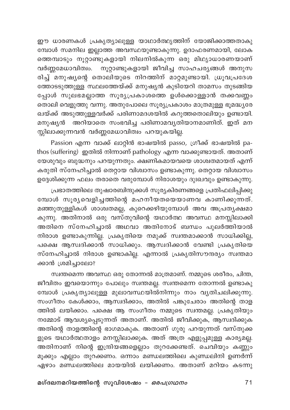ഈ ധാരണകൾ പ്രകൃത്യാലുള്ള യാഥാർത്ഥ്യത്തിന് യോജിക്കാത്തതാകു മ്പോൾ സമനില ഇല്ലാത്ത അവസ്ഥയുണ്ടാകുന്നു. ഉദാഫരണമായി, ലോക ത്തെമ്പാടും നൂറ്റാണ്ടുകളായി നിലനിൽകുന്ന ഒരു മിഥ്യാധാരണയാണ് വർണ്ണമേധാവിത്വം. നൂറ്റാണ്ടുകളായി ജീവിച്ച സാഹചര്യങ്ങൾ അനുസ രിച്ച് മനുഷ്യന്റെ തൊലിയുടെ നിറത്തിന് മാറ്റമുണ്ടായി. ധ്രൂവപ്രദേശ ത്തോടടുത്തുള്ള സ്ഥലത്തേയ്ക്ക് മനുഷ്യൻ കുടിയേറി താമസം തുടങ്ങിയ പ്പോൾ സുലഭമല്ലാത്ത സൂര്യപ്രകാശത്തെ ഉൾക്കൊള്ളാൻ തക്കവണ്ണം തൊലി വെളുത്തു വന്നു. അതുപോലെ സൂര്യപ്രകാശം മാത്രമുള്ള ഭൂമദ്ധ്യരേ ഖയ്ക്ക് അടുത്തുള്ളവർക്ക് പരിണാമദശയിൽ കറുത്തതൊലിയും ഉണ്ടായി. മനുഷ്യൻ അറിയാതെ സംഭവിച്ച പരിണാമവ്യതിയാനമാണിത്. ഇത് മന .<br>സ്സിലാക്കുന്നവൻ വർണ്ണമേധാവിത്വം പറയുകയി<u>ല</u>്ല.

Passion എന്ന വാക്ക് ലാറ്റിൻ ഭാഷയിൽ passo, ഗ്രീക്ക് ഭാഷയിൽ pathos (suffering) ഇതിൽ നിന്നാണ് pathology എന്ന വാക്കുണ്ടായത്. അതാണ് യേശുവും ബുദ്ധനും പറയുന്നതും. ക്ഷണികമായവയെ ശാശ്വതമായത് എന്ന് കരുതി സ്നേഹിച്ചാൽ തെറ്റായ വിശ്വാസം ഉണ്ടാകുന്നു. തെറ്റായ വിശ്വാസം ഉദ്ദേശിക്കുന്ന ഫലം തരാതെ വരുമ്പോൾ നിരാശയും ദുഃഖവും ഉണ്ടാകുന്നു.

പ്രഭാതത്തിലെ തുഷാരബിന്ദുക്കൾ സൂര്യകിരണങ്ങളെ പ്രതിഫലിപ്പിക്കു .<br>മ്പോൾ സൂര്യവെളിച്ചത്തിന്റെ മഹനീയതയെയാണവ കാണിക്കുന്നത്. മഞ്ഞുതുള്ളികൾ ശാശ്വതമല്ല, കുറെക്കഴിയുമ്പോൾ അവ അപ്രതൃക്ഷമാ കുന്നു. അതിനാൽ ഒരു വസ്തുവിന്റെ യഥാർത്ഥ അവസ്ഥ മനസ്സിലാക്കി .<br>അതിനെ സ്നേഹിച്ചാൽ അഥവാ അതിനോട് ബന്ധം പുലർത്തിയാൽ നിരാശ ഉണ്ടാകുന്നില്ല. പ്രകൃതിയെ നമുക്ക് സ്വന്തമാക്കാൻ സാധിക്കില്ല, പക്ഷെ ആസ്വദിക്കാൻ സാധിക്കും. ആസ്വദിക്കാൻ വേണ്ടി പ്രകൃതിയെ സ്നേഹിച്ചാൽ നിരാശ ഉണ്ടാകില്ല. എന്നാൽ പ്രകൃതിസൗന്ദര്യം സ്വന്തമാ ക്കാൻ ശ്രമിച്ചാലോ?

സ്വന്തമെന്ന അവസ്ഥ ഒരു തോന്നൽ മാത്രമാണ്. നമ്മുടെ ശരീരം, ചിന്ത, ജീവിതം ഇവയൊന്നും പോലും സ്വന്തമല്ല. സ്വന്തമെന്ന തോന്നൽ ഉണ്ടാകു മ്പോൾ പ്രകൃത്യാലുള്ള മുലാവസ്ഥയിൽനിന്നും നാം വൃതിചലിക്കുന്നു. സംഗീതം കേൾക്കാം, ആസ്വദിക്കാം, അതിൽ പങ്കുചേരാം അതിന്റെ താള ത്തിൽ ലയിക്കാം. പക്ഷെ ആ സംഗീതം നമ്മുടെ സ്വന്തമല്ല. പ്രകൃതിയും നമ്മോട് ആവശ്യപ്പെടുന്നത് അതാണ്. അതിൽ ജീവിക്കുക, ആസ്വദിക്കുക അതിന്റെ താളത്തിന്റെ ഭാഗമാകുക. അതാണ് ഗുരു പറയുന്നത് വസ്തുക്ക ളുടെ യഥാർത്ഥതാളം മനസ്സിലാക്കുക. അത് അത്ര എളുപ്പമുള്ള കാര്യമല്ല. അതിനാണ് നിന്റെ ഇന്ദ്രിയങ്ങളെല്ലാം തുറക്കേണ്ടത്. ചെവിയും കണ്ണും മൂക്കും എല്ലാം തുറക്കണം. ഒന്നാം മണ്ഡലത്തിലെ കുണ്ഡലിനി ഉണർന്ന് ഏഴാം മണ്ഡലത്തിലെ മായയിൽ ലയിക്കണം. അതാണ് മറിയം കടന്നു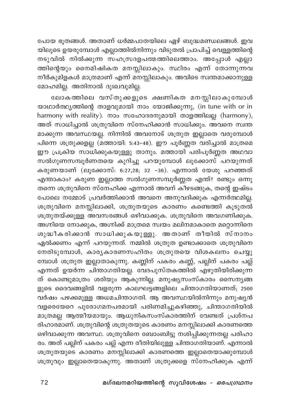പോയ ഭൂതങ്ങൾ. അതാണ് ധർമ്മപാതയിലെ ഏഴ് ബുദ്ധമണ്ഡലങ്ങൾ. ഇവ യിലൂടെ ഉയരുമ്പോൾ എല്ലാത്തിൽനിന്നും വിടുതൽ പ്രാപിച്ച് വെള്ളത്തിന്റെ .<br>നടുവിൽ നിൽക്കുന്ന സഹസ്രദളപത്മത്തിലെത്താം. അപ്പോൾ എല്ലാ ത്തിന്റെയും നൈമിഷികത മനസ്സിലാകും. സ്ഥിരം എന്ന് തോന്നുന്നവ നീർകുമിളകൾ മാത്രമാണ് എന്ന് മനസ്സിലാകും. അവിടെ സ്ഥതമാക്കാനുള്ള മോഹമില്ല. അതിനാൽ ദുഃഖവുമില്ല.

ലോകത്തിലെ വസ്തുക്കളുടെ ക്ഷണികത മനസ്സിലാകുമ്പോൾ യാഥാർത്ഥ്യത്തിന്റെ താളവുമായി നാം യോജിക്കുന്നു, (in tune with or in harmony with reality). നാം സഹോദരനുമായി താളത്തിലല്ല (harmony), .<br>അത് സാധിച്ചാൽ ശത്രുവിനെ സ്നേഹിക്കാൻ സാധിക്കും. അവനെ സ്വന്ത മാക്കുന്ന അവസ്ഥയല്ല. നിന്നിൽ അവനോട് ശത്രുത ഇല്ലാതെ വരുമ്പോൾ പിന്നെ ശത്രുക്കളല്ല (മത്തായി: 5:43-48). ഈ പൂര്ണ്ണത വരിച്ചാൽ മാത്രമെ ഈ പ്രക്രിയ സാധിക്കുകയുള്ളു താനും. മത്തായി പരിപൂർണ്ണത അഥവാ സൽഗുണസമ്പൂർണതയെ കുറിച്ചു പറയുമ്പോൾ ലൂക്കോസ് പറയുന്നത് കരുണയാണ് (ലൂക്കോസ്: 6:27,28; 32 –36). എന്നാൽ യേശു പറഞ്ഞത് എന്താകാം? കരുണ ഇല്ലാത്ത സൽഗുണസമ്പൂർണ്ണത എന്ത്? രണ്ടും ഒന്നു തന്നെ ശത്രുവിനെ സ്നേഹിക്ക എന്നാൽ അവന് കീഴടങ്ങുക, തന്റെ ഇഷ്ടം പോലെ നമ്മോട് പ്രവർത്തിക്കാൻ അവനെ അനുവദിക്കുക എന്നർത്ഥമില്ല. ശത്രുവിനെ മനസ്സിലാക്കി, ശത്രുതയുടെ കാരണം കണ്ടെത്തി കൂടുതൽ ശത്രുതയ്ക്കുള്ള അവസരങ്ങൾ ഒഴിവാക്കുക. ശത്രുവിനെ അവഗണിക്കുക. അഗ്നിയെ നോക്കുക, അഗ്നിക്ക് മാത്രമെ സ്വയം മലിനമാകാതെ മറ്റൊന്നിനെ ശുദ്ധീകരിക്കാൻ സാധിക്കുകയുള്ളു. അതാണ് തീയിൽ സ്നാനം ഏൽക്കണം എന്ന് പറയുന്നത്. നമ്മിൽ ശത്രുത ഉണ്ടാക്കാതെ ശത്രുവിനെ നേരിടുമ്പോൾ, കാര്യകാരണസഹിതം ശത്രുതയെ വിശകലനം ചെയ്യു മ്പോൾ ശത്രുത ഇല്ലാതാകുന്നു. കണ്ണിന് പകരം കണ്ണ്, പല്ലിന് പകരം പല്ല് എന്നത് ഉയർന്ന ചിന്താഗതിയല്ല. വേദപുസ്തകത്തിൽ എഴുതിയിരിക്കുന്ന ത് കൊണ്ടുമാത്രം ശരിയും ആകുന്നില്ല. മനുഷ്യസംസ്കാരം സൈന്യങ്ങ ളുടെ ദൈവങ്ങളിൽ വളരുന്ന കാലഘട്ടങ്ങളിലെ ചിന്താഗതിയാണത്; 2500 വർഷം പഴക്കമുള്ള അധമചിന്താഗതി. ആ അവസ്ഥയിൽനിന്നും മനുഷ്യൻ വളരെയേറെ പുരോഗമനപരമായി പരിണമിച്ചുകഴിഞ്ഞു, ചിന്താഗതിയിൽ മാത്രമല്ല ആത്മീയമായും. ആധുനികസംസ്കാരത്തിന് വേണ്ടത് പ്രശ്നപ രിഹാരമാണ്. ശത്രുവിന്റെ ശത്രുതയുടെ കാരണം മനസ്സിലാക്കി കാരണത്തെ ഒഴിവാക്കുന്ന അവസ്ഥ. ശത്രുവിനെ ബോംബിട്ടു നശിപ്പിക്കുന്നതല്ല പരിഹാ രം. അത് പല്ലിന് പകരം പല്ല് എന്ന രീതിയിലുള്ള ചിന്താഗതിയാണ്. എന്നാൽ ശത്രുതയുടെ കാരണം മനസ്സിലാക്കി കാരണത്തെ ഇല്ലാതെയാക്കുമ്പോൾ ശത്രുവും ഇല്ലാതെയാകുന്നു. അതാണ് ശത്രുക്കളെ സ്നേഹിക്കുക എന്ന്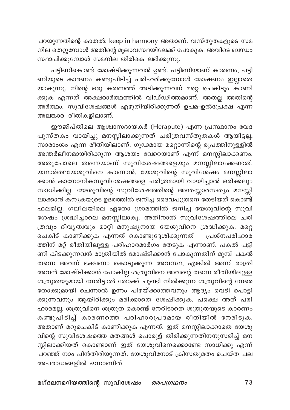പറയുന്നതിന്റെ കാതൽ; keep in harmony അതാണ്. വസ്തുതകളുടെ സമ നില തെറ്റുമ്പോൾ അതിന്റെ മൂലാവസ്ഥയിലേക്ക് പോകുക. അവിടെ ബന്ധം സ്ഥാപിക്കുമ്പോൾ സമനില തിരികെ ലഭിക്കുന്നു.

പട്ടിണികൊണ്ട് മോഷ്ടിക്കുന്നവൻ ഉണ്ട്. പട്ടിണിയാണ് കാരണം, പട്ടി .<br>ണിയുടെ കാരണം കണ്ടുപിടിച്ച് പരിഹരിക്കുമ്പോൾ മോഷണം ഇല്ലാതെ യാകുന്നു. നിന്റെ ഒരു കരണത്ത് അടിക്കുന്നവന് മറ്റെ ചെകിടും കാണി ക്കുക എന്നത് അക്ഷരാർത്ഥത്തിൽ വിഡ്ഢിത്തമാണ്. അതല്ല അതിന്റെ അർത്ഥം. സുവിശേഷങ്ങൾ എഴുതിയിരിക്കുന്നത് ഉപമ–ഉൽപ്രേക്ഷ എന്ന<sup>്</sup> അലങ്കാര രീതികളിലാണ്.

ഈജിപ്തിലെ ആശ്വാസദായകർ (Herapute) എന്ന പ്രസ്ഥാനം വേദ പുസ്തകം വായിച്ചു മനസ്സിലാക്കുന്നത് ചരിത്രവസ്തുതകൾ ആയിട്ട<u>ല</u>്ല, സാരാംശം എന്ന രീതിയിലാണ്. ഗൂഢമായ മറ്റൊന്നിന്റെ രൂപത്തിനുള്ളിൽ അന്തർലീനമായിരിക്കുന്ന ആശയം വേറെയാണ് എന്ന് മനസ്സിലാക്കണം. .<br>അതുപോലെ തന്നെയാണ് സുവിശേഷങ്ങളെയും മനസ്സിലാക്കേണ്ടത്. .<br>യഥാർത്ഥയേശുവിനെ കാണാൻ, യേശുവിന്റെ സുവിശേഷം മനസ്സിലാ .<br>ക്കാൻ കാനോനികസുവിശേഷങ്ങളെ ചരിത്രമായി വായിച്ചാൽ ഒരിക്കലും സാധിക്കില്ല. യേശുവിന്റെ സുവിശേഷത്തിന്റെ അന്തസ്സാരസത്യം മനസ്സി ലാക്കാൻ ക്നൃകയുടെ ഉദരത്തിൽ ജനിച്ച ദൈവപുത്രനെ തേടിയത് കൊണ്ട് ഫലമില്ല. ഗലീലയിലെ ഏതോ ഗ്രാമത്തിൽ ജനിച്ച യേശുവിന്റെ സുവി ശേഷം ശ്രദ്ധിച്ചാലെ മനസ്സിലാകൂ. അതിനാൽ സുവിശേഷത്തിലെ ചരി ത്രവും ദിവൃത്വവും മാറ്റി മനുഷ്യനായ യേശുവിനെ ശ്രദ്ധിക്കുക. മറ്റെ ചെകിട് കാണിക്കുക എന്നത് കൊണ്ടുദ്ദേശിക്കുന്നത് പ്രശ്നപരിഹാര ത്തിന് മറ്റ് രീതിയിലുള്ള പരിഹാരമാർഗം തേടുക എന്നാണ്. പകൽ പട്ടി ണി കിടക്കുന്നവൻ രാത്രിയിൽ മോഷ്ടിക്കാൻ പോകുന്നതിന് മുമ്പ് പകൽ തന്നെ അവന് ഭക്ഷണം കൊടുക്കുന്ന അവസ്ഥ, എങ്കിൽ അന്ന് രാത്രി അവൻ മോഷ്ടിക്കാൻ പോകില്ല ശത്രുവിനെ അവന്റെ തന്നെ രീതിയിലുള്ള ശത്രുതയുമായി നേരിട്ടാൽ തോക്ക് ചൂണ്ടി നിൽക്കുന്ന ശത്രുവിന്റെ നേരെ തോക്കുമായി ചെന്നാൽ ഉന്നം പിഴയ്ക്കാത്തവനും ആദ്യം വെടി പൊട്ടി ക്കുന്നവനും ആയിരിക്കും മരിക്കാതെ ശേഷിക്കുക. പക്ഷെ അത് പരി ഹാരമല്ല. ശത്രുവിനെ ശത്രുത കൊണ്ട് നേരിടാതെ ശത്രുതയുടെ കാരണം കണ്ടുപിടിച്ച് കാരണത്തെ പരിഹാരപ്രദമായ രീതിയിൽ നേരിടുക. അതാണ് മറുചെകിട് കാണിക്കുക എന്നത്. ഇത് മനസ്സിലാക്കാതെ യേശു വിന്റെ സുവിശേഷത്തെ മതങ്ങൾ പൊരുള് തിരിക്കുന്നതിനനുസരിച്ച് മന .<br>സ്സിലാക്കിയത് കൊണ്ടാണ് ഇത് യേശുവിനെക്കൊണ്ടേ സാധിക്കൂ എന്ന് പറഞ്ഞ് നാം പിൻതിരിയുന്നത്. യേശുവിനോട് ക്രിസതുമതം ചെയ്ത പല അപരാധങ്ങളിൽ ഒന്നാണിത്.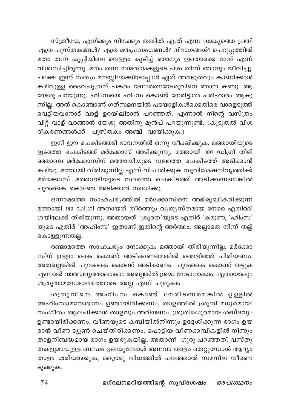സ്ത്രീയേ, എനിക്കും നിനക്കും തമ്മിൽ എന്ത് എന്ന വാകൃത്തെ പ്രതി എത്ര പുസ്തകങ്ങൾ? എത്ര മതപ്രസംഗങ്ങൾ? വിഭാഗങ്ങൾ? ചെറുപ്പത്തിൽ മതം തന്ന കുപ്പിയിലെ വെള്ളം കുടിച്ച് ഞാനും ഇതൊക്കെ നേര് എന്ന് വിശ്വസിച്ചിരുന്നു. മതം തന്ന നന്മതിന്മകളുടെ പഴം തിന്ന് ഞാനും ജീവിച്ചു. പക്ഷേ ഇന്ന് സത്യം മനസ്സിലാക്കിയപ്പോൾ ഏത് അത്ഭുതവും കാണിക്കാൻ കഴിവുള്ള ദൈവപുത്രന് പകരം യഥാർത്ഥയേശുവിനെ ഞാൻ കണ്ടു. ആ യേശു പറയുന്നു, ഹിംസയെ ഹിംസ കൊണ്ട് നേരിട്ടാൽ പരിഹാരം ആകു ന്നില്ല. അത് കൊണ്ടാണ് ഗത്സമനയിൽ പടയാളികൾക്കെതിരെ വാളെടുത്ത് വെട്ടിയവനോട് വാള് ഉറയിലിടാൻ പറഞ്ഞത്. എന്നാൽ നിന്റെ വസ്ത്രം വിറ്റ് വാള് വാങ്ങാൻ യേശു അതിനു മുൻപ് പറയുന്നുണ്ട്. (കൂടുതൽ വിശ ദീകരണങ്ങൾക്ക് പുസ്തകം അഞ്ച് വായിക്കുക.)

ഇനി ഈ ചെകിടത്തടി ഭാവനയിൽ ഒന്നു വീക്ഷിക്കുക. മത്തായിയുടെ ഇടത്തെ ചെകിടത്ത് മർക്കോസ് അടിക്കുന്നു. മത്തായി 180 ഡിഗ്രി തിരി ഞ്ഞാലെ മർക്കോസിന് മത്തായിയുടെ വലത്തെ ചെകിടത്ത് അടിക്കാൻ കഴിയൂ. മത്തായി തിരിയുന്നില്ല എന്ന് വിചാരിക്കുക സുവിശേഷനിവൃത്തിക്ക് മർക്കോസ് മത്തായിയുടെ വലത്തെ ചെകിടത്ത് അടിക്കണമെങ്കിൽ പുറംകൈ കൊണ്ടേ അടിക്കാൻ സാധിക്കു.

ഒന്നാമത്തെ സാഹചര്യത്തിൽ മർക്കോസിനെ അഭിമുഖീകരിക്കുന്ന മത്തായി 180 ഡിഗ്രി അതായത് തീർത്തും വ്യത്യസ്തമായ നേരെ എതിർദി ശയിലേക്ക് തിരിയുന്നു. അതായത് 'ക്രൂരത'യുടെ എതിര് 'കരുണ, 'ഹിംസ' യുടെ എതിര് 'അഹിംസ' ഇതാണ് ഇതിന്റെ അർത്ഥം. അല്ലാതെ നിന്ന് തല്ല് കൊള്ളുന്നതല്ല.

രണ്ടാമത്തെ സാഹചര്യം നോക്കുക: മത്തായി തിരിയുന്നില്ല. മർക്കോ സിന് ഉള്ളം കൈ കൊണ്ട് അടിക്കണമെങ്കിൽ ഞെളിഞ്ഞ് പിരിയണം, അതല്ലെങ്കിൽ പുറംകൈ കൊണ്ട് അടിക്കണം. പുറംകൈ കൊണ്ട് തട്ടുക എന്നാൽ വാത്സല്യത്താലാകാം അല്ലെങ്കിൽ ശ്രദ്ധ നേടാനാകാം. ഏതായാലും ശത്രുതാമനോഭാവത്തോടെ അല്ല എന്ന് ചുരുക്കം.

ശത്രു വിനെ അഹിം സ കൊണ്ട് നേരിടണമെങ്കിൽ ഉള്ളിൽ അഹിംസാമനോഭാവം ഉണ്ടായിരിക്കണം. താളത്തിൽ ശ്രുതി മധുരമായി സംഗീതം ആലപിക്കാൻ താളവും അറിയണം, ശ്രുതിമധുരമായ ശബ്ദവും ഉണ്ടായിരിക്കണം. വീണയുടെ കമ്പിയിൽനിന്നും ഉദ്ദേശിക്കുന്ന രാഗം ഉയ രാൻ വീണ ട്യൂൺ ചെയ്തിരിക്കണം. പൊട്ടിയ വീണക്കമ്പികളിൽ നിന്നും താളനിബദ്ധമായ രാഗം ഉയരുകയില്ല. അതാണ് ഗുരു പറഞ്ഞത്, വസ്തു തകളുമായുള്ള ബന്ധം ഉലയുമ്പോൾ അഥവാ താളം തെറ്റുമ്പോൾ ആദ്യം താളം ശരിയാക്കുക; മറ്റൊരു വിധത്തിൽ പറഞ്ഞാൽ സമനില വീണ്ടെ ടുക്കുക.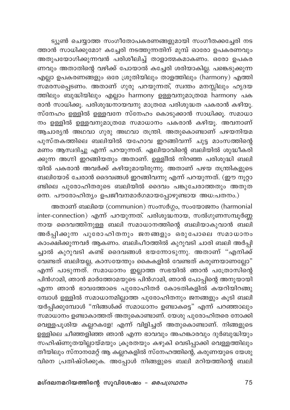ട്യൂൺ ചെയ്യാത്ത സംഗീതോപകരണങ്ങളുമായി സംഗീതക്കച്ചേരി നട ത്താൻ സാധിക്കുമോ? കച്ചേരി നടത്തുന്നതിന് മുമ്പ് ഓരോ ഉപകരണവും .<br>അതുപയോഗിക്കുന്നവൻ പരിശീലിച്ച് താളാത്മകമാകണം. ഒരോ ഉപകര ണവും അതാതിന്റെ വഴിക്ക് പോയാൽ കച്ചേരി ശരിയാകില്ല. പങ്കെടുക്കുന്ന എല്ലാ ഉപകരണങ്ങളും ഒരേ ശ്രുതിയിലും താളത്തിലും (harmony) എത്തി സമ്രസപ്പെടണം. അതാണ് ഗുരു പറയുന്നത്, സ്വന്തം മനസ്സിലും ഹൃദയ ത്തിലും ബുദ്ധിയിലും എല്ലാം harmony ഉള്ളവനുമാത്രമേ harmony പക രാൻ സാധിക്കൂ. പരിശുദ്ധനായവനു മാത്രമേ പരിശുദ്ധത പകരാൻ കഴിയൂ. സ്നേഹം ഉള്ളിൽ ഉള്ളവനേ സ്നേഹം കൊടുക്കാൻ സാധിക്കൂ. സമാധാ നം ഉള്ളിൽ ഉള്ളവനുമാത്രമേ സമാധാനം പകരാൻ കഴിയൂ. അവനാണ് .<br>ആചാരൃൻ അഥവാ ഗുരു അഥവാ തന്ത്രി. അതുകൊണ്ടാണ് പഴയനിയമ പുസ്തകത്തിലെ ബലിയിൽ യഹോവ ഇറങ്ങിവന്ന് ചുട്ട മാംസത്തിന്റെ മണം ആസ്വദിച്ചു എന്ന് പറയുന്നത്. ഏലിയാവിന്റെ ബലിയിൽ ശുദ്ധീകരി ക്കുന്ന അഗ്നി ഇറങ്ങിയതും അതാണ്. ഉള്ളിിൽ നിറഞ്ഞ പരിശുദ്ധി ബലി യിൽ പകരാൻ അവർക്ക് കഴിയുമായിരുന്നു. അതാണ് പഴയ തന്ത്രികളുടെ ബലിയോട് ചേരാൻ ദൈവങ്ങൾ ഇറങ്ങിവന്നു എന്ന് പറയുന്നത്. (ഈ നൂറ്റാ ണ്ടിലെ പുരോഹിതരുടെ ബലിയിൽ ദൈവം പങ്കുചേരാത്തതും അതുത ന്നെ. പൗരോഹിത്യം ഉപജീവനമാർഗമായപ്പോഴുണ്ടായ അധ:പതനം.)

അതാണ് ബലിയെ (communion) സംസർഗ്ഗം, സംയോജനം (harmonial inter-connection) എന്ന് പറയുന്നത്. പരിശുദ്ധനായ, സൽഗുണസമ്പൂർണ്ണ നായ ദൈവത്തിനുള്ള ബലി സമാധാനത്തിന്റെ ബലിയാകുവാൻ ബലി അർപ്പിക്കുന്ന പുരോഹിതനും ജനങ്ങളും ഒരുപോലെ സമാധാനം കാംക്ഷിക്കുന്നവർ ആകണം. ബലിപീഠത്തിൽ കുറുവടി ചാരി ബലി അർപ്പി ച്ചാൽ കുറുവടി കണ്ട് ദൈവങ്ങൾ ഭയന്നോടുന്നു. അതാണ് "എനിക്ക് വേണ്ടത് ബലിയല്ല, കാസയേന്തും കൈകളിൽ വേണ്ടത് കരുണയാണല്ലോ" എന്ന് പാടുന്നത്. സമാധാനം ഇല്ലാത്ത സഭയിൽ ഞാൻ പത്രോസിന്റെ പിൻഗാമി, ഞാൻ മാർത്തോമയുടെ പിൻഗാമി, ഞാൻ പോപ്പിന്റെ അനുയായി എന്ന ഞാൻ ഭാവത്തോടെ പുരോഹിതർ കോടതികളിൽ കയറിയിറങ്ങു .<br>മ്പോൾ ഉള്ളിൽ സമാധാനമില്ലാത്ത പുരോഹിതനും ജനങ്ങളും കൂടി ബലി യർപ്പിക്കുമ്പോൾ "നിങ്ങൾക്ക് സമാധാനം ഉണ്ടാകട്ടെ" എന്ന് പറഞ്ഞാലും സമാധാനം ഉണ്ടാകാത്തത് അതുകൊണ്ടാണ്. യേശു പുരോഹിതരെ നോക്കി വെള്ളപൂശിയ കല്ലറകളേ! എന്ന് വിളിച്ചത് അതുകൊണ്ടാണ്. നിങ്ങളുടെ ഉള്ളിലെ ചീഞ്ഞളിഞ്ഞ ഞാൻ എന്ന ഭാവവും അഹങ്കാരവും ദുർബുദ്ധിയും .<br>സഹിഷ്ണുതയില്ലായ്മയും ക്രൂരതയും കഴുകി വെടിപ്പാക്കി വെള്ളത്തിലും തീയിലും സ്നാനമേറ്റ് ആ കല്ലറകളിൽ സ്നേഹത്തിന്റെ, കരുണയുടെ യേശു വിനെ പ്രതിഷ്ഠിക്കുക. അപ്പോൾ നിങ്ങളുടെ ബലി മറിയത്തിന്റെ ബലി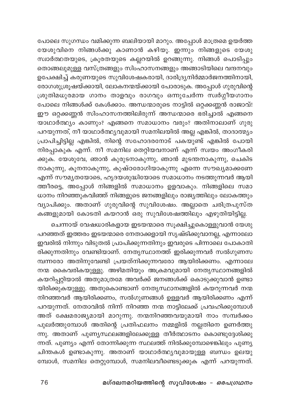പോലെ സുഗന്ധം വമിക്കുന്ന ബലിയായി മാറും. അപ്പോൾ മാത്രമെ ഉയർത്ത യേശുവിനെ നിങ്ങൾക്കു കാണാൻ കഴിയൂ. ഇന്നും നിങ്ങളുടെ യേശു .<br>സ്വാർത്ഥതയുടെ, ക്രൂരതയുടെ കല്ലറയിൽ ഉറങ്ങുന്നു. നിങ്ങൾ പൊടിപ്പും തൊങ്ങലുമുള്ള വസ്ത്രങ്ങളും സിംഹാസനങ്ങളും അങ്ങാടിയിലെ വന്ദനവും ഉപേക്ഷിച്ച് കരുണയുടെ സുവിശേഷകരായി, ദാരിദ്ര്യനിർമ്മാർജനത്തിനായി, \_<br>രോഗശുശ്രൂഷയ്ക്കായി, ലോകനന്മയ്ക്കായി പോരാടുക. അപ്പോൾ ഗുരുവിന്റെ ശ്രുതിമധുരമായ ഗാനം താളവും രാഗവും ഒന്നുചേർന്ന സ്ഥർഗ്ഗീയഗാനം ം.<br>പോലെ നിങ്ങൾക്ക് കേൾക്കാം. അന്ധന്മാരുടെ നാട്ടിൽ ഒറ്റക്കണ്ണൻ രാജാവ്! ഈ ഒറ്റക്കണ്ണൻ സിംഹാസനത്തിലിരുന്ന് അന്ധന്മാരെ ഭരിച്ചാൽ എങ്ങനെ യാഥാർത്ഥ്യം കാണും? എങ്ങനെ സമാധാനം വരും? അതിനാലാണ് ഗുരു പറയുന്നത്, നീ യാഥാർത്ഥ്യവുമായി സമനിലയിൽ അല്ല എങ്കിൽ, താദാത്മ്യം പ്രാപിച്ചിട്ടില്ല എങ്കിൽ, നിന്റെ സഹോദരനോട് പകയുണ്ട് എങ്കിൽ പോയി നിരപ്പാകുക് എന്ന്. നീ സമനില തെറ്റിയവനാണ് എന്ന് സ്വയം അംഗീകരി ക്കുക. യേശുവേ, ഞാൻ കുരുടനാകുന്നു, ഞാൻ മുടന്തനാകുന്നു, ചെകിട നാകുന്നു, കൂനനാകുന്നു, കുഷ്ഠരോഗിയാകുന്നു എന്നെ സൗഖ്യമാക്കണേ എന്ന് സൗമൃതയോടെ, ഹൃദയശുദ്ധിയോടെ സമാധാനം നടത്തുന്നവർ ആയി ത്തീരട്ടെ, അപ്പോൾ നിങ്ങളിൽ സമാധാനം ഉളവാകും. നിങ്ങളിലെ സമാ ധാനം നിറഞ്ഞുകവിഞ്ഞ് നിങ്ങളുടെ ജനങ്ങളിലും രാജ്യത്തിലും ലോകത്തും വ്യാപിക്കും. അതാണ് ഗുരുവിന്റെ സുവിശേഷം. അല്ലാതെ ചരിത്രപുസ്ത .<br>കങ്ങളുമായി കോടതി കയറാൻ ഒരു സുവിശേഷത്തിലും എഴുതിയിട്ടില്ല.

ചെന്നായ് വേഷധാരികളായ ഇടയന്മാരെ സൂക്ഷിച്ചുകൊള്ളുവാൻ യേശു പറഞ്ഞത് ഇത്തരം ഇടയന്മാരെ നേതാക്കളായി സൃഷ്ടിക്കുവാനല്ല, എന്നാലോ ഇവരിൽ നിന്നും വിടുതൽ പ്രാപിക്കുന്നതിനും ഇവരുടെ പിന്നാലെ പോകാതി രിക്കുന്നതിനും വേണ്ടിയാണ്. നേതൃസ്ഥാനത്ത് ഇരിക്കുന്നവർ സൽഗുണസ മ്പന്നരോ അതിനുവേണ്ടി പ്രയത്നിക്കുന്നവരോ ആയിരിക്കണം. എന്നാലേ നന്മ കൈവരികയുള്ളു. അഴിമതിയും അക്രമവുമായി നേതൃസ്ഥാനങ്ങളിൽ കയറിപ്പറ്റിയാൽ അതുമാത്രമേ അവർക്ക് ജനങ്ങൾക്ക് കൊടുക്കുവാൻ ഉണ്ടാ യിരിക്കുകയുള്ളു. അതുകൊണ്ടാണ് നേതൃസ്ഥാനങ്ങളിൽ കയറുന്നവർ നന്മ നിറഞ്ഞവർ ആയിരിക്കണം, സൽഗുണങ്ങൾ ഉള്ളവർ ആയിരിക്കണം എന്ന് പറയുന്നത്. നേതാവിൽ നിന്ന് നിറഞ്ഞ നന്മ നാട്ടിലേക്ക് പ്രവഹിക്കുമ്പോൾ അത് ക്ഷേമരാജ്യമായി മാറുന്നു. നന്മനിറഞ്ഞവയുമായി നാം സമ്പർക്കം പുലർത്തുമ്പോൾ അതിന്റെ പ്രതിഫലനം നമ്മളിൽ നല്ലതിനെ ഉണർത്തു .<br>ന്നു. അതാണ് പുണ്യസ്ഥലങ്ങളിലേക്കുള്ള തീർത്ഥാടനം കൊണ്ടുദ്ദേശിക്കു ന്നത്. പുണ്യം എന്ന് തോന്നിക്കുന്ന സ്ഥലത്ത് നിൽക്കുമ്പോഴെങ്കിലും പുണ്യ ചിന്തകൾ ഉണ്ടാകുന്നു. അതാണ് യാഥാർത്ഥ്യവുമായുള്ള ബന്ധം ഉലയു മ്പോൾ, സമനില തെറ്റുമ്പോൾ, സമനിലവീണ്ടെടുക്കുക എന്ന് പറയുന്നത്.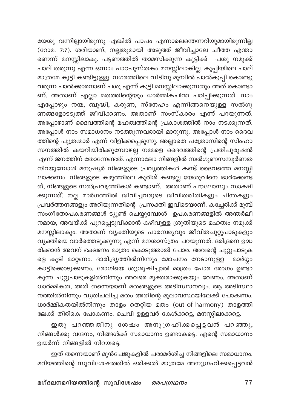യേശു വന്നില്ലായിരുന്നു എങ്കിൽ പാപം എന്നാലെന്തെന്നറിയുമായിരുന്നില്ല .<br>(റോമ. 7:7). ശരിയാണ്, നല്ലതുമായി അടുത്ത് ജീവിച്ചാലേ ചീത്ത എന്താ ണെന്ന് മനസ്സിലാകൂ. പട്ടണ്ത്തിൽ താമസിക്കുന്ന കുട്ടിക്ക് പശു നമുക്ക് പാല് തരുന്നു എന്ന ഒന്നാം പാഠപുസ്തകം മനസ്സിലാകില്ല. കുപ്പിയിലെ പാല് .<br>മാത്രമേ കുട്ടി കണ്ടിട്ടുള്ളു. നഗരത്തിലെ വീടിനു മുമ്പിൽ പാൽകുപ്പി കൊണ്ടു വരുന്ന പാൽക്കാരനാണ് പശു എന്ന് കുട്ടി മനസ്സിലാക്കുന്നതും അത് കൊണ്ടാ ണ്. അതാണ് എല്ലാ മതത്തിന്റെയും ധാർമ്മികചിന്ത പഠിപ്പിക്കുന്നത്. നാം എപ്പോഴും നന്മ, ബുദ്ധി, കരുണ, സ്നേഹം എന്നിങ്ങനെയുള്ള സൽഗു ണങ്ങളോടടുത്ത് ജീവിക്കണം. അതാണ് സംസ്കാരം എന്ന് പറയുന്നത്. അപ്പോഴാണ് ദൈവത്തിന്റെ മഹത്വത്തിന്റെ പ്രകാശത്തിൽ നാം നടക്കുന്നത്. അപ്പോൾ നാം സമാധാനം നടത്തുന്നവരായി മാറുന്നു. അപ്പോൾ നാം ദൈവ ത്തിന്റെ പുത്രന്മാർ എന്ന് വിളിക്കപ്പെടുന്നു. അല്ലാതെ പത്രോസിന്റെ സിംഹാ സനത്തിൽ കയറിയിരിക്കുമ്പോഴല്ല നമ്മളെ ദൈവത്തിന്റെ പ്രതിപുരുഷൻ എന്ന് ജനത്തിന് തോന്നേണ്ടത്. എന്നാലോ നിങ്ങളിൽ സൽഗുണസമ്പൂർണത നിറയുമ്പോൾ മനുഷ്യർ നിങ്ങളുടെ പ്രവൃത്തികൾ കണ്ട് ദൈവത്തെ മനസ്സി ലാക്കണം. നിങ്ങളുടെ കഴുത്തിലെ കുരിശ് കണ്ടല്ല യേശുവിനെ ഓർക്കേണ്ട ത്, നിങ്ങളുടെ സൽപ്രവൃത്തികൾ കണ്ടാണ്. അതാണ് പൗലോസും സാക്ഷി ക്കുന്നത്. നല്ല മാർഗത്തിൽ ജീവിച്ചവരുടെ ജീവിതരീതികളും ചിന്തകളും പ്രവർത്തനങ്ങളും അറിയുന്നതിന്റെ പ്രസക്തി ഇവിടെയാണ്. കച്ചേരിക്ക് മുമ്പ് സംഗീതോപകരണങ്ങൾ ട്യൂൺ ചെയ്യുമ്പോൾ ഉപകരണങ്ങളിൽ അന്തർലീ നമായ, അവയ്ക്ക് പുറപ്പെടുവിക്കാൻ കഴിവുള്ള ശ്രുതിയുടെ മഹത്വം നമുക്ക് മനസ്സിലാകും. അതാണ് വ്യക്തിയുടെ പാരമ്പര്യവും ജീവിതചുറ്റുപാടുകളും വൃക്തിയെ വാർത്തെടുക്കുന്നു എന്ന് മനശാസ്ത്രം പറയുന്നത്. ദരിദ്രനെ ഉദ്ധ രിക്കാൻ അവന് ഭക്ഷണം മാത്രം കൊടുത്താൽ പോര. അവന്റെ ചുറ്റുപാടുക ളെ കൂടി മാറ്റണം. ദാരിദ്ര്യത്തിൽനിന്നും മോചനം നേടാനുള്ള മാർഗ്ഗം കാട്ടിക്കൊടുക്കണം. രോഗിയെ ശുശ്രൂഷിച്ചാൽ മാത്രം പോര രോഗം ഉണ്ടാ കുന്ന ചുറ്റുപാടുകളിൽനിന്നും അവരെ മുക്തരാക്കുകയും വേണം. അതാണ് ധാർമ്മികത, അത് തന്നെയാണ് മതങ്ങളുടെ അടിസ്ഥാനവും. ആ അടിസ്ഥാ നത്തിൽനിന്നും വ്യതിചലിച്ച മതം അതിന്റെ മൂലാവസ്ഥയിലേക്ക് പോകണം. ധാർമ്മികതയിൽനിന്നും താളം തെറ്റിയ മതം (out of harmony) താളത്തി ലേക്ക് തിരികെ പോകണം. ചെവി ഉള്ളവർ കേൾക്കട്ടെ, മനസ്സിലാക്കട്ടെ.

.<br>ഇതു പറഞ്ഞതിനു ശേഷം അനുഗ്രഹിക്കപ്പെട്ടവൻ പറഞ്ഞു, നിങ്ങൾക്കു വന്ദനം, നിങ്ങൾക്ക് സമാധാനം ഉണ്ടാകട്ടെ. എന്റെ സമാധാനം ഉയർന്ന് നിങ്ങളിൽ നിറയട്ടെ.

ഇത് തന്നെയാണ് മുൻപേജുകളിൽ പരാമർശിച്ച നിങ്ങളിലെ സമാധാനം. മറിയത്തിന്റെ സുവിശേഷത്തിൽ ഒരിക്കൽ മാത്രമേ അനുഗ്രഹിക്കപ്പെട്ടവൻ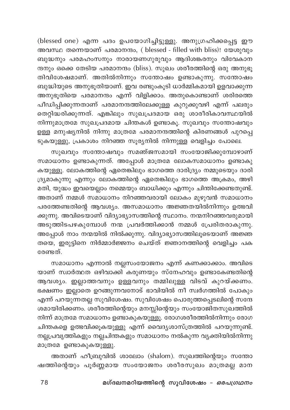(blessed one) എന്ന പദം ഉപയോഗിച്ചിട്ടുള്ളു. അനുഗ്രഹിക്കപ്പെട്ട ഈ അവസ്ഥ തന്നെയാണ് പരമാനന്ദം, ( blessed - filled with bliss)! യേശുവും ബുദ്ധനും പരമഹംസനും നാരായണഗുരുവും ആദിശങ്കരനും വിവേകാന ന്ദനും ഒക്കെ തേടിയ പരമാനന്ദം (bliss). സുഖം ശരീരത്തിന്റെ ഒരു അനുഭൂ തിവിശേഷമാണ്. അതിൽനിന്നും സന്തോഷം ഉണ്ടാകുന്നു. സന്തോഷം ബുദ്ധിയുടെ അനുഭൂതിയാണ്. ഇവ രണ്ടുംകൂടി ധാർമ്മികമായി ഉളവാക്കുന്ന അനുഭൂതിയെ പരമാനന്ദം എന്ന് വിളിക്കാം. അതുകൊണ്ടാണ് ശരിരത്തെ പീഡിപ്പിക്കുന്നതാണ് പരമാനന്ദത്തിലേക്കുള്ള കുറുക്കുവഴി എന്ന് പലരും തെറ്റിദ്ധരിക്കുന്നത്. എങ്കിലും സുഖപ്രദമായ ഒരു ശാരീരികാവസ്ഥയിൽ നിന്നുമാത്രമേ സുഖപ്രദമായ ചിന്തകൾ ഉണ്ടാകൂ. സുഖവും സന്തോഷവും ഉള്ള മനുഷ്യനിൽ നിന്നു മാത്രമേ പരമാനന്ദത്തിന്റെ കിരണങ്ങൾ പുറപ്പെ ടുകയുള്ളു, പ്രകാശം നിറഞ്ഞ സൂര്യനിൽ നിന്നുള്ള വെളിച്ചം പോലെ.

സുഖവും സന്തോഷവും സമഞ്ജസമായി സംയോജിക്കുമ്പോഴാണ് സമാധാനം ഉണ്ടാകുന്നത്. അപ്പോൾ മാത്രമേ ലോകസമാധാനം ഉണ്ടാകു കയുള്ളൂ. ലോകത്തിന്റെ ഏതെങ്കിലും ഭാഗത്തെ ദാരിദ്ര്യം നമ്മുടെയും ദാരി ദ്ര്യമാകുന്നു എന്നും ലോകത്തിന്റെ ഏതെങ്കിലും ഭാഗത്തെ അക്രമം, അഴി മതി, യുദ്ധം ഇവയെല്ലാം നമ്മെയും ബാധിക്കും എന്നും ചിന്തിക്കേണ്ടതുണ്ട്. അതാണ് നമ്മൾ സമാധാനം നിറഞ്ഞവരായി ലോകം മുഴുവൻ സമാധാനം പരത്തേണ്ടതിന്റെ ആവശ്യം. അസമാധാനം അജ്ഞതയിൽനിന്നും ഉത്ഭവി ക്കുന്നു. അവിടെയാണ് വിദ്യാഭ്യാസത്തിന്റെ സ്ഥാനം. നന്മനിറഞ്ഞവരുമായി .<br>അടുത്തിടപഴകുമ്പോൾ നന്മ പ്രവർത്തിക്കാൻ നമ്മൾ പ്രേരിതരാകുന്നു. അപ്പോൾ നാം നന്മയിൽ നിൽക്കുന്നു. വിദ്യാഭ്യാസത്തിലൂടെയാണ് അജ്ഞ തയെ, ഇരുട്ടിനെ നിർമ്മാർജ്ജനം ചെയ്ത് ജ്ഞാനത്തിന്റെ വെളിച്ചം പക ഭരണ്ടത്

സമാധാനം എന്നാൽ നല്ലസംയോജനം എന്ന് കണക്കാക്കാം. അവിടെ യാണ് സ്വാർത്ഥത ഒഴിവാക്കി കരുണയും സ്നേഹവും ഉണ്ടാകേണ്ടതിന്റെ ആവശ്യം. ഇല്ലാത്തവനും ഉള്ളവനും തമ്മിലുള്ള വിടവ് കുറയ്ക്കണം. ഭക്ഷണം ഇല്ലാതെ ഉറങ്ങുന്നവനോട് ഭാവിയിൽ നീ സ്വർഗത്തിൽ പോകും എന്ന് പറയുന്നതല്ല സുവിശേഷം. സുവിശേഷം പൊരുത്തപ്പെടലിന്റെ സന്ദേ ശമായിരിക്കണം. ശരീരത്തിന്റെയും മനസ്സിന്റെയും സംയോജിതസുഖത്തിൽ നിന്ന് മാത്രമേ സമാധാനം ഉണ്ടാകുകയുള്ളൂ. രോഗശരീരത്തിൽനിന്നും രോഗ ചിന്തകളെ ഉത്ഭവിക്കൂകയുള്ളു എന്ന് വൈദ്യശാസ്ത്രത്തിൽ പറയുന്നുണ്ട്. നല്ലപ്രവൃത്തികളും നല്ലചിന്തകളും സമാധാനം നൽകുന്ന വ്യക്തിയിൽനിന്നു മാത്രമേ ഉണ്ടാകുകയുള്ളു.

അതാണ് ഹീബ്രുവിൽ ശാലോം (shalom). സുഖത്തിന്റെയും സന്തോ ഷത്തിന്റെയും പൂർണ്ണമായ സംയോജനം ശരീരസുഖം മാത്രമല്ല മാന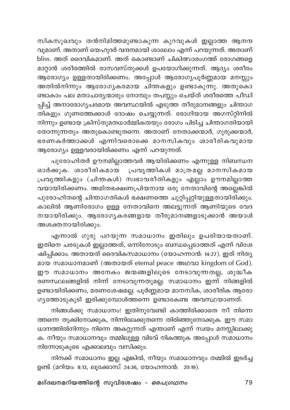സികസുഖവും തൻനിമിത്തമുണ്ടാകുന്ന കുറവുകൾ ഇല്ലാത്ത ആനന്ദ വുമാണ്. അതാണ് യെഹൂദർ വന്ദനമായി ശാലോം എന്ന് പറയുന്നത്. അതാണ് bliss. അത് ദൈവികമാണ്. അത് കൊണ്ടാണ് ചികിത്സാരംഗത്ത് രോഗങ്ങളെ മാറ്റാൻ ശരീരത്തിൽ രാസവസ്തുക്കൾ ഉപയോഗിക്കുന്നത്. ആദ്യം ശരീരം ആരോഗ്യം ഉള്ളതായിരിക്കണം. അപ്പോൾ ആരോഗ്യപൂർണ്ണമായ മനസ്സും അതിൽനിന്നും ആരോഗ്യകരമായ ചിന്തകളും ഉണ്ടാകുന്നു. അതുകൊ ണ്ടാകാം പല മതാചാര്യന്മാരും നോമ്പും തപസ്സും ചെയ്ത് ശരീരത്തെ പീഡി പ്പിച്ച് അനാരോഗൃപരമായ അവസ്ഥയിൽ എടുത്ത തീരുമാനങ്ങളും ചിന്താഗ തികളും ഗുണത്തേക്കാൾ ദോഷം ചെയ്യുന്നത്. രോഗിയായ അഗസ്റ്റിനിൽ നിന്നും ഉണ്ടായ ക്രിസ്തുമതധാർമ്മികതയും രോഗം പിടിച്ച ചിന്താഗതിയായി തോന്നുന്നതും അതുകൊണ്ടുതന്നെ. അതാണ് നേതാക്കന്മാർ, ഗുരുക്കന്മാർ, ഭരണകർത്താക്കൾ എന്നിവരൊക്കെ മാനസികവും ശാരീരികവുമായ ആരോഗ്യം ഉള്ളവരായിരിക്കണം എന്ന് പറയുന്നത്.

പുരോഹിതർ ഊനമില്ലാത്തവർ ആയിരിക്കണം എന്നുള്ള നിബന്ധന ഓർക്കുക. ശാരീരികമായ പ്രവൃത്തികൾ മാത്രമല്ല മാനസികമായ പ്രവൃത്തികളും (ചിന്തകൾ) സ്വഭാവരീതികളും എല്ലാം ഊനമില്ലാത്ത വയായിരിക്കണം. അമിതഭക്ഷണപ്രിയനായ ഒരു നേതാവിന്റെ അല്ലെങ്കിൽ പുരോഹിതന്റെ ചിന്താഗതികൾ ഭക്ഷണത്തെ ചുറ്റിപ്പറ്റിയുള്ളതായിരിക്കും. കാലിൽ ആണിരോഗം ഉള്ള നേതാവിനെ അലട്ടുന്നത് ആണിയുടെ വേദ നയായിരിക്കും. ആരോഗൃകരങ്ങളായ തീരുമാനങ്ങളാടുക്കാൻ അയാൾ അശക്തനായിരിക്കും.

എന്നാൽ ഗുരു പറയുന്ന സമാധാനം ഇതിലും ഉപരിയായതാണ്. ഇതിനെ ചരടുകൾ ഇല്ലാത്തത്, ഒന്നിനോടും ബന്ധപ്പെടാത്തത് എന്ന് വിശേ ഷിപ്പിക്കാം. അതായത് ദൈവികസമാധാനം (യോഹന്നാൻ: 14:27). ഇത് നിതൃ മായ സമാധാനമാണ് (അതായത് eternal peace അഥവാ kingdom of God). ഈ സമാധാനം അനേകം ജന്മങ്ങളിലൂടെ നേടാവുന്നതല്ല, ശുദ്ധീക രണസ്ഥലങ്ങളിൽ നിന്ന് നേടാവുന്നതുമല്ല. സമാധാനം ഇന്ന് നിങ്ങളിൽ ഉണ്ടായിരിക്കണം, മരണശേഷമല്ല. പൂർണ്ണമായ മാനസിക, ശാരീരിക ആരോ ഗൃത്തോടുകൂടി ഇരിക്കുമ്പോൾത്തന്നെ ഉണ്ടാകേണ്ട അവസ്ഥയാണത്.

നിങ്ങൾക്കു സമാധാനം! ഇതിനുവേണ്ടി കാത്തിരിക്കാതെ നീ നിന്നെ ത്തന്നെ തൂക്കിനോക്കുക, നിന്നിലേക്കുതന്നെ തിരിഞ്ഞുനോക്കുക. ഈ സമാ ധാനത്തിൽനിന്നും നിന്നെ അകറ്റുന്നത് എന്താണ് എന്ന് സ്വയം മനസ്സിലാക്കു .<br>ക. നീയും സമാധാനവും തമ്മിലുള്ള വിടവ് നികത്തുക അപ്പോൾ സമാധാനം നിന്നോടുകൂടെ എക്കാലവും വസിക്കും.

നിനക്ക് സമാധാനം ഇല്ല എങ്കിൽ, നീയും സമാധാനവും തമ്മിൽ ഇടർച്ച ഉണ്ട് (മറിയം: 8:13, ലൂക്കോസ്: 24:36, യോഹന്നാൻ: 20:19).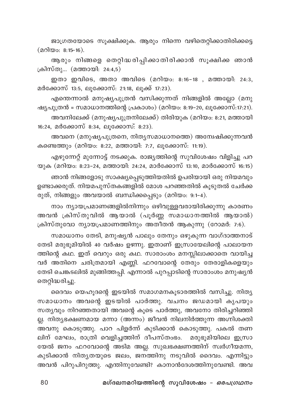ജാഗ്രതയോടെ സൂക്ഷിക്കുക. ആരും നിന്നെ വഴിതെറ്റിക്കാതിരിക്കട്ടെ (മറിയം: 8:15-16).

ആരും നിങ്ങളെ തെറ്റിദ്ധരിപ്പിക്കാതിരിക്കാൻ സൂക്ഷിക്ക ഞാൻ ക്രിസ്തു... (മത്തായി: 24:4,5)

ഇതാ ഇവിടെ, അതാ അവിടെ (മറിയം: 8:16-18 , മത്തായി: 24:3, മർക്കോസ് 13:5, ലുക്കോസ്: 21:18, ലുക്ക് 17:23).

എന്തെന്നാൽ മനുഷ്യപുത്രൻ വസിക്കുന്നത് നിങ്ങളിൽ അല്ലോ (മനു ഷ്യപുത്രൻ = സമാധാനത്തിന്റെ പ്രകാശം) (മറിയം: 8:19–20, ലൂക്കോസ്:17:21).

അവനിലേക്ക് (മനുഷ്യപുത്രനിലേക്ക്) തിരിയുക (മറിയം: 8:21, മത്തായി 16:24, മർക്കോസ് 8:34, ലൂക്കോസ്: 8:23).

അവനെ (മനുഷ്യപുത്രനെ, നിത്യസമാധാനത്തെ) അന്വേഷിക്കുന്നവൻ കണ്ടെത്തും (മറിയം: 8:22, മത്തായി: 7:7, ലുക്കോസ്: 11:19).

എഴുന്നേറ്റ് മുന്നോട്ട് നടക്കുക. രാജ്യത്തിന്റെ സുവിശേഷം വിളിച്ചു പറ യുക (മറിയം: 8:23-24, മത്തായി: 24:24, മാർക്കോസ് 13:10, മാർക്കോസ് 16:15)

ഞാൻ നിങ്ങളോടു സാക്ഷ്യപ്പെടുത്തിയതിൽ ഉപരിയായി ഒരു നിയമവും ഉണ്ടാക്കരുത്. നിയമപുസ്തകങ്ങളിൽ മോശ പറഞ്ഞതിൽ കൂടുതൽ ചേർക്ക രുത്, നിങ്ങളും അവയാൽ ബന്ധിക്കപ്പെടും (മറിയം: 9:1-4).

നാം ന്യായപ്രമാണങ്ങളിൽനിന്നും ഒഴിവുള്ളവരായിരിക്കുന്നു കാരണം അവൻ ക്രിസ്തുവിൽ ആയാൽ (പൂർണ്ണ സമാധാനത്തിൽ ആയാൽ) ക്രിസ്തുവോ ന്യായപ്രമാണത്തിനും അതീതൻ ആകുന്നു (റോമർ: 7:6).

സമാധാനം തേടി, മനുഷ്യൻ പാലും തേനും ഒഴുകുന്ന വാഗ്ദാത്തനാട് തേടി മരുഭൂമിയിൽ 40 വർഷം ഉഴന്നു. ഇതാണ് ഇസ്രായേലിന്റെ പാലായന ത്തിന്റെ കഥ. ഇത് വെറും ഒരു കഥ. സാരാംശം മനസ്സിലാക്കാതെ വായിച്ച വർ അതിനെ ചരിത്രമായി എണ്ണി. ഫറവോന്റെ തേരും തേരാളികളെയും തേടി ചെങ്കടലിൽ മുങ്ങിത്തപ്പി. എന്നാൽ പുറപ്പാടിന്റെ സാരാംശം മനുഷ്യൻ തെറ്റിദ്ധരിച്ചു.

ദൈവം യെഹൂദന്റെ ഇടയിൽ സമാഗമനകൂടാരത്തിൽ വസിച്ചു. നിത്യ സമാധാനം അവന്റെ ഇടയിൽ പാർത്തു. വചനം ജഡമായി കൃപയും സത്യവും നിറഞ്ഞതായി അവന്റെ കൂടെ പാർത്തു, അവനോ തിരിച്ചറിഞ്ഞി ല്ല. നിതൃഭക്ഷണമായ മന്നാ (അന്നം) ജീവൻ നിലനിർത്തുന്ന അഗ്നിശക്തി അവനു കൊടുത്തു. പാറ പിളർന്ന് കുടിക്കാൻ കൊടുത്തു. പകൽ തണ ലിന് മേഘം, രാത്രി വെളിച്ചത്തിന് ദീപസ്തംഭം. മരുഭൂമിയിലെ ഇസ്രാ യേൽ ജനം ഫറവോന്റെ അടിമ അല്ല. സുഖഭക്ഷണത്തിന് സ്ഥർഗീയമന്ന, കുടിക്കാൻ നിതൃതയുടെ ജലം, ജനത്തിനു നടുവിൽ ദൈവം. എന്നിട്ടും അവൻ പിറുപിറുത്തു. എന്തിനുവേണ്ടി? കാനാൻദേശത്തിനുവേണ്ടി. അവ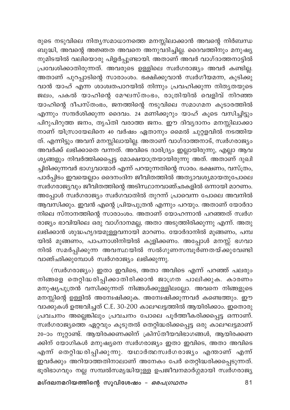രുടെ നടുവിലെ നിതൃസമാധാനത്തെ മനസ്സിലാക്കാൻ അവന്റെ നിർബന്ധ .<br>ബുദ്ധി, അവന്റെ അജ്ഞത അവനെ അനുവദിച്ചില്ല. ദൈവത്തിനും മനുഷ്യ .<br>നുമിടയിൽ വലിയൊരു പിളർപ്പുണ്ടായി. അതാണ് അവർ വാഗ്ദാത്തനാടിൽ പ്രവേശിക്കാതിരുന്നത്. അവരുടെ ഉള്ളിലെ സ്വർഗരാജ്യം അവർ കണ്ടില്ല. .<br>അതാണ് പുറപ്പാടിന്റെ സാരാംശം. ഭക്ഷിക്കുവാൻ സ്വർഗീയമന്ന, കുടിക്കു വാൻ യാഹ് എന്ന ശാശ്വതപാറയിൽ നിന്നും പ്രവഹിക്കുന്ന നിതൃതയുടെ ജലം, പകൽ യാഹിന്റെ മേഘസ്തംഭം, രാത്രിയിൽ വെളിവ് നിറഞ്ഞ യാഹിന്റെ ദീപസ്തംഭം, ജനത്തിന്റെ നടുവിലെ സമാഗമന കൂടാരത്തിൽ എന്നും സന്ദർശിക്കുന്ന ദൈവം. 24 മണിക്കൂറും യാഹ് കൂടെ വസിച്ചിട്ടും പിറുപിറുത്ത ജനം, തൃപ്തി വരാത്ത ജനം. ഈ ദിവ്യദാനം മനസ്സിലാക്കാ നാണ് യിസ്രായേലിനെ 40 വർഷം ഏതാനും മൈൽ ചുറ്റളവിൽ നടത്തിയ ത്. എന്നിട്ടും അവന് മനസ്സിലായില്ല. അതാണ് വാഗ്ദാത്തനാട്, സ്വർഗരാജ്യം അവർക്ക് ലഭിക്കാതെ വന്നത്. അവിടെ ദാരിദ്ര്യം ഇല്ലായിരുന്നു, എല്ലാ ആവ ശ്യങ്ങളും നിവർത്തിക്കപ്പെട്ട മോക്ഷയാത്രയായിരുന്നു അത്. അതാണ് ദുഖി ച്ചിരിക്കുന്നവർ ഭാഗ്യവാന്മാർ എന്ന് പറയുന്നതിന്റെ സാരം. ഭക്ഷണം, വസ്ത്രം, പാർപ്പിടം ഇവയെല്ലാം ദൈനംദിന ജീവിതത്തിൽ അത്യാവശ്യമായതുപോലെ സ്വർഗരാജ്യവും ജിവിതത്തിന്റെ അടിസ്ഥാനവാഞ്ഛകളിൽ ഒന്നായി മാറണം. അപ്പോൾ സ്ഥർഗരാജ്യം സ്വർഗവാതിൽ തുറന്ന് പ്രാവെന്ന പോലെ അവനിൽ ആവസിക്കും. ഇവൻ എന്റെ പ്രിയപുത്രൻ എന്നും പറയും. അതാണ് യോർദാ നിലെ സ്നാനത്തിന്റെ സാരാംശം. അതാണ് യോഹന്നാൻ പറഞ്ഞത് സ്വർഗ രാജ്യം ഭാവിയിലെ ഒരു വാഗ്ദാനമല്ല, അതാ അടുത്തിരിക്കുന്നു എന്ന്. അതു ലഭിക്കാൻ ശുദ്ധഹൃദയമുള്ളവനായി മാറണം. യോർദാനിൽ മുങ്ങണം, പമ്പ യിൽ മുങ്ങണം, പാപനാശിനിയിൽ കുളിക്കണം. അപ്പോൾ മനസ്സ് ഭഗവാ .<br>നിൽ സമർപ്പിക്കുന്ന അവസ്ഥയിൽ സൽഗുണസമ്പൂർണതയ്ക്കുവേണ്ടി വാഞ്ഛിക്കുമ്പോൾ സ്വർഗരാജ്യം ലഭിക്കുന്നു.

(സ്വർഗരാജ്യം) ഇതാ ഇവിടെ, അതാ അവിടെ എന്ന് പറഞ്ഞ് പലരും നിങ്ങളെ തെറ്റിദ്ധരിപ്പിക്കാതിരിക്കാൻ ജാഗ്രത പാലിക്കുക. കാരണം മനുഷ്യപുത്രൻ വസിക്കുന്നത് നിങ്ങൾക്കുള്ളിലല്ലോ. അവനെ നിങ്ങളുടെ മനസ്സിന്റെ ഉള്ളിൽ അന്വേഷിക്കുക. അന്വേഷിക്കുന്നവർ കണ്ടെത്തും. ഈ വാക്കുകൾ ഉത്ഭവിച്ചത് C.E. 30-200 കാലഘട്ടത്തിൽ ആയിരിക്കാം. ഇതൊരു പ്രവചനം അല്ലെങ്കിലും പ്രവചനം പോലെ പൂർത്തീകരിക്കപ്പെട്ട ഒന്നാണ്. സ്വർഗരാജ്യത്തെ ഏറ്റവും കൂടുതൽ തെറ്റിദ്ധരിക്കപ്പെട്ട ഒരു കാലഘട്ടമാണ് 20-ാം നൂറ്റാണ്ട്. ആയിരക്കണക്കിന് ക്രിസ്തീയവിഭാഗങ്ങൾ, ആയിരക്കണ ക്കിന് യോഗികൾ മനുഷ്യനെ സ്വർഗരാജ്യം ഇതാ ഇവിടെ, അതാ അവിടെ എന്ന് തെറ്റിദ്ധരിപ്പിക്കുന്നു. യഥാർത്ഥസ്വർഗരാജ്യം എന്താണ് എന്ന് ഇവർക്കും അറിയാത്തതിനാലാണ് അനേകം പേർ തെറ്റിദ്ധരിക്കപ്പെടുന്നത്. ഭൂരിഭാഗവും നല്ല സമ്പൽസമൃദ്ധിയുള്ള ഉപജീവനമാർഗ്ഗമായി സ്ഥർഗരാജ്യ

മഗ്ദലനമറിയത്തിന്റെ സുവിശേഷം – *ഒരപഗ്രഥനം*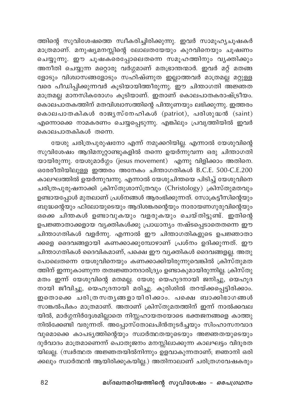ത്തിന്റെ സുവിശേഷത്തെ സ്വീകരിച്ചിരിക്കുന്നു. ഇവർ സാമൂഹ്യചൂഷകർ മാത്രമാണ്. മനുഷ്യമനസ്സിന്റെ ലോലതയേയും കുറവിനെയും ചൂഷണം ചെയ്യുന്നു. ഈ ചൂഷകരെപ്പോലെതന്നെ സമൂഹത്തിനും വൃക്തിക്കും അനീതി ചെയ്യുന്ന മറ്റൊരു വർഗ്ഗമാണ് മതഭ്രാന്തന്മാർ. ഇവർ മറ്റ് മതങ്ങ ളോടും വിശ്വാസങ്ങളോടും സഹിഷ്ണുത ഇല്ലാത്തവർ മാത്രമല്ല മറ്റുള്ള വരെ പീഡിപ്പിക്കുന്നവർ കൂടിയായിത്തീരുന്നു. ഈ ചിന്താഗതി അജ്ഞത മാത്രമല്ല മാനസികരോഗം കൂടിയാണ്. ഇതാണ് കൊലപാതകരാഷ്ട്രീയം. കൊലപാതകത്തിന് മതവിശ്വാസത്തിന്റെ പിന്തുണയും ലഭിക്കുന്നു. ഇത്തരം കൊലപാതകികൾ രാജൃസ്നേഹികൾ (patriot), പരിശുദ്ധൻ (saint) എന്നൊക്കെ നാമകരണം ചെയ്യപ്പെടുന്നു. എങ്കിലും പ്രവൃത്തിയിൽ ഇവർ കൊലപാതകികൾ തന്നെ.

യേശു ചരിത്രപുരുഷനോ എന്ന് നമുക്കറിയില്ല. എന്നാൽ യേശുവിന്റെ സുവിശേഷം ആദിമനൂറ്റാണ്ടുകളിൽ തന്നെ ഉയർന്നുവന്ന ഒരു ചിന്താഗതി യായിരുന്നു. യേശുമാർഗ്ഗം (jesus movement) എന്നു വിളിക്കാം അതിനെ. ഒരേരീതിയിലുള്ള ഇത്തരം അനേകം ചിന്താഗതികൾ B.C.E. 500-C.E.200 കാലഘത്തിൽ ഉയർന്നുവന്നു. എന്നാൽ യേശുചിന്തയെ പിടിച്ച് യേശുവിനെ ചരിത്രപുരുഷനാക്കി ക്രിസ്തുശാസ്ത്രവും (Christology) ക്രിസ്തുമതവും ഉണ്ടായപ്പോൾ മുതലാണ് പ്രശ്നങ്ങൾ ആരംഭിക്കുന്നത്. സോക്രട്ടീസിന്റെയും ബുദ്ധന്റെയും ഫിലോയുടെയും ആദിശങ്കരന്റെയും നാരായണഗുരുവിന്റെയും ഒക്കെ ചിന്തകൾ ഉണ്ടാവുകയും വളരുകയും ചെയ്തിട്ടുണ്ട്. ഇതിന്റെ ഉപജ്ഞാതാക്കളായ വൃക്തികൾക്കു പ്രാധാന്യം നഷ്ടപ്പെടാതെതന്നെ ഈ ചിന്താഗതികൾ വളർന്നു. എന്നാൽ ഈ ചിന്താഗതികളുടെ ഉപജ്ഞാതാ ക്കളെ ദൈവങ്ങളായി കണക്കാക്കുമ്പോഴാണ് പ്രശ്നം ഉദിക്കുന്നത്. ഈ ചിന്താഗതികൾ ദൈവികമാണ്, പക്ഷെ ഈ വ്യക്തികൾ ദൈവങ്ങളല്ല. അതു പോലെതന്നെ യേശുവിനെയും കണക്കാക്കിയിരുന്നുവെങ്കിൽ ക്രിസ്തുമത ത്തിന് ഇന്നുകാണുന്ന തത്വജ്ഞാനദാരിദ്ര്യം ഉണ്ടാകുമായിരുന്നില്ല. ക്രിസ്തു മതം ഇന്ന് യേശുവിന്റെ മതമല്ല. യേശു യെഹൂദനായി ജനിച്ചു, യെഹൂദ നായി ജീവിച്ചു, യെഹൂദനായി മരിച്ചു. കുരിശിൽ തറയ്ക്കപ്പെട്ടിരിക്കാം. ഇതൊക്കെ ചരിത്രസതൃങ്ങളായിരിക്കാം. പക്ഷെ ബാക്കിഭാഗങ്ങൾ സാങ്കൽപികം മാത്രമാണ്. അതാണ് ക്രിസ്തുമതത്തിന് ഇന്ന് നാൽക്കവല യിൽ, മാർഗ്ഗനിർദ്ദേശമില്ലാതെ നിസ്സഹായതയോടെ ഭക്തജനങ്ങളെ കാത്തു നിൽക്കേണ്ടി വരുന്നത്. അപ്പോസ്തോലപിൻതുടർച്ചയും സിംഹാസനവാദ വുമൊക്കെ കാപട്യത്തിന്റെയും സ്വാർത്ഥതയുടെയും അജ്ഞതയുടെയും ദുർവാദം മാത്രമാണെന്ന് പൊതുജനം മനസ്സിലാക്കുന്ന കാലഘട്ടം വിദൂരത യിലല്ല. (സ്വർത്ഥത അജ്ഞതയിൽനിന്നും ഉളവാകുന്നതാണ്; ജ്ഞാനി ഒരി ക്കലും സ്വാർത്ഥൻ ആയിരിക്കുകയില്ല.) അതിനാലാണ് ചരിത്രഗവേഷകരും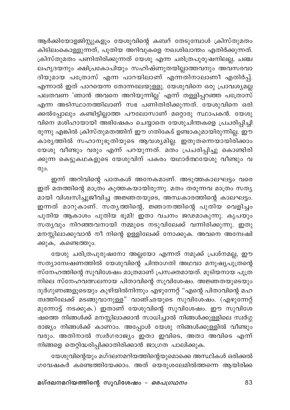ആർക്കിയോളജിസ്റ്റുകളും യേശുവിന്റെ കബറ് തേടുമ്പോൾ ക്രിസ്തുമതം കിടിലംകൊള്ളുന്നത്, പുതിയ അറിവുകളെ നഖശിഖാന്തം എതിർക്കുന്നത്. ക്രിസ്തുമതം പണിതിരിക്കുന്നത് യേശു എന്ന ചരിത്രപുരുഷനില<u>ല്ല,</u> ചഞ്ച ലഹൃദയനും ക്ഷിപ്രകോപിയും സഹിഷ്ണുതയില്ലാത്തവനും അവസരവാ ദിയുമായ പത്രോസ് എന്ന പാറയിലാണ് എന്നതിനാലാണീ എതിർപ്പ്. എന്നാൽ ഇത് പാറയെന്ന തോന്നലേയുള്ളു. യേശുവിനെ ഒരു പ്രാവശ്യമല്ല പലതവണ 'ഞാൻ അവനെ അറിയുന്നില്ല' എന്ന് തള്ളിപ്പറഞ്ഞ പത്രോസ് എന്ന അടിസ്ഥാനത്തിലാണ് സഭ പണിതിരിക്കുന്നത്. യേശുവിനെ ഒരി ക്കൽപ്പോലും കണ്ടിട്ടില്ലാത്ത പൗലോസാണ് മറ്റൊരു സ്ഥാപകൻ. യേശു വിനെ മശിഹായായി അഭിഷേകം ചെയ്യാതെ യേശുചിന്തകളെ പ്രചരിപ്പിച്ചി രുന്നു എങ്കിൽ ക്രിസ്തുമതത്തിന് ഈ ഗതികേട് ഉണ്ടാകുമായിരുന്നില്ല. ഈ കാരൃത്തിൽ സഹാനുഭൂതിയുടെ ആവശ്യമില്ല. ഇതുതന്നെയായിരിക്കാം യേശു വീണ്ടും വരും എന്ന് പറയുന്നത്. മതം പ്രചരിപ്പിച്ചു കൊണ്ടിരി .<br>കുന്ന കെട്ടുകഥകളുടെ യേശുവിന് പകരം യഥാർത്ഥയേശു വീണ്ടും വ (Ο)

ഇന്ന് അറിവിന്റെ പാതകൾ അനേകമാണ്. അടുത്തകാലഘട്ടം വരെ ഇത് മതത്തിന്റെ മാത്രം കുത്തകയായിരുന്നു. മതം തരുന്നവ മാത്രം സതൃ മായി വിശ്വസിച്ചുജീവിച്ച അജ്ഞതയുടെ, അന്ധകാരത്തിന്റെ കാലഘട്ടം. ഇന്നത് മാറുകാണ്. സതൃത്തിന്റെ, ജ്ഞാനത്തിന്റെ പുതിയ വെളിച്ചം പുതിയ ആകാശം പുതിയ ഭൂമി! ഇതാ വചനം ജഢമാകുന്നു. കൃപയും സതൃവും നിറഞ്ഞവനായി നമ്മുടെ നടുവിലേക്ക് വന്നിരിക്കുന്നു. ഇതു മനസ്സിലാക്കുവാൻ നീ നിന്റെ ഉള്ളിലേക്ക് നോക്കുക. അവനെ അന്വേഷി ക്കുക, കണ്ടെത്തും.

യേശു ചരിത്രപുരുഷനോ അല്ലയോ എന്നത് നമുക്ക് പ്രശ്നമല്ല, ഈ സത്യാമ്പേഷണത്തിൽ യേശുവിന്റെ ചിന്താഗതി അഥവാ മനുഷ്യപുത്രന്റെ സ്നേഹത്തിന്റെ സുവിശേഷം മാത്രമാണ് പ്രസക്തമായത്. മുടിയനായ പുത്ര നിലെ സ്നേഹവത്സലനായ പിതാവിന്റെ സുവിശേഷം. അജ്ഞതയുടെയും ദുർഗുണങ്ങളുടെയും കുഴിയിൽനിന്നും എഴുന്നേറ്റ് "എന്റെ പിതാവിന്റെ മഹ ത്വത്തിലേക്ക് മടങ്ങുവാനുള്ള" വാഞ്ഛയുടെ സുവിശേഷം. (എഴുന്നേറ്റ് മുന്നോട്ട് നടക്കുക.) ഇതാണ് യേശുവിന്റെ സുവിശേഷം. ഈ സുവിശേ ഷത്തെ നിങ്ങൾക്ക് മനസ്സിലാക്കാൻ സാധിച്ചാൽ നിങ്ങൾക്കുള്ളിലെ സ്വർഗ്ഗ രാജ്യം നിങ്ങൾക്ക് കാണാം. അപ്പോൾ യേശു നിങ്ങൾക്കുള്ളിൽ വീണ്ടും വരും. അതിനാൽ സ്ഥർഗരാജ്യം ഇതാ ഇവിടെ, അതാ അവിടെ എന്ന് നിങ്ങളെ തെറ്റിദ്ധരിപ്പിക്കാതിരിക്കാൻ ജാഗ്രത പാലിക്കുക.

യേശുവിന്റെയും മഗ്ദലനമറിയത്തിന്റെയുമൊക്കെ അസ്ഥികൾ ഒരിക്കൽ ഗവേഷകർ കണ്ടെത്തിയേക്കാം. അത് യെരുശലേമിൽത്തന്നെ ആയിരിക്ക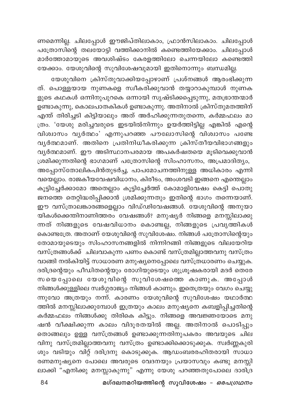ണമെന്നില്ല. ചിലപ്പോൾ ഈജിപ്തിലാകാം, ഫ്രാൻസിലാകാം. ചിലപ്പോൾ പത്രോസിന്റെ തലയോട്ടി വത്തിക്കാനിൽ കണ്ടെത്തിയേക്കാം. ചിലപ്പോൾ മാർത്തോമായുടെ അവശിഷ്ടം കേരളത്തിലോ ചെന്നയിലോ കണ്ടെത്തി യേക്കാം. യേശുവിന്റെ സുവിശേഷവുമായി ഇതിനൊന്നും ബന്ധമില്ല.

യേശുവിനെ ക്രിസ്തുവാക്കിയപ്പോഴാണ് പ്രശ്നങ്ങൾ ആരംഭിക്കുന്ന ത്. പൊള്ളയായ നുണകളെ സ്വീകരിക്കുവാൻ തയ്യാറാകുമ്പാൾ നുണക ളുടെ കഥകൾ ഒന്നിനുപുറകെ ഒന്നായി സൃഷ്ടിക്കപ്പെടുന്നു, മതഭ്രാന്തന്മാർ ഉണ്ടാകുന്നു, കൊലപാതകികൾ ഉണ്ടാകുന്നു. അതിനാൽ ക്രിസ്തുമതത്തിന് എന്ത് തിരിച്ചടി കിട്ടിയാലും അത് അർഹിക്കുന്നതുതന്നെ, കർമ്മഫലം മാ ത്രം. 'യേശു മരിച്ചവരുടെ ഇടയിൽനിന്നും ഉയർത്തിട്ടില്ല എങ്കിൽ എന്റെ വിശ്വാസം വൃർത്ഥം' എന്നുപറഞ്ഞ പൗലോസിന്റെ വിശ്വാസം പണ്ടേ വൃർത്ഥമാണ്. അതിനെ പ്രതിനിധീകരിക്കുന്ന ക്രിസ്തീയവിഭാഗങ്ങളും വൃർത്ഥമാണ്. ഈ അടിസ്ഥാനപരമായ അപകർഷതയെ മൂടിവെക്കുവാൻ ശ്രമിക്കുന്നതിന്റെ ഭാഗമാണ് പത്രോസിന്റെ സിംഹാസനം, അപ്രമാദിത്യം, അപ്പോസ്തോലികപിൻതുടർച്ച, പാപമോചനത്തിനുള്ള അധികാരം എന്നി .<br>വയെല്ലാം. രാജകീയവേഷവിധാനം, കിരീടം, അംശവടി ഇങ്ങനെ എന്തെല്ലാം കൂട്ടിച്ചേർക്കാമോ അതെല്ലാം കൂട്ടിച്ചേർത്ത് കോമാളിവേഷം കെട്ടി പൊതു ജനത്തെ തെറ്റിദ്ധരിപ്പിക്കാൻ ശ്രമിക്കുന്നതും ഇതിന്റെ ഭാഗം തന്നെയാണ്. ഈ വസ്ത്രാലങ്കാരങ്ങളെല്ലാം വിഡ്ഢിവേഷങ്ങൾ. യേശുവിന്റെ അനുയാ യികൾക്കെന്തിനാണിത്തരം വേഷങ്ങൾ? മനുഷ്യർ നിങ്ങളെ മനസ്സിലാക്കു ന്നത് നിങ്ങളുടെ വേഷവിധാനം കൊണ്ടല്ല, നിങ്ങളുടെ പ്രവൃത്തികൾ കൊണ്ടത്രേ. അതാണ് യേശുവിന്റെ സുവിശേഷം. നിങ്ങൾ പത്രോസിന്റെയും തോമായുടെയും സിംഹാസനങ്ങളിൽ നിന്നിറങ്ങി നിങ്ങളുടെ വിലയേറിയ വസ്ത്രങ്ങൾക്ക് ചിലവാകുന്ന പണം കൊണ്ട് വസ്ത്രമില്ലാത്തവനു വസ്ത്രം വാങ്ങി നൽകിയിട്ട് സാധാരണ മനുഷ്യനെപ്പോലെ വസ്ത്രധാരണം ചെയ്യുക. ദരിദ്രന്റെയും പീഡിതന്റെയും രോഗിയുടെയും ശുശ്രൂഷകരായി മദർ തെരേ സയെപ്പോലെ യേശുവിന്റെ സുവിശേഷത്തെ കാണുക. അപ്പോൾ നിങ്ങൾക്കുള്ളിലെ സ്വർഗ്ഗരാജ്യം നിങ്ങൾ കാണും. ഇതെത്രയും വേഗം ചെയ്യു ന്നുവോ അത്രയും നന്ന്. കാരണം യേശുവിന്റെ സുവിശേഷം യഥാർത്ഥ ത്തിൽ മനസ്സിലാക്കുമ്പോൾ ഇത്രയും കാലം മനുഷ്യനെ കബളിപ്പിച്ചതിന്റെ .<br>കർമ്മഫലം നിങ്ങൾക്കു തിരികെ കിട്ടും. നിങ്ങളെ അവജ്ഞയോടെ മനു ഷൻ വീക്ഷിക്കുന്ന കാലം വിദൂരതയിൽ അല്ല. അതിനാൽ പൊടിപ്പും തൊങ്ങലും ഉള്ള വസ്ത്രങ്ങൾ ഉണ്ടാക്കുന്നതിനുപകരം അവയുടെ ചില വിനു വസ്ത്രമില്ലാത്തവനു വസ്ത്രം ഉണ്ടാക്കിക്കൊടുക്കുക. സ്വർണ്ണകുരി ശും വടിയും വിറ്റ് ദരിദ്രനു കൊടുക്കുക. ആഡംബരരഹിതരായി സാധാ രണമനുഷ്യനെ പോലെ അവരുടെ വേദനയും പ്രയാസവും കണ്ടു മനസ്സി ലാക്കി "എനിക്കു മനസ്സാകുന്നു" എന്നു യേശു പറഞ്ഞതുപോലെ ദാരിദ്ര

മഗ്ദലനമറിയത്തിന്റെ സുവിശേഷം - ഒരപഗ്രഥനം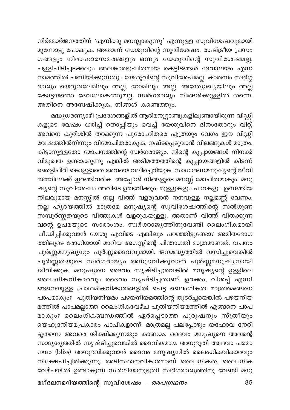നിർമ്മാർജനത്തിന് 'എനിക്കു മനസ്സാകുന്നു' എന്നുള്ള സുവിശേഷവുമായി മുന്നോട്ടു പോകുക. അതാണ് യേശുവിന്റെ സുവിശേഷം. രാഷ്ട്രീയ പ്രസം ഗങ്ങളും നിരാഹാരസമരങ്ങളും ഒന്നും യേശുവിന്റെ സുവിശേഷമല്ല. പള്ളിപിടിച്ചടക്കലും അലങ്കാരഭൂഷിതമായ കെട്ടിടങ്ങൾ ദേവാലയം എന്ന നാമത്തിൽ പണിയിക്കുന്നതും യേശുവിന്റെ സുവിശേഷമല്ല. കാരണം സ്വർഗ്ഗ രാജ്യം യെരുശലേമിലും അല്ല, റോമിലും അല്ല, അന്ത്യോഖ്യയിലും അല്ല കോട്ടയത്തെ ദേവലോകത്തുമല്ല. സ്വർഗരാജ്യം നിങ്ങൾക്കുള്ളിൽ തന്നെ. അതിനെ അന്വേഷിക്കുക, നിങ്ങൾ കണ്ടെത്തും.

മദ്ധ്യധരണ്യാഴി പ്രദേശങ്ങളിൽ ആദിമനൂറ്റാണ്ടുകളിലുണ്ടായിരുന്ന വിഡ്ഡി കളുടെ വേഷം ധരിച്ച് തൊപ്പിയും വെച്ച് യേശുവിനെ ദിനംതോറും വിറ്റ്, അവനെ കുരിശിൽ തറക്കുന്ന പുരോഹിതരെ എത്രയും വേഗം ഈ വിഡ്ഡി വേഷത്തിൽനിന്നും വിമോചിതരാകുക. നഷ്ടപ്പെടുവാൻ വിലങ്ങുകൾ മാത്രം, കിട്ടാനുള്ളതോ മോചനത്തിന്റെ സ്വർഗരാജ്യം. നിന്റെ കുപ്പായങ്ങൾ നിനക്ക് വിമുഖത ഉണ്ടാക്കുന്നു എങ്കിൽ അടിമത്തത്തിന്റെ കുപ്പായങ്ങളിൽ കിടന്ന് ഞെളിപിരി കൊള്ളാതെ അവയെ വലിച്ചെറിയുക. സാധാരണമനുഷ്യന്റെ ജീവി തത്തിലേക്ക് ഇറങ്ങിവരിക. അപ്പോൾ നിങ്ങളുടെ മനസ്സ് മോചിതമാകും. മനു ഷ്യന്റെ സുവിശേഷം അവിടെ ഉത്ഭവിക്കും. മുള്ളുകളും പാറകളും ഉണങ്ങിയ .<br>നിലവുമായ മനസ്സിൽ നല്ല വിത്ത് വളരുവാൻ നനവുള്ള നല്ലമണ്ണ് വേണം. നല്ല ഹൃദയത്തിൽ മാത്രമേ മനുഷ്യന്റെ സുവിശേഷത്തിന്റെ സൽഗുണ സമ്പൂർണ്ണതയുടെ വിത്തുകൾ വളരുകയുള്ളു. അതാണ് വിത്ത് വിതക്കുന്ന വന്റെ ഉപമയുടെ സാരാംശം. സ്വർഗരാജ്യത്തിനുവേണ്ടി ലൈംഗികമായി പീഡിപ്പിക്കുവാൻ യേശു എവിടെ എങ്കിലും പറഞ്ഞിട്ടുണ്ടോ? അമിതഭോഗ ത്തിലൂടെ രോഗിയായി മാറിയ അഗസ്റ്റിന്റെ ചിന്താഗതി മാത്രമാണത്. വചനം പൂർണ്ണമനുഷ്യനും പൂർണ്ണദൈവവുമായി. ജനമദ്ധ്യത്തിൽ വസിച്ചുവെങ്കിൽ പൂർണ്ണതയുടെ സ്വർഗരാജ്യം അനുഭവിക്കുവാൻ പൂർണ്ണമനുഷ്യനായി ജീവിക്കുക. മനുഷ്യനെ ദൈവം സൃഷ്ടിച്ചുവെങ്കിൽ മനുഷ്യന്റെ ഉള്ളിലെ ലൈംഗികവികാരവും ദൈവം സൃഷ്ടിച്ചതാണ്. ഉറക്കം, വിശപ്പ് എന്നി ങ്ങനെയുള്ള പ്രാഥമികവികാരങ്ങളിൽ പെട്ട ലൈംഗികത മാത്രമെങ്ങനെ പാപമാകും? പുതിയനിയമം പഴയനിയമത്തിന്റെ തുടർച്ചയെങ്കിൽ പഴയനിയ മത്തിൽ പാപമല്ലാത്ത ലൈംഗികവേഴ്ച പുതിയനിയമത്തിൽ എങ്ങനെ പാപ മാകും? ലൈംഗികബന്ധത്തിൽ ഏർപ്പെടാത്ത പുരുഷനും സ്ത്രീയും യെഹൂദനിയമപ്രകാരം പാപികളാണ്. മാത്രമല്ല പലപ്പോഴും യഹോവ നേരി ട്ടുതന്നെ അവരെ ശിക്ഷിക്കുന്നതും കാണാം. ദൈവം മനുഷ്യനെ അവന്റെ സാദൃശ്യത്തിൽ സൃഷ്ടിച്ചുവെങ്കിൽ ദൈവികമായ അനുഭൂതി അഥവാ പരമാ നന്ദം (bliss) അനുഭവിക്കുവാൻ ദൈവം മനുഷ്യനിൽ ലൈംഗികവികാരവും നിക്ഷേപിച്ചിരിക്കുന്നു. അടിസ്ഥാനവികാരമാണ് ലൈംഗികത. ലൈംഗിക വേഴ്ചയിൽ ഉണ്ടാകുന്ന സ്വർഗീയാനുഭൂതി സ്വർഗരാജ്യത്തിനു വേണ്ടി മനു

മഗ്ദലനമറിയത്തിന്റെ സുവിശേഷം *– ഒരപഗ്രഥനം*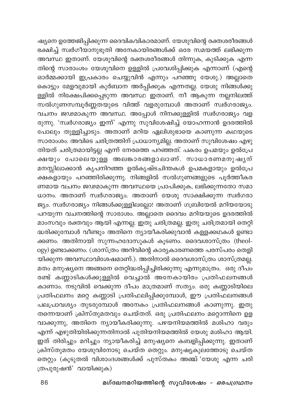ഷ്യനെ ഉത്തേജിപ്പിക്കുന്ന ദൈവികവികാരമാണ്. യേശുവിന്റെ രക്തശരീരങ്ങൾ ഭക്ഷിച്ച് സ്വർഗീയാനുഭുതി അനേകായിരങ്ങൾക്ക് ഒരേ സമയത്ത് ലഭിക്കുന്ന തിന്റെ സാരാംശം യേശുവിനെ ഉള്ളിൽ പ്രവേശിപ്പിക്കുക എന്നാണ് (എന്റെ ഓർമ്മക്കായി ഇപ്രകാരം ചെയ്യുവിൻ എന്നും പറഞ്ഞു യേശു.) അല്ലാതെ കൊട്ടും മേളവുമായി കുർബാന അർപ്പിക്കുക എന്നതല്ല. യേശു നിങ്ങൾക്കു ള്ളിൽ നിക്ഷേപിക്കപ്പെടുന്ന അവസ്ഥ ഇതാണ്. നീ ആകുന്ന നല്ലനിലത്ത് —<br>സൽഗുണസമ്പൂർണ്ണതയുടെ വിത്ത് വളരുമ്പോൾ അതാണ് സ്വര്ഗരാജ്യം. വചനം ജഢമാകുന്ന അവസ്ഥ. അപ്പോൾ നിനക്കുള്ളിൽ സ്വർഗരാജ്യം വള രുന്നു. 'സ്വർഗരാജ്യം ഇന്ന്' എന്നു സുവിശേഷിച്ച് യോഹന്നാൻ ഉദരത്തിൽ ം<br>പോലും തുള്ളിച്ചാടും. അതാണ് മറിയ ഏലിശുഭായെ കാണുന്ന കഥയുടെ സാരാംശം. അവിടെ ചരിത്രത്തിന് പ്രാധാന്യമില്ല. അതാണ് സുവിശേഷം എഴു തിയത് ചരിത്രമായിട്ടല്ല എന്ന് നേരത്തെ പറഞ്ഞത്. പകരം ഉപമയും ഉൽപ്രേ .<br>ക്ഷയും പോലെയുള്ള അലങ്കാരങ്ങളാലാണ്. സാധാരണമനുഷൃന് മനസ്സിലാക്കാൻ കൃപനിറഞ്ഞ ഉൽകൃഷ്ടചിന്തകൾ ഉപമകളായും ഉൽപ്രേ .<br>ക്ഷകളായും പറഞ്ഞിരിക്കുന്നു. നിങ്ങളിൽ സൽഗുണങ്ങളുടെ പൂർത്തീകര ണമായ വചനം ജഢമാകുന്ന അവസ്ഥയെ പ്രാപിക്കുക, ലഭിക്കുന്നതോ സമാ ധാനം. അതാണ് സ്വർഗരാജ്യം. അതാണ് യേശു സാക്ഷിക്കുന്ന സ്വർഗരാ ജ്യം. സ്ഥർഗരാജ്യം നിങ്ങൾക്കുള്ളിലല്ലോ! അതാണ് ഗബ്രിയേൽ മറിയയോടു പറയുന്ന വചനത്തിന്റെ സാരാശം. അല്ലാതെ ദൈവം മറിയയുടെ ഉദരത്തിൽ മാംസവും രക്തവും ആയി എന്നല്ല. ഇതു ചരിത്രമല്ല. ഇതു ചരിത്രമായി തെറ്റി ദ്ധരിക്കുമ്പോൾ വീണ്ടും അതിനെ ന്യായീകരിക്കുവാൻ കള്ളക്കഥകൾ ഉണ്ടാ ക്കണം. അതിനായി സുന്നഹദോസുകൾ കൂടണം. ദൈവശാസ്ത്രം (theology) ഉണ്ടാക്കണം. (ശാസ്ത്രം അറിവിന്റെ കാര്യകാരണത്തെ പരസ്പരം തെളി യിക്കുന്ന അവസ്ഥാവിശേഷമാണ്.). അതിനാൽ ദൈവശാസ്ത്രം ശാസ്ത്രമല്ല. മതം മനുഷ്യനെ അങ്ങനെ തെറ്റിദ്ധരിപ്പിച്ചിരിക്കുന്നു എന്നുമാത്രം. ഒരു ദീപം രണ്ട് കണ്ണാടികൾക്കുള്ളിൽ വെച്ചാൽ അനേകായിരം പ്രതിഫലനങ്ങൾ കാണാം. നടുവിൽ വെക്കുന്ന ദീപം മാത്രമാണ് സത്യം. ഒരു കണ്ണാടിയിലെ പ്രതിഫലനം മറ്റെ കണ്ണാടി പ്രതിഫലിപ്പിക്കുമ്പോൾ, ഈ പ്രതിഫലനങ്ങൾ പലപ്രാവശ്യം തുടരുമ്പോൾ അനേകം പ്രതിഫലനങ്ങൾ കാണുന്നു. ഇതു തന്നെയാണ് ക്രിസ്തുമതവും ചെയ്തത്. ഒരു പ്രതിഫലനം മറ്റൊന്നിനെ ഉള വാക്കുന്നു, അതിനെ ന്യായീകരിക്കുന്നു. പഴയനിയമത്തിൽ മശിഹാ വരും എന്ന് എഴുതിയിരിക്കുന്നതിനാൽ പുതിയനിയമത്തിൽ യേശു മശിഹാ ആയി. ഇത് തിരിച്ചും മറിച്ചും ന്യായീകരിച്ച് മനുഷ്യനെ കബളിപ്പിക്കുന്നു. ഇതാണ് ക്രിസ്തുമതം യേശുവിനോടു ചെയ്ത തെറ്റും. മനുഷ്യകുലത്തോടു ചെയ്ത തെറ്റും (കൂടുതൽ വിശാംദശങ്ങൾക്ക് പുസ്തകം അഞ്ച് 'യേശു എന്ന ചരി ത്രപുരുഷൻ' വായിക്കുക)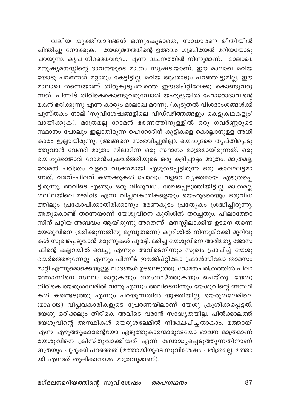വലിയ യുക്തിവാദങ്ങൾ ഒന്നുംകൂടാതെ, സാധാരണ രീതിയിൽ ചിന്തിച്ചു നോക്കുക. യേശുമതത്തിന്റെ ഉത്ഭവം ഗബ്രിയേൽ മറിയയോടു പറയുന്ന, കൃപ നിറഞ്ഞവളേ... എന്ന വചനത്തിൽ നിന്നുമാണ്. മാലാഖ, മനുഷ്യമനസ്സിന്റെ ഭാവനയുടെ മാത്രം സൃഷ്ടിയാണ്. ഈ മാലാഖ മറിയ യോടു പറഞ്ഞത് മറ്റാരും കേട്ടിട്ടില്ല. മറിയ ആരോടും പറഞ്ഞിട്ടുമില്ല. ഈ മാലാഖ തന്നെയാണ് തിരുകുടുംബത്തെ ഈജിപ്റ്റിലേക്കു കൊണ്ടുവരു ന്നത്. പിന്നീട് തിരികെകൊണ്ടുവരുമ്പോൾ യഹൂദ്യയിൽ ഹോറോദാവിന്റെ മകൻ ഭരിക്കുന്നു എന്ന കാര്യം മാലാഖ മറന്നു. (കൂടുതൽ വിശദാംശങ്ങൾക്ക് പുസ്തകം നാല് ′സുവിശേഷങ്ങളിലെ വിഡ്ഢിത്തങ്ങളും കെട്ടുകഥകളും' വായിക്കുക). മാത്രമല്ല റോമൻ ഭരണത്തിനുള്ളിൽ ഒരു ഗവർണ്ണറുടെ സ്ഥാനം പോലും ഇല്ലാതിരുന്ന ഹെറോദിന് കുട്ടികളെ കൊല്ലാനുള്ള അധി കാരം ഇല്ലായിരുന്നു, (അങ്ങനെ സംഭവിച്ചുമില്ല). യെഹൂദരെ തൃപ്തിപ്പെടു ത്തുവാൻ വേണ്ടി മാത്രം നിലനിന്ന ഒരു സ്ഥാനം മാത്രമായിരുന്നത്. ഒരു യെഹൂദരാജാവ് റോമൻചക്രവർത്തിയുടെ ഒരു കളിപ്പാട്ടം മാത്രം. മാത്രമല്ല റോമൻ ചരിത്രം വളരെ വ്യക്തമായി എഴുതപ്പെട്ടിരുന്ന ഒരു കാലഘട്ടമാ ണത്. വരവ്-ചിലവ് കണക്കുകൾ പോലും വളരെ വൃക്തമായി എഴുതപ്പെ ട്ടിരുന്നു. അവിടെ എങ്ങും ഒരു ശിശുവധം രേഖപ്പെടുത്തിയിട്ടില്ല. മാത്രമല്ല ഗലീലയിലെ zealots എന്ന വിപ്ലവകാരികളെയും യെഹൂദരെയും ഒരുവിധ ത്തിലും പ്രകോപിക്കാതിരിക്കാനും ഭരണകൂടം പ്രത്യേകം ശ്രദ്ധിച്ചിരുന്നു. അതുകൊണ്ട് തന്നെയാണ് യേശുവിനെ കുരിശിൽ തറച്ചതും. പീലാത്തോ സിന് പറ്റിയ അബദ്ധം ആയിരുന്നു അതെന്ന് മനസ്സിലാക്കിയ ഉടനെ തന്നെ .<br>യേശുവിനെ (മരിക്കുന്നതിനു മുമ്പുതന്നെ) കുരിശിൽ നിന്നുമിറക്കി മുറിവു കൾ സുഖപ്പെടുവാൻ മരുന്നുകൾ പുരട്ടി. മരിച്ച യേശുവിനെ അരിമത്യ ജോസ ഫിന്റെ കല്ലറയിൽ വെച്ചു എന്നും അവിടെനിന്നും സുഖം പ്രാപിച്ച് യേശു ഉയർത്തെഴുന്നേറ്റു എന്നും പിന്നീട് ഈജിപ്റ്റിലോ ഫ്രാൻസിലോ താമസം മാറ്റി എന്നുമൊക്കെയുള്ള വാദങ്ങൾ ഉടലെടുത്തു. റോമൻചരിത്രത്തിൽ പിലാ ത്തോസിനെ സ്ഥലം മാറ്റുകയും തരംതാഴ്ത്തുകയും ചെയ്തു. യേശു തിരികെ യെരുശലേമിൽ വന്നു എന്നും അവിടെനിന്നും യേശുവിന്റെ അസ്ഥി കൾ കണ്ടെടുത്തു എന്നും പറയുന്നതിൽ യുക്തിയില്ല. യെരുശലേമിലെ (zealots) വിപ്ലവകാരികളുടെ പ്രേരണയിലാണ് യേശു ക്രൂശിക്കപ്പെട്ടത്. യേശു ഒരിക്കലും തിരികെ അവിടെ വരാൻ സാദ്ധ്യതയില്ല. പിൽക്കാലത്ത് യേശുവിന്റെ അസ്ഥികൾ യെരുശലേമിൽ നിക്ഷേപിച്ചതാകാം. മത്തായി എന്ന എഴുത്തുകാരന്റെയോ എഴുത്തുകാരന്മാരുടേയോ ഭാവന മാത്രമാണ് യേശുവിനെ ക്രിസ്തുവാക്കിയത് എന്ന് ബോദ്ധ്യപ്പെടുത്തുന്നതിനാണ് ഇത്രയും ചുരുക്കി പറഞ്ഞത് (മത്തായിയുടെ സുവിശേഷം ചരിത്രമല്ല, മത്താ യി എന്നത് തൂലികാനാമം മാത്രവുമാണ്).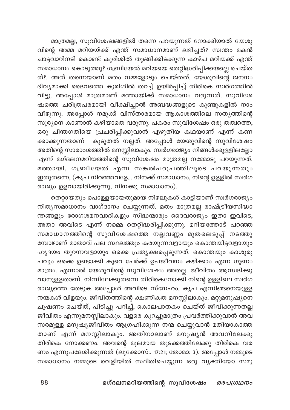മാത്രമല്ല, സുവിശേഷങ്ങളിൽ തന്നെ പറയുന്നത് നോക്കിയാൽ യേശു .<br>വിന്റെ അമ്മ മറിയയ്ക്ക് എന്ത് സമാധാനമാണ് ലഭിച്ചത്? സ്വന്തം മകൻ ചാട്ടവാറിനടി കൊണ്ട് കുരിശിൽ തൂങ്ങിക്കിടക്കുന്ന കാഴ്ച മറിയക്ക് എന്ത് സമാധാനം കൊടുത്തു? ഗബ്രിയേൽ മറിയയെ തെറ്റിദ്ധരിപ്പിക്കയല്ലെ ചെയ്ത ത്?. അത് തന്നെയാണ് മതം നമ്മളോടും ചെയ്തത്. യേശുവിന്റെ ജനനം ദിവ്യമാക്കി ദൈവത്തെ കുരിശിൽ തറച്ച് ഉയിർപ്പിച്ച് തിരികെ സ്വര്ഗത്തിൽ വിട്ടു. അപ്പോൾ മാത്രമാണ് മത്തായിക്ക് സമാധാനം വരുന്നത്. സുവിശേ ഷത്തെ ചരിത്രപരമായി വീക്ഷിച്ചാൽ അബദ്ധങ്ങളുടെ കുണ്ടുകളിൽ നാം വീഴുന്നു. അപ്പോൾ നമുക്ക് വിസ്താരമായ ആകാശത്തിലെ സതൃത്തിന്റെ സൂര്യനെ കാണാൻ കഴിയാതെ വരുന്നു. പകരം സുവിശേഷം ഒരു തത്വത്തെ, ഒരു ചിന്തഗതിയെ പ്രചരിപ്പിക്കുവാൻ എഴുതിയ കഥയാണ് എന്ന് കണ ക്കാക്കുന്നതാണ് കൂടുതൽ നല്ലത്. അപ്പോൾ യേശുവിന്റെ സുവിശേഷം അതിന്റെ സാരാംശത്തിൽ മനസ്സിലാകും. സ്ഥർഗരാജ്യം നിങ്ങൾക്കുള്ളിലല്ലോ എന്ന് മഗ്ദലനമറിയത്തിന്റെ സുവിശേഷം മാത്രമല്ല നമ്മോടു പറയുന്നത്. മത്തായി, ഗബ്രിയേൽ എന്ന സങ്കൽപരൂപത്തിലൂടെ പറയുന്നതും ഇതുതന്നെ, (കൃപ നിറഞ്ഞവളേ... നിനക്ക് സമാധാനം, നിന്റെ ഉള്ളിൽ സ്വർഗ രാജ്യം ഉളവായിരിക്കുന്നു, നിനക്കു സമാധാനം).

തെറ്റായതും പൊള്ളയായതുമായ നിഴലുകൾ കാട്ടിയാണ് സ്വർഗരാജ്യം നിതൃസമാധാനം വാഗ്ദാനം ചെയ്യുന്നത്. മതം മാത്രമല്ല രാഷ്ട്രീയസിദ്ധാ ന്തങ്ങളും രോഗശമനവാദികളും സിദ്ധന്മാരും ദൈവരാജ്യം ഇതാ ഇവിടെ, അതാ അവിടെ എന്ന് നമ്മെ തെറ്റിദ്ധരിപ്പിക്കുന്നു. മറിയത്തോട് പറഞ്ഞ സമാധാനത്തിന്റെ സുവിശേഷത്തെ നല്ലവണ്ണം മുതലെടുപ്പ് നടത്തു മ്പോഴാണ് മാതാവ് പല സ്ഥലത്തും കരയുന്നവളായും കൊന്തയിട്ടവളായും ഹൃദയം തുറന്നവളായും ഒക്കെ പ്രത്യക്ഷപ്പെടുന്നത്. കൊന്തയും കാശുരൂ പവും ഒക്കെ ഉണ്ടാക്കി കുറെ പേർക്ക് ഉപജീവനം കഴിക്കാം എന്ന ഗുണം മാത്രം. എന്നാൽ യേശുവിന്റെ സുവിശേഷം അതല്ല. ജീവിതം ആസ്വദിക്കു വാനുള്ളതാണ്. നിന്നിലേക്കുതന്നെ തിരികെനോക്കി നിന്റെ ഉള്ളിലെ സ്വർഗ രാജ്യത്തെ തേടുക അപ്പോൾ അവിടെ സ്നേഹം, കൃപ എന്നിങ്ങനെയുള്ള നന്മകൾ വിളയും. ജീവിതത്തിന്റെ ക്ഷണികത മനസ്സിലാകും. മറ്റുമനുഷ്യനെ ചൂഷണം ചെയ്ത്, പിടിച്ചു പറിച്ച്, കൊലപാതകം ചെയ്ത് ജീവിക്കുന്നതല്ല ജീവിതം എന്നുമനസ്സിലാകും. വളരെ കുറച്ചുമാത്രം പ്രവർത്തിക്കുവാൻ അവ സരമുള്ള മനുഷ്യജീവിതം ആഗ്രഹിക്കുന്ന നന്മ ചെയ്യുവാൻ മതിയാകാത്ത താണ് എന്ന് മനസ്സിലാകും. അതിനാലാണ് മനുഷ്യൻ അവനിലേക്കു തിരികെ നോക്കണം. അവന്റെ മൂലമായ തുടക്കത്തിലേക്കു തിരികെ വര ണം എന്നുപദേശിക്കുന്നത് (ലൂക്കോസ്.. 17:21; തോമാ: 3). അപ്പോൾ നമ്മുടെ സമാധാനം നമ്മുടെ വെളിയിൽ സ്ഥിതിചെയ്യുന്ന ഒരു വ്യക്തിയോ സമൂ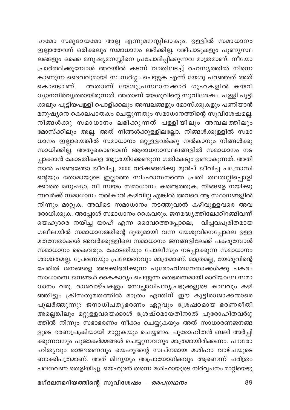ഹമോ സമുദായമോ അല്ല എന്നുമനസ്സിലാകും. ഉള്ളിൽ സമാധാനം ഇല്ലാത്തവന് ഒരിക്കലും സ്മാധാനം ലഭിക്കില്ല. വഴിപാടുകളും പുണൃസ്ഥ ്ക്<br>ലങ്ങളും ഒക്കെ മനുഷ്യമനസ്സിനെ പ്രചോദിപ്പിക്കുന്നവ മാത്രമാണ്. നീയോ പ്രാർത്ഥിക്കുമ്പോൾ അറയിൽ കടന്ന് വാതിലടച്ച് രഹസ്യത്തിൽ നിന്നെ കാണുന്ന ദൈവവുമായി സംസർഗ്ഗം ചെയ്യുക എന്ന് യേശു പറഞ്ഞത് അത് കൊണ്ടാണ്. അതാണ് യേശുപ്രസ്ഥാനക്കാർ ഗുഹകളിൽ കയറി  $\omega$ ്യാനനിർവൃതരായിരുന്നത്. അതാണ് യേശുവിന്റെ സുവിശേഷം. പള്ളി പൂട്ടി ക്കലും പൂട്ടിയപള്ളി പൊളിക്കലും അമ്പലങ്ങളും മോസ്ക്കുകളും പണിയാൻ മനുഷ്യനെ കൊലപാതകം ചെയ്യുന്നതും സമാധാനത്തിന്റെ സുവിശേഷമല്ല. നിങ്ങൾക്കു സമാധാനം ലഭിക്കുന്നത് പള്ളിയിലും അമ്പലത്തിലും മോസ്ക്കിലും അല്ല. അത് നിങ്ങൾക്കുള്ളിലല്ലോ. നിങ്ങൾക്കുള്ളിൽ സമാ ധാനം ഇല്ലായെങ്കിൽ സമാധാനം മറ്റുള്ളവർക്കു നൽകാനും നിങ്ങൾക്കു സാധിക്കില്ല. അതുകൊണ്ടാണ് ആരാധനാസ്ഥലങ്ങളിൽ സമാധാനം നട പ്പാക്കാൻ കോടതികളെ ആശ്രയിക്കേണ്ടുന്ന ഗതികേടും ഉണ്ടാകുന്നത്. അതി നാൽ പണ്ടെങ്ങോ ജീവിച്ച, 2000 വർഷങ്ങൾക്കു മുൻപ് ജീവിച്ച പത്രോസി ന്റെയും തോമായുടെ ഇല്ലാത്ത സിംഹാസനത്തെ പ്രതി തലതല്ലിപ്പൊളി ക്കാതെ മനുഷ്യാ, നീ സ്ഥയം സമാധാനം കണ്ടെത്തുക. നിങ്ങളെ നയിക്കു ന്നവർക്ക് സമാധാനം നൽകാൻ കഴിവില്ല എങ്കിൽ അവരെ ആ സ്ഥാനങ്ങളിൽ നിന്നും മാറ്റുക. അവിടെ സമാധാനം നടത്തുവാൻ കഴിവുള്ളവരെ അവ രോധിക്കുക. അപ്പോൾ സമാധാനം കൈവരും. ജനമദ്ധ്യത്തിലേക്കിറങ്ങിവന്ന് യെഹൂദരെ നയിച്ച യാഹ് എന്ന ദൈവത്തെപ്പോലെ, വിപ്ലവപൂരിതമായ  $\alpha$ ലീലയിൽ സമാധാനത്തിന്റെ ദൂതുമായി വന്ന യേശുവിനെപ്പോലെ ഉള്ള മതനേതാക്കൾ അവർക്കുള്ളിലെ സമാധാനം ജനങ്ങളിലേക്ക് പകരുമ്പോൾ സമാധാനം കൈവരും. കോടതിയും പോലീസും നടപ്പാക്കുന്ന സമാധാനം ശാശ്വതമല്ല. പ്രേരണയും പ്രലോഭനവും മാത്രമാണ്. മാത്രമല്ല, യേശുവിന്റെ പേരിൽ ജനങ്ങളെ അടക്കിഭരിക്കുന്ന പുരോഹിതനേതാക്കൾക്കു പകര<mark>ം</mark> സാധാരണ ജനങ്ങൾ കൈകാര്യം ചെയ്യുന്ന മതഭരണമായി മാറിയാലേ സമാ ധാനം വരൂ. രാജവാഴ്ചകളും സ്വേച്ഛാധിപത്യപ്രഭുക്കളുടെ കാലവും കഴി ഞ്ഞിട്ടും ക്രിസതുമതത്തിൽ മാത്രം എന്തിന് ഈ കുട്ടിരാജാക്കന്മാരെ പുലർത്തുന്നു? ജനാധിപത്യഭരണം ഏറ്റവും ശ്രേഷഠമായ ഭരണരീതി അല്ലെങ്കിലും മറ്റുള്ളവയെക്കാൾ ശ്രേഷ്ഠമായതിനാൽ പുരോഹിതവർഗ്ഗ ത്തിൽ നിന്നും സഭാഭരണം നീക്കം ചെയ്യുകയും അത് സാധാരണജനങ്ങ ളുടെ ഭരണപ്രക്രിയായി മാറ്റുകയും ചെയ്യണം. പുരോഹിതൻ ബലി അർപ്പി ക്കുന്നവനും പൂജാകർമ്മങ്ങൾ ചെയ്യുന്നവനും മാത്രമായിരിക്കണം. പൗരോ ഹിത്യവും രാജഭരണവും യെഹൂദന്റെ സ്ഥ്നമായ മശിഹാ വാഴ്ചയുടെ ബാക്കിപത്രമാണ്. അത് മിഥ്യയും അപ്രായോഗികവും ആണെന്ന് ചരിത്രം പലതവണ തെളിയിച്ചു. യെഹൂദൻ തന്നെ മശിഹായുടെ നിർവ്വചനം മാറ്റിയെഴു

മഗ്ദലനമറിയത്തിന്റെ സുവിശേഷം *– ഒരപഗ്രഥനം* 89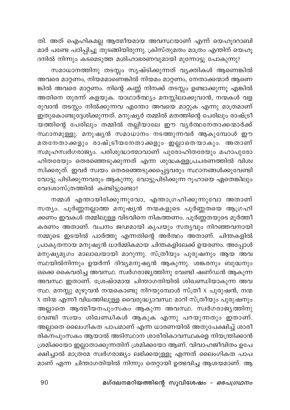തി. അത് ഐഹികമല്ല ആത്മീയമായ അവസ്ഥയാണ് എന്ന് യെഹൂദറാബി മാർ പണ്ടേ പഠിപ്പിച്ചു തുടങ്ങിയിരുന്നു. ക്രിസ്തുമതം മാത്രം എന്തിന് യെഹൂ ദനിൽ നിന്നും കടമെടുത്ത മശിഹാഭരണവുമായി മുന്നോട്ടു പോകുന്നു?

സമാധാനത്തിനു തടസ്സം സൃഷ്ടിക്കുന്നത് വ്യക്തികൾ ആണെങ്കിൽ .<br>അവരെ മാറ്റണം, നിയമമാണെങ്കിൽ നിയമം മാറ്റണം, നേതാക്കന്മാർ ആണെ ങ്കിൽ അവരെ മാറ്റണം. നിന്റെ കണ്ണ് നിനക്ക് തടസ്സം ഉണ്ടാക്കുന്നു എങ്കിൽ അതിനെ തുരന്ന് കളയുക. യാഥാർത്ഥ്യം മനസ്സിലാക്കുവാൻ, നന്മകൾ വള രുവാൻ തടസ്സം നിൽക്കുന്നവ എന്തോ അവയെ മാറ്റുക എന്നു മാത്രമാണ് ഇതുകൊണ്ടുദ്ദേശിക്കുന്നത്. മനുഷ്യർ തമ്മിൽ മതത്തിന്റെ പേരിലും രാഷ്ട്രീ യത്തിന്റെ പേരിലും തമ്മിൽ തല്ലിയാലേ ഈ വ്യർത്ഥനേതാക്കന്മാർക്ക് സ്ഥാനമുള്ളു. മനുഷ്യൻ സമാധാനം നടത്തുന്നവർ ആകുമ്പോൾ ഈ മതനേതാക്കളും രാഷ്ട്രീയനേതാക്കളും ഇല്ലാതെയാകും. അതാണ് സമൂഹസ്വർഗരാജ്യം. പരിശുദ്ധാത്മാവാണ് പുരോഹിതരേയും മഹാപുരോ ഹിതരേയും തെരഞ്ഞെടുക്കുന്നത് എന്ന ശുദ്ധകള്ളപ്രചരണത്തിൽ വിശ്വ സിക്കരുത്. ഇവർ സ്വയം തെരഞ്ഞെടുക്കപ്പെട്ടവരും സ്ഥാനങ്ങൾക്കുവേണ്ടി വോട്ടു പിടിക്കുന്നവരും ആകുന്നു. വോട്ടുപിടിക്കുന്ന റൂഹായെ ഏതെങ്കിലും വേദശാസ്ത്രത്തിൽ കണ്ടിട്ടുണ്ടോ?

നമ്മൾ എന്തായിരിക്കുന്നുവോ, എന്താഗ്രഹിക്കുന്നുവോ അതാണ് സത്യം. പൂർണ്ണനല്ലാത്ത മനുഷ്യൻ നന്മകളുടെ പൂർണ്ണതയെ ആഗ്രഹി ക്കണം ഇവകൾ തമ്മിലുള്ള വിടവിനെ നികത്തണം. പൂർണ്ണതയുടെ മൂർത്തീ കരണം അതാണ്. വചനം ജഢമായി കൃപയും സത്യവും നിറഞ്ഞവനായി നമ്മുടെ ഇടയിൽ പാർത്തു എന്നതിന്റെ അർത്ഥം അതാണ്. ചിന്തകളിൽ പ്രാകൃതനായ മനുഷ്യൻ ധാർമ്മികമായ ചിന്തകളിലേക്ക് ഉയരണം. അപ്പോൾ മനുഷ്യമൃഗം മാലാഖയായി മാറുന്നു. സ്ത്രീയും പുരുഷനും ആയ അവ സ്ഥയിൽനിന്നും ഉയർന്ന് ദിവ്യമനുഷ്യൻ ആകുന്നു. ശങ്കരനും ബുദ്ധനും ഒക്കെ കൈവരിച്ച അവസ്ഥ. സ്വർഗരാജ്യത്തിനു വേണ്ടി ഷണ്ഡൻ ആകുന്ന അവസ്ഥ ഇതാണ്. ശ്രേഷ്ഠമായ ചിന്താഗതിയിൽ ശിഖണ്ഡിയാകുന്ന അവ സ്ഥ. മനസ്സു മുഴുവൻ നന്മകൊണ്ടു നിറയുമ്പോൾ സ്ത്രീ x പുരുഷൻ, നന്മ X തിന്മ എന്നീ വിധത്തിലുള്ള വൈരുദ്ധ്യാവസ്ഥ മാറി സ്ത്രീയും പുരുഷനും .<br>അല്ലാതെ ആത്മീയനപുംസകം ആകുന്ന അവസ്ഥ. സ്വർഗരാജ്യത്തിനു വേണ്ടി സ്വയം ശിഖണ്ഡികൾ ആകുക എന്നു പറയുന്നതും ഇതാണ്. അല്ലാതെ ലൈംഗികത പാപമാണ് എന്ന ധാരണയിൽ അതുപേക്ഷിച്ച് ശാരീ രികനപുംസകം ആയാൽ അടിസ്ഥാന ശാരീരികാവസ്ഥകളെ നിയന്ത്രിക്കാൻ ശ്രമിക്കയോ ഇല്ലാതാക്കുന്നതിന് ശ്രമിക്കയോ ആണ്. വിവാഹജീവിതം ഉപേ ക്ഷിച്ചാൽ മാത്രമേ സ്വർഗരാജ്യം ലഭിക്കയുള്ളൂ എന്നത് ലൈംഗികത പാപ മാണ് എന്ന ചിന്താഗതിയിൽ നിന്നും തെറ്റായി ഉത്ഭവിച്ച ആശയമാണ്. ആ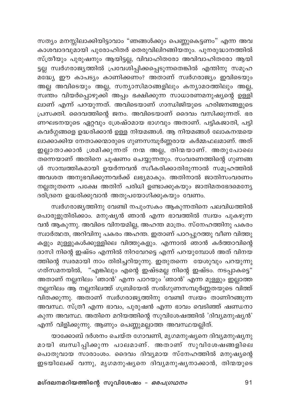സത്യം മനസ്സിലാക്കിയിട്ടാവാം "ഞങ്ങൾക്കും പെണ്ണുകെട്ടണം" എന്ന അവ കാശവാദവുമായി പുരോഹിതർ തെരുവിലിറങ്ങിയതും. പുനരുദ്ധാനത്തിൽ സ്ത്രീയും പുരുഷനും ആയിട്ടല്ല, വിവാഹിതരോ അവിവാഹിതരോ ആയി <u>ട്ടല്ല</u> സ്വർഗരാജ്യത്തിൽ പ്രവേശിപ്പിക്കപ്പെടുന്നതെങ്കിൽ എന്തിനു സമൂഹ ...<br>മദ്ധ്യേ ഈ കാപട്യം കാണിക്കണം? അതാണ് സ്വർഗരാജ്യം ഇവിടെയും അല്ല അവിടെയും അല്ല, സന്യാസിമഠങ്ങളിലും കന്യാമഠത്തിലും അല്ല, സ്ഥതം വിയർപ്പൊഴുക്കി അപ്പം ഭക്ഷിക്കുന്ന സാധാരണമനുഷ്യന്റെ ഉള്ളി ലാണ് എന്ന് പറയുന്നത്. അവിടെയാണ് ഗാന്ധിജിയുടെ ഹരിജനങ്ങളുടെ പ്രസക്തി. ദൈവത്തിന്റെ ജനം. അവിടെയാണ് ദൈവം വസിക്കുന്നത്. ഭര ണഘടനയുടെ ഏറ്റവും ശ്രേഷ്ഠമായ ഭാഗവും അതാണ്. പട്ടികജാതി, പട്ടി .<br>കവർഗ്ഗങ്ങളെ ഉദ്ധരിക്കാൻ ഉള്ള നിയമങ്ങൾ. ആ നിയമങ്ങൾ ലോകനന്മയെ ലാക്കാക്കിയ നേതാക്കന്മാരുടെ ഗുണസമ്പൂർണ്ണരായ കർമ്മഫലമാണ്. അത് ഇല്ലാതാക്കാൻ ശ്രമിക്കുന്നത് നന്മ അല്ല, തിന്മയാണ്. അതുപോലെ തന്നെയാണ് അതിനെ ചൂഷണം ചെയ്യുന്നതും. സംവരണത്തിന്റെ ഗുണങ്ങ ൾ സാമ്പത്തികമായി ഉയർന്നവൻ സ്വീകരിക്കാതിരുന്നാൽ സമൂഹത്തിൽ അവശത അനുഭവിക്കുന്നവർക്ക് ലഭ്യമാകും. അതിനാൽ ജാതിസംവരണം നല്ലതുതന്നെ പക്ഷേ അതിന് പരിധി ഉണ്ടാക്കുകയും ജാതിമതഭേദമെന്യേ ദരിദ്രനെ ഉദ്ധരിക്കുവാൻ അതുപയോഗിക്കുകയും വേണം.

സ്വർഗരാജ്യത്തിനു വേണ്ടി നപുംസകം ആകുന്നതിനെ പലവിധത്തിൽ പൊരുളുതിരിക്കാം. മനുഷ്യൻ ഞാൻ എന്ന ഭാവത്തിൽ സ്വയം പുകഴുന്ന വൻ ആകുന്നു. അവിടെ വിനയമില്ല, അഹന്ത മാത്രം. സ്നേഹത്തിനു പകരം .<br>സ്വാർത്ഥത, അറിവിനു പകരം അഹന്ത. ഇതാണ് പാറപ്പുറത്തു വീണ വിത്തു കളും മുള്ളുകൾക്കുള്ളിലെ വിത്തുകളും. എന്നാൽ ഞാൻ കർത്താവിന്റെ ദാസി നിന്റെ ഇഷ്ടം എന്നിൽ നിറവേറട്ടെ എന്ന് പറയുമ്പോൾ അത് വിനയ ത്തിന്റെ സ്വരമായി നാം തിരിച്ചറിയുന്നു. ഇതുതന്നെ യേശുവും പറയുന്നു ഗത്സമനയിൽ, "എങ്കിലും എന്റെ ഇഷ്ടമല്ല നിന്റെ ഇഷ്ടം. നടപ്പാകട്ടെ" അതാണ് നല്ലനിലം 'ഞാൻ' എന്ന പാറയും 'ഞാൻ' എന്ന മുള്ളും ഇല്ലാത്ത നല്ലനിലം ആ നല്ലനിലത്ത് ഗബ്രിയേൽ സൽഗുണസമ്പൂർണ്ണതയുടെ വിത്ത് വിതക്കുന്നു. അതാണ് സ്വർഗരാജ്യത്തിനു വേണ്ടി സ്വയം താണിറങ്ങുന്ന അവസ്ഥ. സ്ത്രീ എന്ന ഭാവം, പുരുഷൻ എന്ന ഭാവം വെടിഞ്ഞ് ഷണ്ഡനാ കുന്ന അവസ്ഥ. അതിനെ മറിയത്തിന്റെ സുവിശേഷത്തിൽ 'ദിവ്യമനുഷ്യൻ' എന്ന് വിളിക്കുന്നു. ആണും പെണ്ണുമല്ലാത്ത അവസ്ഥയല്ലിത്.

യാക്കോബ് ദർശനം ചെയ്ത ഗോവണി, മൃഗമനുഷ്യനെ ദിവ്യമനുഷ്യനു മായി ബന്ധിപ്പിക്കുന്ന പാലമാണ്. അതാണ് സുവിശേഷങ്ങളിലെ പൊതുവായ സാരാംശം. ദൈവം ദിവ്യമായ സ്നേഹത്തിൽ മനുഷ്യന്റെ ഇടയിലേക്ക് വന്നു, മൃഗമനുഷ്യനെ ദിവ്യമനുഷ്യനാക്കാൻ, തിന്മയുടെ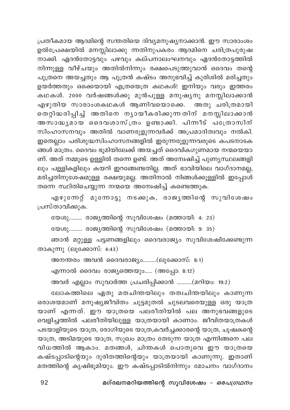പ്രതീകമായ ആദമിന്റെ സന്തതിയെ ദിവ്യമനുഷ്യനാക്കാൻ. ഈ സാരാംശം ഉൽപ്രേക്ഷയിൽ മനസ്സിലാക്കു ന്നതിനുപകരം ആദമിനെ ചരിത്രപുരുഷ നാക്കി. ഏദൻതോട്ടവും പഴവും കല്പനാലംഘനവും ഏദൻതോട്ടത്തിൽ നിന്നുള്ള വീഴ്ചയും അതിൽനിന്നും രക്ഷപെടുത്തുവാൻ ദൈവം തന്റെ പുത്രനെ അയച്ചതും ആ പുത്രൻ കഷ്ടം അനുഭവിച്ച് കുരിശിൽ മരിച്ചതും ഉയർത്തതും ഒക്കെയായി എത്രയെത്ര കഥകൾ! ഇനിയും വരും ഇത്തരം കഥകൾ. 2000 വർഷങ്ങൾക്കു മുൻപുള്ള മനുഷ്യനു മനസ്സിലാക്കാൻ എഴുതിയ സാരാംശകഥകൾ ആണിവയൊക്കെ. അതു ചരിത്രമായി തെറ്റിദ്ധരിപ്പിച്ച് അതിനെ നൃായീകരിക്കുന്നതിന് മനസ്സിലാക്കാൻ അസാദ്ധ്യമായ ദൈവശാസ്ത്രം ഉണ്ടാക്കി. പിന്നീട് പ്രേരാസിന് സിംഹാസനവും അതിൽ വാണരുളുന്നവർക്ക് അപ്രമാദിത്വവും നൽകി. ഇതെല്ലാം പരിശുദ്ധസിംഹാസനങ്ങളിൽ ഇരുന്നരുളുന്നവരുടെ കപടനാടക ങ്ങൾ മാത്രം. ദൈവം ഭൂമിയിലേക്ക് അയച്ചത് ദൈവികഗുണമായ നന്മയെയാ ണ്. അത് നമ്മുടെ ഉള്ളിൽ തന്നെ ഉണ്ട്. അത് അന്വേഷിച്ച് പുണ്യസ്ഥലങ്ങളി ലും പള്ളികളിലും കയറി ഇറങ്ങേണ്ടതില്ല. അത് ഭാവിയിലെ വാഗ്ദാനമല്ല, മരിച്ചതിനുശേഷമുള്ള രക്ഷയുമല്ല. അതിനാൽ നിങ്ങൾക്കുള്ളിൽ ഇപ്പോൾ തന്നെ സ്ഥിതിചെയ്യുന്ന നന്മയെ അന്വേഷിച്ച് കണ്ടെത്തുക.

എഴുന്നേറ്റ് മുന്നോട്ടു നടക്കുക, രാജൃത്തിന്റെ സുവിശേഷം പ്രസ്താവിക്കുക.

യേശു......... രാജൃത്തിന്റെ സുവിശേഷം (മത്തായി: 4: 23)

യേശു......... രാജ്യത്തിന്റെ സുവിശേഷം (മത്തായി: 9: 35)

ഞാൻ മറ്റുള്ള പട്ടണങ്ങളിലും ദൈവരാജ്യം സുവിശേഷിക്കേണ്ടുന്ന താകുന്നു  $(\text{E}_4$ ക്കോസ്: 4:43)

അനന്തരം അവൻ ദൈവരാജ്യം.........(ലൂക്കോസ്: 8:1)

എന്നാൽ ദൈവം രാജ്യത്തെയും..... (അപ്പോ: 8:12)

അവർ എല്ലാം സുവാർത്ത പ്രചരിപ്പിക്കാൻ ..........(മറിയം: 19:2)

ലോകത്തിലെ ഏതു മതചിന്തയിലും തത്വചിന്തയിലും കാണുന്ന ഒരാശയമാണ് മനുഷ്യജീവിതം ചുട്ടമുതൽ ചുടലവരെയുള്ള ഒരു യാത്ര യാണ് എന്നത്. ഈ യാത്രയെ പലരീതിയിൽ പല അനുഭവങ്ങളുടെ വെളിച്ചത്തിൽ പലരീതിയിലുള്ള യാത്രയായി കാണാം. ജീവിതയാത്രകൾ പടയാളിയുടെ യാത്ര, രോഗിയുടെ യാത്ര,കവർച്ചക്കാരന്റെ യാത്ര, ചൂഷകന്റെ യാത്ര, അടിമയുടെ യാത്ര, സുഖം മാത്രം തേടുന്ന യാത്ര എന്നിങ്ങനെ പല വിധത്തിൽ ആകാം. മതങ്ങൾ, ചിന്തകൾ പൊതുവെ ഈ യാത്രയെ കഷ്ടപ്പാടിന്റെയും ദുരിതത്തിന്റെയും യാത്രയായി കാണുന്നു. ഇതാണ് മതത്തിന്റെ കൃഷിഭൂമിയും. ഈ കഷ്ടപ്പാടിൽനിന്നും മോചനം വാഗ്ദാനം

മഗ്ദലനമറിയത്തിന്റെ സുവിശേഷം - ഒരപഗ്രഥനം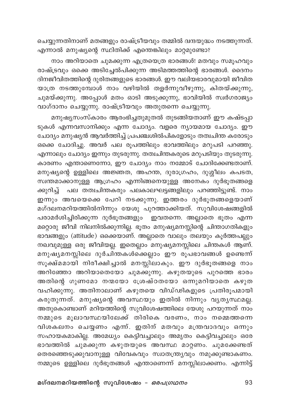ചെയ്യുന്നതിനാണ് മതങ്ങളും രാഷ്ട്രീയവും തമ്മിൽ ദ്വന്ദയുദ്ധം നടത്തുന്നത്. എന്നാൽ മനുഷ്യന്റെ സ്ഥിതിക്ക് എന്തെങ്കിലും മാറ്റമുണ്ടോ?

നാം അറിയാതെ ചുമക്കുന്ന എത്രയെത്ര ഭാരങ്ങൾ! മതവും സമൂഹവും രാഷ്ട്രവും ഒക്കെ അടിച്ചേൽപിക്കുന്ന അടിമത്തത്തിന്റെ ഭാരങ്ങൾ. ദൈനം ദിനജീവിതത്തിന്റെ ദുരിതങ്ങളുടെ ഭാരങ്ങൾ. ഈ വലിയഭാരവുമായി ജീവിത യാത്ര നടത്തുമ്പോൾ നാം വഴിയിൽ തളർന്നുവീഴുന്നു, കിതയ്ക്കുന്നു, ചുമയ്ക്കുന്നു. അപ്പോൾ മതം ഓടി അടുക്കുന്നു, ഭാവിയിൽ സ്ഥർഗരാജ്യം വാഗ്ദാനം ചെയ്യുന്നു. രാഷ്ട്രീയവും അതുതന്നെ ചെയ്യുന്നു.

മനുഷ്യസംസ്കാരം ആരംഭിച്ചതുമുതൽ തുടങ്ങിയതാണ് ഈ കഷ്ടപ്പാ ടുകൾ എന്നവസാനിക്കും എന്ന ചോദ്യം. വളരെ ന്യായമായ ചോദ്യം. ഈ ചോദ്യം മനുഷ്യൻ ആവർത്തിച്ച് പ്രപഞ്ചശിൽപികളോടും തത്വചിന്ത കരോടും ഒക്കെ ചോദിച്ചു. അവർ പല രൂപത്തിലും ഭാവത്തിലും മറുപടി പറഞ്ഞു. എന്നാലും ചോദ്യം ഇന്നും തുടരുന്നു. തത്വചിന്തകരുടെ മറുപടിയും തുടരുന്നു. കാരണം എന്താണെന്നോ, ഈ ചോദ്യം നാം നമ്മോട് ചോദിക്കേണ്ടതാണ്. മനുഷ്യന്റെ ഉള്ളിലെ അജ്ഞത, അഹന്ത, ദുരാഗ്രഹം, ദുശ്ശീലം കപടത, സ്വന്തമാക്കാനുള്ള ആഗ്രഹം എന്നിങ്ങനെയുള്ള അനേകം ദുർഭൂതങ്ങളെ ക്കുറിച്ച് പല തത്വചിന്തകരും പലകാലഘട്ടങ്ങളിലും പറഞ്ഞിട്ടുണ്ട്. നാം .<br>ഇന്നും അവയെക്കെ പേറി നടക്കുന്നു. ഇത്തരം ദുർഭൂതങ്ങളെയാണ് മഗ്ദലനമറിയത്തിൽനിന്നും യേശു പുറത്താക്കിയത്. സുവിശേഷങ്ങളിൽ പരാമർശിച്ചിരിക്കുന്ന ദുർഭൂതങ്ങളും ഇവതന്നെ. അല്ലാതെ ഭൂതം എന്ന മറ്റൊരു ജീവി നിലനിൽക്കുന്നില്ല. ഭൂതം മനുഷ്യമനസ്സിന്റെ ചിന്താഗതികളും ഭാവങ്ങളും (attitude) ഒക്കെയാണ്. അല്ലാതെ വാലും തലയും കൂർത്തപല്ലും നഖവുമുള്ള ഒരു ജീവിയല്ല. ഇതെല്ലാം മനുഷ്യമനസ്സിലെ ചിന്തകൾ ആണ്. മനുഷ്യമനസ്സിലെ ദുർചിന്തകൾക്കെല്ലാം ഈ രൂപഭാവങ്ങൾ ഉണ്ടെന്ന് സൂക്ഷ്മമായി നിരീക്ഷിച്ചാൽ മനസ്സിലാകും. ഈ ദുർഭൂതങ്ങളെ നാം അറിഞ്ഞോ അറിയാതെയോ ചുമക്കുന്നു. കഴുതയുടെ പുറത്തെ ഭാരം അതിന്റെ ഗുണമോ നന്മയോ ശ്രേഷ്ഠതയോ ഒന്നുമറിയാതെ കഴുത വഹിക്കുന്നു. അതിനാലാണ് കഴുതയെ വിഡ്ഢികളുടെ പ്രതിരൂപമായി കരുതുന്നത്. മനുഷ്യന്റെ അവസ്ഥയും ഇതിൽ നിന്നും വ്യത്യസ്ഥമല്ല. അതുകൊണ്ടാണ് മറിയത്തിന്റെ സുവിശേഷത്തിലെ യേശു പറയുന്നത് നാം .<br>നമ്മുടെ മുലാവസ്ഥയിലേക്ക് തിരികെ വരണം, നാം നമ്മെത്തന്നെ വിശകലനം ചെയ്യണം എന്ന്. ഇതിന് മതവും മന്ത്രവാദവും ഒന്നും സഹായകമാകില്ല. അമേധ്യം കെട്ടിവച്ചാലും അമൃതം കെട്ടിവച്ചാലും ഒരേ ഭാവത്തിൽ ചുമക്കുന്ന കഴുതയുടെ അവസ്ഥ മാറ്റണം. ചുമക്കേണ്ടത് തെരഞ്ഞെടുക്കുവാനുള്ള വിവേകവും സ്വാതന്ത്ര്യവും നമുക്കുണ്ടാകണം. നമ്മുടെ ഉള്ളിലെ ദുർഭൂതങ്ങൾ എന്താണെന്ന് മനസ്സിലാക്കണം. എന്നിട്ട്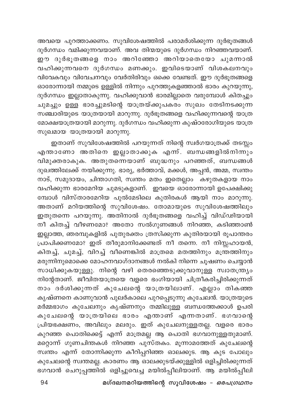അവയെ പുറത്താക്കണം. സുവിശേഷത്തിൽ പരാമർശിക്കുന്ന ദുർഭൂതങ്ങൾ ദുർഗന്ധം വമിക്കുന്നവയാണ്. അവ തിന്മയുടെ ദുർഗന്ധം നിറഞ്ഞവയാണ്. .<br>ഈ ദുർഭൂതങ്ങളെ നാം അറിഞ്ഞോ അറിയാതെയോ ചുമന്നാൽ വഹിക്കുന്നവനെ ദുർഗന്ധം മണക്കും. ഇവിടെയാണ് വിശകലനവും വിവേകവും വിവേചനവും വേർതിരിവും ഒക്കെ വേണ്ടത്. ഈ ദുർഭൂതങ്ങളെ ഓരോന്നായി നമ്മുടെ ഉള്ളിൽ നിന്നും പുറത്തുകളഞ്ഞാൽ ഭാരം കുറയുന്നു, ദുർഗന്ധം ഇല്ലാതാകുന്നു. വഹിക്കുവാൻ ഭാരമില്ലാതെ വരുമ്പോൾ കിതച്ചും ചുമച്ചും ഉള്ള ഭാരച്ചുമടിന്റെ യാത്രയ്ക്കുപകരം സുഖം തേടിനടക്കുന്ന സഞ്ചാരിയുടെ യാത്രയായി മാറുന്നു. ദുർഭൂതങ്ങളെ വഹിക്കുന്നവന്റെ യാത്ര മോക്ഷയാത്രയായി മാറുന്നു. ദുർഗന്ധം വഹിക്കുന്ന കുഷ്ഠരോഗിയുടെ യാത്ര സുഖമായ യാത്രയായി മാറുന്നു.

ഇതാണ് സുവിശേഷത്തിൽ പറയുന്നത് നിന്റെ സ്ഥർഗയാത്രക്ക് തടസ്സം എന്താണോ അതിനെ ഇല്ലാതാക്കുക എന്ന്. ബന്ധങ്ങളിൽനിന്നും വിമുക്തരാകുക. അതുതന്നെയാണ് ബുദ്ധനും പറഞ്ഞത്, ബന്ധങ്ങൾ ദുഖത്തിലേക്ക് നയിക്കുന്നു. ഭാര്യ, ഭർത്താവ്, മക്കൾ, അപ്പൻ, അമ്മ, സ്വന്തം .<br>നാട്, സമുദായം, ചിന്താഗതി, സ്വന്തം മതം ഇതെല്ലാം കഴുതകളായ നാം വഹിക്കുന്ന ഭാരമേറിയ ചുമടുകളാണ്. ഇവയെ ഓരോന്നായി ഉപേക്ഷിക്കു മ്പോൾ വിസ്താരമേറിയ പുൽമേടിലെ കുതിരകൾ ആയി നാം മാറുന്നു. അതാണ് മറിയത്തിന്റെ സുവിശേഷം. തോമായുടെ സുവിശേഷത്തിലു<mark>ം</mark> ഇതുതന്നെ പറയുന്നു. അതിനാൽ ദുർഭൂതങ്ങളെ വഹിച്ച് വിഡ്ഢിയായി —<br>നീ കിതച്ച് വീഴണമോ? അതോ സൽഗുണങ്ങൾ നിറഞ്ഞ, കടിഞ്ഞാൺ ഇല്ലാത്ത, ഞരമ്പുകളിൽ പുതുരക്തം ത്രസിക്കുന്ന കുതിരയായി രൂപാന്തരം പ്രാപിക്കണമോ? ഇത് തീരുമാനിക്കേണ്ടത് നീ തന്നെ. നീ നിസ്സഹായൻ, കിതച്ച്, ചുമച്ച്, വിറച്ച് വീണെങ്കിൽ മാത്രമെ മതത്തിനും മന്ത്രത്തിനും മരുന്നിനുമൊക്കെ മോഹനവാഗ്ദാനങ്ങൾ നൽകി നിന്നെ ചൂഷണം ചെയ്യാൻ സാധിക്കുകയുള്ളു. നിന്റെ വഴി തെരഞ്ഞെടുക്കുവാനുള്ള സ്വാതന്ത്ര്യം നിന്റേതാണ്. ജീവിതയാത്രയെ വളരെ ഭംഗിയായി ചിത്രീകരിച്ചിരിക്കുന്നത് നാം ദർശിക്കുന്നത് കുചേലന്റെ യാത്രയിലാണ്. എല്ലാം തികഞ്ഞ കൃഷ്ണനെ കാണുവാൻ പുലർകാലെ പുറപ്പെടുന്നു കുചേലൻ. യാത്രയുടെ മർമ്മഭാഗം കുചേലനും കൃഷ്ണനും തമ്മിലുള്ള ബന്ധത്തേക്കാൾ ഉ<mark>പര</mark>ി കുചേലന്റെ യാത്രയിലെ ഭാരം എന്താണ് എന്നതാണ്. ഭഗവാന്റെ പ്രിയഭക്ഷണം, അവിലും മലരും. ഇത് കുചേലനുള്ളതല്ല. വളരെ ഭാരം കുറഞ്ഞ പൊതിക്കെട്ട് എന്ന് മാത്രമല്ല ആ പൊതി ഭഗവാനുള്ളതുമാണ്. മറ്റൊന്ന് ഗുണചിന്തകൾ നിറഞ്ഞ പുസ്തകം. മൂന്നാമത്തേത് കുചേലന്റെ സ്ഥതം എന്ന് തോന്നിക്കുന്ന കീറിപ്പറിഞ്ഞ ഓലക്കുട. ആ കുട പോലും കുചേലന്റെ സ്വന്തമല്ല. കാരണം ആ ഓലക്കുടയ്ക്കുള്ളിൽ ഒളിച്ചിരിക്കുന്നത് ഭഗവാൻ ചെറുപ്പത്തിൽ ഒളിച്ചുവെച്ച മയിൽപ്പീലിയാണ്. ആ മയിൽപ്പീലി

മഗ്ദലനമറിയത്തിന്റെ സുവിശേഷം - ഒരപഗ്രഥനം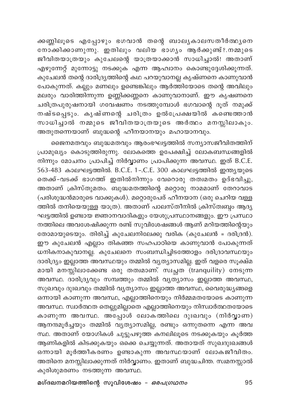ക്കണ്ണിലൂടെ എപ്പോഴും ഭഗവാൻ തന്റെ ബാല്യകാലസതീർത്ഥ്യനെ നോ്കിക്കാണുന്നു. ഇതിലും വലിയ ഭാഗൃം ആർക്കുണ്ട്?.നമ്മുടെ .<br>ജീവിതയാത്രയും കുചേലന്റെ യാത്രയാക്കാൻ സാധിച്ചാൽ! അതാണ് എഴുന്നേറ്റ് മുന്നോട്ടു നടക്കുക എന്ന ആഹ്വാനം കൊണ്ടുദ്ദേശിക്കുന്നത്. കുചേലൻ തന്റെ ദാരിദ്ര്യത്തിന്റെ കഥ പറയുവാനല്ല കൃഷ്ണനെ കാണുവാൻ പോകുന്നത്. കല്ലും മണലും ഉണ്ടെങ്കിലും ആർത്തിയോടെ തന്റെ അവിലും മലരും വാരിത്തിന്നുന്ന ഉണ്ണിക്കണ്ണനെ കാണുവാനാണ്. ഈ കൃഷണനെ ചരിത്രപുരുഷനായി ഗവേഷണം നടത്തുമ്പോൾ ഭഗവാന്റെ ദൂത് നമുക്ക് നഷ്ടപ്പെടും. കൃഷ്ണന്റെ ചരിത്രം ഉൽപ്രേക്ഷയിൽ കണ്ടെത്താൻ സാധിച്ചാൽ നമ്മുടെ ജീവിതയാത്രയുടെ അർത്ഥം മനസ്സിലാകും. അതുതന്നെയാണ് ബുദ്ധന്റെ ഹീനയാനയും മഹായാനവും.

ജൈനമതവും ബുദ്ധമതവും ആരംഭഘട്ടത്തിൽ സന്യാസജീവിതത്തിന് പ്രാമുഖ്യം കൊടുത്തിരുന്നു. ലോകത്തെ ഉപേക്ഷിച്ച് ലോകബന്ധങ്ങളിൽ നിന്നും മോചനം പ്രാപിച്ച് നിർവ്വാണം പ്രാപിക്കുന്ന അവസ്ഥ. ഇത് B.C.E. 563-483 കാലഘട്ടത്തിൽ. B.C.E. 1-.C.E. 300 കാലഘട്ടത്തിൽ ഇന്ത്യയുടെ തെക്ക്-വടക്ക് ഭാഗത്ത് ഇതിൽനിന്നും വേറൊരു തത്വമതം ഉദ്ഭവിച്ചു, അതാണ് ക്രിസ്തുമതം. ബുദ്ധമതത്തിന്റെ മറ്റൊരു നാമമാണ് തേറാവാട (പരിശുദ്ധൻമാരുടെ വാക്കുകൾ). മറ്റൊരുപേര് ഹീനയാന (ഒരു ചെറിയ വള്ള ത്തിൽ തനിയെയുള്ള യാത്ര). അതാണ് പാലസ്തീനിൽ ക്രിസ്ത്വബ്ബം ആദ്യ ഘട്ടത്തിൽ ഉണ്ടായ ജ്ഞാനവാദികളും യേശുപ്രസ്ഥാനങ്ങളും. ഈ പ്രസ്ഥാ നത്തിലെ അവശേഷിക്കുന്ന രണ്ട് സുവിശേഷങ്ങൾ ആണ് മറിയത്തിന്റെയും തോമായുടെയും. തിരിച്ച് കുചേലനിലേക്കു വരിക (കുചേലൻ = ദരിദ്രൻ). ഈ കുചേലൻ എല്ലാം തികഞ്ഞ സഹപാഠിയെ കാണുവാൻ പോകുന്നത് ധനികനാകുവാനല്ല. കുചേലനെ സംബന്ധിച്ചിടത്തോളം ദരിദ്രാവസ്ഥയും ദാരിദ്ര്യം ഇല്ലാത്ത അവസ്ഥയും തമ്മിൽ വ്യത്യാസമില്ല. ഇത് വളരെ സൂക്ഷ്മ മായി മനസ്സിലാക്കേണ്ട ഒരു തത്വമാണ്. സ്വച്ഛത (tranquility) നേടുന്ന അവസ്ഥ. ദാരിദ്ര്യവും സമ്പത്തും തമ്മിൽ വ്യത്യാസം ഇല്ലാത്ത അവസ്ഥ, സുഖവും ദുഃഖവും തമ്മിൽ വ്യത്യാസം ഇല്ലാത്ത അവസ്ഥ, വൈരുദ്ധ്യങ്ങളെ .<br>ഒന്നായി കാണുന്ന അവസ്ഥ, എല്ലാത്തിനെയും നിർമ്മമതയോടെ കാണുന്ന അവസ്ഥ. സ്വാർത്ഥത തെല്ലുമില്ലാതെ എല്ലാത്തിനെയും നിസ്വാർത്ഥതയോടെ കാണുന്ന അവസ്ഥ. അപ്പോൾ ലോകത്തിലെ ദുഃഖവും (നിർവ്വാണ) ആനന്ദമൂർച്ചയും തമ്മിൽ വ്യത്യാസമില്ല, രണ്ടും ഒന്നുതന്നെ എന്ന അവ സ്ഥ. അതാണ് യോഗികൾ ചുട്ടുപഴുത്ത കനലിലൂടെ നടക്കുകയും കൂർത്ത ആണികളിൽ കിടക്കുകയും ഒക്കെ ചെയ്യുന്നത്. അതായത് സുഖദുഃഖങ്ങൾ ഒന്നായി മൂർത്തീകരണം ഉണ്ടാകുന്ന അവസ്ഥയാണ് ലോകജീവിതം. അതിനെ മനസ്സിലാക്കുന്നത് നിർവ്വാണം. ഇതാണ് ബുദ്ധചിന്ത. സ്വമനസ്സാൽ കുരിശുമരണം നടത്തുന്ന അവസ്ഥ.

മഗ്ദലനമറിയത്തിന്റെ സുവിശേഷം *– ഒരപഗ്രഥനം*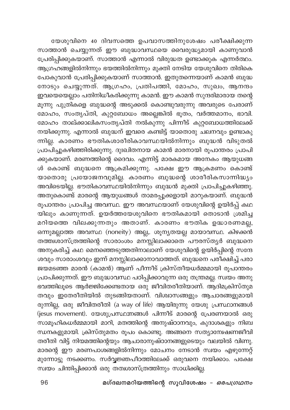യേശുവിനെ 40 ദിവസത്തെ ഉപവാസത്തിനുശേഷം പരീക്ഷിക്കുന്ന സാത്താൻ ചെയ്യുന്നത് ഈ ബുദ്ധാവസ്ഥയെ വൈരുദ്ധ്യമായി കാണുവാൻ പ്രേരിപ്പിക്കുകയാണ്. സാത്താൻ എന്നാൽ വിരുദ്ധത ഉണ്ടാക്കുക എന്നർത്ഥം. ആഗ്രഹങ്ങളിൽനിന്നും ഭയത്തിൽനിന്നും മുക്തി നേടിയ യേശുവിനെ തിരികെ പോകുവാൻ പ്രേരിപ്പിക്കുകയാണ് സാത്താൻ. ഇതുതന്നെയാണ് കാമൻ ബുദ്ധ നോടും ചെയ്യുന്നത്. ആഗ്രഹം, പ്രതിപത്തി, മോഹം, സുഖം, ആനന്ദം ഇവയെയെല്ലാം പതിനിധീകരിക്കുന്നു കാമൻ. ഈ കാമൻ സുന്ദരിമാരായ തന്റെ മൂന്നു പുത്രികളെ ബുദ്ധന്റെ അടുക്കൽ കൊണ്ടുവരുന്നു അവരുടെ പേരാണ് മോഹം, സംതൃപ്തി, കുറ്റബോധം അല്ലെങ്കിൽ ഭൂതം, വർത്തമാനം, ഭാവി. മോഹം താല്ക്കാലികസംതൃപ്തി നൽകുന്നു പിന്നീട് കുറ്റബോധത്തിലേക്ക് .<br>നയിക്കുന്നു. എന്നാൽ ബുദ്ധന് ഇവരെ കണ്ടിട്ട് യാതൊരു ചലനവും ഉണ്ടാകു ന്നില്ല. കാരണം ഭൗതികശാരീരികാവസ്ഥയിൽനിന്നും ബുദ്ധൻ വിടുതൽ പ്രാപിച്ചുകഴിഞ്ഞിരിക്കുന്നു. ദുഃഖിതനായ കാമൻ മാരനായി രൂപാന്തരം പ്രാപി ക്കുകയാണ്. മരണത്തിന്റെ ദൈവം. എന്നിട്ട് മാരകമായ അനേകം ആയുധങ്ങ ൾ കൊണ്ട് ബുദ്ധനെ ആക്രമിക്കുന്നു. പക്ഷേ ഈ ആക്രമണം കൊണ്ട് യാതൊരു പ്രയോജനവുമില്ല. കാരണം ബുദ്ധന്റെ ശാരീരികസാന്നിദ്ധ്യം അവിടെയില്ല. ഭൗതികാവസ്ഥയിൽനിന്നും ബുദ്ധൻ മുക്തി പ്രാപിച്ചുകഴിഞ്ഞു. അതുകൊണ്ട് മാരന്റെ ആയുധങ്ങൾ താമരപ്പൂക്കളായി മാറുകയാണ്. ബുദ്ധൻ രൂപാന്തരം പ്രാപിച്ച അവസ്ഥ. ഈ അവസ്ഥയാണ് യേശുവിന്റെ ഉയിർപ്പ് കഥ യിലും കാണുന്നത്. ഉയർത്തയേശുവിനെ ഭൗതികമായി തൊടാൻ ശ്രമിച്ച മറിയത്തെ വിലക്കുന്നതും അതാണ്. കാരണം ഭൗതിക ഉദ്ധാരണമല്ല, ഒന്നുമല്ലാത്ത അവസ്ഥ (noneity) അല്ല,. ശൂന്യതയല്ല മായാവസ്ഥ. കിഴക്കൻ തത്ത്വശാസ്ത്രത്തിന്റെ സാരാംശം മനസ്സിലാക്കാതെ പൗരസ്ത്യർ ബുദ്ധനെ അനുകരിച്ച് കഥ മെനഞ്ഞെടുത്തതിനാലാണ് യേശുവിന്റെ ഉയിർപ്പിന്റെ സന്ദേ ശവും സാരാംശവും ഇന്ന് മനസ്സിലാക്കാനാവാത്തത്. ബുദ്ധനെ പരിക്ഷിച്ച് പരാ ജയമടഞ്ഞ മാരൻ (കാമൻ) ആണ് പീന്നീട് ക്രിസ്തീയധർമ്മമായി രൂപാന്തരം പ്രാപിക്കുന്നത്. ഈ ബുദ്ധാവസ്ഥ പഠിപ്പിക്കാവുന്ന ഒരു തന്ത്രമല്ല. സ്വയം അനു ഭവത്തിലൂടെ ആർജ്ജിക്കേണ്ടതായ ഒരു ജീവിതരീതിയാണ്. ആദിമക്രിസ്തുമ തവും ഇതേരീതിയിൽ തുടങ്ങിയതാണ്. വിശ്വാസങ്ങളും ആചാരങ്ങളുമായി രുന്നില്ല, ഒരു ജീവിതരീതി (a way of life) ആയിരുന്നു യേശു പ്രസ്ഥാനങ്ങൾ (jesus movement). യേശുപ്രസ്ഥന്നങ്ങൾ പിന്നീട് മാരന്റെ പ്രേരണയാൽ ഒരു സാമൂഹികധർമ്മമായി മാറി, മതത്തിന്റെ അനുഷ്ഠാനവും, കുദാശകളും നിബ ന്ധനകളുമായി. ക്രിസ്തുമതം രൂപം കൊണ്ടു. അങ്ങനെ സത്യാന്വേഷണജീവി തരീതി വിട്ട് നിയമത്തിന്റെയും ആചാരാനുഷ്ഠാനങ്ങളുടെയും വലയിൽ വിണു. മാരന്റെ ഈ മരണപാശങ്ങളിൽനിന്നും മോചനം നേടാൻ സ്വയം എഴുന്നേറ്റ് മുന്നോട്ടു നടക്കണം. സർവ്വജ്ഞപീഠത്തിലേക്ക് ഒരുവനെ നയിക്കാം. പക്ഷേ സ്വയം ചിന്തിപ്പിക്കാൻ ഒരു തത്വശാസ്ത്രത്തിനും സാധിക്കില്ല.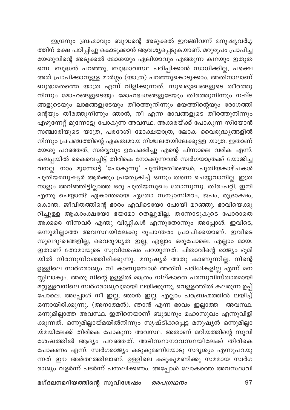ഇന്ദ്രനും ബ്രഹ്മാവും ബുദ്ധന്റെ അടുക്കൽ ഇറങ്ങിവന്ന് മനുഷ്യവർഗ്ഗ ത്തിന് രക്ഷ പഠിപ്പിച്ചു കൊടുക്കാൻ ആവശ്യപ്പെടുകയാണ്. മറുരൂപം പ്രാപിച്ച യേശുവിന്റെ അടുക്കൽ മോശയും ഏലിയാവും എത്തുന്ന കഥയും ഇതുത ന്നെ. ബുദ്ധൻ പറഞ്ഞു, ബുദ്ധാവസ്ഥ പഠിപ്പിക്കാൻ സാധിക്കില്ല, പക്ഷെ അത് പ്രാപിക്കാനുള്ള മാർഗ്ഗം (യാത്ര) പറഞ്ഞുകൊടുക്കാം. അതിനാലാണ് ബുദ്ധമതത്തെ യാത്ര എന്ന് വിളിക്കുന്നത്. സുഖദുഃഖങ്ങളുടെ തീരത്തു നിന്നും മോഹങ്ങളുടെയും മോഹഭംഗങ്ങളുടേയും തീരത്തുനിന്നും നഷ്ട ങ്ങളുടെയും ലാഭങ്ങളുടേയും തീരത്തുനിന്നും ഭയത്തിന്റെയും രോഗത്തി ന്റെയും തീരത്തുനിന്നും ഞാൻ, നീ എന്ന ഭാവങ്ങളുടെ തീരത്തുനിന്നും എഴുന്നേറ്റ് മുന്നോട്ടു പോകുന്ന അവസ്ഥ. അക്കരയ്ക്ക് പോകുന്ന സിയോൻ സഞ്ചാരിയുടെ യാത്ര, പരദേശി മോക്ഷയാത്ര, ലോക വൈരുദ്ധ്യങ്ങളിൽ നിന്നും പ്രപഞ്ചത്തിന്റെ ഏകത്വമായ നിശ്ചലതയിലേക്കുള്ള യാത്ര. ഇതാണ് യേശു പറഞ്ഞത്, സർവ്വവും ഉപേക്ഷിച്ചു എന്റെ പിന്നാലെ വരിക എന്ന്. .<br>കലപ്പയിൽ കൈവെച്ചിട്ട് തിരികെ നോക്കുന്നവൻ സ്വർഗയാത്രക്ക് യോജിച്ച വനല്ല. നാം മുന്നോട്ട് 'പോകുന്നു' പുതിയതീരങ്ങൾ, പുതിയകാഴ്ചകൾ പുതിയമനുഷ്യർ ആർക്കും പ്രത്യേകിച്ച് ഒന്നും തന്നെ ചെയ്യുവാനില്ല. ഇത്ര നാളും അറിഞ്ഞിട്ടില്ലാത്ത ഒരു പുതിയസുഖം തോന്നുന്നു. തീരംപറ്റി. ഇനി എന്തു ചെയ്യാൻ? ഏകാന്തമായ ഏതോ സന്യാസിമഠം, ജപം, രുദ്രാക്ഷം, കൊന്ത. ജീവിതത്തിന്റെ ഭാരം എവിടെയോ പോയി മറഞ്ഞു. ഭാവിയെക്കു റിച്ചുള്ള ആകാംക്ഷയോ ഭയമോ തെല്ലുമില്ല. തന്നോടുകൂടെ പോരാതെ അക്കരെ നിന്നവർ എന്തു വിഡ്ഡികൾ എന്നുതോന്നും അപ്പോൾ. ഇവിടെ, ഒന്നുമില്ലാത്ത അവസ്ഥയിലേക്കു രൂപാന്തരം പ്രാപിക്കയാണ്. ഇവിടെ സുഖദുഃഖങ്ങളില്ല, വൈരുദ്ധ്യത ഇല്ല, എല്ലാം ഒരുപോലെ. എല്ലാം മായ. ഇതാണ് തോമായുടെ സുവിശേഷം പറയുന്നത്. പിതാവിന്റെ രാജ്യം ഭൂമി യിൽ നിരന്നുനിറഞ്ഞിരിക്കുന്നു. മനുഷ്യർ അതു കാണുന്നില്ല. നിന്റെ ഉള്ളിലെ സ്വർഗരാജ്യം നീ കാണുമ്പോൾ അതിന് പരിധികളില്ല എന്ന് മന സ്സിലാകും. അതു നിന്റെ ഉള്ളിൽ മാത്രം നില്കാതെ പരന്നുവിസ്താരമായി .<br>മറ്റുള്ളവനിലെ സ്ഥർഗരാജ്യവുമായി ലയിക്കുന്നു, വെള്ളത്തിൽ കലരുന്ന ഉപ്പ് പോലെ. അപ്പോൾ നീ ഇല്ല, ഞാൻ ഇല്ല. എല്ലാം പരബ്രഹ്മത്തിൽ ലയിച്ച് ഒന്നായിരിക്കുന്നു. (അനാത്മൻ). ഞാൻ എന്ന ഭാവം ഇല്ലാത്ത അവസ്ഥ. ഒന്നുമില്ലാത്ത അവസ്ഥ. ഇതിനെയാണ് ബുദ്ധനും മഹാസുഖം എന്നുവിളി ക്കുന്നത്. ഒന്നുമില്ലായ്മയിൽനിന്നും സൃഷ്ടിക്കപ്പെട്ട മനുഷ്യൻ ഒന്നുമില്ലാ യ്മയിലേക്ക് തിരികെ പോകുന്ന അവസ്ഥ. അതാണ് മറിയത്തിന്റെ സുവി ശേഷത്തിൽ ആദ്യം പറഞ്ഞത്, അടിസ്ഥാനാവസ്ഥയിലേക്ക് തിരികെ പോകണം എന്ന്. സ്വർഗരാജ്യം കടുകുമണിയോടു സദൃശ്യം എന്നുപറയു ന്നത് ഈ അർത്ഥത്തിലാണ്. ഉള്ളിലെ കടുകുമണിക്കു സമമായ സ്വർഗ രാജ്യം വളർന്ന് പടർന്ന് പന്തലിക്കണം. അപ്പോൾ ലോകത്തെ അവസ്ഥാവി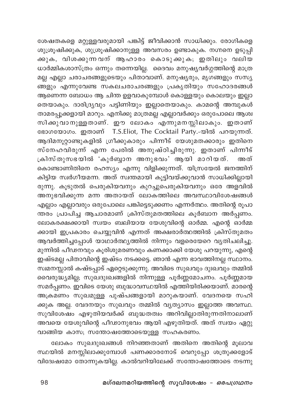ശേഷതകളെ മറ്റുള്ളവരുമായി പങ്കിട്ട് ജീവിക്കാൻ സാധിക്കും. രോഗികളെ ശുശ്രൂഷിക്കുക, ശുശ്രൂഷിക്കാനുള്ള അവസരം ഉണ്ടാകുക. നഗ്നനെ ഉടുപ്പി .<br>കുക, വിശകുന്നവന് ആഹാരം കൊടുക്കുക; ഇതിലും വലിയ ധാർമ്മികശാസ്ത്രം ഒന്നും തന്നെയില്ല. ദൈവം മനുഷ്യവർഗ്ഗത്തിന്റെ മാത്ര മല്ല എല്ലാ ചരാചരങ്ങളുടെയും പിതാവാണ്. മനുഷ്യരും, മൃഗങ്ങളും സസ്യ ആണെന്ന ബോധം ആ ചിന്ത ഉളവാകുമ്പോൾ കൊള്ളയും കൊലയും ഇല്ലാ തെയാകും. ദാരിദ്ര്യവും പട്ടിണിയും ഇല്ലാതെയാകും. കാമന്റെ അമ്പുകൾ താമരപ്പൂക്കളായി മാറും. എനിക്കു മാത്രമല്ല എല്ലാവർക്കും ഒരുപോലെ ആശ്വ സിക്കുവാനുള്ളതാണ്. ഈ ലോകം എന്നുമനസ്സിലാകും. ഇതാണ് ഭോഗയോഗം. ഇതാണ് T.S.Eliot, The Cocktail Party.-യിൽ പറയുന്നത്. ആദിമനൂറ്റാണ്ടുകളിൽ ഗ്രീക്കുകാരും പിന്നീട് യേശുമതക്കാരും ഇതിനെ സ്നേഹവിരുന്ന് എന്ന പേരിൽ അനുഷ്ഠിച്ചിരുന്നു. ഇതാണ് പിന്നീട് ക്രിസ്തുസഭയിൽ 'കുർബ്ബാന അനുഭവം' ആയി മാറിയത്. അത് കൊണ്ടാണിതിനെ രഹസ്യം എന്നു വിളിക്കുന്നത്. യിസ്രയേൽ ജനത്തിന് .<br>കിട്ടിയ സ്വർഗീയമന്ന. അത് സ്വന്തമായി കൂട്ടിവയ്ക്കുവാൻ സാധിക്കില്ലായി രുന്നു. കൂടുതൽ പെരുകിയവനും കുറച്ചുപെരുകിയവനും ഒരേ അളവിൽ അനുഭവിക്കുന്ന മന്ന അതായത് ലോകത്തിലെ അവസ്ഥാവിശേഷങ്ങൾ എല്ലാം എല്ലാവരും ഒരുപോലെ പങ്കിട്ടെടുക്കണം എന്നർത്ഥം. അതിന്റെ രൂപാ ന്തരം പ്രാപിച്ച ആചാരമാണ് ക്രിസ്തുമതത്തിലെ കൂർബാന അർപ്പണം. ലോകരക്ഷക്കായി സ്വയം ബലിയായ യേശുവിന്റെ ഓർമ്മ. എന്റെ ഓർമ്മ ക്കായി ഇപ്രകാരം ചെയ്യുവിൻ എന്നത് അക്ഷരാർത്ഥത്തിൽ ക്രിസ്തുമതം ആവർത്തിച്ചപ്പോൾ യാഥാർത്ഥ്യത്തിൽ നിന്നും വളരെയേറെ വ്യതിചലിച്ചു. മുന്നിൽ പീഢനവും കൂരിശുമരണവും കണക്കാക്കി യേശു പറയുന്നു, എന്റെ ഇഷ്ടമല്ല പിതാവിന്റെ ഇഷ്ടം നടക്കട്ടെ. ഞാൻ എന്ന ഭാവത്തിനല്ല സ്ഥാനം. സ്വമനസ്സാൽ കഷ്ടപ്പാട് ഏറ്റെടുക്കുന്നു. അവിടെ സുഖവും ദുഃഖവും തമ്മിൽ വൈരുദ്ധ്യമില്ല; സുഖദുഃഖങ്ങളിൽ നിന്നുള്ള പൂർണ്ണമോചനം. പൂർണ്ണമായ സമർപ്പണം. ഇവിടെ യേശു ബുദ്ധാവസ്ഥയിൽ എത്തിയിരിക്കയാണ്. മാരന്റെ അക്രമണം സുഖമുള്ള പുഷ്പങ്ങളായി മാറുകയാണ്. വേദനയെ സഹി ക്കുക അല്ല. വേദനയും സുഖവും തമ്മിൽ വ്യത്യാസം ഇല്ലാത്ത അവസ്ഥ. സുവിശേഷം എഴുതിയവർക്ക് ബുദ്ധതത്വം അറിവില്ലാതിരുന്നതിനാലാണ് അവയെ യേശുവിന്റെ പീഢാനുഭവം ആയി എഴുതിയത്. അത് സ്വയം ഏറ്റു വാങ്ങിയ കാസ; സന്തോഷത്തോടെയുള്ള സഹകരണം.

ലോകം സുഖദുഃഖങ്ങൾ നിറഞ്ഞതാണ് അതിനെ അതിന്റെ മുലാവ സ്ഥയിൽ മനസ്സിലാക്കുമ്പോൾ പണക്കാരനോട് വെറുപ്പോ ശത്രുക്കളോട് വിദ്വേഷമോ തോന്നുകയില്ല. കാൽവറിയിലേക്ക് സന്തോഷത്തോടെ നടന്നു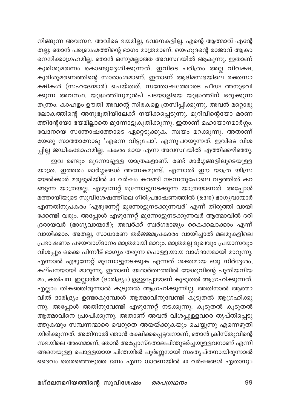നിങ്ങുന്ന അവസ്ഥ. അവിടെ ഭയമില്ല, വേദനകളില്ല. എന്റെ ആത്മാവ് എന്റേ തല്ല; ഞാൻ പരബ്രഹ്മത്തിന്റെ ഭാഗം മാത്രമാണ്. യെഹൂദന്റെ രാജാവ് ആകാ നെനിക്കാഗ്രഹമില്ല. ഞാൻ ഒന്നുമല്ലാത്ത അവസ്ഥയിൽ ആകുന്നു. ഇതാണ് കുരിശുമരണം കൊണ്ടുദ്ദേശിക്കുന്നത്. ഇവിടെ ചരിത്രം അല്ല വിവക്ഷ, കുരിശുമരണത്തിന്റെ സാരാംശമാണ്. ഇതാണ് ആദിമസഭയിലെ രക്തസാ .<br>ക്ഷികൾ (സഹദേന്മാർ) ചെയ്തത്. സന്തോഷത്തോടെ പീഢ അനുഭവി ക്കുന്ന അവസ്ഥ. യുദ്ധത്തിനുമുൻപ് പടയാളിയെ യുദ്ധത്തിന് ഒരുക്കുന്ന തന്ത്രം. കാഹളം ഊതി അവന്റെ സിരകളെ ത്രസിപ്പിക്കുന്നു. അവൻ മറ്റൊരു .<br>ലോകത്തിന്റെ അനുഭൂതിയിലേക്ക് നയിക്കപ്പെടുന്നു. മുറിവിന്റെയോ മരണ ത്തിന്റേയോ ഭയമില്ലാതെ മുന്നോട്ടുകുതിക്കുന്നു. ഇതാണ് മഹായാനമാർഗ്ഗം. വേദനയെ സന്തോഷത്തോടെ ഏറ്റെടുക്കുക. സ്വയം മറക്കുന്നു. അതാണ് യേശു സാത്താനോടു 'എന്നെ വിട്ടുപോ', എന്നുപറയുന്നത്. ഇവിടെ വിശ പ്പില്ല ജഡികമോഹമില്ല. പകരം മായ എന്ന അവസ്ഥയിൽ എത്തിക്കഴിഞ്ഞു.

ഇവ രണ്ടും മുന്നോട്ടുള്ള യാത്രകളാണ്. രണ്ട് മാർഗ്ഗങ്ങളിലൂടെയുള്ള യാത്ര. ഇത്തരം മാർഗ്ഗങ്ങൾ അനേകമുണ്ട്. എന്നാൽ ഈ യാത്ര യിസ്ര യേൽക്കാർ മരുഭൂമിയിൽ 40 വർഷം കറങ്ങി നടന്നതുപോലെ വട്ടത്തിൽ കറ ങ്ങുന്ന യാത്രയല്ല. എഴുന്നേറ്റ് മുന്നോട്ടുനടക്കുന്ന യാത്രയാണത്. അപ്പോൾ മത്തായിയുടെ സുവിശേഷത്തിലെ ഗിരിപ്രഭാഷണത്തിൽ (5.310) ഭാഗൃവാന്മാർ എന്നതിനുപകരം 'എഴുന്നേറ്റ് മുന്നോട്ടുനടക്കുന്നവർ' എന്ന് തിരുത്തി വായി ക്കേണ്ടി വരും. അപ്പോൾ എഴുന്നേറ്റ് മുന്നോട്ടുനടക്കുന്നവർ ആത്മാവിൽ ദരി ദ്രരായവർ (ഭാഗ്യവാന്മാർ), അവർക്ക് സ്ഥർഗരാജ്യം കൈക്കലാക്കാം എന്ന് വായിക്കാം. അതല്ല, സാധാരണ തർജ്ജമപ്രകാരം വായിച്ചാൽ മലമുകളിലെ പ്രഭാഷണം പഴയവാഗ്ദാനം മാത്രമായി മാറും. മാത്രമല്ല ദുഖവും പ്രയാസവും വിശപ്പും ഒക്കെ പിന്നീട് ഭാഗ്യം തരുന്ന പൊള്ളയായ വാഗ്ദാനമായി മാറുന്നു. എന്നാൽ എഴുന്നേറ്റ് മുന്നോട്ടുനടക്കുക എന്നത് ശക്തമായ ഒരു നിർദ്ദേശം, .<br>കല്പനയായി മാറുന്നു. ഇതാണ് യഥാർത്ഥത്തിൽ യേശുവിന്റെ പുതിയനിയ മം, കൽപന. ഇല്ലായ്മ (ദാരിദ്ര്യം) ഉള്ളപ്പോഴാണ് കൂടുതൽ ആഗ്രഹിക്കുന്നത്. എല്ലാം തികഞ്ഞിരുന്നാൽ കൂടുതൽ ആഗ്രഹിക്കുന്നില്ല. അതിനാൽ ആത്മാ വിൽ ദാരിദ്ര്യം ഉണ്ടാകുമ്പോൾ ആത്മാവിനുവേണ്ടി കൂടുതൽ ആഗ്രഹിക്കു ന്നു. അപ്പോൾ അതിനുവേണ്ടി എഴുന്നേറ്റ് നടക്കുന്നു. കൂടുതൽ കൂടുതൽ ആ്തമാവിനെ പ്രാപിക്കുന്നു. അതാണ് അവൻ വിശപ്പുള്ളവരെ തൃപ്തിപ്പെടു ത്തുകയും സമ്പന്നന്മാരെ വെറുതെ അയയ്ക്കുകയും ചെയ്യുന്നു എന്നെഴുതി യിരിക്കുന്നത്. അതിനാൽ ഞാൻ രക്ഷിക്കപ്പെട്ടവനാണ്, ഞാൻ ക്രിസ്തുവിന്റെ സഭയിലെ അംഗമാണ്, ഞാൻ അപ്പോസ്തോലപിന്തുടർച്ചയുള്ളവനാണ് എന്നി ങ്ങനെയുള്ള പൊള്ളയായ ചിന്തയിൽ പൂർണ്ണനായി സംതൃപ്തനായിരുന്നാൽ ദൈവം തെരഞ്ഞെടുത്ത ജനം എന്ന ധാരണയിൽ 40 വർഷങ്ങൾ ഏതാനും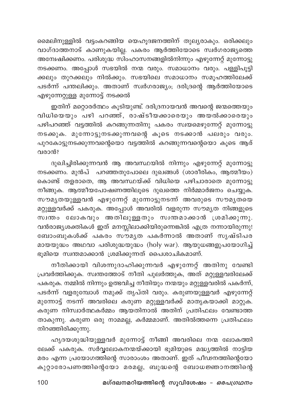മൈലിനുള്ളിൽ വട്ടംകറങ്ങിയ യെഹൂദജനത്തിന് തുല്യരാകും. ഒരിക്കലും വാഗ്ദാത്തനാട് കാണുകയില്ല. പകരം ആർത്തിയോടെ സ്വർഗരാജ്യത്തെ .<br>അന്വേഷിക്കണം. പരിശുദ്ധ സിംഹാസനങ്ങളിൽനിന്നും എഴുന്നേറ്റ് മുന്നോട്ടു നടക്കണം. അപ്പോൾ സഭയിൽ നന്മ വരും. സമാധാനം വരും. പള്ളിപൂട്ടി ക്കലും തുറക്കലും നിൽക്കും. സഭയിലെ സമാധാനം സമൂഹത്തിലേക്ക് പടർന്ന് പന്തലിക്കും. അതാണ് സ്വർഗരാജ്യം; ദരിദ്രന്റെ ആർത്തിയോടെ എഴുന്നേറ്റുള്ള മുന്നോട്ട് നടക്കൽ

ഇതിന് മറ്റൊരർത്ഥം കൂടിയുണ്ട്. ദരിദ്രനായവൻ അവന്റെ ജന്മത്തെയും വിധിയെയും പഴി പറഞ്ഞ്, രാഷ്ടീയക്കാരെയും അയൽക്കാരെയും പഴിപറഞ്ഞ് വട്ടത്തിൽ കറങ്ങുന്നതിനു പകരം സ്വയമെഴുന്നേറ്റ് മുന്നോട്ടു നടക്കുക. മുന്നോട്ടുനടക്കുന്നവന്റെ കുടെ നടക്കാൻ പലരും വരും. പുറകോട്ടുനടക്കുന്നവന്റെയൊ വട്ടത്തിൽ കറങ്ങുന്നവന്റെയൊ കൂടെ ആര് വരാൻ?

ദുഖിച്ചിരിക്കുന്നവൻ ആ അവസ്ഥയിൽ നിന്നും എഴുന്നേറ്റ് മുന്നോട്ടു നടക്കണം. മുൻപ് പറഞ്ഞതുപോലെ ദുഖങ്ങൾ (ശാരീരികം, ആത്മീയം) കൊണ്ട് തളരാതെ, ആ അവസ്ഥയ്ക്ക് വിധിയെ പഴിചാരാതെ മുന്നോട്ടു നീങ്ങുക. ആത്മീയപോഷണത്തിലൂടെ ദുഖത്തെ നിർമ്മാർജനം ചെയ്യുക. സൗമൃതയുള്ളവൻ എഴുന്നേറ്റ് മുന്നോട്ടുനടന്ന് അവരുടെ സൗമൃതയെ മറ്റുള്ളവർക്ക് പകരുക. അപ്പോൾ അവരിൽ വളരുന്ന സൗമൃത നിങ്ങളുടെ സ്വന്തം ലോകവും അതിലുള്ളതും സ്വന്തമാക്കാൻ ശ്രമിക്കുന്നു. വൻരാജ്യശക്തികൾ ഇത് മനസ്സിലാക്കിയിരുന്നെങ്കിൽ എത്ര നന്നായിരുന്നു! ബോംബുകൾക്ക് പകരം സൗമൃത പകർന്നാൽ അതാണ് സൃഷ്ടിപര മായയുദ്ധം അഥവാ പരിശുദ്ധയുദ്ധം (holy war). ആയുധങ്ങളുപയോഗിച്ച് ഭൂമിയെ സ്വന്തമാക്കാൻ ശ്രമിക്കുന്നത് പൈശാചികമാണ്.

നീതിക്കായി വിശന്നുദാഹിക്കുന്നവർ എഴുന്നേറ്റ് അതിനു വേണ്ടി പ്രവർത്തിക്കുക. സ്വന്തത്തോട് നീതി പുലർത്തുക, അത് മറ്റുള്ളവരിലേക്ക് പകരുക. നമ്മിൽ നിന്നും ഉത്ഭവിച്ച നീതിയും നന്മയും മറ്റുള്ളവരിൽ പകർന്ന്, പടർന്ന് വളരുമ്പോൾ നമുക്ക് തൃപ്തി വരും. കരുണയുള്ളവർ എഴുന്നേറ്റ് മുന്നോട്ട് നടന്ന് അവരിലെ കരുണ മറ്റുള്ളവർക്ക് മാതൃകയാക്കി മാറ്റുക. കരുണ നിസ്വാർത്ഥകർമ്മം ആയതിനാൽ അതിന് പ്രതിഫലം വേണ്ടാത്ത താകുന്നു. കരുണ ഒരു നാമമല്ല, കർമ്മമാണ്. അതിൽത്തന്നെ പ്രതിഫലം നിറഞ്ഞിരിക്കുന്നു.

ഹൃദയശുദ്ധിയുള്ളവർ മുന്നോട്ട് നീങ്ങി അവരിലെ നന്മ ലോകത്തി ലേക്ക് പകരുക. സർവ്വലോകനന്മയ്ക്കായി ഭൂമിയുടെ മദ്ധ്യത്തിൽ നാട്ടിയ മരം എന്ന പ്രയോഗത്തിന്റെ സാരാംശം അതാണ്. ഇത് പീഢനത്തിന്റെയോ കുറ്റാരോപണത്തിന്റെയോ മരമല്ല, ബുദ്ധന്റെ ബോധജ്ഞാനത്തിന്റെ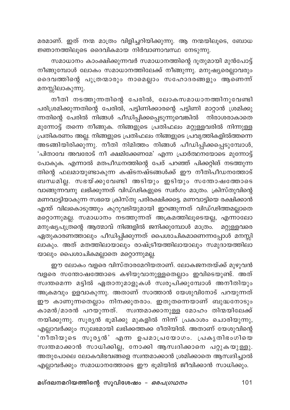മരമാണ്. ഇത് നന്മ മാത്രം വിളിച്ചറിയിക്കുന്നു. ആ നന്മയിലൂടെ, ബോധ ജ്ഞാനത്തിലൂടെ ദൈവികമായ നിർവാണാവസ്ഥ നേടുന്നു.

സമാധാനം കാംക്ഷിക്കുന്നവർ സമാധാനത്തിന്റെ ദൂതുമായി മുൻപോട്ട് .<br>നീങ്ങുമ്പോൾ ലോകം സമാധാനത്തിലേക്ക് നീങ്ങുന്നു. മനുഷ്യരെല്ലാവരും ദൈവത്തിന്റെ പുത്രന്മാരും നാമെല്ലാം സഹോദരങ്ങളും ആണെന്ന് മനസ്സിലാകുന്നു.

നീതി നടത്തുന്നതിന്റെ പേരിൽ, ലോകസമാധാനത്തിനുവേണ്ടി പരിശ്രമിക്കുന്നതിന്റെ പേരിൽ, പട്ടിണിക്കാരന്റെ പട്ടിണി മാറ്റാൻ ശ്രമിക്കു ന്നതിന്റെ പേരിൽ നിങ്ങൾ പീഡിപ്പിക്കപ്പെടുന്നുവെങ്കിൽ നിരാശരാകാതെ മുന്നോട്ട് തന്നെ നീങ്ങുക. നിങ്ങളുടെ പ്രതിഫലം മറ്റുള്ളവരിൽ നിന്നുള്ള പ്രതികരണം അല്ല. നിങ്ങളുടെ പ്രതിഫലം നിങ്ങളുടെ പ്രവൃത്തികളിൽത്തന്നെ .<br>അടങ്ങിയിരിക്കുന്നു. നീതി നിമിത്തം നിങ്ങൾ പീഡിപ്പിക്കപ്പെടുമ്പോൾ, 'പിതാവേ അവരോട് നീ ക്ഷമിക്കേണമേ' എന്ന പ്രാർത്ഥനയോടെ മുന്നോട്ട് പോകുക. എന്നാൽ മതപീഡനത്തിന്റെ പേര് പറഞ്ഞ് പിക്കറ്റിങ് നടത്തുന്ന തിന്റെ ഫലമായുണ്ടാകുന്ന കഷ്ടനഷ്ടങ്ങൾക്ക് ഈ നീതിപീഡനത്തോട് ബന്ധമില്ല. സഭയ്ക്കുവേണ്ടി അടിയും ഇടിയും സന്തോഷത്തോടെ വാങ്ങുന്നവനു ലഭിക്കുന്നത് വിഡ്ഢികളുടെ സ്ഥർഗം മാത്രം. ക്രിസ്തുവിന്റെ .<br>മണവാട്ടിയാകുന്ന സഭയെ ക്രിസ്തു പരിരക്ഷിക്കട്ടെ. മണവാട്ടിയെ രക്ഷിക്കാൻ എന്ത് വിലകൊടുത്തും കുറുവടിയുമായി ഇറങ്ങുന്നത് വിഡ്ഢിത്തമല്ലാതെ മറ്റൊന്നുമല്ല. സമാധാനം നടത്തുന്നത് അക്രമത്തിലൂടെയല്ല, എന്നാലോ മനുഷ്യപുത്രന്റെ ആത്മാവ് നിങ്ങളിൽ ജനിക്കുമ്പോൾ മാത്രം. മറ്റുള്ളവരെ ഏതുകാരണത്താലും പീഡിപ്പിക്കുന്നത് പൈശാചികമാണെന്നപ്പോൾ മനസ്സി ലാകും. അത് മതത്തിലായാലും രാഷ്ട്രീയത്തിലായാലും സമുദായത്തിലാ യാലും പൈശാചികമല്ലാതെ മറ്റൊന്നുമല്ല.

ഈ ലോകം വളരെ വിസ്താരമേറിയതാണ്. ലോകജനതയ്ക്ക് മുഴുവൻ വളരെ സന്തോഷത്തോടെ കഴിയുവാനുള്ളതെല്ലാം ഇവിടെയുണ്ട്. അത് സ്വന്തമെന്ന മട്ടിൽ ഏതാനുമാളുകൾ സ്വരൂപിക്കുമ്പോൾ അനീതിയും അക്രമവും ഉളവാകുന്നു. അതാണ് സാത്താൻ യേശുവിനോട് പറയുന്നത് ഈ കാണുന്നതെല്ലാം നിനക്കുതരാം. ഇതുതന്നെയാണ് ബുദ്ധനോടും കാമൻ/മാരൻ പറയുന്നത്. സ്വന്തമാക്കാനുള്ള മോഹം തിന്മയിലേക്ക് നയിക്കുന്നു. സൂര്യൻ ഭൂമിക്കു മുകളിൽ നിന്ന് പ്രകാശം ചൊരിയുന്നു, എല്ലാവർക്കും സുലഭമായി ലഭിക്കത്തക്ക രീതിയിൽ. അതാണ് യേശുവിന്റെ 'നീതിയുടെ സൂരൃൻ' എന്ന ഉപമാപ്രയോഗം. പ്രകൃതിഭംഗിയെ സ്വന്തമാക്കാൻ സാധിക്കില്ല, നോക്കി ആസ്വദിക്കാനെ പറ്റുകയുള്ളു. അതുപോലെ ലോകവിഭവങ്ങളെ സ്വന്തമാക്കാൻ ശ്രമിക്കാതെ ആസ്വദിച്ചാൽ എല്ലാവർക്കും സമാധാനത്തോടെ ഈ ഭൂമിയിൽ ജീവിക്കാൻ സാധിക്കും.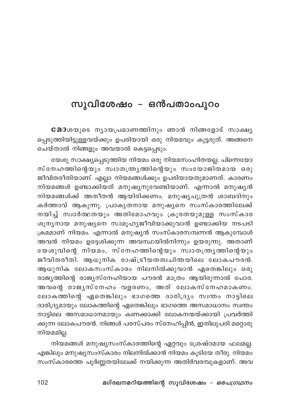## സുവിശേഷം – ഒൻപതാംപുറം

**മോ**ശയുടെ നൃായപ്രമാണത്തിനും ഞാൻ നിങ്ങളോട് സാക്ഷൃ പ്പെടുത്തിയിട്ടുള്ളവയ്ക്കും ഉപരിയായി ഒരു നിയമവും കൂട്ടരുത്. അങ്ങനെ ചെയ്താൽ നിങ്ങളും അവയാൽ കെട്ടപ്പെടും.

യേശു സാക്ഷ്യപ്പെടുത്തിയ നിയമം ഒരു നിയമസംഹിതയല്ല. പിന്നെയോ .<br>സ്നേഹത്തിന്റെയും സ്വാതന്ത്ര്യതിന്റെയും സംയോജിതമായ ഒരു ജീവിതരീതിയാണ്. എല്ലാ നിയമങ്ങൾക്കും ഉപരിയായതുമാണത്. കാരണം നിയമങ്ങൾ ഉണ്ടാക്കിയത് മനുഷ്യനുവേണ്ടിയാണ്. എന്നാൽ മനുഷ്യൻ നിയമങ്ങൾക്ക് അതീതൻ ആയിരിക്കണം. മനുഷ്യപുത്രൻ ശാബദിനും കർത്താവ് ആകുന്നു. പ്രാകൃതനായ മനുഷ്യനെ സംസ്കാരത്തിലേക്ക് നയിച്ച് സ്വാർത്ഥതയും അതിമോഹവും ക്രൂരതയുമുള്ള സംസ്കാര ശൂന്യനായ മനുഷ്യനെ സാമൂഹ്യജീവിയാക്കുവാൻ ഉണ്ടാക്കിയ നടപടി ക്രമമാണ് നിയമം. എന്നാൽ മനുഷ്യൻ സംസ്കാരസമ്പന്നൻ ആകുമ്പോൾ അവൻ നിയമം ഉദ്ദേശിക്കുന്ന അവസ്ഥയിൽനിന്നും ഉയരുന്നു. അതാണ് യേശുവിന്റെ നിയമം, സ്നേഹത്തിന്റെയും സ്വാതന്ത്ര്യത്തിന്റെയും .<br>ജീവിതരീതി. ആധുനിക രാഷ്ട്രീയതത്വചിന്തയിലെ ലോകപൗരൻ. ആധുനിക ലോകസംസ്കാരം നിലനിൽക്കുവാൻ ഏതെങ്കിലും ഒരു രാജ്യത്തിന്റെ രാജ്യസ്നേഹിയായ പൗരൻ മാത്രം ആയിരുന്നാൽ പോര. അവന്റെ രാജ്യസ്നേഹം വളരണം, അത് ലോകസ്നേഹമാകണം. ലോകത്തിന്റെ ഏതെങ്കിലും ഭാഗത്തെ ദാരിദ്ര്യം സ്വന്തം നാട്ടിലെ ദാരിദ്ര്യമായും ലോകത്തിന്റെ ഏതെങ്കിലും ഭാഗത്തെ അസമാധാനം സ്വന്തം നാട്ടിലെ അസമാധാനമായും കണക്കാക്കി ലോകനന്മയ്ക്കായി പ്രവർത്തി ക്കുന്ന ലോകപൗരൻ. നിങ്ങൾ പരസ്പരം സ്നേഹിപ്പിൻ, ഇതിലുപരി മറ്റൊരു നിയമമില്ല.

നിയമങ്ങൾ മനുഷ്യസംസ്കാരത്തിന്റെ ഏറ്റവും ശ്രേഷ്ഠമായ ഫലമല്ല. എങ്കിലും മനുഷ്യസംസ്കാരം നിലനിൽക്കാൻ നിയമം കൂടിയേ തീരു. നിയമം സംസ്കാരത്തെ പൂർണ്ണതയിലേക്ക് നയിക്കുന്ന അതിർവരമ്പുകളാണ്. അവ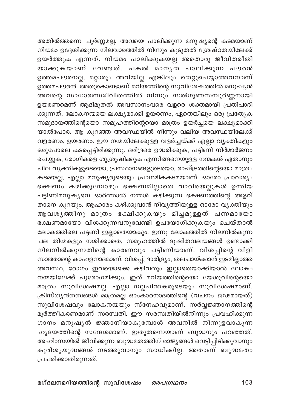അതിൽത്തന്നെ പൂർണ്ണമല്ല. അവയെ പാലിക്കുന്ന മനുഷ്യന്റെ കടമയാണ് .<br>നിയമം ഉദ്ദേശിക്കുന്ന നിലവാരത്തിൽ നിന്നും കൂടുതൽ ശ്രേഷ്ഠതയിലേക്ക് ഉയർത്തുക എന്നത്. നിയമം പാലിക്കുകയല്ല അതൊരു ജീവിതരീതി യാക്കുകയാണ് വേണ്ടത്. പകൽ മാനൃത പാലിക്കുന്ന പൗരൻ ഉത്തമപൗരനല്ല. മറ്റാരും അറിയില്ല എങ്കിലും തെറ്റുചെയ്യാത്തവനാണ് ഉത്തമപൗരൻ. അതുകൊണ്ടാണ് മറിയത്തിന്റെ സുവിശേഷത്തിൽ മനുഷ്യൻ അവന്റെ സാധാരണജീവിതത്തിൽ നിന്നും സൽഗുണസമ്പൂർണ്ണനായി ഉയരണമെന്ന് ആദിമുതൽ അവസാനംവരെ വളരെ ശക്തമായി പ്രതിപാദി ക്കുന്നത്. ലോകനന്മയെ ലക്ഷ്യമാക്കി ഉയരണം, ഏതെങ്കിലും ഒരു പ്രത്യേക സമുദായത്തിന്റെയൊ സമൂഹത്തിന്റെയൊ മാത്രം ഉയർച്ചയെ ലക്ഷ്യമാക്കി യാൽപോര. ആ കുറഞ്ഞ അവസ്ഥയിൽ നിന്നും വലിയ അവസ്ഥയിലേക്ക് വളരണം, ഉയരണം. ഈ നന്മയിലേക്കുള്ള വളർച്ചയ്ക്ക് എല്ലാ വ്യക്തികളും ഒരുപോലെ കടപ്പെട്ടിരിക്കുന്നു. ദരിദ്രരെ ഉദ്ധരിക്കുക, പട്ടിണി നിർമാർജനം ചെയ്യുക, രോഗികളെ ശുശ്രൂഷിക്കുക എന്നിങ്ങനെയുള്ള നന്മകൾ ഏതാനും ചില വൃക്തികളുടെയൊ, പ്രസ്ഥാനങ്ങളുടെയൊ, രാഷ്ട്രത്തിന്റെയൊ മാത്രം .<br>കടമയല്ല, എല്ലാ മനുഷ്യരുടെയും പ്രാഥമികകടമയാണ്. ഓരോ പ്രാവശ്യം ഭക്ഷണ്ം കഴിക്കുമ്പോഴും ഭക്ഷണമില്ലാതെ വാരിയെല്ലുകൾ ഉന്തിയ പട്ടിണിമനുഷ്യനെ ഓർത്താൽ നമ്മൾ കഴിക്കുന്ന ഭക്ഷണത്തിന്റെ അളവ് താനെ കുറയും. ആഹാരം കഴിക്കുവാൻ നിവൃത്തിയുള്ള ഓരോ വൃക്തിയും ആവശൃത്തിനു മാത്രം ഭക്ഷിക്കുകയും മിച്ചമുള്ളത് പണമായോ ഭക്ഷണമായോ വിശക്കുന്നവനുവേണ്ടി ഉപയോഗിക്കുകയും ചെയ്താൽ ലോകത്തിലെ പട്ടണി ഇല്ലാതെയാകും. ഇന്നു ലോകത്തിൽ നിലനിൽകുന്ന പല തിന്മകളും നശിക്കാതെ, സമൂഹത്തിൽ ദൂഷിതവലയങ്ങൾ ഉണ്ടാക്കി നിലനിൽക്കുന്നതിന്റെ കാരണവും പട്ടിണിയാണ്. വിശപ്പിന്റെ വിളി സാത്താന്റെ കാഹളനാദമാണ്. വിശപ്പ്, ദാരിദ്ര്യം, തലചായ്ക്കാൻ ഇടമില്ലാത്ത അവസ്ഥ, രോഗം ഇവയൊക്കെ കഴിവതും ഇല്ലാതെയാക്കിയാൽ ലോകം നന്മയിലേക്ക് പുരോഗമിക്കും. ഇത് മറിയത്തിന്റെയൊ യേശുവിന്റെയൊ മാത്രം സുവിശേഷമല്ല. എല്ലാ നല്ലചിന്തകരുടെയും സുവിശേഷമാണ്. ക്രിസ്തൃൻതത്വങ്ങൾ മാത്രമല്ല ഓംകാരനാദത്തിന്റെ (വചനം ജഢമായത്) സുവിശേഷവും ലോകനന്മയും സ്നേഹവുമാണ്. സർവ്വജ്ഞാനത്തിന്റെ മൂർത്തീകരണമാണ് സരസ്വതി. ഈ സരസ്വതിയിൽനിന്നും പ്രവഹിക്കുന്ന ഗാനം മനുഷ്യൻ ജ്ഞാനിയാകുമ്പോൾ അവനിൽ നിന്നുളവാകുന്ന ഹൃദയത്തിന്റെ സന്ദേശമാണ്. ഇതുതന്നെയാണ് ബുദ്ധനും പറഞ്ഞത്. അഹിംസയിൽ ജീവിക്കുന്ന ബുദ്ധമതത്തിന് രാജ്യങ്ങൾ വെട്ടിപ്പിടിക്കുവാനും കുരിശുയുദ്ധങ്ങൾ നടത്തുവാനും സാധിക്കില്ല. അതാണ് ബുദ്ധമതം പ്രചരിക്കാതിരുന്നത്.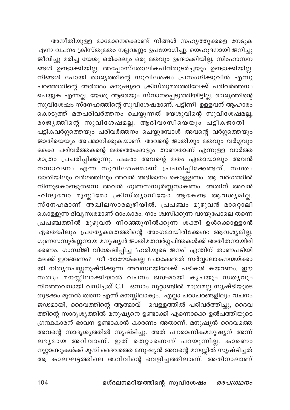അനീതിയുള്ള മാമോനെക്കൊണ്ട് നിങ്ങൾ സഹൃത്തുക്കളെ നേടുക എന്ന വചനം ക്രിസ്തുമതം നല്ലവണ്ണം ഉപയോഗിച്ചു. യെഹൂദനായി ജനിച്ചു .<br>ജീവിച്ചു മരിച്ച യേശു ഒരിക്കലും ഒരു മതവും ഉണ്ടാക്കിയില്ല, സിംഹാസന .<br>ങ്ങൾ ഉണ്ടാക്കിയില്ല, അപ്പോസ്തോലികപിൻതുടർച്ചയും ഉണ്ടാക്കിയില്ല. നിങ്ങൾ പോയി രാജൃത്തിന്റെ സുവിശേഷം പ്രസംഗിക്കുവിൻ എന്നു പറഞ്ഞതിന്റെ അർത്ഥം മനുഷുരെ ക്രിസ്തുമതത്തിലേക്ക് പരിവർത്തനം ചെയ്യുക എന്നല്ല. യേശു ആരെയും സ്നാനപ്പെടുത്തിയിട്ടില്ല. രാജ്യത്തിന്റെ സുവിശേഷം സ്നേഹത്തിന്റെ സുവിശേഷമാണ്. പട്ടിണി ഉള്ളവന് ആഹാരം കൊടുത്ത് മതപരിവർത്തനം ചെയ്യുന്നത് യേശുവിന്റെ സുവിശേഷമല്ല, രാജൃത്തിന്റെ സുവിശേഷമല്ല. ആദിവാസിയെയും പട്ടികജാതി -പട്ടികവർഗ്ഗത്തെയും പരിവർത്തനം ചെയ്യുമ്പോൾ അവന്റെ വർഗ്ഗത്തെയും .<br>ജാതിയെയും അപമാനിക്കുകയാണ്. അവന്റെ ജാതിയും മതവും വർഗ്ഗവും ഒക്കെ പരിവർത്തകന്റെ മതത്തെക്കാളും താണതാണ് എന്നുള്ള വാർത്ത മാത്രം പ്രചരിപ്പിക്കുന്നു. പകരം അവന്റെ മതം ഏതായാലും അവൻ നന്നാവണം എന്ന സുവിശേഷമാണ് പ്പചരിപ്പിക്കേണ്ടത്. സ്വന്തം ജാതിയിലും വർഗത്തിലും അവൻ അഭിമാനം കൊള്ളണം. ആ വർഗത്തിൽ നിന്നുകൊണ്ടുതന്നെ അവൻ ഗുണസമ്പൂർണ്ണനാകണം. അതിന് അവൻ ഹിന്ദുവോ മുസ്ലീമോ ക്രിസ്ത്യാനിയോ ആകേണ്ട ആവശ്യമില്ല. സ്നേഹമാണ് അഖിലസാരമൂഴിയിൽ. പ്രപഞ്ചം മുഴുവൻ മാറ്റൊലി കൊള്ളുന്ന ദിവൃസ്വരമാണ് ഓംകാരം. നാം ശ്വസിക്കുന്ന വായുപോലെ തന്നെ പ്രപഞ്ചത്തിൽ മുഴുവൻ നിറഞ്ഞുനിൽക്കുന്ന ശക്തി ഉൾക്കൊള്ളാൻ ഏതെങ്കിലും പ്രത്യേകമതത്തിന്റെ അംഗമായിരിക്കേണ്ട ആവശ്യമില്ല. ഗുണസമ്പൂർണ്ണനായ മനുഷ്യൻ ജാതിമതവർഗ്ഗചിന്തകൾക്ക് അതീതനായിരി ക്കണം. ഗാന്ധിജി വിശേഷിപ്പിച്ച 'ഹരിയുടെ<sup>്</sup>ജനം' എന്തിന് താണപടിയി ലേക്ക് ഇറങ്ങണം? നീ താഴേയ്ക്കല്ല പോകേണ്ടത് സർവ്വലോകനന്മയ്ക്കാ യി നിതൃതപസ്സനുഷ്ഠിക്കുന്ന അവസ്ഥയിലേക്ക് പടികൾ കയറണം. ഈ സതൃം മനസ്സിലാക്കിയാൽ വചനം ജഢമായി കൃപയും സതൃവും നിറഞ്ഞവനായി വസിച്ചത് C.E. ഒന്നാം നൂറ്റാണ്ടിൽ മാത്രമല്ല സൃഷ്ടിയുടെ തുടക്കം മുതൽ തന്നെ എന്ന് മനസ്സിലാകും. എല്ലാ ചരാചരങ്ങളിലും വചനം ജഢമായി, ദൈവത്തിന്റെ ആത്മാവ് വെള്ളത്തിൽ പരിവർത്തിച്ചു, ദൈവ ത്തിന്റെ സാദൃശ്യത്തിൽ മനുഷ്യനെ ഉണ്ടാക്കി എന്നൊക്കെ ഉൽപത്തിയുടെ ഗ്രന്ഥകാരന് ഭാവന ഉണ്ടാകാൻ കാരണം അതാണ്. മനുഷ്യൻ ദൈവത്തെ അവന്റെ സാദൃശൃത്തിൽ സൃഷ്ടിച്ചു. അത് പൗരാണികമനുഷൃന് അന്ന് .<br>ലഭൃമായ അറിവാണ്. ഇത് തെറ്റാണെന്ന പറയുന്നില്ല. കാരണം നൂറ്റാണ്ടുകൾക്ക് മുമ്പ് ദൈവത്തെ മനുഷ്യൻ അവന്റെ മനസ്സിൽ സൃഷ്ടിച്ചത് ആ കാലഘട്ടത്തിലെ അറിവിന്റെ വെളിച്ചത്തിലാണ്. അതിനാലാണ്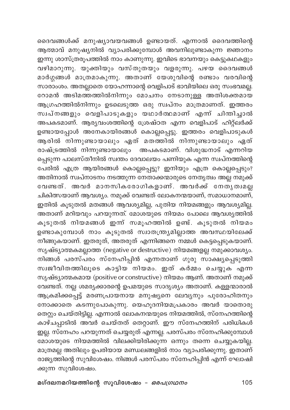ദൈവങ്ങൾക്ക് മനുഷ്യാവയവങ്ങൾ ഉണ്ടായത്. എന്നാൽ ദൈവത്തിന്റെ .<br>ആത്മാവ് മനുഷ്യനിൽ വ്യാപരിക്കുമ്പോൾ അവനിലുണ്ടാകുന്ന ജ്ഞാനം .<br>ഇന്നു ശാസ്ത്രരൂപത്തിൽ നാം കാണുന്നു. ഇവിടെ ഭാവനയും കെട്ടുകഥകളും വഴിമാറുന്നു. യുക്തിയും വസ്തുതയും വളരുന്നു. പഴയ ദൈവങ്ങൾ മാർഗ്ഗങ്ങൾ മാത്രമാകുന്നു. അതാണ് യേശുവിന്റെ രണ്ടാം വരവിന്റെ സാരാംശം. അതല്ലാതെ യോഹന്നാന്റെ വെളിപാട് ഭാവിയിലെ ഒരു സംഭവമല്ല. റോമൻ അടിമത്തത്തിൽനിന്നും മോചനം നേടാനുള്ള അതിശക്തമായ ആഗ്രഹത്തിൽനിന്നും ഉടലെടുത്ത ഒരു സ്വപ്നം മാത്രമാണത്. ഇത്തരം .<br>സ്വപ്നങ്ങളും വെളിപാടുകളും യഥാർത്ഥമാണ് എന്ന് ചിന്തിച്ചാൽ അപകടമാണ്. ആര്യവംശത്തിന്റെ ശ്രേഷ്ഠത എന്ന വെളിപാട് ഹിറ്റ്*ല*ർക്ക് ഉണ്ടായപ്പോൾ അനേകായിരങ്ങൾ കൊല്ലപ്പെട്ടു. ഇത്തരം വെളിപാടുകൾ ആരിൽ നിന്നുണ്ടായാലും ഏത് മതത്തിൽ നിന്നുണ്ടായാലും ഏത് രാഷ്ട്രത്തിൽ നിന്നുണ്ടായാലും അപകടമാണ്. വിശുദ്ധനാട് എന്നറിയ പ്പെടുന്ന പാലസ്തീനിൽ സ്വന്തം ദേവാലയം പണിയുക എന്ന സ്വപ്നത്തിന്റെ പേരിൽ എത്ര ആയിരങ്ങൾ കൊല്ലപ്പെട്ടു? ഇനിയും എത്ര കൊല്ലപ്പെടും? അതിനാൽ സ്ഥ്നാടനം നടത്തുന്ന നേതാക്കന്മാരുടെ നേതൃത്വം അല്ല നമുക്ക് വേണ്ടത്. അവർ മാനസികരോഗികളാണ്. അവർക്ക് നേതൃത്വമല്ല ചികിത്സയാണ് ആവശ്യം. നമുക്ക് വേണ്ടത് ലോകനന്മയാണ്, സമാധാനമാണ്, ഇതിൽ കൂടുതൽ മതങ്ങൾ ആവശ്യമില്ല, പുതിയ നിയമങ്ങളും ആവശ്യമില്ല. അതാണ് മറിയവും പറയുന്നത്. മോശയുടെ നിയമം പോലെ ആവശൃത്തിൽ കൂടുതൽ നിയമങ്ങൾ ഇന്ന് സമൂഹത്തിൽ ഉണ്ട്. കൂടുതൽ നിയമം ം<br>ഉണ്ടാകുമ്പോൾ നാം കൂടുതൽ സ്വാതന്ത്ര്യമില്ലാത്ത അവസ്ഥയിലേക്ക് നീങ്ങുകയാണ്. ഇതരുത്, അതരുത് എന്നിങ്ങനെ നമ്മൾ കെട്ടപ്പെടുകയാണ്. സൃഷ്ട്യാത്മകമല്ലാത്ത (negative or destructive) നിയമങ്ങളല്ല നമുക്കാവശ്യം. നിങ്ങൾ പരസ്പരം സ്നേഹിപ്പിൻ എന്നതാണ് ഗുരു സാക്ഷ്യപ്പെടുത്തി സ്വജീവിതത്തിലൂടെ കാട്ടിയ നിയമം. ഇത് കർമ്മം ചെയ്യുക എന്ന സൃഷ്ട്യാത്മകമായ (positive or constructive) നിയമം ആണ്. അതാണ് നമുക്ക് വേണ്ടത്. നല്ല ശമര്യക്കാരന്റെ ഉപമയുടെ സാദൃശ്യം അതാണ്. കള്ളന്മാരാൽ ആക്രമിക്കപ്പെട്ട് മരണപ്രായ്നായ മനുഷ്യനെ ലേവ്യനും പുരോഹിതനും നോക്കാതെ കടന്നുപോകുന്നു. യെഹൂദനിയമപ്രകാരം അവർ യാതൊരു തെറ്റും ചെയ്തിട്ടില്ല. എന്നാൽ ലോകനന്മയുടെ നിയമത്തിൽ, സ്നേഹത്തിന്റെ കാഴ്ചപ്പാടിൽ അവർ ചെയ്തത് തെറ്റാണ്. ഈ സ്നേഹത്തിന് പരിധികൾ ഇല്ല. സ്നേഹം പറയുന്നത് ചെയ്യരുത് എന്നല്ല. പരസ്പരം സ്നേഹിക്കുമ്പോൾ —ം.<br>മോശയുടെ നിയമത്തിൽ വിലക്കിയിരിക്കുന്ന ഒന്നും തന്നെ ചെയ്യുകയില്ല. മാത്രമല്ല അതിലും ഉപരിയായ മണ്ഡലങ്ങളിൽ നാം വ്യാപരിക്കുന്നു. ഇതാണ് രാജ്യത്തിന്റെ സുവിശേഷം. നിങ്ങൾ പരസ്പരം സ്നേഹിപ്പിൻ എന്ന് ഘോഷി ക്കുന്ന സുവിശേഷം.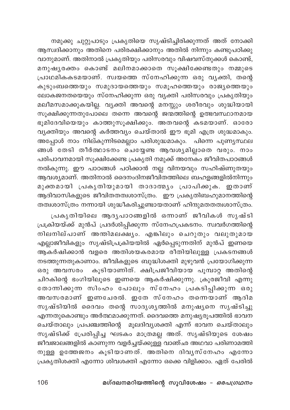നമുക്കു ചുറ്റുപാടും പ്രകൃതിയെ സൃഷ്ടിച്ചിരിക്കുന്നത് അത് നോക്കി ആസ്വദിക്കാനും അതിനെ പരിരക്ഷിക്കാനും അതിൽ നിന്നും കണ്ടുപഠിക്കു വാനുമാണ്. അതിനാൽ പ്രകൃതിയും പരിസരവും വിഷവസ്തുക്കൾ കൊണ്ട്, .<br>മനുഷ്യരക്തം കൊണ്ട് മലിനമാക്കാതെ സുക്ഷിക്കേണ്ടതും നമ്മുടെ പ്രാഥമികകടമയാണ്. സ്വയത്തെ സ്നേഹിക്കുന്ന ഒരു വൃക്തി, തന്റെ .<br>കുടുംബത്തെയും സമുദായത്തെയും സമൂഹത്തെയും രാജൃത്തെയും ലോകജനതയെയും സ്നേഹിക്കുന്ന ഒരു വ്യക്തി പരിസരവും പ്രകൃതിയും മലീമസമാക്കുകയില്ല. വ്യക്തി അവന്റെ മനസ്സും ശരീരവും ശുദ്ധിയായി സൂക്ഷിക്കുന്നതുപോലെ തന്നെ അവന്റെ ജന്മത്തിന്റെ ഉത്ഭവസ്ഥാനമായ ഭൂമിദേവിയെയും കാത്തുസൂക്ഷിക്കും. അതവന്റെ കടമയാണ്. ഓരോ വ്യക്തിയും അവന്റെ കർത്തവ്യം ചെയ്താൽ ഈ ഭൂമി എത്ര ശുദ്ധമാകും. അപ്പോൾ നാം നില്കുന്നിടമെല്ലാം പരിശുദ്ധമാകും. പിന്നെ പുണ്യസ്ഥല ങ്ങൾ തേടി തീർത്ഥാടനം ചെയ്യേണ്ട ആവശ്യമില്ലാതെ വരും. നാം പരിപാവനമായി സൂക്ഷിക്കേണ്ട പ്രകൃതി നമുക്ക് അനേകം ജീവിതപാഠങ്ങൾ നൽകുന്നു. ഈ പാഠങ്ങൾ പഠിക്കാൻ നല്ല വിനയവും സഹിഷ്ണുതയും ആവശ്യമാണ്. അതിനാൽ ദൈനംദിനജീവിതത്തിലെ ബഹളങ്ങളിൽനിന്നും മുക്തമായി പ്രകൃതിയുമായി താദാത്മൃം പ്രാപിക്കുക. ഇതാണ് ആദിവാസികളുടെ ജീവിതതത്വശാസ്ത്രം. ഈ പ്രകൃതിബഹുമാനത്തിന്റെ .<br>തത്വശാസ്ത്രം നന്നായി ശുദ്ധീകരിച്ചുണ്ടായതാണ് ഹിന്ദുമതതത്വശാസ്ത്രം.

പ്രകൃതിയിലെ ആദൃപാഠങ്ങളിൽ ഒന്നാണ് ജീവികൾ സൃഷ്ടി പ്രക്രിയയ്ക്ക് മുൻപ് പ്രദർശിപ്പിക്കുന്ന സ്നേഹപ്രകടനം. സ്ഥരിഗത്തിന്റെ നിലനില്പാണ് അന്തിമലക്ഷ്യം. എങ്കിലും ചെറുതും വലുതുമായ എല്ലാജീവികളും സൃഷ്ടിപ്രക്രിയയിൽ ഏർപ്പെടുന്നതിന് മുൻപ് ഇണയെ ആകർഷിക്കാൻ വളരെ അതിശയകരമായ രീതിയിലുള്ള പ്രകടനങ്ങൾ നടത്തുന്നതുകാണാം. ജീവികളുടെ ബുദ്ധിശക്തി മുഴുവൻ പ്രയോഗിക്കുന്ന ഒരു അവസരം കൂടിയാണിത്. ക്ഷിപ്രജീവിയായ പൂമ്പാറ്റ അതിന്റെ ചിറകിന്റെ ഭംഗിയിലൂടെ ഇണയെ ആകർഷിക്കുന്നു. ക്രൂരജീവി എന്നു തോന്നിക്കുന്ന സിംഹം പോലും സ്നേഹം പ്രകടിപ്പിക്കുന്ന ഒരു .<br>അവസരമാണ് ഇണചേരൽ. ഇതേ സ്നേഹം തന്നെയാണ് ആദിമ സൃഷ്ടിയിൽ ദൈവം തന്റെ സാദൃശൃത്തിൽ മനുഷൃനെ സൃഷ്ടിച്ചു എന്നതുകൊണ്ടും അർത്ഥമാക്കുന്നത്. ദൈവത്തെ മനുഷ്യരൂപത്തിൽ ഭാവന ചെയ്താലും പ്രപഞ്ചത്തിന്റെ മൂലദിവ്യശക്തി എന്ന് ഭാവന ചെയ്താലും സൃഷ്ടിക്ക് പ്രേരിപ്പിച്ച ഘടകം മാത്രമല്ല അത്. സൃഷ്ടിയുടെ ശേഷം .<br>ജീവജാലങ്ങളിൽ കാണുന്ന വളർച്ചയ്ക്കുള്ള വാഞ്ഛ അഥവാ പരിണാമത്തി നുള്ള ഉത്തേജനം കൂടിയാണത്. അതിനെ ദിവൃസ്നേഹം എന്നോ പ്രകൃതിശക്തി എന്നോ ശിവശക്തി എന്നോ ഒക്കെ വിളിക്കാം. ഏത് പേരിൽ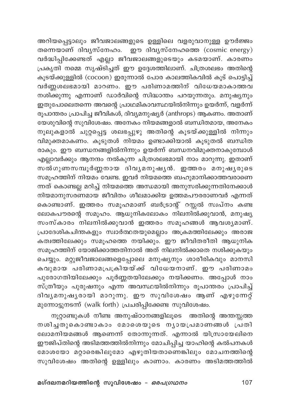അറിയപ്പെട്ടാലും ജീവജാലങ്ങളുടെ ഉള്ളിലെ വളരുവാനുള്ള ഊർജ്ജം തന്നെയാണ് ദിവൃസ്നേഹം. ഈ ദിവൃസ്നേഹത്തെ (cosmic energy) .<br>വർദ്ധിപ്പിക്കേണ്ടത് എല്ലാ ജീവജാലങ്ങളുടെയും കടമയാണ്. കാരണം പ്രകൃതി നമ്മെ സൃഷ്ടിച്ചത് ഈ ഉദ്ദേശത്തിലാണ്. ചിത്രശലഭം അതിന്റെ കൂടയ്ക്കുള്ളിൽ (cocoon) ഇരുന്നാൽ പോര കാലത്തികവിൽ കൂട് പൊട്ടിച്ച് വർണ്ണശലഭമായി മാറണം. ഈ പരിണാമത്തിന് വിധേയമാകാത്തവ നശിക്കുന്നു എന്നാണ് ഡാർവിന്റെ സിദ്ധാന്തം പറയുന്നതും. മനുഷ്യനും ഇതുപോലെതന്നെ അവന്റെ പ്രാഥമികാവസ്ഥയിൽനിന്നും ഉയർന്ന്, വളർന്ന് രൂപാന്തരം പ്രാപിച്ച ജീവികൾ, ദിവ്യമനുഷ്യർ (anthrops) ആകണം. അതാണ് യേശുവിന്റെ സുവിശേഷം. അനേകം നിയമങ്ങളാൽ ബന്ധിതമായ, അനേകം നൂലുകളാൽ ചുറ്റപ്പെട്ട ശലഭപ്പുഴു അതിന്റെ കൂടയ്ക്കുള്ളിൽ നിന്നും വിമുക്തമാകണം. കൂടുതൾ നിയമം ഉണ്ടാക്കിയാൽ കൂടുതൽ ബന്ധിത രാകും. ഈ ബന്ധനങ്ങളിൽനിന്നും ഉയർന്ന് ബന്ധനവിമുക്തനാകുമ്പോൾ എല്ലാവർക്കും ആനന്ദം നൽകുന്ന ചിത്രശലഭമായി നാം മാറുന്നു. ഇതാണ് സൽഗുണസമ്പൂർണ്ണനായ ദിവ്യമനുഷ്യൻ. ഇത്തരം മനുഷ്യരുടെ സമൂഹത്തിന് നിയമം വേണ്ട. ഇവർ നിയമത്തെ ബഹുമാനിക്കാത്തവരാണെ ന്നത് കൊണ്ടല്ല മറിച്ച് നിയമത്തെ അന്ധമായി അനുസരിക്കുന്നതിനേക്കാൾ നിയമാനുസരണമായ ജീവിതം ശീലമാക്കിയ ഉത്തമപൗരരാണവർ എന്നത് കൊണ്ടാണ്. ഇത്തരം സമൂഹമാണ് ബർട്രാന്റ് റസ്സൽ സ്ഥ്നം കണ്ട ലോകപൗരന്റെ സമൂഹം. ആധുനികലോകം നിലനിൽക്കുവാൻ, മനുഷ്യ സംസ്കാരം നിലനിൽക്കുവാൻ ഇത്തരം സമൂഹങ്ങൾ ആവശ്യമാണ്. പ്രാദേശികചിന്തകളും സ്വാർത്ഥതയുമെല്ലാം അക്രമത്തിലേക്കും അരാജ കത്വത്തിലേക്കും സമൂഹത്തെ നയിക്കും. ഈ ജീവിതരീതി ആധുനിക .<br>സമുഹത്തിന് യോജിക്കാത്തതിനാൽ അത് നിലനിൽക്കാതെ നശിക്കുകയും ചെയ്യും. മറ്റുജീവജാലങ്ങളെപ്പോലെ മനുഷ്യനും ശാരീരികവും മാനസി കവുമായ പരിണാമപ്രക്രിയയ്ക്ക് വിധേയനാണ്. ഈ പരിണാമം പുരോഗതിയിലേക്കും പൂർണ്ണതയിലേക്കും നയിക്കണം. അപ്പോൾ നാം സ്ത്രീയും പുരുഷനും എന്ന അവസ്ഥയിൽനിന്നും രൂപാന്തരം പ്രാപിച്ച് ദിവൃമനുഷൃരായി മാറുന്നു. ഈ സുവിശേഷം ആണ് എഴുന്നേറ്റ് മുന്നോട്ടുനടന്ന് (walk forth) പ്രചരിപ്പിക്കേണ്ട സുവിശേഷം.

നൂറ്റാണ്ടുകൾ നീണ്ട അനുഷ്ഠാനങ്ങളിലൂടെ അതിന്റെ അന്തസ്സത്ത നശിച്ചതുകൊണ്ടാകാം മോശെയുടെ നൃായപ്രമാണങ്ങൾ പ്രതി ലോമനിയമങ്ങൾ ആണെന്ന് തോന്നുന്നത്. എന്നാൽ യിസ്രായേലിനെ ഈജിപ്തിന്റെ അടിമത്തത്തിൽനിന്നും മോചിപ്പിച്ച യാഹിന്റെ കൽപനകൾ മോശയോ മറ്റാരെങ്കിലുമോ എഴുതിയതാണെങ്കിലും മോചനത്തിന്റെ സുവിശേഷം അതിന്റെ ഉള്ളിലും കാണാം. കാരണം അടിമത്തത്തിൽ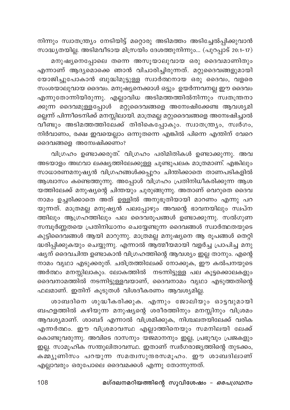നിന്നും സ്വാതന്ത്ര്യം നേടിയിട്ട് മറ്റൊരു അടിമത്തം അടിച്ചേൽപ്പിക്കുവാൻ സാദ്ധ്യതയില്ല. അടിമവീടായ മിസ്രയിം ദേശത്തുനിന്നും... (പുറപ്പാട് 20:1-17) മനുഷ്യനെപ്പോലെ തന്നെ അസൂയാലുവായ ഒരു ദൈവമാണിതും എന്നാണ് ആദ്യമൊക്കെ ഞാൻ വിചാരിച്ചിരുന്നത്. മറ്റുദൈവങ്ങളുമായി യോജിച്ചുപോകാൻ ബുദ്ധിമുട്ടുള്ള സ്വാർത്ഥനായ ഒരു ദൈവം, വളരെ സംശയാലുവായ ദൈവം. മനുഷ്യനെക്കാൾ ഒട്ടും ഉയർന്നവനല്ല ഈ ദൈവം എന്നുതോന്നിയിരുന്നു. എല്ലാവിധ അടിമത്തത്തിൽനിന്നും സ്വതന്ത്രനാ ക്കുന്ന ദൈവമുള്ളപ്പോൾ മറ്റുദൈവങ്ങളെ അന്വേഷിക്കേണ്ട ആവശ്യമി ല്ലെന്ന് പിന്നീടെനിക്ക് മനസ്സിലായി. മാത്രമല്ല മറ്റുദൈവങ്ങളെ അന്വേഷിച്ചാൽ വീണ്ടും അടിമത്തത്തിലേക്ക് തിരികെപ്പോകും. സ്വാതന്ത്ര്യം, സ്വർഗം, നിർവാണം, രക്ഷ ഇവയെല്ലാം ഒന്നുതന്നെ എങ്കിൽ പിന്നെ എന്തിന് വേറെ ദൈവങ്ങളെ അന്വേഷിക്കണം?

വിഗ്രഹം ഉണ്ടാക്കരുത്. വിഗ്രഹം പരിമിതികൾ ഉണ്ടാക്കുന്നു. അവ അടയാളം അഥവാ ലക്ഷ്യത്തിലേക്കുള്ള ചൂണ്ടുപലക മാത്രമാണ്. എങ്കിലും സാധാരണമനുഷ്യൻ വിഗ്രഹങ്ങൾക്കപ്പുറം ചിന്തിക്കാതെ താണപടികളിൽ ആശ്വാസം കണ്ടെത്തുന്നു. അപ്പോൾ വിഗ്രഹം പ്രതിനിധീകരിക്കുന്ന ആശ യത്തിലേക്ക് മനുഷ്യന്റെ ചിന്തയും ചുരുങ്ങുന്നു. അതാണ് വെറുതെ ദൈവ നാമം ഉച്ചരിക്കാതെ അത് ഉള്ളിൽ അനുഭൂതിയായി മാറണം എന്നു പറ യുന്നത്. മാത്രമല്ല മനുഷ്യൻ പലപ്പോഴും അവന്റെ ഭാവനയിലും സ്വപ്ന .<br>ത്തിലും ആഗ്രഹ്ത്തിലും പല ദൈവരൂപങ്ങൾ ഉണ്ടാക്കുന്നു. സൽഗുണ സമ്പൂർണ്ണതയെ പ്രതിനിധാനം ചെയ്യേണ്ടുന്ന ദൈവങ്ങൾ സ്വാർത്ഥതയുടെ കുട്ടിദൈവങ്ങൾ ആയി മാറുന്നു. മാത്രമല്ല മനുഷ്യനെ ആ രൂപങ്ങൾ തെറ്റി ദ്ധരിപ്പിക്കുകയും ചെയ്യുന്നു. എന്നാൽ ആത്മീയമായി വളർച്ച പ്രാപിച്ച മനു ഷ്യന് ദൈവചിന്ത ഉണ്ടാകാൻ വിഗ്രഹത്തിന്റെ ആവശ്യം ഇല്ല താനും. എന്റെ നാമം വൃഥാ എടുക്കരുത്. ചരിത്രത്തിലേക്ക് നോക്കുക, ഈ കൽപനയുടെ അർത്ഥം മനസ്സിലാകും. ലോകത്തിൽ നടന്നിട്ടുള്ള പല കൂട്ടക്കൊലകളും ദൈവനാമത്തിൽ നടന്നിട്ടുള്ളവയാണ്, ദൈവനാമം വൃഥാ എടുത്തതിന്റെ ഫലമാണ്. ഇതിന് കൂടുതൾ വിശദീകരണം ആവശ്യമില്ല.

ശാബദിനെ ശുദ്ധീകരിക്കുക. എന്നും ജോലിയും ഓട്ടവുമായി ബഹളത്തിൽ കഴിയുന്ന മനുഷ്യന്റെ ശരീരത്തിനും മനസ്സിനും വിശ്രമം ആവശ്യമാണ്. ശാബദ് എന്നാൽ വിശ്രമിക്കുക, നിശ്ചലതയിലേക്ക് വരിക എന്നർത്ഥം. ഈ വിശ്രമാവസ്ഥ എല്ലാത്തിനെയും സമനിലയി ലേക്ക് കൊണ്ടുവരുന്നു. അവിടെ ദാസനും യജമാനനും ഇല്ല, പ്രഭുവും പ്രജകളും ഇല്ല. സാമൂഹിക സന്തുലിതാവസ്ഥ. ഇതാണ് സ്വർഗരാജ്യത്തിന്റെ തുടക്കം, കമ്മ്യൂണിസം പറയുന്ന സമത്വസുന്ദരസമൂഹം. ഈ ശാബദിലാണ് എല്ലാവരും ഒരുപോലെ ദൈവമക്കൾ എന്നു തോന്നുന്നത്.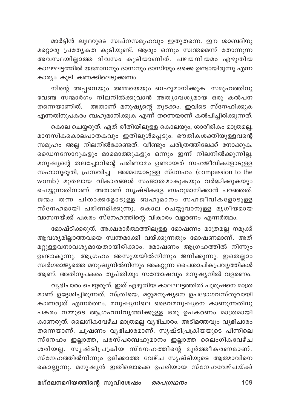മാർട്ടിൻ ലൂഥറുടെ സ്വപ്നസമൂഹവും ഇതുതന്നെ. ഈ ശാബദിനു മറ്റൊരു പ്രത്യേകത കൂടിയുണ്ട്. ആരും ഒന്നും സ്വന്തമെന്ന് തോന്നുന്ന .<br>അവസ്ഥയില്ലാത്ത ദിവസം കൂടിയാണിത്. പഴയനിയമം എഴുതിയ കാലഘട്ടത്തിൽ യജമാനനും ദാസനും ദാസിയും ഒക്കെ ഉണ്ടായിരുന്നു എന്ന കാര്യം കൂടി കണക്കിലെടുക്കണം.

നിന്റെ അപ്പനെയും അമ്മയെയും ബഹുമാനിക്കുക. സമൂഹത്തിനു വേണ്ട സ്ന്മാർഗം നിലനിൽക്കുവാൻ അത്യാവശ്യമായ ഒരു കൽപന തന്നെയാണിത്. അതാണ് മനുഷ്യന്റെ തുടക്കം. ഇവിടെ സ്നേഹിക്കുക എന്നതിനുപകരം ബഹുമാനിക്കുക എന്ന് തന്നെയാണ് കൽപിച്ചിരിക്കുന്നത്.

കൊല ചെയ്യരുത്. ഏത് രീതിയിലുള്ള കൊലയും, ശാരീരികം മാത്രമല്ല, മാനസികകൊലപാതകവും ഇതിലുൾപ്പെടും. ഭൗതികശക്തിയുള്ളവന്റെ സമൂഹം അല്ല നിലനിൽക്കേണ്ടത്. വീണ്ടും ചരിത്രത്തിലേക്ക് നോക്കുക. ഡൈനസോറുകളും മാമൊത്തുകളും ഒന്നും ഇന്ന് നിലനിൽക്കുന്നില്ല. മനുഷ്യന്റെ തലച്ചോറിന്റെ പരിണാമം ഉണ്ടായത് സഹജീവികളോടുള്ള സഹാനുഭൂതി, പ്രസവിച്ച<sup>്</sup> അമ്മയോടുള്ള സ്നേഹം (compassion to the womb) മുതലായ വികാരങ്ങൾ സംജാതമാകുകയും വർദ്ധിക്കുകയും ചെയ്യുന്നതിനാണ്. അതാണ് സൃഷ്ടികളെ ബഹുമാനിക്കാൻ പറഞ്ഞത്. ജന്മം തന്ന പിതാക്കളോടുള്ള ബഹുമാനം സഹജീവികളോടുള്ള സ്നേഹമായി പരിണമിക്കുന്നു. കൊല ചെയ്യുവാനുള്ള മൃഗീയമായ വാസനയ്ക്ക് പകരം സ്നേഹത്തിന്റെ വികാരം വളരണം എന്നർത്ഥം.

മോഷ്ടിക്കരുത്. അക്ഷരാർത്ഥത്തിലുള്ള മോഷണം മാത്രമല്ല നമുക്ക് ആവശ്യമില്ലാത്തവയെ സ്വന്തമാക്കി വയ്ക്കുന്നതും മോഷണമാണ്. അത് മറ്റുള്ളവനാവശ്യമായതായിരിക്കാം. മോഷണം ആഗ്രഹത്തിൽ നിന്നും ഉണ്ടാകുന്നു. ആഗ്രഹം അസൂയയിൽനിന്നും ജനിക്കുന്നു. ഇതെല്ലാം .<br>സ്വർഗരാജ്യത്തെ മനുഷ്യനിൽനിന്നും അകറ്റുന്ന പൈശാചികപ്രവൃത്തികൾ ആണ്. അതിനുപകരം തൃപ്തിയും സന്തോഷവും മനുഷ്യനിൽ വളരണം.

വ്യഭിചാരം ചെയ്യരുത്. ഇത് എഴുതിയ കാലഘട്ടത്തിൽ പുരുഷനെ മാത്ര മാണ് ഉദ്ദേശിച്ചിരുന്നത്. സ്ത്രീയെ, മറ്റുമനുഷ്യനെ ഉപഭോഗവസ്തുവായി കാണരുത് എന്നർത്ഥം. മനുഷ്യനിലെ ദൈവമനുഷ്യനെ കാണുന്നതിനു പകരം നമ്മുടെ ആഗ്രഹനിവൃത്തിക്കുള്ള ഒരു ഉപകരണം മാത്രമായി കാണരുത്. ലൈഗികവേഴ്ച മാത്രമല്ല വ്യഭിചാരം. അടിമത്തവും വ്യഭിചാരം തന്നെയാണ്. ചൂഷണം വൃഭിചാരമാണ്. സൃഷ്ടിപ്രക്രിയയുടെ പിന്നിലെ സ്നേഹം ഇല്ലാത്ത, പരസ്പരബഹുമാനം ഇല്ലാത്ത ലൈംഗികവേഴ്ച ശരിയല്ല. സൃഷ്ടിപ്രക്രിയ സ്നേഹത്തിന്റെ മൂർത്തീകരണമാണ്. സ്നേഹത്തിൽനിന്നും ഉദിക്കാത്ത വേഴ്ച സൃഷ്ടിയുടെ ആത്മാവിനെ കൊല്ലുന്നു. മനുഷ്യൻ ഇതിലൊക്കെ ഉപരിയായ സ്നേഹവേഴ്ചയ്ക്ക്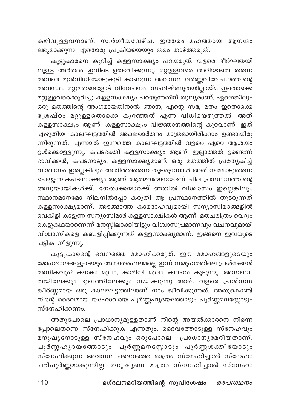കഴിവുള്ളവനാണ്. സ്വർഗീയവേഴ്ച. ഇത്തരം മഹത്തായ ആനന്ദം ലഭ്യമാക്കുന്ന ഏതൊരു പ്രക്രിയയെയും തരം താഴ്ത്തരുത്.

കൂട്ടുകാരനെ കുറിച്ച് കള്ളസാക്ഷ്യം പറയരുത്. വളരെ ദീർഘതയി ലുള്ള അർത്ഥം ഇവിടെ ഉത്ഭവിക്കുന്നു. മറ്റുള്ളവരെ അറിയാതെ തന്നെ .<br>അവരെ മുൻവിധിയോടുകൂടി കാണുന്ന അവസ്ഥ. വർണ്ണവിവേചനത്തിന്റെ അവസ്ഥ. മറ്റുമതങ്ങളോട് വിവേചനം, സഹിഷ്ണുതയില്ലായ്മ ഇതൊക്കെ മറ്റുള്ളവരെക്കുറിച്ചു കള്ളസാക്ഷ്യം പറയുന്നതിന് തുല്യമാണ്. ഏതെങ്കിലും .<br>ഒരു മതത്തിന്റെ അംഗമായതിനാൽ ഞാൻ, എന്റെ സഭ, മതം ഇതൊക്കെ ശ്രേഷ്ഠം മറ്റുള്ളതൊക്കെ കുറഞ്ഞത് എന്ന വിധിയെഴുത്തൽ. അത് കള്ളസാക്ഷ്യം ആണ്. കള്ളസാക്ഷ്യം വിജ്ഞാനത്തിന്റെ കുറവാണ്. ഇത് .<br>എഴുതിയ കാലഘട്ടത്തിൽ അക്ഷരാർത്ഥം മാത്രമായിരിക്കാം ഉണ്ടായിരു ന്നിരുന്നത്. എന്നാൽ ഇന്നത്തെ കാലഘട്ടത്തിൽ വളരെ ഏറെ ആശയം ഉൾക്കൊള്ളുന്നു. കപടഭക്തി കള്ളസാക്ഷ്യം ആണ്. ഇല്ലാത്തത് ഉണ്ടെന്ന് ഭാവിക്കൽ, കപടനാട്യം, കള്ളസാക്ഷ്യമാണ്. ഒരു മതത്തിൽ പ്രത്യേകിച്ച് വിശ്വാസം ഇല്ലെങ്കിലും അതിൽത്തന്നെ തുടരുമ്പോൾ അത് നമ്മോടുതന്നെ .<br>ചെയ്യുന്ന കപടസാക്ഷ്യം ആണ്, ആത്മവഞ്ചനയാണ്. ചില പ്രസ്ഥാനത്തിന്റെ അനുയായികൾക്ക്, നേതാക്കന്മാർക്ക് അതിൽ വിശ്വാസം ഇല്ലെങ്കിലും സ്ഥാനമാനമോ നിലനിൽപ്പോ കരുതി ആ പ്രസ്ഥാനത്തിൽ തുടരുന്നത് കള്ളസാക്ഷ്യമാണ്. അടങ്ങാത്ത കാമദാഹവുമായി സന്യാസിമഠങ്ങളിൽ വെകിളി കാട്ടുന്ന സന്യാസിമാർ കള്ളസാക്ഷികൾ ആണ്. മതചരിത്രം വെറും കെട്ടുകഥയാണെന്ന് മനസ്സിലാക്കിയിട്ടും വിശ്വാസപ്രമാണവും വചനവുമായി വിശ്വാസികളെ കബളിപ്പിക്കുന്നത് കള്ളസാക്ഷ്യമാണ്. ഇങ്ങനെ ഇവയുടെ പട്ടിക നീളുന്നു.

കൂട്ടുകാരന്റെ ഭവനത്തെ മോഹിക്കരുത്. ഈ മോഹങ്ങളുടെയും മോഹഭംഗങ്ങളുടെയും അനന്തരഫലമല്ലെ ഇന്ന് സമൂഹത്തിലെ പ്രശ്നങ്ങൾ .<br>അധികവും? കനകം മൂലം, കാമിനി മൂലം കലഹം കൂടുന്നു. അസ്വസ്ഥ തയിലേക്കും ദുഖത്തിലേക്കും നയിക്കുന്നു അത്. വളരെ പ്രശ്നസ ങ്കീർണ്ണമായ ഒരു കാലഘട്ടത്തിലാണ് നാം ജീവിക്കുന്നത്. അതുകൊണ്ട് നിന്റെ ദൈവമായ യഹോവയെ പൂർണ്ണഹൃദയത്തോടും പൂർണ്ണമനസ്സോടും സ്നേഹിക്കണം.

അതുപോലെ പ്രാധാന്യമുള്ളതാണ് നിന്റെ അയൽക്കാരനെ നിന്നെ പ്പോലെതന്നെ സ്നേഹിക്കുക എന്നതും. ദൈവത്തോടുള്ള സ്നേഹവും മനുഷ്യനോടുള്ള സ്നേഹവും ഒരുപോലെ പ്രാധാനൃമേറിയതാണ്. പൂർണ്ണഹൃദയത്തോടും പൂർണ്ണമനസ്സോടും പൂർണ്ണശക്തിയോടും സ്നേഹിക്കുന്ന അവസ്ഥ. ദൈവത്തെ മാത്രം സ്നേഹിച്ചാൽ സ്നേഹം പരിപൂർണ്ണമാകുന്നില്ല. മനുഷ്യനെ മാത്രം സ്നേഹിച്ചാൽ സ്നേഹം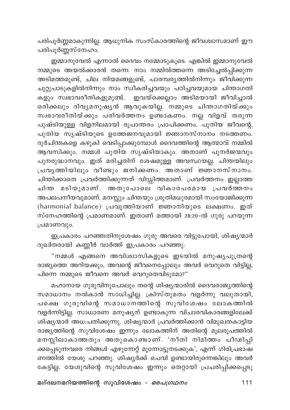പരിപൂർണ്ണമാകുന്നില്ല. ആധുനിക സംസ്കാരത്തിന്റെ ജീവശ്വാസമാണ് ഈ പരിപുർണ്ണസ്നേഹം.

ഇമ്മാനുവേൽ എന്നാൽ ദൈവം നമ്മോടുകൂടെ. എങ്കിൽ ഇമ്മാനുവേൽ നമ്മുടെ അയൽക്കാരൻ തന്നെ. നാം നമ്മിൽത്തന്നെ അടിച്ചേൽപ്പിക്കുന്ന .<br>അടിമത്തമുണ്ട്, ചില നിയമങ്ങളുണ്ട്, പാരമ്പരൃത്തിൽനിന്നും ജീവിക്കുന്ന ചുറ്റുപാടുകളിൽനിന്നും നാം സ്വീകരിച്ചവയും പഠിച്ചവയുമായ ചിന്താഗതി കളും സ്വഭാവരീതികളുമുണ്ട്. ഇവയ്ക്കെല്ലാം അടിമയായി ജീവിച്ചാൽ ഒരിക്കലും ദിവ്യമനുഷ്യൻ ആവുകയില്ല. നമ്മുടെ ചിന്താഗതിയ്ക്കും സ്വഭാവരീതിയ്ക്കും പരിവർത്തനം ഉണ്ടാകണം. നല്ല വിളവ് തരുന്ന പുഷ്ടിയുള്ള വിളനിലമായി രൂപാന്തരം പ്രാപിക്കണം. പുതിയ ജീവന്റെ, .<br>പുതിയ സൃഷ്ടിയുടെ ഉത്തേജനവുമായി ജ്ഞാനസ്നാനം നടത്തണം. ദുർചിന്തകളെ കഴുകി വെടിപ്പാക്കുമ്പോൾ ദൈവത്തിന്റെ ആത്മാവ് നമ്മിൽ .<br>ആവസിക്കും. നമ്മൾ പുതിയ സൃഷ്ടിയാകും. അതാണ് പുനർജന്മവും പുനരുദ്ധാനവും. ഇത് മരിച്ചതിന് ശേഷമുള്ള അവസ്ഥയല്ല. ചിന്തയിലും പ്രവൃത്തിയിലും വീണ്ടും ജനിക്കണം. അതാണ് ജ്ഞാനസ്നാനം. ചിന്തിക്കാതെ പ്രവർത്തിക്കുന്നത് വിഡ്ഡിത്തമാണ്. പ്രവർത്തനം ഇല്ലാത്ത ചിന്ത മടിയുമാണ്. അതുപോലെ വികാരപരമായ പ്രവർത്തനം അപലപനീയവുമാണ്. മനസ്സും ചിന്തയും ശ്രുതിമധുരമായി സംയോജിക്കുന്ന (harmonial balance) പ്രവൃത്തിയാണ് ജ്ഞാനിയുടെ ലക്ഷണം. ഇത് സ്നേഹത്തിന്റെ പ്രമാണമാണ്. ഇതാണ് മത്തായി 28:20-ൽ ഗുരു പറയുന്ന പ്രമാണവും.

ഇപ്രകാരം പറഞ്ഞതിനുശേഷം ഗുരു അവരെ വിട്ടുപോയി, ശിഷ്യന്മാർ ദുഖിതരായി കണ്ണീർ വാർത്ത് ഇപ്രകാരം പറഞ്ഞു:

"നമ്മൾ എങ്ങനെ അവിശ്വാസികളുടെ ഇടയിൽ മനുഷ്യപുത്രന്റെ രാജ്യത്തെ അറിയക്കും, അവന്റെ ജീവനെപ്പോലും അവർ വെറുതെ വിട്ടില്ല, പിന്നെ നമ്മുടെ ജീവനെ അവർ വെറുതെവിടുമോ?"

മഹാനായ ഗുരുവിനുപോലും തന്റെ ശിഷ്യന്മാരിൽ ദൈവരാജ്യത്തിന്റെ സമാധാനം നൽകാൻ സാധിച്ചില്ല. ക്രിസ്തുമതം വളർന്നു വലുതായി, പക്ഷെ ഗുരുവിന്റെ സമാധാനത്തിന്റെ സുവിശേഷം ലോകത്തിൽ വളർന്നിട്ടില്ല. സാധാരണ മനുഷ്യന് ഉണ്ടാകുന്ന വിചാരവികാരങ്ങളിലേക്ക് ശിഷ്യന്മാർ അധ:പതിക്കുന്നു. ശിഷ്യന്മാർ പ്രവർത്തിക്കാൻ വിമുഖതകാട്ടിയ രാജ്യത്തിന്റെ സുവിശേഷം ഇന്നും ലോകത്തിന് അതിന്റെ മൂലരൂപത്തിൽ മനസ്സിലാകാത്തതും അതുകൊണ്ടാണ്. 'നീതി നിമിത്തം പീഢിപ്പി ക്കപ്പെടുന്നവരെ നിങ്ങൾ എഴുന്നേറ്റ് മുന്നോട്ടുനടക്കുക', എന്ന് ഗിരിപ്രഭാഷ ണത്തിൽ യേശു പറഞ്ഞു. ശിഷ്യർക്ക് ചെവി ഉണ്ടായിരുന്നെങ്കിലും അവർ കേട്ടില്ല. യേശുവിന്റെ സുവിശേഷം ഇന്നും തെറ്റായി പ്രചരിപ്പിക്കപ്പെടു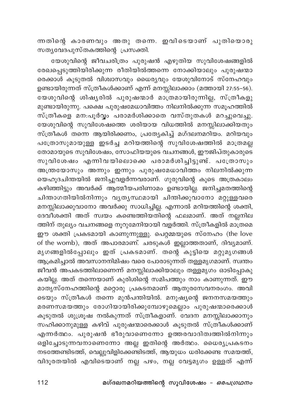ന്നതിന്റെ കാരണവും അതു തന്നെ. ഇവിടെയാണ് പുതിയൊരു സത്യവേദപുസ്തകത്തിന്റെ പ്രസക്തി.

യേശുവിന്റെ ജീവചരിത്രം പുരുഷൻ എഴുതിയ സുവിശേഷങ്ങളിൽ രേഖപ്പെടുത്തിയിരിക്കുന്ന രീതിയിൽത്തന്നെ നോക്കിയാലും പുരുഷന്മാ രെക്കാൾ കൂടുതൽ വിശ്വാസവും ധൈര്യവും യേശുവിനോട് സ്നേഹവും ഉണ്ടായിരുന്നത് സ്ത്രീകൾക്കാണ് എന്ന് മനസ്സിലാക്കാം (മത്തായി 27:55-56). യേശുവിന്റെ ശിഷ്യരിൽ പുരുഷന്മാർ മാത്രമായിരുന്നില്ല, സ്ത്രീകളു മുണ്ടായിരുന്നു. പക്ഷെ പുരുഷമേധാവിത്തം നിലനിൽക്കുന്ന സമൂഹത്തിൽ സ്ത്രീകളെ മന:പൂർവ്വം പരാമർശിക്കാതെ വസ്തുതകൾ മറച്ചുവെച്ചു. യേശുവിന്റെ സുവിശേഷത്തെ ശരിയായ വിധത്തിൽ മനസ്സിലാക്കിയതും .<br>സ്ത്രീകൾ തന്നെ ആയിരിക്കണം, പ്രത്യേകിച്ച് മഗ്ദലനമറിയം. മറിയവും പത്രോസുമായുള്ള ഇടർച്ച മറിയത്തിന്റെ സുവിശേഷത്തിൽ മാത്രമല്ല തോമായുടെ സുവിശേഷം, സോഫിയയുടെ വചനങ്ങൾ, ഈജിപ്തുകാരുടെ സുവിശേഷം എന്നിവയിലൊക്കെ പരാമർശിച്ചിട്ടുണ്ട്. പ**്രോസും** അന്ത്രയോസും അന്നും ഇന്നും പുരുഷമേധാവിത്തം നിലനിൽക്കുന്ന യെഹൂദചിന്തയിൽ ജനിച്ചുവളർന്നവരാണ്. ഗുരുവിന്റെ കൂടെ അത്രകാലം കഴിഞ്ഞിട്ടും അവർക്ക് ആത്മീയപരിണാമം ഉണ്ടായില്ല. ജനിച്ചമതത്തിന്റെ ചിതാഗതിയിൽനിന്നും വൃതൃസ്ഥമായി ചിന്തിക്കുവാനോ മറ്റുള്ളവരെ മനസ്സിലാക്കുവാനോ അവർക്കു സാധിച്ചില്ല. എന്നാൽ മറിയത്തിന്റെ ശക്തി, ദേവീശക്തി അത് സ്വയം കണ്ടെത്തിയതിന്റെ ഫലമാണ്. അത് നല്ലനില ത്തിന് തുല്യം വചനങ്ങളെ നൂറുമേനിയായി വളർത്തി. സ്ത്രീകളിൽ മാത്രമെ ഈ ശക്തി പ്രകടമായി കാണുന്നുള്ളു. പെറ്റമ്മയുടെ സ്നേഹം (the love of the womb), അത് അപാരമാണ്. ചരടുകൾ ഇല്ലാത്തതാണ്, ദിവ്യമാണ്. മൃഗങ്ങളിൽപ്പോലും ഇത് പ്രകടമാണ്. തന്റെ കുട്ടിയെ മറ്റുമൃഗങ്ങൾ ആക്രമിച്ചാൽ അവസാനനിമിഷം വരെ പോരാടുന്നത് തള്ളമൃഗമാണ്. സ്വന്തം ജീവൻ അപകടത്തിലാണെന്ന് മനസ്സിലാക്കിയാലും തള്ളമൃഗം ഓടിപ്പോകു കയില്ല. അത് തന്നെയാണ് കുരിശിന്റെ സമിപത്തും നാം കാണുന്നത്. ഈ മാതൃസ്നേഹത്തിന്റെ മറ്റൊരു പ്രകടനമാണ് ആതുരസേവനരംഗം. അവി ടെയും സ്ത്രീകൾ തന്നെ മുൻപന്തിയിൽ. മനുഷ്യന്റെ ജനനസമയത്തും മരണസമയത്തും രോഗിയായിരിക്കുമ്പോഴുമെല്ലാം പുരുഷന്മാരെക്കാൾ .<br>കൂടുതൽ ശുശ്രൂഷ നൽകുന്നത് സ്ത്രീകളാണ്. വേദന മനസ്സിലാക്കാനും സഹിക്കാനുമുള്ള കഴിവ് പുരുഷന്മാരെക്കാൾ കൂടുതൽ സ്ത്രീകൾക്കാണ് എന്നർത്ഥം. പുരുഷൻ ഭീരുവാണെന്നോ ഉത്തരവാദിത്വത്തിൽനിന്നും ഒളിച്ചോടുന്നവനാണെന്നോ അല്ല ഇതിന്റെ അർത്ഥം. ധൈര്യപ്രകടനം നടത്തേണ്ടിടത്ത്, വെല്ലുവിളിക്കേണ്ടിടത്ത്, ആയുധം ധരിക്കേണ്ട സമയത്ത്, വിദൂരതയിൽ എവിടെയാണ് നല്ല പഴം, നല്ല വേട്ടമൃഗം ഉള്ളത് എന്ന്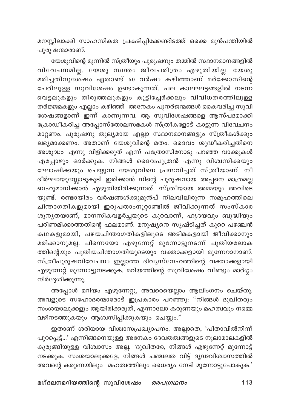മനസ്സിലാക്കി സാഹസികത പ്രകടിപ്പിക്കേണ്ടിടത്ത് ഒക്കെ മുൻപന്തിയിൽ പുരുഷന്മാരാണ്.

യേശുവിന്റെ മുന്നിൽ സ്ത്രീയും പുരുഷനും തമ്മിൽ സ്ഥാനമാനങ്ങളിൽ വിവേചനമില്ല. യേശു സ്വന്തം ജീവചരിത്രം എഴുതിയില്ല. യേശു .<br>മരിച്ചതിനുശേഷം ഏതാണ്ട് 50 വർഷം കഴിഞ്ഞാണ് മർക്കോസിന്റെ .<br>പേരിലുള്ള സുവിശേഷം ഉണ്ടാകുന്നത്. പല കാലഘട്ടങ്ങളിൽ നടന്ന വെട്ടലുകളും തിരുത്തലുകളും കൂട്ടിച്ചേർക്കലും വിവിധതരത്തിലുള്ള തർജ്ജമകളും എല്ലാം കഴിഞ്ഞ് അനേകം പുനർജന്മങ്ങൾ കൈവരിച്ച സുവി ശേഷങ്ങളാണ് ഇന്ന് കാണുന്നവ. ആ സുവിശേഷങ്ങളെ ആസ്പദമാക്കി ക്രോഡീകരിച്ച അപ്പോസ്തോലസഭകൾ സ്ത്രീകളോട് കാട്ടുന്ന വിവേചനം മാറ്റണം, പുരുഷനു തുല്യമായ എല്ലാ സ്ഥാനമാനങ്ങളും സ്ത്രീകൾക്കും ലഭ്യമാക്കണം. അതാണ് യേശുവിന്റെ മതം. ദൈവം ശുദ്ധീകരിച്ചതിനെ .<br>അശുദ്ധം എന്നു വിളിക്കരുത് എന്ന് പത്രോസിനോടു പറഞ്ഞ വാക്കുകൾ എപ്പോഴും ഓർക്കുക. നിങ്ങൾ ദൈവപുത്രൻ എന്നു വിശ്വസിക്കയും .<br>ഘോഷിക്കയും ചെയ്യുന്ന യേശുവിനെ പ്രസവിച്ചത് സ്ത്രീയാണ്. നീ ദീർഘായുസ്സോടുകൂടി ഇരിക്കാൻ നിന്റെ പുരുഷനായ അപ്പനെ മാത്രമല്ല ബഹുമാനിക്കാൻ എഴുതിയിരിക്കുന്നത്. സ്ത്രീയായ അമ്മയും അവിടെ .<br>യുണ്ട്. രണ്ടായിരം വർഷങ്ങൾക്കുമുൻപ് നിലവിലിരുന്ന സമൂഹത്തിലെ ചിന്താഗതികളുമായി ഇരുപതാംനൂറ്റാണ്ടിൽ ജീവിക്കുന്നത് സംസ്കാര ശൂന്യതയാണ്, മാനസികവളർച്ചയുടെ കുറവാണ്, ഹൃദയവും ബുദ്ധിയും പരിണമിക്കാത്തതിന്റെ ഫലമാണ്. മനുഷ്യനെ സൃഷ്ടിച്ചത് കുറെ പഴഞ്ചൻ കഥകളുമായി, പഴയചിന്താഗതികളിലൂടെ അടിമകളായി ജീവിക്കാനും മരിക്കാനുമല്ല. പിന്നെയോ എഴുന്നേറ്റ് മുന്നോട്ടുനടന്ന് പുതിയലോക ത്തിന്റെയും പുതിയചിന്താഗതിയുടെയും വക്താക്കളായി മുന്നേറാനാണ്. സ്ത്രീപുരുഷവിവേചനം ഇല്ലാത്ത ദിവൃസ്നേഹത്തിന്റെ വക്താക്കളായി എഴുന്നേറ്റ് മുന്നോട്ടുനടക്കുക. മറിയത്തിന്റെ സുവിശേഷം വീണ്ടും മാർഗ്ഗം നിർദ്ദേശിക്കുന്നു.

അപ്പോൾ മറിയം എഴുന്നേറ്റു, അവരെയെല്ലാം ആലിംഗനം ചെയ്തു. അവളുടെ സഹോദരന്മാരോട് ഇപ്രകാരം പറഞ്ഞു: "നിങ്ങൾ ദുഖിതരും സംശയാലുക്കളും ആയിരിക്കരുത്, എന്നാലോ കരുണയും മഹത്വവും നമ്മെ വഴിനടത്തുകയും ആശ്വസിപ്പിക്കുകയും ചെയ്യും."

ഇതാണ് ശരിയായ വിശ്വാസപ്രഖ്യാപനം. അല്ലാതെ, 'പിതാവിൽനിന്ന് പുറപ്പെട്ട്...' എന്നിങ്ങനെയുള്ള അനേകം ദേവതത്വങ്ങളുടെ നൂലാമാലകളിൽ കുരുങ്ങിയുള്ള വിശ്വാസം അല്ല. 'ദുഖിതരേ, നിങ്ങൾ എഴുന്നേറ്റ് മുന്നോട്ട് നടക്കുക. സംശയാലുക്കളേ, നിങ്ങൾ ചഞ്ചലത വിട്ട് ദൃഢവിശ്വാസത്തിൽ അവന്റെ കരുണയിലും മഹത്വത്തിലും ധൈര്യം നേടി മുന്നോട്ടുപോകുക.'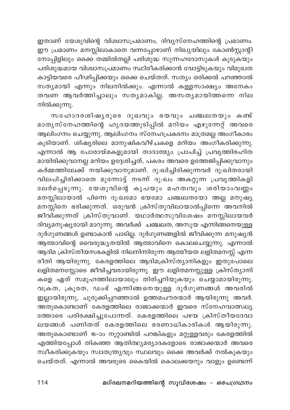ഇതാണ് യേശുവിന്റെ വിശ്വാസപ്രമാണം, ദിവ്യസ്നേഹത്തിന്റെ പ്രമാണം. ഈ പ്രമാണം മനസ്സിലാകാതെ വന്നപ്പോഴാണ് നിഖ്യയിലും കോൺസ്റ്റാന്റി നോപ്പിളിലും ഒക്കെ തമ്മിൽതല്ലി പരിശുദ്ധ സുന്നഹദോസുകൾ കൂടുകയും പരിശുദ്ധമായ വിശ്വാസപ്രമാണം സ്ഥിരീകരിക്കാൻ വോട്ടിടുകയും വിമുഖത കാട്ടിയവരെ പീഢിപ്പിക്കയും ഒക്കെ ചെയ്തത്. സത്യം ഒരിക്കൽ പറഞ്ഞാൽ സതൃമായി എന്നും നിലനിൽക്കും. എന്നാൽ കള്ളസാക്ഷ്യം അനേകം തവണ ആവർത്തിച്ചാലും സതൃമാകില്ല. അസതൃമായിത്തന്നെ നില നിൽക്കുന്നു.

സഹോദരശിഷൃരുടെ ദുഖവും ഭയവും ചഞ്ചലതയും കണ്ട് മാതൃസ്നേഹത്തിന്റെ ഹൃദയത്തുടിപ്പിൽ മറിയം എഴുന്നേറ്റ<sup>്</sup> അവരെ .<br>ആലിംഗനം ചെയ്യുന്നു. ആലിംഗനം സ്നേഹപ്രകടനം മാത്രമല്ല അംഗീകാരം കൂടിയാണ്. ശിഷ്യരിലെ മാനുഷികവീഴ്ചകളെ മറിയം അംഗീകരിക്കുന്നു. എന്നാൽ ആ പോരായ്മകളുമായി താദാത്മ്യം പ്രാപിച്ച് പ്രവൃത്തിരഹിത മായിരിക്കുവാനല്ല മറിയം ഉദ്ദേശിച്ചത്, പകരം അവരെ ഉത്തേജിപ്പിക്കുവാനും കർമ്മത്തിലേക്ക് നയിക്കുവാനുമാണ്. ദു:ഖിച്ചിരിക്കുന്നവർ ദു:ഖിതരായി വിലപിച്ചിരിക്കാതെ മുന്നോട്ട് നടന്ന് ദു:ഖം അകറ്റുന്ന പ്രവൃത്തികളി ലേർപ്പെടുന്നു. യേശുവിന്റെ കൃപയും മഹത്വവും ശരിയാംവണ്ണം മനസ്സിലായാൽ പിന്നെ ദു:ഖമോ ഭയമോ ചഞ്ചലതയോ അല്ല മനുഷ്യ മനസ്സിനെ ഭരിക്കുന്നത്. ഒരുവൻ ക്രിസ്തുവിലായാൽപ്പിന്നെ അവനിൽ ജീവിക്കുന്നത് ക്രിസ്തുവാണ്. യഥാർത്ഥസുവിശേഷം മനസ്സിലായവർ <u>ദിവ്യമനുഷ്യരായി മാറുന്നു. അവർക്ക് ചഞ്ചലത, അസൂയ എന്നിങ്ങനെയുള്ള</u> ദുർഗുണങ്ങൾ ഉണ്ടാകാൻ പാടില്ല. ദുർഗുണങ്ങളിൽ ജീവിക്കുന്ന മനുഷ്യൻ ആത്മാവിന്റെ വൈരുദ്ധ്യതയിൽ ആത്മാവിനെ കൊലചെയ്യുന്നു. എന്നാൽ ആദിമ ക്രിസ്തീയസഭകളിൽ നിലനിന്നിരുന്ന ആത്മീയത ലളിതമനസ്സ് എന്ന രീതി ആയിരുന്നു. കേരളത്തിലെ ആദിമക്രിസ്ത്യാനികളും ഇതുപോലെ ലളിതമനസ്സോടെ ജീവിച്ചവരായിരുന്നു. ഈ ലളിതമനസ്സുള്ള ക്രിസ്ത്യാനി കളെ ഏത് സമൂഹത്തിലായാലും തിരിച്ചറിയുകയും ചെയ്യാമായിരുന്നു. വക്രത, ക്രൂരത, ഡംഭ് എന്നിങ്ങനെയുള്ള ദുർഗുണങ്ങൾ അവരിൽ ഇല്ലായിരുന്നു, ചുരുക്കിപ്പറഞ്ഞാൽ ഉത്തമപൗരന്മാർ ആയിരുന്നു അവർ. അതുകൊണ്ടാണ് കേരളത്തിലെ രാജാക്കന്മാർ ഇവരെ സ്നേഹവാത്സല്യ ത്തോടെ പരിരക്ഷിച്ചുപോന്നത്. കേരളത്തിലെ പഴയ ക്രിസ്തീയദേവാ ലയങ്ങൾ പണിതത് കേരളത്തിലെ ഭരണാധികാരികൾ ആയിരുന്നു. അതുകൊണ്ടാണ് 16–ാം നൂറ്റാണ്ടിൽ പറങ്കികളും മറ്റുള്ളവരും കേരളത്തിൽ എത്തിയപ്പോൾ തികഞ്ഞ ആതിത്ഥ്യമര്യാദകളോടെ രാജാക്കന്മാർ അവരെ സ്വീകരിക്കുകയും സ്വാതന്ത്ര്യവും സ്ഥലവും ഒക്കെ അവർക്ക് നൽകുകയും ചെയ്തത്. എന്നാൽ അവരുടെ കൈയിൽ കൊലക്കയറും വാളും ഉണ്ടെന്ന്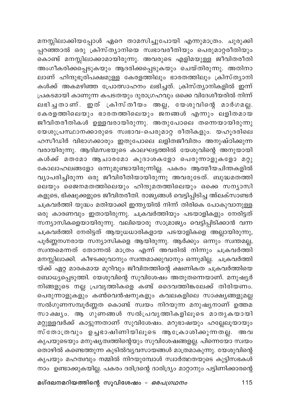മനസ്സിലാക്കിയപ്പോൾ ഏറെ താമസിച്ചുപോയി എന്നുമാത്രം. ചുരുക്കി പ്പറഞ്ഞാൽ ഒരു ക്രിസ്ത്യാനിയെ സ്വഭാവരീതിയും പെരുമാറ്റരീതിയും കൊണ്ട് മനസ്സിലാക്കാമായിരുന്നു. അവരുടെ എളിമയുള്ള ജീവിതരീതി അംഗീകരിക്കപ്പെടുകയും ആദരിക്കപ്പെടുകയും ചെയ്തിരുന്നു. അതിനാ ലാണ് ഹിന്ദുഭൂരിപക്ഷമുള്ള കേരളത്തിലും ഭാരതത്തിലും ക്രിസ്ത്യാനി കൾക്ക് അകമഴിഞ്ഞ പ്രോത്സാഹനം ലഭിച്ചത്. ക്രിസ്ത്യാനികളിൽ ഇന്ന് പ്രകടമായി കാണുന്ന കപടതയും ദുരാഗ്രഹവും ഒക്കെ വിദേശീയരിൽ നിന്ന് ലഭിച്ചതാണ്. ഇത് ക്രിസ്തീയം അല്ല, യേശുവിന്റെ മാർഗമല്ല. കേരളത്തിലെയും ഭാരതത്തിലെയും ജനങ്ങൾ എന്നും ലളിതമായ ജീവിതരീതികൾ ഉള്ളവരായിരുന്നു. അതുപോലെ തന്നെയായിരുന്നു യേശുപ്രസ്ഥാനക്കാരുടെ സ്വഭാവ-പെരുമാറ്റ രീതികളും. യഹൂദരിലെ ഹസീഡിർ വിഭാഗക്കാരും ഇതുപോലെ ലളിതജീവിതം അനുഷ്ഠിക്കുന്ന വരായിരുന്നു. ആദിമസഭയുടെ കാലഘട്ടത്തിൽ യേശുവിന്റെ അനുയായി കൾക്ക് മതമോ ആചാരമോ കുദാശകളോ പെരുന്നാളുകളോ മറ്റു കോലാഹലങ്ങളോ ഒന്നുമുണ്ടായിരുന്നില്ല. പകരം ആത്മീയചിന്തകളിൽ വ്യാപരിച്ചിരുന്ന ഒരു ജീവിരീതിയായിരുന്നു അവരുടേത്. ബുദ്ധമതത്തി ലെയും ജൈനമതത്തിലെയും ഹിന്ദുമതത്തിലെയും ഒക്കെ സന്യാസി കളുടെ, ഭിക്ഷുക്കളുടെ ജീവിതരീതി. രാജ്യങ്ങൾ വെട്ടിപ്പിടിച്ച അ്ലക്സാണ്ടർ ചക്രവർത്തി യുദ്ധം മതിയാക്കി ഇന്ത്യയിൽ നിന്ന് തിരികെ പോകുവാനുള്ള ഒരു കാരണവും ഇതായിരുന്നു. ചക്രവർത്തിയും പടയാളികളും നേരിട്ടത് സന്യാസികളെയായിരുന്നു. വലിയൊരു സാമ്രാജ്യം വെട്ടിപ്പിടിക്കാൻ വന്ന ചക്രവർത്തി നേരിട്ടത് ആയുധധാരികളായ പടയാളികളെ അല്ലായിരുന്നു, പൂർണ്ണനഗ്നരായ സന്യാസികളെ ആയിരുന്നു. ആർക്കും ഒന്നും സ്വന്തമല്ല, സ്വന്തമെന്നത് തോന്നൽ മാത്രം എന്ന് അവരിൽ നിന്നും ചക്രവർത്തി മനസ്സിലാക്കി. കീഴടക്കുവാനും സ്വന്തമാക്കുവാനും ഒന്നുമില്ല. ചക്രവർത്തി യ്ക്ക് ഏറ്റ മാരകമായ മുറിവും ജീവിതത്തിന്റെ ക്ഷണികത ചക്രവർത്തിയെ ബോധ്യപ്പെടുത്തി. യേശുവിന്റെ സുവിശേഷം അതുതന്നെയാണ്. മനുഷ്യർ നിങ്ങളുടെ നല്ല പ്രവൃത്തികളെ കണ്ട് ദൈവത്തിങ്കലേക്ക് തിരിയണം. പെരുന്നാളുകളും കൺവെൻഷനുകളും കവലകളിലെ സാക്ഷ്യങ്ങളുമല്ല സൽഗുണസമ്പൂർണ്ണത കൊണ്ട് സ്വയം നിറയുന്ന മനുഷ്യനാണ് ഉത്തമ സാക്ഷ്യം. ആ ഗുണങ്ങൾ സൽപ്രവൃത്തികളിലൂടെ മാതൃകയായി മറ്റുള്ളവർക്ക് കാട്ടുന്നതാണ് സുവിശേഷം. മറുഭാഷയും ഹല്ലേലൂയായൂം സ്തോത്രവും ഉച്ചഭാഷിണിയിലൂടെ ആക്രോശിക്കുന്നതല്ല. അവ കൃപയുടെയും മനുഷ്യത്വത്തിന്റെയും സുവിശേഷങ്ങളല്ല. പിന്നെയോ സ്വയം തൊഴിൽ കണ്ടെത്തുന്ന കുടിൽവ്യവസായങ്ങൾ മാത്രമാകുന്നു. യേശുവിന്റെ കൃപയും മഹത്വവും നമ്മിൽ നിറയുമ്പോൾ സ്വാർത്ഥതയുടെ കുട്ടിസഭകൾ നാം ഉണ്ടാക്കുകയില്ല. പകരം ദരിദ്രന്റെ ദാരിദ്ര്യം മാറ്റാനും പട്ടിണിക്കാരന്റെ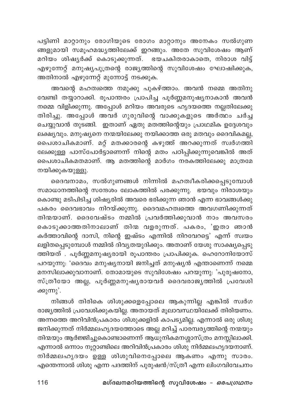പട്ടിണി മാറ്റാനും രോഗിയുടെ രോഗം മാറ്റാനും അനേകം സൽഗുണ ങ്ങളുമായി സമൂഹമദ്ധ്യത്തിലേക്ക് ഇറങ്ങും. അതേ സുവിശേഷം ആണ് മറിയം ശിഷ്യർക്ക് കൊടുക്കുന്നത്. ഭയചകിതരാകാതെ, നിരാശ വിട്ട് എഴുന്നേറ്റ് മനുഷ്യപുത്രന്റെ രാജ്യത്തിന്റെ സുവിശേഷം ഘോഷിക്കുക, അതിനാൽ എഴുന്നേറ്റ് മുന്നോട്ട് നടക്കുക.

അവന്റെ മഹത്വത്തെ നമുക്കു പുകഴ്ത്താം. അവൻ നമ്മെ അതിനു വേണ്ടി തയ്യാറാക്കി. രൂപാന്തരം പ്രാപിച്ച പൂർണ്ണമനുഷ്യനാകാൻ അവൻ നമ്മെ വിളിക്കുന്നു. അപ്പോൾ മറിയം അവരുടെ ഹൃദയത്തെ നല്ലതിലേക്കു തിരിച്ചു. അപ്പോൾ അവർ ഗുരുവിന്റെ വാക്കുകളുടെ അർത്ഥം ചർച്ച ചെയ്യുവാൻ തുടങ്ങി. ഇതാണ് ഏതു മതത്തിന്റെയും പ്രാഥമിക ഉദ്ദേശവും .<br>ലക്ഷ്യവും. മനുഷ്യനെ നന്മയിലേക്കു നയിക്കാത്ത ഒരു മതവും ദൈവികമല്ല, പൈശാചികമാണ്. മറ്റ് മതക്കാരന്റെ കഴുത്ത് അറക്കുന്നത് സ്വർഗത്തി ലേക്കുള്ള പാസ്പോർട്ടാണെന്ന് നിന്റെ മതം പഠിപ്പിക്കുന്നുവെങ്കിൽ അത് പൈശാചികമതമാണ്. ആ മതത്തിന്റെ മാർഗം നരകത്തിലേക്കു മാത്രമേ നയിക്കുകയുള്ളു.

ദൈവനാമം, സൽഗുണങ്ങൾ നിന്നിൽ മഹത്വീകരിക്കപ്പെടുമ്പോൾ സമാധാനത്തിന്റെ സന്ദേശം ലോകത്തിൽ പരക്കുന്നു. ഭയവും നിരാശയും കൊണ്ടു മടിപിടിച്ച ശിഷ്യരിൽ അവരെ ഭരിക്കുന്ന ഞാൻ എന്ന ഭാവങ്ങൾക്കു പകരം ദൈവഭാവം നിറയ്ക്കുന്നു. ദൈവമഹത്വത്തെ അവഗണിക്കുന്നത് തിന്മയാണ്. ദൈവേഷ്ടം നമ്മിൽ പ്രവർത്തിക്കുവാൻ നാം അവസരം കൊടുക്കാത്തതിനാലാണ് തിന്മ വളരുന്നത്. പകരം, 'ഇതാ ഞാൻ കർത്താവിന്റെ ദാസി, നിന്റെ ഇഷ്ടം എന്നിൽ നിറവേറട്ടെ' എന്ന് സ്വയം ലളിതപ്പെടുമ്പോൾ നമ്മിൽ ദിവൃതയുദിക്കും. അതാണ് യേശു സാക്ഷ്യപ്പെടു ത്തിയത് . പൂർണ്ണമനുഷ്യരായി രൂപാന്തരം പ്രാപിക്കുക. ഹെറോനിയോസ് പറയുന്നു: 'ദൈവം മനുഷ്യനായി ജനിച്ചത് മനുഷ്യൻ എന്താണെന്ന് നമ്മെ മനസിലാക്കുവാനാണ്. തോമായുടെ സുവിശേഷം പറയുന്നു: 'പുരുഷനോ, സ്ത്രീയോ അല്ല, പൂർണ്ണമനുഷ്യരായവർ ദൈവരാജ്യത്തിൽ പ്രവേശി ക്കുന്നു'.

നിങ്ങൾ തിരികെ ശിശുക്കളെപ്പോലെ ആകുന്നില്ല എങ്കിൽ സ്വർഗ രാജ്യത്തിൽ പ്രവേശിക്കുകയില്ല. അതായത് മൂലാവസ്ഥയിലേക്ക് തിരിയണം. അന്നത്തെ അറിവിൻപ്രകാരം ശിശുക്കളിൽ കാപട്യമില്ല. എന്നാൽ ഒരു ശിശു ജനിക്കുന്നത് നിർമ്മലഹൃദയത്തോടെ അല്ല മറിച്ച് പാരമ്പര്യത്തിന്റെ നന്മയും തിന്മയും ആർജ്ജിച്ചുകൊണ്ടാണെന്ന് ആധുനികമനശ്ശാസ്ത്രം മനസ്സിലാക്കി. എന്നാൽ ഒന്നാം നൂറ്റാണ്ടിലെ അറിവിൻപ്രകാരം ശിശു നിർമ്മലഹൃദയനാണ്. നിർമ്മലഹൃദയം ഉള്ള ശിശുവിനെപ്പോലെ ആകണം എന്നു സാരം. എന്തെന്നാൽ ശിശു എന്ന പദത്തിന് പുരുഷൻ/സ്ത്രീ എന്ന ലിംഗവിവേചനം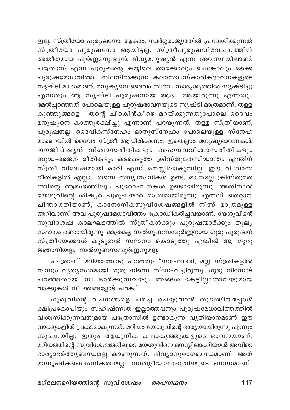ഇല്ല. സ്ത്രീയോ പുരുഷനോ ആകാം. സ്വർഗ്ഗരാജ്യത്തിൽ പ്രവേശിക്കുന്നത് സ്തീയോ പുരുഷനോ ആയിട്ടല്ല. സ്ത്രീപുരുഷവിവേചനത്തിന് അതീതമായ പൂർണ്ണമനുഷ്യൻ, ദിവ്യമനുഷ്യൻ എന്ന അവസ്ഥയിലാണ്. പത്രോസ് എന്ന പുരുഷന്റെ കയ്യിലെ താക്കോലും ചെങ്കോലും ഒക്കെ പുരുഷമേധാവിത്തം നിലനിൽക്കുന്ന കലാസാംസ്കാരികഭാവനകളുടെ സൃഷ്ടി മാത്രമാണ്. മനുഷ്യനെ ദൈവം സ്വന്തം സാദൃശ്യത്തിൽ സൃഷ്ടിച്ചു എന്നതും ആ സൃഷ്ടി പുരുഷനായ ആദം ആയിരുന്നു എന്നതും മേൽപ്പറഞ്ഞത് പോലെയുള്ള പുരുഷഭാവനയുടെ സൃഷ്ടി മാത്രമാണ്. തള്ള കുഞ്ഞുങ്ങളെ തന്റെ ചിറകിൻകീഴെ മറയ്ക്കുന്നതുപോലെ ദൈവം മനുഷ്യനെ കാത്തുരക്ഷിച്ചു എന്നാണ് പറയുന്നത്. തള്ള സ്ത്രീയാണ്, പുരുഷനല്ല. ദൈവികസ്നേഹം മാതൃസ്നേഹം പോലെയുള്ള സ്നേഹ മാണെങ്കിൽ ദൈവം സ്ത്രീ ആയിരിക്കണം. ഇതെല്ലാം മനുഷ്യഭാവനകൾ. ഈ ജിപ്ഷൃൻ വിശ്വാസരീതികളും ഹൈന്ദവവിശ്വാസരീതികളും .<br>ബുദ്ധ-ജൈന രീതികളും കടമെടുത്ത ക്രിസ്തുമതസിദ്ധാന്തം എന്തിന് സ്തീ വിദേഷമായി മാറി എന്ന മനസ്സിലാകുന്നില്ല. ഈ വിശ്വാസ രീതികളിൽ എല്ലാം തന്നെ സന്യാസിനികൾ ഉണ്ട്. മാത്രമല്ല ക്രിസ്തുമത ത്തിന്റെ ആരംഭത്തിലും പുരോഹിതകൾ ഉണ്ടായിരുന്നു. അതിനാൽ യേശുവിന്റെ ശിഷ്യർ പുരുഷന്മാർ മാത്രമായിരുന്നു എന്നത് തെറ്റായ ചിന്താഗതിയാണ്, കാനോനികസുവിശേഷങ്ങളിൽ നിന്ന് മാത്രമുള്ള അറിവാണ്. അവ പുരുഷമേധാവിത്തം ക്രോഡീകരിച്ചവയാണ്. യേശുവിന്റെ സുവിശേഷ കാലഘട്ടത്തിൽ സ്ത്രീകൾക്കും പുരുഷന്മാർക്കും തുല<mark>്യ</mark> സ്ഥാനം ഉണ്ടായിരുന്നു. മാത്രമല്ല സൽഗുണസമ്പൂർണ്ണനായ ഗുരു പുരുഷന് സ്ത്രീയേക്കാൾ കൂടുതൽ സ്ഥാനം കൊടുത്തു എങ്കിൽ ആ ഗുരു ജ്ഞാനിയല്ല, സൽഗുണസമ്പൂർണ്ണനുമല്ല.

പത്രോസ് മറിയത്തോടു പറഞ്ഞു: "സഹോദരി, മറ്റു സ്ത്രീകളിൽ നിന്നും വൃതൃസ്തമായി ഗുരു നിന്നെ സ്നേഹിച്ചിരുന്നു. ഗുരു നിന്നോട് പറഞ്ഞതായി നീ ഓർക്കുന്നവയും ഞങ്ങൾ കേട്ടില്ലാത്തവയുമായ വാക്കുകൾ നീ ഞങ്ങളോട് പറക."

ഗുരുവിന്റെ വചനങ്ങളെ ചർച്ച ചെയ്യുവാൻ തുടങ്ങിയപ്പോൾ ക്ഷിപ്രകോപിയും സഹിഷ്ണുത ഇല്ലാത്തവനും പുരുഷമേധാവിത്തത്തിൽ വിശ്വസിക്കുന്നവനുമായ പത്രോസിൽ ഉണ്ടാകുന്ന വൃതിയാനമാണ് ഈ വാക്കുകളിൽ പ്രകടമാകുന്നത്. മറിയം യേശുവിന്റെ ഭാര്യയായിരുന്നു എന്നും സൂചനയില്ല. ഇതും ആധുനിക കഥാകൃത്തുക്കളുടെ ഭാവനയാണ്. മറിയത്തിന്റെ സുവിശേഷത്തിലൂടെ യേശുവിനെ മനസ്സിലാക്കിയാൽ അവിടെ ഭാര്യാഭർത്തൃബന്ധമല്ല കാണുന്നത്. ദിവ്യാനുരാഗബന്ധമാണ്. അത് മാനുഷികലൈംഗികതയല്ല, സ്വർഗ്ഗീയാനുഭൂതിയുടെ ബന്ധമാണ്.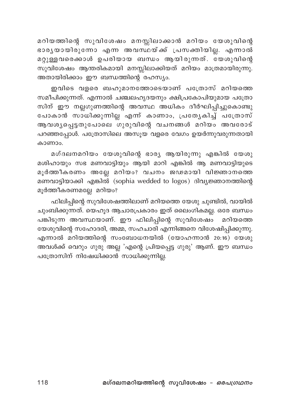മറിയത്തിന്റെ സുവിശേഷം മനസ്സിലാക്കാൻ മറിയം യേശുവിന്റെ ഭാരൃയായിരുന്നോ എന്ന അവസ്ഥയ്ക്ക് പ്രസക്തിയില്ല. എന്നാൽ മറ്റുള്ളവരെക്കാൾ ഉപരിയായ ബന്ധം ആയിരുന്നത്. യേശുവിന്റെ സുവിശേഷം ആന്തരികമായി മനസ്സിലാക്കിയത് മറിയം മാത്രമായിരുന്നു. അതായിരിക്കാം ഈ ബന്ധത്തിന്റെ രഹസ്യം.

ഇവിടെ വളരെ ബഹുമാനത്തോടെയാണ് പത്രോസ് മറിയത്തെ സമീപിക്കുന്നത്. എന്നാൽ ചഞ്ചലഹൃദയനും ക്ഷിപ്രകോപിയുമായ പത്രോ സിന് ഈ നല്ലഗുണത്തിന്റെ അവസ്ഥ അധികം ദീർഘിപ്പിച്ചുകൊണ്ടു പോകാൻ സാധിക്കുന്നില്ല എന്ന് കാണാം, പ്രത്യേകിച്ച് പത്രോസ് ആവശ്യപ്പെട്ടതുപോലെ ഗുരുവിന്റെ വചനങ്ങൾ മറിയം അവരോട<mark>്</mark> പറഞ്ഞപ്പോൾ. പത്രോസിലെ അസുയ വളരെ വേഗം ഉയർന്നുവരുന്നതായി കാണാം.

മഗ്ദലനമറിയം യേശുവിന്റെ ഭാര്യ ആയിരുന്നു എങ്കിൽ യേശു മശിഹായും സഭ മണവാട്ടിയും ആയി മാറി എങ്കിൽ ആ മണവാട്ടിയുടെ മൂർത്തീകരണം അല്ലേ മറിയം? വചനം ജഢമായി വിജ്ഞാനത്തെ മണവാട്ടിയാക്കി എങ്കിൽ (sophia wedded to logos) ദിവ്യജ്ഞാനത്തിന്റെ മൂർത്തീകരണമല്ലേ മറിയം?

ഫിലിപ്പിന്റെ സുവിശേഷത്തിലാണ് മറിയത്തെ യേശു ചുണ്ടിൽ, വായിൽ ചുംബിക്കുന്നത്. യെഹൂദ ആചാരപ്രകാരം ഇത് ലൈംഗികമല്ല. ഒരേ ബന്ധം പങ്കിടുന്ന അവസ്ഥയാണ്. ഈ ഫിലിപ്പിന്റെ സുവിശേഷം മറിയത്തെ യേശുവിന്റെ സഹോദരി, അമ്മ, സഹചാരി എന്നിങ്ങനെ വിശേഷിപ്പിക്കുന്നു. എന്നാൽ മറിയത്തിന്റെ സംബോധനയിൽ (യോഹന്നാൻ 20:16) യേശു അവൾക്ക് വെറും ഗുരു അല്ല 'എന്റെ പ്രിയപ്പെട്ട ഗുരു' ആണ്. ഈ ബന്ധം പത്രോസിന് നിഷേധിക്കാൻ സാധിക്കുന്നില്ല.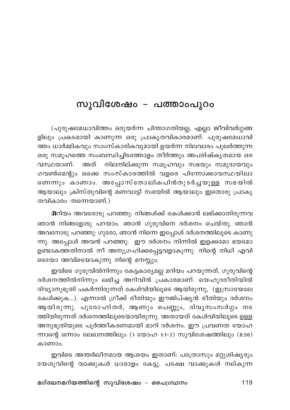## സുവിശേഷം – പത്താംപൂറം

(പുരുഷമേധാവിത്തം ഒരുയർന്ന ചിന്താഗതിയല്ല, എല്ലാ ജീവിവർഗ്ഗങ്ങ ളിലും പ്രകടമായി കാണുന്ന ഒരു പ്രാകൃതവികാരമാണ്. പുരുഷമേധാവി ത്തം ധാർമ്മികവും സാംസ്കാരികവുമായി ഉയർന്ന നിലവാരം പുലർത്തുന്ന ഒരു സമൂഹത്തെ സംബന്ധിച്ചിടത്തോളം തീർത്തും അപരിഷ്കൃതമായ ഒര നിലനില്ക്കുന്ന സമൂഹവും സഭയും സമുദായവും വസ്ഥയാണ്. അത് ഗവൺമെന്റും ഒക്കെ സംസ്കാരത്തിൽ വളരെ പിന്നോക്കാവസ്ഥയിലാ ണെന്നും കാണാം. അപ്പോസ്തോലികപിൻതുടർച്ചയുള്ള സഭയിൽ ആയാലും ക്രിസ്തുവിന്റെ മണവാട്ടി സഭയിൽ ആയാലും ഇതൊരു പ്രാകൃ തവികാരം തന്നെയാണ്.)

മറിയം അവരോടു പറഞ്ഞു: നിങ്ങൾക്ക് കേൾക്കാൻ ലഭിക്കാതിരുന്നവ ഞാൻ നിങ്ങളോടു പറയാം. ഞാൻ ഗുരുവിനെ ദർശനം ചെയ്തു. ഞാൻ അവനോടു പറഞ്ഞു: ഗുരോ, ഞാൻ നിന്നെ ഇപ്പോൾ ദർശനത്തിലൂടെ കാണു ന്നു. അപ്പോൾ അവൻ പറഞ്ഞു: ഈ ദർശനം നിന്നിൽ ഇളക്കമോ ഭയമോ ഉണ്ടാകത്തതിനാൽ നീ അനുഗ്രഹിക്കപ്പെട്ടവളാകുന്നു. നിന്റെ നിധി എവി ടെയോ അവിടെയാകുന്നു നിന്റെ മനസ്സും.

ഇവിടെ ഗുരുവിൽനിന്നും കേട്ടകാര്യമല്ല മറിയം പറയുന്നത്, ഗുരുവിന്റെ ദർശനത്തിൽനിന്നും ലഭിച്ച അറിവിൻ പ്രകാരമാണ്. യെഹുദരീതിയിൽ ദിവ്യാനുഭൂതി പകർന്നിരുന്നത് കേൾവിയിലൂടെ ആയിരുന്നു, (ഇസ്രായേലേ കേൾക്കുക…). എന്നാൽ ഗ്രീക്ക് രീതിയും ഈജിപ്ഷ്യൻ രീതിയും ദർശനം ആയിരുന്നു. പുരോഹിതർ, ആണും പെണ്ണും, ദിവൃസംസർഗ്ഗം നട ത്തിയിരുന്നത് ദർശനത്തിലൂടെയായിരുന്നു. അതായത് കേൾവിയിലൂടെ ഉള്ള അനുഭൂതിയുടെ പൂർത്തീകരണമായി മാറി ദർശനം. ഈ പ്രവണത യോഹ ന്നാന്റെ ഒന്നാം ലേഖനത്തിലും (1 യോഹ 1:1-2) സുവിശേഷത്തിലും (8:56) കാണാം.

ഇവിടെ അന്തർലീനമായ ആശയം ഇതാണ്: പത്രോസും മറ്റുശിഷ്യരും യേശുവിന്റെ വാക്കുകൾ ധാരാളം കേട്ടു. പക്ഷേ വാക്കുകൾ നല്കുന്ന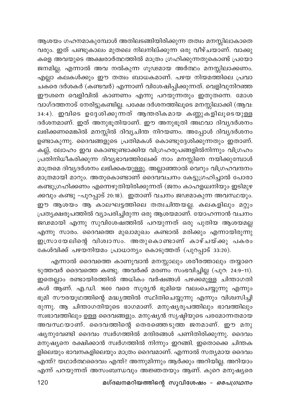ആശയം ഗഹനമാകുമ്പോൾ അതിലടങ്ങിയിരിക്കുന്ന തത്വം മനസ്സിലാകാതെ വരും. ഇത് പണ്ടുകാലം മുതലെ നിലനില്ക്കുന്ന ഒരു വീഴ്ചയാണ്. വാക്കു .<br>കളെ അവയുടെ അക്ഷരാർത്ഥത്തിൽ മാത്രം ഗ്രഹിക്കുന്നതുകൊണ്ട് പ്രയോ ജനമില്ല. എന്നാൽ അവ നൽകുന്ന ഗൂഢമായ അർത്ഥം മനസ്സിലാക്കണം. എല്ലാ കലകൾക്കും ഈ തത്വം ബാധകമാണ്. പഴയ നിയമത്തിലെ പ്രവാ ചകരെ ദർശകർ (കണ്ടവർ) എന്നാണ് വിശേഷിപ്പിക്കുന്നത്. വെളിവുനിറഞ്ഞ ഈശനെ വെളിവിൽ കാണണം എന്നു പറയുന്നതും ഇതുതന്നെ. മോശ വാഗ്ദത്തനാട് നേരിട്ടുകണ്ടില്ല. പക്ഷേ ദർശനത്തിലൂടെ മനസ്സിലാക്കി (ആവ: .<br>34:4). ഇവിടെ ഉദ്ദേശിക്കുന്നത് ആന്തരികമായ കണ്ണുകളിലൂടെയുള്ള ദർശനമാണ്. ഇത് അനുഭൂതിയാണ്. ഈ അനുഭൂതി അഥവാ ദിവ്യദർശനം ലഭിക്കണമെങ്കിൽ മനസ്സിൽ ദിവ്യചിന്ത നിറയണം. അപ്പോൾ ദിവ്യദർശനം .<br>ഉണ്ടാകുന്നു. ദൈവങ്ങളുടെ പ്രതിമകൾ കൊണ്ടുദ്ദേശിക്കുന്നതും ഇതാണ്. കല്ല്, ലോഹം ഇവ കൊണ്ടുണ്ടാക്കിയ വിഗ്രഹരൂപങ്ങളിൽനിന്നും വിഗ്രഹം പ്രതിനിധീകരിക്കുന്ന ദിവ്യഭാവത്തിലേക്ക് നാം മനസ്സിനെ നയിക്കുമ്പോൾ മാത്രമെ ദിവ്യദർശനം ലഭിക്കകയുള്ളു. അല്ലാഞ്ഞാൽ വെറും വിഗ്രഹവന്ദനം മാത്രമായി മാറും. അതുകൊണ്ടാണ് ദൈവവചനം കേട്ടുഗ്രഹിച്ചാൽ പോരാ കണ്ടുഗ്രഹിക്കണം എന്നെഴുതിയിരിക്കുന്നത് (ജനം കാഹളധ്വനിയും ഇടിമുഴ ക്കവും കണ്ടു -പുറപ്പാട് 20:18). ഇതാണ് വചനം ജഢമാകുന്ന അവസ്ഥയും. ഈ ആശയം ആ കാലഘട്ടത്തിലെ തത്വചിന്തയല്ല. കലകളിലും മറ്റും പ്രത്യക്ഷരൂപത്തിൽ വ്യാപരിച്ചിരുന്ന ഒരു ആശയമാണ്. യോഹന്നാൻ വചനം ജഢമായി എന്നു സുവിശേഷത്തിൽ പറയുന്നത് ഒരു പുതിയ ആശയമല്ല എന്നു സാരം. ദൈവത്തെ മുഖാമുഖം കണ്ടാൽ മരിക്കും എന്നായിരുന്നു ഇസ്രായേലിന്റെ വിശ്വാസം. അതുകൊണ്ടാണ് കാഴ്ചയ്ക്കു പകരം കേൾവിക്ക് പഴയനിയമം പ്രാധാന്യം കൊടുത്തത് (പുറപ്പാട് 33:20).

എന്നാൽ ദൈവത്തെ കാണുവാൻ മനസ്സാലും ശരീരത്താലും തയ്യാറെ ടുത്തവർ ദൈവത്തെ കണ്ടു. അവർക്ക് മരണം സംഭവിച്ചില്ല (പുറ: 24:9-11). ഇതെല്ലാം രണ്ടായിരത്തിൽ അധികം വർഷങ്ങൾ പഴക്കമുള്ള ചിന്താഗതി കൾ ആണ്. എ.ഡി. 1600 വരെ സൂര്യൻ ഭൂമിയെ വലംചെയ്യുന്നു എന്നും ഭൂമി സൗരയൂഥത്തിന്റെ മദ്ധ്യത്തിൽ സ്ഥിതിചെയ്യുന്നു എന്നും വിശ്വസിച്ചി രുന്നു. ആ ചിന്താഗതിയുടെ ഭാഗമാണ്. മനുഷ്യരൂപത്തിലും ഭാവത്തിലും സ്വഭാവത്തിലും ഉള്ള ദൈവങ്ങളും. മനുഷ്യൻ സൃഷ്ടിയുടെ പരമോന്നതമായ അവസ്ഥയാണ്. ദൈവത്തിന്റെ തെരഞ്ഞെടുത്ത ജനമാണ്. ഈ മനു ഷ്യനുവേണ്ടി ദൈവം സ്വർഗത്തിൽ മന്ദിരങ്ങൾ പണിതിരിക്കുന്നു. ദൈവം മനുഷ്യനെ രക്ഷിക്കാൻ സ്വർഗത്തിൽ നിന്നും ഇറങ്ങി. ഇതൊക്കെ ചിന്തക ളിലെയും ഭാവനകളിലെയും മാത്രം ദൈവമാണ്. എന്നാൽ സത്യമായ ദൈവം എന്ത്? യഥാർത്ഥദൈവം എന്ത്? അന്നുമിന്നും ആർക്കും അറിയില്ല. അറിയാം എന്ന് പറയുന്നത് അസംബന്ധവും അജ്ഞതയും ആണ്. കുറെ മനുഷ്യരെ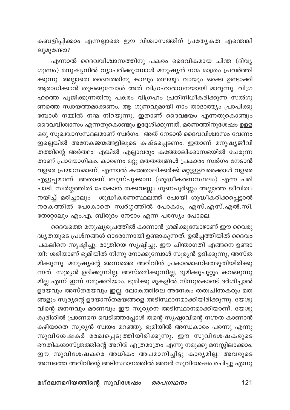കബളിപ്പിക്കാം എന്നല്ലാതെ ഈ വിശ്വാസത്തിന് പ്രത്യേകത എന്തെങ്കി ലുമുണ്ടോ?

എന്നാൽ ദൈവവിശ്വാസത്തിനു പകരം ദൈവികമായ ചിന്ത (ദിവ്യ ഗുണം) മനുഷ്യനിൽ വ്യാപരിക്കുമ്പോൾ മനുഷ്യൻ നന്മ മാത്രം പ്രവർത്തി ക്കുന്നു. അല്ലാതെ ദൈവത്തിനു കാലും തലയും വായും ഒക്കെ ഉണ്ടാക്കി ആരാധിക്കാൻ തുടങ്ങുമ്പോൾ അത് വിഗ്രഹാരാധനയായി മാറുന്നു. വിഗ്ര ഹത്തെ പൂജിക്കുന്നതിനു പകരം വിഗ്രഹം പ്രതിനിധീകരിക്കുന്ന സൽഗു ണത്തെ സ്വായത്തമാക്കണം. ആ ഗുണവുമായി നാം താദാത്മ്യം പ്രാപിക്കു മ്പോൾ നമ്മിൽ നന്മ നിറയുന്നു. ഇതാണ് ദൈവഭയം എന്നതുകൊണ്ടും ദൈവവിശ്വാസം എന്നതുകൊണ്ടും ഉദ്ദേശിക്കുന്നത്. മരണത്തിനുശേഷം ഉള്ള ഒരു സുഖവാസസ്ഥലമാണ് സ്വർഗം. അത് നേടാൻ ദൈവവിശ്വാസം വേണം ഇല്ലെങ്കിൽ അനേകജന്മങ്ങളിലൂടെ കഷ്ടപ്പെടണം. ഇതാണ് മനുഷ്യജീവി തത്തിന്റെ അർത്ഥം എങ്കിൽ എല്ലാവരും കത്തോലിക്കാസഭയിൽ ചേരുന്ന താണ് പ്രായോഗികം. കാരണം മറ്റു മതതത്വങ്ങൾ പ്രകാരം സ്വർഗം നേടാൻ വളരെ പ്രയാസമാണ്. എന്നാൽ കത്തോലിക്കർക്ക് മറ്റുള്ളവരെക്കാൾ വളരെ എളുപ്പമാണ്. അതാണ് ബുസ്പുക്കാന (ശുദ്ധീകരണസ്ഥലം) എന്ന പരി പാടി. സ്വർഗ്ഗത്തിൽ പോകാൻ തക്കവണ്ണം ഗുണപൂർണ്ണം അല്ലാത്ത ജീവിതം .<br>നയിച്ച് മരിച്ചാലും ശുദ്ധീകരണസ്ഥലത്ത് പോയി ശുദ്ധീകരിക്കപ്പെട്ടാൽ നരകത്തിൽ പോകാതെ സ്വർഗ്ഗത്തിൽ പോകാം, എസ്.എസ്.എൽ.സി. തോറ്റാലും എം.എ. ബിരുദം നേടാം എന്ന പരസ്യം പോലെ.

ദൈവത്തെ മനുഷ്യരൂപത്തിൽ കാണാൻ ശ്രമിക്കുമ്പോഴാണ് ഈ വൈരു ദ്ധ്യതയുടെ പ്രശ്നങ്ങൾ ഓരോന്നായി ഉണ്ടാകുന്നത്. ഉൽപ്പത്തിയിൽ ദൈവം പകലിനെ സൃഷ്ടിച്ചു. രാത്രിയെ സൃഷ്ടിച്ചു. ഈ ചിന്താഗതി എങ്ങനെ ഉണ്ടാ യി? ശരിയാണ് ഭൂമിയിൽ നിന്നു നോക്കുമ്പോൾ സൂര്യൻ ഉദിക്കുന്നു, അസ്ത മിക്കുന്നു. മനുഷ്യന്റെ അന്നത്തെ അറിവിൻ പ്രകാരമാണിതെഴുതിയിരിക്കു ന്നത്. സൂര്യൻ ഉദിക്കുന്നില്ല, അസ്തമിക്കുന്നില്ല, ഭൂമിക്കുചുറ്റും കറങ്ങുന്നു മില്ല എന്ന് ഇന്ന് നമുക്കറിയാം. ഭൂമിക്കു മുകളിൽ നിന്നുകൊണ്ട് ദർശിച്ചാൽ ഉദയവും അസ്തമയവും ഇല്ല. ലോകത്തിലെ അനേകം തത്വചിന്തകരും മത ങ്ങളും സൂര്യന്റെ ഉദയാസ്തമയങ്ങളെ അടിസ്ഥാനമാക്കിയിരിക്കുന്നു. യേശു വിന്റെ ജനനവും മരണവും ഈ സൂര്യനെ അടിസ്ഥാനമാക്കിയാണ്. യേശു കുരിശിൽ പ്രാണനെ വെടിഞ്ഞപ്പോൾ തന്റെ സൃഷ്ടാവിന്റെ നഗ്നത കാണാൻ കഴിയാതെ സൂര്യൻ സ്വയം മറഞ്ഞു, ഭൂമിയിൽ അന്ധകാരം പരന്നു എന്നു സുവിശേഷകർ രേഖപ്പെടുത്തിയിരിക്കുന്നു. ഈ സുവിശേഷകരുടെ ഭൗതികശാസ്ത്രത്തിന്റെ അറിവ് എത്രമാത്രം എന്നു നമുക്കു മനസ്സിലാക്കാം. ഈ സുവിശേഷകരെ അധികം അപമാനിച്ചിട്ടു കാര്യമില്ല. അവരുടെ അന്നത്തെ അറിവിന്റെ അടിസ്ഥാനത്തിൽ അവർ സുവിശേഷം രചിച്ചു എന്നു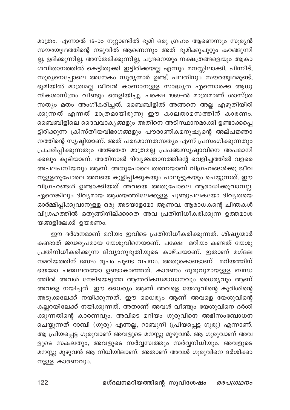മാത്രം. എന്നാൽ 16-ാം നൂറ്റാണ്ടിൽ ഭൂമി ഒരു ഗ്രഹം ആണെന്നും സൂര്യൻ സൗരയൂഥത്തിന്റെ നടുവിൽ ആണെന്നും അത് ഭൂമിക്കുചുറ്റും കറങ്ങുന്നി ല്ല, ഉദിക്കുന്നില്ല, അസ്തമിക്കുന്നില്ല, ചന്ദ്രനെയും നക്ഷത്രങ്ങളെയും ആകാ .<br>ശവിതാനത്തിൽ കെട്ടിതൂക്കി ഇട്ടിരിക്കയല്ല എന്നും മനസ്സിലാക്കി. പിന്നീട്, സൂര്യനെപ്പോലെ അനേകം സൂര്യന്മാർ ഉണ്ട്, പലതിനും സൗരയുഥമുണ്ട്, ഭൂമിയിൽ മാത്രമല്ല ജീവൻ കാണാനുള്ള സാദ്ധ്യത എന്നൊക്കെ ആധു നികശാസ്ത്രം വീണ്ടും തെളിയിച്ചു. പക്ഷെ 1969-ൽ മാത്രമാണ് ശാസ്ത്ര സത്യം മതം അംഗീകരിച്ചത്. ബൈബിളിൽ അങ്ങനെ അല്ല എഴുതിയിരി ക്കുന്നത് എന്നത് മാത്രമായിരുന്നു ഈ കാലതാമസത്തിന് കാരണ<mark>ം</mark>. ബൈബിളിലെ ദൈവവാകൃങ്ങളും അതിനെ അടിസ്ഥാനമാക്കി ഉണ്ടാക്കപ്പെ ട്ടിരിക്കുന്ന ക്രിസ്തീയവിഭാഗങ്ങളും പൗരാണികമനുഷ്യന്റെ അല്പജ്ഞാ നത്തിന്റെ സൃഷ്ടിയാണ്. അത് പരമോന്നതസത്യം എന്ന് പ്രസംഗിക്കുന്നതും പ്രചരിപ്പിക്കുന്നതും അജ്ഞത മാത്രമല്ല പ്രപഞ്ചസൃഷ്ടാവിനെ അപമാനി ക്കലും കൂടിയാണ്. അതിനാൽ ദിവ്യജ്ഞാനത്തിന്റെ വെളിച്ചത്തിൽ വളരെ അപലപനീയവും ആണ്. അതുപോലെ തന്നെയാണ് വിഗ്രഹങ്ങൾക്കു ജീവ നുള്ളതുപോലെ അവയെ കുളിപ്പിക്കുകയും പാലൂട്ടുകയും ചെയ്യുന്നത്. ഈ വിഗ്രഹങ്ങൾ ഉണ്ടാക്കിയത് അവയെ അതുപോലെ ആരാധിക്കുവാനല്ല. ഏതെങ്കിലും ദിവ്യമായ ആശയത്തിലേക്കുള്ള ചൂണ്ടുപലകയോ ദിവ്യതയെ ഓർമ്മിപ്പിക്കുവാനുള്ള ഒരു അടയാളമോ ആണവ. ആരാധകന്റെ ചിന്തകൾ വിഗ്രഹത്തിൽ ഒതുങ്ങിനില്ക്കാതെ അവ പ്രതിനിധീകരിക്കുന്ന ഉത്തമാശ യങ്ങളിലേക്ക് ഉയരണം.

ഈ ദർശനമാണ് മറിയം ഇവിടെ പ്രതിനിധീകരിക്കുന്നത്. ശിഷ്യന്മാർ കണ്ടാത് ജഢരൂപമായ യേശുവിനെയാണ്. പക്ഷേ മറിയം കണ്ടത് യേശു പ്രതിനിധീകരിക്കുന്ന ദിവ്യാനുഭൂതിയുടെ കാഴ്ചയാണ്. ഇതാണ് മഗ്ദല നമറിയത്തിന് ജഢം രൂപം പൂണ്ട വചനം. അതുകൊണ്ടാണ് മറിയത്തിന് ഭയമോ ചഞ്ചലതയോ ഉണ്ടാകാഞ്ഞത്. കാരണം ഗുരുവുമായുള്ള ബന്ധ ത്തിൽ അവൾ നേടിയെടുത്ത ആന്തരികസമാധാനവും ധൈര്യവും ആണ് അവളെ നയിച്ചത്. ഈ ധൈര്യം ആണ് അവളെ യേശുവിന്റെ കുരിശിന്റെ അടുക്കലേക്ക് നയിക്കുന്നത്. ഈ ധൈര്യം ആണ് അവളെ യേശുവിന്റെ കല്ലറയിലേക്ക് നയിക്കുന്നത്. അതാണ് അവൾ വീണ്ടും യേശുവിനെ ദർശി .<br>ക്കുന്നതിന്റെ കാരണവും. അവിടെ മറിയം ഗുരുവിനെ അഭിസംബോധന ചെയ്യുന്നത് റാബി (ഗുരു) എന്നല്ല, റാബുനി (പ്രിയപ്പെട്ട ഗുരു) എന്നാണ്. ആ പ്രിയപ്പെട്ട ഗുരുവാണ് അവളുടെ മനസ്സു മുഴുവൻ. ആ ഗുരുവാണ് അവ ളുടെ സകലതും, അവളുടെ സർവ്വസ്വത്തും സർവ്വനിധിയും. അവളുടെ മനസ്സു മുഴുവൻ ആ നിധിയിലാണ്. അതാണ് അവൾ ഗുരുവിനെ ദർശിക്കാ നുള്ള കാരണവും.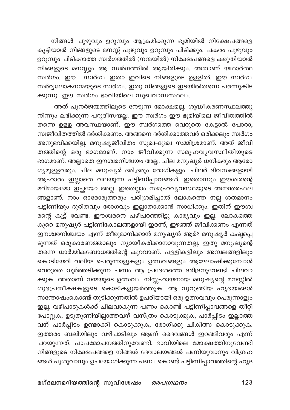നിങ്ങൾ പുഴുവും ഉറുമ്പും ആക്രമിക്കുന്ന ഭൂമിയിൽ നിക്ഷേപങ്ങളെ കൂട്ടിയാൽ നിങ്ങളുടെ മനസ്സ് പുഴുവും ഉറുമ്പും പിടിക്കും. പകരം പുഴുവും ഉറുമ്പും പിടിക്കാത്ത സ്വർഗത്തിൽ (നന്മയിൽ) നിക്ഷേപങ്ങളെ കരുതിയാൽ നിങ്ങളുടെ മനസ്സും ആ സ്വർഗത്തിൽ ആയിരിക്കും. അതാണ് യഥാർത്ഥ സ്ഥർഗം. ഈ സ്ഥർഗം ഇതാ ഇവിടെ നിങ്ങളുടെ ഉള്ളിൽ. ഈ സ്ഥർഗം സർവ്വലോകനന്മയുടെ സ്വർഗം. ഇതു നിങ്ങളുടെ ഇടയിൽതന്നെ പരന്നുകിട ക്കുന്നു. ഈ സ്വർഗം ഭാവിയിലെ സുഖവാസസ്ഥലം.

അത് പുനർജന്മത്തിലൂടെ നേടുന്ന മോക്ഷമല്ല. ശുദ്ധീകരണസ്ഥലത്തു .<br>നിന്നും ലഭിക്കുന്ന പറുദീസയല്ല. ഈ സ്ഥർഗം ഈ ഭൂമിയിലെ ജീവിതത്തിൽ തന്നെ ഉള്ള അവസ്ഥയാണ്. ഈ സ്വർഗത്തെ വെറുതെ കേട്ടാൽ പോരാ, സ്വജീവിതത്തിൽ ദർശിക്കണം. അങ്ങനെ ദർശിക്കാത്തവർ ഒരിക്കലും സ്വർഗം അനുഭവിക്കയില്ല. മനുഷ്യജീവിതം സുഖ–ദുഃഖ സമ്മിശ്രമാണ്. അത് ജീവി തത്തിന്റെ ഒരു ഭാഗമാണ്. നാം ജീവിക്കുന്ന സമൂഹവ്യവസ്ഥിതിയുടെ ഭാഗമാണ്. അല്ലാതെ ഈശ്വരനിശ്ചയം അല്ല. ചില മനുഷ്യർ ധനികരും ആരോ ഗ്യമുള്ളവരും. ചില മനുഷ്യർ ദരിദ്രരും രോഗികളും. ചിലർ ദിവസങ്ങളായി .<br>ആഹാരം ഇല്ലാതെ വലയുന്ന പട്ടിണിപ്പാവങ്ങൾ. ഇതൊന്നും ഈശ്വരന്റെ മറിമായമോ ഇച്ഛയോ അല്ല. ഇതെല്ലാം സമൂഹവ്യവസ്ഥയുടെ അനന്തരഫല ങ്ങളാണ്. നാം ഓരോരുത്തരും പരിശ്രമിച്ചാൽ ലോകത്തെ നല്ല ശതമാനം പട്ടിണിയും ദുരിതവും രോഗവും ഇല്ലാതാക്കാൻ സാധിക്കും. ഇതിന് ഈശ്വ രന്റെ കൂട്ട് വേണ്ട. ഈശ്വരനെ പഴിപറഞ്ഞിട്ടു കാര്യവും ഇല്ല. ലോകത്തെ .<br>കുറെ മനുഷ്യർ പട്ടിണികോലങ്ങളായി ഇരന്ന്, ഇഴഞ്ഞ് ജീവിക്കണം എന്നത് ഈശ്വരനിശ്ചയം എന്ന് തീരുമാനിക്കാൻ മനുഷ്യൻ ആര്? മനുഷ്യർ കഷ്ടപ്പെ ടുന്നത് ഒരുകാരണത്താലും ന്യായീകരിക്കാനാവുന്നതല്ല. ഇതു മനുഷ്യന്റെ തന്നെ ധാർമ്മികബോധത്തിന്റെ കുറവാണ്. പള്ളികളിലും അമ്പലങ്ങളിലും കൊടിയേറി വലിയ പെരുന്നാളുകളും ഉത്സവങ്ങളും ആഘോഷിക്കുമ്പോൾ വെറുതെ ധൂർത്തടിക്കുന്ന പണം ആ പ്രദേശത്തെ ദരിദ്രനുവേണ്ടി ചിലവാ ക്കുക. അതാണ് നന്മയുടെ ഉത്സവം. നിസ്സഹായനായ മനുഷ്യന്റെ മനസ്സിൽ ശുഭപ്രതീക്ഷകളുടെ കൊടികളുയർത്തുക. ആ നുറുങ്ങിയ ഹൃദയങ്ങൾ സന്തോഷംകൊണ്ട് തുടിക്കുന്നതിൽ ഉപരിയായി ഒരു ഉത്സവവും പെരുന്നാളും ഇല്ല. വഴിപാടുകൾക്ക് ചിലവാകുന്ന പണം കൊണ്ട് പട്ടിണിപ്പാവങ്ങളെ തീറ്റി പോറ്റുക, ഉടുതുണിയില്ലാത്തവന് വസ്ത്രം കൊടുക്കുക, പാർപ്പിടം ഇല്ലാത്ത വന് പാർപ്പിടം ഉണ്ടാക്കി കൊടുക്കുക, രോഗിക്കു ചികിത്സ കൊടുക്കുക. ഇത്തരം ബലിയിലും വഴിപാടിലും ആണ് ദൈവങ്ങൾ ഇറങ്ങിവരും എന്ന് പറയുന്നത്. പാപമോചനത്തിനുവേണ്ടി, ഭാവിയിലെ മോക്ഷത്തിനുവേണ്ടി നിങ്ങളുടെ നിക്ഷേപങ്ങളെ നിങ്ങൾ ദേവാലയങ്ങൾ പണിയുവാനും വിഗ്രഹ ങ്ങൾ പൂശുവാനും ഉപയോഗിക്കുന്ന പണം കൊണ്ട് പട്ടിണിപ്പാവത്തിന്റെ ഹൃദ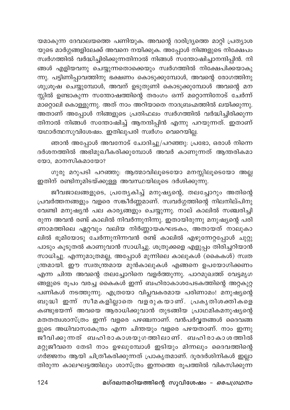യമാകുന്ന ദേവാലയത്തെ പണിയുക. അവന്റെ ദാരിദ്ര്യത്തെ മാറ്റി പ്രത്യാശ യുടെ മാർഗ്ഗങ്ങളിലേക്ക് അവനെ നയിക്കുക. അപ്പോൾ നിങ്ങളുടെ നിക്ഷേപം സ്ഥർഗത്തിൽ വർദ്ധിച്ചിരിക്കുന്നതിനാൽ നിങ്ങൾ സന്തോഷിച്ചാനന്ദിപ്പിൻ. നി .<br>ങ്ങൾ എളിയവനു ചെയ്യുന്നതൊക്കെയും സ്വർഗത്തിൽ നിക്ഷേപിക്കയാകു ന്നു. പട്ടിണിപ്പാവത്തിനു ഭക്ഷണം കൊടുക്കുമ്പോൾ, അവന്റെ രോഗത്തിനു ശുശൂഷ ചെയ്യുമ്പോൾ, അവന് ഉടുതുണി കൊടുക്കുമ്പോൾ അവന്റെ മന സ്സിൽ ഉണ്ടാകുന്ന സന്തോഷത്തിന്റെ തരംഗം ഒന്ന് മറ്റൊന്നിനോട് ചേർന്ന് .<br>മാറ്റൊലി കൊള്ളുന്നു. അത് നാം അറിയാതെ നാദബ്രഹ്മത്തിൽ ലയിക്കുന്നു. .<br>അതാണ് അപ്പോൾ നിങ്ങളുടെ പ്രതിഫലം സ്ഥർഗത്തിൽ വർദ്ധിച്ചിരിക്കുന്ന തിനാൽ നിങ്ങൾ സന്തോഷിച്ച് ആനന്ദിപ്പിൻ എന്നു പറയുന്നത്. ഇതാണ് യഥാർത്ഥസുവിശേഷം. ഇതിലുപരി സ്വർഗം വെറെയില്ല.

ഞാൻ അപ്പോൾ അവനോട് ചോദിച്ചു/പറഞ്ഞു: പ്രഭോ, ഒരാൾ നിന്നെ ദർശനത്തിൽ അഭിമുഖീകരിക്കുമ്പോൾ അവർ കാണുന്നത് ആന്തരികമാ യോ. മാനസികമായോ?

ഗുരു മറുപടി പറഞ്ഞു: ആത്മാവിലൂടെയോ മനസ്സിലൂടെയോ അല്ല 

ജീവജാലങ്ങളുടെ, പ്രത്യേകിച്ച് മനുഷ്യന്റെ, തലച്ചോറും അതിന്റെ .<br>പ്രവർത്തനങ്ങളും വളരെ സങ്കീർണ്ണമാണ്. സ്വവർഗ്ഗത്തിന്റെ നിലനില്പിനു വേണ്ടി മനുഷ്യൻ പല കാര്യങ്ങളും ചെയ്യുന്നു. നാല് കാലിൽ സഞ്ചരിച്ചി രുന്ന അവൻ രണ്ട് കാലിൽ നിവർന്നുനിന്നു. ഇതായിരുന്നു മനുഷ്യന്റെ പരി ണാമത്തിലെ ഏറ്റവും വലിയ നിർണ്ണായകഘടകം, അതായത് നാലുകാ ലിൽ ഭൂമിയോടു ചേർന്നുനിന്നവൻ രണ്ട് കാലിൽ എഴുന്നേറ്റപ്പോൾ ചുറ്റു പാടും കൂടുതൽ കാണുവാൻ സാധിച്ചു. ശത്രുക്കളെ എളുപ്പം തിരിച്ചറിയാൻ സാധിച്ചു. എന്നുമാത്രമല്ല, അപ്പോൾ മുന്നിലെ കാലുകൾ (കൈകൾ) സ്വത ന്ത്രമായി. ഈ സ്വതന്ത്രമായ മുൻകാലുകൾ എങ്ങനെ ഉപയോഗിക്കണം എന്ന ചിന്ത അവന്റെ തലച്ചോറിനെ വളർത്തുന്നു. പാറമുഖത്ത് വേട്ടമൃഗ ങ്ങളുടെ രൂപം വരച്ച കൈകൾ ഇന്ന് ബഹിരാകാശപേടകത്തിന്റെ അറ്റകുറ്റ പണികൾ നടത്തുന്നു. എത്രയോ വിപ്ലവകരമായ പരിണാമം! മനുഷ്യന്റെ ബുദ്ധി ഇന്ന് സീമകളില്ലാതെ വളരുകയാണ്. പ്രകൃതിശക്തികളെ കണ്ടുഭയന്ന് അവയെ ആരാധിക്കുവാൻ തുടങ്ങിയ പ്രാഥമികമനുഷ്യന്റെ മതതത്വശാസ്ത്രം ഇന്ന് വളരെ പഴഞ്ചനാണ്. വൻപർവ്വതങ്ങൾ ദൈവങ്ങ ളുടെ അധിവാസകേന്ദ്രം എന്ന ചിന്തയും വളരെ പഴയതാണ്. നാം ഇന്നു മറ്റുജീവനെ തേടി നാം ഉഴലുമ്പോൾ ഇടിയും മിന്നലും ദൈവത്തിന്റെ ഗർജ്ജനം ആയി ചിത്രീകരിക്കുന്നത് പ്രാകൃതമാണ്. ദൂരദർശിനികൾ ഇല്ലാ തിരുന്ന കാലഘട്ടത്തിലും ശാസ്ത്രം ഇന്നത്തെ രൂപത്തിൽ വികസിക്കുന്ന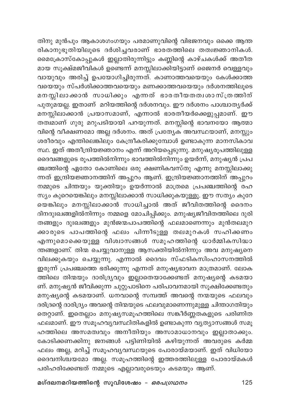തിനു മുൻപും ആകാശഗംഗയും പരമാണുവിന്റെ വിഭജനവും ഒക്കെ ആന്ത .<br>രികാനുഭൂതിയിലൂടെ ദർശിച്ചവരാണ് ഭാരതത്തിലെ തത്വജ്ഞാനികൾ. മൈക്രോസ്കോപ്പുകൾ ഇല്ലാതിരുന്നിട്ടും കണ്ണിന്റെ കാഴ്ചകൾക്ക് അതീത മായ സൂക്ഷ്മജീവികൾ ഉണ്ടെന്ന് മനസ്സിലാക്കിയിട്ടാണ് ജൈനർ വെള്ളവും വായുവും അരിച്ച് ഉപയോഗിച്ചിരുന്നത്. കാണാത്തവയെയും കേൾക്കാത്ത വയെയും സ്പർശിക്കാത്തവയെയും മണക്കാത്തവയെയും ദർശനത്തിലൂടെ മനസ്സിലാക്കാൻ സാധിക്കും എന്നത് ഭാരതീയതത്വശാസ്ത്രത്തിന് പുതുമയല്ല. ഇതാണ് മറിയത്തിന്റെ ദർശനവും. ഈ ദർശനം പാശ്ചാതൃർക്ക് മനസ്സിലാക്കാൻ പ്രയാസമാണ്, എന്നാൽ ഭാരതീയർക്കെളുപ്പമാണ്. ഈ തത്വമാണ് ഗുരു മറുപടിയായി പറയുന്നത്. മനസ്സിന്റെ ഭാവനയോ ആത്മാ വിന്റെ വീക്ഷണമോ അല്ല ദർശനം. അത് പ്രത്യേക അവസ്ഥയാണ്, മനസ്സും ശരീരവും എന്തിലെങ്കിലും കേന്ദ്രീകരിക്കുമ്പോൾ ഉണ്ടാകുന്ന മാനസികാവ സ്ഥ. ഇത് അതീന്ദ്രിയജ്ഞാനം എന്ന് അറിയപ്പെടുന്നു. മനുഷ്യരൂപത്തിലുള്ള ദൈവങ്ങളുടെ രൂപത്തിൽനിന്നും ഭാവത്തിൽനിന്നും ഉയർന്ന്, മനുഷ്യൻ പ്രപ ഞ്ചത്തിന്റെ ഏതോ കോണിലെ ഒരു ക്ഷണികവസ്തു എന്നു മനസ്സിലാക്കു .<br>ന്നത് ഇന്ദ്രിയജ്ഞാനത്തിന് അപ്പുറം ആണ്. ഇന്ദ്രിയജ്ഞാനത്തിന് അപ്പുറം നമ്മുടെ ചിന്തയും യുക്തിയും ഉയർന്നാൽ മാത്രമെ പ്രപഞ്ചത്തിന്റെ രഹ സ്യം കുറെയെങ്കിലും മനസ്സിലാക്കാൻ സാധിക്കുകയുള്ളൂ. ഈ സത്യം കുറേ യെങ്കിലും മനസ്സിലാക്കാൻ സാധിച്ചാൽ അത് ജീവിതത്തിന്റെ ദൈനം ദിനദുഃഖങ്ങളിൽനിന്നും നമ്മളെ മോചിപ്പിക്കും. മനുഷ്യജീവിതത്തിലെ ദുരി തങ്ങളും ദുഃഖങ്ങളും മുൻജന്മപാപത്തിന്റെ ഫലമാണെന്നും മുൻതലമുറ .<br>ക്കാരുടെ പാപത്തിന്റെ ഫലം പിന്നീടുള്ള തലമുറകൾ സഹിക്കണം എന്നുമൊക്കെയുള്ള വിശ്വാസങ്ങൾ സമൂഹത്തിന്റെ ധാർമ്മികസിദ്ധാ .<br>ന്തങ്ങളാണ്. തിന്മ ചെയ്യുവാനുള്ള ആസക്തിയിൽനിന്നും അവ മനുഷ്യനെ വിലക്കുകയും ചെയ്യുന്നു. എന്നാൽ ദൈവം സ്ഫടികസിംഹാസനത്തിൽ ഇരുന്ന് പ്രപഞ്ചത്തെ ഭരിക്കുന്നു എന്നത് മനുഷ്യഭാവന മാത്രമാണ്. ലോക .<br>ത്തിലെ തിന്മയും ദാരിദ്ര്യവും ഇല്ലാതെയാക്കേണ്ടത് മനുഷ്യന്റെ കടമയാ ണ്. മനുഷ്യൻ ജീവിക്കുന്ന ചുറ്റുപാടിനെ പരിപാവനമായി സൂക്ഷിക്കേണ്ടതും മനുഷ്യന്റെ കടമയാണ്. ധനവാന്റെ സമ്പത്ത് അവന്റെ നന്മയുടെ ഫലവും ദരിദ്രന്റെ ദാരിദ്ര്യം അവന്റെ തിന്മയുടെ ഫലവുമാണെന്നുമുള്ള ചിന്താഗതിയും തെറ്റാണ്. ഇതെല്ലാം മനുഷ്യസമൂഹത്തിലെ സങ്കീർണ്ണതകളുടെ പരിണിത ഫലമാണ്. ഈ സമൂഹവ്യവസ്ഥിതികളിൽ ഉണ്ടാകുന്ന വ്യത്യാസങ്ങൾ സമൂ ഹത്തിലെ അസമത്വവും അനീതിയും അസാമാധാനവും ഇല്ലാതാക്കും. കോടിക്കണക്കിനു ജനങ്ങൾ പട്ടിണിയിൽ കഴിയുന്നത് അവരുടെ കർമ്മ ഫലം അല്ല, മറിച്ച് സമൂഹവ്യവസ്ഥയുടെ പോരായ്മയാണ്. ഇത് വിധിയോ ദൈവനിശ്ചയമോ അല്ല. സമൂഹത്തിന്റെ ഇത്തരത്തിലുള്ള പോരായ്മകൾ പരിഹരിക്കേണ്ടത് നമ്മുടെ എല്ലാവരുടെയും കടമയും ആണ്.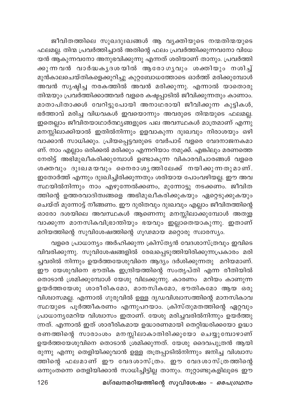ജീവിതത്തിലെ സുഖദുഃഖങ്ങൾ ആ വൃക്തിയുടെ നന്മതിന്മയുടെ ഫലമല്ല. തിന്മ പ്രവർത്തിച്ചാൽ അതിന്റെ ഫലം പ്രവർത്തിക്കുന്നവനോ വിധേ യൻ ആകുന്നവനോ അനുഭവിക്കുന്നു എന്നത് ശരിയാണ് താനും. പ്രവർത്തി ക്കുന്നവൻ വാർദ്ധകൃദശയിൽ ആരോഗൃവും ശക്തിയും നശിച്ച് മുൻകാലചെയ്തികളെക്കുറിച്ചു കുറ്റബോധത്തോടെ ഓർത്ത് മരിക്കുമ്പോൾ അവൻ സൃഷ്ടിച്ച നരകത്തിൽ അവൻ മരിക്കുന്നു. എന്നാൽ യാതൊരു തിന്മയും പ്രവർത്തിക്കാത്തവർ വളരെ കഷ്ടപ്പാടിൽ ജീവിക്കുന്നതും കാണാം. മാതാപിതാക്കൾ വേറിട്ടുപോയി അനാഥരായി ജീവിക്കുന്ന കുട്ടികൾ, ഭർത്താവ് മരിച്ച വിധവകൾ ഇവയൊന്നും അവരുടെ തിന്മയുടെ ഫലമല്ല. ഇതെല്ലാം ജീവിതയാഥാർത്ഥ്യങ്ങളുടെ പല അവസ്ഥകൾ മാത്രമാണ് എന്നു മനസ്സിലാക്കിയാൽ ഇതിൽനിന്നും ഉളവാകുന്ന ദുഃഖവും നിരാശയും ഒഴി വാക്കാൻ സാധിക്കും. പ്രിയപ്പെട്ടവരുടെ വേർപാട് വളരെ വേദനാജനകമാ ണ്. നാം എല്ലാം ഒരിക്കൽ മരിക്കും എന്നറിയാം നമുക്ക്. എങ്കിലും മരണത്തെ നേരിട്ട് അഭിമുഖീകരിക്കുമ്പോൾ ഉണ്ടാകുന്ന വികാരവിചാരങ്ങൾ വളരെ ശക്തവും ദുഃഖമയവും നൈരാശൃത്തിലേക്ക് നയിക്കുന്നതുമാണ്. ഇതോർത്ത് എന്നും ദുഃഖിച്ചിരിക്കുന്നതും ശരിയായ പോംവഴിയല്ല. ഈ അവ സ്ഥയിൽനിന്നും നാം എഴുന്നേൽക്കണം, മുന്നോട്ടു നടക്കണം. ജീവിത ത്തിന്റെ ഉത്തരവാദിത്വങ്ങളെ അഭിമുഖീകരിക്കുകയും ഏറ്റെടുക്കുകയും ചെയ്ത് മുന്നോട്ട് നീങ്ങണം. ഈ ദുരിതവും ദുഃഖവും എല്ലാം ജീവിതത്തിന്റെ ഓരോ ദശയിലെ അവസ്ഥകൾ ആണെന്നു മനസ്സിലാക്കുമ്പോൾ അതുള വാക്കുന്ന മാനസികവിഭ്രാന്തിയും ഭയവും ഇല്ലാതെയാകുന്നു. ഇതാണ് മറിയത്തിന്റെ സുവിശേഷത്തിന്റെ ഗൂഢമായ മറ്റൊരു സ്ഥാരസ്യം.

വളരെ പ്രാധാന്യം അർഹിക്കുന്ന ക്രിസ്ത്യൻ വേദശാസ്ത്രവും ഇവിടെ വിവരിക്കുന്നു. സുവിശേഷങ്ങളിൽ രേഖപ്പെടുത്തിയിരിക്കുന്നപ്രകാരം മരി ച്ചവരിൽ നിന്നും ഉയർത്തയേശുവിനെ ആദ്യം ദർശിക്കുന്നതു മറിയമാണ്. ഈ യേശുവിനെ ഭൗതിക ഇന്ദ്രിയത്തിന്റെ സംതൃപ്തി എന്ന രീതിയിൽ തൊടാൻ ശ്രമിക്കുമ്പോൾ യേശു വിലക്കുന്നു. കാരണം മറിയം കാണുന്ന ഉയർത്തയേശു ശാരീരികമോ, മാനസികമോ, ഭൗതികമോ ആയ ഒരു വിശ്വാസമല്ല. എന്നാൽ ഗുരുവിൽ ഉള്ള ദൃഡവിശ്വാസത്തിന്റെ മാനസികാവ സ്ഥയുടെ പൂർത്തീകരണം എന്നുപറയാം. ക്രിസ്തുമതത്തിന്റെ ഏറ്റവും പ്രാധാന്യമേറിയ വിശ്വാസം ഇതാണ്. യേശു മരിച്ചവരിൽനിന്നും ഉയർത്തു ന്നത്. എന്നാൽ ഇത് ശാരീരികമായ ഉദ്ധാരണമായി തെറ്റിദ്ധരിക്കയോ ഉദ്ധാ രണത്തിന്റെ സാരാംശം മനസ്സിലാകാതിരിക്കുയോ ചെയ്യുമ്പോഴാണ് ഉയർത്തയേശുവിനെ തൊടാൻ ശ്രമിക്കുന്നത്. യേശു ദൈവപുത്രൻ ആയി രുന്നു എന്നു തെളിയിക്കുവാൻ ഉള്ള തത്രപ്പാടിൽനിന്നും ജനിച്ച വിശ്വാസ ത്തിന്റെ ഫലമാണ് ഈ വേദശാസ്ത്രം. ഈ വേദശാസ്ത്രത്തിന്റെ ഒന്നുംതന്നെ തെളിയിക്കാൻ സാധിച്ചിട്ടില്ല താനും. നൂറ്റാണ്ടുകളിലൂടെ ഈ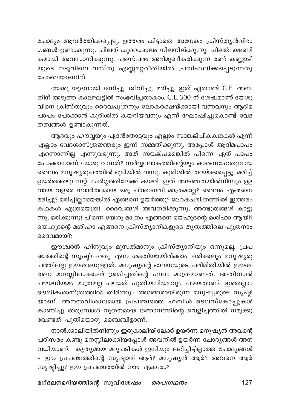ചോദ്യം ആവർത്തിക്കപ്പെട്ടു. ഉത്തരം കിട്ടാതെ അനേകം ക്രിസ്ത്യൻവിഭാ ഗങ്ങൾ ഉണ്ടാകുന്നു. ചിലത് കുറെക്കാലം നിലനില്ക്കുന്നു. ചിലത് ക്ഷണി കമായി അവസാനിക്കുന്നു. പരസ്പരം അഭിമുഖീകരിക്കുന്ന രണ്ട് കണ്ണാടി യുടെ നടുവിലെ വസ്തു എണ്ണമറ്റരീതിയിൽ പ്രതിഫലിക്കപ്പെടുന്നതു പോലെയാണിത്.

യേശു യൂദനായി ജനിച്ചു, ജീവിച്ചു, മരിച്ചു. ഇത് ഏതാണ്ട് C.E. അമ്പ തിന് അടുത്ത കാലഘട്ടിൽ സംഭവിച്ചതാകാം. C.E. 300-ന് ശേഷമാണ് യേശു വിനെ ക്രിസ്തുവും ദൈവപുത്രനും ലോകരക്ഷയ്ക്കായി വന്നവനും ആദിമ പാപം പോക്കാൻ കുരിശിൽ കയറിയവനും എന്ന് ഘോഷിച്ചുകൊണ്ട് വേദ തത്വങ്ങൾ ഉണ്ടാകുന്നത്.

ആദവും ഹൗവ്വയും ഏദൻതോട്ടവും എല്ലാം സാങ്കല്പികകഥകൾ എന്ന് എല്ലാം വേദശാസ്ത്രജ്ഞരും ഇന്ന് സമ്മതിക്കുന്നു. അപ്പോൾ ആദിമപാപം എന്നൊന്നില്ല എന്നുവരുന്നു. അത് സങ്കല്പമെങ്കിൽ പിന്നെ ഏത് പാപം പോക്കാനാണ് യേശു വന്നത്? സർവ്വലോകത്തിന്റെയും കാരണഹേതുവായ ദൈവം മനുഷ്യരൂപത്തിൽ ഭൂമിയിൽ വന്നു, കുരിശിൽ തറയ്ക്കപ്പെട്ടു, മരിച്ച് ഉയർത്തെഴുന്നേറ്റ് സ്വർഗ്ഗത്തിലേക്ക് കയറി. ഇത് അജ്ഞതയിൽനിന്നും ഉള വായ വളരെ സ്വാർത്ഥമായ ഒരു ചിന്താഗതി മാത്രമല്ലേ? ദൈവം എങ്ങനെ മരിച്ചു? മരിച്ചില്ലായെങ്കിൽ എങ്ങനെ ഉയർത്തു? ലോകചരിത്രത്തിൽ ഇത്തരം കഥകൾ എത്രയെത്ര!. ദൈവങ്ങൾ അവതരിക്കുന്നു, അത്ഭുതങ്ങൾ കാട്ടു ന്നു, മരിക്കുന്നു! പിന്നെ യേശു മാത്രം എങ്ങനെ യെഹൂദന്റെ മശിഹാ ആയി? യെഹൂദന്റെ മശിഹാ എങ്ങനെ ക്രിസ്ത്യാനികളുടെ തൃത്വത്തിലെ പുത്രനാം ദൈവമായി?

ഈശ്വരൻ ഹിന്ദുവും മുസൽമാനും ക്രിസ്ത്യാനിയും ഒന്നുമല്ല. പ്രപ ഞ്ചത്തിന്റെ സൃഷ്ടിഹേതു എന്ന ശക്തിയായിരിക്കാം. ഒരിക്കലും മനുഷ്യരൂ പത്തിലല്ല ഈശ്വരനുള്ളത്. മനുഷ്യന്റെ ഭാവനയുടെ പരിമിതിയിൽ ഈശ്വ രനെ മനസ്സിലാക്കാൻ ശ്രമിച്ചതിന്റെ ഫലം മാത്രമാണത്. അതിനാൽ പഴയനിയമം മാത്രമല്ല പഴയത് പുതിയനിയമവും പഴയതാണ്. ഇതെല്ലാം ഭൗതികശാസ്ത്രത്തിൽ തീർത്തും അജ്ഞരായിരുന്ന മനുഷ്യരുടെ സൃഷ്ടി യാണ്. അനന്തവിശാലമായ പ്രപഞ്ചത്തെ ഹബിൾ ടെലസ്കോപ്പുകൾ കാണിച്ചു തരുമ്പോൾ നൂതനമായ ജ്ഞാനത്തിന്റെ വെളിച്ചത്തിൽ നമുക്കു വേണ്ടത് പുതിയൊരു ബൈബിളാണ്.

നാൽക്കാലിയിൽനിന്നും ഇരുകാലിയിലേക്ക് ഉയർന്ന മനുഷ്യൻ അവന്റെ പരിസരം കണ്ടു മനസ്സിലാക്കിയപ്പോൾ അവനിൽ ഉയർന്ന ചോദ്യങ്ങൾ അന വധിയാണ്. കൃത്യമായ മറുപടികൾ ഇനിയും ലഭിച്ചിട്ടില്ലാത്ത ചോദ്യങ്ങൾ - ഈ പ്രപഞ്ചത്തിന്റെ സൃഷ്ടാവ് ആര്? മനുഷ്യൻ ആര്? അവനെ ആര് സൃഷ്ടിച്ചു? ഈ പ്രപഞ്ചത്തിൽ നാം ഏകരോ?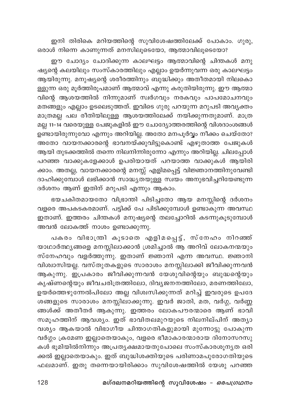ഇനി തിരികെ മറിയത്തിന്റെ സുവിശേഷത്തിലേക്ക് പോകാം. ഗുരു, ഒരാൾ നിന്നെ കാണുന്നത് മനസിലൂടെയോ, ആത്മാവിലൂടെയോ?

ഈ ചോദ്യം ചോദിക്കുന്ന കാലഘട്ടം ആത്മാവിന്റെ ചിന്തകൾ മനു ഷ്യന്റെ കലയിലും സംസ്കാരത്തിലും എല്ലാം ഉയർന്നുവന്ന ഒരു കാലഘട്ടം ആയിരുന്നു. മനുഷ്യന്റെ ശരീരത്തിനും ബുദ്ധിക്കും അതീതമായി നിലകൊ ള്ളുന്ന ഒരു മൂർത്തിരൂപമാണ് ആത്മാവ് എന്നു കരുതിയിരുന്നു. ഈ ആത്മാ വിന്റെ ആശയത്തിൽ നിന്നുമാണ് സ്ഥർഗവും നരകവും പാപമോചനവും മതങ്ങളും എല്ലാം ഉടലെടുത്തത്. ഇവിടെ ഗുരു പറയുന്ന മറുപടി അവൃക്തം മാത്രമല്ല പല രീതിയിലുള്ള ആശയത്തിലേക്ക് നയിക്കുന്നതുമാണ്. മാത്ര മല്ല 11–14 വരെയുള്ള പേജുകളിൽ ഈ ചോദ്യോത്തരത്തിന്റെ വിശദാംശങ്ങൾ ഉണ്ടായിരുന്നുവോ എന്നും അറിയില്ല. അതോ മനപൂർവ്വം നീക്കം ചെയ്തോ? അതോ വായനക്കാരന്റെ ഭാവനയ്ക്കുവിട്ടുകൊണ്ട് എഴുതാത്ത പേജുകൾ ആയി തുടക്കത്തിൽ തന്നെ നിലനിന്നിരുന്നോ എന്നും അറിയില്ല. ചിലപ്പോൾ പറഞ്ഞ വാക്കുകളേക്കാൾ ഉപരിയായത് പറയാത്ത വാക്കുകൾ ആയിരി ക്കാം. അതല്ല, വായനക്കാരന്റെ മനസ്സ് എളിമപ്പെട്ട് വിജ്ഞാനത്തിനുവേണ്ടി ദാഹിക്കുമ്പോൾ ലഭിക്കാൻ സാദ്ധ്യതയുള്ള സ്വയം അനുഭവിച്ചറിയേണ്ടുന്ന ദർശനം ആണ് ഇതിന് മറുപടി എന്നും ആകാം.

ഭയചകിതമായതോ വിഭ്രാന്തി പിടിച്ചതോ ആയ മനസ്സിന്റെ ദർശനം വളരെ അപകടകരമാണ്. പട്ടിക്ക് പേ പിടിക്കുമ്പോൾ ഉണ്ടാകുന്ന അവസ്ഥ ഇതാണ്. ഇത്തരം ചിന്തകൾ മനുഷ്യന്റെ തലച്ചോറിൽ കടന്നുകൂടുമ്പോൾ അവൻ ലോകത്ത് നാശം ഉണ്ടാക്കുന്നു.

പകരം വിഭാത്രി കൂടാതെ എളിമപ്പെട്ട്, സ്നേഹം നിറഞ്ഞ് യാഥാർത്ഥ്യങ്ങളെ മനസ്സിലാക്കാൻ ശ്രമിച്ചാൽ ആ അറിവ് ലോകനന്മയും സ്നേഹവും വളർത്തുന്നു. ഇതാണ് ജ്ഞാനി എന്ന അവസ്ഥ. ജ്ഞാനി വിശ്വാസിയല്ല. വസ്തുതകളുടെ സാരാശം മനസ്സിലാക്കി ജീവിക്കുന്നവൻ ആകുന്നു. ഇപ്രകാരം ജീവിക്കുന്നവൻ യേശുവിന്റെയും ബുദ്ധന്റെയും കൃഷ്ണന്റെയും ജീവചരിത്രത്തിലോ, ദിവ്യജനനത്തിലോ, മരണത്തിലോ, ഉയർത്തെഴുന്നേൽപിലോ അല്ല വിശ്വസിക്കുന്നത് മറിച്ച് ഇവരുടെ ഉപദേ ശങ്ങളുടെ സാരാശം മനസ്സിലാക്കുന്നു. ഇവർ ജാതി, മത, വർഗ്ഗ, വർണ്ണ ങ്ങൾക്ക് അതീതർ ആകുന്നു. ഇത്തരം ലോകപൗരന്മാരെ ആണ് ഭാവി സമൂഹത്തിന് ആവശ്യം. ഇത് ഭാവിതലമുറയുടെ നിലനില്പിന് അത്യാ വശ്യം ആകയാൽ വിഭാഗീയ ചിന്താഗതികളുമായി മുന്നോട്ടു പോകുന്ന വർഗ്ഗം ക്രമേണ ഇല്ലാതെയാകും, വളരെ ഭീമാകാരന്മാരായ ദിനോസറസു കൾ ഭൂമിയിൽനിന്നും അപ്രതൃക്ഷമായതുപോലെ സംസ്കാരശൂനൃത ഒരി ക്കൽ ഇല്ലാതെയാകും. ഇത് ബുദ്ധിശക്തിയുടെ പരിണാമപുരോഗതിയുടെ ഫലമാണ്. ഇതു തന്നെയായിരിക്കാം സുവിശേഷത്തിൽ യേശു പറഞ്ഞ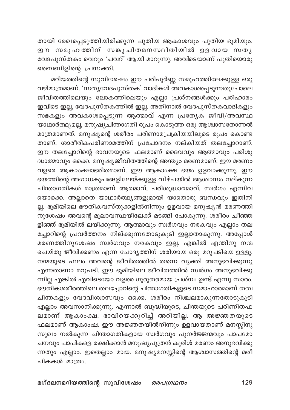തായി രേഖപ്പെടുത്തിയിരിക്കുന്ന പുതിയ ആകാശവും പുതിയ ഭൂമിയും. ഈ സമൂഹത്തിന് സങ്കുചിതമനസ്ഥിതിയിൽ ഉളവായ സതൃ വേദപുസ്തകം വെറും 'ചവറ്' ആയി മാറുന്നു. അവിടെയാണ് പുതിയൊരു ബൈബിളിന്റെ പ്രസക്തി.

മറിയത്തിന്റെ സുവിശേഷം ഈ പരിപൂർണ്ണ സമൂഹത്തിലേക്കുള്ള ഒരു വഴിമാത്രമാണ്. 'സതൃവേദപുസ്തക' വാദികൾ അവകാശപ്പെടുന്നതുപോലെ ജീവിതത്തിലെയും ലോകത്തിലെയും എല്ലാ പ്രശ്നങ്ങൾക്കും പരിഹാരം ഇവിടെ ഇല്ല, വേദപുസ്തകത്തിൽ ഇല്ല. അതിനാൽ വേദപുസ്തകവാദികളും സഭകളും അവകാശപ്പെടുന്ന ആത്മാവ് എന്ന പ്രത്യേക ജീവി/അവസ്ഥ യാഥാർത്ഥ്യമല്ല, മനുഷ്യചിന്താഗതി രൂപം കൊടുത്ത ഒരു ആശ്വാസതോന്നൽ മാത്രമാണത്. മനുഷ്യന്റെ ശരീരം പരിണാമപ്രക്രിയയിലൂടെ രൂപം കൊണ്ട താണ്. ശാരീരികപരിണാമത്തിന് പ്രചോദനം നല്കിയത് തലച്ചോറാണ്. ഈ തലച്ചോറിന്റെ ഭാവനയുടെ ഫലമാണ് ദൈവവും ആത്മാവും പരിശു ദ്ധാത്മാവും ഒക്കെ. മനുഷ്യജീവിതത്തിന്റെ അന്ത്യം മരണമാണ്. ഈ മരണം വളരെ ആകാംക്ഷാഭരിതമാണ്. ഈ ആകാംക്ഷ ഭയം ഉളവാക്കുന്നു. ഈ ഭയത്തിന്റെ അഗാധകൂപങ്ങളിലേയ്ക്കുള്ള വീഴ്ചയിൽ ആശ്വാസം നല്കുന്ന ചിന്താഗതികൾ മാത്രമാണ് ആത്മാവ്, പരിശുദ്ധാത്മാവ്, സ്വർഗം എന്നിവ യൊക്കെ. അല്ലാതെ യാഥാർത്ഥ്യങ്ങളുമായി യാതൊരു ബന്ധവും ഇതിനി ല്ല. ഭൂമിയിലെ ഭൗതികവസ്തുക്കളിൽനിന്നും ഉളവായ മനുഷ്യൻ മരണത്തി ം.<br>നുശേഷം അവന്റെ മൂലാവസ്ഥയിലേക്ക് മടങ്ങി പോകുന്നു. ശരീരം ചീഞ്ഞ .<br>ളിഞ്ഞ് ഭൂമിയിൽ ലയിക്കുന്നു. ആത്മാവും സ്വർഗവും നരകവും എല്ലാം തല ച്ചോറിന്റെ പ്രവർത്തനം നില്ക്കുന്നതോടുകൂടി ഇല്ലാതാകുന്നു. അപ്പോൾ മരണത്തിനുശേഷം സ്വർഗവും നരകവും ഇല്ല. എങ്കിൽ എന്തിനു നന്മ ചെയ്തു ജീവിക്കണം എന്ന ചോദ്യത്തിന് ശരിയായ ഒരു മറുപടിയെ ഉള്ളൂ. നന്മയുടെ ഫലം അവന്റെ ജീവിതത്തിൽ തന്നെ വ്യക്തി അനുഭവിക്കുന്നു എന്നതാണാ മറുപടി. ഈ ഭൂമിയിലെ ജീവിതത്തിൽ സ്വർഗം അനുഭവിക്കു ന്നില്ല എങ്കിൽ എവിടെയോ വളരെ ഗുരുതരമായ പ്രശ്നം ഉണ്ട് എന്നു സാരം. ഭൗതികശരീരത്തിലെ തലച്ചോറിന്റെ ചിന്താഗതികളുടെ സമാഹാരമാണ് തത്വ ചിന്തകളും വേദവിശ്വാസവും ഒക്കെ. ശരീരം നിശ്ചലമാകുന്നതോടുകൂടി എല്ലാം അവസാനിക്കുന്നു. എന്നാൽ ബുദ്ധിയുടെ, ചിന്തയുടെ പരിണിതഫ ലമാണ് ആകാംക്ഷ. ഭാവിയെക്കുറിച്ച് അറിയില്ല. ആ അജ്ഞതയുടെ ഫലമാണ് ആകാംഷ. ഈ അജ്ഞതയിൽനിന്നും ഉളവായതാണ് മനസ്സിനു സുഖം നൽകുന്ന ചിന്താഗതികളായ സ്വർഗവും പുനർജ്ജന്മവും പാപമോ ചനവും പാപികളെ രക്ഷിക്കാൻ മനുഷ്യപുത്രൻ കുരിശ് മരണം അനുഭവിക്കു ന്നതും എല്ലാം. ഇതെല്ലാം മായ. മനുഷ്യമനസ്സിന്റെ ആശ്വാസത്തിന്റെ മരീ ചികകൾ മാത്രം.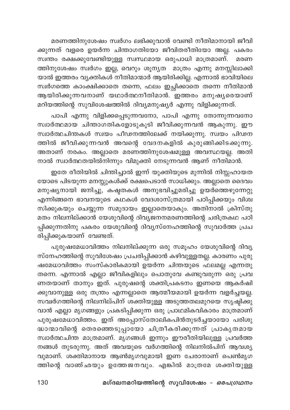മരണത്തിനുശേഷം സ്വർഗം ലഭിക്കുവാൻ വേണ്ടി നീതിമാനായി ജീവി ക്കുന്നത് വളരെ ഉയർന്ന ചിന്താഗതിയോ ജീവിതരീതിയോ അല്ല. പകരം സ്ഥതം രക്ഷക്കുവേണ്ടിയുള്ള സ്വസ്ഥമായ ഒരുപാധി മാത്രമാണ്. മരണ ത്തിനുശേഷം സ്വർഗം ഇല്ല, വെറും ശൂനൃത മാത്രം എന്നു മനസ്സിലാക്കി യാൽ ഇത്തരം വൃക്തികശ് നീതിമാന്മാർ ആയിരിക്കില്ല. എന്നാൽ ഭാവിയിലെ സ്വർഗത്തെ കാംക്ഷിക്കാതെ തന്നെ, ഫലം ഇച്ഛിക്കാതെ തന്നെ നീതിമാൻ ആയിരിക്കുന്നവനാണ് യഥാർത്ഥനീതിമാൻ. ഇത്തരം മനുഷ്യരെയാണ് മറിയത്തിന്റെ സുവിശേഷത്തിൽ ദിവ്യമനുഷ്യർ എന്നു വിളിക്കുന്നത്.

പാപി എന്നു വിളിക്കപ്പെടുന്നവനോ, പാപി എന്നു തോന്നുന്നവനോ സ്വാർത്ഥമായ ചിന്താഗതികളോടുകൂടി ജീവിക്കുന്നവൻ ആകുന്നു. ഈ സ്വാർത്ഥചിന്തകൾ സ്വയം പീഢനത്തിലേക്ക് നയിക്കുന്നു. സ്വയം പിഢന ത്തിൽ ജീവിക്കുന്നവൻ അവന്റെ വേദനകളിൽ കുരുങ്ങിക്കിടക്കുന്നു. അതാണ് നരകം. അല്ലാതെ മരണത്തിനുശേഷമുള്ള അവസ്ഥയല്ല. അതി നാൽ സ്ഥർത്ഥതയിൽനിന്നും വിമുക്തി നേടുന്നവൻ ആണ് നീതിമാൻ.

ഇതേ രീതിയിൽ ചിന്തിച്ചാൽ ഇന്ന് യുക്തിയുടെ മുന്നിൽ നിസ്സഹായത യോടെ പിടയുന്ന മനസ്സുകൾക്ക് രക്ഷപെടാൻ സാധിക്കും. അല്ലാതെ ദൈവം മനുഷ്യനായി ജനിച്ചു, കഷ്ടതകൾ അനുഭവിച്ചുമരിച്ചു ഉയർത്തെഴുന്നേറ്റു .<br>എന്നിങ്ങനെ ഭാവനയുടെ കഥകൾ വേദശാസ്ത്രമായി പഠിപ്പിക്കയും വിശ്വ സിക്കുകയും ചെയ്യുന്ന സമുദായം ഇല്ലാതെയാകും. അതിനാൽ ക്രിസ്തു മതം നിലനില്ക്കാൻ യേശുവിന്റെ ദിവ്യജനനമരണത്തിന്റെ ചരിത്രകഥ പഠി പ്പിക്കുന്നതിനു പകരം യേശുവിന്റെ ദിവ്യസ്നേഹത്തിന്റെ സുവാർത്ത പ്രച രിപ്പിക്കുകയാണ് വേണ്ടത്.

പുരുഷമേധാവിത്തം നിലനില്ക്കുന്ന ഒരു സമൂഹം യേശുവിന്റെ ദിവ്യ സ്നേഹത്തിന്റെ സുവിശേഷം പ്രചരിപ്പിക്കാൻ കഴിവുള്ളതല്ല. കാരണം പുരു ഷമേധാവിത്തം സംസ്കാരികമായി ഉയർന്ന ചിന്തയുടെ ഫലമല്ല എന്നതു തന്നെ. എന്നാൽ എല്ലാ ജീവികളിലും പൊതുവേ കണ്ടുവരുന്ന<sup>്</sup> ഒരു പ്രവ ണതയാണ് താനും ഇത്. പുരുഷന്റെ ശക്തിപ്രകടനം ഇണയെ ആകർഷി ക്കുവാനുള്ള ഒരു തന്ത്രം എന്നല്ലാതെ ആത്മീയമായി ഉയർന്ന വളർച്ചയ<u>ല്</u>ല. സവർഗത്തിന്റെ നിലനില്പിന് ശക്തിയുള്ള അടുത്തതലമുറയെ സൃഷ്ടിക്കു വാൻ എല്ലാ മൃഗങ്ങളും പ്രകടിപ്പിക്കുന്ന ഒരു പ്രാഥമികവികാരം മാത്രമാണ് പുരുഷമേധാവിത്തം. ഇത് അപ്പോസ്തോലികപിൻതുടർച്ചയായോ പരിശു ദ്ധാന്മാവിന്റെ തെരഞ്ഞെടുപ്പായോ ചിത്രീകരിക്കുന്നത് പ്രാകൃതമായ സ്വാർത്ഥചിന്ത മാത്രമാണ്. മുഗങ്ങൾ ഇന്നും ഈരീതിയിലുള്ള പ്രവർത്ത നങ്ങൾ തുടരുന്നു. അത് അവയുടെ വർഗത്തിന്റെ നിലനിൽപിന് ആവശ്യ വുമാണ്. ശക്തിമാനായ ആൺമൃഗവുമായി ഇണ<sup>്</sup> ചേരാനാണ് പെൺമൃഗ ത്തിന്റെ വാഞ്ഛയും ഉത്തേജനവും. എങ്കിൽ മാത്രമേ ശക്തിയുള്ള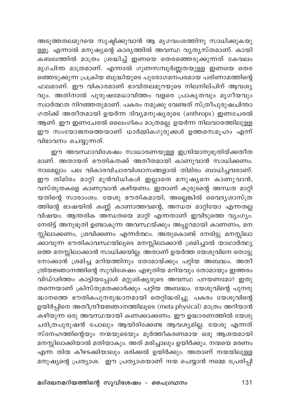അടുത്തതലമുറയെ സൃഷ്ടിക്കുവാൻ ആ മൃഗവംശത്തിനു സാധിക്കുകയു ള്ളൂ. എന്നാൽ മനുഷ്യന്റെ കാര്യത്തിൽ അവസ്ഥ വ്യത്യസ്തമാണ്. കായി .<br>കബലത്തിൽ മാത്രം ശ്രദ്ധിച്ച് ഇണയെ തെരഞ്ഞെടുക്കുന്നത് കേവലം മൃഗചിന്ത മാത്രമാണ്. എന്നാൽ ഗുണസമ്പൂർണ്ണതയുള്ള ഇണയെ തെര ഞ്ഞെടുക്കുന്ന പ്രക്രിയ ബുദ്ധിയുടെ പുരോഗമനപരമായ പരിണാമത്തിന്റെ <u>ഫലമാണ്. ഈ വികാരമാണ് ഭാവിതലമുറയുടെ നിലനില്പിന് ആവശു</u> വും. അതിനാൽ പുരുഷമേധാവിത്തം വളരെ പ്രാകൃതവും മൃഗീയവും സ്വാർത്ഥത നിറഞ്ഞതുമാണ്. പകരം നമുക്കു വേണ്ടത് സ്ത്രീപുരുഷചിന്താ ഗതിക്ക് അതീതമായി ഉയർന്ന ദിവ്യമനുഷ്യരുടെ (anthrops) ഇണചേരൽ ആണ്. ഈ ഇണചേരൽ ലൈംഗികം മാത്രമല്ല. ഉയർന്ന നിലവാരത്തിലുള്ള .<br>ഈ സംയോജനത്തെയാണ് ധാർമ്മികഗുരുക്കൾ ഉത്തമസമൂഹം എന്ന് വിഭാവനം ചെയ്യുന്നത്.

ഈ അവസ്ഥാവിശേഷം സാധാരണയുള്ള ഇന്ദ്രിയാനുഭൂതിയ്ക്കതീത മാണ്. അതായത് ഭൗതികതക്ക് അതീതമായി കാണുവാൻ സാധിക്കണം. നാമെല്ലാം പല വികാരവിചാരവിശ്വാസങ്ങളാൽ തിമിരം ബാധിച്ചവരാണ്. ഈ തിമിരം മാറ്റി മുൻവിധികൾ ഇല്ലാതെ മനുഷ്യനെ കാണുവാൻ, വസ്തുതകളെ കാണുവാൻ കഴിയണം. ഇതാണ് കുരുടന്റെ അന്ധത മാറ്റി യതിന്റെ സാരാംശം. യേശു ഭൗതികമായി, അല്ലെങ്കിൽ വൈദൃശാസ്ത്ര ത്തിന്റെ ഭാഷയിൽ കണ്ണ് കാണാത്തവന്റെ, അന്ധത മാറ്റിയോ എന്നതല്ല വിഷയം. ആന്തരിക അന്ധതയെ മാറ്റി എന്നതാണ് ഇവിടുത്തെ വ്യംഗ്യം. നേരിട്ട് അനുഭൂതി ഉണ്ടാകുന്ന അവസ്ഥയ്ക്കും അപ്പുറമായി കാണണം, മന സ്സിലാക്കണം, ശ്രവിക്കണം എന്നർത്ഥം. അതുകൊണ്ട് നേരിട്ടു മനസ്സിലാ ക്കാവുന്ന ഭൗതികാവസ്ഥയിലൂടെ മനസ്സിലാക്കാൻ ശ്രമിച്ചാൽ യാഥാർത്ഥ്യ ത്തെ മനസ്സിലാക്കാൻ സാധിക്കയില്ല. അതാണ് ഉയർത്ത യേശുവിനെ തൊട്ടു നോക്കാൻ ശ്രമിച്ച മറിയത്തിനും തോമായ്ക്കും പറ്റിയ അബദ്ധം. അതീ .<br>സ്രിയജ്ഞാനത്തിന്റെ സുവിശേഷം എഴുതിയ മറിയവും തോമായും ഇത്തരം വിഡ്ഢിത്തം കാട്ടിയപ്പോൾ മറ്റുശിഷ്യരുടെ അവസ്ഥ പറയണമോ? ഇതു തന്നെയാണ് ക്രിസ്തുമതക്കാർക്കും പറ്റിയ അബദ്ധം. യേശുവിന്റെ പുനരു ദ്ധാനത്തെ ഭൗതികപുനരുദ്ധാനമായി തെറ്റിദ്ധരിച്ചു. പകരം യേശുവിന്റെ ഉയിർപ്പിനെ അതീന്ദ്രീയജ്ഞാനത്തിലൂടെ (meta physical) മാത്രം അറിയാൻ .<br>കഴിയുന്ന ഒരു അവസ്ഥയായി കണക്കാക്കണം. ഈ ഉദ്ധാരണത്തിൽ യേശു ചരിത്രപുരുഷൻ പോലും ആയിരിക്കേണ്ട ആവശ്യമില്ല. യേശു എന്നത് സ്നേഹത്തിന്റെയും നന്മയുടെയും മൂർത്തീകരണമായ ഒരു ആശയമായി മനസ്സിലാക്കിയാൽ മതിയാകും. അത് മരിച്ചാലും ഉയിർക്കും. നന്മയെ മരണം എന്ന തിന്മ കീഴടക്കിയാലും ഒരിക്കൽ ഉയിർക്കും. അതാണ് നന്മയിലുള്ള മനുഷ്യന്റെ പ്രത്യാശ. ഈ പ്രത്യാശയാണ് നന്മ ചെയ്യാൻ നമ്മെ പ്രേരിപ്പി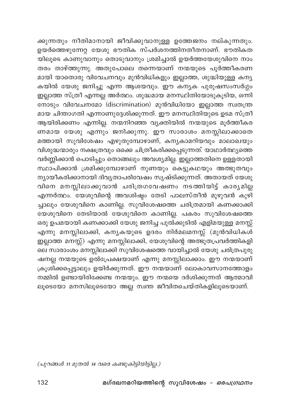ക്കുന്നതും നീതിമാനായി ജീവിക്കുവാനുള്ള ഉത്തേജനം നല്കുന്നതും. .<br>ഉയർത്തെഴുന്നേറ്റ യേശു ഭൗതിക സ്പർശനത്തിനതീതനാണ്. ഭൗതികത യിലൂടെ കാണുവാനും തൊടുവാനും ശ്രമിച്ചാൽ ഉയർത്തയേശുവിനെ നാം തരം താഴ്ത്തുന്നു. അതുപോലെ തന്നെയാണ് നന്മയുടെ പൂർത്തീകരണ മായി യാതൊരു വിവേചനവും മുൻവിധികളും ഇല്ലാത്ത, ശുദ്ധിയുള്ള കന്യ കയിൽ യേശു ജനിച്ചു എന്ന ആശയവും. ഈ കന്യക പുരുഷസംസർഗ്ഗം .<br>ഇല്ലാത്ത സ്ത്രീ എന്നല്ല അർത്ഥം. ശുദ്ധമായ മനസ്ഥിതിയോടുകൂടിയ, ഒന്നി നോടും വിവേചനമോ (discrimination) മുൻവിധിയോ ഇല്ലാത്ത സ്വതന്ത്ര മായ ചിന്താഗതി എന്നാണുദ്ദേശിക്കുന്നത്. ഈ മനസ്ഥിതിയുടെ ഉടമ സ്ത്രീ ആയിരിക്കണം എന്നില്ല. നന്മനിറഞ്ഞ വ്യക്തിയിൽ നന്മയുടെ മൂർത്തീകര ണമായ യേശു എന്നും ജനിക്കുന്നു. ഈ സാരാശം മനസ്സിലാക്കാതെ മത്തായി സുവിശേഷം എഴുതുമ്പോഴാണ്, കനൃകാമറിയവും മാലാഖയും .<br>വിശുദ്ധന്മാരും നക്ഷത്രവും ഒക്കെ ചിത്രീകരിക്കപ്പെടുന്നത്. യാഥാർത്ഥ്യത്തെ വർണ്ണിക്കാൻ പൊടിപ്പും തൊങ്ങലും അവശ്യമില്ല. ഇല്ലാത്തതിനെ ഉള്ളതായി സ്ഥാപിക്കാൻ ശ്രമിക്കുമ്പോഴാണ് നുണയും കെട്ടുകഥയും അത്ഭുതവും ന്യായീകരിക്കാനായി ദിവ്യതാപരിവേഷം സൃഷ്ടിക്കുന്നത്. അതായത് യേശു വിനെ മനസ്സിലാക്കുവാൻ ചരിത്രഗവേഷണം നടത്തിയിട്ട് കാര്യമില്ല എന്നർത്ഥം. യേശുവിന്റെ അവശിഷ്ടം തേടി പാലസ്തീൻ മുഴുവൻ കുഴി ച്ചാലും യേശുവിനെ കാണില്ല. സുവിശേഷത്തെ ചരിത്രമായി കണക്കാക്കി .<br>യേശുവിനെ തേടിയാൽ യേശുവിനെ കാണില്ല. പകരം സുവിശേഷത്തെ ഒരു ഉപമയായി കണക്കാക്കി യേശു ജനിച്ച പുൽക്കുടിൽ എളിമയുള്ള മനസ്സ് എന്നു മനസ്സിലാക്കി, കന്യകയുടെ ഉദരം നിർമലമനസ്സ് (മുൻവിധികൾ ഇല്ലാത്ത മനസ്സ്) എന്നു മനസ്സിലാക്കി, യേശുവിന്റെ അത്ഭുതപ്രവർത്തികളി ലെ സാരാംശം മനസ്സിലാക്കി സുവിശേഷത്തെ വായിച്ചാൽ യേശു ചരിത്രപുരു ഷനല്ല നന്മയുടെ ഉൽപ്രേക്ഷയാണ് എന്നു മനസ്സിലാക്കാം. ഈ നന്മയാണ് ക്രൂശിക്കപ്പെട്ടാലും ഉയിർക്കുന്നത്. ഈ നന്മയാണ് ലോകാവസാനത്തോളം നമ്മിൽ ഉണ്ടായിരിക്കേണ്ട നന്മയും. ഈ നന്മയെ ദർശിക്കുന്നത് ആത്മാവി ലൂടെയോ മനസിലൂടെയോ അല്ല സ്വന്ത ജീവിതചെയ്തികളിലൂടെയാണ്.

(പുറങ്ങൾ 11 മുതൽ 14 വരെ കണ്ടുകിട്ടിയിട്ടില്ല.)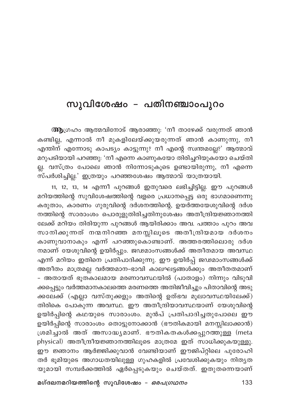## സുവിശേഷം – പതിനഞ്ചാംപുറം

ആഗ്രഹം ആത്മവിനോട് ആരാഞ്ഞു: 'നീ താഴേക്ക് വരുന്നത് ഞാൻ കണ്ടില്ല, എന്നാൽ നീ മുകളിലേയ്ക്കുയരുന്നത് ഞാൻ കാണുന്നു, നീ എന്തിന് എന്നോടു കാപട്യം കാട്ടുന്നു? നീ എന്റെ സ്വന്തമല്ലേ?' ആത്മാവ് മറുപടിയായി പറഞ്ഞു: 'നീ എന്നെ കാണുകയോ തിരിച്ചറിയുകയോ ചെയ്തി ല്ല. വസ്ത്രം പോലെ ഞാൻ നിന്നോടുകൂടെ ഉണ്ടായിരുന്നു, നീ എന്നെ സ്പർശിച്ചില്ല.' ഇത്രയും പറഞ്ഞശേഷം ആത്മാവ് യാത്രയായി.

11, 12, 13, 14 എന്നീ പുറങ്ങൾ ഇതുവരെ ലഭിച്ചിട്ടില്ല. ഈ പുറങ്ങൾ മറിയത്തിന്റെ സുവിശേഷത്തിന്റെ വളരെ പ്രധാനപ്പെട്ട ഒരു ഭാഗമാണെന്നു കരുതാം, കാരണം ഗുരുവിന്റെ ദർശനത്തിന്റെ, ഉയർത്തയേശുവിന്റെ ദർശ നത്തിന്റെ സാരാംശം പൊരുളുതിരിച്ചതിനുശേഷം അതീന്ദ്രിയജ്ഞാനത്തി ലേക്ക് മറിയം തിരിയുന്ന പുറങ്ങൾ ആയിരിക്കാം അവ. പത്താം പുറം അവ സാനിക്കുന്നത് നന്മനിറഞ്ഞ മനസ്സിലൂടെ അതീന്ദ്രിയമായ ദർശനം കാണുവാനാകും എന്ന് പറഞ്ഞുകൊണ്ടാണ്. അത്തരത്തിലൊരു ദർശ നമാണ് യേശുവിന്റെ ഉയിർപ്പും. ജഢമാംസങ്ങൾക്ക് അതീതമായ അവസ്ഥ എന്ന് മറിയം ഇതിനെ പ്രതിപാദിക്കുന്നു. ഈ ഉയിർപ്പ് ജഢമാംസങ്ങൾക്ക് അതീതം മാത്രമല്ല വർത്തമാന-ഭാവി കാലഘട്ടങ്ങൾക്കും അതീതതമാണ് - അതായത് ഭൂത്കാലമായ മരണാവസ്ഥയിൽ (പാതാളം) നിന്നും വിടുവി ക്കപ്പെട്ടും വർത്തമാനകാലത്തെ മരണത്തെ അതിജീവിച്ചും പിതാവിന്റെ അടു ക്കലേക്ക് (എല്ലാ വസ്തുക്കളും അതിന്റെ ഉത്ഭവ മൂലാവസ്ഥയിലേക്ക്) തിരികെ പോകുന്ന അവസ്ഥ. ഈ അതീന്ദ്രിയാവസ്ഥയാണ് യേശുവിന്റെ ഉയിർപ്പിന്റെ കഥയുടെ സാരാംശം. മുൻപ് പ്രതിപാദിച്ചതുപോലെ ഈ ഉയിർപ്പിന്റെ സാരാംശം തൊട്ടുനോക്കാൻ (ഭൗതികമായി മനസ്സിലാക്കാൻ) ശ്രമിച്ചാൽ അത് അസാദ്ധ്യമാണ്. ഭൗതികതകൾക്കപ്പുറത്തുള്ള (meta physical) അതീന്ദ്രീയജ്ഞാനത്തിലൂടെ മാത്രമേ ഇത് സാധിക്കുകയുള്ളു. ഈ ജ്ഞാനം ആർജ്ജിക്കുവാൻ വേണ്ടിയാണ് ഈജിപ്റ്റിലെ പുരോഹി തർ ഭൂമിയുടെ അഗാധതയിലുള്ള ഗുഹകളിൽ പ്രവേശിക്കുകയും നിതൃത യുമായി സമ്പർക്കത്തിൽ ഏർപ്പെടുകയും ചെയ്തത്. ഇതുതന്നെയാണ്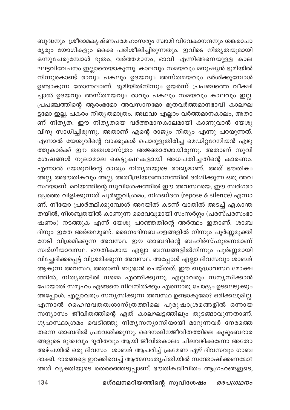ബുദ്ധനും ശ്രീരാമകൃഷ്ണപരമഹംസരും സ്വാമി വിവേകാനന്ദനും ശങ്കരാചാ ര്യരും യോഗികളും ഒക്കെ പരിശീലിച്ചിരുന്നതും. ഇവിടെ നിതൃതയുമായി ഒന്നുചേരുമ്പോൾ ഭൂതം, വർത്തമാനം, ഭാവി എന്നിങ്ങനെയുള്ള കാല ഘട്ടവിവേചനം ഇല്ലാതെയാകുന്നു. കാലവും സമയവും മനുഷ്യൻ ഭൂമിയിൽ നിന്നുകൊണ്ട് രാവും പകലും ഉദയവും അസ്തമയവും ദർശിക്കുമ്പോൾ ഉണ്ടാകുന്ന തോന്നലാണ്. ഭൂമിയിൽനിന്നും ഉയർന്ന് പ്രപഞ്ചത്തെ വീക്ഷി ച്ചാൽ ഉദയവും അസ്തമയവും രാവും പകലും സമയവും കാലവും ഇല്ല. പ്രപഞ്ചത്തിന്റെ ആരംഭമോ അവസാനമോ ഭൂതവർത്തമാനഭാവി കാലഘ ട്ടമോ ഇല്ല. പകരം നിത്യതമാത്രം. അഥവാ എല്ലാം വർത്തമാനകാലം, അതാ ണ് നിതൃത. ഈ നിതൃതയെ വർത്തമാനകാലമായി കാണുവാൻ യേശു വിനു സാധിച്ചിരുന്നു. അതാണ് എന്റെ രാജ്യം നിത്യം എന്നു പറയുന്നത്. എന്നാൽ യേശുവിന്റെ വാക്കുകൾ പൊരുളുതിരിച്ച മെഡിറ്ററേനിയൻ എഴു ത്തുകാർക്ക് ഈ തത്വശാസ്ത്രം അജ്ഞാതമായിരുന്നു. അതാണ് സുവി ശേഷങ്ങൾ നൂലാമാല കെട്ടുകഥകളായി അധപതിച്ചതിന്റെ കാരണം. എന്നാൽ യേശുവിന്റെ രാജ്യം നിത്യതയുടെ രാജ്യമാണ്. അത് ഭൗതികം .<br>അല്ല, അഭൗതികവും അല്ല. അതീന്ദ്രിയജ്ഞാനത്തിൽ ദർശിക്കുന്ന ഒരു അവ സ്ഥയാണ്. മറിയത്തിന്റെ സുവിശേഷത്തിൽ ഈ അവസ്ഥയെ, ഈ സ്വർഗരാ ജ്യത്തെ വിളിക്കുന്നത് പൂർണ്ണവിശ്രമം, നിശബ്ദത (repose & silence) എന്നാ ണ്. നീയോ പ്രാർത്ഥിക്കുമ്പോൾ അറയിൽ കടന്ന് വാതിൽ അടച്ച് ഏകാന്ത തയിൽ, നിശബ്ദതയിൽ കാണുന്ന ദൈവവുമായി സംസർഗ്ഗം (പരസ്പരസംഭാ ഷണം) നടത്തുക എന്ന് യേശു പറഞ്ഞതിന്റെ അർത്ഥം ഇതാണ്. ശാബ ദിനും ഇതേ അർത്ഥമുണ്ട്. ദൈനംദിനബഹളങ്ങളിൽ നിന്നും പൂർണ്ണമുക്തി നേടി വിശ്രമിക്കുന്ന അവസ്ഥ. ഈ ശാബദിന്റെ ബഹിർസ്ഫുരണമാണ് സ്വർഗീയാവസ്ഥ. ഭൗതികമായ എല്ലാ ബന്ധങ്ങളിൽനിന്നും പൂർണ്ണമായി വിച്ഛേദിക്കപ്പെട്ട് വിശ്രമിക്കുന്ന അവസ്ഥ. അപ്പോൾ എല്ലാ ദിവസവും ശാബദ് ആകുന്ന അവസ്ഥ. അതാണ് ബുദ്ധൻ ചെയ്തത്. ഈ ബുദ്ധാവസ്ഥ മോക്ഷ ത്തിൽ, നിതൃതയിൽ നമ്മെ എത്തിക്കുന്നു. എല്ലാവരും സനൃസിക്കാൻ പോയാൽ സമൂഹം എങ്ങനെ നിലനിൽക്കും എന്നൊരു ചോദ്യം ഉടലെടുക്കും അപ്പോൾ. എല്ലാവരും സന്യസിക്കുന്ന അവസ്ഥ ഉണ്ടാകുമോ? ഒരിക്കലുമില്ല. എന്നാൽ ഹൈന്ദവതത്വശാസ്ത്രത്തിലെ പുരുഷാശ്രമങ്ങളിൽ ഒന്നായ സന്യാസം ജീവിതത്തിന്റെ ഏത് കാലഘട്ടത്തിലും തുടങ്ങാവുന്നതാണ്. ഗൃഹസ്ഥാശ്രമം വെടിഞ്ഞു നിത്യസന്യാസിയായി മാറുന്നവർ നേരത്തെ തന്നെ ശാബദിൽ പ്രവേശിക്കുന്നു. ദൈനംദിനജീവിതത്തിലെ കുടുംബഭാര ങ്ങളുടെ ദുഃഖവും ദുരിതവും ആയി ജീവിതകാലം ചിലവഴിക്കണോ അതോ അഴ്ചയിൽ ഒരു ദിവസം ശാബദ് ആചരിച്ച് ക്രമേണ ഏഴ് ദിവസവും ഗാബ ദാക്കി, ഭാരങ്ങളെ ഇറക്കിവെച്ച് ആത്മസംതൃപ്തിയിൽ സന്തോഷിക്കണമോ? അത് വ്യക്തിയുടെ തെരഞ്ഞെടുപ്പാണ്. ഭൗതികജീവിതം ആഗ്രഹങ്ങളുടെ,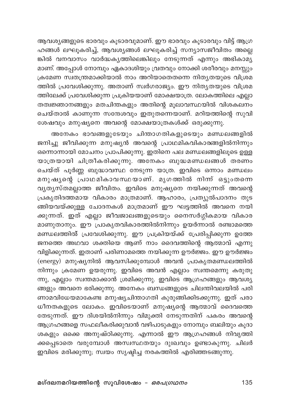ആവശ്യങ്ങളുടെ ഭാരവും കൂടാരവുമാണ്. ഈ ഭാരവും കൂടാരവും വിട്ട് ആഗ്ര ഹങ്ങൾ ലഘൂകരിച്ച്, ആവശ്യങ്ങൾ ലഘൂകരിച്ച് സന്യാസജീവിതം അല്ലെ മാണ്. അപ്പോൾ നോമ്പും ഏകാദശിയും വ്രതവും നോക്കി ശരീരവും മനസ്സും ക്രമേണ സ്വതന്ത്രമാക്കിയാൽ നാം അറിയാതെതന്നെ നിത്യതയുടെ വിശ്രമ ത്തിൽ പ്രവേശിക്കുന്നു. അതാണ് സ്വർഗരാജ്യം. ഈ നിത്യതയുടെ വിശ്രമ ത്തിലേക്ക് പ്രവേശിക്കുന്ന പ്രക്രിയയാണ് മോക്ഷയാത്ര. ലോകത്തിലെ എല്ലാ .<br>തത്വജ്ഞാനങ്ങളും മതചിന്തകളും അതിന്റെ മൂലാവസ്ഥയിൽ വിശകലനം ചെയ്താൽ കാണുന്ന സന്ദേശവും ഇതുതന്നെയാണ്. മറിയത്തിന്റെ സുവി ശേഷവും മനുഷ്യനെ അവന്റെ മോക്ഷയാത്രകൾക്ക് ഒരുക്കുന്നു.

അനേകം ഭാവങ്ങളുടേയും ചിന്താഗതികളുടെയും മണ്ഡലങ്ങളിൽ ജനിച്ചു ജീവിക്കുന്ന മനുഷ്യൻ അവന്റെ പ്രാഥമികവികാരങ്ങളിൽനിന്നും ഒന്നൊന്നായി മോചനം പ്രാപിക്കുന്നു. ഇതിനെ പല മണ്ഡലങ്ങളിലൂടെ ഉള്ള യാത്രയായി ചിത്രീകരിക്കുന്നു. അനേകം ബുദ്ധമണ്ഡലങ്ങൾ തരണം ചെയ്ത് പൂർണ്ണ ബുദ്ധാവസ്ഥ നേടുന്ന യാത്ര. ഇവിടെ ഒന്നാം മണ്ഡലം മനുഷൃന്റെ പാഥമികാവസ്ഥയാണ്. മൃഗത്തിൽ നിന്ന് ഒട്ടുംതന്നെ വൃത്യസ്തമല്ലാത്ത ജീവിതം. ഇവിടെ മനുഷ്യനെ നയിക്കുന്നത് അവന്റെ പ്രകൃതിദത്തമായ വികാരം മാത്രമാണ്. ആഹാരം, പ്രത്യുൽപാദനം തുട ങ്ങിയവയ്ക്കുള്ള ചോദനകൾ മാത്രമാണ് ഈ ഘട്ടത്തിൽ അവനെ നയി ക്കുന്നത്. ഇത് എല്ലാ ജീവജാലങ്ങളുടെയും നൈസർഗ്ഗികമായ വികാര മാണുതാനും. ഈ പ്രാകൃതവികാരത്തിൽനിന്നും ഉയർന്നാൽ രണ്ടാമത്തെ മണ്ഡലത്തിൽ പ്രവേശിക്കുന്നു. ഈ പ്രക്രിയയ്ക്ക് പ്രേരിപ്പിക്കുന്ന ഉത്തേ ജനത്തെ അഥവാ ശക്തിയെ ആണ് നാം ദൈവത്തിന്റെ ആത്മാവ് എന്നു വിളിക്കുന്നത്. ഇതാണ് പരിണാമത്തെ നയിക്കുന്ന ഊർജ്ജം. ഈ ഊർജ്ജം (energy) മനുഷ്യനിൽ ആവസിക്കുമ്പോൾ അവൻ പ്രാകൃതമണ്ഡലത്തിൽ .<br>നിന്നും ക്രമേണ ഉയരുന്നു. ഇവിടെ അവൻ എല്ലാം സ്ഥതമെന്നു കരുതു ന്നു, എല്ലാം സ്വന്തമാക്കാൻ ശ്രമിക്കുന്നു. ഇവിടെ ആഗ്രഹങ്ങളും ആവശ്യ ങ്ങളും അവനെ ഭരിക്കുന്നു. അനേകം ബന്ധങ്ങളുടെ ചിലന്തിവലയിൽ പരി ണാമവിധേയമാകേണ്ട മനുഷ്യചിന്താഗതി കുരുങ്ങിക്കിടക്കുന്നു. ഇത് പരാ ധീനതകളുടെ ലോകം. ഇവിടെയാണ് മനുഷ്യന്റെ ആത്മാവ് ദൈവത്തെ തേടുന്നത്. ഈ ദിശയിൽനിന്നും വിമുക്തി നേടുന്നതിന് പകരം അവന്റെ ആഗ്രഹങ്ങളെ സഫലീകരിക്കുവാൻ വഴിപാടുകളും നോമ്പും ബലിയും കൂദാ ശകളും ഒക്കെ അനുഷ്ഠിക്കുന്നു. എന്നാൽ ഈ ആഗ്രഹങ്ങൾ നിവൃത്തി ക്കപ്പെടാതെ വരുമ്പോൾ അസ്വസ്ഥതയും ദുഃഖവും ഉണ്ടാകുന്നു. ചിലർ .<br>ഇവിടെ മരിക്കുന്നു; സ്വയം സൃഷ്ടിച്ച നരകത്തിൽ എരിഞ്ഞടങ്ങുന്നു.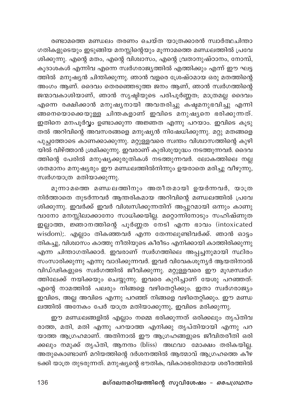രണ്ടാമത്തെ മണ്ഡലം തരണം ചെയ്ത യാത്രക്കാരൻ സ്വാർത്ഥചിന്താ ഗതികളുടെയും ഇടുങ്ങിയ മനസ്സിന്റെയും മൂന്നാമത്തെ മണ്ഡലത്തിൽ പ്രവേ ശിക്കുന്നു. എന്റെ മതം, എന്റെ വിശ്ചാസം, എന്റെ വ്രതാനുഷ്ഠാനം, നോമ്പ്, കൂദാശകൾ എന്നിവ എന്നെ സ്വർഗരാജ്യത്തിൽ എത്തിക്കും എന്ന് ഈ ഘട്ട ത്തിൽ മനുഷ്യൻ ചിന്തിക്കുന്നു. ഞാൻ വളരെ ശ്രേഷ്ഠമായ ഒരു മതത്തിന്റെ അംഗം ആണ്. ദൈവം തെരഞ്ഞെടുത്ത ജനം ആണ്, ഞാൻ സ്വർഗത്തിന്റെ ജന്മാവകാശിയാണ്, ഞാൻ സൃഷ്ടിയുടെ പരിപൂർണ്ണത; മാത്രമല്ല ദൈവം എന്നെ രക്ഷിക്കാൻ മനുഷൃനായി അവതരിച്ചു ക്ഷ്ളമനുഭവിച്ചു എന്നി .<br>ങ്ങനെയൊക്കെയുള്ള ചിന്തകളാണ് ഇവിടെ മനുഷ്യനെ ഭരിക്കുന്നത്. ഇതിനെ മനപൂർവ്വം ഉണ്ടാക്കുന്ന അജ്ഞത എന്നു പറയാം. ഇവിടെ കൂടു തൽ അറിവിന്റെ അവസരങ്ങളെ മനുഷ്യൻ നിഷേധിക്കുന്നു. മറ്റു മതങ്ങളെ പുച്ഛത്തോടെ കാണക്കാക്കുന്നു. മറ്റുള്ളവരെ സ്വന്തം വിശ്വാസത്തിന്റെ കുഴി യിൽ വിഴ്ത്താൻ ശ്രമിക്കുന്നു. ഇവരാണ് കുരിശുയുദ്ധം നടത്തുന്നവർ. ദൈവ ത്തിന്റെ പേരിൽ മനുഷ്യക്കുരുതികൾ നടത്തുന്നവർ. ലോകത്തിലെ നല്ല ശതമാനം മനുഷ്യരും ഈ മണ്ഡലത്തിൽനിന്നും ഉയരാതെ മരിച്ചു വീഴുന്നു, സ്വർഗയാത്ര മതിയാക്കുന്നു.

മൂന്നാമത്തെ മണ്ഡലത്തിനും അതീതമായി ഉയർന്നവർ, യാത്ര നിർത്താതെ തുടർന്നവർ ആന്തരികമായ അറിവിന്റെ മണ്ഡലത്തിൽ പ്രവേ ശിക്കുന്നു. ഇവർക്ക് ഇവർ വിശ്വസിക്കുന്നതിന് അപ്പുറമായി ഒന്നും കാണു വാനോ മനസ്സിലാക്കാനോ സാധിക്കയില്ല. മറ്റൊന്നിനോടും സഹിഷ്ണുത ഇല്ലാത്ത, ജ്ഞാനത്തിന്റെ പൂർണ്ണത നേടി എന്ന ഭാവം (intoxicated wisdom); എല്ലാം തികഞ്ഞവർ എന്ന തേന്നലുണ്ടിവർക്ക്. ഞാൻ ഓട്ടം തികച്ചു, വിശ്വാസം കാത്തു നീതിയുടെ കീരീടം എനിക്കായി കാത്തിരിക്കുന്നു എന്ന ചിന്താഗതിക്കാർ. ഇവരാണ് സ്വർഗത്തിലെ അപ്പച്ചനുമായി സ്ഥിരം സംസാരിക്കുന്നു എന്നു വാദിക്കുന്നവർ. ഇവർ വിവേകശൂന്യർ ആയതിനാൽ വിഡ്ഢികളുടെ സ്വർഗത്തിൽ ജീവിക്കുന്നു. മറ്റുള്ളവരെ ഈ മൂഢസ്വർഗ ത്തിലേക്ക് നയിക്കയും ചെയ്യുന്നു. ഇവരെ കുറിച്ചാണ് യേശു പറഞ്ഞത്: എന്റെ നാമത്തിൽ പലരും നിങ്ങളെ വഴിതെറ്റിക്കും. ഇതാ സ്ഥർഗരാജ്യം ഇവിടെ, അല്ല അവിടെ എന്നു പറഞ്ഞ് നിങ്ങളെ വഴിതെറ്റിക്കും. ഈ മണ്ഡ .<br>ലത്തിൽ അനേകം പേർ യാത്ര മതിയാക്കുന്നു, ഇവിടെ മരിക്കുന്നു.

ഈ മണ്ഡലങ്ങളിൽ എല്ലാം നമ്മെ ഭരിക്കുന്നത് ഒരിക്കലും തൃപ്തിവ രാത്ത, മതി, മതി എന്നു പറയാത്ത എനിക്കു തൃപ്തിയായി എന്നു പറ യാത്ത ആഗ്രഹമാണ്. അതിനാൽ ഈ ആഗ്രഹങ്ങളുടെ ജീവിതരീതി ഒരി ക്കലും നമുക്ക് തൃപ്തി, ആനന്ദം (bliss) അഥവാ മോക്ഷം തരികയില്ല. അതുകൊണ്ടാണ് മറിയത്തിന്റെ ദർശനത്തിൽ ആത്മാവ് ആഗ്രഹത്തെ കീഴ ടക്കി യാത്ര തുടരുന്നത്. മനുഷ്യന്റെ ഭൗതിക, വികാരഭരിതമായ ശരീരത്തിൽ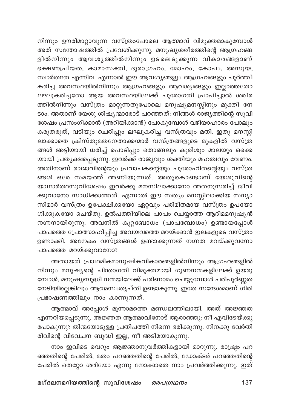നിന്നും ഊരിമാറ്റാവുന്ന വസ്ത്രംപോലെ ആത്മാവ് വിമുക്തമാകുമ്പോൾ അത് സന്തോഷത്തിൽ പ്രവേശിക്കുന്നു. മനുഷ്യശരീരത്തിന്റെ ആഗ്രഹങ്ങ ളിൽനിന്നും ആവശൃത്തിൽനിന്നും ഉടലെടുക്കുന്ന വികാരങ്ങളാണ് ഭക്ഷണപ്രിയത, കാമാസക്തി, ദുരാഗ്രഹം, മോഹം, കോപം, അസുയ, സ്വാർത്ഥത എന്നിവ. എന്നാൽ ഈ ആവശ്യങ്ങളും ആഗ്രഹങ്ങളും പൂർത്തീ കരിച്ച അവസ്ഥയിൽനിന്നും ആഗ്രഹങ്ങളും ആവശ്യങ്ങളും ഇല്ലാത്തതോ ലഘൂകരിച്ചതോ ആയ അവസ്ഥയിലേക്ക് പുരോഗതി പ്രാപിച്ചാൽ ശരീര ത്തിൽനിന്നും വസ്ത്രം മാറ്റുന്നതുപോലെ മനുഷ്യമനസ്സിനും മുക്തി നേ ടാം. അതാണ് യേശു ശിഷ്യന്മാരോട് പറഞ്ഞത്: നിങ്ങൾ രാജ്യത്തിന്റെ സുവി ശേഷം പ്രസംഗിക്കാൻ (അറിയിക്കാൻ) പോകുമ്പോൾ വഴിയാഹാരം പോലും കരുതരുത്, വടിയും ചെരിപ്പും ലഘൂകരിച്ച വസ്ത്രവും മതി. ഇതു മനസ്സി ലാക്കാതെ ക്രിസ്തുമതനേതാക്കന്മാർ വസ്ത്രങ്ങളുടെ മുകളിൽ വസ്ത്ര ങ്ങൾ അട്ടിയായി ധരിച്ച് പൊടിപ്പും തൊങ്ങലും കുരിശും മാലയും ഒക്കെ യായി പ്രത്യക്ഷപ്പെടുന്നു. ഇവർക്ക് രാജ്യവും ശക്തിയും മഹത്വവും വേണം. അതിനാണ് രാജാവിന്റെയും പ്രവാചകന്റെയും പുരോഹിതന്റെയും വസ്ത്ര ങ്ങൾ ഒരേ സമയത്ത് അണിയുന്നത്. അതുകൊണ്ടാണ് യേശുവിന്റെ യാഥാർത്ഥസുവിശേഷം ഇവർക്കു മനസിലാക്കാനോ അതനുസരിച്ച് ജീവി ക്കുവാനോ സാധിക്കാത്തത്. എന്നാൽ ഈ സത്യം മനസ്സിലാക്കിയ സന്യാ സിമാർ വസ്ത്രം ഉപേക്ഷിക്കയോ ഏറ്റവും പരിമിതമായ വസ്ത്രം ഉപയോ ഗിക്കുകയോ ചെയ്തു. ഉൽപത്തിയിലെ പാപം ചെയ്യാത്ത ആദിമമനുഷ്യൻ നഗ്നനായിരുന്നു. അവനിൽ കുറ്റബോധം (പാപബോധം) ഉണ്ടായപ്പോൾ പാപത്തെ പ്രോത്സാഹിപ്പിച്ച അവയവത്തെ മറയ്ക്കാൻ ഇലകളുടെ വസ്ത്രം ഉണ്ടാക്കി. അനേകം വസ്ത്രങ്ങൾ ഉണ്ടാക്കുന്നത് നഗ്നത മറയ്ക്കുവനോ പാപത്തെ മറയ്ക്കുവാനോ?

അതായത് പ്രാഥമികമാനുഷികവികാരങ്ങളിൽനിന്നും ആഗ്രഹങ്ങളിൽ നിന്നും മനുഷ്യന്റെ ചിന്താഗതി വിമുക്തമായി ഗുണനന്മകളിലേക്ക് ഉയരു മ്പോൾ, മനുഷ്യബുദ്ധി നന്മയിലേക്ക് പരിണാമം ചെയ്യുമ്പോൾ പരിപൂർണ്ണത നേടിയില്ലെങ്കിലും ആത്മസംതൃപ്തി ഉണ്ടാകുന്നു. ഇതേ സന്ദേശമാണ് ഗിരി പ്രഭാഷണത്തിലും നാം കാണുന്നത്.

ആത്മാവ് അപ്പോൾ മൂന്നാമത്തെ മണ്ഡലത്തിലായി. അത് അജ്ഞത എന്നറിയപ്പെടുന്നു. അജ്ഞത ആത്മാവിനോട് ആരാഞ്ഞു: നീ എവിടേയ്ക്കു പോകുന്നു? തിന്മയോടുള്ള പ്രതിപത്തി നിന്നെ ഭരിക്കുന്നു. നിനക്കു വേർതി രിവിന്റെ വിവേചന ബുദ്ധി ഇല്ല, നീ അടിമയാകുന്നു.

നാം ഇവിടെ വെറും ആജ്ഞാനുവർത്തികളായി മാറുന്നു. രാഷ്ട്രം പറ ഞ്ഞതിന്റെ പേരിൽ, മതം പറഞ്ഞതിന്റെ പേരിൽ, ഡോക്ടർ പറഞ്ഞതിന്റെ പേരിൽ തെറ്റോ ശരിയോ എന്നു നോക്കാതെ നാം പ്രവർത്തിക്കുന്നു. ഇത്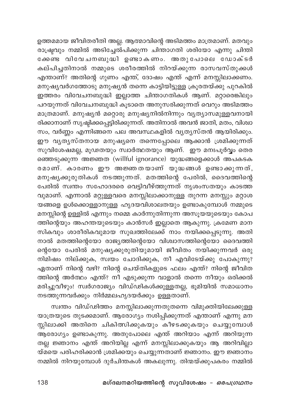ഉത്തമമായ ജീവിതരീതി അല്ല. ആത്മാവിന്റെ അടിമത്തം മാത്രമാണ്. മതവും രാഷ്ട്രവും നമ്മിൽ അടിച്ചേൽപിക്കുന്ന ചിന്താഗതി ശരിയോ എന്നു ചിന്തി .<br>കേണ്ട വിവേചനബുദ്ധി ഉണ്ടാകണം. അതുപോലെ ഡോക്ടർ കല്പിച്ചതിനാൽ നമ്മുടെ ശരീരത്തിൽ നിറയ്ക്കുന്ന രാസവസ്തുക്കൾ എന്താണ്? അതിന്റെ ഗുണം എന്ത്, ദോഷം എന്ത് എന്ന് മനസ്സിലാക്കണം. മനുഷ്യവർഗത്തോടു മനുഷ്യൻ തന്നെ കാട്ടിയിട്ടുള്ള ക്രൂരതയ്ക്കു പുറകിൽ ഇത്തരം വിവേചനബുദ്ധി ഇല്ലാത്ത ചിന്താഗതികൾ ആണ്. മറ്റാരെങ്കിലും പറയുന്നത് വിവേചനബുദ്ധി കൂടാതെ അനുസരിക്കുന്നത് വെറും അടിമത്തം മാത്രമാണ്. മനുഷ്യൻ മറ്റൊരു മനുഷ്യനിൽനിന്നും വ്യത്യാസമുള്ളവനായി രിക്കാനാണ് സൃഷ്ടിക്കപ്പെട്ടിരിക്കുന്നത്. അതിനാൽ അവൻ ജാതി, മതം, വിശ്വാ സം, വർണ്ണം എന്നിങ്ങനെ പല അവസ്ഥകളിൽ വൃത്യസ്തൻ ആയിരിക്കും. ഈ വൃത്യസ്തനായ മനുഷ്യനെ തന്നെപ്പോലെ ആക്കാൻ ശ്രമിക്കുന്നത് സുവിശേഷമല്ല, മൂഢതയും സ്വാർത്ഥതയും ആണ്. ഈ മനഃപൂർവ്വം തെര ഞ്ഞെടുക്കുന്ന അജ്ഞത (willful ignorance) യുദ്ധങ്ങളെക്കാൾ അപകടക രമാണ്. കാരണം ഈ അജ്ഞതയാണ് യുദ്ധങ്ങൾ ഉണ്ടാക്കുന്നത്, മനുഷ്യക്കുരുതികൾ നടത്തുന്നത്. മതത്തിന്റെ പേരിൽ, ദൈവത്തിന്റെ പേരിൽ സ്ഥാം സഹോദരരെ വെട്ടിവീഴ്ത്തുന്നത് നൃശംസതയും കാടത്ത വുമാണ്. എന്നാൽ മറ്റുള്ളവരെ മനസ്സിലാക്കാനുള്ള തുറന്ന മനസ്സും മറ്റാശ യങ്ങളെ ഉൾക്കൊള്ളാനുള്ള ഹൃദയവിശാലതയും ഉണ്ടാകുമ്പോൾ നമ്മുടെ മനസ്സിന്റെ ഉള്ളിൽ എന്നും നമ്മെ കാർന്നുതിന്നുന്ന അസൂയയുടെയും കോപ ത്തിന്റെയും അഹന്തയുടെയും കാൻസർ ഇല്ലാതെ ആകുന്നു. ക്രമേണ മാന .<br>സികവും ശാരീരികവുമായ സുഖത്തിലേക്ക് നാം നയിക്കപ്പെടുന്നു. അതി നാൽ മതത്തിന്റെയോ രാജ്യത്തിന്റെയോ വിശ്വാസത്തിന്റെയോ ദൈവത്തി ന്റെയോ പേരിൽ മനുഷ്യക്കുരുതിയുമായി ജീവിതം നയിക്കുന്നവർ ഒരു നിമിഷം നില്ക്കുക, സ്വയം ചോദിക്കുക, നീ എവിടേയ്ക്കു പോകുന്നു? ഏതാണ് നിന്റെ വഴി? നിന്റെ ചെയ്തികളുടെ ഫലം എന്ത്? നിന്റെ ജീവിത ത്തിന്റെ അർത്ഥം എന്ത്? നീ എടുക്കുന്ന വാളാൽ തന്നെ നീയും ഒരിക്കൽ മരിച്ചുവീഴും! സ്ഥര്ശാജ്യം വിഡ്ഢികൾക്കുള്ളതല്ല, ഭൂമിയിൽ സമാധാനം നടത്തുന്നവർക്കും നിർമ്മലഹൃദയർക്കും ഉള്ളതാണ്.

സ്വന്തം വിഡ്ഢിത്തം മനസ്സിലാക്കുന്നതുതന്നെ വിമുക്തിയിലേക്കുള്ള യാത്രയുടെ തുടക്കമാണ്. ആരോഗ്യം നശിപ്പിക്കുന്നത് എന്താണ് എന്നു മന സ്സിലാക്കി അതിനെ ചികിത്സിക്കുകയും കീഴടക്കുകയും ചെയ്യുമ്പോൾ ആരോഗ്യം ഉണ്ടാകുന്നു. അതുപോലെ എന്ത് അറിയാം എന്ന് അറിയുന്ന .<br>തല്ല ജ്ഞാനം എന്ത് അറിയില്ല എന്ന് മനസ്സിലാക്കുകയും ആ അറിവില്ലാ യ്മയെ പരിഹരിക്കാൻ ശ്രമിക്കയും ചെയ്യുന്നതാണ് ജ്ഞാനം. ഈ ജ്ഞാനം നമ്മിൽ നിറയുമ്പോൾ ദുർചിന്തകൾ അകലുന്നു. തിന്മയ്ക്കുപകരം നമ്മിൽ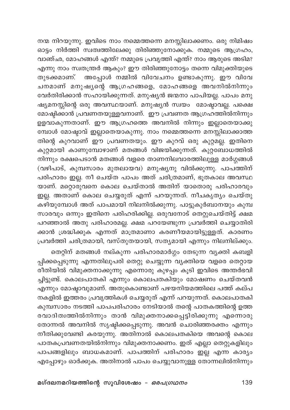നന്മ നിറയുന്നു. ഇവിടെ നാം നമ്മെത്തന്നെ മനസ്സിലാക്കണം. ഒരു നിമിഷം ഓട്ടം നിർത്തി സ്വത്വത്തിലേക്കു തിരിഞ്ഞുനോക്കുക. നമ്മുടെ ആഗ്രഹം, വാഞ്ഛ, മോഹങ്ങൾ എന്ത്? നമ്മുടെ പ്രവൃത്തി എന്ത്? നാം ആരുടെ അടിമ? എന്നു നാം സ്വതന്ത്രർ ആകും? ഈ തിരിഞ്ഞുനോട്ടം തന്നെ വിമുക്തിയുടെ തുടക്കമാണ്. അപ്പോൾ നമ്മിൽ വിവേചനം ഉണ്ടാകുന്നു. ഈ വിവേ ചനമാണ് മനുഷ്യന്റെ ആഗ്രഹങ്ങളെ, മോഹങ്ങളെ അവനിൽനിന്നും വേർതിരിക്കാൻ സഹായിക്കുന്നത്. മനുഷ്യൻ ജന്മനാ പാപിയല്ല. പാപം മനു ഷ്യമനസ്സിന്റെ ഒരു അവസ്ഥയാണ്. മനുഷ്യൻ സ്വയം മോഷ്ടാവല്ല. പക്ഷെ മോഷ്ടിക്കാൻ പ്രവണതയുള്ളവനാണ്. ഈ പ്രവണത ആഗ്രഹത്തിൽനിന്നും ഉളവാകുന്നതാണ്. ഈ ആഗ്രഹത്തെ അവനിൽ നിന്നും ഇല്ലാതെയാക്കു മ്പോൾ മോഷ്ടാവ് ഇല്ലാതെയാകുന്നു. നാം നമ്മെത്തന്നെ മനസ്സിലാക്കാത്ത തിന്റെ കുറവാണ് ഈ പ്രവണതയും. ഈ കുറവ് ഒരു കുറ്റമല്ല. ഇതിനെ കുറ്റമായി കാണുമ്പോഴാണ് മതങ്ങൾ വിജയിക്കുന്നത്. കുറ്റബോധത്തിൽ നിന്നും രക്ഷപെടാൻ മതങ്ങൾ വളരെ താണനിലവാരത്തിലുള്ള മാർഗ്ഗങ്ങൾ (വഴിപാട്, കുമ്പസാരം മുതലായവ) മനുഷ്യനു വിൽക്കുന്നു. പാപത്തിന് പരിഹാരം ഇല്ല. നീ ചെയ്ത പാപം അത് ചരിത്രമാണ്, ഭൂതകാല അവസ്ഥ യാണ്. മറ്റൊരുവനെ കൊല ചെയ്താൽ അതിന് യാതൊരു പരിഹാരവും ഇല്ല. അതാണ് കൊല ചെയ്യരുത് എന്ന് പറയുന്നത്. നീചകൃത്യം ചെയ്തു \_\_.<br>കഴിയുമ്പോൾ അത് പാപമായി നിലനിൽക്കുന്നു. പാട്ടുകുർബാനയും കുമ്പ സാരവും ഒന്നും ഇതിനെ പരിഹരിക്കില്ല. ഒരുവനോട് തെറ്റുചെയ്തിട്ട് ക്ഷമ പറഞ്ഞാൽ അതു പരിഹാരമല്ല. ക്ഷമ പറയേണ്ടുന്ന പ്രവർത്തി ചെയ്യാതിരി .<br>ക്കാൻ ശ്രദ്ധിക്കുക എന്നത് മാത്രമാണാ കരണീയമായി<u>ട്ടുള്ള</u>ത്. കാരണം പ്രവർത്തി ചരിത്രമായി, വസ്തുതയായി, സത്യമായി എന്നും നിലനില്ക്കും.

തെറ്റിന് മതങ്ങൾ നല്കുന്ന പരിഹാരമാർഗ്ഗം തേടുന്ന വ്യക്തി കബളി പ്പിക്കപ്പെടുന്നു എന്നതിലുപരി തെറ്റു ചെയ്യുന്ന വ്യക്തിയെ വളരെ തെറ്റായ .<br>രീതിയിൽ വിമുക്തനാക്കുന്നു എന്നൊരു കുഴപ്പം കൂടി ഇവിടെ അന്തർഭവി ച്ചിട്ടുണ്ട്. കൊലപാതകി എന്നും കൊലപതകിയും മോഷണം ചെയ്തവൻ എന്നും മോഷ്ടാവുമാണ്. അതുകൊണ്ടാണ് പഴയനിയമത്തിലെ പത്ത് കല്പ നകളിൽ ഇത്തരം പ്രവൃത്തികൾ ചെയ്യരുത് എന്ന് പറയുന്നത്. കൊലപാതകി കുമ്പസാരം നടത്തി പാപപരിഹാരം നേടിയാൽ തന്റെ പാതകത്തിന്റെ ഉത്ത രവാദിത്വത്തിൽനിന്നും താൻ വിമുക്തനാക്കപ്പെട്ടിരിക്കുന്നു എന്നൊരു തോന്നൽ അവനിൽ സൃഷ്ടിക്കപ്പെടുന്നു. അവൻ ചൊരിഞ്ഞരക്തം എന്നും നീതിക്കുവേണ്ടി കരയുന്നു. അതിനാൽ കൊലപതകിയെ അവന്റെ കൊല പാതകപ്രവണതയിൽനിന്നും വിമുക്തനാക്കണം. ഇത് എല്ലാ തെറ്റുകളിലും പാപങ്ങളിലും ബാധകമാണ്. പാപത്തിന് പരിഹാരം ഇല്ല എന്ന കാര്യം എപ്പോഴും ഓർക്കുക. അതിനാൽ പാപം ചെയ്യുവാനുള്ള തോന്നലിൽനിന്നും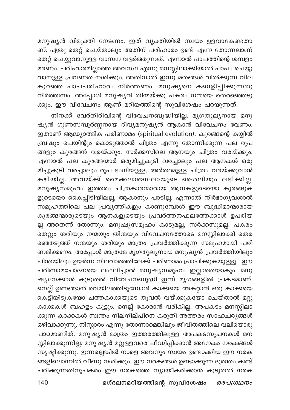മനുഷ്യൻ വിമുക്തി നേടണം. ഇത് വ്യക്തിയിൽ സ്വയം ഉളവാകേണ്ടതാ ണ്. ഏതു തെറ്റ് ചെയ്താലും അതിന് പരിഹാരം ഉണ്ട് എന്ന തോന്നലാണ് തെറ്റ് ചെയ്യുവാനുള്ള വാസന വളർത്തുന്നത്. എന്നാൽ പാപത്തിന്റെ ശമ്പളം മരണം, പരിഹാരമില്ലാത്ത അവസ്ഥ എന്നു മനസ്സിലാക്കിയാൽ പാപം ചെയ്യു വാനുള്ള പ്രവണത നശിക്കും. അതിനാൽ ഇന്നു മതങ്ങൾ വിൽക്കുന്ന വില കുറഞ്ഞ പാപപരിഹാരം നിർത്തണം. മനുഷ്യനെ കബളിപ്പിക്കുന്നതു നിർത്തണം. അപ്പോൾ മനുഷ്യൻ തിന്മയ്ക്കു പകരം നന്മയെ തെരഞ്ഞെടു ക്കും. ഈ വിവേചനം ആണ് മറിയത്തിന്റെ സുവിശേഷം പറയുന്നത്.

നിനക്ക് വേർതിരിവിന്റെ വിവേചനബുദ്ധിയില്ല. മൃഗതുലൃനായ മനു ഷ്യൻ ഗുണസമ്പൂർണ്ണനായ ദിവ്യമനുഷ്യൻ ആകാൻ വിവേചനം വേണം. ഇതാണ് ആദ്ധ്യാത്മിക് പരിണാമം (spiritual evolution). കുരങ്ങന്റെ കയ്യിൽ ബ്രഷും പെയിന്റും കൊടുത്താൽ ചിത്രം എന്നു തോന്നിക്കുന്ന പല രൂപ ങ്ങളും കുരങ്ങൻ വരയ്ക്കും. സർക്കസിലെ ആനയും ചിത്രം വരയ്ക്കും. എന്നാൽ പല കുരങ്ങന്മാർ ഒരുമിച്ചുകൂടി വരച്ചാലും പല ആനകൾ ഒരു മിച്ചുകൂടി വരച്ചാലും രൂപ ഭംഗിയുള്ള, അർത്ഥമുള്ള ചിത്രം വരയ്ക്കുവാൻ കഴിയില്ല, അവയ്ക്ക് മൈക്കലാഞ്ചലോയുടെ ശൈലിയും ലഭിക്കില്ല. മനുഷ്യസമൂഹം ഇത്തരം ചിത്രകാരന്മാരായ ആനകളുടെയൊ കുരങ്ങുക ളുടെയൊ കൈപ്പിടിയിലല്ല, ആകാനും പാടില്ല. എന്നാൽ നിർഭാഗ്യവശാൽ സമൂഹത്തിലെ പല പ്രവൃത്തികളും കാണുമ്പോൾ ഈ ബുദ്ധിമാന്മാരായ കുരങ്ങന്മാരുടെയും ആനകളുടെയും പ്രവർത്തനഫലത്തേക്കാൾ ഉപരിയ ല്ല അതെന്ന് തോന്നും. മനുഷ്യസമൂഹം കാടുമല്ല, സർക്കസുമല്ല. പകരം .<br>തെറ്റും ശരിയും നന്മയും തിന്മയും വിവേചനത്തോടെ മനസ്സിലാക്കി തെര ഞ്ഞെടുത്ത് നന്മയും ശരിയും മാത്രം പ്രവർത്തിക്കുന്ന സമൂഹമായി പരി ണമിക്കണം. അപ്പോൾ മാത്രമേ മൃഗതുല്യനായ മനുഷ്യൻ പ്രവർത്തിയിലും ചിന്തയിലും ഉയർന്ന നിലവാരത്തിലേക്ക് പരിണാമം പ്രാപിക്കുകയുള്ളു. ഈ പരിണാമചോദനയെ ലംഘിച്ചാൽ മനുഷ്യസമൂഹം ഇല്ലാതെയാകും. മനു ഷ്യനേക്കാൾ കൂടുതൽ വിവേചനബുദ്ധി ഇന്ന് മൃഗങ്ങളിൽ പ്രകടമാണ്. നെല്ല് ഉണങ്ങാൻ വെയിലത്തിടുമ്പോൾ കാക്കയെ അകറ്റാൻ ഒരു കാക്കയെ കെട്ടിയിടുകയോ ചത്തകാക്കയുടെ തൂവൽ വയ്ക്കുകയോ ചെയ്താൽ മറ്റു കാക്കകൾ ബഹളം കൂട്ടും. നെല്ല് കോരാൻ വരികില്ല. അപകടം മനസ്സിലാ ക്കുന്ന കാക്കകൾ സ്വന്തം നിലനില്പിനെ കരുതി അത്തരം സാഹചര്യങ്ങൾ ഒഴിവാക്കുന്നു. നിസ്സാരം എന്നു തോന്നാമെങ്കിലും ജീവിതത്തിലെ വലിയൊരു പാഠമാണിത്. മനുഷ്യൻ മാത്രം ഇത്തരത്തിലുള്ള അപകടസൂചനകൾ മന സ്സിലാക്കുന്നില്ല. മനുഷ്യൻ മറ്റുള്ളവരെ പീഡിപ്പിക്കാൻ അനേകം നരകങ്ങൾ സൃഷ്ടിക്കുന്നു. ഇന്നല്ലെങ്കിൽ നാളെ അവനും സ്വയം ഉണ്ടാക്കിയ ഈ നരക ങ്ങളിലൊന്നിൽ വീണു നശിക്കും. ഈ നരകങ്ങൾ ഉണ്ടാക്കുന്ന ദുരന്തം കണ്ട് പഠിക്കുന്നതിനുപകരം ഈ നരകത്തെ ന്യായീകരിക്കാൻ കൂടുതൽ നരക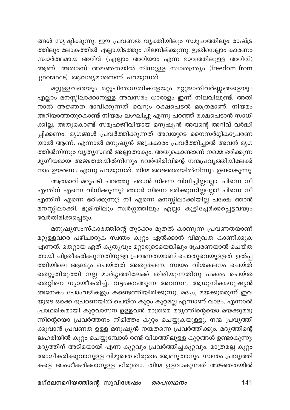ങ്ങൾ സൃഷ്ടിക്കുന്നു. ഈ പ്രവണത വ്യക്തിയിലും സമൂഹത്തിലും രാഷ്ട്ര ത്തിലും ലോകത്തിൽ എല്ലായിടത്തും നിലനില്ക്കുന്നു. ഇതിനെല്ലാം കാരണം സ്വാർത്ഥമായ അറിവ് (എല്ലാം അറിയാം എന്ന ഭാവത്തിലുള്ള അറിവ്) ആണ്. അതാണ് അജ്ഞതയിൽ നിന്നുള്ള സ്വാതന്ത്ര്യം (freedom from ignorance) ആവശ്യമാണെന്ന് പറയുന്നത്.

മറ്റുള്ളവരെയും മറ്റുചിന്താഗതികളേയും മറ്റുജാതിവർണ്ണങ്ങളെയും എല്ലാം മനസ്സിലാക്കാനുള്ള അവസരം ധാരാളം ഇന്ന് നിലവിലുണ്ട്. അതി നാൽ അജ്ഞത ഭാവിക്കുന്നത് വെറും രക്ഷപെടൽ മാത്രമാണ്. നിയമം അറിയാത്തതുകൊണ്ട് നിയമം ലംഘിച്ചു എന്നു പറഞ്ഞ് രക്ഷപെടാൻ സാധി ക്കില്ല. അതുകൊണ്ട് സമൂഹജീവിയായ മനുഷ്യൻ അവന്റെ അറിവ് വർദ്ധി പ്പിക്കണം. മൃഗങ്ങൾ പ്രവർത്തിക്കുന്നത് അവയുടെ നൈസർഗ്ഗികപ്രേരണ യാൽ ആണ്. എന്നാൽ മനുഷ്യൻ അപ്രകാരം പ്രവർത്തിച്ചാൽ അവൻ മൃഗ ത്തിൽനിന്നും വ്യത്യസ്ഥൻ അല്ലാതാകും. അതുകൊണ്ടാണ് നമ്മെ ഭരിക്കുന്ന മൃഗീയമായ അജ്ഞതയിൽനിന്നും വേർതിരിവിന്റെ നന്മപ്രവൃത്തിയിലേക്ക് നാം ഉയരണം എന്നു പറയുന്നത്. തിന്മ അജ്ഞതയിൽനിന്നും ഉണ്ടാകുന്നു.

ആത്മാവ് മറുപടി പറഞ്ഞു. ഞാൻ നിന്നെ വിധിച്ചില്ലല്ലോ. പിന്നെ നീ എന്തിന് എന്നെ വിധിക്കുന്നു? ഞാൻ നിന്നെ ഭരിക്കുന്നില്ലല്ലോ! പിന്നെ നീ എന്തിന് എന്നെ ഭരിക്കുന്നു? നീ എന്നെ മനസ്സിലാക്കിയില്ല പക്ഷേ ഞാൻ മനസ്സിലാക്കി. ഭൂമിയിലും സ്വർഗ്ഗത്തിലും എല്ലാ കൂട്ടിച്ചേർക്കപ്പെട്ടവയും വേർതിരിക്കപ്പെടും.

മനുഷ്യസംസ്കാരത്തിന്റെ തുടക്കം മുതൽ കാണുന്ന പ്രവണതയാണ് മറ്റുള്ളവരെ പഴിചാരുക സ്വന്തം കുറ്റം ഏൽക്കാൻ വിമുഖത കാണിക്കുക .<br>എന്നത്. തെറ്റായ ഏത് കൃത്യവും മറ്റാരുടെയെങ്കിലും പ്രേരണയാൽ ചെയ്ത തായി ചിത്രീകരിക്കുന്നതിനുള്ള പ്രവണതയാണ് പൊതുവെയുള്ളത്. ഉൽപ്പ ത്തിയിലെ ആദമും ചെയ്തത് അതുതന്നെ. സ്വയം വിശകലനം ചെയ്ത് തെറ്റുതിരുത്തി നല്ല മാർഗ്ഗത്തിലേക്ക് തിരിയുന്നതിനു പകരം ചെയ്ത തെറ്റിനെ ന്യായീകരിച്ച്, വട്ടംകറങ്ങുന്ന അവസ്ഥ. ആധുനികമനുഷ്യൻ അനേകം പോംവഴികളും കണ്ടെത്തിയിരിക്കുന്നു. മദ്യം, മയക്കുമരുന്ന് ഇവ യുടെ ഒക്കെ പ്രേരണയിൽ ചെയ്ത കുറ്റം കുറ്റമല്ല എന്നാണ് വാദം. എന്നാൽ പ്രാഥമികമായി കുറ്റവാസന ഉള്ളവൻ മാത്രമെ മദ്യത്തിന്റെയൊ മയക്കുമരു ന്നിന്റെയൊ പ്രവർത്തനം നിമിത്തം കുറ്റം ചെയ്യുകയുള്ളു. നന്മ പ്രവൃത്തി ക്കുവാൻ പ്രവണത ഉള്ള മനുഷ്യൻ നന്മതന്നെ പ്രവർത്തിക്കും. മദ<mark>്യ</mark>ത്തിന്റെ ലഹരിയിൽ കുറ്റം ചെയ്യുമ്പോൾ രണ്ട് വിധത്തിലുള്ള കുറ്റങ്ങൾ ഉണ്ടാകുന്നു. മദ്യത്തിന് അടിമയായി എന്ന കുറ്റവും പ്രവർത്തിച്ചകുറ്റവും. മാത്രമല്ല കുറ്റം അംഗീകരിക്കുവാനുള്ള വിമുഖത ഭീരുത്വം ആണുതാനും. സ്വന്തം പ്രവൃത്തി കളെ അംഗീകരിക്കാനുള്ള ഭീരുത്വം. തിന്മ ഉളവാകുന്നത് അജ്ഞതയിൽ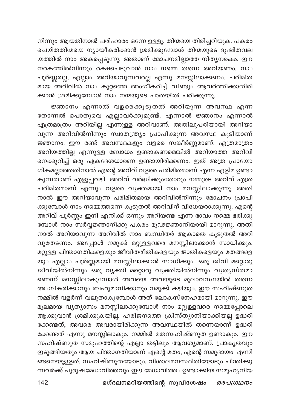നിന്നും ആയതിനാൽ പരിഹാരം ഒന്നേ ഉള്ളൂ. തിന്മയെ തിരിച്ചറിയുക. പകരം ചെയ്തതിന്മയെ ന്യായീകരിക്കാൻ ശ്രമിക്കുമ്പോൾ തിന്മയുടെ ദുഷിതവല .<br>യത്തിൽ നാം അകപ്പെടുന്നു. അതാണ് മോചനമില്ലാത്ത നിത്യനരകം. ഈ നരകത്തിൽനിന്നും രക്ഷപെടുവാൻ നാം നമ്മെ തന്നെ അറിയണം. നാം പൂർണ്ണരല്ല, എല്ലാം അറിയാവുന്നവരല്ല എന്നു മനസ്സിലാക്കണം. പരിമിത മായ അറിവിൽ നാം കുറ്റത്തെ അംഗീകരിച്ച് വീണ്ടും ആവർത്തിക്കാതിരി ക്കാൻ ശ്രമിക്കുമ്പോൾ നാം നന്മയുടെ പാതയിൽ ചരിക്കുന്നു.

ജ്ഞാനം എന്നാൽ വളരെക്കൂടുതൽ അറിയുന്ന അവസ്ഥ എന്ന തോന്നൽ പൊതുവെ എല്ലാവർക്കുമുണ്ട്. എന്നാൽ ജ്ഞാനം എന്നാൽ എത്രമാത്രം അറിയില്ല എന്നുള്ള അറിവാണ്. അതിലുപരിയായി അറിയാ വുന്ന അറിവിൽനിന്നും സ്വാതന്ത്ര്യം പ്രാപിക്കുന്ന അവസ്ഥ കൂടിയാണ് ജ്ഞാനം. ഈ രണ്ട് അവസ്ഥകളും വളരെ സങ്കീർണ്ണമാണ്. എത്രമാത്രം അറിയത്തില്ല എന്നുള്ള ബോധം ഉണ്ടാകണമെങ്കിൽ അറിയാത്ത അറിവി നെക്കുറിച്ച് ഒരു ഏകദേശധാരണ ഉണ്ടായിരിക്കണം. ഇത് അത്ര പ്രായോ ഗികമല്ലാത്തതിനാൽ എന്റെ അറിവ് വളരെ പരിമിതമാണ് എന്ന എളിമ ഉണ്ടാ കുന്നതാണ് എളുപ്പവഴി. അറിവ് വർദ്ധിക്കുംതോറും നമ്മുടെ അറിവ് എത്ര പരിമിതമാണ് എന്നും വളരെ വ്യക്തമായി നാം മനസ്സിലാക്കുന്നു. അതി നാൽ ഈ അറിയാവുന്ന പരിമിതമായ അറിവിൽനിന്നും മോചനം പ്രാപി ക്കുമ്പോൾ നാം നമ്മെത്തന്നെ കൂടുതൽ അറിവിന് വിധേയരാക്കുന്നു. എന്റെ അറിവ് പൂർണ്ണം ഇനി എനിക്ക് ഒന്നും അറിയണ്ട എന്ന ഭാവം നമ്മെ ഭരിക്കു മ്പോൾ നാം സർവ്വജ്ഞാനിക്കു പകരം മൂഢജ്ഞാനിയായി മാറുന്നു. അതി നാൽ അറിയാവുന്ന അറിവിൽ നാം ബന്ധിതർ ആകാതെ കൂടുതൽ അറി വുതേടണം. അപ്പോൾ നമുക്ക് മറ്റുള്ളവരെ മനസ്സിലാക്കാൻ സാധിക്കും. .<br>യും എല്ലാം പൂർണ്ണമായി മനസ്സിലാക്കാൻ സാധിക്കും. ഒരു ജീവി മറ്റൊരു .<br>ജീവിയിൽനിന്നും ഒരു വൃക്തി മറ്റൊരു വൃക്തിയിൽനിന്നും വൃതൃസ്തമാ ണെന്ന് മനസ്സിലാകുമ്പോൾ അവയെ അവയുടെ മൂലാവസ്ഥയിൽ തന്നെ അംഗീകരിക്കാനും ബഹുമാനിക്കാനും നമുക്ക് കഴിയും. ഈ സഹിഷ്ണുത നമ്മിൽ വളർന്ന് വലുതാകുമ്പോൾ അത് ലോകസ്നേഹമായി മാറുന്നു. ഈ മൂലമായ വ്യത്യാസം മനസ്സിലാക്കുമ്പോൾ നാം മറ്റുള്ളവരെ നമ്മെപ്പോലെ ആക്കുവാൻ ശ്രമിക്കുകയില്ല. ഹരിജനത്തെ ക്രിസ്ത്യാനിയാക്കിയല്ല ഉദ്ധരി ക്കേണ്ടത്, അവരെ അവരായിരിക്കുന്ന അവസ്ഥയിൽ തന്നെയാണ് ഉദ്ധരി ക്കേണ്ടത് എന്നു മനസ്സിലാകും. നമ്മിൽ മതസഹിഷ്ണുത ഉണ്ടാകും. ഈ സഹിഷ്ണുത സമൂഹത്തിന്റെ എല്ലാ തട്ടിലും ആവശ്യമാണ്. പ്രാകൃതവും ഇടുങ്ങിയതും ആയ ചിന്താഗതിയാണ് എന്റെ മതം, എന്റെ സമുദായം എന്നി ങ്ങനെയുള്ളത്. സഹിഷ്ണുതയോടും, വിശാലമനസ്ഥിതിയോടും ചിന്തിക്കു ന്നവർക്ക് പുരുഷമേധാവിത്തവും ഈ മേധാവിത്തം ഉണ്ടാക്കിയ സമൂഹ്യനിയ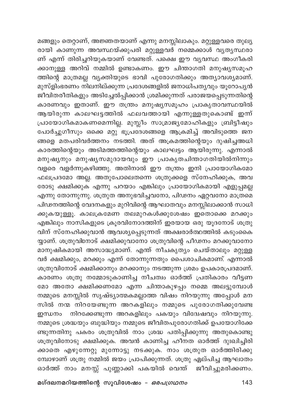മങ്ങളും തെറ്റാണ്, അജ്ഞതയാണ് എന്നു മനസ്സിലാകും. മറ്റുള്ളവരെ തുല്യ രായി കാണുന്ന അവസ്ഥയ്ക്കുപരി മറ്റുള്ളവര് നമ്മെക്കാൾ വൃതൃസ്ഥരാ ണ് എന്ന് തിരിച്ചറിയുകയാണ് വേണ്ടത്. പക്ഷെ ഈ വ്യവസ്ഥ അംഗീകരി ക്കാനുള്ള അറിവ് നമ്മിൽ ഉണ്ടാകണം. ഈ ചിന്താഗതി മനുഷ്യസമൂഹ ത്തിന്റെ മാത്രമല്ല വ്യക്തിയുടെ ഭാവി പുരോഗതിക്കും അത്യാവശ്യമാണ്. മുസ്ളിംഭരണം നിലനില്ക്കുന്ന പ്രദേശങ്ങളിൽ ജനാധിപത്യവും യൂറോപ്യൻ .<br>ജീവിതരീതികളും അടിച്ചേൽപ്പിക്കാൻ ശ്രമിക്കുന്നത് പരാജയപ്പെടുന്നതിന്റെ കാരണവും ഇതാണ്. ഈ തന്ത്രം മനുഷ്യസമൂഹം പ്രാകൃതാവസ്ഥയിൽ ആയിരുന്ന കാലഘട്ടത്തിൽ ഫലവത്തായി എന്നുള്ളതുകൊണ്ട് ഇന്ന് പ്രായോഗികമാകണമെന്നില്ല. മുസ്ലീം സാമ്രാജ്യമോഹികളും ബ്രിട്ടീഷും പോർച്ചുഗീസും ഒക്കെ മറ്റു ഭൂപ്രദേശങ്ങളെ ആക്രമിച്ച് അവിടുത്തെ ജന ങ്ങളെ മതപരിവർത്തനം നടത്തി. അത് അക്രമത്തിന്റെയും ദുഷിച്ചഅധി കാരത്തിന്റെയും അടിമത്തത്തിന്റെയും കാലഘട്ടം ആയിരുന്നു. എന്നാൽ മനുഷ്യനും മനുഷ്യസമുദായവും ഈ പ്രാകൃതചിന്താഗതിയിൽനിന്നും വളരെ വളർന്നുകഴിഞ്ഞു. അതിനാൽ ഈ തന്ത്രം ഇനി പ്രായോഗികമോ ഫലപ്രദമോ അല്ല. അതുപോലെതന്നെ ശത്രുക്കളെ സ്നേഹിക്കുക, അവ രോടു ക്ഷമിക്കുക എന്നു പറയാം എങ്കിലും പ്രായോഗികമായി എളുപ്പമല്ല എന്നു തോന്നുന്നു. ശത്രുത അനുഭവിച്ചവനോ, പിഢനം ഏറ്റവനോ മാത്രമെ പിഢനത്തിന്റെ വേദനകളും മുറിവിന്റെ ആഘാതവും മനസ്സിലാക്കാൻ സാധി ക്കുകയുള്ളൂ. കാലക്രമേണ തലമുറകൾക്കുശേഷം ഇതൊക്കെ മറക്കും എങ്കിലും നാസികളുടെ ക്രൂരവിനോദത്തിന് ഇരയായ ഒരു യൂദനോട് ശത്രു വിന് സ്നേഹിക്കുവാൻ ആവശ്യപ്പെടുന്നത് അക്ഷരാർത്ഥത്തിൽ കടുംകൈ യ്യാണ്. ശത്രുവിനോട് ക്ഷമിക്കുവാനോ ശത്രുവിന്റെ പീഢനം മറക്കുവാനോ മാനുഷികമായി അസാദ്ധ്യമാണ്. എന്ത് നീചകൃത്യം ചെയ്താലും മറ്റുള്ള വർ ക്ഷമിക്കും, മറക്കും എന്ന് തോന്നുന്നതും പൈശാചികമാണ്. എന്നാൽ ശത്രുവിനോട് ക്ഷമിക്കാനും മറക്കാനും നടത്തുന്ന ശ്രമം ഉപകാരപ്രദമാണ്. കാരണം ശത്രു നമ്മോടുകാണിച്ച നീചത്വം ഓർത്ത് പ്രതികാരം വീട്ടണ മോ അതോ ക്ഷമിക്കണമോ എന്ന ചിന്താകുഴപ്പം നമ്മെ അലട്ടുമ്പോൾ നമ്മുടെ മനസ്സിൽ സൃഷ്ട്യാത്മകമല്ലാത്ത വിഷം നിറയുന്നു അപ്പോൾ മന സിൽ നന്മ നിറയേണ്ടുന്ന അറകളിലും നമ്മുടെ പുരോഗതിക്കുവേണ്ട ഇന്ധനം നിറക്കേണ്ടുന്ന അറകളിലും പകയും വിദ്വേഷവും നിറയുന്നു. നമ്മുടെ ശ്രദ്ധയും ബുദ്ധിയും നമ്മുടെ ജീവിതപുരോഗതിക്ക് ഉപയോഗിക്കേ ണ്ടുന്നതിനു പകരം ശത്രുവിൽ നാം ശ്രദ്ധ പതിപ്പിക്കുന്നു അതുകൊണ്ടു ശത്രുവിനോടു ക്ഷമിക്കുക. അവൻ കാണിച്ച ഹീനത ഓർത്ത് ദുഃഖിച്ചിരി ക്കാതെ എഴുന്നേറ്റു മുന്നോട്ടു നടക്കുക. നാം ശത്രുത ഓർത്തിരിക്കു മ്പോഴാണ് ശത്രു നമ്മിൽ ജയം പ്രാപിക്കുന്നത്. ശത്രു ഏല്പിച്ച ആഘാതം ഓർത്ത് നാം മനസ്സ് പുണ്ണാക്കി പകയിൽ വെന്ത് ജീവിച്ചുമരിക്കണം.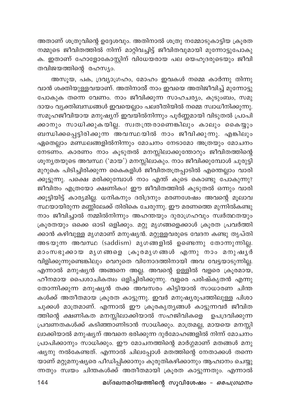അതാണ് ശത്രുവിന്റെ ഉദ്ദേശവും. അതിനാൽ ശത്രു നമ്മോടുകാട്ടിയ ക്രൂരത നമ്മുടെ ജീവിതത്തിൽ നിന്ന് മാറ്റിവച്ചിട്ട് ജീവിതവുമായി മുന്നോട്ടുപോകു ക. ഇതാണ് ഹോളോകോസ്റ്റിന് വിധേയരായ പല യെഹുദരുടെയും ജീവി തവിജയത്തിന്റെ രഹസ്യം.

അസൂയ, പക, ദ്രവ്യാഗ്രഹം, മോഹം ഇവകൾ നമ്മെ കാർന്നു തിന്നു വാൻ ശക്തിയുള്ളവയാണ്. അതിനാൽ നാം ഇവയെ അതിജീവിച്ച് മുന്നോട്ടു പോകുക തന്നെ വേണം. നാം ജീവിക്കുന്ന സാഹചര്യം, കുടുംബം, സമു ദായം വ്യക്തിബന്ധങ്ങൾ ഇവയെല്ലാം പലരീതിയിൽ നമ്മെ സ്വാധീനിക്കുന്നു. സമൂഹജീവിയായ മനുഷ്യന് ഇവയിൽനിന്നും പൂർണ്ണമായി വിടുതൽ പ്രാപി ക്കാനും സാധിക്കുകയില്ല. സ്വതന്ത്രരാണെങ്കിലും കാലും കൈയ്യും .<br>ബന്ധിക്കപ്പെട്ടിരിക്കുന്ന അവസ്ഥയിൽ നാം ജീവിക്കുന്നു. എങ്കിലും ഏതെല്ലാം മണ്ഡലങ്ങളിൽനിന്നും മോചനം നേടാമോ അത്രയും മോചനം നേടണം. കാരണം നാം കൂടുതൽ മനസ്സിലാക്കുന്തോറും ജീവിതത്തിന്റെ ശൂന്യതയുടെ അവസ്ഥ ('മായ') മനസ്സിലാകും. നാം ജീവിക്കുമ്പോൾ ചുരുട്ടി മുറുകെ പിടിച്ചിരിക്കുന്ന കൈകളിശ് ജീവിതതത്രപ്പാടിൽ എന്തെല്ലാം വാരി ക്കൂട്ടുന്നു. പക്ഷെ മരിക്കുമ്പോൾ നാം എന്ത് കൂടെ കൊണ്ടു പോകുന്നു? ജീവിതം എത്രയോ ക്ഷണികം! ഈ ജീവിതത്തിൽ കൂടുതൽ ഒന്നും വാരി ക്കൂട്ടിയിട്ട് കാര്യമില്ല. ധനികനും ദരിദ്രനും മരണശേഷം അവന്റെ മൂലാവ സ്ഥയായിരുന്ന മണ്ണിലേക്ക് തിരികെ ചേരുന്നു. ഈ മരണത്തെ മുന്നിൽകണ്ടു നാം ജീവിച്ചാൽ നമ്മിൽനിന്നും അഹന്തയും ദുരാഗ്രഹവും സ്ഥർത്ഥതയും ക്രൂരതയും ഒക്കെ ഓടി ഒളിക്കും. മറ്റു മൃഗങ്ങളെക്കാൾ ക്രൂരത പ്രവർത്തി ക്കാൻ കഴിവുള്ള മൃഗമാണ് മനുഷ്യൻ. മറ്റുള്ളവരുടെ വേദന കണ്ടു തൃപ്തി അടയുന്ന അവസ്ഥ (saddism) മൃഗങ്ങളിൽ ഉണ്ടെന്നു തോന്നുന്നില്ല. മാംസഭുക്കായ മൃഗങ്ങളെ ക്രൂരമൃഗങ്ങൾ എന്നു നാം മനുഷൃർ വിളിക്കുന്നുണ്ടെങ്കിലും വെറുതെ വിനോദത്തിനായി അവ വേട്ടയാടുന്നി<u>ല</u>്ല. എന്നാൽ മനുഷ്യൻ അങ്ങനെ അല്ല. അവന്റെ ഉള്ളിൽ വളരെ ക്രൂരമായ, ഹീനമായ പൈശാചികത്വം ഒളിച്ചിരിക്കുന്നു. വളരെ പരിഷ്കൃതൻ എന്നു തോന്നിക്കുന്ന മനുഷ്യൻ തക്ക അവസരം കിട്ടിയാൽ സാധാരണ ചിന്ത കൾക്ക് അതീതമായ ക്രൂരത കാട്ടുന്നു. ഇവർ മനുഷ്യരൂപത്തിലുള്ള പിശാ ചുക്കൾ മാത്രമാണ്. എന്നാൽ ഈ ക്രൂരകൃത്യങ്ങൾ കാട്ടുന്നവർ ജീവിത ത്തിന്റെ ക്ഷണികത മനസ്സിലാക്കിയാൽ സഹജിവികളെ ഉപദ്രവിക്കുന്ന പ്രവണതകൾക്ക് കടിഞ്ഞാണിടാൻ സാധിക്കും. മാത്രമല്ല, മായയെ മനസ്സി ലാക്കിയാൽ മനുഷ്യന് അവനെ ഭരിക്കുന്ന ദുർമോഹങ്ങളിൽ നിന്ന് മോചനം പ്രാപിക്കാനും സാധിക്കും. ഈ മോചനത്തിന്റെ മാർഗ്ഗമാണ് മതങ്ങൾ മനു ഷ്യനു നൽകേണ്ടത്. എന്നാൽ ചിലപ്പോൾ മതത്തിന്റെ നേതാക്കൾ തന്നെ യാണ് മറ്റുമനുഷ്യരെ പീഡിപ്പിക്കാനും കുരുതികഴിക്കാനും ആഹ്വാനം ചെയ്യു ന്നതും സ്വയം ചിന്തകൾക്ക് അതീതമായി ക്രൂരത കാട്ടുന്നതും. എന്നാൽ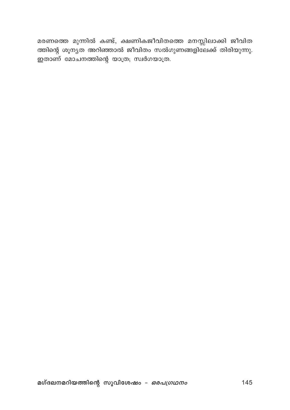മരണത്തെ മുന്നിൽ കണ്ട്, ക്ഷണികജീവിതത്തെ മനസ്സിലാക്കി ജീവിത ത്തിന്റെ ശൂന്യത അറിഞ്ഞാൽ ജീവിതം സൽഗുണങ്ങളിലേക്ക് തിരിയുന്നു. ഇതാണ് മോചനത്തിന്റെ യാത്ര; സ്വർഗയാത്ര.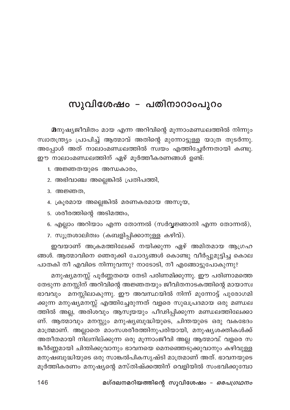## സുവിശേഷം – പതിനാറാംപൂറം

മനുഷ്യജീവിതം മായ എന്ന അറിവിന്റെ മൂന്നാംമണ്ഡലത്തിൽ നിന്നും സ്വാതന്ത്ര്യം പ്രാപിച്ച് ആത്മാവ് അതിന്റെ മുന്നോട്ടുള്ള യാത്ര തുടർന്നു. അപ്പോൾ അത് നാലാംമണ്ഡലത്തിൽ സ്വയം എത്തിച്ചേർന്നതായി കണ്ടു. ഈ നാലാംമണ്ഡലത്തിന് ഏഴ് മൂർത്തീകരണങ്ങൾ ഉണ്ട്:

- 1. അജ്ഞതയുടെ അന്ധകാരം,
- 2. അഭിവാഞ്ച അല്ലെങ്കിൽ പ്രതിപത്തി,
- 3. അജ്ഞത,
- 4. ക്രൂരമായ അല്ലെങ്കിൽ മരണകരമായ അസൂയ,
- 5. ശരീരത്തിന്റെ അടിമത്തം,
- 6. എല്ലാം അറിയാം എന്ന തോന്നൽ (സർവ്വജ്ഞാനി എന്ന തോന്നൽ),
- 7. സൂത്രശാലിത്വം (കബളിപ്പിക്കാനുള്ള കഴിവ്).

ഇവയാണ് അക്രമത്തിലേക്ക് നയിക്കുന്ന ഏഴ് അമിതമായ ആഗ്രഹ ങ്ങൾ. ആത്മാവിനെ ഞെരുക്കി ചോദ്യങ്ങൾ കൊണ്ടു വീർപ്പുമുട്ടിച്ച കൊല പാതകി നീ എവിടെ നിന്നുവന്നു? നാടോടി, നീ എങ്ങോട്ടുപോകുന്നു?

മനുഷ്യമനസ്സ് പൂർണ്ണതയെ തേടി പരിണമിക്കുന്നു. ഈ പരിണാമത്തെ തേടുന്ന മനസ്സിന് അറിവിന്റെ അജ്ഞതയും ജീവിതനാടകത്തിന്റെ മായാസ്വ ഭാവവും മനസ്സിലാകുന്നു. ഈ അവസ്ഥയിൽ നിന്ന് മുന്നോട്ട് പുരോഗമി ക്കുന്ന മനുഷ്യമനസ്സ് എത്തിച്ചേരുന്നത് വളരെ സുഖപ്രദമായ ഒരു മണ്ഡല ത്തിൽ അല്ല, അരിശവും ആസൂയയും പീഢിപ്പിക്കുന്ന മണ്ഡലത്തിലേക്കാ ണ്. ആത്മാവും മനസ്സും മനുഷ്യബുദ്ധിയുടെ, ചിന്തയുടെ ഒരു വകഭേദം മാത്രമാണ്. അല്ലാതെ മാംസശരീരത്തിനുപരിയായി, മനുഷ്യശക്തികൾക്ക് അതീതമായി നിലനില്ക്കുന്ന ഒരു മൂന്നാംജീവി അല്ല ആത്മാവ്. വളരെ സ ങ്കീർണ്ണമായി ചിന്തിക്കുവാനും ഭാവനയെ മെനഞ്ഞെടുക്കുവാനും കഴിവുള്ള മനുഷബുദ്ധിയുടെ ഒരു സാങ്കൽപികസൃഷ്ടി മാത്രമാണ് അത്. ഭാവനയുടെ മൂർത്തികരണം മനുഷ്യന്റെ മസ്തിഷ്ക്കത്തിന് വെളിയിൽ സംഭവിക്കുമ്പോ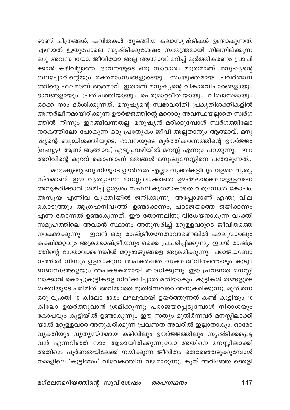ഴാണ് ചിത്രങ്ങൾ, കവിതകൾ തുടങ്ങിയ കലാസൃഷ്ടികൾ ഉണ്ടാകുന്നത്. എന്നാൽ ഇതുപോലെ സൃഷ്ടിക്കുശേഷം സ്വതന്ത്രമായി നിലനില്ക്കുന്ന ഒരു അവസ്ഥയോ, ജീവിയോ അല്ല ആത്മാവ്. മറിച്ച് മൂർത്തികരണം പ്രാപി ക്കാൻ കഴിവില്ലാത്ത, ഭാവനയുടെ ഒരു സാരാശം മാത്രമാണ്. മനുഷ്യന്റെ തലച്ചോറിന്റെയും രക്തമാംസങ്ങളുടെയും സംയുക്തമായ പ്രവർത്തന ത്തിന്റെ ഫലമാണ് ആത്മാവ്. ഇതാണ് മനുഷ്യന്റെ വികാരവിചാരങ്ങളായും ഭാവങ്ങളായും പ്രതിപത്തിയായും പെരുമാറ്റരീതിയായും വിശ്വാസമായും ഒക്കെ നാം ദർശിക്കുന്നത്. മനുഷ്യന്റെ സ്വഭാവരീതി പ്രകൃതിശക്തികളിൽ അന്തർലീനമായിരിക്കുന്ന ഊർജ്ജത്തിന്റെ മറ്റൊരു അവസ്ഥയല്ലാതെ സ്വർഗ ത്തിൽ നിന്നും ഇറങ്ങിവന്നതല്ല. മനുഷൃൻ മരിക്കുമ്പോൾ സ്ഥർഗത്തിലോ നരകത്തിലോ പോകുന്ന ഒരു പ്രത്യേകം ജീവി അല്ലതാനും ആത്മാവ്. മനു ഷ്യന്റെ ബുദ്ധിശക്തിയുടെ, ഭാവനയുടെ മൂർത്തികരണത്തിന്റെ ഊർജ്ജം (energy) ആണ് ആത്മാവ്, എളുപ്പവഴിയിൽ മനസ്സ് എന്നും പറയുന്നു. ഈ അറിവിന്റെ കുറവ് കൊണ്ടാണ് മതങ്ങൾ മനുഷ്യമനസ്സിനെ പന്താടുന്നത്..

മനുഷ്യന്റെ ബുദ്ധിയുടെ ഊർജ്ജം എല്ലാ വ്യക്തികളിലും വളരെ വ്യത്യ സ്തമാണ്. ഈ വൃത്യാസം മനസ്സിലാക്കാതെ ഊർജ്ജശക്തിയുള്ളവനെ അനുകരിക്കാൻ ശ്രമിച്ച് ഉദ്ദേശം സഫലികൃതമാകാതെ വരുമ്പോൾ കോപം, അസൂയ എന്നിവ വ്യക്തിയിൽ ജനിക്കുന്നു. അപ്പോഴാണ് എന്തു വില കൊടുത്തും ആഗ്രഹനിവൃത്തി ഉണ്ടാക്കണം, പരാജയത്തെ ജയിക്കണം എന്ന തോന്നൽ ഉണ്ടാകുന്നത്. ഈ തോന്നലിനു വിധേയനാകുന്ന വൃക്തി സമൂഹത്തിലെ അവന്റെ സ്ഥാനം അനുസരിച്ച് മറ്റുള്ളവരുടെ ജീവിതത്തെ നരകമാക്കുന്നു. ഇവൻ ഒരു രാഷ്ട്രീയനേതാവാണെങ്കിൽ കാലുവാരലും കക്ഷിമാറ്റവും അക്രമരാഷ്ട്രീയവും ഒക്കെ പ്രചരിപ്പിക്കുന്നു. ഇവൻ രാഷ്ട്ര ത്തിന്റെ നേതാവാണെങ്കിൽ മറ്റുരാജ്യങ്ങളെ അക്രമിക്കുന്നു. പരാജയബോ ധത്തിൽ നിന്നും ഉളവാകുന്ന അപകർഷത വൃക്തിജീവിതത്തെയും കുടും ബബന്ധങ്ങളെയും അപകടകരമായി ബാധിക്കുന്നു. ഈ പ്രവണത മനസ്സി ലാക്കാൻ കൊച്ചുകുട്ടികളെ നിരീക്ഷിച്ചാൽ മതിയാകും. കുട്ടികൾ തങ്ങളുടെ ശക്തിയുടെ പരിമിതി അറിയാതെ മുതിർന്നവരെ അനുകരിക്കുന്നു. മുതിർന്ന ഒരു വ്യക്തി 10 കിലോ ഭാരം ലഘുവായി ഉയർത്തുന്നത് കണ്ട് കുട്ടിയും 10 കിലോ ഉയർത്തുവാൻ ശ്രമിക്കുന്നു; പരാജയപ്പെടുമ്പോൾ നിരാശയും കോപവും കുട്ടിയിൽ ഉണ്ടാകുന്നു.. ഈ സത്യം മുതിർന്നവർ മനസ്സിലാക്കി യാൽ മറ്റുള്ളവരെ അനുകരിക്കുന്ന പ്രവണത അവരിൽ ഇല്ലാതാകും. ഓരോ വൃക്തിയും വൃത്യസ്തമായ കഴിവിലും ഊർജ്ജത്തിലും സൃഷ്ടിക്കപ്പെട്ട വൻ എന്നറിഞ്ഞ് നാം ആരായിരിക്കുന്നുവോ അതിനെ മനസ്സിലാക്കി അതിനെ പൂർണതയിലേക്ക് നയിക്കുന്ന ജീവിതം തെരഞ്ഞെടുക്കുമ്പോൾ നമ്മളിലെ 'കുട്ടിത്തം' വിവേകത്തിന് വഴിമാറുന്നു. കൂന് അറിഞ്ഞേ ഞെളി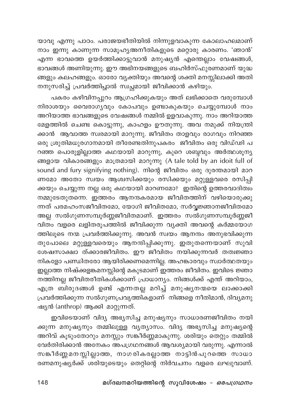യാവു എന്നു പാഠം. പരാജയഭീതിയിൽ നിന്നുളവാകുന്ന കോലാഹലമാണ് നാം ഇന്നു കാണുന്ന സാമൂഹ്യഅനീതികളുടെ മറ്റൊരു കാരണം. 'ഞാൻ' എന്ന ഭാവത്തെ ഉയർത്തിക്കാട്ടുവാൻ മനുഷ്യൻ എന്തെല്ലാം വേഷങ്ങൾ, ഭാവങ്ങൾ അണിയുന്നു. ഈ അഭിനയങ്ങളുടെ ബഹിർസ്ഫുരണമാണ് യുദ്ധ ങ്ങളും കലഹങ്ങളും. ഓരോ വ്യക്തിയും അവന്റെ ശക്തി മനസ്സിലാക്കി അതി .<br>നനുസരിച്ച് പ്രവർത്തിച്ചാൽ സ്വച്ചമായി ജീവിക്കാൻ കഴിയും.

പകരം കഴിവിനപ്പുറം ആഗ്രഹിക്കുകയും അത് ലഭിക്കാതെ വരുമ്പോൾ നിരാശയും വൈരാഗ്യവും കോപവും ഉണ്ടാകുകയും ചെയ്യുമ്പോൾ നാം അറിയാത്ത ഭാവങ്ങളുടെ വേഷങ്ങൾ നമ്മിൽ ഉളവാകുന്നു. നാം അറിയാത്ത മേളത്തിൽ ചെണ്ട കൊട്ടുന്നു, കാഹളം ഊതുന്നു. അവ നമുക്ക് നിയന്ത്രി ക്കാൻ ആവാത്ത സ്വരമായി മാറുന്നു. ജീവിതം താളവും രാഗവും നിറഞ്ഞ ഒരു ശ്രുതിമധുരഗാനമായി തീരേണ്ടതിനുപകരം ജീവിതം ഒരു വിഡ്ഢി പ റഞ്ഞ പൊരുളില്ലാത്ത കഥയായി മാറുന്നു, കുറെ ശബ്ദവും അർത്ഥശൂന്യ ങ്ങളായ വികാരങ്ങളും മാത്രമായി മാറുന്നു (A tale told by an idoit full of sound and fury signifying nothing). നിന്റെ ജീവിതം ഒരു ദുരന്തമായി മാറ ണമോ അതോ സ്വയം ആശ്വസിക്കയും രസിക്കയും മറ്റുള്ളവരെ രസിപ്പി ക്കയും ചെയ്യുന്ന നല്ല ഒരു കഥയായി മാറണമോ? ഇതിന്റെ ഉത്തരവാദിത്വം നമ്മുടേതുതന്നെ. ഇത്തരം ആനന്ദകരമായ ജീവിതത്തിന് വഴിയൊരുക്കു ന്നത് പരമഹംസജീവിതമോ, യോഗി ജീവിതമോ, സർവ്വജ്ഞാനജീവിതമോ അല്ല സൽഗുണസമ്പൂർണ്ണജീവിതമാണ്. ഇത്തരം സൽഗുണസമ്പൂർണ്ണജീ വിതം വളരെ ലളിതരൂപത്തിൽ ജീവിക്കുന്ന വ്യക്തി അവന്റെ കർമ്മയോഗ ത്തിലൂടെ നന്മ പ്രവർത്തിക്കുന്നു. അവൻ സ്വയം ആനന്ദം അനുഭവിക്കുന്ന തുപോലെ മറ്റുള്ളവരെയും ആനന്ദിപ്പിക്കുന്നു. ഇതുതന്നെയാണ് സുവി ശേഷസാക്ഷാ ത്ക്കാരജീവിതം. ഈ ജീവിതം നയിക്കുന്നവർ തത്വജ്ഞാ നികളോ പണ്ഡിതരോ ആയിരിക്കണമെന്നില്ല. അഹങ്കാരവും സ്വാർത്ഥതയും ഇല്ലാത്ത നിഷ്ക്കളങ്കമനസ്സിന്റെ മകുടമാണ് ഇത്തരം ജീവിതം. ഇവിടെ ജ്ഞാ നത്തിനല്ല ജീവിതരീതികൾക്കാണ് പ്രാധാന്യം. നിങ്ങൾക്ക് എന്ത് അറിയാം, എത്ര ബിരുദങ്ങൾ ഉണ്ട് എന്നതല്ല മറിച്ച് മനുഷ്യനന്മയെ ലാക്കാക്കി പ്രവർത്തിക്കുന്ന സൽഗുണപ്രവൃത്തികളാണ് നിങ്ങളെ നീതിമാൻ, ദിവ്യമനു ഷ്യൻ (anthrop) ആക്കി മാറ്റുന്നത്.

ഇവിടെയാണ് വിദ്യ അഭ്യസിച്ച മനുഷ്യനും സാധാരണജീവിതം നയി ക്കുന്ന മനുഷ്യനും തമ്മിലുള്ള വ്യത്യാസം. വിദ്യ അഭ്യസിച്ച മനുഷ്യന്റെ അറിവ് കൂടുംതോറും മനസ്സും സങ്കീർണ്ണമാകുന്നു. ശരിയും തെറ്റും തമ്മിൽ വേർതിരിക്കാൻ അനേകം അപഗ്രഥനങ്ങൾ ആവശ്യമായി വരുന്നു. എന്നാൽ സങ്കീർണ്ണമനസ്സില്ലാത്ത, നാഗരികരല്ലാത്ത നാട്ടിൻപുറത്തെ സാധാ രണമനുഷ്യർക്ക് ശരിയുടെയും തെറ്റിന്റെ നിർവചനം വളരെ ലഘുവാണ്.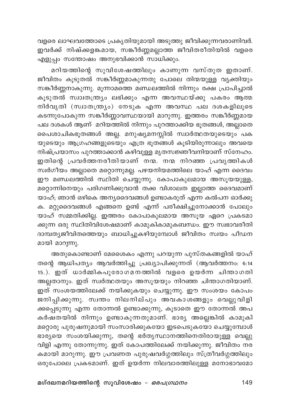വളരെ ലാഘവത്തോടെ പ്രകൃതിയുമായി അടുത്തു ജീവിക്കുന്നവരാണിവർ. ഇവർക്ക് നിഷ്ക്കളങ്കമായ, സങ്കീർണ്ണമല്ലാത്ത ജീവിതരീതിയിൽ വളരെ .<br>എളുപ്പം സന്തോഷം അനുഭവിക്കാൻ സാധിക്കും.

മറിയത്തിന്റെ സുവിശേഷത്തിലും കാണുന്ന വസ്തുത ഇതാണ്. .<br>ജീവിതം കൂടുതൽ സങ്കീർണ്ണമാകുന്നതു പോലെ തിന്മയുള്ള വൃക്തിയും .<br>സങ്കീർണ്ണനാകുന്നു. മുന്നാമത്തെ മണ്ഡലത്തിൽ നിന്നും രക്ഷ പ്രാപിച്ചാൽ കൂടുതൽ സ്വാതന്ത്ര്യം ലഭിക്കും എന്ന അവസ്ഥയ്ക്കു പകരം ആത്മ നിർവൃതി (സ്വാതന്ത്ര്യം) നേടുക എന്ന അവസ്ഥ പല ദശകളിലൂടെ കടന്നുപോകുന്ന സങ്കീർണ്ണാവസ്ഥയായി മാറുന്നു. ഇത്തരം സങ്കീർണ്ണമായ പല ദശകൾ ആണ് മറിയത്തിൽ നിന്നും പുറത്താക്കിയ ഭൂതങ്ങൾ, അല്ലാതെ പൈശാചികഭൂതങ്ങൾ അല്ല. മനുഷ്യമനസ്സിൽ സ്വാർത്ഥതയുടെയും പക യുടെയും ആഗ്രഹങ്ങളുടെയും എത്ര ഭൂതങ്ങൾ കൂടിയിരുന്നാലും അവയെ നിഷ്പ്രയാസം പുറത്താക്കാൻ കഴിവുള്ള മൃതസജ്ഞീവനിയാണ് സ്നേഹം. ഇതിന്റെ പ്രവർത്തനരീതിയാണ് നന്മ. നന്മ നിറഞ്ഞ പ്രവൃത്തികൾ സ്വർഗീയം അല്ലാതെ മറ്റൊന്നുമല്ല. പഴയനിയമത്തിലെ യാഹ് എന്ന ദൈവം ഈ മണ്ഡലത്തിൽ സ്ഥിതി ചെയ്യുന്നു. കോപാകുലമായ അസൂയയുള്ള, മറ്റൊന്നിനെയും പരിഗണിക്കുവാൻ തക്ക വിശാലത ഇല്ലാത്ത ദൈവമാണ് യാഹ്; ഞാൻ ഒഴികെ അന്യദൈവങ്ങൾ ഉണ്ടാകരുത് എന്ന കൽപന ഓർക്കു ക. മറ്റുദൈവങ്ങൾ എങ്ങനെ ഉണ്ട് എന്ന് പരീക്ഷിച്ചുനോക്കാൻ പോലും യാഹ് സമ്മതിക്കില്ല. ഇത്തരം കോപാകുലമായ അസൂയ ഏറെ പ്രകടമാ ക്കുന്ന ഒരു സ്ഥിതിവിശേഷമാണ് കാമുകികാമുകബന്ധം. ഈ സ്വഭാവരീതി ദാമ്പതൃജീവിതത്തെയും ബാധിച്ചുകഴിയുമ്പോൾ ജീവിതം സ്വയം പീഡന മായി മാറുന്നു.

അതുകൊണ്ടാണ് മേശൈകം എന്നു പറയുന്ന പുസ്തകങ്ങളിൽ യാഹ് തന്റെ ആധിപത്യം ആവർത്തിച്ചു പ്രഖ്യാപിക്കുന്നത് (ആവർത്തനം: 6:14 15.). ഇത് ധാർമ്മികപുരോഗമനത്തിൽ വളരെ ഉയർന്ന ചിന്താഗതി അല്ലതാനും. ഇത് സ്ഥർത്ഥതയും അസൂയയും നിറഞ്ഞ ചിന്താഗതിയാണ്. ഇത് സംശയത്തിലേക്ക് നയിക്കുകയും ചെയ്യുന്നു. ഈ സംശയം കോപം ജനിപ്പിക്കുന്നു. സ്വന്തം നിലനില്പും അവകാശങ്ങളും വെല്ലുവിളി ക്കപ്പെടുന്നു എന്ന തോന്നൽ ഉണ്ടാക്കുന്നു, കൂടാതെ ഈ തോന്നൽ അപ കർഷതയിൽ നിന്നും ഉണ്ടാകുന്നതുമാണ്. ഭാര്യ അല്ലെങ്കിൽ കാമുകി മറ്റൊരു പുരുഷനുമായി സംസാരിക്കുകയോ ഇടപെടുകയോ ചെയ്യുമ്പോൾ ഭാര്യയെ സംശയിക്കുന്നു, തന്റെ ഭർതൃസ്ഥാനത്തിനെതിരായുള്ള വെല്ലു വിളി എന്നു തോന്നുന്നു. ഇത് കോപത്തിലേക്ക് നയിക്കുന്നു. ജീവിതം നര കമായി മാറുന്നു. ഈ പ്രവണത പുരുഷവർഗ്ഗത്തിലും സ്ത്രീവർഗ്ഗത്തിലും .<br>ഒരുപോലെ പ്രകടമാണ്. ഇത് ഉയർന്ന നിലവാരത്തിലുള്ള മനോഭാവമോ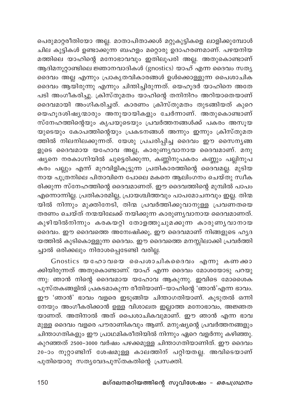പെരുമാറ്റരീതിയോ അല്ല. മാതാപിതാക്കൾ മറ്റുകുട്ടികളെ ലാളിക്കുമ്പോൾ ചില കുട്ടികൾ ഉണ്ടാക്കുന്ന ബഹളം മറ്റൊരു ഉദാഹരണമാണ്. പഴയനിയ മത്തിലെ യാഹിന്റെ മനോഭാവവും ഇതിലുപരി അല്ല. അതുകൊണ്ടാണ് ആദിമനൂറ്റാണ്ടിലെ ജ്ഞാനവാദികൾ (gnostics) യാഹ് എന്ന ദൈവം സതൃ ദൈവം അല്ല എന്നും പ്രാകൃതവികാരങ്ങൾ ഉൾക്കൊള്ളുന്ന പൈശാചിക ദൈവം ആയിരുന്നു എന്നും ചിന്തിച്ചിരുന്നത്. യെഹൂദർ യാഹിനെ അതേ പടി അംഗീകരിച്ചു. ക്രിസ്തുമതം യാഹിന്റെ തനിനിറം അറിയാതെയാണ് ദൈവമായി അംഗികരിച്ചത്. കാരണം ക്രിസ്തുമതം തുടങ്ങിയത് കുറെ യെഹൂദശിഷ്യന്മാരും അനുയായികളും ചേർന്നാണ്. അതുകൊണ്ടാണ് സ്നേഹത്തിന്റെയും കൃപയുടെയും പ്രവർത്തനങ്ങൾക്ക് പകരം അസൂയ യുടെയും കോപത്തിന്റെയും പ്രകടനങ്ങൾ അന്നും ഇന്നും ക്രിസ്തുമത ത്തിൽ നിലനിലക്കുന്നത്. യേശു പ്രചരിപ്പിച്ച ദൈവം ഈ സൈന്യങ്ങ ളുടെ ദൈവമായ യഹോവ അല്ല, കാരുണ്യവാനായ ദൈവമാണ്. മനു .<br>ഷ്യനെ നരകാഗ്നിയിൽ ചുട്ടെരിക്കുന്ന, കണ്ണിനുപകരം കണ്ണും പല്ലിനുപ കരം പല്ലും എന്ന് മുറവിളികൂട്ടുന്ന പ്രതികാരത്തിന്റെ ദൈവമല്ല. മുടിയ നായ പുത്രനിലെ പിതാവിനെ പോലെ മകനെ ആലിംഗനം ചെയ്തു സ്വീക രിക്കുന്ന സ്നേഹത്തിന്റെ ദൈവമാണത്. ഈ ദൈവത്തിന്റെ മുമ്പിൽ പാപം എന്നൊന്നില്ല. പ്രതികാരമില്ല, പ്രായശ്ചിത്തവും പാപമോചനവും ഇല്ല. തിന്മ .<br>യിൽ നിന്നും മുക്തിനേടി, തിന്മ പ്രവർത്തിക്കുവാനുള്ള പ്രവണതയെ തരണം ചെയ്ത് നന്മയിലേക്ക് നയിക്കുന്ന കാരുണ്യവാനായ ദൈവമാണത്. കുഴിയിൽനിന്നും കരകയറ്റി തോളത്തുചുമക്കുന്ന കാരുണ്യവാനായ ദൈവം. ഈ ദൈവത്തെ അന്വേഷിക്കൂ, ഈ ദൈവമാണ് നിങ്ങളുടെ ഹൃദ യത്തിൽ കുടികൊള്ളുന്ന ദൈവം. ഈ ദൈവത്തെ മനസ്സിലാക്കി പ്രവർത്തി ച്ചാൽ ഒരിക്കലും നിരാശപ്പെടേണ്ടി വരില്ല.

Gnostics യഹോവയെ പൈശാചികദൈവം എന്നു കണക്കാ ക്കിയിരുന്നത് അതുകൊണ്ടാണ്. യാഹ് എന്ന ദൈവം മോശയോടു പറയു ന്നു: ഞാൻ നിന്റെ ദൈവമായ യഹോവ ആകുന്നു. ഇവിടെ മോശൈക പുസ്തകങ്ങളിൽ പ്രകടമാകുന്ന രീതിയാണ്–യാഹിന്റെ 'ഞാൻ'എന്ന ഭാവം. ഈ 'ഞാൻ' ഭാവം വളരെ ഇടുങ്ങിയ ചിന്താഗതിയാണ്. കൂടുതൽ ഒന്നി നേയും അംഗീകരിക്കാൻ ഉള്ള വിശാലത ഇല്ലാത്ത മനോഭാവം, അജ്ഞത യാണത്. അതിനാൽ അത് പൈശാചികവുമാണ്. ഈ ഞാൻ എന്ന ഭാവ മുള്ള ദൈവം വളരെ പൗരാണികവും ആണ്. മനുഷ്യന്റെ പ്രവർത്തനങ്ങളും .<br>ചിന്താഗതികളും ഈ പ്രാഥമികരീതിയിൽ നിന്നും ഏറെ വളർന്നു കഴിഞ്ഞു. കുറഞ്ഞത് 2500–3000 വർഷം പഴക്കമുള്ള ചിന്താഗതിയാണിത്. ഈ ദൈവം 20-ാം നൂറ്റാണ്ടിന് ശേഷമുള്ള കാലത്തിന് പറ്റിയതല്ല. അവിടെയാണ് പുതിയൊരു സത്യവേദപുസ്തകതിന്റെ പ്രസക്തി.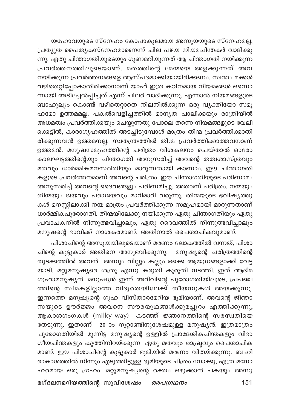യഹോവയുടെ സ്നേഹം കോപാകുലമായ അസൂയയുടെ സ്നേഹമല്ല, പ്രത്യുത പൈതൃകസ്നേഹമാണെന്ന് ചില പഴയ നിയമചിന്തകർ വാദിക്കു ന്നു. ഏതു ചിന്താഗതിയുടെയും ഗുണമറിയുന്നത് ആ ചിന്താഗതി നയിക്കുന്ന പ്രവർത്തനത്തിലൂടെയാണ്. മതത്തിന്റെ മേന്മയെ അളക്കുന്നത് അവ നയിക്കുന്ന പ്രവർത്തനങ്ങളെ ആസ്പദമാക്കിയായിരിക്കണം. സ്വന്തം മക്കൾ വഴിതെറ്റിപ്പോകാതിരിക്കാനാണ് യാഹ് ഇത്ര കഠിനമായ നിയമങ്ങൾ ഒന്നൊ ന്നായി അടിച്ചേൽപ്പിച്ചത് എന്ന് ചിലർ വാദിക്കുന്നു. എന്നാൽ നിയമങ്ങളുടെ ബാഹുല്യം കൊണ്ട് വഴിതെറ്റാതെ നിലനിൽക്കുന്ന ഒരു വ്യക്തിയോ സമൂ ഹമോ ഉത്തമമല്ല. പകൽവെളിച്ചത്തിൽ മാന്യത പാലിക്കയും രാത്രിയിൽ അധമത്വം പ്രവർത്തിക്കയും ചെയ്യുന്നതു പോലെ തന്നെ നിയമങ്ങളുടെ വേലി ക്കെട്ടിൽ, കാരാഗൃഹത്തിൽ അടച്ചിടുമ്പോൾ മാത്രം തിന്മ പ്രവർത്തിക്കാതി രിക്കുന്നവൻ ഉത്തമനല്ല. സ്വതന്ത്രത്തിൽ തിന്മ പ്രവർത്തിക്കാത്തവനാണ് ഉത്തമൻ. മനുഷസമൂഹത്തിന്റെ ചരിത്രം വിശകലനം ചെയ്താൽ ഓരോ കാലഘട്ടത്തിന്റെയും ചിന്താഗതി അനുസരിച്ച് അവന്റെ തത്വശാസ്ത്രവും മതവും ധാർമ്മികമനസ്ഥിതിയും മാറുന്നതായി കാണാം. ഈ ചിന്താഗതി കളുടെ പ്രവർത്തനമാണ് അവന്റെ ചരിത്രം. ഈ ചിന്താഗതിയുടെ പരിണാമം അനുസരിച്ച് അവന്റെ ദൈവങ്ങളും പരിണമിച്ചു. അതാണ് ചരിത്രം. നന്മയും തിന്മയും ജയവും പരാജയവും മാറിമാറി വരുന്നു. തിന്മയുടെ ഭവിഷ്യത്തു കൾ മനസ്സിലാക്കി നന്മ മാത്രം പ്രവർത്തിക്കുന്ന സമൂഹമായി മാറുന്നതാണ് ധാർമ്മിക്പുരോഗതി. തിന്മയിലേക്കു നയിക്കുന്ന ഏതു ചിന്താഗതിയും ഏതു പ്രവാചകനിൽ നിന്നുത്ഭവിച്ചാലും, ഏതു ദൈവത്തിൽ നിന്നുത്ഭവിച്ചാലും മനുഷന്റെ ഭാവിക്ക് നാശകരമാണ്, അതിനാൽ പൈശാചികവുമാണ്.

പിശാചിന്റെ അസൂയയിലൂടെയാണ് മരണം ലോകത്തിൽ വന്നത്, പിശാ ചിന്റെ കൂട്ടുകാർ അതിനെ അനുഭവിക്കുന്നു. മനുഷ്യന്റെ ചരിത്രത്തിന്റെ തുടക്കത്തിൽ അവൻ അമ്പും വില്ലും കല്ലും ഒക്കെ ആയുധങ്ങളാക്കി വേട്ട യാടി. മറ്റുമനുഷ്യരെ ശത്രു എന്നു കരുതി കുരുതി നടത്തി. ഇത് ആദിമ ഗുഹാമനുഷ്യൻ. മനുഷ്യൻ ഇന്ന് അറിവിന്റെ പുരോഗതിയിലൂടെ, പ്രപഞ്ച ത്തിന്റെ സീമകളില്ലാത്ത വിദൂരതയിലേക്ക് തീയമ്പുകൾ അയക്കുന്നു. ഇന്നത്തെ മനുഷ്യന്റെ ഗുഹ വിസ്താരമേറിയ ഭൂമിയാണ്. അവന്റെ ജിഞാ സയുടെ ഊർജ്ജം അവനെ സൗരയൂഥങ്ങൾക്കുമപ്പുറം എത്തിക്കുന്നു, ആകാശഗംഗകൾ (milky way) കടഞ്ഞ് ജ്ഞാനത്തിന്റെ സരസ്വതിയെ തേടുന്നു. ഇതാണ് 20-ാം നൂറ്റാണ്ടിനുശേഷമുള്ള മനുഷ്യൻ. ഇത്രമാത്രം പുരോഗതിയിൽ മുന്നിട്ട മനുഷ്യന്റെ ഉള്ളിൽ പ്രാദേശികചിന്തകളും വിഭാ ഗീയചിന്തകളും കുത്തിനിറയ്ക്കുന്ന ഏതു മതവും രാഷ്ട്രവും പൈശാചിക മാണ്. ഈ പിശാചിന്റെ കൂട്ടുകാർ ഭൂമിയിൽ മരണം വിത്യ്ക്കുന്നു. ബഹി രാകാശത്തിൽ നിന്നും എടുത്തിട്ടുള്ള ഭൂമിയുടെ ചിത്രം നോക്കൂ, എത്ര മനോ ഹരമായ ഒരു ഗ്രഹം. മറ്റുമനുഷ്യന്റെ രക്തം ഒഴുക്കാൻ പകയും അസൂ

മഗ്ദലനമറിയത്തിന്റെ സുവിശേഷം – *ഒരപഗ്രഥനം*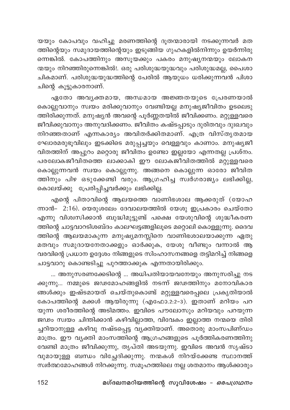യയും കോപവും വഹിച്ചു മരണത്തിന്റെ ദൂതന്മാരായി നടക്കുന്നവർ മത ത്തിന്റെയും സമുദായത്തിന്റെയും ഇടുങ്ങിയ ഗുഹകളിൽനിന്നും ഉയർന്നിരു ന്നെങ്കിൽ. കോപത്തിനും അസൂയക്കും പകരം മനുഷ്യനന്മയും ലോകന ന്മയും നിറഞ്ഞിരുന്നെങ്കിൽ!. ഒരു പരിശുദ്ധയുദ്ധവും പരിശുദ്ധമല്ല, പൈശാ ചികമാണ്. പരിശുദ്ധയുദ്ധത്തിന്റെ പേരിൽ ആയുധം ധരിക്കുന്നവൻ പിശാ ചിന്റെ കൂട്ടുകാരനാണ്.

ഏതോ അവൃക്തമായ, അന്ധമായ അജ്ഞതയുടെ പ്രേരണയാൽ കൊല്ലുവാനും സ്വയം മരിക്കുവാനും വേണ്ടിയല്ല മനുഷ്യജീവിതം ഉടലെടു ത്തിരിക്കുന്നത്. മനുഷ്യൻ അവന്റെ പൂർണ്ണതയിൽ ജീവിക്കണം. മറ്റുള്ളവരെ .<br>ജീവിക്കുവാനും അനുവദിക്കണം. ജീവിതം കഷ്ടപ്പാടും ദുരിതവും ദുഃഖവും നിറഞ്ഞതാണ് എന്നകാര്യം അവിതർക്കിതമാണ്. എത്ര വിസ്തൃതമായ ഘോരമരുഭൂവിലും ഇടക്കിടെ മരുപ്പച്ചയും വെള്ളവും കാണാം. മനുഷ്യജീ വിതത്തിന് അപ്പുറം മറ്റൊരു ജീവിതം ഉണ്ടോ ഇല്ലയോ എന്നതല്ല പ്രശ്നം. പരലോകജീവിതത്തെ ലാക്കാകി ഈ ലോകജീവിതത്തിൽ മറ്റുള്ളവരെ കൊല്ലുന്നവൻ സ്വയം കൊല്ലുന്നു. അങ്ങനെ കൊല്ലുന്ന ഓരോ ജീവിത ത്തിനും പിഴ ഒടുക്കേണ്ടി വരും. ആഗ്രഹിച്ച സ്വർഗരാജ്യം ലഭിക്കില്ല, കൊലയ്ക്കു പ്രേരിപ്പിച്ചവർക്കും ലഭിക്കില്ല.

എന്റെ പിതാവിന്റെ ആലയത്തെ വാണിഭശാല ആക്കരുത് (യോഹ ന്നാൻ- 2:16). യെരുശലേം ദേവാലയത്തിൽ യേശു ഇപ്രകാരം ചെയ്തോ എന്നു വിശ്വസിക്കാൻ ബുദ്ധിമുട്ടുണ്ട് പക്ഷെ യേശുവിന്റെ ശുദ്ധീകരണ ത്തിന്റെ ചാട്ടവാറടിശബ്ദം കാലഘട്ടങ്ങളിലൂടെ മറ്റൊലി കൊള്ളുന്നു. ദൈവ ത്തിന്റെ ആലയമാകുന്ന മനുഷ്യമനസ്സിനെ വാണിഭശാലയാക്കുന്ന ഏതു മതവും സമുദായനേതാക്കളും ഓർക്കുക, യേശു വീണ്ടും വന്നാൽ ആ വരവിന്റെ പ്രധാന ഉദ്ദേശം നിങ്ങളുടെ സിംഹാസനങ്ങളെ തട്ടിമറിച്ച് നിങ്ങളെ ചാട്ടവാറു കൊണ്ടടിച്ചു പുറത്താക്കുക എന്നതായിരിക്കും.

... അനുസരണക്കേടിന്റെ ... അധിപതിയായവനേയും അനുസരിച്ചു നട ക്കുന്നു... നമ്മുടെ ജഢമോഹങ്ങളിൽ നടന്ന് ജഢത്തിനും മനോവികാര ങ്ങൾക്കും ഇഷ്ടമായത് ചെയ്തുകൊണ്ട് മറ്റുള്ളവരെപ്പലെ പ്രകൃതിയാൽ കോപത്തിന്റെ മക്കൾ ആയിരുന്നു (എഫോ.2:2-3). ഇതാണ് മറിയം പറ യുന്ന ശരീരത്തിന്റെ അടിമത്തം. ഇവിടെ പൗലോസും മറിയവും പറയുന്ന ജഢം സ്വയം ചിന്തിക്കാൻ കഴിവില്ലാത്ത, വിവേകം ഇല്ലാത്ത നന്മയെ തിരി ച്ചറിയാനുള്ള കഴിവു നഷ്ടപ്പെട്ട വ്യക്തിയാണ്. അതൊരു മാംസപിണ്ഡം മാത്രം. ഈ വ്യക്തി മാംസത്തിന്റെ ആഗ്രഹങ്ങളുടെ പൂർത്തികരണത്തിനു വേണ്ടി മാത്രം ജീവിക്കുന്നു, തൃപ്തി അടയുന്നു. ഇവിടെ അവൻ സൃഷ്ടാ വുമായുള്ള ബന്ധം വിച്ഛേദിക്കുന്നു. നന്മകൾ നിറയ്ക്കേണ്ട സ്ഥാനത്ത് സ്വർത്ഥമോഹങ്ങൾ നിറക്കുന്നു. സമൂഹത്തിലെ നല്ല ശതമാനം ആൾക്കാരും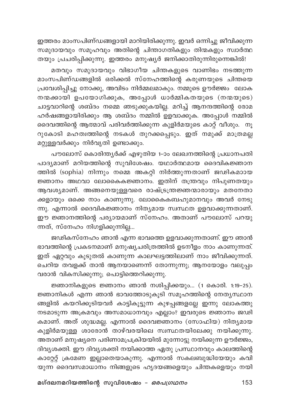ഇത്തരം മാംസപിണ്ഡങ്ങളായി മാറിയിരിക്കുന്നു. ഇവർ ഒന്നിച്ചു ജീവിക്കുന്ന സമുദായവും സമൂഹവും അതിന്റെ ചിന്താഗതികളും തിന്മകളും സ്വാർത്ഥ തയും പ്രചരിപ്പിക്കുന്നു. ഇത്തരം മനുഷ്യർ ജനിക്കാതിരുന്നിരുന്നെങ്കിൽ!

മതവും സമുദായവും വിഭാഗീയ ചിന്തകളുടെ വാണിഭം നടത്തുന്ന മാംസപിണ്ഡങ്ങളിൽ ഒരിക്കൽ സ്നേഹത്തിന്റെ കരുണയുടെ ചിന്തയെ പ്രവേശിപ്പിച്ചു നോക്കു, അവിടം നിർമ്മലമാകും. നമ്മുടെ ഊർജ്ജം ലോക നന്മക്കായി ഉപയോഗിക്കുക, അപ്പോൾ ധാർമ്മികതയുടെ (നന്മയുടെ) ചാട്ടവാറിന്റെ ശബ്ദം നമ്മെ ഞടുക്കുകയില്ല. മറിച്ച് ആനന്ദത്തിന്റെ രോമ ഹർഷങ്ങളായിരിക്കും ആ ശബ്ദം നമ്മിൽ ഉളവാക്കുക. അപ്പോൾ നമ്മിൽ ദൈവത്തിന്റെ ആത്മാവ് പരിവർത്തിക്കുന്ന കുളിർമയുടെ കാറ്റ് വീശും. നൂ റുകോടി മഹത്വത്തിന്റെ നടകൾ തുറക്കപ്പെടും. ഇത് നമുക്ക് മാത്രമല്ല മറ്റുള്ളവർക്കും നിർവൃതി ഉണ്ടാക്കും.

പൗലോസ് കൊരിന്ത്യർക്ക് എഴുതിയ 1-ാം ലേഖനത്തിന്റെ പ്രധാനപതി പാദ്യമാണ് മറിയത്തിന്റെ സുവിശേഷം. യഥാർത്ഥമായ ദൈവികജ്ഞാന ത്തിൽ (sophia) നിന്നും നമ്മെ അകറ്റി നിർത്തുന്നതാണ് ജഢികമാായ ജ്ഞാനം അഥവാ ലോകൈകജ്ഞാനം. ഇതിന് തന്ത്രവും നിപുണതയും ആവശ്യമാണ്. അങ്ങനെയുള്ളവരെ രാഷ്ട്രന്ത്രജ്ഞന്മാരായും മതനേതാ ക്കളായും ഒക്കെ നാം കാണുന്നു. ലോകൈകബഹുമാനവും അവർ നേടു ന്നു. എന്നാൽ ദൈവികജ്ഞാനം നിതൃമായ സ്വസ്ഥത ഉളവാക്കുന്നതാണ്. ഈ ജ്ഞാനത്തിന്റെ പര്യായമാണ് സ്നേഹം. അതാണ് പൗലോസ് പറയു ന്നത്, സ്നേഹം നിഗളിക്കുന്നില്ല...

ജഢികസ്നേഹം ഞാൻ എന്ന ഭാവത്തെ ഉളവാക്കുന്നതാണ്. ഈ ഞാൻ ഭാവത്തിന്റെ പ്രകടനമാണ് മനുഷ്യചരിത്രത്തിൽ ഉടനീളം നാം കാണുന്നത്. ഇത് ഏറ്റവും കൂടുതൽ കാണുന്ന കാലഘട്ടത്തിലാണ് നാം ജീവിക്കുന്നത്. ചെറിയ തവളക്ക് താൻ ആനയാണെന്ന് തോന്നുന്നു; ആനയോളം വലുപ്പം വരാൻ വികസിക്കുന്നു; പൊട്ടിത്തെറിക്കുന്നു.

ജ്ഞാനികളുടെ ജ്ഞാനം ഞാൻ നശിപ്പിക്കയും... (1 കൊരി. 1:19-25). ജ്ഞാനികൾ എന്ന ഞാൻ ഭാവത്തോടുകൂടി സമൂഹത്തിന്റെ നേതൃസ്ഥാന ങ്ങളിൽ കയറിക്കൂടിയവർ കാട്ടികൂട്ടുന്ന കുഴപ്പങ്ങളല്ലേ ഇന്നു ലോകത്തു നടമാടുന്ന അക്രമവും അസമാധാനവും എല്ലാം? ഇവരുടെ ജ്ഞാനം ജഢി കമാണ്. അത് ശുദ്ധമല്ല. എന്നാൽ ദൈവജ്ഞാനം (സോഫിയ) നിത്യമായ കുളിർമയുള്ള ശാരോൻ താഴ്വരയിലെ സ്വസ്ഥതയിലേക്കു നയിക്കുന്നു. അതാണ് മനുഷ്യനെ പരിണാമപ്രക്രിയയിൽ മുന്നോട്ടു നയിക്കുന്ന ഊർജ്ജം, ദിവ്യശക്തി. ഈ ദിവ്യശക്തി നയിക്കാത്ത ഏതു പ്രസ്ഥാനവും കാലത്തിന്റെ കാറ്റേറ്റ് ക്രമേണ ഇല്ലാതെയാകുന്നു. എന്നാൽ സകലബുദ്ധിയേയും കവി യുന്ന ദൈവസമാധാനം നിങ്ങളുടെ ഹൃദയങ്ങളെയും ചിന്തകളെയും നയി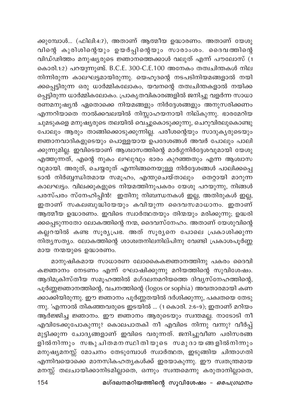ക്കുമ്പോൾ... (ഫിലി:4:7), അതാണ് ആത്മീയ ഉദ്ധാരണം. അതാണ് യേശു വിന്റെ കുരിശിന്റെയും ഉയർപ്പിന്റെയും സാരാംശം. ദൈവത്തിന്റെ വിഡ്ഢിത്തം മനുഷ്യരുടെ ജ്ഞാനത്തെക്കാൾ വലുത് എന്ന് പൗലോസ് (1 കൊരി.1:2) പറയുന്നുണ്ട്. B.C.E. 300-C.E.100 അനേകം തത്വചിന്തകൾ നില നിന്നിരുന്ന കാലഘട്ടമായിരുന്നു. യെഹൂദന്റെ നടപടിനിയമങ്ങളാൽ നയി ക്കപ്പെട്ടിരുന്ന ഒരു ധാർമ്മികലോകം, യവനന്റെ തത്വചിന്തകളാൽ നയിക്ക പ്പെട്ടിരുന്ന ധാർമ്മികലോകം. പ്രാകൃതവികാരങ്ങളിൽ ജനിച്ചു വളർന്ന സാധാ രണമനുഷ്യൻ ഏതൊക്കെ നിയമങ്ങളും നിർദ്ദേശങ്ങളും അനുസരിക്കണം എന്നറിയാതെ നാൽക്കവലയിൽ നിസ്സാഹയനായി നില്കുന്നു. ഭാരമേറിയ ചുമടുകളെ മനുഷ്യരുടെ തലയിൽ വെച്ചുകൊടുക്കുന്നു, ചെറുവിരലുകൊണ്ടു പോലും ആരും താങ്ങിക്കൊടുക്കുന്നില്ല. പരീശന്റെയും സാദുകൃരുടെയും .<br>ജ്ഞാനവാദികളുടെയും പൊള്ളയായ ഉപദേശങ്ങൾ അവർ പോലും പാലി ക്കുന്നുമില്ല. ഇവിടെയാണ് ആശ്വാസത്തിന്റെ മാർഗ്ഗനിർദ്ദേശവുമായി യേശു എത്തുന്നത്, എന്റെ നുകം ലഘുവും ഭാരം കുറഞ്ഞതും എന്ന ആശ്വാസ വുമായി. അരുത്, ചെയ്യരുത് എന്നിങ്ങനെയുള്ള നിർദ്ദേശങ്ങൾ പാലിക്കപ്പെ ടാൻ നിർബ്ബന്ധിതമായ സമൂഹം, എന്തുചെയ്താലും തെറ്റായി മാറുന്ന .<br>കാലഘട്ടം. വിലക്കുകളുടെ നിയമത്തിനുപകരം യേശു പറയുന്നു, നിങ്ങൾ പരസ്പരം സ്നേഹിപ്പിൻ! ഇതിനു നിബന്ധനകൾ ഇല്ല, അതിരുകൾ ഇല്ല, ഇതാണ് സകലബുദ്ധിയേയും കവിയുന്ന ദൈവസമാധാനം. ഇതാണ് ആത്മീയ ഉദ്ധാരണം. ഇവിടെ സ്വാർത്ഥതയും തിന്മയും മരിക്കുന്നു; ഉദ്ധരി ക്കപ്പെടുന്നതോ ലോകത്തിന്റെ നന്മ, ദൈവസ്നേഹം. അതാണ് യേശുവിന്റെ കല്ലറയിൽ കണ്ട സൂര്യപ്രഭ. അത് സൂര്യനെ പോലെ പ്രകാശിക്കുന്ന നിതൃസത്യം. ലോകത്തിന്റെ ശാശ്വതനിലനില്പിനു വേണ്ടി പ്രകാശപൂർണ്ണ മായ നന്മയുടെ ഉദ്ധാരണം.

മാനുഷികമായ സാധാരണ ലോകൈകജ്ഞാനത്തിനു പകരം ദൈവി കജ്ഞാനം നേടണം എന്ന് ഘോഷിക്കുന്നു മറിയത്തിന്റെ സുവിശേഷം. ആദിമക്രിസ്തീയ സമൂഹത്തിൽ മഗ്ദലനമറിയത്തെ ദിവ്യസ്നേഹത്തിന്റെ, പൂർണ്ണജ്ഞാനത്തിന്റെ, വചനത്തിന്റെ (logos or sophia) അവതാരമായി കണ ക്കാക്കിയിരുന്നു. ഈ ജ്ഞാനം പൂർണ്ണതയിൽ ദർശിക്കുന്നു, പക്വതയെ തേടു ന്നു. 'എന്നാൽ തികഞ്ഞവരുടെ ഇടയിൽ … (1 കൊരി. 2:6–9); ഇതാണ് മറിയം ആർജ്ജിച്ച ജ്ഞാനം. ഈ ജ്ഞാനം ആരുടെയും സ്വന്തമല്ല. നാടോടി നീ എവിടേക്കുപോകുന്നു? കൊലപാതകി നീ എവിടെ നിന്നു വന്നു? വീർപ്പ് മുട്ടിക്കുന്ന ചോദ്യങ്ങളാണ് ഇവിടെ വരുന്നത്. ജനിച്ചുവീണ പരിസരങ്ങ .<br>ളിൽനിന്നും സങ്കുചിതമനസ്ഥിതിയുടെ സമുദായങ്ങളിൽനിന്നും മനുഷ്യമനസ്സ് മോചനം തേടുമ്പോൾ സ്വാർത്ഥത, ഇടുങ്ങിയ ചിന്താഗതി എന്നിവയൊക്കെ മാനസികഹതൃകൾക്ക് ഇരയാകുന്നു. ഈ സ്വതന്ത്രമായ മനസ്സ് തലചായിക്കാനിടമില്ലാതെ, ഒന്നും സ്വന്തമെന്നു കരുതാനില്ലാതെ,

മഗ്ദലനമറിയത്തിന്റെ സുവിശേഷം - ഒരപഗ്രഥനം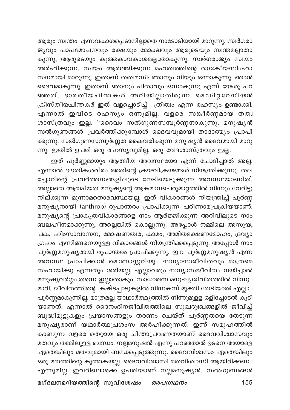ആരും സ്വന്തം എന്നവകാശപ്പെടാനില്ലാതെ നാടോടിയായി മാറുന്നു. സ്വർഗരാ ജ്യവും പാപമോചനവും രക്ഷയും മോക്ഷവും ആരുടെയും സ്വന്തമല്ലാതാ കുന്നു, ആരുടെയും കുത്തകാവകാശമല്ലാതാകുന്നു. സ്വർഗരാജ്യം സ്വയം അർഹിക്കുന്ന, സ്വയം ആർജ്ജിക്കുന്ന മഹത്വത്തിന്റെ രാജകീയസിംഹാ സനമായി മാറുന്നു. ഇതാണ് തത്വമസി; ഞാനും നിയും ഒന്നാകുന്നു. ഞാൻ ദൈവമാകുന്നു. ഇതാണ് ഞാനും പിതാവും ഒന്നാകുന്നു എന്ന് യേശു പറ ഞ്ഞത്. ഭാരതീയചിന്തകൾ അറിയില്ലാതിരുന്ന മെഡിറ്ററേനിയൻ ക്രിസ്തീയചിന്തകർ ഇത് വളച്ചൊടിച്ച് ര്തിത്വം എന്ന രഹസ്യം ഉണ്ടാക്കി. എന്നാൽ ഇവിടെ രഹസ്യം ഒന്നുമില്ല. വളരെ സങ്കീർണ്ണമായ തത്വ ശാസ്ത്രവും ഇല്ല. "ദൈവം സൽഗുണസമ്പൂർണ്ണനാകുന്നു. മനുഷ്യൻ സൽഗുണങ്ങൾ പ്രവർത്തിക്കുമ്പോൾ ദൈവവുമായി താദാത്മ്യം പ്രാപി ക്കുന്നു. സൽഗുണസമ്പൂർണ്ണത കൈവരിക്കുന്ന മനുഷ്യൻ ദൈവമായി മാറു ന്നു. ഇതിൽ ഉപരി ഒരു രഹസ്യവുമില്ല. ഒരു വേദശാസ്ത്രവും ഇല്ല.

ഇത് പൂർണ്ണമായും ആത്മീയ അവസ്ഥയോ എന്ന് ചോദിച്ചാൽ അല്ല. എന്നാൽ ഭൗതികശരീരം അതിന്റെ ക്രയവിക്രയങ്ങൾ നിയന്ത്രിക്കുന്നു. തല ച്ചോറിന്റെ പ്രവർത്തനങ്ങളിലുടെ നേടിയെടുക്കുന്ന അവസ്ഥയാണിത്. അല്ലാതെ ആത്മീയത മനുഷ്യന്റെ ആകമാനപെരുമാറ്റത്തിൽ നിന്നും വേറിട്ടു നില്ക്കുന്ന മുന്നാമതൊരവസ്ഥയല്ല. ഇത് വികാരങ്ങൾ നിയന്ത്രിച്ച് പൂർണ്ണ മനുഷ്യനായി (anthrop) രുപാന്തരം പ്രാപിക്കുന്ന പരിണാമപ്രക്രിയയാണ്. മനുഷ്യന്റെ പ്രാകൃതവികാരങ്ങളെ നാം ആർജ്ജിക്കുന്ന അറിവിലുടെ നാം ബലഹീനമാക്കുന്നു, അല്ലെങ്കിൽ കൊല്ലുന്നു. അപ്പോൾ നമ്മിലെ അസൂയ, പക, ഹിംസാവാസന, മോഷണത്വര, കാമം, അമിതഭക്ഷണമോഹം, ദ്രവ്യാ ഗ്രഹം എന്നിങ്ങനെയുള്ള വികാരങ്ങൾ നിയന്ത്രിക്കപ്പെടുന്നു. അപ്പോൾ നാം പൂർണ്ണമനുഷ്യരായി രൂപാന്തരം പ്രാപിക്കുന്നു. ഈ പൂർണ്ണമനുഷ്യൻ എന്ന അവസ്ഥ പ്രാപിക്കാൻ മൊണാസ്റ്ററിയും സന്യാസജീവിതവും മാത്രമെ സഹായിക്കു എന്നതും ശരിയല്ല. എല്ലാവരും സന്യാസജീവിതം നയിച്ചാൽ മനുഷ്യവർഗ്ഗം തന്നെ ഇല്ലാതാകും. സാധാരണ മനുഷ്യജീവിതത്തിൽ നിന്നും മാറി, ജീവിതത്തിന്റെ കഷ്ടപ്പാടുകളിൽ നിന്നകന്ന് മുക്തി തേടിയാൽ എല്ലാം പൂർണ്ണമാകുന്നില്ല. മാത്രമല്ല യാഥാർത്ഥ്യത്തിൽ നിന്നുമുളള ഒളിച്ചോടൽ കൂടി യാണത്. എന്നാൽ ദൈനംദിനജീവിതത്തിലെ സുഖദുഃഖങ്ങളിൽ ജീവിച്ച് ബുദ്ധിമുട്ടുകളും പ്രയാസങ്ങളും തരണം ചെയ്ത് പൂർണ്ണതയെ തേടുന്ന മനുഷ്യരാണ് യഥാർത്ഥപ്രശംസ അർഹിക്കുന്നത്. ഇന്ന് സമുഹത്തിൽ കാണുന്ന വളരെ തെറ്റായ ഒരു ചിന്താപ്രവണതയാണ് ദൈവവിശ്വാസവും മതവും തമ്മിലുള്ള ബന്ധം. നല്ലമനുഷൻ എന്നു പറഞ്ഞാൽ ഉടനെ അയാളെ ഏതെങ്കിലും മതവുമായി ബന്ധപ്പെടുത്തുന്നു. ദൈവവിശ്വസം ഏതെങ്കിലും ഒരു മതത്തിന്റെ കുത്തകയല്ല. ദൈവവിശ്വാസി മതവിശ്വാസി ആയിരിക്കണം എന്നുമില്ല. ഇവരിലൊക്കെ ഉപരിയാണ് നല്ലമനുഷ്യൻ. സൽഗുണങ്ങൾ

മഗ്ദലനമറിയത്തിന്റെ സുവിശേഷം – *ഒരപഗ്രഥനം*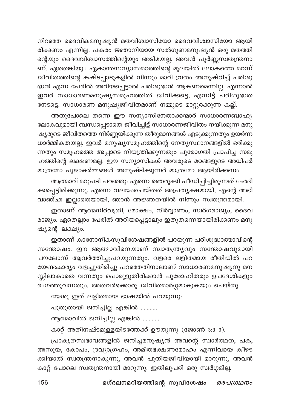നിറഞ്ഞ ദൈവികമനുഷ്യൻ മതവിശ്വാസിയോ ദൈവവിശ്വാസിയോ ആയി രിക്കണം എന്നില്ല. പകരം ജ്ഞാനിയായ സൽഗുണമനുഷ്യൻ ഒരു മതത്തി ന്റെയും ദൈവവിശ്വാസത്തിന്റെയും അടിമയല്ല. അവൻ പൂർണ്ണസ്വതന്ത്രനാ ണ്. ഏതെങ്കിയും ഏകാന്തസന്യാസമഠത്തിന്റെ മൂലയിൽ ലോകത്തെ മറന്ന് ജീവിതത്തിന്റെ കഷ്ടപ്പാടുകളിൽ നിന്നും മാറി വ്രതം അനുഷ്ഠിച്ച് പരിശു ള്ധൻ എന്ന പേരിൽ അറിയപ്പെട്ടാൽ പരിശുദ്ധൻ ആകണമെന്നില്ല. എന്നാൽ ഇവർ സാധാരണമനുഷ്യസമൂഹത്തിൽ ജീവിക്കട്ടെ, എന്നിട്ട് **പരിശുദ്ധ**ത നേടട്ടെ. സാധാരണ മനുഷ്യജീവിതമാണ് നമ്മുടെ മാറ്റുരക്കുന്ന കല്ല്.

അതുപോലെ തന്നെ ഈ സന്യാസിനേതാക്കന്മാർ സാധാരണബാഹൃ ലോകവുമായി ബന്ധപ്പെടാതെ ജീവിച്ചിട്ട് സാധാരണജീവിതം നയിക്കുന്ന മനു ഷ്യരുടെ ജീവിതത്തെ നിർണ്ണയിക്കുന്ന തീരുമാനങ്ങൾ എടുക്കുന്നതും ഉയർന്ന ധാർമ്മികതയല്ല. ഇവർ മനുഷ്യസമൂഹത്തിന്റെ നേത്യസ്ഥാനങ്ങളിൽ ഭരിക്കു ന്നതും സമൂഹത്തെ അപ്പാടെ നിയന്ത്രിക്കുന്നതും പുരോഗതി പ്രാപിച്ച സമൂ ഹത്തിന്റെ ലക്ഷണമല്ല. ഈ സന്യാസികൾ അവരുടെ മഠങ്ങളുടെ അധിപർ മാത്രമോ പൂജാകർമ്മങ്ങൾ അനുഷ്ടിക്കുന്നർ മാത്രമോ ആയിരിക്കണ<mark>ം</mark>.

ആത്മാവ് മറുപടി പറഞ്ഞു: എന്നെ ഞെരുക്കി പീഡിപ്പിച്ചിരുന്നത് ഛേദി ക്കപ്പെട്ടിരിക്കുന്നു, എന്നെ വലയംചെയ്തത് അപ്രതൃക്ഷമായി, എന്റെ അഭി വാഞ്ഛ ഇല്ലാതെയായി, ഞാൻ അജ്ഞതയിൽ നിന്നും സ്വതന്ത്രമായി.

ഇതാണ് ആത്മനിർവൃതി, മോക്ഷം, നിർ<mark>വ്വാ</mark>ണം, സ്വർഗരാജ്യം, ദൈവ രാജ്യം. ഏതെല്ലാം പേരിൽ അറിയപ്പെട്ടാലും ഇതുതന്നെയായിരിക്കണം മനു ഷ്യന്റെ ലക്ഷ്യം.

ഇതാണ് കാനോനികസുവിശേഷങ്ങളിൽ പറയുന്ന പരിശുദ്ധാത്മാവിന്റെ സന്തോഷം. ഈ ആത്മാവിനെയാണ് സ്വാതന്ത്ര്യവും സന്തോഷവുമായി പൗലോസ് ആവർത്തിച്ചുപറയുന്നതും. വളരെ ലളിതമായ രീതിയിൽ പറ യേണ്ടകാര്യം വളച്ചുതിരിച്ചു പറഞ്ഞതിനാലാണ് സാധാരണമനുഷ്യനു മന സ്സിലാകാതെ വന്നതും പൊരുളുതിരിക്കാൻ പുരോഹിതരും ഉപദേശികളും ……<br>രംഗത്തുവന്നതും. അതവർക്കൊരു ജീവിതമാർഗ്ഗമാകുകയും ചെയ്തു.

യേശു ഇത് ലളിതമായ ഭാഷയിൽ പറയുന്നു:

പുതുതായി ജനിച്ചില്ല എങ്കിൽ ...........

ആത്മാവിൽ ജനിച്ചില്ല എങ്കിൽ ...........

കാറ്റ് അതിനഷ്ടമുള്ളയിടത്തേക്ക് ഊതുന്നു (ജോൺ 3:3-9).

പ്രാകൃതസ്വഭാവങ്ങളിൽ ജനിച്ചമനുഷ്യൻ അവന്റെ സ്വാർത്ഥത, പക, അസൂയ, കോപം, ദ്രവ്യാഗ്രഹം, അമിതഭക്ഷണമോഹം എന്നിവയെ കീഴട ക്കിയാൽ സ്വതന്ത്രനാകുന്നു, അവൻ പുതിയജീവിയായി മാറുന്നു, അവൻ കാറ്റ് പോലെ സ്വതന്ത്രനായി മാറുന്നു. ഇതിലുപരി ഒരു സ്വർഗ്ഗമി<u>ല്</u>ല.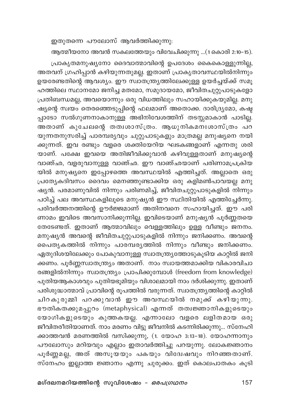ഇതുതന്നെ പൗലോസ് ആവർത്തിക്കുന്നു:

ആത്മീയനോ അവൻ സകലത്തേയും വിവേചിക്കുന്നു ...(1 കൊരി 2:10–15).

പ്രാകൃതമനുഷ്യനോ ദൈവാത്മാവിന്റെ ഉപദേശം കൈകൊള്ളുന്നില്ല, അതവന് ഗ്രഹിപ്പാൻ കഴിയുന്നതുമല്ല. ഇതാണ് പ്രാകൃതാവസ്ഥയിൽനിന്നും ഉയരേണ്ടതിന്റെ ആവശ്യം. ഈ സ്വാതന്ത്ര്യത്തിലേക്കുള്ള ഉയർച്ചയ്ക്ക് സമൂ ഹത്തിലെ സ്ഥാനമോ ജനിച്ച മതമോ, സമുദായമോ, ജീവിതചുറ്റുപാടുകളോ പ്രതിബന്ധമല്ല, അവയൊന്നും ഒരു വിധത്തിലും സഹായിക്കുകയുമില്ല. മനു ഷ്യന്റെ സ്വയം തെരഞ്ഞെടുപ്പിന്റെ ഫലമാണ് അതൊക്ക. ദാരിദ്ര്യമോ, കഷ്ട പ്പാടോ സൽഗുണനാകാനുള്ള അഭിനിവേശത്തിന് തടസ്സമാകാൻ പാടില്ല. അതാണ് കുചേലന്റെ തത്വശാസ്ത്രം. ആധുനികമനഃശാസ്ത്രം പറ യുന്നതനുസരിച്ച് പാരമ്പര്യവും ചുറ്റുപാടുകളും മാത്രമല്ല മനുഷ്യനെ നയി .<br>കുന്നത്. ഇവ രണ്ടും വളരെ ശക്തിയേറിയ ഘടകങ്ങളാണ് എന്നതു ശരി യാണ്. പക്ഷേ ഇവയെ അതിജീവിക്കുവാൻ കഴിവുള്ളതാണ് മനുഷ്യന്റെ വാഞ്ഛ, വളരുവാനുള്ള വാഞ്ഛ. ഈ വാഞ്ഛയാണ് പരിണാമപ്രക്രിയ യിൽ മനുഷ്യനെ ഇപ്പോഴത്തെ അവസ്ഥയിൽ എത്തിച്ചത്. അല്ലാതെ ഒരു പ്രത്യേകദിവസം ദൈവം മെനഞ്ഞുണ്ടാക്കിയ ഒരു കളിമൺപാവയല്ല മനു ഷ്യൻ. പരമാണുവിൽ നിന്നും പരിണമിച്ച്, ജീവിതചുറ്റുപാടുകളിൽ നിന്നും പഠിച്ച് പല അവസ്ഥകളിലൂടെ മനുഷ്യൻ ഈ സ്ഥിതിയിൽ എത്തിച്ചേർന്നു. പരിവർത്തനത്തിന്റെ ഊർജ്ജമാണ് അതിനവനെ സഹായിച്ചത്. ഈ പരി ണാമം ഇവിടെ അവസാനിക്കുന്നില്ല. ഇവിടെയാണ് മനുഷ്യൻ പൂർണ്ണതയെ തേടേണ്ടത്. ഇതാണ് ആത്മാവിലും വെള്ളത്തിലും ഉള്ള വീണ്ടും ജനനം. മനുഷ്യൻ അവന്റെ ജീവിതചുറ്റുപാടുകളിൽ നിന്നും ജനിക്കണം. അവന്റെ പൈതൃകത്തിൽ നിന്നും പാരമ്പര്യത്തിൽ നിന്നും വീണ്ടും ജനിക്കണം. ഏതുദിശയിലേക്കും പോകുവാനുള്ള സ്വാതന്ത്ര്യത്തോടുകൂടിയ കാറ്റിൽ ജനി ക്കണം. പൂർണ്ണസ്വാതന്ത്ര്യം അതാണ്. നാം സ്വായത്തമാക്കിയ വികാരവിചാ രങ്ങളിൽനിന്നും സ്വാതന്ത്ര്യം പ്രാപിക്കുമ്പോൾ (freedom from knowledge) പുതിയആകാശവും പുതിയഭൂമിയും വിശാലമായി നാം ദർശിക്കുന്നു. ഇതാണ് പരിശുദ്ധാത്മാവ് പ്രാവിന്റെ രൂപത്തിൽ വരുന്നത്. സ്വാതന്ത്ര്യത്തിന്റെ കാറ്റിൽ ചിറകുരുമ്മി പറക്കുവാൻ ഈ അവസ്ഥയിൽ നമുക്ക് കഴിയുന്നു. ഭൗതികതക്കുമപ്പുറം (metaphysical) എന്നത് തത്വജ്ഞാനികളുടെയും യോഗികളുടെയും കുത്തകയല്ല. എന്നാലോ വളരെ ലളിതമായ ഒരു ജീവിതരീതിയാണത്. നാം മരണം വിട്ടു ജീവനിൽ കടന്നിരിക്കുന്നു... സ്നേഹി ക്കാത്തവൻ മരണത്തിൽ വസിക്കുന്നു, (1. യോഹ 3:13-18). യോഹന്നാനും പൗലോസും മറിയവും എല്ലാം ഇതാവർത്തിച്ചു പറയുന്നു. ലോകജ്ഞാനം പൂർണ്ണമല്ല, അത് അസൂയയും പകയും വിദേഃഷവും നിറഞ്ഞതാണ്. സ്നേഹം ഇല്ലാത്ത ജ്ഞാനം എന്നു ചുരുക്കം. ഇത് കൊലപാതകം കൂടി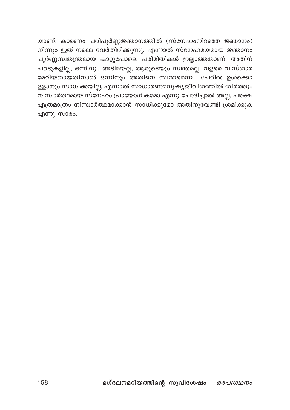യാണ്. കാരണം പരിപൂർണ്ണജ്ഞാനത്തിൽ (സ്നേഹംനിറഞ്ഞ ജ്ഞാനം) നിന്നും ഇത് നമ്മെ വേർതിരിക്കുന്നു. എന്നാൽ സ്നേഹമയമായ ജ്ഞാനം പൂർണ്ണസ്വതന്ത്രമായ കാറ്റുപോലെ പരിമിതികൾ ഇല്ലാത്തതാണ്. അതിന് ചരടുകളില്ല, ഒന്നിനും അടിമയല്ല, ആരുടെയും സ്വന്തമല്ല. വളരെ വിസ്താര മേറിയതായതിനാൽ ഒന്നിനും <sup>്</sup>അതിനെ സ്വന്തമെന്ന<sup>് </sup>പേരിൽ ഉൾക്കൊ ള്ളാനും സാധിക്കയില്ല. എന്നാൽ സാധാരണമനുഷ്യജീവിതത്തിൽ തീർത്തും നിസ്വാർത്ഥമായ സ്നേഹം പ്രായോഗികമോ എന്നു ചോദിച്ചാൽ അല്ല, പക്ഷെ എത്രമാത്രം നിസ്വാർത്ഥമാക്കാൻ സാധിക്കുമോ അതിനുവേണ്ടി ശ്രമിക്കുക എന്നു സാരം.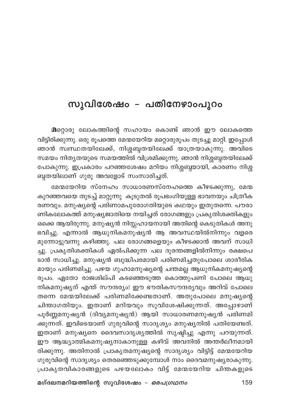## സുവിശേഷം – പതിനേഴാംപുറം

മറ്റൊരു ലോകത്തിന്റെ സഹായം കൊണ്ട് ഞാൻ ഈ ലോകത്തെ വിട്ടിരിക്കുന്നു. ഒരു രൂപത്തെ മേന്മയേറിയ മറ്റൊരുരൂപം തുടച്ചു മാറ്റി. ഇപ്പോൾ ഞാൻ സ്ഥസ്ഥതയിലേക്ക്, നിശ്ശബ്ദതയിലേക്ക് യാത്രയാകുന്നു. അവിടെ സമയം നിതൃതയുടെ സമയത്തിൽ വിശ്രമിക്കുന്നു. ഞാൻ നിശ്ശബ്ദതയിലേക്ക് പോകുന്നു. ഇപ്രകാരം പറഞ്ഞശേഷം മറിയം നിശ്ശബ്ദയായി, കാരണം നിശ്ശ ബ്ദതയിലാണ് ഗുരു അവളോട് സംസാരിച്ചത്.

മേന്മയേറിയ സ്നേഹം സാധാരണസ്നേഹത്തെ കീഴടക്കുന്നു, മേന്മ കുറഞ്ഞവയെ തുടച്ച് മാറ്റുന്നു കൂടുതൽ രൂപഭംഗിയുള്ള ഭാവനയും ചിത്രീക രണവും. മനുഷ്യന്റെ പരിണാമപുരോഗതിയുടെ കഥയും ഇതുതന്നെ. പൗരാ ണികലോകത്ത് മനുഷ്യജാതിയെ നയിച്ചത് രോഗങ്ങളും പ്രകൃതിശക്തികളും ഒക്കെ ആയിരുന്നു. മനുഷ്യൻ നിസ്സഹായനായി അതിന്റെ കെടുതികൾ അനു ഭവിച്ചു. എന്നാൽ ആധുനികമനുഷ്യൻ ആ അവസ്ഥയിൽനിന്നും വളരെ മുന്നോട്ടുവന്നു കഴിഞ്ഞു. പല രോഗങ്ങളെയും കീഴടക്കാൻ അവന് സാധി ച്ചു. പ്രകൃതിശക്തികൾ ഏൽപിക്കുന്ന പല ദുരന്തങ്ങളിൽനിന്നും രക്ഷപെ ടാൻ സാധിച്ചു. മനുഷ്യൻ ബുദ്ധിപരമായി പരിണമിച്ചതുപോലെ ശാരീരിക മായും പരിണമിച്ചു. പഴയ ഗുഹാമനുഷ്യന്റെ ചന്തമല്ല ആധുനികമനുഷ്യന്റെ രൂപം. ഏതോ രാജശില്പി കടഞ്ഞെടുത്ത കൊത്തുപണി പോലെ ആധു നികമനുഷ്യന് എന്ത് സൗന്ദര്യം! ഈ ഭൗതികസൗന്ദര്യവും അറിവ് പോലെ തന്നെ മേന്മയിലേക്ക് പരിണമിക്കേണ്ടതാണ്. അതുപോലെ മനുഷ്യന്റെ ചിന്താഗതിയും. ഇതാണ് മറിയവും സുവിശേഷിക്കുന്നത്. അപ്പോഴാണ് പൂർണ്ണമനുഷ്യൻ (ദിവ്യമനുഷ്യൻ) ആയി സാധാരണമനുഷ്യൻ പരിണമി ക്കുന്നത്. ഇവിടെയാണ് ഗുരുവിന്റെ സാദൃശ്യം മനുഷ്യനിൽ പതിയേണ്ടത്. ഇതാണ് മനുഷ്യനെ ദൈവസാദൃശ്യത്തിൽ സൃഷ്ടിച്ചു എന്നു പറയുന്നത്. ഈ ആദ്ധ്യാത്മികമനുഷ്യനാകാനുള്ള കഴിവ് അവനിൽ അന്തർലീനമായി രിക്കുന്നു. അതിനാൽ പ്രാകൃതമനുഷ്യന്റെ സാദൃശ്യം വിട്ടിട്ട് മേന്മയേറിയ ഗുരുവിന്റെ സാദൃശ്യം തെരഞ്ഞെടുക്കുമ്പോൾ നാം ദൈവമനുഷ്യരാകുന്നു. പ്രാകൃതവികാരങ്ങളുടെ പഴയലോകം വിട്ട് മേന്മയേറിയ ചിന്തകളുടെ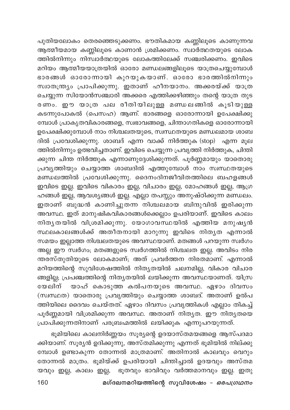പുതിയലോകം തെരഞ്ഞെടുക്കണം. ഭൗതികമായ കണ്ണിലൂടെ കാണുന്നവ .<br>ത്തിൽനിന്നും നിസ്ഥർത്ഥയുടെ ലോകത്തിലേക്ക് സഞ്ചരിക്കണം. ഇവിടെ മറിയം ആത്മീയയാത്രയിൽ ഓരോ മണ്ഡലങ്ങളിലൂടെ യാത്രചെയ്യുമ്പോൾ ഭാരങ്ങൾ ഓരോന്നായി കുറയുകയാണ്. ഓരോ ഭാരത്തിൽനിന്നും .<br>സ്വാതന്ത്ര്യം പ്രാപിക്കുന്നു. ഇതാണ് ഹീനയാനം. അക്കരയ്ക്ക് യാത്ര ചെയ്യുന്ന സിയോൻസഞ്ചാരി അക്കരെ എത്തിക്കഴിഞ്ഞും തന്റെ യാത്ര തുട രണം. ഈ യാത്ര പല രീതിയിലുള്ള മണ്ഡലങ്ങിൽ കൂടിയുള്ള കടന്നുപോകൽ (പെസഹ) ആണ്. ഭാരങ്ങളെ ഓരോന്നായി ഉപേക്ഷിക്കു മ്പോൾ പ്രാകൃതവികാരങ്ങളെ, സ്വഭാവങ്ങളെ, ചിന്താഗതികളെ ഓരോന്നായി ഉപേക്ഷിക്കുമ്പോൾ നാം നിശ്ചലതയുടെ, സ്വസ്ഥതയുടെ മണ്ഡലമായ ശാബ ദിൽ പ്രവേശിക്കുന്നു. ശാബദ് എന്ന വാക്ക് നിർത്തുക (stop) എന്ന മൂല ത്തിൽനിന്നും ഉത്ഭവിച്ചതാണ്. ഇവിടെ ചെയ്യുന്ന പ്രവൃത്തി നിർത്തുക, ചിന്തി ക്കുന്ന ചിന്ത നിർത്തുക എന്നാണുദ്ദേശിക്കുന്നത്. പൂർണ്ണമായും യാതൊരു പ്രവൃത്തിയും ചെയ്യാത്ത ശാബദിൽ എത്തുമ്പോൾ നാം സ്വസ്ഥതയുടെ .<br>മണ്ഡലത്തിൽ പ്രവേശിക്കുന്നു. ദൈനംദിനജീവിതത്തിലെ ബഹളങ്ങൾ ഇവിടെ ഇല്ല. ഇവിടെ വികാരം ഇല്ല, വിചാരം ഇല്ല, മോഹങ്ങൾ ഇല്ല, ആഗ്ര ഹങ്ങൾ ഇല്ല, ആവശ്യങ്ങൾ ഇല്ല. എല്ലാ തപസ്സും അനുഷ്ഠിക്കുന്ന മണ്ഡലം. ഇതാണ് ബുദ്ധൻ കാണിച്ചുതന്ന നിശ്ചലമായ ബിന്ദുവിൽ ഇരിക്കുന്ന അവസ്ഥ. ഇത് മാനുഷികവികാരങ്ങൾക്കെല്ലാം ഉപരിയാണ്. ഇവിടെ കാലം നിതൃതയിൽ വിശ്രമിക്കുന്നു. യോഗാവസ്ഥയിൽ എത്തിയ മനുഷൃൻ സ്ഥലകാലങ്ങൾക്ക് അതീതനായി മാറുന്നു ഇവിടെ നിതൃത എന്നാൽ സമയം ഇല്ലാത്ത നിശ്ചലതയുടെ അവസ്ഥയാണ്. മതങ്ങൾ പറയുന്ന സ്വർഗം .<br>അല്ല ഈ സ്ഥർഗം; മതങ്ങളുടെ സ്ഥർഗത്തിൽ നിശ്ചലത ഇല്ല. അവിടം നിര ന്തരസ്തുതിയുടെ ലോകമാണ്; അത് പ്രവർത്തന നിരതമാണ്. എന്നാൽ മറിയത്തിന്റെ സുവിശേഷത്തിൽ നിതൃതയിൽ ചലനമില്ല, വികാര വിചാര ങ്ങളില്ല; പ്രപഞ്ചത്തിന്റെ നിതൃതയിൽ ലയിക്കുന്ന അവസ്ഥയാണത്. യിസ്ര യേലിന് യാഹ് കൊടുത്ത കൽപനയുടെ അവസ്ഥ. ഏഴാം ദിവസം (സ്വസ്ഥത) യാതൊരു പ്രവൃത്തിയും ചെയ്യാത്ത ശാബദ്. അതാണ് ഉൽപ ത്തിയിലെ ദൈവം ചെയ്തത്. ഏഴാം ദിവസം പ്രവൃത്തികൾ എല്ലാം തികച്ച് പൂർണ്ണമായി വിശ്രമിക്കുന്ന അവസ്ഥ. അതാണ് നിതൃത. ഈ നിതൃതയെ പ്രാപിക്കുന്നതിനാണ് പരബ്രഹ്മത്തിൽ ലയിക്കുക എന്നുപറയുന്നത്.

ഭൂമിയിലെ കാലനിർണ്ണയം സൂര്യന്റെ ഉദയാസ്തമയങ്ങളെ ആസ്പദമാ ക്കിയാണ്. സൂര്യൻ ഉദിക്കുന്നു, അസ്തമിക്കുന്നു എന്നത് ഭൂമിയിൽ നില്ക്കു മ്പോൾ ഉണ്ടാകുന്ന തോന്നൽ മാത്രമാണ്. അതിനാൽ കാലവും വെറും തോന്നൽ മാത്രം. ഭൂമിയ്ക്ക് ഉപരിയായി ചിന്തിച്ചാൽ ഉദയവും അസ്തമ യവും ഇല്ല, കാലം ഇല്ല, ഭൂതവും ഭാവിവും വർത്തമാനവും ഇല്ല. ഇതു മഗ്ദലനമറിയത്തിന്റെ സുവിശേഷം - ഒരപഗ്രഥനം 160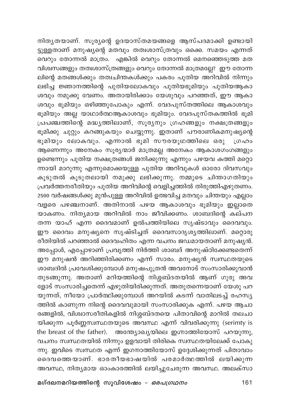നിതൃതയാണ്. സൂര്യന്റെ ഉദയാസ്തമയങ്ങളെ ആസ്പദമാക്കി ഉണ്ടായി <u>ട്ടുള്ള</u>താണ് മനുഷ്യന്റെ മതവും തത്വശാസ്ത്രവും ഒക്കെ. സമയം എന്നത് ം......<br>വെറും തോന്നൽ മാത്രം. എങ്കിൽ വെറും തോന്നൽ മെനഞ്ഞെടുത്ത മത വിശ്വസങ്ങളും തത്വശാസ്ത്രങ്ങളും വെറും തോന്നൽ മാത്രമല്ലേ? ഈ തോന്ന .<br>ലിന്റെ മതങ്ങൾക്കും തത്വചിന്തകൾക്കും പകരം പുതിയ അറിവിൽ നിന്നും ലഭിച്ച ജ്ഞാനത്തിന്റെ പുതിയലോകവും പുതിയഭൂമിയും പുതിയആകാ ശവും നമുക്കു വേണം. അതായിരിക്കാം യേശുവും പറഞ്ഞത്, ഈ ആകാ ശവും ഭൂമിയും ഒഴിഞ്ഞുപോകും എന്ന്. വേദപുസ്തത്തിലെ ആകാശവും ഭൂമിയും അല്ല യാഥാർത്ഥആകാശവും ഭൂമിയും. വേദപുസ്തകത്തിൽ ഭൂമി പ്രപഞ്ചത്തിന്റെ മദ്ധ്യത്തിലാണ്, സൂര്യനും ഗ്രഹങ്ങളും നക്ഷത്രങ്ങളും ഭൂമിക്കു ചുറ്റും കറങ്ങുകയും ചെയ്യുന്നു. ഇതാണ് പൗരാണികമനുഷ്യന്റെ ഭൂമിയും ലോകവും. എന്നാൽ ഭൂമി സൗരയൂഥത്തിലെ ഒരു ധ്രഹം ആണെന്നും അനേകം സൂര്യന്മാർ മാത്രമല്ല അനേകം ആകാശഗംഗങ്ങളും ഉണ്ടെന്നും പുതിയ നക്ഷത്രങ്ങൾ ജനിക്കുന്നു എന്നും പഴയവ കത്തി മറ്റൊ .<br>ന്നായി മാറുന്നു എന്നുമൊക്കയുള്ള പുതിയ അറിവുകൾ ഓരോ ദിവസവും കൂടുതൽ കൂടുതലായി നമുക്കു ലഭിക്കുന്നു. നമ്മുടെ ചിന്താഗതിയും പ്രവർത്തനരീതിയും പുതിയ അറിവിന്റെ വെളിച്ചത്തിൽ തിരുത്തിഎഴുതണം. 2500 വർഷങ്ങൾക്കു മുൻപുള്ള അറിവിൽ ഉത്ഭവിച്ച മതവും ചിന്തയും എല്ലാം വളരെ പഴഞ്ചനാണ്. അതിനാൽ പഴയ ആകാശവും ഭൂമിയും ഇല്ലാതെ യാകണം. നിത്യമായ അറിവിൽ നാം ജീവിക്കണം. ശാബദിന്റെ കല്പന തന്ന യാഹ് എന്ന ദൈവമാണ് ഉൽപത്തിയിലെ സൃഷ്ടാവും ദൈവവും. ഈ ദൈവം മനുഷ്യനെ സൃഷ്ടിച്ചത് ദൈവസാദൃശ്യത്തിലാണ്. മറ്റൊരു രീതിയിൽ പറഞ്ഞാൽ ദൈവഹിതം എന്ന വചനം ജഡമായതാണ് മനുഷ്യൻ. അപ്പോൾ, എപ്പോഴാണ് പ്രവൃത്തി നിർത്തി ശാബദ് അനുഷ്ഠിക്കേണ്ടതെന്ന് ഈ മനുഷൻ അറിഞ്ഞിരിക്കണം എന്ന് സാരം. മനുഷ്യൻ സ്ഥസ്ഥതയുടെ ശാബദിൽ പ്രവേശിക്കുമ്പോൾ മനുഷപുത്രൻ അവനോട് സംസാരിക്കുവാൻ തുടങ്ങുന്നു. അതാണ് മറിയത്തിന്റെ നിശ്ശബ്ദതയിൽ ആണ് ഗുരു അവ ളോട് സംസാരിച്ചതെന്ന് എഴുതിയിരിക്കുന്നത്. അതുതന്നെയാണ് യേശു പറ യുന്നത്, നീയോ പ്രാർത്ഥിക്കുമ്പോൾ അറയിൽ കടന്ന് വാതിലടച്ച് രഹസ്യ ത്തിൽ കാണുന്ന നിന്റെ ദൈവവുമായി സംസാരിക്കുക എന്ന്. പഴയ ആചാ രങ്ങളിൽ, വിശ്വാസരീതികളിൽ നിശ്ശബ്ദതയെ പിതാവിന്റെ മാറിൽ തലചാ യിക്കുന്ന പൂർണ്ണസ്ഥസ്ഥതയുടെ അവസ്ഥ എന്ന് വിവരിക്കുന്നു (serimty is the breast of the father). അന്ത്യോഖ്യയിലെ ഇഗ്നാത്തിയോസ് പറയുന്നു, വചനം സ്വസ്ഥതയിൽ നിന്നും ഉളവായി തിരികെ സ്വസ്ഥതയിലേക്ക് പോകു ന്നു. ഇവിടെ സ്വസ്ഥത എന്ന് ഇഗനാത്തിയോസ് ഉദ്ദേശിക്കുന്നത് പിതാവാം ദൈവത്തെയാണ്. ഭാരതീയഭാഷയിൽ പരമാർത്ഥത്തിൽ ലയിക്കുന്ന അവസ്ഥ, നിത്യമായ ഓംകാരത്തിൽ ലയിച്ചുചേരുന്ന അവസ്ഥ. അലക്സാ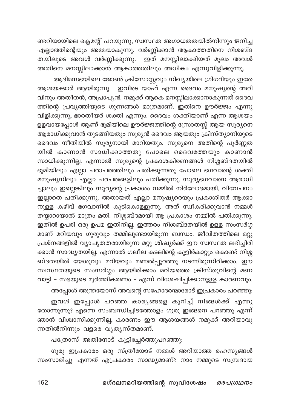ണ്ടറിയായിലെ ക്ലെമന്റ് പറയുന്നു, സ്വസ്ഥത അഗാധതതയിൽനിന്നും ജനിച്ച എല്ലാത്തിന്റെയും അമ്മയാകുന്നു. വർണ്ണിക്കാൻ ആകാത്തതിനെ നിശബ്ദ തയിലൂടെ അവൾ വർണ്ണിക്കുന്നു. ഇത് മനസ്സിലാക്കിയത് മൂലം അവൾ .<br>അതിനെ മനസ്സിലാക്കാൻ ആകാത്തതിലും അധികം എന്നുവിളിക്കുന്നു.

ആദിമസഭയിലെ ജോൺ ക്രിസോസ്റ്റവും നിഖ്യയിലെ ഗ്രിഗറിയും ഇതേ ആശയക്കാർ ആയിരുന്നു. ഇവിടെ യാഹ് എന്ന ദൈവം മനുഷ്യന്റെ അറി വിനും അതീതൻ, അപ്രാപ്യൻ. നമുക്ക് ആകെ മനസ്സിലാക്കാനാകുന്നത് ദൈവ ത്തിന്റെ പ്രവൃത്തിയുടെ ഗുണങ്ങൾ മാത്രമാണ്. ഇതിനെ ഊർജ്ജം എന്നു വിളിക്കുന്നു, ഭാരതീയർ ശക്തി എന്നും. ദൈവം ശക്തിയാണ് എന്ന ആശയം ഉളവായപ്പോൾ ആണ് ഭൂമിയിലെ ഊർജ്ജത്തിന്റെ സ്രോതസ്സ് ആയ സൂര്യനെ ആരാധിക്കുവാൻ തുടങ്ങിയതും സൂര്യൻ ദൈവം ആയതും ക്രിസ്ത്യാനിയുടെ ദൈവം നീതിയിൽ സൂര്യനായി മാറിയതും. സൂര്യനെ അതിന്റെ പൂർണ്ണത യിൽ കാണാൻ സാധിക്കാത്തതു പോലെ ദൈവത്തേയും കാണാൻ സാധിക്കുന്നില്ല. എന്നാൽ സൂര്യന്റെ പ്രകാശകിരണങ്ങൾ നിശ്ശബ്ദതയിൽ ഭൂമിയിലും എല്ലാ ചരാചരത്തിലും പതിക്കുന്നതു പോലെ ഭഗവാന്റെ ശക്തി മനുഷ്യനിലും എല്ലാ ചരചരങ്ങളിലും പതിക്കുന്നു. സൂര്യഭഗവാനെ ആരാധി ച്ചാലും ഇല്ലെങ്കിലും സൂര്യന്റെ പ്രകാശം നമ്മിൽ നിർലോഭമായി, വിവേചനം ⊿ ം — …<br>ഇല്ലാതെ പതിക്കുന്നു. അതായത് എല്ലാ മനുഷ്യരെയും പ്രകാശിതർ ആക്കാ നുള്ള കഴിവ് ഭഗവാനിൽ കുടികൊള്ളുന്നു. അത് സ്ഥീകരിക്കുവാൻ നമ്മൾ തയ്യാറായാൽ മാത്രം മതി. നിശ്ശബ്ദമായി ആ പ്രകാശം നമ്മിൽ പതിക്കുന്നു. ഇതിൽ ഉപരി ഒരു ഉപമ ഇതിനില്ല. ഇത്തരം നിശബ്ദതയിൽ ഉള്ള സംസർഗ്ഗ മാണ് മറിയവും ഗുരുവും തമ്മിലുണ്ടായിരുന്ന ബന്ധം. ജീവിതത്തിലെ മറ്റു പ്രശ്നങ്ങളിൽ വ്യാപൃതതരായിരുന്ന മറ്റു ശിഷ്യർക്ക് ഈ സ്ഥസ്ഥത ലഭിച്ചിരി -<br>ക്കാൻ സാദ്ധ്യതയില്ല. എന്നാൽ ഗലീല കടലിന്റെ കുളിർകാറ്റും കൊണ്ട് നിശ്ശ ബ്ദതയിൽ യേശുവും മറിയവും മണൽപ്പുറത്തു നടന്നിരുന്നിരിക്കാം. ഈ സ്ഥസ്ഥതയുടെ സംസർഗ്ഗം ആയിരിക്കാം മറിയത്തെ ക്രിസ്തുവിന്റെ മണ വാട്ടി - സഭയുടെ മൂർത്തികരണം - എന്ന് വിശേഷിപ്പിക്കാനുള്ള കാരണവും. അപ്പോൾ അന്ത്രയോസ് അവന്റെ സഹോദരന്മാരോട് ഇപ്രകാരം പറഞ്ഞു:

ഇവൾ ഇപ്പോൾ പറഞ്ഞ കാര്യങ്ങളെ കുറിച്ച് നിങ്ങൾക്ക് എന്തു തോന്നുന്നു? എന്നെ സംബന്ധിച്ചിടത്തോളം ഗുരു ഇങ്ങനെ പറഞ്ഞു എന്ന് ഞാൻ വിശ്വാസിക്കുന്നില്ല, കാരണം ഈ ആശയങ്ങൾ നമുക്ക് അറിയാവു ന്നതിൽനിന്നും വളരെ വൃതൃസ്തമാണ്.

പത്രോസ് അതിനോട് കൂട്ടിച്ചേർത്തുപറഞ്ഞു:

ഗുരു ഇപ്രകാരം ഒരു സ്ത്രീയോട് നമ്മൾ അറിയാത്ത രഹസൃങ്ങൾ സംസാരിച്ചു എന്നത് എപ്രകാരം സാദ്ധ്യമാണ്? നാം നമ്മുടെ സമ്പ്രദായ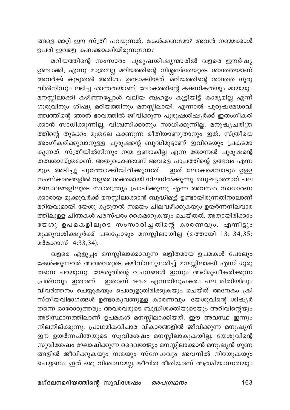ങ്ങളെ മാറ്റി ഈ സ്ത്രീ പറയുന്നത്. കേൾക്കണമോ? അവൻ നമ്മെക്കാൾ ഉപരി ഇവളെ കണക്കാക്കിയിരുന്നുവോ?

മറിയത്തിന്റെ സംസാരം പുരുഷശിഷ്യന്മാരിൽ വളരെ ഈർഷ്യ ഉണ്ടാക്കി, എന്നു<sup>്</sup>മാത്രമല്ല മറിയത്തിന്റെ നിശ്ശബ്ദതയുടെ ശാന്തതയാണ് .<br>അവർക്ക് കൂടുതൽ അരിശം ഉണ്ടാക്കിയത്. മറിയത്തിന്റെ ശാന്തത ഗുരു വിൽനിന്നും ലഭിച്ച ശാന്തതയാണ്. ലോകത്തിന്റെ ക്ഷണികതയും മായയും മനസ്സിലാക്കി കഴിഞ്ഞപ്പോൾ വലിയ ബഹളം കൂട്ടിയിട്ട് കാര്യമില്ല എന്ന് ഗുരുവിനും ശിഷ്യ മറിയത്തിനും മനസ്സിലായി. എന്നാൽ പുരുഷമേധാവി ത്ത്വത്തിന്റെ ഞാൻ ഭാവത്തിൽ ജീവിക്കുന്ന പുരുഷശിഷ്യർക്ക് ഇതംഗീകരി ക്കാൻ സാധിക്കുന്നില്ല, വിശ്വസിക്കാനും സാധിക്കുന്നില്ല. മനുഷ്യചരിത്ര ത്തിന്റെ തുടക്കം മുതലേ കാണുന്ന രീതിയാണുതാനും ഇത്. സ്ത്രീയെ അംഗീകരിക്കുവാനുള്ള പുരുഷന്റെ ബുദ്ധിമുട്ടാണ് ഇവിടെയും പ്രകടമാ കുന്നത്. സ്ത്രീയിൽനിന്നും നന്മ ഉണ്ടാകില്ല എന്ന തോന്നൽ പുരുഷന്റെ തത്വശാസ്ത്രമാണ്. അതുകൊണ്ടാണ് അവളെ പാപത്തിന്റെ ഉത്ഭവം എന്ന മുദ്ര അടിച്ചു പുറത്താക്കിയിരിക്കുന്നത്. ഇത് ലോകമെമ്പാടും ഉള്ള ...<br>സംസ്കാരങ്ങളിൽ വളരെ ശക്തമായി നിലനിൽക്കുന്നു. മനുഷ്യാത്മാവ് പല മണ്ഡലങ്ങളിലൂടെ സ്വാതന്ത്ര്യം പ്രാപിക്കുന്നു എന്ന അവസ്ഥ സാധാരണ ക്കാരായ മുക്കുവർക്ക് മനസ്സിലാക്കാൻ ബുദ്ധിമുട്ട് ഉണ്ടായിരുന്നതിനാലാണ് മറിയവുമായി യേശു കൂടുതൽ സമയം ചിലവഴിക്കുകയും ഉയർന്നനിലവാര ത്തിലുള്ള ചിന്തകൾ പരസ്പരം കൈമാറുകയും ചെയ്തത്. അതായിരിക്കാം യേശു ഉപമകളിലൂടെ സംസാരിച്ചതിന്റെ കാരണവും. എന്നിട്ടും മുക്കുവശിക്ഷ്യർക്ക് പലപ്പോഴും മനസ്സിലായില്ല (മത്തായി 13: 34,35; മർക്കോസ് 4:33,34).

വളരെ എളുപ്പം മനസ്സിലാക്കാവുന്ന ലളിതമായ ഉപമകൾ പോലും കേൾക്കുന്നവർ അവരവരുടെ കഴിവിനനുസരിച്ച് മനസ്സിലാക്കി എന്ന് ഗുരു തന്നെ പറയുന്നു. യേശുവിന്റെ വചനങ്ങൾ ഇന്നും അഭിമുഖീകരിക്കുന്ന പ്രശ്നവും ഇതാണ്. ഇതാണ് 1+1=2 എന്നതിനുപകരം പല രീതിയിലും വിവർത്തനം ചെയ്യുകയും പൊരുളുതിരിക്കുകയും ചെയ്ത് അനേകം ക്രി സ്തീയവിഭാഗങ്ങൾ ഉണ്ടാകുവാനുള്ള കാരണവും. യേശുവിന്റെ ശിഷ്യർ തന്നെ ഓരോരുത്തരും അവരവരുടെ ബുദ്ധിശക്തിയുടെയും അറിവിന്റെയും അടിസ്ഥാനത്തിലാണ് ഉപമകൾ മനസ്സിലാക്കിയത്. ഈ അവസ്ഥ ഇന്നും നിലനില്ക്കുന്നു. പ്രാഥമികവിചാര വികാരങ്ങളിൽ ജീവിക്കുന്ന മനുഷ്യന് ഈ ഉയർന്നചിന്തയുടെ സുവിശേഷം മനസ്സിലാകുകയില്ല. യേശുവിന്റെ സുവിശേഷം ഘോഷിക്കുന്ന ദൈവരാജ്യം മനസ്സിലാക്കാൻ മനുഷ്യൻ ഗുണ ങ്ങളിൽ ജീവിക്കുകയും നന്മയും സ്നേഹവും അവനിൽ നിറയുകയും ചെയ്യണം. ഇത് ഒരു വിശ്വാസമല്ല, ജീവിത രീതിയാണ് ആത്മീയാന്ധതയും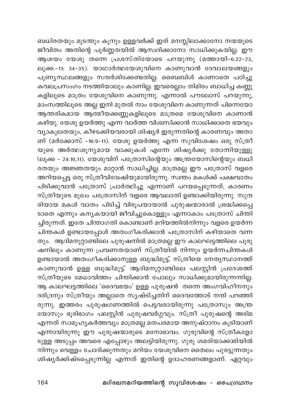ബധിരതയും മുടന്തും കൂനും ഉള്ളവർക്ക് ഇത് മനസ്സിലാക്കാനോ നന്മയുടെ ജീവിതം അതിന്റെ പൂർണ്ണതയിൽ ആസ്വദിക്കാനോ സാധിക്കുകയില്ല. ഈ ആശയം യേശു തന്നെ പ്രശസ്തിയോടെ പറയുന്നു (മത്തായി-6:22-23, ലൂക്ക:-11: 34-35). യാഥാർത്ഥയേശുവിനെ കാണുവാൻ ദേവാലയങ്ങളും പൂണ്യസ്ഥലങ്ങളും സന്ദർശിക്കേണ്ടതില്ല. ബൈബിൾ കാണാതെ പഠിച്ചു കവലപ്രസംഗം നടത്തിയാലും കാണില്ല. ഇവരെല്ലാം തിമിരം ബാധിച്ച കണ്ണു കളിലൂടെ മാത്രം യേശുവിനെ കാണുന്നു. എന്നാൽ പൗലോസ് പറയുന്നു, മാംസത്തിലൂടെ അല്ല ഇനി മുതൽ നാം യേശുവിനെ കാണുന്നത് പിന്നെയോ ആന്തരികമായ ആത്മീയക്കണ്ണുകളിലൂടെ മാത്രമെ യേശുവിനെ കാണാൻ കഴിയു. യേശു ഉയർത്തു എന്ന വാർത്ത വിശ്വസിക്കാൻ സാധിക്കാതെ ഭയവും വ്യാകുലതയും, കീഴടക്കിയവരായി ശിഷ്യർ ഇരുന്നതിന്റെ കാരണവും അതാ ണ് (മർക്കോസ് -16:9-11). യേശു ഉയർത്തു എന്ന സുവിശേഷം ഒരു സ്ത്രീ യുടെ അർത്ഥശൂന്യമായ വാക്കുകൾ എന്നേ ശിഷ്യർക്കു തോന്നിയുള്ളു (ലൂക്ക – 24:10,11). യേശുവിന് പത്രോസിന്റെയും അന്ത്രയോസിന്റെയും ബധി രതയും അജ്ഞതയും മാറ്റാൻ സാധിച്ചില്ല. മാത്രമല്ല ഈ പത്രോസ് വളരെ അറിയപ്പെട്ട ഒരു സ്ത്രീവിദേഹ്ഷിയുമായിരുന്നു. സ്ഥ്തം മകൾക്ക് പക്ഷവാതം പിടിക്കുവാൻ പത്രോസ് പ്രാർത്ഥിച്ചു എന്നാണ് പറയപ്പെടുന്നത്, കാരണം സ്ത്രീയുടെ മുഖം പത്രോസിന് വളരെ ആവലാതി ഉണ്ടാക്കിയിരുന്നു. സുന്ദ രിയായ മകൾ വാതം പിടിച്ച് വിരൂപയായാൽ പുരുഷന്മാരാൽ ശ്രദ്ധിക്കപ്പെ ടാതെ എന്നും കന്യകയായി ജീവിച്ചുകൊള്ളും എന്നാകാം പത്രോസ് ചിന്തി ച്ചിരുന്നത്. ഇതേ ചിന്താഗതി കൊണ്ടാണ് മറിയത്തിൽനിന്നും വളരെ ഉയർന്ന ചിന്തകൾ ഉണ്ടായപ്പോൾ അതംഗീകരിക്കാൻ പത്രോസിന് കഴിയാതെ വന്ന തും. ആദിമനൂറ്റാണ്ടിലെ പുരുഷനിൽ മാത്രമല്ല ഈ കാലഘട്ടത്തിലെ പുരു ഷനിലും കാണുന്ന പ്രവണതയാണ് സ്ത്രീയിൽ നിന്നും ഉയർന്നചിന്തകൾ ഉണ്ടായാൽ അതംഗീകരിക്കാനുള്ള ബുദ്ധിമുട്ട്, സ്ത്രീയെ നേതൃസ്ഥാനത്ത് കാണുവാൻ ഉള്ള ബുദ്ധിമുട്ട്. ആദിമനൂറ്റാണ്ടിലെ പലസ്റ്റിൻ പ്രദേശത്ത് സ്ത്രീയുടെ മേധാവിത്തം ചിന്തിക്കാൻ പോലും സാധിക്കുമായിരുന്നന്നില്ല. ആ കാലഘട്ടത്തിലെ 'ദൈവഭയം' ഉള്ള പുരുഷൻ തന്നെ അംഗവിഹീനനും ദരിദ്രനും സ്ത്രീയും അല്ലാതെ സൃഷ്ടിച്ചതിന് ദൈവത്തോട് നന്ദി പറഞ്ഞി രുന്നു. ഇത്തരം പുരുഷഗണത്തിൽ പെട്ടവരായിരുന്നു പത്രോസും അന്ത്ര യോസും ഭൂരിഭാഗം പലസ്റ്റിൻ പുരുഷവർഗ്ഗവും. സ്ത്രീ പുരുഷന്റെ അടിമ എന്നത് സാമൂഹ്യകർത്തവും മാത്രമല്ല മതപരമായ അനുഷ്ഠാനം കൂടിയാണ് എന്നായിരുന്നു ഈ പുരുഷന്മാരുടെ മനോഭാവം. ഗുരുവിന്റെ സ്ത്രീകളോ ടുള്ള അടുപ്പം അവരെ എപ്പോഴും അലട്ടിയിരുന്നു. ഗുരു ശമരിയാക്കൽിയിൽ നിന്നും വെള്ളം ചോദിക്കുന്നതും മറിയം യേശുവിനെ തൈലം പുരട്ടുന്നതും ശിഷ്യർക്കിഷ്ടപ്പെടുന്നില്ല എന്നത് ഇതിന്റെ ഉദാഹരണങ്ങളാണ്. ഏറ്റവും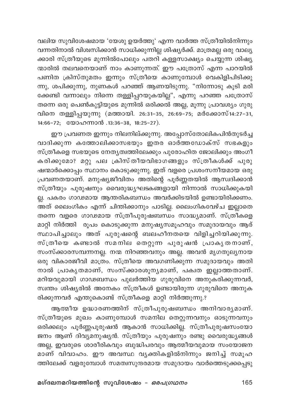വലിയ സുവിശേഷമായ 'യേശു ഉയർത്തു' എന്ന വാർത്ത സ്ത്രീയിൽനിന്നും വന്നതിനാൽ വിശ്വസിക്കാൻ സാധിക്കുന്നില്ല ശിഷ്യർക്ക്. മാത്രമല്ല ഒരു വാല്യ ക്കാരി സ്ത്രീയുടെ മുന്നിൽപോലും പതറി കള്ളസാക്ഷ്യം ചെയ്യുന്ന ശിഷ്യ .<br>ന്മാരിൽ തലവനെയാണ് നാം കാണുന്നത്. ഈ പത്രോസ് എന്ന പാറയിൽ പണിത ക്രിസ്തുമതം ഇന്നും സ്ത്രീയെ കാണുമ്പോൾ വെകിളിപിടിക്കു .<br>ന്നു, ശപിക്കുന്നു, നുണകൾ പറഞ്ഞ് ആണയിടുന്നു. "നിന്നോടു കൂടി മരി ക്കേണ്ടി വന്നാലും നിന്നെ തള്ളിപ്പറയുകയില്ല", എന്നു പറഞ്ഞ പത്രോസ് .<br>തന്നെ ഒരു പെൺകുട്ടിയുടെ മുന്നിൽ ഒരിക്കൽ അല്ല, മൂന്നു പ്രാവശ്യം ഗുരു വിനെ തള്ളിപ്പയുന്നു (മത്തായി. 26:31-35, 26:69-75; മർക്കോസ്14:27-31, 14:66-72; യോഹന്നാൻ .13:36-38, 18:25-27).

ഈ പ്രവണത ഇന്നും നിലനില്ക്കുന്നു. അപ്പോസ്തോലികപിൻതുടർച്ച വാദിക്കുന്ന കത്തോലിക്കാസഭയും ഇതര ഓർത്തഡോക്സ് സഭകളും സ്ത്രീകളെ സഭയുടെ നേതൃത്വത്തിലേക്കും പുരോഹിത ജോലിക്കും അംഗീ കരിക്കുമോ? മറ്റു പല ക്രിസ്തീയവിഭാഗങ്ങളും സ്ത്രീകൾക്ക് പുരു ഷന്മാർക്കൊപ്പം സ്ഥാനം കൊടുക്കുന്നു. ഇത് വളരെ പ്രശംസനീയമായ ഒരു പ്രവണതയാണ്. മനുഷ്യജീവിതം അതിന്റെ പൂർണ്ണതയിൽ ആസ്വദിക്കാൻ സ്ത്രീയും പുരുഷനും വൈരുദ്ധ്യഘടകങ്ങളായി നിന്നാൽ സാധിക്കുകയി .<br>ല്ല. പകരം ഗാഢമായ ആന്തരികബന്ധം അവർക്കിടയിൽ ഉണ്ടായിരിക്കണം. .<br>അത് ലൈംഗികം എന്ന് ചിന്തിക്കാനും പാടില്ല. ലൈംഗികവേഴ്ച ഇല്ലാതെ തന്നെ വളരെ ഗാഢമായ സ്ത്രീപുരുഷബന്ധം സാദ്ധ്യമാണ്. സ്ത്രീകളെ മാറ്റി നിർത്തി രൂപം കൊടുക്കുന്ന മനുഷ്യസമൂഹവും സമുദായവും ആര് സ്ഥാപിച്ചാലും അത് പുരുഷന്റെ ബലഹീനതയെ വിളിച്ചറിയിക്കുന്നു. സ്ത്രീയെ കണ്ടാൽ സമനില തെറ്റുന്ന പുരുഷൻ പ്രാകൃതനാണ്, സംസ്ക്കാരസമ്പന്നനല്ല. നന്മ നിറഞ്ഞവനും അല്ല. അവൻ മൃഗതുല്യനായ ഒരു വികാരജീവി മാത്രം. സ്ത്രീയെ അവഗണിക്കുന്ന സമുദായവും അതി നാൽ പ്രാകൃതമാണ്, സംസ്ക്കാരശൂനൃമാണ്, പക്വത ഇല്ലാത്തതാണ്. മറിയവുമായി ഗാഢബന്ധം പുലർത്തിയ ഗുരുവിനെ അനുകരിക്കുന്നവർ, സ്വന്തം ശിഷ്യരിൽ അനേകം സ്ത്രീകൾ ഉണ്ടായിരുന്ന ഗുരുവിനെ അനുക രിക്കുന്നവർ എന്തുകൊണ്ട് സ്ത്രീകളെ മാറ്റി നിർത്തുന്നു.?

ആത്മീയ ഉദ്ധാരണത്തിന് സ്ത്രീപുരുഷബന്ധം അനിവാരൃമാണ്. സ്ത്രീയുടെ മുഖം കാണുമ്പോൾ സമനില തെറ്റുന്നവനും ഓടുന്നവനും ഒരിക്കലും പൂർണ്ണപൂരുഷൻ ആകാൻ സാധിക്കില്ല. സ്ത്രീപുരുഷസംയോ ജനം ആണ് ദിവ്യമനുഷ്യൻ. സ്ത്രീയും പുരുഷനും രണ്ടു വൈരുദ്ധ്യങ്ങൾ അല്ല, ഇവരുടെ ശാരീരികവും ബുദ്ധിപരവും ആത്മീയവുമായ സംയോജന മാണ് വിവാഹം. ഈ അവസ്ഥ വൃക്തികളിൽനിന്നും ജനിച്ച് സമൂഹ ത്തിലേക്ക് വളരുമ്പോൾ സമത്വസുന്ദരമായ സമുദായം വാർത്തെടുക്കപ്പെടു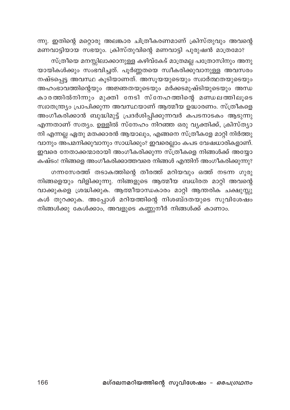ന്നു. ഇതിന്റെ മറ്റൊരു അലങ്കാര ചിത്രീകരണമാണ് ക്രിസ്തുവും അവന്റെ മണവാട്ടിയായ സഭയും. ക്രിസ്തുവിന്റെ മണവാട്ടി പുരുഷൻ മാത്രമോ?

സ്ത്രീയെ മനസ്സിലാക്കാനുള്ള കഴിവ്കേട് മാത്രമല്ല പത്രോസിനും അനു യായികൾക്കും സംഭവിച്ചത്. പൂർണ്ണതയെ സ്ഥീകരിക്കുവാനുള്ള അവസരം .<br>നഷ്ടപ്പെട്ട അവസ്ഥ കൂടിയാണത്. അസൂയയുടെയും സ്വാർത്ഥതയുടെയും അഹംഭാവത്തിന്റെയും അജ്ഞതയുടെയും മർക്കടമുഷ്ടിയുടെയും അന്ധ കാരത്തിൽനിന്നും മുക്തി നേടി സ്നേഹത്തിന്റെ മണ്ഡലത്തിലൂടെ സ്വാതന്ത്ര്യം പ്രാപിക്കുന്ന അവസ്ഥയാണ് ആത്മീയ ഉദ്ധാരണം. സ്ത്രീകളെ അംഗീകരിക്കാൻ ബുദ്ധിമുട്ട് പ്രദർശിപ്പിക്കുന്നവർ കപടനാടകം ആടുന്നു എന്നതാണ് സത്യം. ഉള്ളിൽ സ്നേഹം നിറഞ്ഞ ഒരു വ്യക്തിക്ക്, ക്രിസ്ത്യാ .<br>നി എന്നല്ല ഏതു മതക്കാരൻ ആയാലും, എങ്ങനെ സ്ത്രീകളേ മാറ്റി നിർത്തു വാനും അപമനിക്കുവാനും സാധിക്കും? ഇവരെല്ലാം കപട വേഷധാരികളാണ്. ഇവരെ നേതാക്കന്മാരായി അംഗീകരിക്കുന്ന സ്ത്രീകളെ നിങ്ങൾക്ക് അയ്യോ കഷ്ടം! നിങ്ങളെ അംഗീകരിക്കാത്തവരെ നിങ്ങൾ എന്തിന് അംഗീകരിക്കുന്നു?

ഗന്നസേരത്ത് തടാകത്തിന്റെ തീരത്ത് മറിയവും ഒത്ത് നടന്ന ഗുരു നിങ്ങളെയും വിളിക്കുന്നു. നിങ്ങളുടെ ആത്മീയ ബധിരത മാറ്റി അവന്റെ വാക്കുകളെ ശ്രദ്ധിക്കുക. ആത്മീയാന്ധകാരം മാറ്റി ആന്തരിക ചക്ഷുസ്സു കൾ തുറക്കുക. അപ്പോൾ മറിയത്തിന്റെ നിശബ്ദതയുടെ സുവിശേഷം നിങ്ങൾക്കു കേൾക്കാം, അവളുടെ കണ്ണുനീർ നിങ്ങൾക്ക് കാണാം.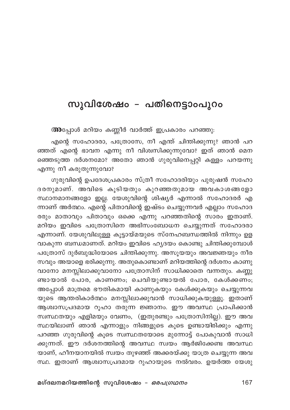## സുവിശേഷം – പതിനെട്ടാംപുറം

അപ്പോൾ മറിയം കണ്ണീർ വാർത്ത് ഇപ്രകാരം പറഞ്ഞു:

എന്റെ സഹോദരാ, പത്രോസേ, നീ എന്ത് ചിന്തിക്കുന്നു? ഞാൻ പറ ഞ്ഞത് എന്റെ ഭാവന എന്നു നീ വിശ്വസിക്കുന്നുവോ? ഇത് ഞാൻ മെന ഞ്ഞെടുത്ത ദർശനമോ? അതോ ഞാൻ ഗുരുവിനെപ്പറ്റി കള്ളം പറയന്നു എന്നു നീ കരുതുന്നുവോ?

ഗുരുവിന്റെ ഉപദേശപ്രകാരം സ്ത്രീ സഹോദരിയും പുരുഷൻ സഹോ ദരനുമാണ്. അവിടെ കൂടിയതും കുറഞ്ഞതുമായ അവകാശങ്ങളോ സ്ഥാനമാനങ്ങളോ ഇല്ല. യേശുവിന്റെ ശിഷ്യർ എന്നാൽ സഹോദരർ എ ന്നാണ് അർത്ഥം. എന്റെ പിതാവിന്റെ ഇഷ്ടം ചെയ്യുന്നവർ എല്ലാം സഹോദ രരും മാതാവും പിതാവും ഒക്കെ എന്നു പറഞ്ഞതിന്റെ സാരം ഇതാണ്. മറിയം ഇവിടെ പത്രോസിനെ അഭിസംബോധന ചെയ്യുന്നത് സഹോദരാ എന്നാണ്. യേശുവിലുള്ള കൂട്ടായ്മയുടെ സ്നേഹബന്ധത്തിൽ നിന്നും ഉള .<br>വാകുന്ന ബന്ധമാണത്. മറിയം ഇവിടെ ഹൃദയം കൊണ്ടു ചിന്തിക്കുമ്പോൾ പത്രോസ് ദുർബുദ്ധിയോടെ ചിന്തിക്കുന്നു. അസൂയയും അവജ്ഞയും നീര സവും അയാളെ ഭരിക്കുന്നു. അതുകൊണ്ടാണ് മറിയത്തിന്റെ ദർശനം കാണു വാനോ മനസ്സിലാക്കുവാനോ പത്രോസിന് സാധിക്കാതെ വന്നതും. കണ്ണു ണ്ടായാൽ പോര, കാണണം; ചെവിയുണ്ടായൽ പോര, കേൾക്കണം; അപ്പോൾ മാത്രമെ ഭൗതികമായി കാണുകയും കേൾക്കുകയും ചെയ്യുന്നവ യുടെ ആന്തരികാർത്ഥം മനസ്സിലാക്കുവാൻ സാധിക്കുകയുള്ളൂ. ഇതാണ് ആശ്വാസപ്രദമായ റൂഹാ തരുന്ന ജ്ഞാനം. ഈ അവസ്ഥ പ്രാപിക്കാൻ സ്വസ്ഥതയും എളിമയും വേണം, (ഇതുരണ്ടും പത്രോസിനില്ല). ഈ അവ സ്ഥയിലാണ് ഞാൻ എന്നാളും നിങ്ങളുടെ കൂടെ ഉണ്ടായിരിക്കും എന്നു പറഞ്ഞ ഗുരുവിന്റെ കൂടെ സ്വസ്ഥതയോടെ മുന്നോട്ട് പോകുവാൻ സാധി ക്കുന്നത്. ഈ ദർശനത്തിന്റെ അവസ്ഥ സ്വയം ആർജിക്കേണ്ട അവസ്ഥ യാണ്, ഹീനയാനയിൽ സ്വയം തുഴഞ്ഞ് അക്കരയ്ക്കു യാത്ര ചെയ്യുന്ന അവ സ്ഥ. ഇതാണ് ആശ്വാസപ്രദമായ റുഹായുടെ നൽവരം. ഉയർത്ത യേശു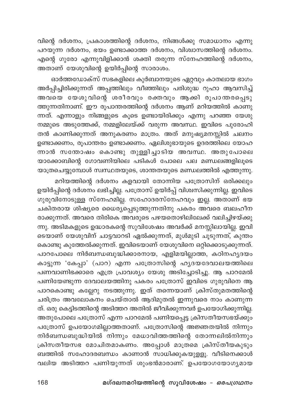വിന്റെ ദർശനം, പ്രകാശത്തിന്റെ ദർശനം, നിങ്ങൾക്കു സമാധാനം എന്നു പറയുന്ന ദർശനം, ഭയം ഉണ്ടാക്കാത്ത ദർശനം, വിശ്വാസത്തിന്റെ ദർശനം. എന്റെ ഗുരോ എന്നുവിളിക്കാൻ ശക്തി തരുന്ന സ്നേഹത്തിന്റെ ദർശനം, അതാണ് യേശുവിന്റെ ഉയിർപ്പിന്റെ സാരാശം.

ഓർത്തഡോക്സ് സഭകളിലെ കുർബാനയുടെ ഏറ്റവും കാതലായ ഭാഗം അർപ്പിച്ചിരിക്കുന്നത് അപ്പത്തിലും വീഞ്ഞിലും പരിശുദ്ധ റുഹാ ആവസിച്ച് അവയെ യേശുവിന്റെ ശരീരവും രക്തവും ആക്കി രൂപാന്തരപ്പെടു ത്തുന്നതിനാണ്. ഈ രൂപാന്തരത്തിന്റെ ദർശനം ആണ് മറിയത്തിൽ കാണു ന്നത്. എന്നാളും നിങ്ങളുടെ കൂടെ ഉണ്ടായിരിക്കും എന്നു പറഞ്ഞ യേശു നമ്മുടെ അടുത്തേക്ക്, നമ്മളിലേയ്ക്ക് വരുന്ന അവസ്ഥ. ഇവിടെ പുരോഹി തൻ കാണിക്കുന്നത് അനുകരണം മാത്രം. അത് മനുഷ്യമനസ്സിൽ ചലനം ഉണ്ടാക്കണം, രൂപാന്തരം ഉണ്ടാക്കണം. ഏലിശുഭായുടെ ഉദരത്തിലെ യോഹ ന്നാൻ സന്തോഷം കൊണ്ടു തുള്ളിച്ചാടിയ അവസ്ഥ. അതുപോലെ .<br>യാക്കോബിന്റെ ഗോവണിയിലെ പടികൾ പോലെ പല മണ്ഡലങ്ങളിലൂടെ യാത്രചെയ്യുമ്പോൾ സ്വസ്ഥതയുടെ, ശാന്തതയുടെ മണ്ഡലത്തിൽ എത്തുന്നു.

മറിയത്തിന്റെ ദർശനം കളവായി തോന്നിയ പത്രോസിന് ഒരിക്കലും ഉയിർപ്പിന്റെ ദർശനം ലഭിച്ചില്ല. പത്രോസ് ഉയിർപ്പ് വിശ്വസിക്കുന്നില്ല. ഇവിടെ ഗുരുവിനോടുള്ള സ്നേഹമില്ല. സഹോദരസ്നേഹവും ഇല്ല. അതാണ് ഭയ ചകിതരായ ശിഷ്യരെ ധൈര്യപ്പെടുത്തുന്നതിനു പകരം അവരെ ബലഹീന രാക്കുന്നത്. അവരെ തിരികെ അവരുടെ പഴയതൊഴിലിലേക്ക് വലിച്ചിഴയ്ക്കു ന്നു. അടിമകളുടെ ഉദ്ധാരകന്റെ സുവിശേഷം അവർക്ക് മനസ്സിലായില്ല. ഇവി ടെയാണ് യേശുവിന് ചാട്ടവാറടി ഏൽക്കുന്നത്, മുൾമുടി ചൂടുന്നത്, കുന്തം കൊണ്ടു കുത്തേൽക്കുന്നത്. ഇവിടെയാണ് യേശുവിനെ ഒറ്റിക്കൊടുക്കുന്നത്. പാറപോലെ നിർബന്ധബുദ്ധിക്കാരനായ, എളിമയില്ലാത്ത, കഠിനഹൃദയം കാട്ടുന്ന 'കേപ്പാ' (പാറ) എന്ന പത്രോസിന്റെ ഹൃദയദേവാലയത്തിലെ പണവാണിഭക്കാരെ എത്ര പ്രാവശ്യം യേശു അടിച്ചോടിച്ചു. ആ പാറമേൽ പണിയേണ്ടുന്ന ദേവാലയത്തിനു പകരം പത്രോസ് ഇവിടെ ഗുരുവിനെ ആ പാറകൊണ്ടു കല്ലേറു നടത്തുന്നു. ഇത് തന്നെയാണ് ക്രിസ്തുമതത്തിന്റെ ചരിത്രം അവലോകനം ചെയ്താൽ ആദിമുതൽ ഇന്നുവരെ നാം കാണുന്ന ത്. ഒരു കെട്ടിടത്തിന്റെ അടിത്തറ അതിൽ ജീവിക്കുന്നവർ ഉപയോഗിക്കുന്നില്ല. .<br>അതുപോലെ പത്രോസ് എന്ന പാറമേൽ പണിയപ്പെട്ട ക്രിസതീയസഭയ്ക്കും പത്രോസ് ഉപയോഗമില്ലാത്തതാണ്. പത്രോസിന്റെ അജ്ഞതയിൽ നിന്നും നിർബന്ധബുദ്ധിയിൽ നിന്നും മേധാവിത്തത്തിന്റെ തോന്നലിൽനിന്നും ക്രിസതീയസഭ മോചിതമാകണം. അപ്പോൾ മാത്രമെ ക്രിസ്തീയകുടും ബത്തിൽ സഹോദരബന്ധം കാണാൻ സാധിക്കുകയുളളൂ. വീടിനെക്കാൾ വലിയ അടിത്തറ പണിയുന്നത് ശുംഭൻമാരാണ്. ഉപയോഗയോഗൃമായ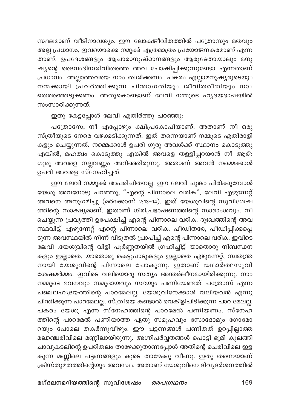സ്ഥലമാണ് വീടിനാവശ്യം. ഈ ലോകജീവിതത്തിൽ പത്രോസും മതവും .<br>അല്ല പ്രധാനം, ഇവയൊക്കെ നമുക്ക് എത്രമാത്രം പ്രയോജനകരമാണ് എന്ന താണ്. ഉപദേശങ്ങളും ആചാരാനുഷ്ഠാനങ്ങളും ആരുടേതായാലും മനു .<br>ഷ്യന്റെ ദൈനംദിനജീവിതത്തെ അവ പോഷിപ്പിക്കുന്നുണ്ടോ എന്നതാണ് പ്രധാനം. അല്ലാത്തവയെ നാം ത്വജിക്കണം. പകരം എല്ലാമനുഷ്യരുടെയും നന്മക്കായി പ്രവർത്തിക്കുന്ന ചിന്താഗതിയും ജീവിതരീതിയും നാം തെരഞ്ഞെടുക്കണം. അതുകൊണ്ടാണ് ലേവി നമ്മുടെ ഹൃദയഭാഷയിൽ സംസാരിക്കുന്നത്.

ഇതു കേട്ടപ്പോൾ ലേവി എതിർത്തു പറഞ്ഞു:

പത്രോസേ, നീ എപ്പോഴും ക്ഷിപ്രകോപിയാണ്. അതാണ് നീ ഒരു സ്ത്രീയുടെ നേരെ വഴക്കടിക്കുന്നത്. ഇത് തന്നെയാണ് നമ്മുടെ എതിരാളി .<br>കളും ചെയ്യുന്നത്. നമ്മെക്കാൾ ഉപരി ഗുരു അവൾക്ക് സ്ഥാനം കൊടുത്തു എങ്കിൽ, മഹത്വം കൊടുത്തു എങ്കിൽ അവളെ തള്ളിപ്പറയാൻ നീ ആര്? ഗുരു അവളെ നല്ലവണ്ണം അറിഞ്ഞിരുന്നു, അതാണ് അവൻ നമ്മെക്കാൾ ഉപരി അവളെ സ്നേഹിച്ചത്.

ഈ ലേവി നമ്മുക്ക് അപരിചിതനല്ല. ഈ ലേവി ചുങ്കം പിരിക്കുമ്പോൾ യേശു അവനോടു പറഞ്ഞു, "എന്റെ പിന്നാലെ വരിക", ലേവി എഴുന്നേറ്റ് അവനെ അനുഗമിച്ചു (മർക്കോസ് 2:13–14). ഇത് യേശുവിന്റെ സുവിശേഷ ത്തിന്റെ സാക്ഷ്യമാണ്. ഇതാണ് ഗിരിപ്രഭാഷണത്തിന്റെ സാരാംശവും. നീ ചെയ്യുന്ന പ്രവൃത്തി ഉപേക്ഷിച്ച് എന്റെ പിന്നാലെ വരിക. ദുഃഖത്തിന്റെ അവ സ്ഥവിട്ട്, എഴുന്നേറ്റ് എന്റെ പിന്നാലെ വരിക. പീഡിതരേ, പീഡിപ്പിക്കപ്പെ ടുന്ന അവസ്ഥയിൽ നിന്ന് വിടുതൽ പ്രാപിച്ച് എന്റെ പിന്നാലെ വരിക. ഇവിടെ ലേവി .യേശുവിന്റെ വിളി പൂർണ്ണതയിൽ ഗ്രഹിച്ചിട്ട് യാതൊരു നിബന്ധന കളും ഇല്ലാതെ, യാതൊരു കെട്ടുപാടുകളും ഇല്ലാതെ എഴുന്നേറ്റ്, സ്വതന്ത്ര നായി യേശുവിന്റെ പിന്നാലെ പോകുന്നു. ഇതാണ് യഥാർത്ഥസുവി ശേഷമർമ്മം. ഇവിടെ വലിയൊരു സത്യം അന്തർലീനമായിരിക്കുന്നു. നാം നമ്മുടെ ഭവനവും സമുദായവും സഭയും പണിയേണ്ടത് പത്രോസ് എന്ന ചഞ്ചലഹ്യദയത്തിന്റെ പാറമേലല്ല. യേശുവിനേക്കാൾ വലിയവൻ എന്നു ചിന്തിക്കുന്ന പാറമേലല്ല. സ്ത്രീയെ കണ്ടാൽ വെകിളിപിടിക്കുന്ന പാറ മേലല്ല. പകരം യേശു എന്ന<sup>്</sup>സ്നേഹത്തിന്റെ പാറമേൽ പണിയണം. സ്നേഹ ത്തിന്റെ പാറമേൽ പണിയാത്ത ഏതു സമൂഹവും സോദോമും ഗോമോ റയും പോലെ തകർന്നുവീഴും. ഈ പട്ടണങ്ങൾ പണിതത് ഉറപ്പില്ലാത്ത മലഞ്ചെരിവിലെ മണ്ണിലായിരുന്നു. അഗ്നിപർവ്വതങ്ങൾ പൊട്ടി ഭൂമി കുലങ്ങി ചാവുകടലിന്റെ ഉപരിതലം താഴേക്കുതാണപ്പോൾ അതിന്റെ ചെരിവിലെ ഇള കുന്ന മണ്ണിലെ പട്ടണങ്ങളും കൂടെ താഴേക്കു വീണു. ഇതു തന്നെയാണ് ക്രിസ്തുമതത്തിന്റെയും അവസ്ഥ. അതാണ് യേശുവിനെ ദിവ്യദർശനത്തിൽ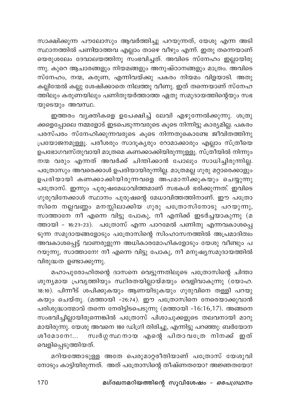സാക്ഷിക്കുന്ന പൗലോസും ആവർത്തിച്ചു പറയുന്നത്, യേശു എന്ന അടി സ്ഥാനത്തിൽ പണിയാത്തവ എല്ലാം താഴെ വീഴും എന്ന്. ഇതു തന്നെയാണ് യെരുശലേം ദേവാലയത്തിനു സംഭവിച്ചത്. അവിടെ സ്നേഹം ഇല്ലായിരു ന്നു. കുറെ ആചാരങ്ങളും നിയമങ്ങളും അനുഷ്ഠാനങ്ങളും മാത്രം. അവിടെ സ്നേഹം, നന്മ, കരുണ, എന്നിവയ്ക്കു പകരം നിയമം വിളയാടി. അതു കല്ലിന്മേൽ കല്ലു ശേഷിക്കാതെ നിലത്തു വീണു. ഇത് തന്നെയാണ് സ്നേഹ ത്തിലും കരുണയിലും പണിതുയർത്താത്ത ഏതു സമുദായത്തിന്റെയും സഭ യുടെയും അവസ്ഥ.

ഇത്തരം വ്യക്തികളെ ഉപേക്ഷിച്ച് ലേവി എഴുന്നേൽക്കുന്നു. ശത്രു ക്കളെപ്പോലെ നമ്മളോട് ഇടപെടുന്നവരുടെ കൂടെ നിന്നിട്ടു കാര്യമില്ല. പകരം പരസ്പരം സ്നേഹിക്കുന്നവരുടെ കൂടെ നിന്നതുകൊണ്ടേ ജീവിതത്തിനു പ്രയോജനമുള്ളൂ. പരീശരും സാദൂകൃരും റോമാക്കാരും എല്ലാം സ്ത്രീയെ ഉപഭോഗവസ്തുവായി മാത്രമെ കണക്കാക്കിയിരുന്നുള്ളൂ. സ്ത്രീയിൽ നിന്നും നന്മ വരും എന്നത് അവർക്ക് ചിന്തിക്കാൻ പോലും സാധിച്ചിരുന്നില്ല. പത്രോസും അവരെക്കാൾ ഉപരിയായിരുന്നില്ല. മാത്രമല്ല ഗുരു മറ്റാരെക്കാളും ഉപരിയായി കണക്കാക്കിയിരുന്നവളെ അപമാനിക്കുകയും ചെയ്യുന്നു പത്രോസ്. ഇന്നും പുരുഷമേധാവിത്തമാണ് സഭകൾ ഭരിക്കുന്നത്. ഇവിടെ ഗുരുവിനേക്കാൾ സ്ഥാനം പുരുഷന്റെ മേധാവിത്തത്തിനാണ്. ഈ പത്രോ സിനെ നല്ലവണ്ണം മനസ്സിലാക്കിയ ഗുരു പത്രോസിനോടു പറയുന്നു, സാത്താനേ നീ എന്നെ വിട്ടു പോകു, നീ എനിക്ക് ഇടർച്ചയാകുന്നു (മ ത്തായി - 16:21-23). പത്രോസ് എന്ന പാറമേൽ പണിതു എന്നവകാശപ്പെ ടുന്ന സമുദായങ്ങളോടും പത്രോസിന്റെ സിംഹാസനത്തിൽ അപ്രമാദിത്വം അവകാശപ്പെട്ട് വാണരുളുന്ന അധികാരമോഹികളോടും യേശു വീണ്ടും പ റയുന്നു, സാത്താനേ! നീ എന്നെ വിട്ടു പോകു, നീ മനുഷ്യസമുദായത്തിൽ വിരുദ്ധത ഉണ്ടാക്കുന്നു.

മഹാപുരോഹിതന്റെ ദാസനെ വെട്ടുന്നതിലൂടെ പത്രോസിന്റെ ചിന്താ ശുന്യമായ പ്രവൃത്തിയും സ്ഥിരതയില്ലായ്മയും വെളിവാകുന്നു (യോഹ. 18:10). പിന്നീട് ശപിക്കുകയും ആണയിടുകയും ഗുരുവിനെ തള്ളി പറയു കയും ചെയ്തു. (മത്തായി -26:74). ഈ പത്രോസിനെ നേരെയാക്കുവാൻ പരിശുദ്ധാത്മാവ് തന്നെ നേരിട്ടിടപെടുന്നു (മത്തായി -16:16,17). അങ്ങനെ സംഭവിച്ചില്ലായിരുന്നെങ്കിൽ പത്രോസ് പിശാചുക്കളുടെ തലവനായി മാറു മായിരുന്നു. യേശു അവനെ 180 ഡിഗ്രി തിരിച്ചു, എന്നിട്ടു പറഞ്ഞു: ബർയോന സ്വർഗ്ഗസ്ഥനായ എന്റെ പിതാവത്രേ നിനക്ക് ഇത് ശീമോനേ!... വെളിപ്പെടുത്തിയത്.

മറിയത്തോടുള്ള അതേ പെരുമാറ്റരീതിയാണ് പത്രോസ് യേശുവി നോടും കാട്ടിയിരുന്നത്. അത് പത്രോസിന്റെ തീഷ്ണതയോ? അജ്ഞതയോ?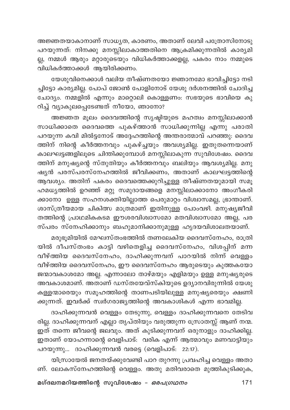അജ്ഞതയാകാനാണ് സാധൃത, കാരണം, അതാണ് ലേവി പത്രോസിനോടു പറയുന്നത്: നിനക്കു മനസ്സിലാകാത്തതിനെ ആക്രമിക്കുന്നതിൽ കാര്യമി .<br>ല്ല, നമ്മൾ ആരും മറ്റാരുടെയും വിധികർത്താക്കളല്ല, പകരം നാം നമ്മുടെ വിധികർത്താക്കൾ ആയിരിക്കണം.

യേശുവിനെക്കാൾ വലിയ തീഷ്ണതയോ ജ്ഞാനമോ ഭാവിച്ചിട്ടോ നടി ച്ചിട്ടോ കാര്യമില്ല. പോപ് ജോൺ പോളിനോട് യേശു ദർശനത്തിൽ ചോദിച്ച ചോദ്യം. നമ്മളിൽ എന്നും മാറ്റൊലി കൊള്ളണം: സഭയുടെ ഭാവിയെ കു റിച്ച് വ്യാകുലപ്പെടേണ്ടത് നീയോ, ഞാനോ?

അജ്ഞത മൂലം ദൈവത്തിന്റെ സൃഷ്ടിയുടെ മഹത്വം മനസ്സിലാക്കാൻ സാധിക്കാതെ ദൈവത്തെ പുകഴ്ത്താൻ സാധിക്കുന്നില്ല എന്നു പരാതി പറയുന്ന കവി മിൽട്ടനോട് അദ്ദേഹത്തിന്റെ അന്തരാത്മാവ് പറഞ്ഞു: ദൈവ ത്തിന് നിന്റെ കീർത്തനവും പുകഴ്ച്ചയും അവശ്യമില്ല. ഇതുതന്നെയാണ് .<br>കാലഘട്ടങ്ങളിലൂടെ ചിന്തിക്കുമ്പോൾ മനസ്സിലാകുന്ന സുവിശേഷം. ദൈവ ത്തിന് മനുഷ്യന്റെ സ്തുതിയും കീർത്തനവും ബലിയും ആവശ്യമില്ല. മനു ഷൃൻ പരസ്പരസ്നേഹത്തിൽ ജീവിക്കണം, അതാണ് കാലഘട്ടത്തിന്റെ ആവശ്യം. അതിന് പകരം ദൈവത്തെക്കുറിച്ചുള്ള തീഷ്ണതയുമായി സമൂ ഹമധ്യത്തിൽ ഉറഞ്ഞ് മറ്റു സമുദായങ്ങളെ മനസ്സിലാക്കാനോ അംഗീകരി ക്കാനോ ഉള്ള സഹനശക്തിയില്ലാത്ത പെരുമാറ്റം വിശ്വാസമല്ല, ഭ്രാന്താണ്. ശാസ്ത്രീയമായ ചികിത്സ മാത്രമാണ് ഇതിനുള്ള പോംവഴി. മനുഷ്യജീവി തത്തിന്റെ പ്രാഥമികകടമ ഈശരവിശ്വാസമോ മതവിശ്വാസമോ അല്ല, പര സ്പരം സ്നേഹിക്കാനും ബഹുമാനിക്കാനുമുള്ള ഹൃദയവിശാലതയാണ്.

മരുഭൂമിയിൽ മേഘസ്തംഭത്തിൽ തണലേകിയ ദൈവസ്നേഹം, രാത്രി യിൽ ദീപസ്തംഭം കാട്ടി വഴിതെളിച്ച ദൈവസ്നേഹം, വിശപ്പിന് മന്ന വീഴ്ത്തിയ ദൈവസ്നേഹം, ദാഹിക്കുന്നവന് പാറയിൽ നിന്ന് വെള്ളം വീഴ്ത്തിയ ദൈവസ്നേഹം, ഈ ദൈവസ്നേഹം ആരുടെയും കുത്തകയോ ജന്മാവകാശമോ അല്ല. എന്നാലോ താഴ്മയും എളിമയും ഉള്ള മനുഷ്യരുടെ അവകാശമാണ്. അതാണ് ഡസ്തയേവ്സ്കിയുടെ ഉദ്യാനവിരുന്നിൽ യേശു കള്ളന്മാരെയും സമൂഹത്തിന്റെ താണപടിയിലുള്ള മനുഷ്യരെയും ക്ഷണി ക്കുന്നത്. ഇവർക്ക് സ്വർഗരാജ്യത്തിന്റെ അവകാശികൾ എന്ന ഭാവമില്ല.

ദാഹിക്കുന്നവൻ വെള്ളം തേടുന്നു, വെള്ളം ദാഹിക്കുന്നവനെ തേടിവ രില്ല. ദാഹിക്കുന്നവന് എല്ലാ തൃപ്തിയും വരുത്തുന്ന സ്രോതസ്സ് ആണ് നന്മ. ഇത് തന്നെ ജീവന്റെ ജലവും. അത് കുടിക്കുന്നവന് ഒരുനാളും ദാഹിക്കില്ല. ഇതാണ് യോഹന്നാന്റെ വെളിപാട്: വരിക എന്ന് ആത്മാവും മണവാട്ടിയും പറയുന്നു... ദാഹിക്കുന്നവൻ വരട്ടെ (വെളിപാട്: 22:17).

യിസ്രായേൽ ജനതയ്ക്കുവേണ്ടി പാറ തുറന്നു പ്രവഹിച്ച വെള്ളം അതാ ണ്. ലോകസ്നേഹത്തിന്റെ വെള്ളം. അതു മതിവരാതെ മുത്തികുടിക്കുക,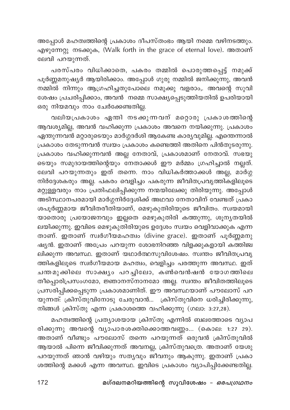അപ്പോൾ മഹത്വത്തിന്റെ പ്രകാശം ദീപസ്തംഭം ആയി നമ്മെ വഴിനടത്തും. എഴുന്നേറ്റു നടക്കുക, (Walk forth in the grace of eternal love). അതാണ് ലേവി പറയുന്നത്.

പരസ്പരം വിധിക്കാതെ, പകരം തമ്മിൽ പൊരുത്തപ്പെട്ട് നമുക്ക് പൂർണ്ണമനുഷ്യർ ആയിരിക്കാം. അപ്പോൾ ഗുരു നമ്മിൽ ജനിക്കുന്നു, അവൻ .<br>നമ്മിൽ നിന്നും ആഗ്രഹിച്ചതുപോലെ നമുക്കു വളരാം,. അവന്റെ സുവി ശേഷം പ്രചരിപ്പിക്കാം, അവൻ നമ്മെ സാക്ഷ്യപ്പെടുത്തിയതിൽ ഉപരിയായി ഒരു നിയമവും നാം ചേർക്കേണ്ടതില്ല.

വലിയപ്രകാശം ഏതി നടക്കുന്നവന് മറ്റൊരു പ്രകാശത്തിന്റെ .<br>ആവശ്യമില്ല, അവൻ വഹിക്കുന്ന പ്രകാശം അവനെ നയിക്കുന്നു. പ്രകാശം ഏന്തുന്നവൻ മറ്റാരുടെയും മാർഗ്ഗദർശി ആകേണ്ട കാര്യവുമില്ല. എന്തെന്നാൽ പ്രകാശം തേടുന്നവൻ സ്വയം പ്രകാശം കണ്ടെത്തി അതിനെ പിൻതുടരുന്നു. പ്രകാശം വഹിക്കുന്നവൻ അല്ല നേതാവ്, പ്രകാശമാണ് നേതാവ്. സഭയു ടെയും സമുദായത്തിന്റെയും നേതാക്കൾ ഈ മർമ്മം ഗ്രഹിച്ചാൽ നല്ലത്. ലേവി പറയുന്നതും ഇത് തന്നെ. നാം വിധികർത്താക്കൾ അല്ല, മാർഗ്ഗ .<br>നിർദ്ദേശകരും അല്ല. പകരം വെളിച്ചം പകരുന്ന ജീവിതപ്രവൃത്തികളിലൂടെ മറ്റുള്ളവരും നാം പ്രതിഫലിപ്പിക്കുന്ന നന്മയിലേക്കു തിരിയുന്നു. അപ്പോൾ അടിസ്ഥാനപരമായി മാർഗ്ഗനിർദ്ദേശിക്ക് അഥവാ നേതാവിന് വേണ്ടത് പ്രകാ ശപൂർണ്ണമായ ജീവിതരീതിയാണ്, മെഴുകുതിരിയുടെ ജീവിതം. സ്വയമായി യാതൊരു പ്രയോജനവും ഇല്ലതെ മെഴുകുതിരി കത്തുന്നു, ശൂന്യതയിൽ ലയിക്കുന്നു. ഇവിടെ മെഴുകുതിരിയുടെ ഉദ്ദേശം സ്വയം വെളിവാക്കുക എന്ന താണ്. ഇതാണ് സ്വർഗീയമഹത്വം (divine grace). ഇതാണ് പൂർണ്ണമനു ഷ്യൻ. ഇതാണ് അപ്രേം പറയുന്ന ശോഭനിറഞ്ഞ വിളക്കുകളായി കത്തിജ്വ ലിക്കുന്ന അവസ്ഥ. ഇതാണ് യഥാർത്ഥസുവിശേഷം. സ്വന്തം ജീവിതപ്രവൃ ത്തികളിലൂടെ സ്വർഗീയമായ മഹത്വം, വെളിച്ചം പരത്തുന്ന അവസ്ഥ. ഇത് ചന്തമുക്കിലെ സാക്ഷ്യം പറച്ചിലോ, കൺവെൻഷൻ യോഗത്തിലെ തീപ്പൊരിപ്രസംഗമോ, ജ്ഞാനസ്നാനമോ അല്ല. സ്വന്തം ജീവിതത്തിലൂടെ പ്രസരിപ്പിക്കപ്പെടുന്ന പ്രകാശമാണിത്. ഈ അവസ്ഥയാണ് പൗലോസ് പറ യുന്നത്: ക്രിസ്തുവിനോടു ചേരുവാൻ... ക്രിസ്തുവിനെ ധരിച്ചിരിക്കുന്നു, നിങ്ങൾ ക്രിസ്തു എന്ന പ്രകാശത്തെ വഹിക്കുന്നു (ഗലാ: 3:27,28).

മഹത്വത്തിന്റെ പ്രത്യാശയായ ക്രിസ്തു എന്നിൽ ബലത്തോടെ വ്യാപ രിക്കുന്നു അവന്റെ വ്യാപാരശക്തിക്കൊത്തവണ്ണം... (കൊല: 1:27 29). അതാണ് വീണ്ടും പൗലോസ് തന്നെ പറയുന്നത് ഒരുവൻ ക്രിസ്തുവിൽ ആയാൽ പിന്നെ ജീവിക്കുന്നത് അവനല്ല, ക്രിസ്തുവത്രെ. അതാണ് യേശു പറയുന്നത് ഞാൻ വഴിയും സത്യവും ജീവനും ആകുന്നു. ഇതാണ് പ്രകാ ശത്തിന്റെ മക്കൾ എന്ന അവസ്ഥ. ഇവിടെ പ്രകാശം വ്യാപിപ്പിക്കേണ്ടതില്ല.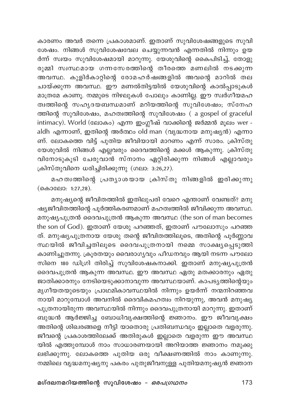കാരണം അവർ തന്നെ പ്രകാശമാണ്. ഇതാണ് സുവിശേഷങ്ങളുടെ സുവി ശേഷം. നിങ്ങൾ സുവിശേഷവേല ചെയ്യുന്നവൻ എന്നതിൽ നിന്നും ഉയ ർന്ന് സ്വയം സുവിശേഷമായി മാറുന്നു. യേശുവിന്റെ കൈപിടിച്ച്, തോളു രുമ്മി സ്വസ്ഥമായ ഗന്നസേരത്തിന്റെ തീരത്തെ മണലിൽ നടക്കുന്ന അവസ്ഥ. കുളിർകാറ്റിന്റെ രോമഹർഷങ്ങളിൽ അവന്റെ മാറിൽ തല ചായ്ക്കുന്ന അവസ്ഥ. ഈ മണൽതിട്ടയിൽ യേശുവിന്റെ കാൽപ്പാടുകൾ മാത്രമേ കാണൂ. നമ്മുടെ നിഴലുകൾ പോലും കാണില്ല. ഈ സ്വർഗീയമഹ ത്വത്തിന്റെ സഹൃദയബന്ധമാണ് മറിയത്തിന്റെ സുവിശേഷം, സ്നേഹ ത്തിന്റെ സുവിശേഷം, മഹത്വത്തിന്റെ സുവിശേഷം (a gospel of graceful intimacy). World (ലോകം) എന്ന ഇംഗ്ലീഷ് വാക്കിന്റെ ജർമ്മൻ മൂലം wer aldh എന്നാണ്, ഇതിന്റെ അർത്ഥം old man (വൃദ്ധനായ മനുഷ്യൻ) എന്നാ ണ്. ലോകത്തെ വിട്ട് പുതിയ ജീവിയായി മാറണം എന്ന് സാരം. ക്രിസ്തു യേശുവിൽ നിങ്ങൾ എല്ലവരും ദൈവത്തിന്റെ മക്കൾ ആകുന്നു. ക്രിസ്തു വിനോടുകൂടി ചേരുവാൻ സ്നാനം ഏറ്റിരിക്കുന്ന നിങ്ങൾ എല്ലാവരും ക്രിസ്തുവിനെ ധരിച്ചിരിക്കുന്നു (ഗലാ: 3:26,27).

മഹത്വത്തിന്റെ പ്രത്യാശയായ ക്രിസ്തു നിങ്ങളിൽ ഇരിക്കുന്നു (കൊലോ: 1:27,28).

മനുഷ്യന്റെ ജീവിതത്തിൽ ഇതിലുപരി വേറെ എന്താണ് വേണ്ടത്? മനു ഷ്യജീവിതത്തിന്റെ പൂർത്തികരണമാണ് മഹത്വത്തിൽ ജീവിക്കുന്ന അവസ്ഥ. മനുഷ്യപുത്രൻ ദൈവപുത്രൻ ആകുന്ന അവസ്ഥ (the son of man becomes the son of God). ഇതാണ് യേശു പറഞ്ഞത്, ഇതാണ് പൗലോസും പറഞ്ഞ ത്. മനുഷ്യപുത്രനായ യേശു തന്റെ ജീവിതത്തിലൂടെ, അതിന്റെ പൂർണ്ണാവ സ്ഥയിൽ ജീവിച്ചതിലൂടെ ദൈവപുത്രനായി നമ്മെ സാക്ഷ്യപ്പെടുത്തി കാണിച്ചുതന്നു. ക്രൂരതയും വൈരാഗ്യവും പീഡനവും ആയി നടന്ന പൗലോ സിനെ 180 ഡിഗ്രി തിരിച്ച് സുവിശേഷകനാക്കി. ഇതാണ് മനുഷ്യപുത്രൻ ദൈവപുത്രൻ ആകുന്ന അവസ്ഥ. ഈ അവസ്ഥ ഏതു മതക്കാരനും ഏതു ജാതിക്കാരനും നേടിയെടുക്കാനാവുന്ന അവസ്ഥയാണ്. കാപട്യത്തിന്റെയും മൃഗീയതയുടെയും പ്രാഥമികാവസ്ഥയിൽ നിന്നും ഉയർന്ന് നന്മനിറഞ്ഞവ നായി മാറുമ്പോൾ അവനിൽ ദൈവികമഹത്വം നിറയുന്നു, അവൻ മനുഷ്യ പുത്രനായിരുന്ന അവസ്ഥയിൽ നിന്നും ദൈവപുത്രനായി മാറുന്നു. ഇതാണ് ബുദ്ധൻ ആർജ്ജിച്ച ബോധിവൃക്ഷത്തിന്റെ ജ്ഞാനം. ഈ ജീവവൃക്ഷം അതിന്റെ ശിഖരങ്ങളെ നീട്ടി യാതൊരു പ്രതിബന്ധവും ഇല്ലാതെ വളരുന്നു. ജീവന്റെ പ്രകാശത്തിലേക്ക് അതിരുകൾ ഇല്ലാതെ വളരുന്ന ഈ അവസ്ഥ യിൽ എത്തുമ്പോൾ നാം സാധാരണയായി അറിയാത്ത ജ്ഞാനം നമുക്കു ലഭിക്കുന്നു. ലോകത്തെ പുതിയ ഒരു വീക്ഷണത്തിൽ നാം കാണുന്നു. നമ്മിലെ വൃദ്ധമനുഷ്യനു പകരം പുതുജീവനുള്ള പുതിയമനുഷ്യൻ ജ്ഞാന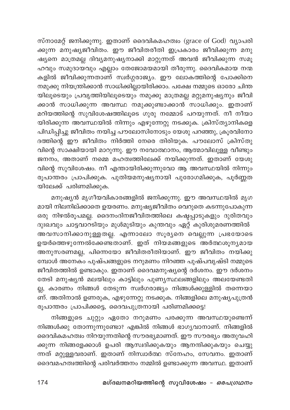സ്നാമേറ്റ് ജനിക്കുന്നു. ഇതാണ് ദൈവികമഹത്വം (grace of God) വ്യാപരി .<br>കുന്ന മനുഷ്യജീവിതം. ഈ ജീവിതരീതി ഇപ്രകാരം ജീവിക്കുന്ന മനു ഷ്യനെ മാത്രമല്ല ദിവ്യമനുഷ്യനാക്കി മാറ്റുന്നത് അവൻ ജീവിക്കുന്ന സമൂ ഹവും സമുദായവും എല്ലാം തേജോമയമായി തീരുന്നു. ദൈവികമായ നന്മ കളിൽ ജീവിക്കുന്നതാണ് സ്വർഗ്ഗരാജ്യം. ഈ ലോകത്തിന്റെ പോക്കിനെ നമുക്കു നിയന്ത്രിക്കാൻ സാധിക്കില്ലായിരിക്കാം. പക്ഷേ നമ്മുടെ ഓരോ ചിന്ത യിലൂടെയും പ്രവൃത്തിയിലൂടെയും നമുക്കു മാത്രമല്ല മറ്റുമനുഷ്യനും ജീവി .<br>ക്കാൻ സാധിക്കുന്ന അവസ്ഥ നമുക്കുണ്ടാക്കാൻ സാധിക്കും. ഇതാണ് മറിയത്തിന്റെ സുവിശേഷത്തിലൂടെ ഗുരു നമ്മോട് പറയുന്നത്. നീ നീയാ യിരിക്കുന്ന അവസ്ഥയിൽ നിന്നും എഴുന്നേറ്റു നടക്കുക. ക്രിസ്ത്യാനികളെ പിഡിപ്പിച്ചു ജീവിതം നയിച്ച പൗലോസിനോടും യേശു പറഞ്ഞു, ക്രൂരവിനോ ദത്തിന്റെ ഈ ജീവിതം നിർത്തി നേരെ തിരിയുക. പൗലോസ് ക്രിസ്തു വിന്റെ സാക്ഷിയായി മാറുന്നു. ഈ നവോത്ഥാനം, ആത്മാവിലുള്ള വീണ്ടും .<br>ജനനം, അതാണ് നമ്മെ മഹത്വത്തിലേക്ക് നയിക്കുന്നത്. ഇതാണ് യേശു വിന്റെ സുവിശേഷം. നീ എന്തായിരിക്കുന്നുവോ ആ അവസ്ഥയിൽ നിന്നും രൂപാന്തരം പ്രാപിക്കുക. പുതിയമനുഷ്യനായി പുരോഗമിക്കുക, പൂർണ്ണത യിലേക്ക് പരിണമിക്കുക.

മനുഷ്യൻ മൃഗീയവികാരങ്ങളിൽ ജനിക്കുന്നു. ഈ അവസ്ഥയിൽ മൃഗ മായി നിലനില്ക്കാതെ ഉയരണം. മനുഷ്യജീവിതം വെറുതെ കടന്നുപോകുന്ന ഒരു നിഴൽരൂപമല്ല. ദൈനംദിനജീവിതത്തിലെ കഷ്ടപ്പാടുകളും ദുരിതവും ദുഃഖവും ചാട്ടവാറടിയും മുൾമുടിയും കുന്തവും ഏറ്റ് കുരിശുമരണത്തിൽ അവസാനിക്കാനുള്ളതല്ല. എന്നാലോ സൂര്യനെ വെല്ലുന്ന പ്രഭയോടെ ഉയർത്തെഴുന്നേൽക്കേണ്ടതാണ്. ഇത് നിയമങ്ങളുടെ അർത്ഥശൂന<mark>ൃ</mark>മായ അനുസരണമല്ല, പിന്നെയോ ജീവിതരീതിയാണ്. ഈ ജീവിതം നയിക്കു മ്പോൾ അനേകം പുഷ്പങ്ങളുടെ നറുമണം നിറഞ്ഞ പുഷ്പവൃഷ്ടി നമ്മുടെ ജീവിതത്തിൽ ഉണ്ടാകും. ഇതാണ് ദൈവമനുഷ്യന്റെ ദർശനം. ഈ ദർശനം തേടി മനുഷ്യൻ മലയിലും കാട്ടിലും പുണ്യസ്ഥലങ്ങളിലും അലയേണ്ടതി ല്ല, കാരണം നിങ്ങൾ തേടുന്ന സ്വർഗരാജ്യം നിങ്ങൾക്കുള്ളിൽ തന്നെയാ ണ്. അതിനാൽ ഉണരുക, എഴുന്നേറ്റു നടക്കുക. നിങ്ങളിലെ മനുഷ്യപുത്രൻ രൂപാന്തരം പ്രാപിക്കട്ടെ, ദൈവപുത്രനായി പരിണമിക്കട്ടെ!

നിങ്ങളുടെ ചുറ്റും ഏതോ നറുമണം പരക്കുന്ന അവസ്ഥയുണ്ടെന്ന് നിങ്ങൾക്കു തോന്നുന്നുണ്ടോ? എങ്കിൽ നിങ്ങൾ ഭാഗൃവാനാണ്. നിങ്ങളിൽ ദൈവികമഹത്വം നിറയുന്നതിന്റെ സൗരഭ്യമാണത്. ഈ സൗരഭ്യം അതുവഹി ക്കുന്ന നിങ്ങളേക്കാൾ ഉപരി ആസ്വദിക്കുകയും ആനന്ദിക്കുകയും ചെയ്യു ന്നത് മറ്റുള്ളവരാണ്. ഇതാണ് നിസ്വാർത്ഥ സ്നേഹം, സേവനം. ഇതാണ് ദൈവമഹത്വത്തിന്റെ പരിവർത്തനം നമ്മിൽ ഉണ്ടാക്കുന്ന അവസ്ഥ. ഇതാണ്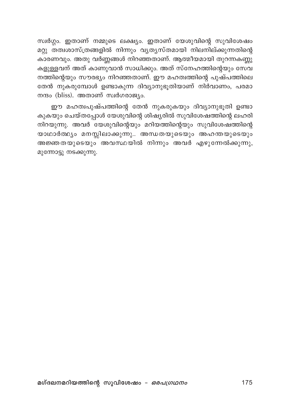സ്വർഗ്ഗം. ഇതാണ് നമ്മുടെ ലക്ഷ്യം. ഇതാണ് യേശുവിന്റെ സുവിശേഷം മറ്റു തത്വശാസ്ത്രങ്ങളിൽ നിന്നും വൃത്യസ്തമായി നിലനില്ക്കുന്നതിന്റെ .<br>കാരണവും. അതു വർണ്ണങ്ങൾ നിറഞ്ഞതാണ്. ആത്മീയമായി തുറന്നകണ്ണു കളുള്ളവന് അത് കാണുവാൻ സാധിക്കും. അത് സ്നേഹത്തിന്റെയും സേവ നത്തിന്റെയും സൗരഭ്യം നിറഞ്ഞതാണ്. ഈ മഹത്വത്തിന്റെ പുഷ്പത്തിലെ തേൻ നുകരുമ്പോൾ ഉണ്ടാകുന്ന ദിവ്യാനുഭൂതിയാണ് നിർവാണം, പരമാ നന്ദം (bliss). അതാണ് സ്വർഗരാജ്യം.

ഈ മഹത്വപുഷ്പത്തിന്റെ തേൻ നുകരുകയും ദിവ്യാനുഭൂതി ഉണ്ടാ കുകയും ചെയ്തപ്പോൾ യേശുവിന്റെ ശിഷ്യരിൽ സുവിശേഷത്തിന്റെ ലഹരി നിറയുന്നു. അവർ യേശുവിന്റെയും മറിയത്തിന്റെയും സുവിശേഷത്തിന്റെ യാഥാർത്ഥ്യം മനസ്സിലാക്കുന്നു.. അന്ധതയുടെയും അഹന്തയുടെയും അജ്ഞതയുടെയും അവസ്ഥയിൽ നിന്നും അവർ എഴുന്നേൽക്കുന്നു, മുന്നോട്ടു നടക്കുന്നു.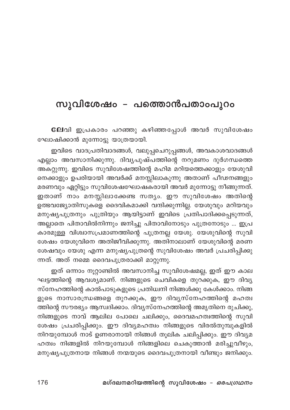## സുവിശേഷം – പത്തൊൻപതാംപുറം

ലേവി ഇപ്രകാരം പറഞ്ഞു കഴിഞ്ഞപ്പോൾ അവർ സുവിശേഷം ഘോഷിക്കാൻ മുന്നോട്ടു യാത്രയായി.

ഇവിടെ വാദപ്രതിവാദങ്ങൾ, വലുപ്പചെറുപ്പങ്ങൾ, അവകാശവാദങ്ങൾ എല്ലാം അവസാനിക്കുന്നു. ദിവൃപുഷ്പത്തിന്റെ നറുമണം ദുർഗന്ധത്തെ അകറ്റുന്നു. ഇവിടെ സുവിശേഷത്തിന്റെ മഹിമ മറിയത്തെക്കാളും യേശുവി നെക്കാളും ഉപരിയായി അവർക്ക് മനസ്സിലാകുന്നു അതാണ് പീഢനങ്ങളും മരണവും ഏറ്റിട്ടും സുവിശേഷഘോഷകരായി അവർ മുന്നോട്ടു നീങ്ങുന്നത്. ഇതാണ് നാം മനസ്സിലാക്കേണ്ട സതൃം. ഈ സുവിശേഷം അതിന്റെ ഉത്ഭവജ്യോതിസുകളെ ദൈവികമാക്കി വന്ദിക്കുന്നില്ല. യേശുവും മറിയവും മനുഷ്യപുത്രനും പുത്രിയും ആയിട്ടാണ് ഇവിടെ പ്രതിപാദിക്കപ്പെടുന്നത്, അല്ലാതെ പിതാവിൽനിന്നും ജനിച്ചു പിതാവിനോടും പുത്രനോടും ... ഇപ്ര കാര്മുള്ള വിശ്വാസപ്രമാണത്തിന്റെ പുത്രനല്ല യേശു. യേശുവിന്റെ സുവി ശേഷം യേശുവിനെ അതിജീവിക്കുന്നു. അതിനാലാണ് യേശുവിന്റെ മരണ ശേഷവും യേശു എന്ന മനുഷ്യപുത്രന്റെ സുവിശേഷം അവർ പ്രചരിപ്പിക്കു ന്നത്. അത് നമ്മെ ദൈവപുത്രരാക്കി മാറ്റുന്നു.

ഇത് ഒന്നാം നൂറ്റാണ്ടിൽ അവസാനിച്ച സുവിശേഷമല്ല, ഇത് ഈ കാല ഘട്ടത്തിന്റെ ആവശ്യമാണ്. നിങ്ങളുടെ ചെവികളെ തുറക്കുക, ഈ ദിവ്യ സ്നേഹത്തിന്റെ കാൽപാടുകളുടെ പ്രതിധ്വനി നിങ്ങൾക്കു കേൾക്കാം. നിങ്ങ ളുടെ നാസാരന്ധ്രങ്ങളെ തുറക്കുക, ഈ ദിവൃസ്നേഹത്തിന്റെ മഹത്വ ത്തിന്റെ സൗരഭ്യം ആസ്വദിക്കാം. ദിവ്യസ്നേഹത്തിന്റെ അമൃതിനെ രുചിക്കു, നിങ്ങളുടെ നാവ് ആലില പോലെ ചലിക്കും, ദൈവമഹത്വത്തിന്റെ സുവി ശേഷം പ്രചരിപ്പിക്കും. ഈ ദിവ്യമഹത്വം നിങ്ങളുടെ വിരൽതുമ്പുകളിൽ നിറയുമ്പോൾ നാട് ഉണരാനായി നിങ്ങൾ തൂലിക ചലിപ്പിക്കും. ഈ ദിവ്യമ ഹത്വം നിങ്ങളിൽ നിറയുമ്പോൾ നിങ്ങളിലെ ചെകുത്താൻ മരിച്ചുവീഴും, മനുഷ്യപുത്രനായ നിങ്ങൾ നന്മയുടെ ദൈവപുത്രനായി വീണ്ടും ജനിക്കും.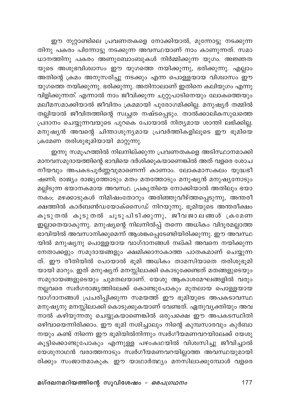ഈ നൂറ്റാണ്ടിലെ പ്രവണതകളെ നോക്കിയാൽ, മുന്നോട്ടു നടക്കുന്ന .<br>തിനു പകരം പിന്നോട്ടു നടക്കുന്ന അവസ്ഥയാണ് നാം കാണുന്നത്. സമാ ധാനത്തിനു പകരം അണുബോംബുകൾ നിർമ്മിക്കുന്ന യുഗം. അജ്ഞത യുടെ അശുഭവിശ്വാസം ഈ യുഗത്തെ നയിക്കുന്നു, ഭരിക്കുന്നു. എല്ലാം അതിന്റെ ക്രമം അനുസരിച്ചു നടക്കും എന്ന പൊള്ളയായ വിശ്വാസം ഈ .<br>യുഗത്തെ നയിക്കുന്നു. ഭരിക്കുന്നു. അതിനാലാണ് ഇതിനെ കലിയുഗം എന്നു വിളിക്കുന്നത്. എന്നാൽ നാം ജീവിക്കുന്ന ചുറ്റുപാടിനെയും ലോകത്തെയും തല്ലിയാൽ ജീവിതത്തിന്റെ സ്വച്ഛത നഷ്ടപ്പെടും. താൽക്കാലികസുഖത്തെ പ്രദാനം ചെയ്യുന്നവയുടെ പുറകെ പോയാൽ നിത്യമായ ശാന്തി ലഭിക്കില്ല. മനുഷ്യൻ അവന്റെ ചിന്താശൂന്യമായ പ്രവർത്തികളിലൂടെ ഈ ഭൂമിയെ ക്രമേണ തരിശുഭൂമിയായി മാറ്റുന്നു.

ഇന്നു സമൂഹത്തിൽ നിലനില്ക്കുന്ന പ്രവണതകളെ അടിസ്ഥാനമാക്കി മാനവസമുദായത്തിന്റെ ഭാവിയെ ദർശിക്കുകയാണെങ്കിൽ അത് വളരെ ശോച നീയവും അപകടപൂർണ്ണവുമാണെന്ന് കാണാം. ലോകമാസകലം യുദ്ധഭീ ഷണി; രാജ്യം രാജ്യത്തോടും മതം മതത്തോടും മനുഷ്യൻ മനുഷ്യനോടും മല്ലിടുന്ന ഭയാനകമായ അവസ്ഥ. പ്രകൃതിയെ നോക്കിയാൽ അതിലും ഭയാ . . . . . .<br>നകം, മഴക്കാടുകൾ നിമിഷംതോറും അരിഞ്ഞുവീഴ്ത്തപ്പെടുന്നു, അന്തരീ .<br>ക്ഷത്തിൽ കാർബൺഡയോക്സൈഡ് നിറയുന്നു, ഭൂമിയുടെ അന്തരീക്ഷം കൂടുതൽ കൂടുതൽ ചൂടുപിടിക്കുന്നു, ജീവജാലങ്ങൾ ക്രമേണ ഇല്ലാതെയാകുന്നു. മനുഷ്യന്റെ നിലനിൽപ്പ് തന്നെ അധികം വിദൂരമല്ലാത്ത ഭാവിയിൽ അവസാനിക്കുമെന്ന് ആശങ്കപ്പെടേണ്ടിയിരിക്കുന്നു. ഈ അവസ്ഥ യിൽ മനുഷ്യനു പൊള്ളയായ വാഗ്ദാനങ്ങൾ നല്കി അവനെ നയിക്കുന്ന നേതാക്കളും സമുദായങ്ങളും ക്ഷമിക്കാനാകാത്ത പാതകമാണ് ചെയ്യുന്ന ത്. ഈ രീതിയിൽ പോയാൽ ഭൂമി അധികം താമസിയാതെ തരിശുഭൂമി യായി മാറും. ഇത് മനുഷ്യന് മനസ്സിലാക്കി കൊടുക്കേണ്ടത് മതങ്ങളുടെയും സമുദായങ്ങളുടെയും ചുമതലയാണ്. യേശു ആകാശമേഘങ്ങളിൽ വരും നല്ലവരെ സ്ഥർഗരാജ്യത്തിലേക്ക് കൊണ്ടുപോകും മുതലായ പൊള്ളയായ വാഗ്ദാനങ്ങൾ പ്രചരിപ്പിക്കുന്ന സമയത്ത് ഈ ഭൂമിയുടെ അപകടാവസ്ഥ മനുഷ്യനു മനസ്സിലാക്കി കൊടുക്കുകയാണ് വേണ്ടത്. ഏതുവ്യക്തിയും അവ നാൽ കഴിയുന്നതു ചെയ്യുകയാണെങ്കിൽ ഒരുപക്ഷെ ഈ അപകടസ്ഥിതി ഒഴിവായെന്നിരിക്കാം. ഈ ഭൂമി നശിച്ചാലും നിന്റെ കുമ്പസാരവും കുർബാ നയും കണ്ട് നിന്നെ ഈ ഭൂമിയിൽനിന്നും സ്വർഗീയമണവറയിലേക്ക് യേശു കൂട്ടിക്കൊണ്ടുപോകും എന്നുള്ള പഴംകഥയിൽ വിശ്വസിച്ചു ജീവിച്ചാൽ യേശുനാഥൻ വരാത്തനാടും സ്വർഗീയമണവറയില്ലാത്ത അവസ്ഥയുമായി രിക്കും സംജാതമാകുക. ഈ യാഥാർത്ഥ്യം മനസിലാക്കുമ്പോൾ വളരെ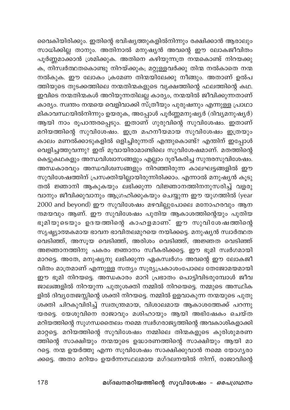വൈകിയിരിക്കും. ഇതിന്റെ ഭവിഷ്യത്തുകളിൽനിന്നും രക്ഷിക്കാൻ ആരാലും സാധിക്കില്ല താനും. അതിനാൽ മനുഷ്യൻ അവന്റെ ഈ ലോകജീവിതം പൂർണ്ണമാക്കാൻ ശ്രമിക്കുക. അതിനെ കഴിയുന്നത്ര നന്മകൊണ്ട് നിറയക്കു ക, നിസ്വർത്ഥതകൊണ്ടു നിറയ്ക്കുക; മറ്റുള്ളവർക്കു തിന്മ നൽകാതെ നന്മ നൽകുക. ഈ ലോകം ക്രമേണ തിന്മയിലേക്കു നീങ്ങും. അതാണ് ഉൽപ ത്തിയുടെ തുടക്കത്തിലെ നന്മതിന്മകളുടെ വൃക്ഷത്തിന്റെ ഫലത്തിന്റെ കഥ. ഇവിടെ നന്മതിന്മകൾ അറിയുന്നതിലല്ല കാര്യം, നന്മയിൽ ജീവിക്കുന്നതാണ് കാര്യം. സ്ഥതം നന്മയെ വെളിവാക്കി സ്ത്രീയും പുരുഷനും എന്നുള്ള പ്രാഥാ മികാവസ്ഥയിൽനിന്നും ഉയരുക, അപ്പോൾ പൂർണ്ണമനുഷ്യർ (ദിവ്യമനുഷ്യർ) ആയി നാം രൂപാന്തരപ്പെടും. ഇതാണ് ഗുരുവിന്റെ സുവിശേഷം. ഇതാണ് മറിയത്തിന്റെ സുവിശേഷം. ഇത്ര മഹനീയമായ സുവിശേഷം ഇത്രയും കാലം മണൽക്കാടുകളിൽ ഒളിച്ചിരുന്നത് എന്തുകൊണ്ട്? എന്തിന് ഇപ്പോൾ വെളിച്ചത്തുവന്നു? ഇത് മൂവായിരാമാണ്ടിലെ സുവിശേഷമാണ്. മതത്തിന്റെ കെട്ടുകഥകളും അന്ധവിശ്വാസങ്ങളും എല്ലാം ദൂരീകരിച്ച സുന്ദരസുവിശേഷം. അന്ധകാരവും അന്ധവിശ്വസങ്ങളും നിറഞ്ഞിരുന്ന കാലഘട്ടങ്ങളിൽ ഈ സുവിശേഷത്തിന് പ്രസക്തിയില്ലായിരുന്നിരിക്കാം. എന്നാൽ മനുഷ്യൻ കൂടു തൽ ജ്ഞാനി ആകുകയും ലഭിക്കുന്ന വിജ്ഞാനത്തിനനുസരിച്ച് വളരു വാനും ജീവിക്കുവാനും ആഗ്രഹിക്കുകയും ചെയ്യുന്ന ഈ യുഗത്തിൽ (year 2000 and beyond) ഈ സുവിശേഷം മഴവില്ലുപോലെ മനോഹരവും ആന ന്ദമയവും ആണ്. ഈ സുവിശേഷം പുതിയ ആകാശത്തിന്റെയും പുതിയ ഭൂമിയുടെയും ഉദയത്തിന്റെ കാഹളമാണ്. ഈ സുവിശേഷത്തിന്റെ സൃഷ്ട്യാത്മകമായ ഭാവന ഭാവിതലമുറയെ നയിക്കട്ടെ. മനുഷ്യൻ സ്വാർത്ഥത വെടിഞ്ഞ്, അസൂയ വെടിഞ്ഞ്, അരിശം വെടിഞ്ഞ്, അജ്ഞത വെടിഞ്ഞ് അജ്ഞാനത്തിനു പകരം ജ്ഞാനം സ്വീകരിക്കട്ടെ. ഈ ഭൂമി സ്വർഗമായി മാറട്ടെ. അതേ, മനുഷ്യനു ലഭിക്കുന്ന ഏകസ്ഥർഗം അവന്റെ ഈ ലോകജീ വിതം മാത്രമാണ് എന്നുള്ള സത്യം സൂര്യപ്രകാശംപോലെ തേജോമയമായി ഈ ഭൂമി നിറയട്ടെ. അന്ധകാരം മാറി പ്രഭാതം പൊട്ടിവിടരുമ്പോൾ ജീവ ജാലങ്ങളിൽ നിറയുന്ന പുതുശക്തി നമ്മിൽ നിറയെട്ടെ. നമ്മുടെ അസ്ഥിക ളിൽ ദിവ്യതേജസ്സിന്റെ ശക്തി നിറയട്ടെ. നമ്മിൽ ഉളവാകുന്ന നന്മയുടെ പുതു ശക്തി ചിറകുവിരിച്ച് സ്വതന്ത്രമായ, വിശാലമായ ആകാശത്തേക്ക് പറന്നു യരട്ടെ. യേശുവിനെ രാജാവും മശിഹായും ആയി അഭിഷേകം ചെയ്ത മറിയത്തിന്റെ സുഗന്ധതൈലം നമ്മെ സ്വർഗരാജ്യത്തിന്റെ അവകാശികളാക്കി മാറ്റട്ടെ. മറിയത്തിന്റെ സുവിശേഷം നമ്മിലെ തിന്മകളുടെ കുരിശുമരണ ത്തിന്റെ സാക്ഷിയും നന്മയുടെ ഉദ്ധാരണത്തിന്റെ സാക്ഷിയും ആയി മാ റട്ടെ. നന്മ ഉയർത്തു എന്ന സുവിശേഷം സാക്ഷിക്കുവാൻ നമ്മെ യോഗ്യരാ ക്കട്ടെ. അതാ മറിയം ഉയർന്നസ്ഥലമായ മഗ്ദലനയിൽ നിന്ന്, രാജാവിന്റെ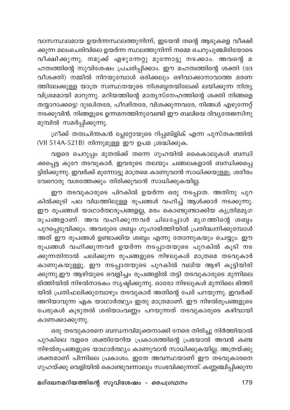വാസസ്ഥലമായ ഉയർന്നസ്ഥലത്തുനിന്ന്, ഇടയൻ തന്റെ ആടുകളെ വീക്ഷി ക്കുന്ന മലംചെരിവിലെ ഉയർന്ന സ്ഥലത്തുനിന്ന് നമ്മെ ചെറുപുഞ്ചിരിയോടെ വീക്ഷിക്കുന്നു. നമുക്ക് എഴുന്നേറ്റു മുന്നോട്ടു നടക്കാം. അവന്റെ മ ഹത്വത്തിന്റെ സുവിശേഷം പ്രചരിപ്പിക്കാം. ഈ മഹത്വത്തിന്റെ ശക്തി (ദേ വീശക്തി) നമ്മിൽ നിറയുമ്പോൾ ഒരിക്കലും ഒഴിവാക്കാനാവാത്ത മരണ ത്തിലേക്കുള്ള യാത്ര സ്ഥ്പനയുടെ നിശബ്ദതയിലേക്ക് ലയിക്കുന്ന നിതൃ വിശ്രമമായി മാറുന്നു. മറിയത്തിന്റെ മാതൃസ്നേഹത്തിന്റെ ശക്തി നിങ്ങളെ തയ്യാറാക്കട്ടെ! ദുഃഖിതരേ, പീഢിതരേ, വിശക്കുന്നവരേ, നിങ്ങൾ എഴുന്നേറ്റ് നടക്കുവിൻ. നിങ്ങളുടെ ഉന്നമനത്തിനുവേണ്ടി ഈ ബലിയെ ദിവ്യതേജസിനു മുമ്പിൽ സമർപ്പിക്കുന്നു.

ഗ്രീക്ക് തത്വചിന്തകൻ പ്ലേറ്റോയുടെ റിപ്പബ്ളിക് എന്ന പുസ്തകത്തിൽ (VII 514A-521B) നിന്നുമുള്ള ഈ ഉപമ ശ്രദ്ധിക്കുക.

വളരെ ചെറുപ്പം മുതൽക്ക് തന്നെ ഗുഹയിൽ കൈകാലുകൾ ബന്ധി ക്കപ്പെട്ട കുറേ തടവുകാർ. ഇവരുടെ തലയും ചങ്ങലകളാൽ ബന്ധിക്കപ്പെ ട്ടിരിക്കുന്നു. ഇവർക്ക് മുന്നോട്ടു മാത്രമെ കാണുവാൻ സാധിക്കയുള്ളൂ. ശരീരം വേറൊരു വശത്തേക്കും തിരിക്കുവാൻ സാധിക്കുകയില്ല.

ഈ തടവുകാരുടെ പിറകിൽ ഉയർന്ന ഒരു നടപ്പാത. അതിനു പുറ കിൽക്കൂടി പല വിധത്തിലുള്ള രൂപങ്ങൾ വഹിച്ച് ആൾക്കാർ നടക്കുന്നു. ഈ രൂപങ്ങൾ യാഥാർത്ഥരൂപങ്ങളല്ല, മരം കൊണ്ടുണ്ടാക്കിയ കൃത്രിമമൃഗ \_\_ .<br>രൂപങ്ങളാണ്. അവ വഹിക്കുന്നവർ ചിലപ്പോൾ മൃഗത്തിന്റെ ശബ്ദം പുറപ്പെടുവിക്കും. അവരുടെ ശബ്ദം ഗുഹാഭിത്തിയിൽ പ്രതിദ്ധ്വനിക്കുമ്പോൾ അത് ഈ രൂപങ്ങൾ ഉണ്ടാക്കിയ ശബ്ദം എന്നു തോന്നുകയും ചെയ്യും. ഈ രൂപങ്ങൾ വഹിക്കുന്നവർ ഉയർന്ന നടപ്പാതയുടെ പുറകിൽ കൂടി നട ക്കുന്നതിനാൽ ചലിക്കുന്ന രൂപങ്ങളുടെ നിഴലുകൾ മാത്രമെ തടവുകാർ കാണുകയുള്ളൂ. ഈ നടപ്പാതയുടെ പുറകിൽ വലിയ ആഴി കൂട്ടിയിരി ക്കുന്നു.ഈ ആഴിയുടെ വെളിച്ചം രൂപങ്ങളിൽ തട്ടി തടവുകാരുടെ മുന്നിലെ ഭിത്തിയിൽ നിഴൽനാടകം സൃഷ്ടിക്കുന്നു. ഓരോ നിഴലുകൾ മുന്നിലെ ഭിത്തി യിൽ പ്രതിഫലിക്കുമ്പോഴും തടവുകാർ അതിന്റെ പേര് പറയുന്നു. ഇവർക്ക് അറിയാവുന്ന ഏക യാഥാർത്ഥ്യം ഇതു മാത്രമാണ്. ഈ നിഴൽരൂപങ്ങളുടെ പേരുകൾ കൂടുതൽ ശരിയാംവണ്ണം പറയുന്നത് തടവുകാരുടെ കഴിവായി കാണക്കാക്കുന്നു.

ഒരു തടവുകാരനെ ബന്ധനവിമുക്തനാക്കി നേരെ തിരിച്ചു നിർത്തിയാൽ പുറകിലെ വളരെ ശക്തിയേറിയ പ്രകാശത്തിന്റെ പ്രഭയാൽ അവൻ കണ്ട നിഴൽരൂപങ്ങളുടെ യാഥാർത്ഥ്യം കാണുവാൻ സാധിക്കുകയില്ല. അത്രയ്ക്കു ശക്തമാണ് പിന്നിലെ പ്രകാശം. ഇതേ അവസ്ഥയാണ് ഈ തടവുകാരനെ ഗുഹയ്ക്കു വെളിയിൽ കൊണ്ടുവന്നാലും സംഭവിക്കുന്നത്. കണ്ണഞ്ചിപ്പിക്കുന്ന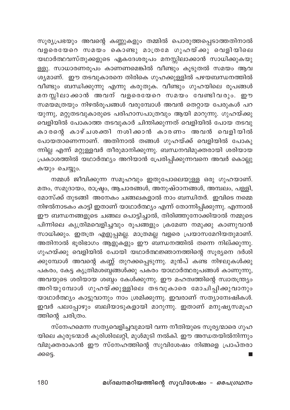സൂര്യപ്രഭയും അവന്റെ കണ്ണുകളും തമ്മിൽ പൊരുത്തപ്പെടാത്തതിനാൽ .<br>വളരെയേറെ സമയം കൊണ്ടു മാത്രമേ ഗുഹയ്ക്കു വെളിയിലെ യഥാർത്ഥവസ്തുക്കളുടെ ഏകദേശരൂപം മനസ്സിലാക്കാൻ സാധിക്കുകയു ള്ളു. സാധാരണരുപം കാണണമെങ്കിൽ വീണ്ടും കൂടുതൽ സമയം ആവ ശ്യമാണ്. ഈ തടവുകാരനെ തിരികെ ഗുഹക്കുള്ളിൽ പഴയബന്ധനത്തിൽ വീണ്ടും ബന്ധിക്കുന്നു എന്നു കരുതുക. വീണ്ടും ഗുഹയിലെ രൂപങ്ങൾ മനസ്സിലാക്കാൻ അവന് വളരെയേറെ സമയം വേണ്ടിവരും. ഈ .<br>സമയമത്രയും നിഴൽരൂപങ്ങൾ വരുമ്പോൾ അവൻ തെറ്റായ പേരുകൾ പറ യുന്നു, മറ്റുതടവുകാരുടെ പരിഹാസപാത്രവും ആയി മാറുന്നു. ഗുഹയ്ക്കു .<br>വെളിയിൽ പോകാത്ത തടവുകാർ ചിന്തിക്കുന്നത് വെളിയിൽ പോയ തടവു കാരന്റെ കാഴ്ചശക്തി നശിക്കാൻ കാരണം അവൻ വെളിയിൽ പോയതാണെന്നാണ്. അതിനാൽ തങ്ങൾ ഗുഹയ്ക്ക് വെളിയിൽ പോകു ന്നില്ല എന്ന് മറ്റുള്ളവർ തീരുമാനിക്കുന്നു. ബന്ധനവിമുക്തരായി ശരിയായ പ്രകാശത്തിൽ യഥാർത്ഥ്യം അറിയാൻ പ്രേരിപ്പിക്കുന്നവനെ അവർ കൊല്ലു കയും ചെയ്യും.

നമ്മൾ ജീവിക്കുന്ന സമൂഹവും ഇതുപോലെയുള്ള ഒരു ഗുഹയാണ്. മതം, സമുദായം, രാഷ്ട്രം, ആചാരങ്ങൾ, അനുഷ്ഠാനങ്ങൾ, അമ്പലം, പള്ളി, മോസ്ക്ക് തുടങ്ങി അനേകം ചങ്ങലകളാൽ നാം ബന്ധിതർ. ഇവിടെ നമ്മെ നിഴൽനാടകം കാട്ടി ഇതാണ് യാഥാർത്ഥ്യം എന്ന് തോന്നിപ്പിക്കുന്നു. എന്നാൽ ഈ ബന്ധനങ്ങളുടെ ചങ്ങല പൊട്ടിച്ചാൽ, തിരിഞ്ഞുനോക്കിയാൽ നമ്മുടെ പിന്നിലെ കൃത്രിമവെളിച്ചവും രൂപങ്ങളും ക്രമേണ നമുക്കു കാണുവാൻ സാധിക്കും. ഇതത്ര എളുപ്പമല്ല. മാത്രമല്ല വളരെ പ്രയാസമേറിയതുമാണ്. അതിനാൽ ഭൂരിഭാഗം ആളുകളും ഈ ബന്ധനത്തിൽ തന്നെ നില്ക്കുന്നു. ഗുഹയ്ക്കു വെളിയിൽ പോയി യഥാർത്ഥജ്ഞാനത്തിന്റെ സുര്യനെ ദർശി ക്കുമ്പോൾ അവന്റെ കണ്ണ് തുറക്കപ്പെടുന്നു. മുൻപ് കണ്ട നിഴലുകൾക്കു പകരം, കേട്ട കൃത്രിമശബ്ദങ്ങൾക്കു പകരം യാഥാർത്ഥരൂപങ്ങൾ കാണുന്നു, അവയുടെ ശരിയായ ശബ്ദം കേൾക്കുന്നു. ഈ മഹത്വത്തിന്റെ സ്വാതന്ത്ര്യം അറിയുമ്പോൾ ഗുഹയ്ക്കുള്ളിലെ തടവുകാരെ മോചിപ്പിക്കുവാനും യാഥാർത്ഥ്യം കാട്ടുവാനും നാം ശ്രമിക്കുന്നു. ഇവരാണ് സത്യാമ്പേഷികൾ. ഇവർ പലപ്പോഴും ബലിയാടുകളായി മാറുന്നു. ഇതാണ് മനുഷ്യസമൂഹ ത്തിന്റെ ചരിത്രം.

സ്നേഹമെന്ന സത്യവെളിച്ചവുമായി വന്ന നീതിയുടെ സൂര്യന്മാരെ ഗുഹ യിലെ കുരുടന്മാർ കുരിശിലേറ്റി, മുൾമുടി നൽകി. ഈ അന്ധതയിൽനിന്നും വിമുക്തരാകാൻ ഈ സ്നേഹത്തിന്റെ സുവിശേഷം നിങ്ങളെ പ്രാപ്തരാ ക്കട്ടെ.